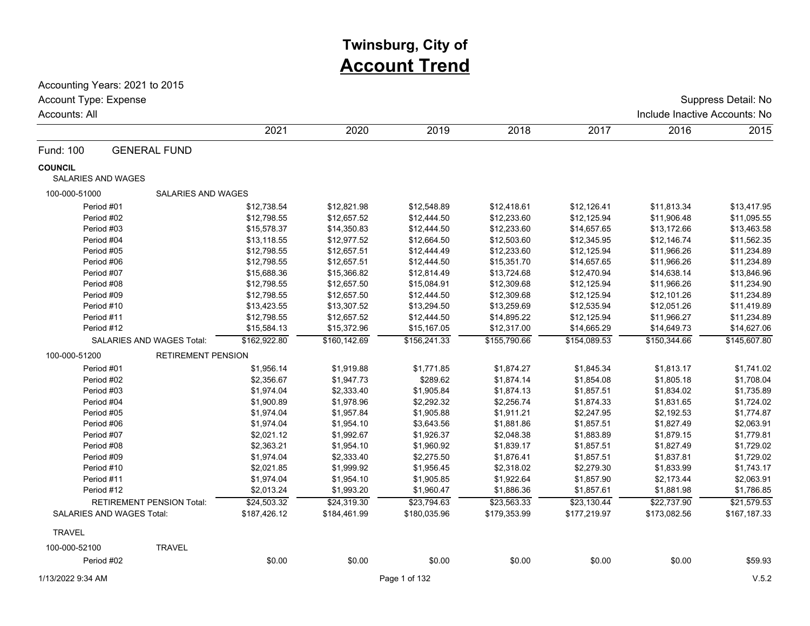# **Twinsburg, City of Account Trend**

Accounting Years: 2021 to 2015

| Account Type: Expense<br>Accounts: All      |                                  |              |              |               |              |              | Include Inactive Accounts: No | Suppress Detail: No |
|---------------------------------------------|----------------------------------|--------------|--------------|---------------|--------------|--------------|-------------------------------|---------------------|
|                                             |                                  | 2021         | 2020         | 2019          | 2018         | 2017         | 2016                          | 2015                |
| Fund: 100                                   | <b>GENERAL FUND</b>              |              |              |               |              |              |                               |                     |
| <b>COUNCIL</b><br><b>SALARIES AND WAGES</b> |                                  |              |              |               |              |              |                               |                     |
| 100-000-51000                               | SALARIES AND WAGES               |              |              |               |              |              |                               |                     |
| Period #01                                  |                                  | \$12,738.54  | \$12,821.98  | \$12,548.89   | \$12,418.61  | \$12,126.41  | \$11,813.34                   | \$13,417.95         |
| Period #02                                  |                                  | \$12,798.55  | \$12,657.52  | \$12,444.50   | \$12,233.60  | \$12,125.94  | \$11,906.48                   | \$11,095.55         |
| Period #03                                  |                                  | \$15,578.37  | \$14,350.83  | \$12,444.50   | \$12,233.60  | \$14,657.65  | \$13,172.66                   | \$13,463.58         |
| Period #04                                  |                                  | \$13,118.55  | \$12,977.52  | \$12,664.50   | \$12,503.60  | \$12,345.95  | \$12,146.74                   | \$11,562.35         |
| Period #05                                  |                                  | \$12,798.55  | \$12,657.51  | \$12,444.49   | \$12,233.60  | \$12,125.94  | \$11,966.26                   | \$11,234.89         |
| Period #06                                  |                                  | \$12,798.55  | \$12,657.51  | \$12,444.50   | \$15,351.70  | \$14,657.65  | \$11,966.26                   | \$11,234.89         |
| Period #07                                  |                                  | \$15,688.36  | \$15,366.82  | \$12,814.49   | \$13,724.68  | \$12,470.94  | \$14,638.14                   | \$13,846.96         |
| Period #08                                  |                                  | \$12,798.55  | \$12,657.50  | \$15,084.91   | \$12,309.68  | \$12,125.94  | \$11,966.26                   | \$11,234.90         |
| Period #09                                  |                                  | \$12,798.55  | \$12,657.50  | \$12,444.50   | \$12,309.68  | \$12,125.94  | \$12,101.26                   | \$11,234.89         |
| Period #10                                  |                                  | \$13,423.55  | \$13,307.52  | \$13,294.50   | \$13,259.69  | \$12,535.94  | \$12,051.26                   | \$11,419.89         |
| Period #11                                  |                                  | \$12,798.55  | \$12,657.52  | \$12,444.50   | \$14,895.22  | \$12,125.94  | \$11,966.27                   | \$11,234.89         |
| Period #12                                  |                                  | \$15,584.13  | \$15,372.96  | \$15,167.05   | \$12,317.00  | \$14,665.29  | \$14,649.73                   | \$14,627.06         |
|                                             | SALARIES AND WAGES Total:        | \$162,922.80 | \$160,142.69 | \$156,241.33  | \$155,790.66 | \$154,089.53 | \$150,344.66                  | \$145,607.80        |
| 100-000-51200                               | <b>RETIREMENT PENSION</b>        |              |              |               |              |              |                               |                     |
| Period #01                                  |                                  | \$1,956.14   | \$1,919.88   | \$1,771.85    | \$1,874.27   | \$1,845.34   | \$1,813.17                    | \$1,741.02          |
| Period #02                                  |                                  | \$2,356.67   | \$1,947.73   | \$289.62      | \$1,874.14   | \$1,854.08   | \$1,805.18                    | \$1,708.04          |
| Period #03                                  |                                  | \$1,974.04   | \$2,333.40   | \$1,905.84    | \$1,874.13   | \$1,857.51   | \$1,834.02                    | \$1,735.89          |
| Period #04                                  |                                  | \$1,900.89   | \$1,978.96   | \$2,292.32    | \$2,256.74   | \$1,874.33   | \$1,831.65                    | \$1,724.02          |
| Period #05                                  |                                  | \$1,974.04   | \$1,957.84   | \$1,905.88    | \$1,911.21   | \$2,247.95   | \$2,192.53                    | \$1,774.87          |
| Period #06                                  |                                  | \$1,974.04   | \$1,954.10   | \$3,643.56    | \$1,881.86   | \$1,857.51   | \$1,827.49                    | \$2,063.91          |
| Period #07                                  |                                  | \$2,021.12   | \$1,992.67   | \$1,926.37    | \$2,048.38   | \$1,883.89   | \$1,879.15                    | \$1,779.81          |
| Period #08                                  |                                  | \$2,363.21   | \$1,954.10   | \$1,960.92    | \$1,839.17   | \$1,857.51   | \$1,827.49                    | \$1,729.02          |
| Period #09                                  |                                  | \$1,974.04   | \$2,333.40   | \$2,275.50    | \$1,876.41   | \$1,857.51   | \$1,837.81                    | \$1,729.02          |
| Period #10                                  |                                  | \$2,021.85   | \$1,999.92   | \$1,956.45    | \$2,318.02   | \$2,279.30   | \$1,833.99                    | \$1,743.17          |
| Period #11                                  |                                  | \$1,974.04   | \$1,954.10   | \$1,905.85    | \$1,922.64   | \$1,857.90   | \$2,173.44                    | \$2,063.91          |
| Period #12                                  |                                  | \$2,013.24   | \$1,993.20   | \$1,960.47    | \$1,886.36   | \$1,857.61   | \$1,881.98                    | \$1,786.85          |
|                                             | <b>RETIREMENT PENSION Total:</b> | \$24,503.32  | \$24,319.30  | \$23,794.63   | \$23,563.33  | \$23,130.44  | \$22,737.90                   | \$21,579.53         |
| SALARIES AND WAGES Total:                   |                                  | \$187,426.12 | \$184,461.99 | \$180,035.96  | \$179,353.99 | \$177,219.97 | \$173,082.56                  | \$167,187.33        |
| <b>TRAVEL</b>                               |                                  |              |              |               |              |              |                               |                     |
| 100-000-52100                               | <b>TRAVEL</b>                    |              |              |               |              |              |                               |                     |
| Period #02                                  |                                  | \$0.00       | \$0.00       | \$0.00        | \$0.00       | \$0.00       | \$0.00                        | \$59.93             |
| 1/13/2022 9:34 AM                           |                                  |              |              | Page 1 of 132 |              |              |                               | V.5.2               |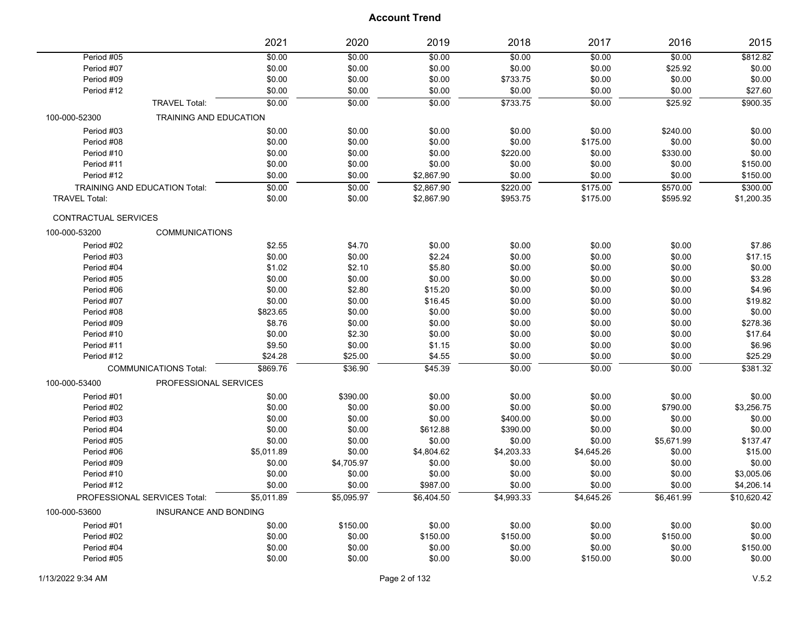|                                      |                              | 2021       | 2020       | 2019       | 2018       | 2017       | 2016       | 2015        |
|--------------------------------------|------------------------------|------------|------------|------------|------------|------------|------------|-------------|
| Period #05                           |                              | \$0.00     | \$0.00     | \$0.00     | \$0.00     | \$0.00     | \$0.00     | \$812.82    |
| Period #07                           |                              | \$0.00     | \$0.00     | \$0.00     | \$0.00     | \$0.00     | \$25.92    | \$0.00      |
| Period #09                           |                              | \$0.00     | \$0.00     | \$0.00     | \$733.75   | \$0.00     | \$0.00     | \$0.00      |
| Period #12                           |                              | \$0.00     | \$0.00     | \$0.00     | \$0.00     | \$0.00     | \$0.00     | \$27.60     |
|                                      | <b>TRAVEL Total:</b>         | \$0.00     | \$0.00     | \$0.00     | \$733.75   | \$0.00     | \$25.92    | \$900.35    |
| 100-000-52300                        | TRAINING AND EDUCATION       |            |            |            |            |            |            |             |
| Period #03                           |                              | \$0.00     | \$0.00     | \$0.00     | \$0.00     | \$0.00     | \$240.00   | \$0.00      |
| Period #08                           |                              | \$0.00     | \$0.00     | \$0.00     | \$0.00     | \$175.00   | \$0.00     | \$0.00      |
| Period #10                           |                              | \$0.00     | \$0.00     | \$0.00     | \$220.00   | \$0.00     | \$330.00   | \$0.00      |
| Period #11                           |                              | \$0.00     | \$0.00     | \$0.00     | \$0.00     | \$0.00     | \$0.00     | \$150.00    |
| Period #12                           |                              | \$0.00     | \$0.00     | \$2,867.90 | \$0.00     | \$0.00     | \$0.00     | \$150.00    |
| <b>TRAINING AND EDUCATION Total:</b> |                              | \$0.00     | \$0.00     | \$2,867.90 | \$220.00   | \$175.00   | \$570.00   | \$300.00    |
| <b>TRAVEL Total:</b>                 |                              | \$0.00     | \$0.00     | \$2,867.90 | \$953.75   | \$175.00   | \$595.92   | \$1,200.35  |
| <b>CONTRACTUAL SERVICES</b>          |                              |            |            |            |            |            |            |             |
| 100-000-53200                        | <b>COMMUNICATIONS</b>        |            |            |            |            |            |            |             |
| Period #02                           |                              | \$2.55     | \$4.70     | \$0.00     | \$0.00     | \$0.00     | \$0.00     | \$7.86      |
| Period #03                           |                              | \$0.00     | \$0.00     | \$2.24     | \$0.00     | \$0.00     | \$0.00     | \$17.15     |
| Period #04                           |                              | \$1.02     | \$2.10     | \$5.80     | \$0.00     | \$0.00     | \$0.00     | \$0.00      |
| Period #05                           |                              | \$0.00     | \$0.00     | \$0.00     | \$0.00     | \$0.00     | \$0.00     | \$3.28      |
| Period #06                           |                              | \$0.00     | \$2.80     | \$15.20    | \$0.00     | \$0.00     | \$0.00     | \$4.96      |
| Period #07                           |                              | \$0.00     | \$0.00     | \$16.45    | \$0.00     | \$0.00     | \$0.00     | \$19.82     |
| Period #08                           |                              | \$823.65   | \$0.00     | \$0.00     | \$0.00     | \$0.00     | \$0.00     | \$0.00      |
| Period #09                           |                              | \$8.76     | \$0.00     | \$0.00     | \$0.00     | \$0.00     | \$0.00     | \$278.36    |
| Period #10                           |                              | \$0.00     | \$2.30     | \$0.00     | \$0.00     | \$0.00     | \$0.00     | \$17.64     |
| Period #11                           |                              | \$9.50     | \$0.00     | \$1.15     | \$0.00     | \$0.00     | \$0.00     | \$6.96      |
| Period #12                           |                              | \$24.28    | \$25.00    | \$4.55     | \$0.00     | \$0.00     | \$0.00     | \$25.29     |
|                                      | <b>COMMUNICATIONS Total:</b> | \$869.76   | \$36.90    | \$45.39    | 50.00      | \$0.00     | \$0.00     | \$381.32    |
| 100-000-53400                        | PROFESSIONAL SERVICES        |            |            |            |            |            |            |             |
| Period #01                           |                              | \$0.00     | \$390.00   | \$0.00     | \$0.00     | \$0.00     | \$0.00     | \$0.00      |
| Period #02                           |                              | \$0.00     | \$0.00     | \$0.00     | \$0.00     | \$0.00     | \$790.00   | \$3,256.75  |
| Period #03                           |                              | \$0.00     | \$0.00     | \$0.00     | \$400.00   | \$0.00     | \$0.00     | \$0.00      |
| Period #04                           |                              | \$0.00     | \$0.00     | \$612.88   | \$390.00   | \$0.00     | \$0.00     | \$0.00      |
| Period #05                           |                              | \$0.00     | \$0.00     | \$0.00     | \$0.00     | \$0.00     | \$5,671.99 | \$137.47    |
| Period #06                           |                              | \$5,011.89 | \$0.00     | \$4,804.62 | \$4,203.33 | \$4,645.26 | \$0.00     | \$15.00     |
| Period #09                           |                              | \$0.00     | \$4,705.97 | \$0.00     | \$0.00     | \$0.00     | \$0.00     | \$0.00      |
| Period #10                           |                              | \$0.00     | \$0.00     | \$0.00     | \$0.00     | \$0.00     | \$0.00     | \$3,005.06  |
| Period #12                           |                              | \$0.00     | \$0.00     | \$987.00   | \$0.00     | \$0.00     | \$0.00     | \$4,206.14  |
|                                      | PROFESSIONAL SERVICES Total: | \$5,011.89 | \$5,095.97 | \$6,404.50 | \$4,993.33 | \$4,645.26 | \$6,461.99 | \$10,620.42 |
| 100-000-53600                        | <b>INSURANCE AND BONDING</b> |            |            |            |            |            |            |             |
| Period #01                           |                              | \$0.00     | \$150.00   | \$0.00     | \$0.00     | \$0.00     | \$0.00     | \$0.00      |
| Period #02                           |                              | \$0.00     | \$0.00     | \$150.00   | \$150.00   | \$0.00     | \$150.00   | \$0.00      |
| Period #04                           |                              | \$0.00     | \$0.00     | \$0.00     | \$0.00     | \$0.00     | \$0.00     | \$150.00    |
| Period #05                           |                              | \$0.00     | \$0.00     | \$0.00     | \$0.00     | \$150.00   | \$0.00     | \$0.00      |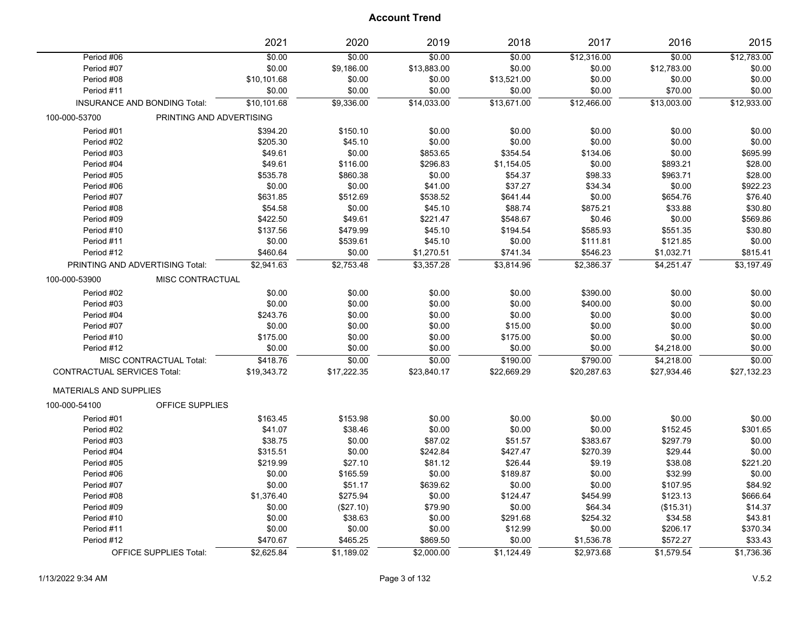|                                    |                                     | 2021        | 2020        | 2019        | 2018        | 2017        | 2016        | 2015        |
|------------------------------------|-------------------------------------|-------------|-------------|-------------|-------------|-------------|-------------|-------------|
| Period #06                         |                                     | \$0.00      | \$0.00      | \$0.00      | \$0.00      | \$12,316.00 | \$0.00      | \$12,783.00 |
| Period #07                         |                                     | \$0.00      | \$9,186.00  | \$13,883.00 | \$0.00      | \$0.00      | \$12,783.00 | \$0.00      |
| Period #08                         |                                     | \$10,101.68 | \$0.00      | \$0.00      | \$13,521.00 | \$0.00      | \$0.00      | \$0.00      |
| Period #11                         |                                     | \$0.00      | \$0.00      | \$0.00      | \$0.00      | \$0.00      | \$70.00     | \$0.00      |
|                                    | <b>INSURANCE AND BONDING Total:</b> | \$10,101.68 | \$9,336.00  | \$14,033.00 | \$13,671.00 | \$12,466.00 | \$13,003.00 | \$12,933.00 |
| 100-000-53700                      | PRINTING AND ADVERTISING            |             |             |             |             |             |             |             |
| Period #01                         |                                     | \$394.20    | \$150.10    | \$0.00      | \$0.00      | \$0.00      | \$0.00      | \$0.00      |
| Period #02                         |                                     | \$205.30    | \$45.10     | \$0.00      | \$0.00      | \$0.00      | \$0.00      | \$0.00      |
| Period #03                         |                                     | \$49.61     | \$0.00      | \$853.65    | \$354.54    | \$134.06    | \$0.00      | \$695.99    |
| Period #04                         |                                     | \$49.61     | \$116.00    | \$296.83    | \$1,154.05  | \$0.00      | \$893.21    | \$28.00     |
| Period #05                         |                                     | \$535.78    | \$860.38    | \$0.00      | \$54.37     | \$98.33     | \$963.71    | \$28.00     |
| Period #06                         |                                     | \$0.00      | \$0.00      | \$41.00     | \$37.27     | \$34.34     | \$0.00      | \$922.23    |
| Period #07                         |                                     | \$631.85    | \$512.69    | \$538.52    | \$641.44    | \$0.00      | \$654.76    | \$76.40     |
| Period #08                         |                                     | \$54.58     | \$0.00      | \$45.10     | \$88.74     | \$875.21    | \$33.88     | \$30.80     |
| Period #09                         |                                     | \$422.50    | \$49.61     | \$221.47    | \$548.67    | \$0.46      | \$0.00      | \$569.86    |
| Period #10                         |                                     | \$137.56    | \$479.99    | \$45.10     | \$194.54    | \$585.93    | \$551.35    | \$30.80     |
| Period #11                         |                                     | \$0.00      | \$539.61    | \$45.10     | \$0.00      | \$111.81    | \$121.85    | \$0.00      |
| Period #12                         |                                     | \$460.64    | \$0.00      | \$1,270.51  | \$741.34    | \$546.23    | \$1,032.71  | \$815.41    |
| PRINTING AND ADVERTISING Total:    |                                     | \$2,941.63  | \$2,753.48  | \$3,357.28  | \$3,814.96  | \$2,386.37  | \$4,251.47  | \$3,197.49  |
| 100-000-53900                      | MISC CONTRACTUAL                    |             |             |             |             |             |             |             |
| Period #02                         |                                     | \$0.00      | \$0.00      | \$0.00      | \$0.00      | \$390.00    | \$0.00      | \$0.00      |
| Period #03                         |                                     | \$0.00      | \$0.00      | \$0.00      | \$0.00      | \$400.00    | \$0.00      | \$0.00      |
| Period #04                         |                                     | \$243.76    | \$0.00      | \$0.00      | \$0.00      | \$0.00      | \$0.00      | \$0.00      |
| Period #07                         |                                     | \$0.00      | \$0.00      | \$0.00      | \$15.00     | \$0.00      | \$0.00      | \$0.00      |
| Period #10                         |                                     | \$175.00    | \$0.00      | \$0.00      | \$175.00    | \$0.00      | \$0.00      | \$0.00      |
| Period #12                         |                                     | \$0.00      | \$0.00      | \$0.00      | \$0.00      | \$0.00      | \$4,218.00  | \$0.00      |
|                                    | MISC CONTRACTUAL Total:             | \$418.76    | \$0.00      | \$0.00      | \$190.00    | \$790.00    | \$4,218.00  | \$0.00      |
| <b>CONTRACTUAL SERVICES Total:</b> |                                     | \$19,343.72 | \$17,222.35 | \$23,840.17 | \$22,669.29 | \$20,287.63 | \$27,934.46 | \$27,132.23 |
| <b>MATERIALS AND SUPPLIES</b>      |                                     |             |             |             |             |             |             |             |
| 100-000-54100                      | OFFICE SUPPLIES                     |             |             |             |             |             |             |             |
| Period #01                         |                                     | \$163.45    | \$153.98    | \$0.00      | \$0.00      | \$0.00      | \$0.00      | \$0.00      |
| Period #02                         |                                     | \$41.07     | \$38.46     | \$0.00      | \$0.00      | \$0.00      | \$152.45    | \$301.65    |
| Period #03                         |                                     | \$38.75     | \$0.00      | \$87.02     | \$51.57     | \$383.67    | \$297.79    | \$0.00      |
| Period #04                         |                                     | \$315.51    | \$0.00      | \$242.84    | \$427.47    | \$270.39    | \$29.44     | \$0.00      |
| Period #05                         |                                     | \$219.99    | \$27.10     | \$81.12     | \$26.44     | \$9.19      | \$38.08     | \$221.20    |
| Period #06                         |                                     | \$0.00      | \$165.59    | \$0.00      | \$189.87    | \$0.00      | \$32.99     | \$0.00      |
| Period #07                         |                                     | \$0.00      | \$51.17     | \$639.62    | \$0.00      | \$0.00      | \$107.95    | \$84.92     |
| Period #08                         |                                     | \$1,376.40  | \$275.94    | \$0.00      | \$124.47    | \$454.99    | \$123.13    | \$666.64    |
| Period #09                         |                                     | \$0.00      | (\$27.10)   | \$79.90     | \$0.00      | \$64.34     | (\$15.31)   | \$14.37     |
| Period #10                         |                                     | \$0.00      | \$38.63     | \$0.00      | \$291.68    | \$254.32    | \$34.58     | \$43.81     |
| Period #11                         |                                     | \$0.00      | \$0.00      | \$0.00      | \$12.99     | \$0.00      | \$206.17    | \$370.34    |
| Period #12                         |                                     | \$470.67    | \$465.25    | \$869.50    | \$0.00      | \$1,536.78  | \$572.27    | \$33.43     |
|                                    |                                     | \$2,625.84  | \$1,189.02  | \$2,000.00  |             | \$2,973.68  |             |             |
|                                    | OFFICE SUPPLIES Total:              |             |             |             | \$1,124.49  |             | \$1,579.54  | \$1,736.36  |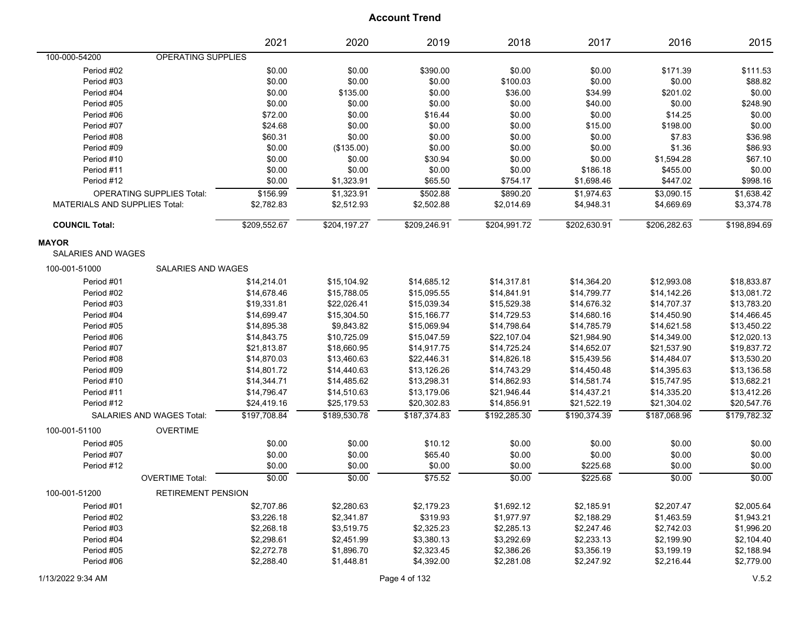|                                      |                                  | 2021         | 2020         | 2019         | 2018         | 2017         | 2016         | 2015         |
|--------------------------------------|----------------------------------|--------------|--------------|--------------|--------------|--------------|--------------|--------------|
| 100-000-54200                        | OPERATING SUPPLIES               |              |              |              |              |              |              |              |
| Period #02                           |                                  | \$0.00       | \$0.00       | \$390.00     | \$0.00       | \$0.00       | \$171.39     | \$111.53     |
| Period #03                           |                                  | \$0.00       | \$0.00       | \$0.00       | \$100.03     | \$0.00       | \$0.00       | \$88.82      |
| Period #04                           |                                  | \$0.00       | \$135.00     | \$0.00       | \$36.00      | \$34.99      | \$201.02     | \$0.00       |
| Period #05                           |                                  | \$0.00       | \$0.00       | \$0.00       | \$0.00       | \$40.00      | \$0.00       | \$248.90     |
| Period #06                           |                                  | \$72.00      | \$0.00       | \$16.44      | \$0.00       | \$0.00       | \$14.25      | \$0.00       |
| Period #07                           |                                  | \$24.68      | \$0.00       | \$0.00       | \$0.00       | \$15.00      | \$198.00     | \$0.00       |
| Period #08                           |                                  | \$60.31      | \$0.00       | \$0.00       | \$0.00       | \$0.00       | \$7.83       | \$36.98      |
| Period #09                           |                                  | \$0.00       | (\$135.00)   | \$0.00       | \$0.00       | \$0.00       | \$1.36       | \$86.93      |
| Period #10                           |                                  | \$0.00       | \$0.00       | \$30.94      | \$0.00       | \$0.00       | \$1,594.28   | \$67.10      |
| Period #11                           |                                  | \$0.00       | \$0.00       | \$0.00       | \$0.00       | \$186.18     | \$455.00     | \$0.00       |
| Period #12                           |                                  | \$0.00       | \$1,323.91   | \$65.50      | \$754.17     | \$1,698.46   | \$447.02     | \$998.16     |
|                                      | <b>OPERATING SUPPLIES Total:</b> | \$156.99     | \$1,323.91   | \$502.88     | \$890.20     | \$1,974.63   | \$3,090.15   | \$1,638.42   |
| <b>MATERIALS AND SUPPLIES Total:</b> |                                  | \$2,782.83   | \$2,512.93   | \$2,502.88   | \$2,014.69   | \$4,948.31   | \$4,669.69   | \$3,374.78   |
| <b>COUNCIL Total:</b>                |                                  | \$209,552.67 | \$204,197.27 | \$209,246.91 | \$204,991.72 | \$202,630.91 | \$206,282.63 | \$198,894.69 |
| <b>MAYOR</b>                         |                                  |              |              |              |              |              |              |              |
| <b>SALARIES AND WAGES</b>            |                                  |              |              |              |              |              |              |              |
| 100-001-51000                        | <b>SALARIES AND WAGES</b>        |              |              |              |              |              |              |              |
| Period #01                           |                                  | \$14,214.01  | \$15,104.92  | \$14,685.12  | \$14,317.81  | \$14,364.20  | \$12,993.08  | \$18,833.87  |
| Period #02                           |                                  | \$14,678.46  | \$15,788.05  | \$15,095.55  | \$14,841.91  | \$14,799.77  | \$14,142.26  | \$13,081.72  |
| Period #03                           |                                  | \$19,331.81  | \$22,026.41  | \$15,039.34  | \$15,529.38  | \$14,676.32  | \$14,707.37  | \$13,783.20  |
| Period #04                           |                                  | \$14,699.47  | \$15,304.50  | \$15,166.77  | \$14,729.53  | \$14,680.16  | \$14,450.90  | \$14,466.45  |
| Period #05                           |                                  | \$14,895.38  | \$9,843.82   | \$15,069.94  | \$14,798.64  | \$14,785.79  | \$14,621.58  | \$13,450.22  |
| Period #06                           |                                  | \$14,843.75  | \$10,725.09  | \$15,047.59  | \$22,107.04  | \$21,984.90  | \$14,349.00  | \$12,020.13  |
| Period #07                           |                                  | \$21,813.87  | \$18,660.95  | \$14,917.75  | \$14,725.24  | \$14,652.07  | \$21,537.90  | \$19,837.72  |
| Period #08                           |                                  | \$14,870.03  | \$13,460.63  | \$22,446.31  | \$14,826.18  | \$15,439.56  | \$14,484.07  | \$13,530.20  |
| Period #09                           |                                  | \$14,801.72  | \$14,440.63  | \$13,126.26  | \$14,743.29  | \$14,450.48  | \$14,395.63  | \$13,136.58  |
| Period #10                           |                                  | \$14,344.71  | \$14,485.62  | \$13,298.31  | \$14,862.93  | \$14,581.74  | \$15,747.95  | \$13,682.21  |
| Period #11                           |                                  | \$14,796.47  | \$14,510.63  | \$13,179.06  | \$21,946.44  | \$14,437.21  | \$14,335.20  | \$13,412.26  |
| Period #12                           |                                  | \$24,419.16  | \$25,179.53  | \$20,302.83  | \$14,856.91  | \$21,522.19  | \$21,304.02  | \$20,547.76  |
|                                      | SALARIES AND WAGES Total:        | \$197,708.84 | \$189,530.78 | \$187,374.83 | \$192,285.30 | \$190,374.39 | \$187,068.96 | \$179,782.32 |
| 100-001-51100                        | <b>OVERTIME</b>                  |              |              |              |              |              |              |              |
| Period #05                           |                                  | \$0.00       | \$0.00       | \$10.12      | \$0.00       | \$0.00       | \$0.00       | \$0.00       |
| Period #07                           |                                  | \$0.00       | \$0.00       | \$65.40      | \$0.00       | \$0.00       | \$0.00       | \$0.00       |
| Period #12                           |                                  | \$0.00       | \$0.00       | \$0.00       | \$0.00       | \$225.68     | \$0.00       | \$0.00       |
|                                      | <b>OVERTIME Total:</b>           | \$0.00       | \$0.00       | \$75.52      | \$0.00       | \$225.68     | \$0.00       | \$0.00       |
| 100-001-51200                        | <b>RETIREMENT PENSION</b>        |              |              |              |              |              |              |              |
| Period #01                           |                                  | \$2,707.86   | \$2,280.63   | \$2,179.23   | \$1,692.12   | \$2,185.91   | \$2,207.47   | \$2,005.64   |
| Period #02                           |                                  | \$3,226.18   | \$2,341.87   | \$319.93     | \$1,977.97   | \$2,188.29   | \$1,463.59   | \$1,943.21   |
| Period #03                           |                                  | \$2,268.18   | \$3,519.75   | \$2,325.23   | \$2,285.13   | \$2,247.46   | \$2,742.03   | \$1,996.20   |
| Period #04                           |                                  | \$2,298.61   | \$2,451.99   | \$3,380.13   | \$3,292.69   | \$2,233.13   | \$2,199.90   | \$2,104.40   |
| Period #05                           |                                  | \$2,272.78   | \$1,896.70   | \$2,323.45   | \$2,386.26   | \$3,356.19   | \$3,199.19   | \$2,188.94   |
| Period #06                           |                                  | \$2,288.40   | \$1,448.81   | \$4,392.00   | \$2,281.08   | \$2,247.92   | \$2,216.44   | \$2,779.00   |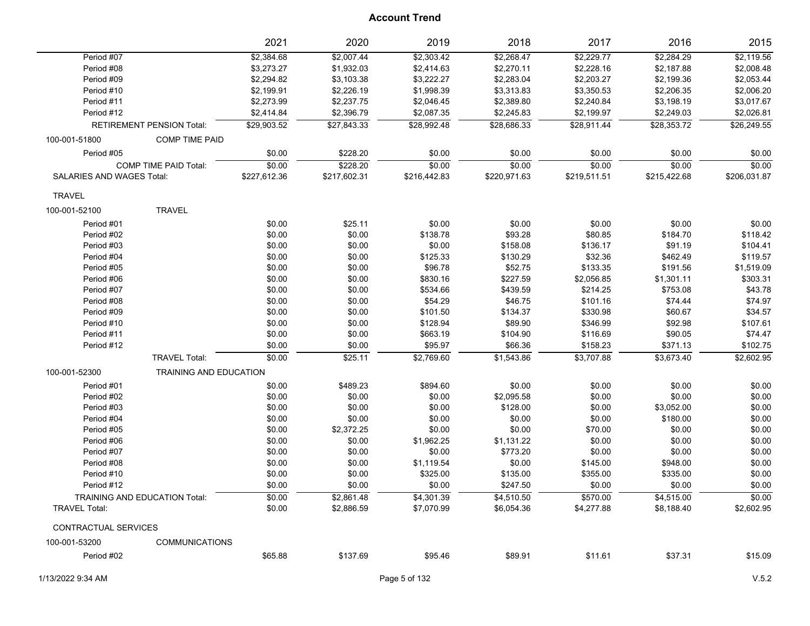|                                  |                                  | 2021         | 2020         | 2019         | 2018         | 2017         | 2016         | 2015         |
|----------------------------------|----------------------------------|--------------|--------------|--------------|--------------|--------------|--------------|--------------|
| Period #07                       |                                  | \$2,384.68   | \$2,007.44   | \$2,303.42   | \$2,268.47   | \$2,229.77   | \$2,284.29   | \$2,119.56   |
| Period #08                       |                                  | \$3,273.27   | \$1,932.03   | \$2,414.63   | \$2,270.11   | \$2,228.16   | \$2,187.88   | \$2,008.48   |
| Period #09                       |                                  | \$2,294.82   | \$3,103.38   | \$3,222.27   | \$2,283.04   | \$2,203.27   | \$2,199.36   | \$2,053.44   |
| Period #10                       |                                  | \$2,199.91   | \$2,226.19   | \$1,998.39   | \$3,313.83   | \$3,350.53   | \$2,206.35   | \$2,006.20   |
| Period #11                       |                                  | \$2,273.99   | \$2,237.75   | \$2,046.45   | \$2,389.80   | \$2,240.84   | \$3,198.19   | \$3,017.67   |
| Period #12                       |                                  | \$2,414.84   | \$2,396.79   | \$2,087.35   | \$2,245.83   | \$2,199.97   | \$2,249.03   | \$2,026.81   |
|                                  | <b>RETIREMENT PENSION Total:</b> | \$29,903.52  | \$27,843.33  | \$28,992.48  | \$28,686.33  | \$28,911.44  | \$28,353.72  | \$26,249.55  |
| 100-001-51800                    | <b>COMP TIME PAID</b>            |              |              |              |              |              |              |              |
| Period #05                       |                                  | \$0.00       | \$228.20     | \$0.00       | \$0.00       | \$0.00       | \$0.00       | \$0.00       |
|                                  | COMP TIME PAID Total:            | \$0.00       | \$228.20     | \$0.00       | \$0.00       | \$0.00       | \$0.00       | \$0.00       |
| <b>SALARIES AND WAGES Total:</b> |                                  | \$227,612.36 | \$217,602.31 | \$216,442.83 | \$220,971.63 | \$219,511.51 | \$215,422.68 | \$206,031.87 |
| <b>TRAVEL</b>                    |                                  |              |              |              |              |              |              |              |
| 100-001-52100                    | <b>TRAVEL</b>                    |              |              |              |              |              |              |              |
| Period #01                       |                                  | \$0.00       | \$25.11      | \$0.00       | \$0.00       | \$0.00       | \$0.00       | \$0.00       |
| Period #02                       |                                  | \$0.00       | \$0.00       | \$138.78     | \$93.28      | \$80.85      | \$184.70     | \$118.42     |
| Period #03                       |                                  | \$0.00       | \$0.00       | \$0.00       | \$158.08     | \$136.17     | \$91.19      | \$104.41     |
| Period #04                       |                                  | \$0.00       | \$0.00       | \$125.33     | \$130.29     | \$32.36      | \$462.49     | \$119.57     |
| Period #05                       |                                  | \$0.00       | \$0.00       | \$96.78      | \$52.75      | \$133.35     | \$191.56     | \$1,519.09   |
| Period #06                       |                                  | \$0.00       | \$0.00       | \$830.16     | \$227.59     | \$2,056.85   | \$1,301.11   | \$303.31     |
| Period #07                       |                                  | \$0.00       | \$0.00       | \$534.66     | \$439.59     | \$214.25     | \$753.08     | \$43.78      |
| Period #08                       |                                  | \$0.00       | \$0.00       | \$54.29      | \$46.75      | \$101.16     | \$74.44      | \$74.97      |
| Period #09                       |                                  | \$0.00       | \$0.00       | \$101.50     | \$134.37     | \$330.98     | \$60.67      | \$34.57      |
| Period #10                       |                                  | \$0.00       | \$0.00       | \$128.94     | \$89.90      | \$346.99     | \$92.98      | \$107.61     |
| Period #11                       |                                  | \$0.00       | \$0.00       | \$663.19     | \$104.90     | \$116.69     | \$90.05      | \$74.47      |
| Period #12                       |                                  | \$0.00       | \$0.00       | \$95.97      | \$66.36      | \$158.23     | \$371.13     | \$102.75     |
|                                  | <b>TRAVEL Total:</b>             | \$0.00       | \$25.11      | \$2,769.60   | \$1,543.86   | \$3,707.88   | \$3,673.40   | \$2,602.95   |
|                                  |                                  |              |              |              |              |              |              |              |
| 100-001-52300                    | <b>TRAINING AND EDUCATION</b>    |              |              |              |              |              |              |              |
| Period #01                       |                                  | \$0.00       | \$489.23     | \$894.60     | \$0.00       | \$0.00       | \$0.00       | \$0.00       |
| Period #02                       |                                  | \$0.00       | \$0.00       | \$0.00       | \$2,095.58   | \$0.00       | \$0.00       | \$0.00       |
| Period #03                       |                                  | \$0.00       | \$0.00       | \$0.00       | \$128.00     | \$0.00       | \$3,052.00   | \$0.00       |
| Period #04                       |                                  | \$0.00       | \$0.00       | \$0.00       | \$0.00       | \$0.00       | \$180.00     | \$0.00       |
| Period #05                       |                                  | \$0.00       | \$2,372.25   | \$0.00       | \$0.00       | \$70.00      | \$0.00       | \$0.00       |
| Period #06                       |                                  | \$0.00       | \$0.00       | \$1,962.25   | \$1,131.22   | \$0.00       | \$0.00       | \$0.00       |
| Period #07                       |                                  | \$0.00       | \$0.00       | \$0.00       | \$773.20     | \$0.00       | \$0.00       | \$0.00       |
| Period #08                       |                                  | \$0.00       | \$0.00       | \$1,119.54   | \$0.00       | \$145.00     | \$948.00     | \$0.00       |
| Period #10                       |                                  | \$0.00       | \$0.00       | \$325.00     | \$135.00     | \$355.00     | \$335.00     | \$0.00       |
| Period #12                       |                                  | \$0.00       | \$0.00       | \$0.00       | \$247.50     | \$0.00       | \$0.00       | \$0.00       |
|                                  | TRAINING AND EDUCATION Total:    | \$0.00       | \$2,861.48   | \$4,301.39   | \$4,510.50   | \$570.00     | \$4,515.00   | 50.00        |
| <b>TRAVEL Total:</b>             |                                  | \$0.00       | \$2,886.59   | \$7,070.99   | \$6,054.36   | \$4,277.88   | \$8,188.40   | \$2,602.95   |
| CONTRACTUAL SERVICES             |                                  |              |              |              |              |              |              |              |
| 100-001-53200                    | <b>COMMUNICATIONS</b>            |              |              |              |              |              |              |              |
| Period #02                       |                                  | \$65.88      | \$137.69     | \$95.46      | \$89.91      | \$11.61      | \$37.31      | \$15.09      |
|                                  |                                  |              |              |              |              |              |              |              |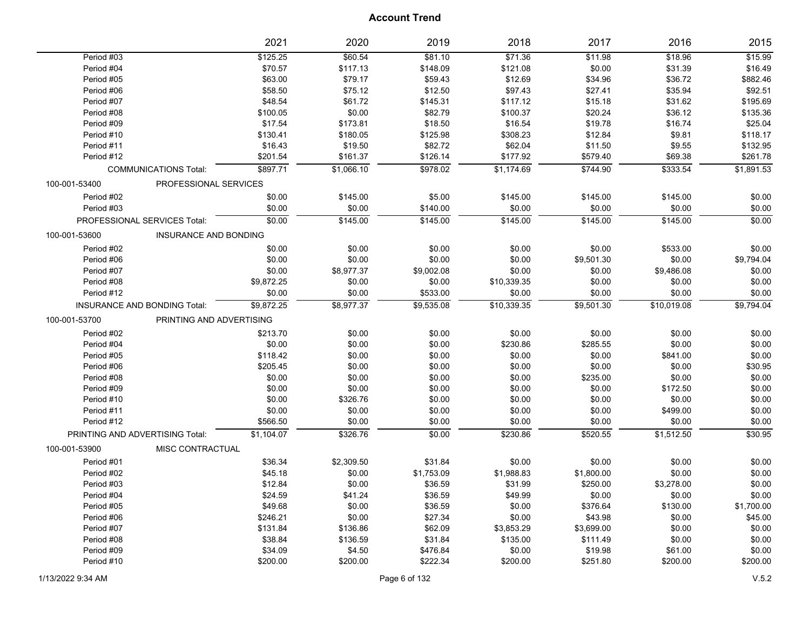|               |                                     | 2021       | 2020       | 2019       | 2018        | 2017       | 2016        | 2015       |
|---------------|-------------------------------------|------------|------------|------------|-------------|------------|-------------|------------|
| Period #03    |                                     | \$125.25   | \$60.54    | \$81.10    | \$71.36     | \$11.98    | \$18.96     | \$15.99    |
| Period #04    |                                     | \$70.57    | \$117.13   | \$148.09   | \$121.08    | \$0.00     | \$31.39     | \$16.49    |
| Period #05    |                                     | \$63.00    | \$79.17    | \$59.43    | \$12.69     | \$34.96    | \$36.72     | \$882.46   |
| Period #06    |                                     | \$58.50    | \$75.12    | \$12.50    | \$97.43     | \$27.41    | \$35.94     | \$92.51    |
| Period #07    |                                     | \$48.54    | \$61.72    | \$145.31   | \$117.12    | \$15.18    | \$31.62     | \$195.69   |
| Period #08    |                                     | \$100.05   | \$0.00     | \$82.79    | \$100.37    | \$20.24    | \$36.12     | \$135.36   |
| Period #09    |                                     | \$17.54    | \$173.81   | \$18.50    | \$16.54     | \$19.78    | \$16.74     | \$25.04    |
| Period #10    |                                     | \$130.41   | \$180.05   | \$125.98   | \$308.23    | \$12.84    | \$9.81      | \$118.17   |
| Period #11    |                                     | \$16.43    | \$19.50    | \$82.72    | \$62.04     | \$11.50    | \$9.55      | \$132.95   |
| Period #12    |                                     | \$201.54   | \$161.37   | \$126.14   | \$177.92    | \$579.40   | \$69.38     | \$261.78   |
|               | <b>COMMUNICATIONS Total:</b>        | \$897.71   | \$1.066.10 | \$978.02   | \$1,174.69  | \$744.90   | \$333.54    | \$1,891.53 |
| 100-001-53400 | PROFESSIONAL SERVICES               |            |            |            |             |            |             |            |
| Period #02    |                                     | \$0.00     | \$145.00   | \$5.00     | \$145.00    | \$145.00   | \$145.00    | \$0.00     |
| Period #03    |                                     | \$0.00     | \$0.00     | \$140.00   | \$0.00      | \$0.00     | \$0.00      | \$0.00     |
|               | PROFESSIONAL SERVICES Total:        | \$0.00     | \$145.00   | \$145.00   | \$145.00    | \$145.00   | \$145.00    | \$0.00     |
| 100-001-53600 | <b>INSURANCE AND BONDING</b>        |            |            |            |             |            |             |            |
| Period #02    |                                     | \$0.00     | \$0.00     | \$0.00     | \$0.00      | \$0.00     | \$533.00    | \$0.00     |
| Period #06    |                                     | \$0.00     | \$0.00     | \$0.00     | \$0.00      | \$9,501.30 | \$0.00      | \$9,794.04 |
| Period #07    |                                     | \$0.00     | \$8,977.37 | \$9,002.08 | \$0.00      | \$0.00     | \$9,486.08  | \$0.00     |
| Period #08    |                                     | \$9,872.25 | \$0.00     | \$0.00     | \$10,339.35 | \$0.00     | \$0.00      | \$0.00     |
| Period #12    |                                     | \$0.00     | \$0.00     | \$533.00   | \$0.00      | \$0.00     | \$0.00      | \$0.00     |
|               | <b>INSURANCE AND BONDING Total:</b> | \$9,872.25 | \$8,977.37 | \$9,535.08 | \$10,339.35 | \$9,501.30 | \$10,019.08 | \$9,794.04 |
| 100-001-53700 | PRINTING AND ADVERTISING            |            |            |            |             |            |             |            |
| Period #02    |                                     | \$213.70   | \$0.00     | \$0.00     | \$0.00      | \$0.00     | \$0.00      | \$0.00     |
| Period #04    |                                     | \$0.00     | \$0.00     | \$0.00     | \$230.86    | \$285.55   | \$0.00      | \$0.00     |
| Period #05    |                                     | \$118.42   | \$0.00     | \$0.00     | \$0.00      | \$0.00     | \$841.00    | \$0.00     |
| Period #06    |                                     | \$205.45   | \$0.00     | \$0.00     | \$0.00      | \$0.00     | \$0.00      | \$30.95    |
| Period #08    |                                     | \$0.00     | \$0.00     | \$0.00     | \$0.00      | \$235.00   | \$0.00      | \$0.00     |
| Period #09    |                                     | \$0.00     | \$0.00     | \$0.00     | \$0.00      | \$0.00     | \$172.50    | \$0.00     |
| Period #10    |                                     | \$0.00     | \$326.76   | \$0.00     | \$0.00      | \$0.00     | \$0.00      | \$0.00     |
| Period #11    |                                     | \$0.00     | \$0.00     | \$0.00     | \$0.00      | \$0.00     | \$499.00    | \$0.00     |
| Period #12    |                                     | \$566.50   | \$0.00     | \$0.00     | \$0.00      | \$0.00     | \$0.00      | \$0.00     |
|               | PRINTING AND ADVERTISING Total:     | \$1,104.07 | \$326.76   | \$0.00     | \$230.86    | \$520.55   | \$1,512.50  | 30.95      |
| 100-001-53900 | MISC CONTRACTUAL                    |            |            |            |             |            |             |            |
| Period #01    |                                     | \$36.34    | \$2,309.50 | \$31.84    | \$0.00      | \$0.00     | \$0.00      | \$0.00     |
| Period #02    |                                     | \$45.18    | \$0.00     | \$1,753.09 | \$1,988.83  | \$1,800.00 | \$0.00      | \$0.00     |
| Period #03    |                                     | \$12.84    | \$0.00     | \$36.59    | \$31.99     | \$250.00   | \$3,278.00  | \$0.00     |
| Period #04    |                                     | \$24.59    | \$41.24    | \$36.59    | \$49.99     | \$0.00     | \$0.00      | \$0.00     |
| Period #05    |                                     | \$49.68    | \$0.00     | \$36.59    | \$0.00      | \$376.64   | \$130.00    | \$1,700.00 |
| Period #06    |                                     | \$246.21   | \$0.00     | \$27.34    | \$0.00      | \$43.98    | \$0.00      | \$45.00    |
| Period #07    |                                     | \$131.84   | \$136.86   | \$62.09    | \$3,853.29  | \$3,699.00 | \$0.00      | \$0.00     |
| Period #08    |                                     | \$38.84    | \$136.59   | \$31.84    | \$135.00    | \$111.49   | \$0.00      | \$0.00     |
| Period #09    |                                     | \$34.09    | \$4.50     | \$476.84   | \$0.00      | \$19.98    | \$61.00     | \$0.00     |
| Period #10    |                                     | \$200.00   | \$200.00   | \$222.34   | \$200.00    | \$251.80   | \$200.00    | \$200.00   |
|               |                                     |            |            |            |             |            |             |            |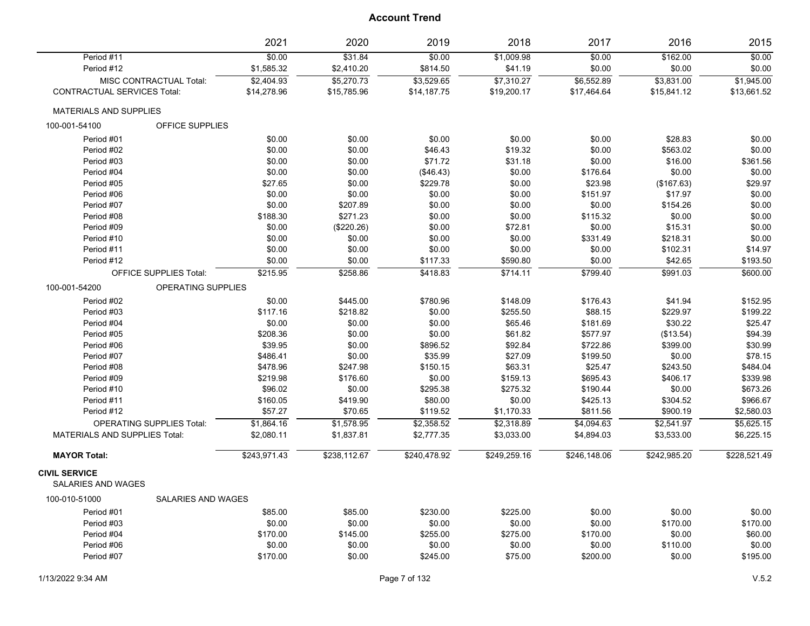|                                                   |                                  | 2021         | 2020         | 2019         | 2018         | 2017         | 2016         | 2015         |
|---------------------------------------------------|----------------------------------|--------------|--------------|--------------|--------------|--------------|--------------|--------------|
| Period #11                                        |                                  | \$0.00       | \$31.84      | \$0.00       | \$1,009.98   | \$0.00       | \$162.00     | \$0.00       |
| Period #12                                        |                                  | \$1,585.32   | \$2,410.20   | \$814.50     | \$41.19      | \$0.00       | \$0.00       | \$0.00       |
|                                                   | MISC CONTRACTUAL Total:          | \$2,404.93   | \$5,270.73   | \$3,529.65   | \$7,310.27   | \$6,552.89   | \$3,831.00   | \$1,945.00   |
| <b>CONTRACTUAL SERVICES Total:</b>                |                                  | \$14,278.96  | \$15,785.96  | \$14,187.75  | \$19,200.17  | \$17,464.64  | \$15,841.12  | \$13,661.52  |
| <b>MATERIALS AND SUPPLIES</b>                     |                                  |              |              |              |              |              |              |              |
| 100-001-54100                                     | OFFICE SUPPLIES                  |              |              |              |              |              |              |              |
| Period #01                                        |                                  | \$0.00       | \$0.00       | \$0.00       | \$0.00       | \$0.00       | \$28.83      | \$0.00       |
| Period #02                                        |                                  | \$0.00       | \$0.00       | \$46.43      | \$19.32      | \$0.00       | \$563.02     | \$0.00       |
| Period #03                                        |                                  | \$0.00       | \$0.00       | \$71.72      | \$31.18      | \$0.00       | \$16.00      | \$361.56     |
| Period #04                                        |                                  | \$0.00       | \$0.00       | (\$46.43)    | \$0.00       | \$176.64     | \$0.00       | \$0.00       |
| Period #05                                        |                                  | \$27.65      | \$0.00       | \$229.78     | \$0.00       | \$23.98      | (\$167.63)   | \$29.97      |
| Period #06                                        |                                  | \$0.00       | \$0.00       | \$0.00       | \$0.00       | \$151.97     | \$17.97      | \$0.00       |
| Period #07                                        |                                  | \$0.00       | \$207.89     | \$0.00       | \$0.00       | \$0.00       | \$154.26     | \$0.00       |
| Period #08                                        |                                  | \$188.30     | \$271.23     | \$0.00       | \$0.00       | \$115.32     | \$0.00       | \$0.00       |
| Period #09                                        |                                  | \$0.00       | (\$220.26)   | \$0.00       | \$72.81      | \$0.00       | \$15.31      | \$0.00       |
| Period #10                                        |                                  | \$0.00       | \$0.00       | \$0.00       | \$0.00       | \$331.49     | \$218.31     | \$0.00       |
| Period #11                                        |                                  | \$0.00       | \$0.00       | \$0.00       | \$0.00       | \$0.00       | \$102.31     | \$14.97      |
| Period #12                                        |                                  | \$0.00       | \$0.00       | \$117.33     | \$590.80     | \$0.00       | \$42.65      | \$193.50     |
|                                                   | OFFICE SUPPLIES Total:           | \$215.95     | \$258.86     | \$418.83     | \$714.11     | \$799.40     | \$991.03     | \$600.00     |
| 100-001-54200                                     | OPERATING SUPPLIES               |              |              |              |              |              |              |              |
| Period #02                                        |                                  | \$0.00       | \$445.00     | \$780.96     | \$148.09     | \$176.43     | \$41.94      | \$152.95     |
| Period #03                                        |                                  | \$117.16     | \$218.82     | \$0.00       | \$255.50     | \$88.15      | \$229.97     | \$199.22     |
| Period #04                                        |                                  | \$0.00       | \$0.00       | \$0.00       | \$65.46      | \$181.69     | \$30.22      | \$25.47      |
| Period #05                                        |                                  | \$208.36     | \$0.00       | \$0.00       | \$61.82      | \$577.97     | (\$13.54)    | \$94.39      |
| Period #06                                        |                                  | \$39.95      | \$0.00       | \$896.52     | \$92.84      | \$722.86     | \$399.00     | \$30.99      |
| Period #07                                        |                                  | \$486.41     | \$0.00       | \$35.99      | \$27.09      | \$199.50     | \$0.00       | \$78.15      |
| Period #08                                        |                                  | \$478.96     | \$247.98     | \$150.15     | \$63.31      | \$25.47      | \$243.50     | \$484.04     |
| Period #09                                        |                                  | \$219.98     | \$176.60     | \$0.00       | \$159.13     | \$695.43     | \$406.17     | \$339.98     |
| Period #10                                        |                                  | \$96.02      | \$0.00       | \$295.38     | \$275.32     | \$190.44     | \$0.00       | \$673.26     |
| Period #11                                        |                                  | \$160.05     | \$419.90     | \$80.00      | \$0.00       | \$425.13     | \$304.52     | \$966.67     |
| Period #12                                        |                                  | \$57.27      | \$70.65      | \$119.52     | \$1,170.33   | \$811.56     | \$900.19     | \$2,580.03   |
|                                                   | <b>OPERATING SUPPLIES Total:</b> | \$1,864.16   | \$1,578.95   | \$2,358.52   | \$2,318.89   | \$4,094.63   | \$2,541.97   | \$5,625.15   |
| <b>MATERIALS AND SUPPLIES Total:</b>              |                                  | \$2,080.11   | \$1,837.81   | \$2,777.35   | \$3,033.00   | \$4,894.03   | \$3,533.00   | \$6,225.15   |
| <b>MAYOR Total:</b>                               |                                  | \$243,971.43 | \$238,112.67 | \$240,478.92 | \$249,259.16 | \$246,148.06 | \$242,985.20 | \$228,521.49 |
| <b>CIVIL SERVICE</b><br><b>SALARIES AND WAGES</b> |                                  |              |              |              |              |              |              |              |
| 100-010-51000                                     | <b>SALARIES AND WAGES</b>        |              |              |              |              |              |              |              |
| Period #01                                        |                                  | \$85.00      | \$85.00      | \$230.00     | \$225.00     | \$0.00       | \$0.00       | \$0.00       |
| Period #03                                        |                                  | \$0.00       | \$0.00       | \$0.00       | \$0.00       | \$0.00       | \$170.00     | \$170.00     |
| Period #04                                        |                                  | \$170.00     | \$145.00     | \$255.00     | \$275.00     | \$170.00     | \$0.00       | \$60.00      |
| Period #06                                        |                                  | \$0.00       | \$0.00       | \$0.00       | \$0.00       | \$0.00       | \$110.00     | \$0.00       |
| Period #07                                        |                                  | \$170.00     | \$0.00       | \$245.00     | \$75.00      | \$200.00     | \$0.00       | \$195.00     |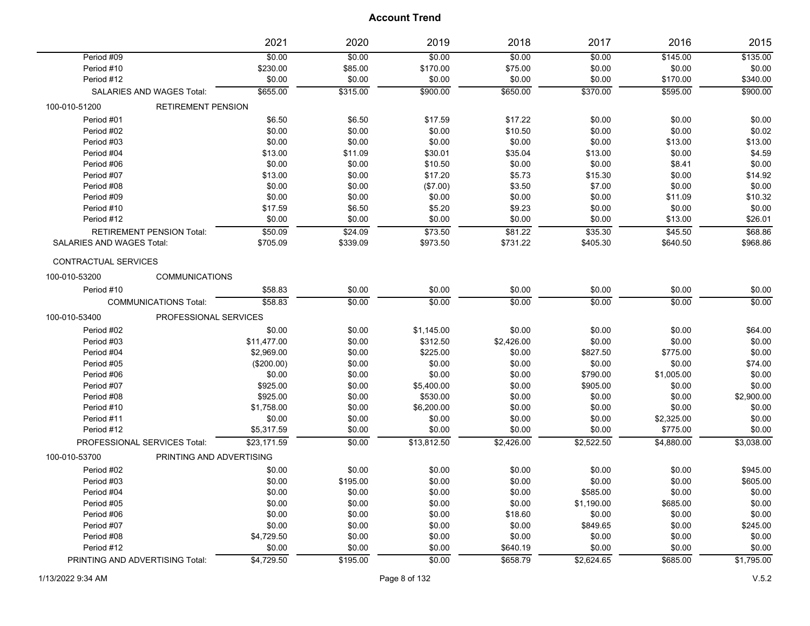|                                            | 2021        | 2020     | 2019        | 2018       | 2017       | 2016       | 2015       |
|--------------------------------------------|-------------|----------|-------------|------------|------------|------------|------------|
| Period #09                                 | \$0.00      | \$0.00   | \$0.00      | \$0.00     | \$0.00     | \$145.00   | \$135.00   |
| Period #10                                 | \$230.00    | \$85.00  | \$170.00    | \$75.00    | \$0.00     | \$0.00     | \$0.00     |
| Period #12                                 | \$0.00      | \$0.00   | \$0.00      | \$0.00     | \$0.00     | \$170.00   | \$340.00   |
| <b>SALARIES AND WAGES Total:</b>           | \$655.00    | \$315.00 | \$900.00    | \$650.00   | \$370.00   | \$595.00   | \$900.00   |
| 100-010-51200<br><b>RETIREMENT PENSION</b> |             |          |             |            |            |            |            |
| Period #01                                 | \$6.50      | \$6.50   | \$17.59     | \$17.22    | \$0.00     | \$0.00     | \$0.00     |
| Period #02                                 | \$0.00      | \$0.00   | \$0.00      | \$10.50    | \$0.00     | \$0.00     | \$0.02     |
| Period #03                                 | \$0.00      | \$0.00   | \$0.00      | \$0.00     | \$0.00     | \$13.00    | \$13.00    |
| Period #04                                 | \$13.00     | \$11.09  | \$30.01     | \$35.04    | \$13.00    | \$0.00     | \$4.59     |
| Period #06                                 | \$0.00      | \$0.00   | \$10.50     | \$0.00     | \$0.00     | \$8.41     | \$0.00     |
| Period #07                                 | \$13.00     | \$0.00   | \$17.20     | \$5.73     | \$15.30    | \$0.00     | \$14.92    |
| Period #08                                 | \$0.00      | \$0.00   | (\$7.00)    | \$3.50     | \$7.00     | \$0.00     | \$0.00     |
| Period #09                                 | \$0.00      | \$0.00   | \$0.00      | \$0.00     | \$0.00     | \$11.09    | \$10.32    |
| Period #10                                 | \$17.59     | \$6.50   | \$5.20      | \$9.23     | \$0.00     | \$0.00     | \$0.00     |
| Period #12                                 | \$0.00      | \$0.00   | \$0.00      | \$0.00     | \$0.00     | \$13.00    | \$26.01    |
| <b>RETIREMENT PENSION Total:</b>           | \$50.09     | \$24.09  | \$73.50     | \$81.22    | \$35.30    | \$45.50    | \$68.86    |
| SALARIES AND WAGES Total:                  | \$705.09    | \$339.09 | \$973.50    | \$731.22   | \$405.30   | \$640.50   | \$968.86   |
| CONTRACTUAL SERVICES                       |             |          |             |            |            |            |            |
| <b>COMMUNICATIONS</b><br>100-010-53200     |             |          |             |            |            |            |            |
| Period #10                                 | \$58.83     | \$0.00   | \$0.00      | \$0.00     | \$0.00     | \$0.00     | \$0.00     |
| <b>COMMUNICATIONS Total:</b>               | \$58.83     | \$0.00   | \$0.00      | \$0.00     | \$0.00     | \$0.00     | \$0.00     |
| 100-010-53400<br>PROFESSIONAL SERVICES     |             |          |             |            |            |            |            |
| Period #02                                 | \$0.00      | \$0.00   | \$1,145.00  | \$0.00     | \$0.00     | \$0.00     | \$64.00    |
| Period #03                                 | \$11,477.00 | \$0.00   | \$312.50    | \$2,426.00 | \$0.00     | \$0.00     | \$0.00     |
| Period #04                                 | \$2,969.00  | \$0.00   | \$225.00    | \$0.00     | \$827.50   | \$775.00   | \$0.00     |
| Period #05                                 | (\$200.00)  | \$0.00   | \$0.00      | \$0.00     | \$0.00     | \$0.00     | \$74.00    |
| Period #06                                 | \$0.00      | \$0.00   | \$0.00      | \$0.00     | \$790.00   | \$1,005.00 | \$0.00     |
| Period #07                                 | \$925.00    | \$0.00   | \$5,400.00  | \$0.00     | \$905.00   | \$0.00     | \$0.00     |
| Period #08                                 | \$925.00    | \$0.00   | \$530.00    | \$0.00     | \$0.00     | \$0.00     | \$2,900.00 |
| Period #10                                 | \$1,758.00  | \$0.00   | \$6,200.00  | \$0.00     | \$0.00     | \$0.00     | \$0.00     |
| Period #11                                 | \$0.00      | \$0.00   | \$0.00      | \$0.00     | \$0.00     | \$2,325.00 | \$0.00     |
| Period #12                                 | \$5,317.59  | \$0.00   | \$0.00      | \$0.00     | \$0.00     | \$775.00   | \$0.00     |
| PROFESSIONAL SERVICES Total:               | \$23,171.59 | \$0.00   | \$13,812.50 | \$2,426.00 | \$2,522.50 | \$4,880.00 | \$3,038.00 |
| PRINTING AND ADVERTISING<br>100-010-53700  |             |          |             |            |            |            |            |
| Period #02                                 | \$0.00      | \$0.00   | \$0.00      | \$0.00     | \$0.00     | \$0.00     | \$945.00   |
| Period #03                                 | \$0.00      | \$195.00 | \$0.00      | \$0.00     | \$0.00     | \$0.00     | \$605.00   |
| Period #04                                 | \$0.00      | \$0.00   | \$0.00      | \$0.00     | \$585.00   | \$0.00     | \$0.00     |
| Period #05                                 | \$0.00      | \$0.00   | \$0.00      | \$0.00     | \$1,190.00 | \$685.00   | \$0.00     |
| Period #06                                 | \$0.00      | \$0.00   | \$0.00      | \$18.60    | \$0.00     | \$0.00     | \$0.00     |
| Period #07                                 | \$0.00      | \$0.00   | \$0.00      | \$0.00     | \$849.65   | \$0.00     | \$245.00   |
| Period #08                                 | \$4,729.50  | \$0.00   | \$0.00      | \$0.00     | \$0.00     | \$0.00     | \$0.00     |
| Period #12                                 | \$0.00      | \$0.00   | \$0.00      | \$640.19   | \$0.00     | \$0.00     | \$0.00     |
| PRINTING AND ADVERTISING Total:            | \$4,729.50  | \$195.00 | \$0.00      | \$658.79   | \$2,624.65 | \$685.00   | \$1,795.00 |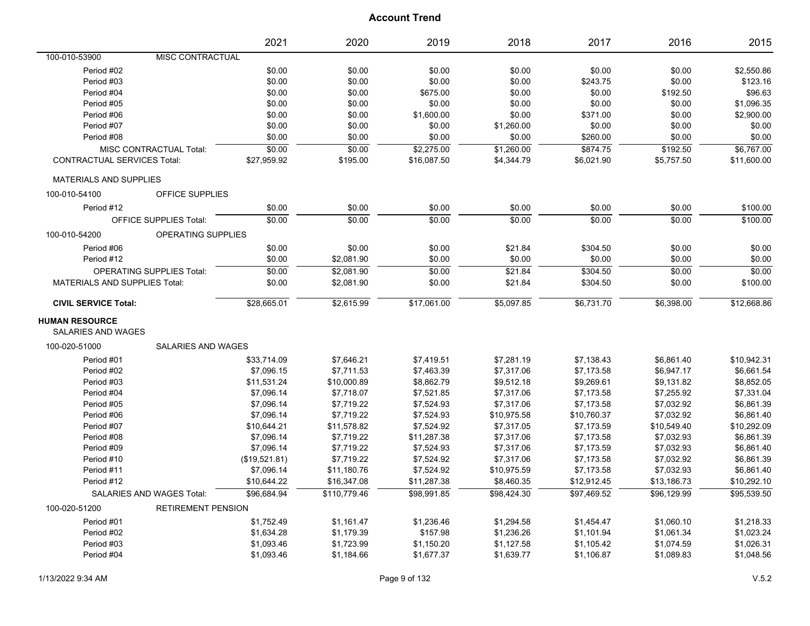| 100-010-53900<br><b>MISC CONTRACTUAL</b><br>Period #02<br>\$0.00<br>\$0.00<br>\$0.00<br>\$0.00<br>\$0.00<br>\$0.00<br>\$2,550.86<br>\$0.00<br>\$0.00<br>\$243.75<br>\$0.00<br>\$123.16<br>Period #03<br>\$0.00<br>\$0.00<br>\$0.00<br>\$0.00<br>\$0.00<br>\$192.50<br>\$96.63<br>Period #04<br>\$0.00<br>\$675.00<br>\$0.00<br>Period #05<br>\$0.00<br>\$0.00<br>\$0.00<br>\$0.00<br>\$0.00<br>\$1,096.35<br>\$1,600.00<br>\$0.00<br>\$0.00<br>\$2,900.00<br>Period #06<br>\$0.00<br>\$0.00<br>\$371.00<br>Period #07<br>\$0.00<br>\$0.00<br>\$0.00<br>\$0.00<br>\$0.00<br>\$1,260.00<br>\$0.00<br>Period #08<br>\$0.00<br>\$260.00<br>\$0.00<br>\$0.00<br>\$0.00<br>\$0.00<br>\$0.00<br>\$0.00<br>\$0.00<br>\$2,275.00<br>\$1,260.00<br>\$874.75<br>\$192.50<br>\$6,767.00<br>MISC CONTRACTUAL Total:<br><b>CONTRACTUAL SERVICES Total:</b><br>\$27,959.92<br>\$16,087.50<br>\$5,757.50<br>\$195.00<br>\$4,344.79<br>\$6,021.90<br>\$11,600.00<br><b>MATERIALS AND SUPPLIES</b><br>100-010-54100<br><b>OFFICE SUPPLIES</b><br>Period #12<br>\$0.00<br>\$0.00<br>\$0.00<br>\$0.00<br>\$0.00<br>\$0.00<br>\$100.00<br>\$0.00<br>\$0.00<br>\$0.00<br>50.00<br>\$100.00<br><b>OFFICE SUPPLIES Total:</b><br>\$0.00<br>\$0.00<br>100-010-54200<br>OPERATING SUPPLIES<br>Period #06<br>\$0.00<br>\$0.00<br>\$0.00<br>\$21.84<br>\$304.50<br>\$0.00<br>\$0.00<br>Period #12<br>\$0.00<br>\$0.00<br>\$0.00<br>\$0.00<br>\$0.00<br>\$0.00<br>\$2,081.90<br>\$0.00<br><b>OPERATING SUPPLIES Total:</b><br>\$0.00<br>$\sqrt{$2,081.90}$<br>\$0.00<br>\$21.84<br>\$304.50<br>\$0.00<br>\$100.00<br><b>MATERIALS AND SUPPLIES Total:</b><br>\$0.00<br>\$2,081.90<br>\$0.00<br>\$21.84<br>\$304.50<br>\$0.00<br>\$17,061.00<br>\$6,731.70<br>\$6,398.00<br>\$12,668.86<br><b>CIVIL SERVICE Total:</b><br>\$28,665.01<br>\$2,615.99<br>\$5,097.85<br><b>HUMAN RESOURCE</b><br>SALARIES AND WAGES<br>100-020-51000<br><b>SALARIES AND WAGES</b><br>\$7,281.19<br>\$10,942.31<br>Period #01<br>\$33,714.09<br>\$7,646.21<br>\$7,419.51<br>\$7,138.43<br>\$6,861.40<br>Period #02<br>\$7,711.53<br>\$7,463.39<br>\$7,317.06<br>\$7,173.58<br>\$6,947.17<br>\$6,661.54<br>\$7,096.15<br>Period #03<br>\$10,000.89<br>\$8,862.79<br>\$9,512.18<br>\$9,269.61<br>\$9,131.82<br>\$8,852.05<br>\$11,531.24<br>Period #04<br>\$7,096.14<br>\$7,718.07<br>\$7,521.85<br>\$7,173.58<br>\$7,255.92<br>\$7,331.04<br>\$7,317.06<br>\$7,719.22<br>\$7,524.93<br>\$7,317.06<br>\$7,173.58<br>\$7,032.92<br>\$6,861.39<br>Period #05<br>\$7,096.14<br>\$7,719.22<br>\$7,524.93<br>\$10,975.58<br>\$7,032.92<br>\$6,861.40<br>Period #06<br>\$7,096.14<br>\$10,760.37<br>\$7,524.92<br>\$10,292.09<br>Period #07<br>\$10,644.21<br>\$11,578.82<br>\$7,317.05<br>\$7,173.59<br>\$10,549.40<br>\$6,861.39<br>Period #08<br>\$7,096.14<br>\$7,719.22<br>\$11,287.38<br>\$7,317.06<br>\$7,173.58<br>\$7,032.93<br>\$7,524.93<br>Period #09<br>\$7,096.14<br>\$7,719.22<br>\$7,317.06<br>\$7,173.59<br>\$7,032.93<br>\$6,861.40<br>\$7,524.92<br>\$6,861.39<br>Period #10<br>(\$19,521.81)<br>\$7,719.22<br>\$7,317.06<br>\$7,173.58<br>\$7,032.92<br>\$7,524.92<br>\$6,861.40<br>Period #11<br>\$7,096.14<br>\$11,180.76<br>\$10,975.59<br>\$7,173.58<br>\$7,032.93<br>Period #12<br>\$16,347.08<br>\$11,287.38<br>\$8,460.35<br>\$12,912.45<br>\$13,186.73<br>\$10,292.10<br>\$10,644.22<br>\$96,684.94<br>\$110,779.46<br>\$98,991.85<br>\$98,424.30<br>\$97,469.52<br>\$96,129.99<br>\$95,539.50<br>SALARIES AND WAGES Total:<br><b>RETIREMENT PENSION</b><br>100-020-51200<br>Period #01<br>\$1,752.49<br>\$1,161.47<br>\$1,236.46<br>\$1,294.58<br>\$1,454.47<br>\$1,060.10<br>\$1,218.33<br>\$157.98<br>\$1,236.26<br>\$1,023.24<br>Period #02<br>\$1,634.28<br>\$1,179.39<br>\$1,101.94<br>\$1,061.34<br>\$1,150.20<br>\$1,026.31<br>Period #03<br>\$1,093.46<br>\$1,723.99<br>\$1,127.58<br>\$1,105.42<br>\$1,074.59<br>Period #04<br>\$1,093.46<br>\$1,184.66<br>\$1,677.37<br>\$1,639.77<br>\$1,106.87<br>\$1,089.83<br>\$1,048.56 |  | 2021 | 2020 | 2019 | 2018 | 2017 | 2016 | 2015 |
|-----------------------------------------------------------------------------------------------------------------------------------------------------------------------------------------------------------------------------------------------------------------------------------------------------------------------------------------------------------------------------------------------------------------------------------------------------------------------------------------------------------------------------------------------------------------------------------------------------------------------------------------------------------------------------------------------------------------------------------------------------------------------------------------------------------------------------------------------------------------------------------------------------------------------------------------------------------------------------------------------------------------------------------------------------------------------------------------------------------------------------------------------------------------------------------------------------------------------------------------------------------------------------------------------------------------------------------------------------------------------------------------------------------------------------------------------------------------------------------------------------------------------------------------------------------------------------------------------------------------------------------------------------------------------------------------------------------------------------------------------------------------------------------------------------------------------------------------------------------------------------------------------------------------------------------------------------------------------------------------------------------------------------------------------------------------------------------------------------------------------------------------------------------------------------------------------------------------------------------------------------------------------------------------------------------------------------------------------------------------------------------------------------------------------------------------------------------------------------------------------------------------------------------------------------------------------------------------------------------------------------------------------------------------------------------------------------------------------------------------------------------------------------------------------------------------------------------------------------------------------------------------------------------------------------------------------------------------------------------------------------------------------------------------------------------------------------------------------------------------------------------------------------------------------------------------------------------------------------------------------------------------------------------------------------------------------------------------------------------------------------------------------------------------------------------------------------------------------------------------------------------------------------------------------------------------------------------------------------------------------------------------------------------------------------------------------------------------------------------------------------------------------------------------------------------------------------------------------------------------------------------------------------------------------------------------------------------------------------------------------------------|--|------|------|------|------|------|------|------|
|                                                                                                                                                                                                                                                                                                                                                                                                                                                                                                                                                                                                                                                                                                                                                                                                                                                                                                                                                                                                                                                                                                                                                                                                                                                                                                                                                                                                                                                                                                                                                                                                                                                                                                                                                                                                                                                                                                                                                                                                                                                                                                                                                                                                                                                                                                                                                                                                                                                                                                                                                                                                                                                                                                                                                                                                                                                                                                                                                                                                                                                                                                                                                                                                                                                                                                                                                                                                                                                                                                                                                                                                                                                                                                                                                                                                                                                                                                                                                                                                           |  |      |      |      |      |      |      |      |
|                                                                                                                                                                                                                                                                                                                                                                                                                                                                                                                                                                                                                                                                                                                                                                                                                                                                                                                                                                                                                                                                                                                                                                                                                                                                                                                                                                                                                                                                                                                                                                                                                                                                                                                                                                                                                                                                                                                                                                                                                                                                                                                                                                                                                                                                                                                                                                                                                                                                                                                                                                                                                                                                                                                                                                                                                                                                                                                                                                                                                                                                                                                                                                                                                                                                                                                                                                                                                                                                                                                                                                                                                                                                                                                                                                                                                                                                                                                                                                                                           |  |      |      |      |      |      |      |      |
|                                                                                                                                                                                                                                                                                                                                                                                                                                                                                                                                                                                                                                                                                                                                                                                                                                                                                                                                                                                                                                                                                                                                                                                                                                                                                                                                                                                                                                                                                                                                                                                                                                                                                                                                                                                                                                                                                                                                                                                                                                                                                                                                                                                                                                                                                                                                                                                                                                                                                                                                                                                                                                                                                                                                                                                                                                                                                                                                                                                                                                                                                                                                                                                                                                                                                                                                                                                                                                                                                                                                                                                                                                                                                                                                                                                                                                                                                                                                                                                                           |  |      |      |      |      |      |      |      |
|                                                                                                                                                                                                                                                                                                                                                                                                                                                                                                                                                                                                                                                                                                                                                                                                                                                                                                                                                                                                                                                                                                                                                                                                                                                                                                                                                                                                                                                                                                                                                                                                                                                                                                                                                                                                                                                                                                                                                                                                                                                                                                                                                                                                                                                                                                                                                                                                                                                                                                                                                                                                                                                                                                                                                                                                                                                                                                                                                                                                                                                                                                                                                                                                                                                                                                                                                                                                                                                                                                                                                                                                                                                                                                                                                                                                                                                                                                                                                                                                           |  |      |      |      |      |      |      |      |
|                                                                                                                                                                                                                                                                                                                                                                                                                                                                                                                                                                                                                                                                                                                                                                                                                                                                                                                                                                                                                                                                                                                                                                                                                                                                                                                                                                                                                                                                                                                                                                                                                                                                                                                                                                                                                                                                                                                                                                                                                                                                                                                                                                                                                                                                                                                                                                                                                                                                                                                                                                                                                                                                                                                                                                                                                                                                                                                                                                                                                                                                                                                                                                                                                                                                                                                                                                                                                                                                                                                                                                                                                                                                                                                                                                                                                                                                                                                                                                                                           |  |      |      |      |      |      |      |      |
|                                                                                                                                                                                                                                                                                                                                                                                                                                                                                                                                                                                                                                                                                                                                                                                                                                                                                                                                                                                                                                                                                                                                                                                                                                                                                                                                                                                                                                                                                                                                                                                                                                                                                                                                                                                                                                                                                                                                                                                                                                                                                                                                                                                                                                                                                                                                                                                                                                                                                                                                                                                                                                                                                                                                                                                                                                                                                                                                                                                                                                                                                                                                                                                                                                                                                                                                                                                                                                                                                                                                                                                                                                                                                                                                                                                                                                                                                                                                                                                                           |  |      |      |      |      |      |      |      |
|                                                                                                                                                                                                                                                                                                                                                                                                                                                                                                                                                                                                                                                                                                                                                                                                                                                                                                                                                                                                                                                                                                                                                                                                                                                                                                                                                                                                                                                                                                                                                                                                                                                                                                                                                                                                                                                                                                                                                                                                                                                                                                                                                                                                                                                                                                                                                                                                                                                                                                                                                                                                                                                                                                                                                                                                                                                                                                                                                                                                                                                                                                                                                                                                                                                                                                                                                                                                                                                                                                                                                                                                                                                                                                                                                                                                                                                                                                                                                                                                           |  |      |      |      |      |      |      |      |
|                                                                                                                                                                                                                                                                                                                                                                                                                                                                                                                                                                                                                                                                                                                                                                                                                                                                                                                                                                                                                                                                                                                                                                                                                                                                                                                                                                                                                                                                                                                                                                                                                                                                                                                                                                                                                                                                                                                                                                                                                                                                                                                                                                                                                                                                                                                                                                                                                                                                                                                                                                                                                                                                                                                                                                                                                                                                                                                                                                                                                                                                                                                                                                                                                                                                                                                                                                                                                                                                                                                                                                                                                                                                                                                                                                                                                                                                                                                                                                                                           |  |      |      |      |      |      |      |      |
|                                                                                                                                                                                                                                                                                                                                                                                                                                                                                                                                                                                                                                                                                                                                                                                                                                                                                                                                                                                                                                                                                                                                                                                                                                                                                                                                                                                                                                                                                                                                                                                                                                                                                                                                                                                                                                                                                                                                                                                                                                                                                                                                                                                                                                                                                                                                                                                                                                                                                                                                                                                                                                                                                                                                                                                                                                                                                                                                                                                                                                                                                                                                                                                                                                                                                                                                                                                                                                                                                                                                                                                                                                                                                                                                                                                                                                                                                                                                                                                                           |  |      |      |      |      |      |      |      |
|                                                                                                                                                                                                                                                                                                                                                                                                                                                                                                                                                                                                                                                                                                                                                                                                                                                                                                                                                                                                                                                                                                                                                                                                                                                                                                                                                                                                                                                                                                                                                                                                                                                                                                                                                                                                                                                                                                                                                                                                                                                                                                                                                                                                                                                                                                                                                                                                                                                                                                                                                                                                                                                                                                                                                                                                                                                                                                                                                                                                                                                                                                                                                                                                                                                                                                                                                                                                                                                                                                                                                                                                                                                                                                                                                                                                                                                                                                                                                                                                           |  |      |      |      |      |      |      |      |
|                                                                                                                                                                                                                                                                                                                                                                                                                                                                                                                                                                                                                                                                                                                                                                                                                                                                                                                                                                                                                                                                                                                                                                                                                                                                                                                                                                                                                                                                                                                                                                                                                                                                                                                                                                                                                                                                                                                                                                                                                                                                                                                                                                                                                                                                                                                                                                                                                                                                                                                                                                                                                                                                                                                                                                                                                                                                                                                                                                                                                                                                                                                                                                                                                                                                                                                                                                                                                                                                                                                                                                                                                                                                                                                                                                                                                                                                                                                                                                                                           |  |      |      |      |      |      |      |      |
|                                                                                                                                                                                                                                                                                                                                                                                                                                                                                                                                                                                                                                                                                                                                                                                                                                                                                                                                                                                                                                                                                                                                                                                                                                                                                                                                                                                                                                                                                                                                                                                                                                                                                                                                                                                                                                                                                                                                                                                                                                                                                                                                                                                                                                                                                                                                                                                                                                                                                                                                                                                                                                                                                                                                                                                                                                                                                                                                                                                                                                                                                                                                                                                                                                                                                                                                                                                                                                                                                                                                                                                                                                                                                                                                                                                                                                                                                                                                                                                                           |  |      |      |      |      |      |      |      |
|                                                                                                                                                                                                                                                                                                                                                                                                                                                                                                                                                                                                                                                                                                                                                                                                                                                                                                                                                                                                                                                                                                                                                                                                                                                                                                                                                                                                                                                                                                                                                                                                                                                                                                                                                                                                                                                                                                                                                                                                                                                                                                                                                                                                                                                                                                                                                                                                                                                                                                                                                                                                                                                                                                                                                                                                                                                                                                                                                                                                                                                                                                                                                                                                                                                                                                                                                                                                                                                                                                                                                                                                                                                                                                                                                                                                                                                                                                                                                                                                           |  |      |      |      |      |      |      |      |
|                                                                                                                                                                                                                                                                                                                                                                                                                                                                                                                                                                                                                                                                                                                                                                                                                                                                                                                                                                                                                                                                                                                                                                                                                                                                                                                                                                                                                                                                                                                                                                                                                                                                                                                                                                                                                                                                                                                                                                                                                                                                                                                                                                                                                                                                                                                                                                                                                                                                                                                                                                                                                                                                                                                                                                                                                                                                                                                                                                                                                                                                                                                                                                                                                                                                                                                                                                                                                                                                                                                                                                                                                                                                                                                                                                                                                                                                                                                                                                                                           |  |      |      |      |      |      |      |      |
|                                                                                                                                                                                                                                                                                                                                                                                                                                                                                                                                                                                                                                                                                                                                                                                                                                                                                                                                                                                                                                                                                                                                                                                                                                                                                                                                                                                                                                                                                                                                                                                                                                                                                                                                                                                                                                                                                                                                                                                                                                                                                                                                                                                                                                                                                                                                                                                                                                                                                                                                                                                                                                                                                                                                                                                                                                                                                                                                                                                                                                                                                                                                                                                                                                                                                                                                                                                                                                                                                                                                                                                                                                                                                                                                                                                                                                                                                                                                                                                                           |  |      |      |      |      |      |      |      |
|                                                                                                                                                                                                                                                                                                                                                                                                                                                                                                                                                                                                                                                                                                                                                                                                                                                                                                                                                                                                                                                                                                                                                                                                                                                                                                                                                                                                                                                                                                                                                                                                                                                                                                                                                                                                                                                                                                                                                                                                                                                                                                                                                                                                                                                                                                                                                                                                                                                                                                                                                                                                                                                                                                                                                                                                                                                                                                                                                                                                                                                                                                                                                                                                                                                                                                                                                                                                                                                                                                                                                                                                                                                                                                                                                                                                                                                                                                                                                                                                           |  |      |      |      |      |      |      |      |
|                                                                                                                                                                                                                                                                                                                                                                                                                                                                                                                                                                                                                                                                                                                                                                                                                                                                                                                                                                                                                                                                                                                                                                                                                                                                                                                                                                                                                                                                                                                                                                                                                                                                                                                                                                                                                                                                                                                                                                                                                                                                                                                                                                                                                                                                                                                                                                                                                                                                                                                                                                                                                                                                                                                                                                                                                                                                                                                                                                                                                                                                                                                                                                                                                                                                                                                                                                                                                                                                                                                                                                                                                                                                                                                                                                                                                                                                                                                                                                                                           |  |      |      |      |      |      |      |      |
|                                                                                                                                                                                                                                                                                                                                                                                                                                                                                                                                                                                                                                                                                                                                                                                                                                                                                                                                                                                                                                                                                                                                                                                                                                                                                                                                                                                                                                                                                                                                                                                                                                                                                                                                                                                                                                                                                                                                                                                                                                                                                                                                                                                                                                                                                                                                                                                                                                                                                                                                                                                                                                                                                                                                                                                                                                                                                                                                                                                                                                                                                                                                                                                                                                                                                                                                                                                                                                                                                                                                                                                                                                                                                                                                                                                                                                                                                                                                                                                                           |  |      |      |      |      |      |      |      |
|                                                                                                                                                                                                                                                                                                                                                                                                                                                                                                                                                                                                                                                                                                                                                                                                                                                                                                                                                                                                                                                                                                                                                                                                                                                                                                                                                                                                                                                                                                                                                                                                                                                                                                                                                                                                                                                                                                                                                                                                                                                                                                                                                                                                                                                                                                                                                                                                                                                                                                                                                                                                                                                                                                                                                                                                                                                                                                                                                                                                                                                                                                                                                                                                                                                                                                                                                                                                                                                                                                                                                                                                                                                                                                                                                                                                                                                                                                                                                                                                           |  |      |      |      |      |      |      |      |
|                                                                                                                                                                                                                                                                                                                                                                                                                                                                                                                                                                                                                                                                                                                                                                                                                                                                                                                                                                                                                                                                                                                                                                                                                                                                                                                                                                                                                                                                                                                                                                                                                                                                                                                                                                                                                                                                                                                                                                                                                                                                                                                                                                                                                                                                                                                                                                                                                                                                                                                                                                                                                                                                                                                                                                                                                                                                                                                                                                                                                                                                                                                                                                                                                                                                                                                                                                                                                                                                                                                                                                                                                                                                                                                                                                                                                                                                                                                                                                                                           |  |      |      |      |      |      |      |      |
|                                                                                                                                                                                                                                                                                                                                                                                                                                                                                                                                                                                                                                                                                                                                                                                                                                                                                                                                                                                                                                                                                                                                                                                                                                                                                                                                                                                                                                                                                                                                                                                                                                                                                                                                                                                                                                                                                                                                                                                                                                                                                                                                                                                                                                                                                                                                                                                                                                                                                                                                                                                                                                                                                                                                                                                                                                                                                                                                                                                                                                                                                                                                                                                                                                                                                                                                                                                                                                                                                                                                                                                                                                                                                                                                                                                                                                                                                                                                                                                                           |  |      |      |      |      |      |      |      |
|                                                                                                                                                                                                                                                                                                                                                                                                                                                                                                                                                                                                                                                                                                                                                                                                                                                                                                                                                                                                                                                                                                                                                                                                                                                                                                                                                                                                                                                                                                                                                                                                                                                                                                                                                                                                                                                                                                                                                                                                                                                                                                                                                                                                                                                                                                                                                                                                                                                                                                                                                                                                                                                                                                                                                                                                                                                                                                                                                                                                                                                                                                                                                                                                                                                                                                                                                                                                                                                                                                                                                                                                                                                                                                                                                                                                                                                                                                                                                                                                           |  |      |      |      |      |      |      |      |
|                                                                                                                                                                                                                                                                                                                                                                                                                                                                                                                                                                                                                                                                                                                                                                                                                                                                                                                                                                                                                                                                                                                                                                                                                                                                                                                                                                                                                                                                                                                                                                                                                                                                                                                                                                                                                                                                                                                                                                                                                                                                                                                                                                                                                                                                                                                                                                                                                                                                                                                                                                                                                                                                                                                                                                                                                                                                                                                                                                                                                                                                                                                                                                                                                                                                                                                                                                                                                                                                                                                                                                                                                                                                                                                                                                                                                                                                                                                                                                                                           |  |      |      |      |      |      |      |      |
|                                                                                                                                                                                                                                                                                                                                                                                                                                                                                                                                                                                                                                                                                                                                                                                                                                                                                                                                                                                                                                                                                                                                                                                                                                                                                                                                                                                                                                                                                                                                                                                                                                                                                                                                                                                                                                                                                                                                                                                                                                                                                                                                                                                                                                                                                                                                                                                                                                                                                                                                                                                                                                                                                                                                                                                                                                                                                                                                                                                                                                                                                                                                                                                                                                                                                                                                                                                                                                                                                                                                                                                                                                                                                                                                                                                                                                                                                                                                                                                                           |  |      |      |      |      |      |      |      |
|                                                                                                                                                                                                                                                                                                                                                                                                                                                                                                                                                                                                                                                                                                                                                                                                                                                                                                                                                                                                                                                                                                                                                                                                                                                                                                                                                                                                                                                                                                                                                                                                                                                                                                                                                                                                                                                                                                                                                                                                                                                                                                                                                                                                                                                                                                                                                                                                                                                                                                                                                                                                                                                                                                                                                                                                                                                                                                                                                                                                                                                                                                                                                                                                                                                                                                                                                                                                                                                                                                                                                                                                                                                                                                                                                                                                                                                                                                                                                                                                           |  |      |      |      |      |      |      |      |
|                                                                                                                                                                                                                                                                                                                                                                                                                                                                                                                                                                                                                                                                                                                                                                                                                                                                                                                                                                                                                                                                                                                                                                                                                                                                                                                                                                                                                                                                                                                                                                                                                                                                                                                                                                                                                                                                                                                                                                                                                                                                                                                                                                                                                                                                                                                                                                                                                                                                                                                                                                                                                                                                                                                                                                                                                                                                                                                                                                                                                                                                                                                                                                                                                                                                                                                                                                                                                                                                                                                                                                                                                                                                                                                                                                                                                                                                                                                                                                                                           |  |      |      |      |      |      |      |      |
|                                                                                                                                                                                                                                                                                                                                                                                                                                                                                                                                                                                                                                                                                                                                                                                                                                                                                                                                                                                                                                                                                                                                                                                                                                                                                                                                                                                                                                                                                                                                                                                                                                                                                                                                                                                                                                                                                                                                                                                                                                                                                                                                                                                                                                                                                                                                                                                                                                                                                                                                                                                                                                                                                                                                                                                                                                                                                                                                                                                                                                                                                                                                                                                                                                                                                                                                                                                                                                                                                                                                                                                                                                                                                                                                                                                                                                                                                                                                                                                                           |  |      |      |      |      |      |      |      |
|                                                                                                                                                                                                                                                                                                                                                                                                                                                                                                                                                                                                                                                                                                                                                                                                                                                                                                                                                                                                                                                                                                                                                                                                                                                                                                                                                                                                                                                                                                                                                                                                                                                                                                                                                                                                                                                                                                                                                                                                                                                                                                                                                                                                                                                                                                                                                                                                                                                                                                                                                                                                                                                                                                                                                                                                                                                                                                                                                                                                                                                                                                                                                                                                                                                                                                                                                                                                                                                                                                                                                                                                                                                                                                                                                                                                                                                                                                                                                                                                           |  |      |      |      |      |      |      |      |
|                                                                                                                                                                                                                                                                                                                                                                                                                                                                                                                                                                                                                                                                                                                                                                                                                                                                                                                                                                                                                                                                                                                                                                                                                                                                                                                                                                                                                                                                                                                                                                                                                                                                                                                                                                                                                                                                                                                                                                                                                                                                                                                                                                                                                                                                                                                                                                                                                                                                                                                                                                                                                                                                                                                                                                                                                                                                                                                                                                                                                                                                                                                                                                                                                                                                                                                                                                                                                                                                                                                                                                                                                                                                                                                                                                                                                                                                                                                                                                                                           |  |      |      |      |      |      |      |      |
|                                                                                                                                                                                                                                                                                                                                                                                                                                                                                                                                                                                                                                                                                                                                                                                                                                                                                                                                                                                                                                                                                                                                                                                                                                                                                                                                                                                                                                                                                                                                                                                                                                                                                                                                                                                                                                                                                                                                                                                                                                                                                                                                                                                                                                                                                                                                                                                                                                                                                                                                                                                                                                                                                                                                                                                                                                                                                                                                                                                                                                                                                                                                                                                                                                                                                                                                                                                                                                                                                                                                                                                                                                                                                                                                                                                                                                                                                                                                                                                                           |  |      |      |      |      |      |      |      |
|                                                                                                                                                                                                                                                                                                                                                                                                                                                                                                                                                                                                                                                                                                                                                                                                                                                                                                                                                                                                                                                                                                                                                                                                                                                                                                                                                                                                                                                                                                                                                                                                                                                                                                                                                                                                                                                                                                                                                                                                                                                                                                                                                                                                                                                                                                                                                                                                                                                                                                                                                                                                                                                                                                                                                                                                                                                                                                                                                                                                                                                                                                                                                                                                                                                                                                                                                                                                                                                                                                                                                                                                                                                                                                                                                                                                                                                                                                                                                                                                           |  |      |      |      |      |      |      |      |
|                                                                                                                                                                                                                                                                                                                                                                                                                                                                                                                                                                                                                                                                                                                                                                                                                                                                                                                                                                                                                                                                                                                                                                                                                                                                                                                                                                                                                                                                                                                                                                                                                                                                                                                                                                                                                                                                                                                                                                                                                                                                                                                                                                                                                                                                                                                                                                                                                                                                                                                                                                                                                                                                                                                                                                                                                                                                                                                                                                                                                                                                                                                                                                                                                                                                                                                                                                                                                                                                                                                                                                                                                                                                                                                                                                                                                                                                                                                                                                                                           |  |      |      |      |      |      |      |      |
|                                                                                                                                                                                                                                                                                                                                                                                                                                                                                                                                                                                                                                                                                                                                                                                                                                                                                                                                                                                                                                                                                                                                                                                                                                                                                                                                                                                                                                                                                                                                                                                                                                                                                                                                                                                                                                                                                                                                                                                                                                                                                                                                                                                                                                                                                                                                                                                                                                                                                                                                                                                                                                                                                                                                                                                                                                                                                                                                                                                                                                                                                                                                                                                                                                                                                                                                                                                                                                                                                                                                                                                                                                                                                                                                                                                                                                                                                                                                                                                                           |  |      |      |      |      |      |      |      |
|                                                                                                                                                                                                                                                                                                                                                                                                                                                                                                                                                                                                                                                                                                                                                                                                                                                                                                                                                                                                                                                                                                                                                                                                                                                                                                                                                                                                                                                                                                                                                                                                                                                                                                                                                                                                                                                                                                                                                                                                                                                                                                                                                                                                                                                                                                                                                                                                                                                                                                                                                                                                                                                                                                                                                                                                                                                                                                                                                                                                                                                                                                                                                                                                                                                                                                                                                                                                                                                                                                                                                                                                                                                                                                                                                                                                                                                                                                                                                                                                           |  |      |      |      |      |      |      |      |
|                                                                                                                                                                                                                                                                                                                                                                                                                                                                                                                                                                                                                                                                                                                                                                                                                                                                                                                                                                                                                                                                                                                                                                                                                                                                                                                                                                                                                                                                                                                                                                                                                                                                                                                                                                                                                                                                                                                                                                                                                                                                                                                                                                                                                                                                                                                                                                                                                                                                                                                                                                                                                                                                                                                                                                                                                                                                                                                                                                                                                                                                                                                                                                                                                                                                                                                                                                                                                                                                                                                                                                                                                                                                                                                                                                                                                                                                                                                                                                                                           |  |      |      |      |      |      |      |      |
|                                                                                                                                                                                                                                                                                                                                                                                                                                                                                                                                                                                                                                                                                                                                                                                                                                                                                                                                                                                                                                                                                                                                                                                                                                                                                                                                                                                                                                                                                                                                                                                                                                                                                                                                                                                                                                                                                                                                                                                                                                                                                                                                                                                                                                                                                                                                                                                                                                                                                                                                                                                                                                                                                                                                                                                                                                                                                                                                                                                                                                                                                                                                                                                                                                                                                                                                                                                                                                                                                                                                                                                                                                                                                                                                                                                                                                                                                                                                                                                                           |  |      |      |      |      |      |      |      |
|                                                                                                                                                                                                                                                                                                                                                                                                                                                                                                                                                                                                                                                                                                                                                                                                                                                                                                                                                                                                                                                                                                                                                                                                                                                                                                                                                                                                                                                                                                                                                                                                                                                                                                                                                                                                                                                                                                                                                                                                                                                                                                                                                                                                                                                                                                                                                                                                                                                                                                                                                                                                                                                                                                                                                                                                                                                                                                                                                                                                                                                                                                                                                                                                                                                                                                                                                                                                                                                                                                                                                                                                                                                                                                                                                                                                                                                                                                                                                                                                           |  |      |      |      |      |      |      |      |
|                                                                                                                                                                                                                                                                                                                                                                                                                                                                                                                                                                                                                                                                                                                                                                                                                                                                                                                                                                                                                                                                                                                                                                                                                                                                                                                                                                                                                                                                                                                                                                                                                                                                                                                                                                                                                                                                                                                                                                                                                                                                                                                                                                                                                                                                                                                                                                                                                                                                                                                                                                                                                                                                                                                                                                                                                                                                                                                                                                                                                                                                                                                                                                                                                                                                                                                                                                                                                                                                                                                                                                                                                                                                                                                                                                                                                                                                                                                                                                                                           |  |      |      |      |      |      |      |      |
|                                                                                                                                                                                                                                                                                                                                                                                                                                                                                                                                                                                                                                                                                                                                                                                                                                                                                                                                                                                                                                                                                                                                                                                                                                                                                                                                                                                                                                                                                                                                                                                                                                                                                                                                                                                                                                                                                                                                                                                                                                                                                                                                                                                                                                                                                                                                                                                                                                                                                                                                                                                                                                                                                                                                                                                                                                                                                                                                                                                                                                                                                                                                                                                                                                                                                                                                                                                                                                                                                                                                                                                                                                                                                                                                                                                                                                                                                                                                                                                                           |  |      |      |      |      |      |      |      |
|                                                                                                                                                                                                                                                                                                                                                                                                                                                                                                                                                                                                                                                                                                                                                                                                                                                                                                                                                                                                                                                                                                                                                                                                                                                                                                                                                                                                                                                                                                                                                                                                                                                                                                                                                                                                                                                                                                                                                                                                                                                                                                                                                                                                                                                                                                                                                                                                                                                                                                                                                                                                                                                                                                                                                                                                                                                                                                                                                                                                                                                                                                                                                                                                                                                                                                                                                                                                                                                                                                                                                                                                                                                                                                                                                                                                                                                                                                                                                                                                           |  |      |      |      |      |      |      |      |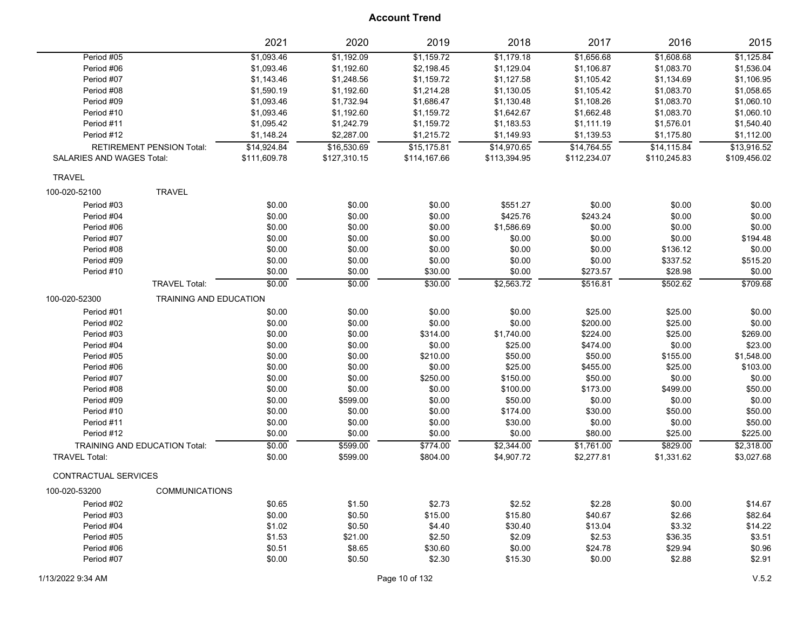|                           |                                  | 2021             | 2020             | 2019             | 2018             | 2017             | 2016                 | 2015               |
|---------------------------|----------------------------------|------------------|------------------|------------------|------------------|------------------|----------------------|--------------------|
| Period #05                |                                  | \$1,093.46       | \$1,192.09       | \$1,159.72       | \$1,179.18       | \$1,656.68       | \$1,608.68           | \$1,125.84         |
| Period #06                |                                  | \$1,093.46       | \$1,192.60       | \$2,198.45       | \$1,129.04       | \$1,106.87       | \$1,083.70           | \$1,536.04         |
| Period #07                |                                  | \$1,143.46       | \$1,248.56       | \$1,159.72       | \$1,127.58       | \$1,105.42       | \$1,134.69           | \$1,106.95         |
| Period #08                |                                  | \$1,590.19       | \$1,192.60       | \$1,214.28       | \$1,130.05       | \$1,105.42       | \$1,083.70           | \$1,058.65         |
| Period #09                |                                  | \$1,093.46       | \$1,732.94       | \$1,686.47       | \$1,130.48       | \$1,108.26       | \$1,083.70           | \$1,060.10         |
| Period #10                |                                  | \$1,093.46       | \$1,192.60       | \$1,159.72       | \$1,642.67       | \$1,662.48       | \$1,083.70           | \$1,060.10         |
| Period #11                |                                  | \$1,095.42       | \$1,242.79       | \$1,159.72       | \$1,183.53       | \$1,111.19       | \$1,576.01           | \$1,540.40         |
| Period #12                |                                  | \$1,148.24       | \$2,287.00       | \$1,215.72       | \$1,149.93       | \$1,139.53       | \$1,175.80           | \$1,112.00         |
|                           | <b>RETIREMENT PENSION Total:</b> | \$14,924.84      | \$16,530.69      | \$15,175.81      | \$14,970.65      | \$14,764.55      | \$14,115.84          | \$13,916.52        |
| SALARIES AND WAGES Total: |                                  | \$111,609.78     | \$127,310.15     | \$114,167.66     | \$113,394.95     | \$112,234.07     | \$110,245.83         | \$109,456.02       |
| <b>TRAVEL</b>             |                                  |                  |                  |                  |                  |                  |                      |                    |
| 100-020-52100             | <b>TRAVEL</b>                    |                  |                  |                  |                  |                  |                      |                    |
| Period #03                |                                  | \$0.00           | \$0.00           | \$0.00           | \$551.27         | \$0.00           | \$0.00               | \$0.00             |
| Period #04                |                                  | \$0.00           | \$0.00           | \$0.00           | \$425.76         | \$243.24         | \$0.00               | \$0.00             |
| Period #06                |                                  | \$0.00           | \$0.00           | \$0.00           | \$1,586.69       | \$0.00           | \$0.00               | \$0.00             |
| Period #07                |                                  | \$0.00           | \$0.00           | \$0.00           | \$0.00           | \$0.00           | \$0.00               | \$194.48           |
| Period #08                |                                  |                  |                  |                  |                  |                  |                      |                    |
| Period #09                |                                  | \$0.00<br>\$0.00 | \$0.00<br>\$0.00 | \$0.00<br>\$0.00 | \$0.00<br>\$0.00 | \$0.00<br>\$0.00 | \$136.12<br>\$337.52 | \$0.00<br>\$515.20 |
| Period #10                |                                  | \$0.00           | \$0.00           | \$30.00          | \$0.00           | \$273.57         | \$28.98              | \$0.00             |
|                           |                                  |                  |                  |                  |                  |                  |                      |                    |
|                           | <b>TRAVEL Total:</b>             | \$0.00           | \$0.00           | \$30.00          | \$2,563.72       | \$516.81         | \$502.62             | \$709.68           |
| 100-020-52300             | <b>TRAINING AND EDUCATION</b>    |                  |                  |                  |                  |                  |                      |                    |
| Period #01                |                                  | \$0.00           | \$0.00           | \$0.00           | \$0.00           | \$25.00          | \$25.00              | \$0.00             |
| Period #02                |                                  | \$0.00           | \$0.00           | \$0.00           | \$0.00           | \$200.00         | \$25.00              | \$0.00             |
| Period #03                |                                  | \$0.00           | \$0.00           | \$314.00         | \$1,740.00       | \$224.00         | \$25.00              | \$269.00           |
| Period #04                |                                  | \$0.00           | \$0.00           | \$0.00           | \$25.00          | \$474.00         | \$0.00               | \$23.00            |
| Period #05                |                                  | \$0.00           | \$0.00           | \$210.00         | \$50.00          | \$50.00          | \$155.00             | \$1,548.00         |
| Period #06                |                                  | \$0.00           | \$0.00           | \$0.00           | \$25.00          | \$455.00         | \$25.00              | \$103.00           |
| Period #07                |                                  | \$0.00           | \$0.00           | \$250.00         | \$150.00         | \$50.00          | \$0.00               | \$0.00             |
| Period #08                |                                  | \$0.00           | \$0.00           | \$0.00           | \$100.00         | \$173.00         | \$499.00             | \$50.00            |
| Period #09                |                                  | \$0.00           | \$599.00         | \$0.00           | \$50.00          | \$0.00           | \$0.00               | \$0.00             |
| Period #10                |                                  | \$0.00           | \$0.00           | \$0.00           | \$174.00         | \$30.00          | \$50.00              | \$50.00            |
| Period #11                |                                  | \$0.00           | \$0.00           | \$0.00           | \$30.00          | \$0.00           | \$0.00               | \$50.00            |
| Period #12                |                                  | \$0.00           | \$0.00           | \$0.00           | \$0.00           | \$80.00          | \$25.00              | \$225.00           |
|                           | TRAINING AND EDUCATION Total:    | \$0.00           | \$599.00         | \$774.00         | \$2,344.00       | \$1,761.00       | \$829.00             | \$2,318.00         |
| <b>TRAVEL Total:</b>      |                                  | \$0.00           | \$599.00         | \$804.00         | \$4,907.72       | \$2,277.81       | \$1,331.62           | \$3,027.68         |
| CONTRACTUAL SERVICES      |                                  |                  |                  |                  |                  |                  |                      |                    |
| 100-020-53200             | <b>COMMUNICATIONS</b>            |                  |                  |                  |                  |                  |                      |                    |
| Period #02                |                                  | \$0.65           | \$1.50           | \$2.73           | \$2.52           | \$2.28           | \$0.00               | \$14.67            |
| Period #03                |                                  | \$0.00           | \$0.50           | \$15.00          | \$15.80          | \$40.67          | \$2.66               | \$82.64            |
| Period #04                |                                  | \$1.02           | \$0.50           | \$4.40           | \$30.40          | \$13.04          | \$3.32               | \$14.22            |
| Period #05                |                                  | \$1.53           | \$21.00          | \$2.50           | \$2.09           | \$2.53           | \$36.35              | \$3.51             |
| Period #06                |                                  | \$0.51           | \$8.65           | \$30.60          | \$0.00           | \$24.78          | \$29.94              | \$0.96             |
| Period #07                |                                  | \$0.00           | \$0.50           | \$2.30           | \$15.30          | \$0.00           | \$2.88               | \$2.91             |
|                           |                                  |                  |                  |                  |                  |                  |                      |                    |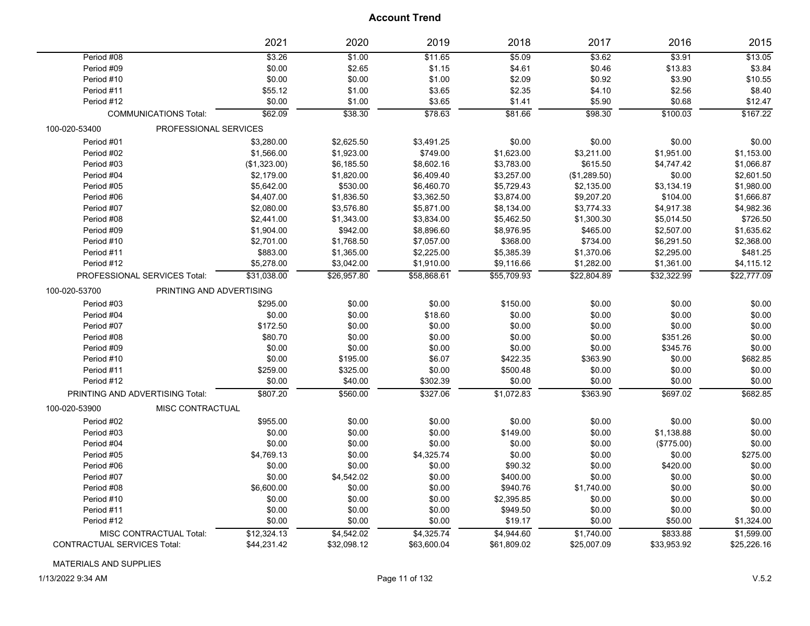|                             |                                 | 2021         | 2020        | 2019        | 2018        | 2017         | 2016        | 2015        |
|-----------------------------|---------------------------------|--------------|-------------|-------------|-------------|--------------|-------------|-------------|
| Period #08                  |                                 | \$3.26       | \$1.00      | \$11.65     | \$5.09      | \$3.62       | \$3.91      | \$13.05     |
| Period #09                  |                                 | \$0.00       | \$2.65      | \$1.15      | \$4.61      | \$0.46       | \$13.83     | \$3.84      |
| Period #10                  |                                 | \$0.00       | \$0.00      | \$1.00      | \$2.09      | \$0.92       | \$3.90      | \$10.55     |
| Period #11                  |                                 | \$55.12      | \$1.00      | \$3.65      | \$2.35      | \$4.10       | \$2.56      | \$8.40      |
| Period #12                  |                                 | \$0.00       | \$1.00      | \$3.65      | \$1.41      | \$5.90       | \$0.68      | \$12.47     |
|                             | <b>COMMUNICATIONS Total:</b>    | \$62.09      | \$38.30     | \$78.63     | \$81.66     | \$98.30      | \$100.03    | \$167.22    |
| 100-020-53400               | PROFESSIONAL SERVICES           |              |             |             |             |              |             |             |
| Period #01                  |                                 | \$3,280.00   | \$2,625.50  | \$3,491.25  | \$0.00      | \$0.00       | \$0.00      | \$0.00      |
| Period #02                  |                                 | \$1,566.00   | \$1,923.00  | \$749.00    | \$1,623.00  | \$3,211.00   | \$1,951.00  | \$1,153.00  |
| Period #03                  |                                 | (\$1,323.00) | \$6,185.50  | \$8,602.16  | \$3,783.00  | \$615.50     | \$4,747.42  | \$1,066.87  |
| Period #04                  |                                 | \$2,179.00   | \$1,820.00  | \$6,409.40  | \$3,257.00  | (\$1,289.50) | \$0.00      | \$2,601.50  |
| Period #05                  |                                 | \$5,642.00   | \$530.00    | \$6,460.70  | \$5,729.43  | \$2,135.00   | \$3,134.19  | \$1,980.00  |
| Period #06                  |                                 | \$4,407.00   | \$1,836.50  | \$3,362.50  | \$3,874.00  | \$9,207.20   | \$104.00    | \$1,666.87  |
| Period #07                  |                                 | \$2,080.00   | \$3,576.80  | \$5,871.00  | \$8,134.00  | \$3,774.33   | \$4,917.38  | \$4,982.36  |
| Period #08                  |                                 | \$2,441.00   | \$1,343.00  | \$3,834.00  | \$5,462.50  | \$1,300.30   | \$5,014.50  | \$726.50    |
| Period #09                  |                                 | \$1,904.00   | \$942.00    | \$8,896.60  | \$8,976.95  | \$465.00     | \$2,507.00  | \$1,635.62  |
| Period #10                  |                                 | \$2,701.00   | \$1,768.50  | \$7,057.00  | \$368.00    | \$734.00     | \$6,291.50  | \$2,368.00  |
| Period #11                  |                                 | \$883.00     | \$1,365.00  | \$2,225.00  | \$5,385.39  | \$1,370.06   | \$2,295.00  | \$481.25    |
| Period #12                  |                                 | \$5,278.00   | \$3,042.00  | \$1,910.00  | \$9,116.66  | \$1,282.00   | \$1,361.00  | \$4,115.12  |
|                             | PROFESSIONAL SERVICES Total:    | \$31,038.00  | \$26,957.80 | \$58,868.61 | \$55,709.93 | \$22,804.89  | \$32,322.99 | \$22,777.09 |
| 100-020-53700               | PRINTING AND ADVERTISING        |              |             |             |             |              |             |             |
| Period #03                  |                                 | \$295.00     | \$0.00      | \$0.00      | \$150.00    | \$0.00       | \$0.00      | \$0.00      |
| Period #04                  |                                 | \$0.00       | \$0.00      | \$18.60     | \$0.00      | \$0.00       | \$0.00      | \$0.00      |
| Period #07                  |                                 | \$172.50     | \$0.00      | \$0.00      | \$0.00      | \$0.00       | \$0.00      | \$0.00      |
| Period #08                  |                                 | \$80.70      | \$0.00      | \$0.00      | \$0.00      | \$0.00       | \$351.26    | \$0.00      |
| Period #09                  |                                 | \$0.00       | \$0.00      | \$0.00      | \$0.00      | \$0.00       | \$345.76    | \$0.00      |
| Period #10                  |                                 | \$0.00       | \$195.00    | \$6.07      | \$422.35    | \$363.90     | \$0.00      | \$682.85    |
| Period #11                  |                                 | \$259.00     | \$325.00    | \$0.00      | \$500.48    | \$0.00       | \$0.00      | \$0.00      |
| Period #12                  |                                 | \$0.00       | \$40.00     | \$302.39    | \$0.00      | \$0.00       | \$0.00      | \$0.00      |
|                             | PRINTING AND ADVERTISING Total: | \$807.20     | \$560.00    | \$327.06    | \$1,072.83  | \$363.90     | \$697.02    | \$682.85    |
| 100-020-53900               | MISC CONTRACTUAL                |              |             |             |             |              |             |             |
| Period #02                  |                                 | \$955.00     | \$0.00      | \$0.00      | \$0.00      | \$0.00       | \$0.00      | \$0.00      |
| Period #03                  |                                 | \$0.00       | \$0.00      | \$0.00      | \$149.00    | \$0.00       | \$1,138.88  | \$0.00      |
| Period #04                  |                                 | \$0.00       | \$0.00      | \$0.00      | \$0.00      | \$0.00       | (\$775.00)  | \$0.00      |
| Period #05                  |                                 | \$4,769.13   | \$0.00      | \$4,325.74  | \$0.00      | \$0.00       | \$0.00      | \$275.00    |
| Period #06                  |                                 | \$0.00       | \$0.00      | \$0.00      | \$90.32     | \$0.00       | \$420.00    | \$0.00      |
| Period #07                  |                                 | \$0.00       | \$4,542.02  | \$0.00      | \$400.00    | \$0.00       | \$0.00      | \$0.00      |
| Period #08                  |                                 | \$6,600.00   | \$0.00      | \$0.00      | \$940.76    | \$1,740.00   | \$0.00      | \$0.00      |
| Period #10                  |                                 | \$0.00       | \$0.00      | \$0.00      | \$2,395.85  | \$0.00       | \$0.00      | \$0.00      |
| Period #11                  |                                 | \$0.00       | \$0.00      | \$0.00      | \$949.50    | \$0.00       | \$0.00      | \$0.00      |
| Period #12                  |                                 | \$0.00       | \$0.00      | \$0.00      | \$19.17     | \$0.00       | \$50.00     | \$1,324.00  |
|                             | MISC CONTRACTUAL Total:         | \$12,324.13  | \$4,542.02  | \$4,325.74  | \$4,944.60  | \$1,740.00   | \$833.88    | \$1,599.00  |
| CONTRACTUAL SERVICES Total: |                                 | \$44,231.42  | \$32,098.12 | \$63,600.04 | \$61,809.02 | \$25,007.09  | \$33,953.92 | \$25,226.16 |

#### MATERIALS AND SUPPLIES

1/13/2022 9:34 AM Page 11 of 132 V.5.2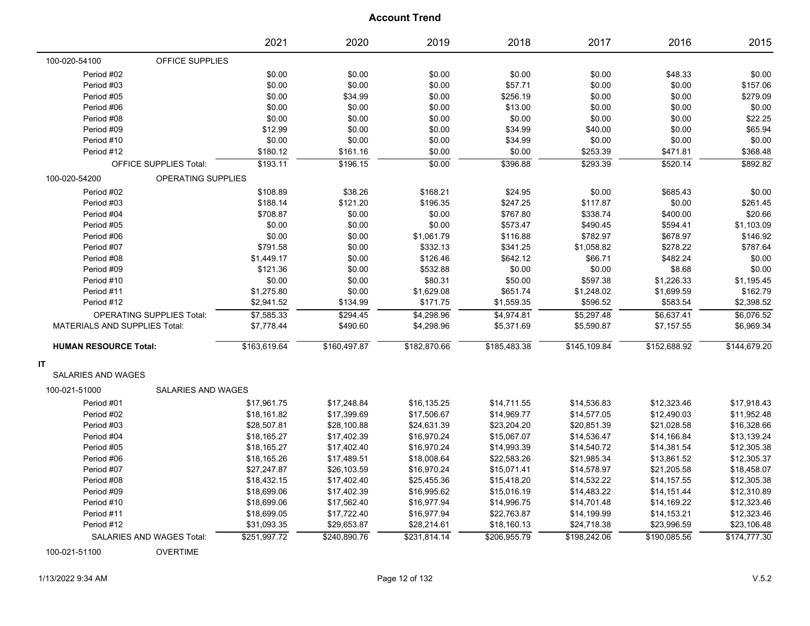|                                      |                               | 2021         | 2020         | 2019         | 2018         | 2017         | 2016         | 2015         |
|--------------------------------------|-------------------------------|--------------|--------------|--------------|--------------|--------------|--------------|--------------|
| 100-020-54100                        | OFFICE SUPPLIES               |              |              |              |              |              |              |              |
| Period #02                           |                               | \$0.00       | \$0.00       | \$0.00       | \$0.00       | \$0.00       | \$48.33      | \$0.00       |
| Period #03                           |                               | \$0.00       | \$0.00       | \$0.00       | \$57.71      | \$0.00       | \$0.00       | \$157.06     |
| Period #05                           |                               | \$0.00       | \$34.99      | \$0.00       | \$256.19     | \$0.00       | \$0.00       | \$279.09     |
| Period #06                           |                               | \$0.00       | \$0.00       | \$0.00       | \$13.00      | \$0.00       | \$0.00       | \$0.00       |
| Period #08                           |                               | \$0.00       | \$0.00       | \$0.00       | \$0.00       | \$0.00       | \$0.00       | \$22.25      |
| Period #09                           |                               | \$12.99      | \$0.00       | \$0.00       | \$34.99      | \$40.00      | \$0.00       | \$65.94      |
| Period #10                           |                               | \$0.00       | \$0.00       | \$0.00       | \$34.99      | \$0.00       | \$0.00       | \$0.00       |
| Period #12                           |                               | \$180.12     | \$161.16     | \$0.00       | \$0.00       | \$253.39     | \$471.81     | \$368.48     |
|                                      | <b>OFFICE SUPPLIES Total:</b> | \$193.11     | \$196.15     | \$0.00       | \$396.88     | \$293.39     | \$520.14     | \$892.82     |
| 100-020-54200                        | OPERATING SUPPLIES            |              |              |              |              |              |              |              |
| Period #02                           |                               | \$108.89     | \$38.26      | \$168.21     | \$24.95      | \$0.00       | \$685.43     | \$0.00       |
| Period #03                           |                               | \$188.14     | \$121.20     | \$196.35     | \$247.25     | \$117.87     | \$0.00       | \$261.45     |
| Period #04                           |                               | \$708.87     | \$0.00       | \$0.00       | \$767.80     | \$338.74     | \$400.00     | \$20.66      |
| Period #05                           |                               | \$0.00       | \$0.00       | \$0.00       | \$573.47     | \$490.45     | \$594.41     | \$1,103.09   |
| Period #06                           |                               | \$0.00       | \$0.00       | \$1,061.79   | \$116.88     | \$782.97     | \$678.97     | \$146.92     |
| Period #07                           |                               | \$791.58     | \$0.00       | \$332.13     | \$341.25     | \$1,058.82   | \$278.22     | \$787.64     |
| Period #08                           |                               | \$1,449.17   | \$0.00       | \$126.46     | \$642.12     | \$66.71      | \$482.24     | \$0.00       |
| Period #09                           |                               | \$121.36     | \$0.00       | \$532.88     | \$0.00       | \$0.00       | \$8.68       | \$0.00       |
| Period #10                           |                               | \$0.00       | \$0.00       | \$80.31      | \$50.00      | \$597.38     | \$1,226.33   | \$1,195.45   |
| Period #11                           |                               | \$1,275.80   | \$0.00       | \$1,629.08   | \$651.74     | \$1,248.02   | \$1,699.59   | \$162.79     |
| Period #12                           |                               | \$2,941.52   | \$134.99     | \$171.75     | \$1,559.35   | \$596.52     | \$583.54     | \$2,398.52   |
|                                      | OPERATING SUPPLIES Total:     | \$7,585.33   | \$294.45     | \$4,298.96   | \$4,974.81   | \$5,297.48   | \$6,637.41   | \$6,076.52   |
| <b>MATERIALS AND SUPPLIES Total:</b> |                               | \$7,778.44   | \$490.60     | \$4,298.96   | \$5,371.69   | \$5,590.87   | \$7,157.55   | \$6,969.34   |
| <b>HUMAN RESOURCE Total:</b>         |                               | \$163,619.64 | \$160,497.87 | \$182,870.66 | \$185,483.38 | \$145,109.84 | \$152,688.92 | \$144,679.20 |
| IT                                   |                               |              |              |              |              |              |              |              |
| <b>SALARIES AND WAGES</b>            |                               |              |              |              |              |              |              |              |
| 100-021-51000                        | SALARIES AND WAGES            |              |              |              |              |              |              |              |
| Period #01                           |                               | \$17,961.75  | \$17,248.84  | \$16,135.25  | \$14,711.55  | \$14,536.83  | \$12,323.46  | \$17,918.43  |
| Period #02                           |                               | \$18,161.82  | \$17,399.69  | \$17,506.67  | \$14,969.77  | \$14,577.05  | \$12,490.03  | \$11,952.48  |
| Period #03                           |                               | \$28,507.81  | \$28,100.88  | \$24,631.39  | \$23,204.20  | \$20,851.39  | \$21,028.58  | \$16,328.66  |
| Period #04                           |                               | \$18,165.27  | \$17,402.39  | \$16,970.24  | \$15,067.07  | \$14,536.47  | \$14,166.84  | \$13,139.24  |
| Period #05                           |                               | \$18,165.27  | \$17,402.40  | \$16,970.24  | \$14,993.39  | \$14,540.72  | \$14,381.54  | \$12,305.38  |
| Period #06                           |                               | \$18,165.26  | \$17,489.51  | \$18,008.64  | \$22,583.26  | \$21,985.34  | \$13,861.52  | \$12,305.37  |
| Period #07                           |                               | \$27,247.87  | \$26,103.59  | \$16,970.24  | \$15,071.41  | \$14,578.97  | \$21,205.58  | \$18,458.07  |
| Period #08                           |                               | \$18,432.15  | \$17,402.40  | \$25,455.36  | \$15,418.20  | \$14,532.22  | \$14,157.55  | \$12,305.38  |
| Period #09                           |                               | \$18,699.06  | \$17,402.39  | \$16,995.62  | \$15,016.19  | \$14,483.22  | \$14,151.44  | \$12,310.89  |
| Period #10                           |                               | \$18,699.06  | \$17,562.40  | \$16,977.94  | \$14,996.75  | \$14,701.48  | \$14,169.22  | \$12,323.46  |
| Period #11                           |                               | \$18,699.05  | \$17,722.40  | \$16,977.94  | \$22,763.87  | \$14,199.99  | \$14,153.21  | \$12,323.46  |
| Period #12                           |                               | \$31,093.35  | \$29,653.87  | \$28,214.61  | \$18,160.13  | \$24,718.38  | \$23,996.59  | \$23,106.48  |
|                                      | SALARIES AND WAGES Total:     | \$251,997.72 | \$240,890.76 | \$231,814.14 | \$206,955.79 | \$198,242.06 | \$190,085.56 | \$174,777.30 |

100-021-51100 OVERTIME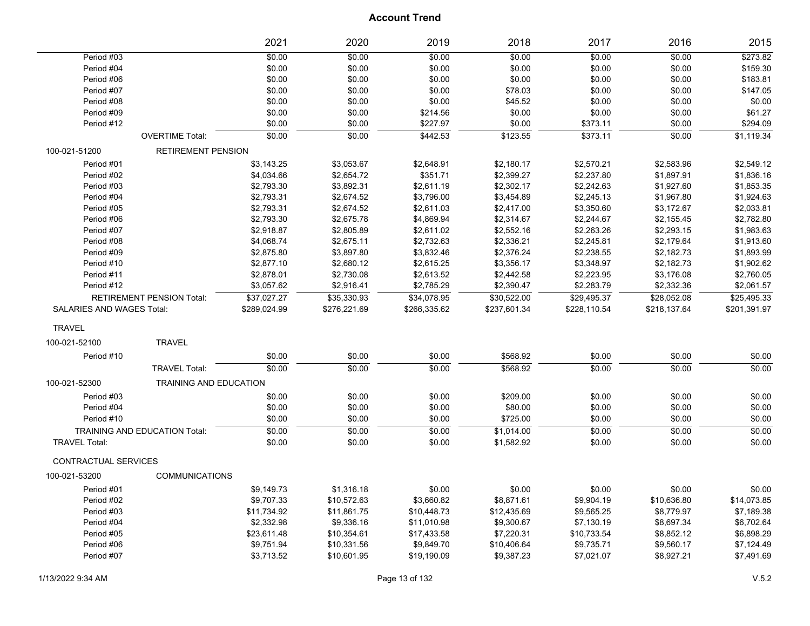|                                  |                                      | 2021         | 2020         | 2019         | 2018         | 2017         | 2016         | 2015         |
|----------------------------------|--------------------------------------|--------------|--------------|--------------|--------------|--------------|--------------|--------------|
| Period #03                       |                                      | \$0.00       | \$0.00       | \$0.00       | \$0.00       | \$0.00       | \$0.00       | \$273.82     |
| Period #04                       |                                      | \$0.00       | \$0.00       | \$0.00       | \$0.00       | \$0.00       | \$0.00       | \$159.30     |
| Period #06                       |                                      | \$0.00       | \$0.00       | \$0.00       | \$0.00       | \$0.00       | \$0.00       | \$183.81     |
| Period #07                       |                                      | \$0.00       | \$0.00       | \$0.00       | \$78.03      | \$0.00       | \$0.00       | \$147.05     |
| Period #08                       |                                      | \$0.00       | \$0.00       | \$0.00       | \$45.52      | \$0.00       | \$0.00       | \$0.00       |
| Period #09                       |                                      | \$0.00       | \$0.00       | \$214.56     | \$0.00       | \$0.00       | \$0.00       | \$61.27      |
| Period #12                       |                                      | \$0.00       | \$0.00       | \$227.97     | \$0.00       | \$373.11     | \$0.00       | \$294.09     |
|                                  | <b>OVERTIME Total:</b>               | \$0.00       | \$0.00       | \$442.53     | \$123.55     | \$373.11     | \$0.00       | \$1,119.34   |
| 100-021-51200                    | <b>RETIREMENT PENSION</b>            |              |              |              |              |              |              |              |
| Period #01                       |                                      | \$3,143.25   | \$3,053.67   | \$2,648.91   | \$2,180.17   | \$2,570.21   | \$2,583.96   | \$2,549.12   |
| Period #02                       |                                      | \$4,034.66   | \$2,654.72   | \$351.71     | \$2,399.27   | \$2,237.80   | \$1,897.91   | \$1,836.16   |
| Period #03                       |                                      | \$2,793.30   | \$3,892.31   | \$2,611.19   | \$2,302.17   | \$2,242.63   | \$1,927.60   | \$1,853.35   |
| Period #04                       |                                      | \$2,793.31   | \$2,674.52   | \$3,796.00   | \$3,454.89   | \$2,245.13   | \$1,967.80   | \$1,924.63   |
| Period #05                       |                                      | \$2,793.31   | \$2,674.52   | \$2,611.03   | \$2,417.00   | \$3,350.60   | \$3,172.67   | \$2,033.81   |
| Period #06                       |                                      | \$2,793.30   | \$2,675.78   | \$4,869.94   | \$2,314.67   | \$2,244.67   | \$2,155.45   | \$2,782.80   |
| Period #07                       |                                      | \$2,918.87   | \$2,805.89   | \$2,611.02   | \$2,552.16   | \$2,263.26   | \$2,293.15   | \$1,983.63   |
| Period #08                       |                                      | \$4,068.74   | \$2,675.11   | \$2,732.63   | \$2,336.21   | \$2,245.81   | \$2,179.64   | \$1,913.60   |
| Period #09                       |                                      | \$2,875.80   | \$3,897.80   | \$3,832.46   | \$2,376.24   | \$2,238.55   | \$2,182.73   | \$1,893.99   |
| Period #10                       |                                      | \$2,877.10   | \$2,680.12   | \$2,615.25   | \$3,356.17   | \$3,348.97   | \$2,182.73   | \$1,902.62   |
| Period #11                       |                                      | \$2,878.01   | \$2,730.08   | \$2,613.52   | \$2,442.58   | \$2,223.95   | \$3,176.08   | \$2,760.05   |
| Period #12                       |                                      | \$3,057.62   | \$2,916.41   | \$2,785.29   | \$2,390.47   | \$2,283.79   | \$2,332.36   | \$2,061.57   |
|                                  | <b>RETIREMENT PENSION Total:</b>     | \$37,027.27  | \$35,330.93  | \$34,078.95  | \$30,522.00  | \$29,495.37  | \$28,052.08  | \$25,495.33  |
| <b>SALARIES AND WAGES Total:</b> |                                      | \$289,024.99 | \$276,221.69 | \$266,335.62 | \$237,601.34 | \$228,110.54 | \$218,137.64 | \$201,391.97 |
| <b>TRAVEL</b>                    |                                      |              |              |              |              |              |              |              |
| 100-021-52100                    | <b>TRAVEL</b>                        |              |              |              |              |              |              |              |
| Period #10                       |                                      | \$0.00       | \$0.00       | \$0.00       | \$568.92     | \$0.00       | \$0.00       | \$0.00       |
|                                  | <b>TRAVEL Total:</b>                 | \$0.00       | \$0.00       | \$0.00       | \$568.92     | \$0.00       | \$0.00       | \$0.00       |
| 100-021-52300                    | TRAINING AND EDUCATION               |              |              |              |              |              |              |              |
| Period #03                       |                                      | \$0.00       | \$0.00       | \$0.00       | \$209.00     | \$0.00       | \$0.00       | \$0.00       |
| Period #04                       |                                      | \$0.00       | \$0.00       | \$0.00       | \$80.00      | \$0.00       | \$0.00       | \$0.00       |
| Period #10                       |                                      | \$0.00       | \$0.00       | \$0.00       | \$725.00     | \$0.00       | \$0.00       | \$0.00       |
|                                  | <b>TRAINING AND EDUCATION Total:</b> | \$0.00       | \$0.00       | \$0.00       | \$1,014.00   | \$0.00       | \$0.00       | \$0.00       |
| <b>TRAVEL Total:</b>             |                                      | \$0.00       | \$0.00       | \$0.00       | \$1,582.92   | \$0.00       | \$0.00       | \$0.00       |
| CONTRACTUAL SERVICES             |                                      |              |              |              |              |              |              |              |
| 100-021-53200                    | <b>COMMUNICATIONS</b>                |              |              |              |              |              |              |              |
| Period #01                       |                                      | \$9,149.73   | \$1,316.18   | \$0.00       | \$0.00       | \$0.00       | \$0.00       | \$0.00       |
| Period #02                       |                                      | \$9,707.33   | \$10,572.63  | \$3,660.82   | \$8,871.61   | \$9,904.19   | \$10,636.80  | \$14,073.85  |
| Period #03                       |                                      | \$11,734.92  | \$11,861.75  | \$10,448.73  | \$12,435.69  | \$9,565.25   | \$8,779.97   | \$7,189.38   |
| Period #04                       |                                      | \$2,332.98   | \$9,336.16   | \$11,010.98  | \$9,300.67   | \$7,130.19   | \$8,697.34   | \$6,702.64   |
| Period #05                       |                                      | \$23,611.48  | \$10,354.61  | \$17,433.58  | \$7,220.31   | \$10,733.54  | \$8,852.12   | \$6,898.29   |
| Period #06                       |                                      | \$9,751.94   | \$10,331.56  | \$9,849.70   | \$10,406.64  | \$9,735.71   | \$9,560.17   | \$7,124.49   |
| Period #07                       |                                      | \$3,713.52   | \$10,601.95  | \$19,190.09  | \$9,387.23   | \$7,021.07   | \$8,927.21   | \$7,491.69   |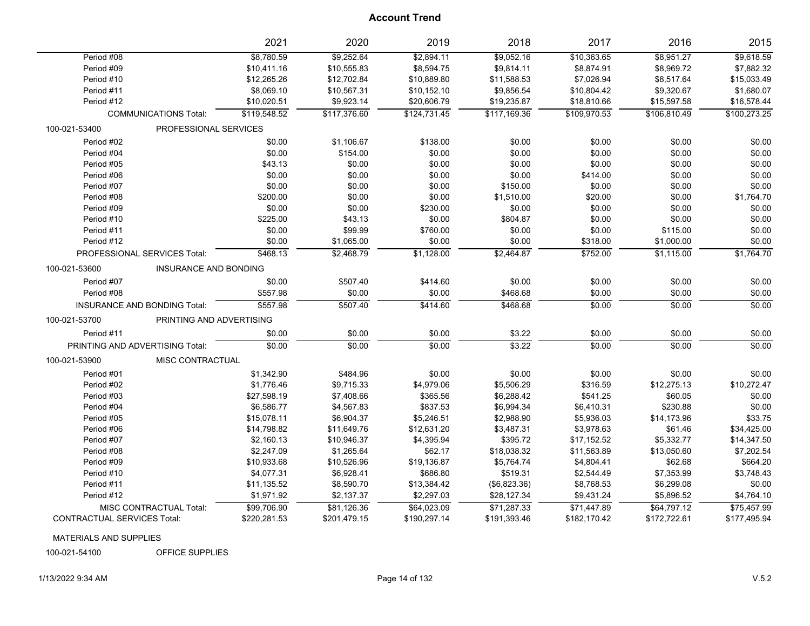|                                               | 2021         | 2020         | 2019         | 2018         | 2017         | 2016         | 2015         |
|-----------------------------------------------|--------------|--------------|--------------|--------------|--------------|--------------|--------------|
| Period #08                                    | \$8,780.59   | \$9,252.64   | \$2,894.11   | \$9,052.16   | \$10,363.65  | \$8,951.27   | \$9,618.59   |
| Period #09                                    | \$10,411.16  | \$10,555.83  | \$8,594.75   | \$9,814.11   | \$8,874.91   | \$8,969.72   | \$7,882.32   |
| Period #10                                    | \$12,265.26  | \$12,702.84  | \$10,889.80  | \$11,588.53  | \$7,026.94   | \$8,517.64   | \$15,033.49  |
| Period #11                                    | \$8,069.10   | \$10,567.31  | \$10,152.10  | \$9,856.54   | \$10,804.42  | \$9,320.67   | \$1,680.07   |
| Period #12                                    | \$10,020.51  | \$9,923.14   | \$20,606.79  | \$19,235.87  | \$18,810.66  | \$15,597.58  | \$16,578.44  |
| <b>COMMUNICATIONS Total:</b>                  | \$119,548.52 | \$117,376.60 | \$124,731.45 | \$117,169.36 | \$109,970.53 | \$106,810.49 | \$100,273.25 |
| PROFESSIONAL SERVICES<br>100-021-53400        |              |              |              |              |              |              |              |
| Period #02                                    | \$0.00       | \$1,106.67   | \$138.00     | \$0.00       | \$0.00       | \$0.00       | \$0.00       |
| Period #04                                    | \$0.00       | \$154.00     | \$0.00       | \$0.00       | \$0.00       | \$0.00       | \$0.00       |
| Period #05                                    | \$43.13      | \$0.00       | \$0.00       | \$0.00       | \$0.00       | \$0.00       | \$0.00       |
| Period #06                                    | \$0.00       | \$0.00       | \$0.00       | \$0.00       | \$414.00     | \$0.00       | \$0.00       |
| Period #07                                    | \$0.00       | \$0.00       | \$0.00       | \$150.00     | \$0.00       | \$0.00       | \$0.00       |
| Period #08                                    | \$200.00     | \$0.00       | \$0.00       | \$1,510.00   | \$20.00      | \$0.00       | \$1,764.70   |
| Period #09                                    | \$0.00       | \$0.00       | \$230.00     | \$0.00       | \$0.00       | \$0.00       | \$0.00       |
| Period #10                                    | \$225.00     | \$43.13      | \$0.00       | \$804.87     | \$0.00       | \$0.00       | \$0.00       |
| Period #11                                    | \$0.00       | \$99.99      | \$760.00     | \$0.00       | \$0.00       | \$115.00     | \$0.00       |
| Period #12                                    | \$0.00       | \$1,065.00   | \$0.00       | \$0.00       | \$318.00     | \$1,000.00   | \$0.00       |
| PROFESSIONAL SERVICES Total:                  | \$468.13     | \$2,468.79   | \$1,128.00   | \$2,464.87   | \$752.00     | \$1,115.00   | \$1,764.70   |
| <b>INSURANCE AND BONDING</b><br>100-021-53600 |              |              |              |              |              |              |              |
| Period #07                                    | \$0.00       | \$507.40     | \$414.60     | \$0.00       | \$0.00       | \$0.00       | \$0.00       |
| Period #08                                    | \$557.98     | \$0.00       | \$0.00       | \$468.68     | \$0.00       | \$0.00       | \$0.00       |
| <b>INSURANCE AND BONDING Total:</b>           | \$557.98     | \$507.40     | \$414.60     | \$468.68     | \$0.00       | \$0.00       | \$0.00       |
| PRINTING AND ADVERTISING<br>100-021-53700     |              |              |              |              |              |              |              |
| Period #11                                    | \$0.00       | \$0.00       | \$0.00       | \$3.22       | \$0.00       | \$0.00       | \$0.00       |
| PRINTING AND ADVERTISING Total:               | \$0.00       | \$0.00       | \$0.00       | \$3.22       | \$0.00       | \$0.00       | \$0.00       |
| <b>MISC CONTRACTUAL</b><br>100-021-53900      |              |              |              |              |              |              |              |
| Period #01                                    | \$1,342.90   | \$484.96     | \$0.00       | \$0.00       | \$0.00       | \$0.00       | \$0.00       |
| Period #02                                    | \$1,776.46   | \$9,715.33   | \$4,979.06   | \$5,506.29   | \$316.59     | \$12,275.13  | \$10,272.47  |
| Period #03                                    | \$27,598.19  | \$7,408.66   | \$365.56     | \$6,288.42   | \$541.25     | \$60.05      | \$0.00       |
| Period #04                                    | \$6,586.77   | \$4,567.83   | \$837.53     | \$6,994.34   | \$6,410.31   | \$230.88     | \$0.00       |
| Period #05                                    | \$15,078.11  | \$6,904.37   | \$5,246.51   | \$2,988.90   | \$5,936.03   | \$14,173.96  | \$33.75      |
| Period #06                                    | \$14,798.82  | \$11,649.76  | \$12,631.20  | \$3,487.31   | \$3,978.63   | \$61.46      | \$34,425.00  |
| Period #07                                    | \$2,160.13   | \$10,946.37  | \$4,395.94   | \$395.72     | \$17,152.52  | \$5,332.77   | \$14,347.50  |
| Period #08                                    | \$2,247.09   | \$1,265.64   | \$62.17      | \$18,038.32  | \$11,563.89  | \$13,050.60  | \$7,202.54   |
| Period #09                                    | \$10,933.68  | \$10,526.96  | \$19,136.87  | \$5,764.74   | \$4,804.41   | \$62.68      | \$664.20     |
| Period #10                                    | \$4,077.31   | \$6,928.41   | \$686.80     | \$519.31     | \$2,544.49   | \$7,353.99   | \$3,748.43   |
| Period #11                                    | \$11,135.52  | \$8,590.70   | \$13,384.42  | (\$6,823.36) | \$8,768.53   | \$6,299.08   | \$0.00       |
| Period #12                                    | \$1,971.92   | \$2,137.37   | \$2,297.03   | \$28,127.34  | \$9,431.24   | \$5,896.52   | \$4,764.10   |
| MISC CONTRACTUAL Total:                       | \$99,706.90  | \$81,126.36  | \$64,023.09  | \$71,287.33  | \$71,447.89  | \$64,797.12  | \$75,457.99  |
| <b>CONTRACTUAL SERVICES Total:</b>            | \$220,281.53 | \$201.479.15 | \$190.297.14 | \$191,393.46 | \$182,170.42 | \$172,722.61 | \$177,495.94 |

MATERIALS AND SUPPLIES

100-021-54100 OFFICE SUPPLIES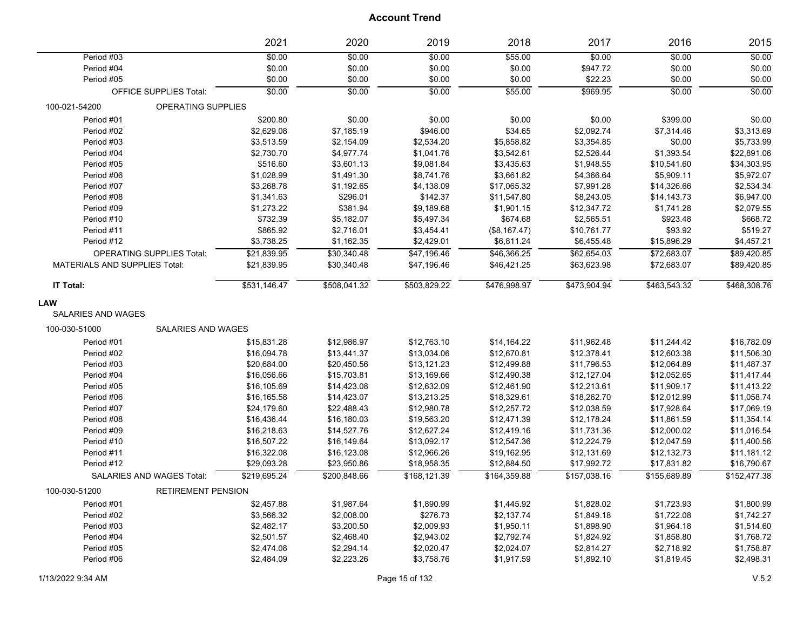|                                      |                                  | 2021         | 2020              | 2019         | 2018         | 2017         | 2016         | 2015         |
|--------------------------------------|----------------------------------|--------------|-------------------|--------------|--------------|--------------|--------------|--------------|
| Period #03                           |                                  | \$0.00       | \$0.00            | \$0.00       | \$55.00      | \$0.00       | \$0.00       | \$0.00       |
| Period #04                           |                                  | \$0.00       | \$0.00            | \$0.00       | \$0.00       | \$947.72     | \$0.00       | \$0.00       |
| Period #05                           |                                  | \$0.00       | \$0.00            | \$0.00       | \$0.00       | \$22.23      | \$0.00       | \$0.00       |
|                                      | <b>OFFICE SUPPLIES Total:</b>    | \$0.00       | $\frac{1}{60.00}$ | 50.00        | \$55.00      | \$969.95     | \$0.00       | \$0.00       |
| 100-021-54200                        | OPERATING SUPPLIES               |              |                   |              |              |              |              |              |
| Period #01                           |                                  | \$200.80     | \$0.00            | \$0.00       | \$0.00       | \$0.00       | \$399.00     | \$0.00       |
| Period #02                           |                                  | \$2,629.08   | \$7,185.19        | \$946.00     | \$34.65      | \$2,092.74   | \$7,314.46   | \$3,313.69   |
| Period #03                           |                                  | \$3,513.59   | \$2,154.09        | \$2,534.20   | \$5,858.82   | \$3,354.85   | \$0.00       | \$5,733.99   |
| Period #04                           |                                  | \$2,730.70   | \$4,977.74        | \$1,041.76   | \$3,542.61   | \$2,526.44   | \$1,393.54   | \$22,891.06  |
| Period #05                           |                                  | \$516.60     | \$3,601.13        | \$9,081.84   | \$3,435.63   | \$1,948.55   | \$10,541.60  | \$34,303.95  |
| Period #06                           |                                  | \$1,028.99   | \$1,491.30        | \$8,741.76   | \$3,661.82   | \$4,366.64   | \$5,909.11   | \$5,972.07   |
| Period #07                           |                                  | \$3,268.78   | \$1,192.65        | \$4,138.09   | \$17,065.32  | \$7,991.28   | \$14,326.66  | \$2,534.34   |
| Period #08                           |                                  | \$1,341.63   | \$296.01          | \$142.37     | \$11,547.80  | \$8,243.05   | \$14,143.73  | \$6,947.00   |
| Period #09                           |                                  | \$1,273.22   | \$381.94          | \$9,189.68   | \$1,901.15   | \$12,347.72  | \$1,741.28   | \$2,079.55   |
| Period #10                           |                                  | \$732.39     | \$5,182.07        | \$5,497.34   | \$674.68     | \$2,565.51   | \$923.48     | \$668.72     |
| Period #11                           |                                  | \$865.92     | \$2,716.01        | \$3,454.41   | (\$8,167.47) | \$10,761.77  | \$93.92      | \$519.27     |
| Period #12                           |                                  | \$3,738.25   | \$1,162.35        | \$2,429.01   | \$6,811.24   | \$6,455.48   | \$15,896.29  | \$4,457.21   |
|                                      | <b>OPERATING SUPPLIES Total:</b> | \$21.839.95  | \$30,340.48       | \$47,196.46  | \$46,366.25  | \$62,654.03  | \$72,683.07  | \$89.420.85  |
| <b>MATERIALS AND SUPPLIES Total:</b> |                                  | \$21,839.95  | \$30,340.48       | \$47,196.46  | \$46,421.25  | \$63,623.98  | \$72,683.07  | \$89,420.85  |
| IT Total:                            |                                  | \$531,146.47 | \$508,041.32      | \$503,829.22 | \$476,998.97 | \$473,904.94 | \$463,543.32 | \$468,308.76 |
| <b>LAW</b>                           |                                  |              |                   |              |              |              |              |              |
| <b>SALARIES AND WAGES</b>            |                                  |              |                   |              |              |              |              |              |
| 100-030-51000                        | <b>SALARIES AND WAGES</b>        |              |                   |              |              |              |              |              |
| Period #01                           |                                  | \$15,831.28  | \$12,986.97       | \$12,763.10  | \$14,164.22  | \$11,962.48  | \$11,244.42  | \$16,782.09  |
| Period #02                           |                                  | \$16,094.78  | \$13,441.37       | \$13,034.06  | \$12,670.81  | \$12,378.41  | \$12,603.38  | \$11,506.30  |
| Period #03                           |                                  | \$20,684.00  | \$20,450.56       | \$13,121.23  | \$12,499.88  | \$11,796.53  | \$12,064.89  | \$11,487.37  |
| Period #04                           |                                  | \$16,056.66  | \$15,703.81       | \$13,169.66  | \$12,490.38  | \$12,127.04  | \$12,052.65  | \$11,417.44  |
| Period #05                           |                                  | \$16,105.69  | \$14,423.08       | \$12,632.09  | \$12,461.90  | \$12,213.61  | \$11,909.17  | \$11,413.22  |
| Period #06                           |                                  | \$16,165.58  | \$14,423.07       | \$13,213.25  | \$18,329.61  | \$18,262.70  | \$12,012.99  | \$11,058.74  |
| Period #07                           |                                  | \$24,179.60  | \$22,488.43       | \$12,980.78  | \$12,257.72  | \$12,038.59  | \$17,928.64  | \$17,069.19  |
| Period #08                           |                                  | \$16,436.44  | \$16,180.03       | \$19,563.20  | \$12,471.39  | \$12,178.24  | \$11,861.59  | \$11,354.14  |
| Period #09                           |                                  | \$16,218.63  | \$14,527.76       | \$12,627.24  | \$12,419.16  | \$11,731.36  | \$12,000.02  | \$11,016.54  |
| Period #10                           |                                  | \$16,507.22  | \$16,149.64       | \$13,092.17  | \$12,547.36  | \$12,224.79  | \$12,047.59  | \$11,400.56  |
| Period #11                           |                                  | \$16,322.08  | \$16,123.08       | \$12,966.26  | \$19,162.95  | \$12,131.69  | \$12,132.73  | \$11,181.12  |
| Period #12                           |                                  | \$29,093.28  | \$23,950.86       | \$18,958.35  | \$12,884.50  | \$17,992.72  | \$17,831.82  | \$16,790.67  |
|                                      | SALARIES AND WAGES Total:        | \$219,695.24 | \$200,848.66      | \$168,121.39 | \$164,359.88 | \$157,038.16 | \$155,689.89 | \$152,477.38 |
| 100-030-51200                        | <b>RETIREMENT PENSION</b>        |              |                   |              |              |              |              |              |
| Period #01                           |                                  | \$2,457.88   | \$1,987.64        | \$1,890.99   | \$1,445.92   | \$1,828.02   | \$1,723.93   | \$1,800.99   |
| Period #02                           |                                  | \$3,566.32   | \$2,008.00        | \$276.73     | \$2,137.74   | \$1,849.18   | \$1,722.08   | \$1,742.27   |
| Period #03                           |                                  | \$2,482.17   | \$3,200.50        | \$2,009.93   | \$1,950.11   | \$1,898.90   | \$1,964.18   | \$1,514.60   |
| Period #04                           |                                  | \$2,501.57   | \$2,468.40        | \$2,943.02   | \$2,792.74   | \$1,824.92   | \$1,858.80   | \$1,768.72   |
| Period #05                           |                                  | \$2,474.08   | \$2,294.14        | \$2,020.47   | \$2,024.07   | \$2,814.27   | \$2,718.92   | \$1,758.87   |
| Period #06                           |                                  | \$2,484.09   | \$2,223.26        | \$3,758.76   | \$1,917.59   | \$1,892.10   | \$1,819.45   | \$2,498.31   |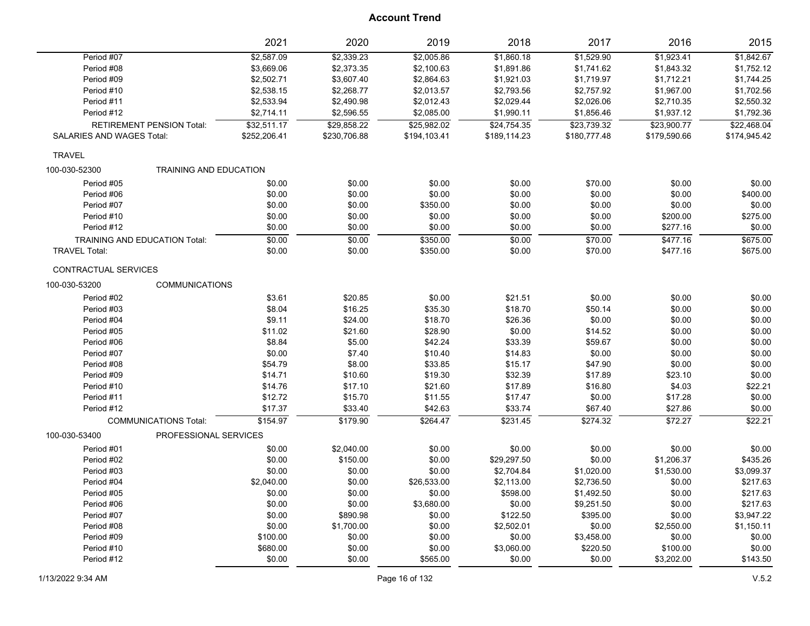|                                      | 2021                   | 2020         | 2019         | 2018         | 2017         | 2016         | 2015         |
|--------------------------------------|------------------------|--------------|--------------|--------------|--------------|--------------|--------------|
| Period #07                           | \$2,587.09             | \$2,339.23   | \$2,005.86   | \$1,860.18   | \$1,529.90   | \$1,923.41   | \$1,842.67   |
| Period #08                           | \$3,669.06             | \$2,373.35   | \$2,100.63   | \$1,891.86   | \$1,741.62   | \$1,843.32   | \$1,752.12   |
| Period #09                           | \$2,502.71             | \$3,607.40   | \$2,864.63   | \$1,921.03   | \$1,719.97   | \$1,712.21   | \$1,744.25   |
| Period #10                           | \$2,538.15             | \$2,268.77   | \$2,013.57   | \$2,793.56   | \$2,757.92   | \$1,967.00   | \$1,702.56   |
| Period #11                           | \$2,533.94             | \$2,490.98   | \$2,012.43   | \$2,029.44   | \$2,026.06   | \$2,710.35   | \$2,550.32   |
| Period #12                           | \$2,714.11             | \$2,596.55   | \$2,085.00   | \$1,990.11   | \$1,856.46   | \$1,937.12   | \$1,792.36   |
| <b>RETIREMENT PENSION Total:</b>     | \$32,511.17            | \$29,858.22  | \$25,982.02  | \$24,754.35  | \$23,739.32  | \$23,900.77  | \$22,468.04  |
| SALARIES AND WAGES Total:            | \$252,206.41           | \$230,706.88 | \$194,103.41 | \$189,114.23 | \$180,777.48 | \$179,590.66 | \$174,945.42 |
| <b>TRAVEL</b>                        |                        |              |              |              |              |              |              |
| 100-030-52300                        | TRAINING AND EDUCATION |              |              |              |              |              |              |
| Period #05                           | \$0.00                 | \$0.00       | \$0.00       | \$0.00       | \$70.00      | \$0.00       | \$0.00       |
| Period #06                           | \$0.00                 | \$0.00       | \$0.00       | \$0.00       | \$0.00       | \$0.00       | \$400.00     |
| Period #07                           | \$0.00                 | \$0.00       | \$350.00     | \$0.00       | \$0.00       | \$0.00       | \$0.00       |
| Period #10                           | \$0.00                 | \$0.00       | \$0.00       | \$0.00       | \$0.00       | \$200.00     | \$275.00     |
| Period #12                           | \$0.00                 | \$0.00       | \$0.00       | \$0.00       | \$0.00       | \$277.16     | \$0.00       |
| <b>TRAINING AND EDUCATION Total:</b> | \$0.00                 | \$0.00       | \$350.00     | 50.00        | \$70.00      | \$477.16     | \$675.00     |
| <b>TRAVEL Total:</b>                 | \$0.00                 | \$0.00       | \$350.00     | \$0.00       | \$70.00      | \$477.16     | \$675.00     |
| CONTRACTUAL SERVICES                 |                        |              |              |              |              |              |              |
| 100-030-53200                        | <b>COMMUNICATIONS</b>  |              |              |              |              |              |              |
| Period #02                           | \$3.61                 | \$20.85      | \$0.00       | \$21.51      | \$0.00       | \$0.00       | \$0.00       |
| Period #03                           | \$8.04                 | \$16.25      | \$35.30      | \$18.70      | \$50.14      | \$0.00       | \$0.00       |
| Period #04                           | \$9.11                 | \$24.00      | \$18.70      | \$26.36      | \$0.00       | \$0.00       | \$0.00       |
| Period #05                           | \$11.02                | \$21.60      | \$28.90      | \$0.00       | \$14.52      | \$0.00       | \$0.00       |
| Period #06                           | \$8.84                 | \$5.00       | \$42.24      | \$33.39      | \$59.67      | \$0.00       | \$0.00       |
| Period #07                           | \$0.00                 | \$7.40       | \$10.40      | \$14.83      | \$0.00       | \$0.00       | \$0.00       |
| Period #08                           | \$54.79                | \$8.00       | \$33.85      | \$15.17      | \$47.90      | \$0.00       | \$0.00       |
| Period #09                           | \$14.71                | \$10.60      | \$19.30      | \$32.39      | \$17.89      | \$23.10      | \$0.00       |
| Period #10                           | \$14.76                | \$17.10      | \$21.60      | \$17.89      | \$16.80      | \$4.03       | \$22.21      |
| Period #11                           | \$12.72                | \$15.70      | \$11.55      | \$17.47      | \$0.00       | \$17.28      | \$0.00       |
| Period #12                           | \$17.37                | \$33.40      | \$42.63      | \$33.74      | \$67.40      | \$27.86      | \$0.00       |
| <b>COMMUNICATIONS Total:</b>         | \$154.97               | \$179.90     | \$264.47     | \$231.45     | \$274.32     | \$72.27      | \$22.21      |
| 100-030-53400                        | PROFESSIONAL SERVICES  |              |              |              |              |              |              |
| Period #01                           | \$0.00                 | \$2,040.00   | \$0.00       | \$0.00       | \$0.00       | \$0.00       | \$0.00       |
| Period #02                           | \$0.00                 | \$150.00     | \$0.00       | \$29,297.50  | \$0.00       | \$1,206.37   | \$435.26     |
| Period #03                           | \$0.00                 | \$0.00       | \$0.00       | \$2,704.84   | \$1,020.00   | \$1,530.00   | \$3,099.37   |
| Period #04                           | \$2,040.00             | \$0.00       | \$26,533.00  | \$2,113.00   | \$2,736.50   | \$0.00       | \$217.63     |
| Period #05                           | \$0.00                 | \$0.00       | \$0.00       | \$598.00     | \$1,492.50   | \$0.00       | \$217.63     |
| Period #06                           | \$0.00                 | \$0.00       | \$3,680.00   | \$0.00       | \$9,251.50   | \$0.00       | \$217.63     |
| Period #07                           | \$0.00                 | \$890.98     | \$0.00       | \$122.50     | \$395.00     | \$0.00       | \$3,947.22   |
| Period #08                           | \$0.00                 | \$1,700.00   | \$0.00       | \$2,502.01   | \$0.00       | \$2,550.00   | \$1,150.11   |
| Period #09                           | \$100.00               | \$0.00       | \$0.00       | \$0.00       | \$3,458.00   | \$0.00       | \$0.00       |
| Period #10                           | \$680.00               | \$0.00       | \$0.00       | \$3,060.00   | \$220.50     | \$100.00     | \$0.00       |
| Period #12                           | \$0.00                 | \$0.00       | \$565.00     | \$0.00       | \$0.00       | \$3,202.00   | \$143.50     |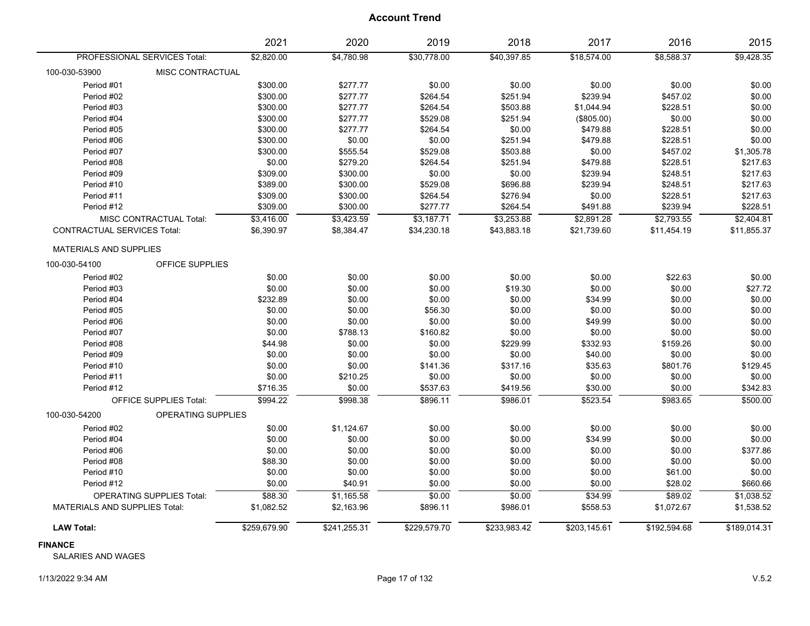|                                      |                                  | 2021         | 2020         | 2019         | 2018         | 2017         | 2016         | 2015         |
|--------------------------------------|----------------------------------|--------------|--------------|--------------|--------------|--------------|--------------|--------------|
|                                      | PROFESSIONAL SERVICES Total:     | \$2,820.00   | \$4,780.98   | \$30,778.00  | \$40,397.85  | \$18,574.00  | \$8,588.37   | \$9,428.35   |
| 100-030-53900                        | <b>MISC CONTRACTUAL</b>          |              |              |              |              |              |              |              |
| Period #01                           |                                  | \$300.00     | \$277.77     | \$0.00       | \$0.00       | \$0.00       | \$0.00       | \$0.00       |
| Period #02                           |                                  | \$300.00     | \$277.77     | \$264.54     | \$251.94     | \$239.94     | \$457.02     | \$0.00       |
| Period #03                           |                                  | \$300.00     | \$277.77     | \$264.54     | \$503.88     | \$1,044.94   | \$228.51     | \$0.00       |
| Period #04                           |                                  | \$300.00     | \$277.77     | \$529.08     | \$251.94     | (\$805.00)   | \$0.00       | \$0.00       |
| Period #05                           |                                  | \$300.00     | \$277.77     | \$264.54     | \$0.00       | \$479.88     | \$228.51     | \$0.00       |
| Period #06                           |                                  | \$300.00     | \$0.00       | \$0.00       | \$251.94     | \$479.88     | \$228.51     | \$0.00       |
| Period #07                           |                                  | \$300.00     | \$555.54     | \$529.08     | \$503.88     | \$0.00       | \$457.02     | \$1,305.78   |
| Period #08                           |                                  | \$0.00       | \$279.20     | \$264.54     | \$251.94     | \$479.88     | \$228.51     | \$217.63     |
| Period #09                           |                                  | \$309.00     | \$300.00     | \$0.00       | \$0.00       | \$239.94     | \$248.51     | \$217.63     |
| Period #10                           |                                  | \$389.00     | \$300.00     | \$529.08     | \$696.88     | \$239.94     | \$248.51     | \$217.63     |
| Period #11                           |                                  | \$309.00     | \$300.00     | \$264.54     | \$276.94     | \$0.00       | \$228.51     | \$217.63     |
| Period #12                           |                                  | \$309.00     | \$300.00     | \$277.77     | \$264.54     | \$491.88     | \$239.94     | \$228.51     |
|                                      | <b>MISC CONTRACTUAL Total:</b>   | \$3,416.00   | \$3,423.59   | \$3,187.71   | \$3,253.88   | \$2,891.28   | \$2,793.55   | \$2,404.81   |
| <b>CONTRACTUAL SERVICES Total:</b>   |                                  | \$6,390.97   | \$8,384.47   | \$34,230.18  | \$43,883.18  | \$21,739.60  | \$11,454.19  | \$11,855.37  |
| <b>MATERIALS AND SUPPLIES</b>        |                                  |              |              |              |              |              |              |              |
| 100-030-54100                        | OFFICE SUPPLIES                  |              |              |              |              |              |              |              |
| Period #02                           |                                  | \$0.00       | \$0.00       | \$0.00       | \$0.00       | \$0.00       | \$22.63      | \$0.00       |
| Period #03                           |                                  | \$0.00       | \$0.00       | \$0.00       | \$19.30      | \$0.00       | \$0.00       | \$27.72      |
| Period #04                           |                                  | \$232.89     | \$0.00       | \$0.00       | \$0.00       | \$34.99      | \$0.00       | \$0.00       |
| Period #05                           |                                  | \$0.00       | \$0.00       | \$56.30      | \$0.00       | \$0.00       | \$0.00       | \$0.00       |
| Period #06                           |                                  | \$0.00       | \$0.00       | \$0.00       | \$0.00       | \$49.99      | \$0.00       | \$0.00       |
| Period #07                           |                                  | \$0.00       | \$788.13     | \$160.82     | \$0.00       | \$0.00       | \$0.00       | \$0.00       |
| Period #08                           |                                  | \$44.98      | \$0.00       | \$0.00       | \$229.99     | \$332.93     | \$159.26     | \$0.00       |
| Period #09                           |                                  | \$0.00       | \$0.00       | \$0.00       | \$0.00       | \$40.00      | \$0.00       | \$0.00       |
| Period #10                           |                                  | \$0.00       | \$0.00       | \$141.36     | \$317.16     | \$35.63      | \$801.76     | \$129.45     |
| Period #11                           |                                  | \$0.00       | \$210.25     | \$0.00       | \$0.00       | \$0.00       | \$0.00       | \$0.00       |
| Period #12                           |                                  | \$716.35     | \$0.00       | \$537.63     | \$419.56     | \$30.00      | \$0.00       | \$342.83     |
|                                      | OFFICE SUPPLIES Total:           | \$994.22     | \$998.38     | \$896.11     | \$986.01     | \$523.54     | \$983.65     | \$500.00     |
| 100-030-54200                        | <b>OPERATING SUPPLIES</b>        |              |              |              |              |              |              |              |
| Period #02                           |                                  | \$0.00       | \$1,124.67   | \$0.00       | \$0.00       | \$0.00       | \$0.00       | \$0.00       |
| Period #04                           |                                  | \$0.00       | \$0.00       | \$0.00       | \$0.00       | \$34.99      | \$0.00       | \$0.00       |
| Period #06                           |                                  | \$0.00       | \$0.00       | \$0.00       | \$0.00       | \$0.00       | \$0.00       | \$377.86     |
| Period #08                           |                                  | \$88.30      | \$0.00       | \$0.00       | \$0.00       | \$0.00       | \$0.00       | \$0.00       |
| Period #10                           |                                  | \$0.00       | \$0.00       | \$0.00       | \$0.00       | \$0.00       | \$61.00      | \$0.00       |
| Period #12                           |                                  | \$0.00       | \$40.91      | \$0.00       | \$0.00       | \$0.00       | \$28.02      | \$660.66     |
|                                      | <b>OPERATING SUPPLIES Total:</b> | \$88.30      | \$1,165.58   | \$0.00       | \$0.00       | \$34.99      | \$89.02      | \$1,038.52   |
| <b>MATERIALS AND SUPPLIES Total:</b> |                                  | \$1,082.52   | \$2,163.96   | \$896.11     | \$986.01     | \$558.53     | \$1,072.67   | \$1,538.52   |
| <b>LAW Total:</b>                    |                                  | \$259,679.90 | \$241,255.31 | \$229,579.70 | \$233,983.42 | \$203,145.61 | \$192,594.68 | \$189,014.31 |

**FINANCE**

SALARIES AND WAGES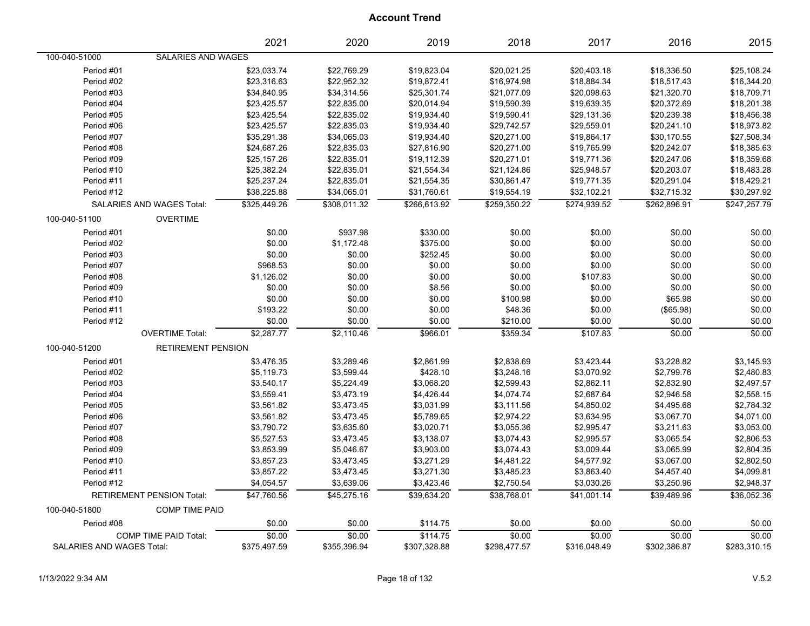|                           |                                  | 2021         | 2020         | 2019         | 2018         | 2017         | 2016         | 2015         |
|---------------------------|----------------------------------|--------------|--------------|--------------|--------------|--------------|--------------|--------------|
| 100-040-51000             | SALARIES AND WAGES               |              |              |              |              |              |              |              |
| Period #01                |                                  | \$23,033.74  | \$22,769.29  | \$19,823.04  | \$20,021.25  | \$20,403.18  | \$18,336.50  | \$25,108.24  |
| Period #02                |                                  | \$23,316.63  | \$22,952.32  | \$19,872.41  | \$16,974.98  | \$18,884.34  | \$18,517.43  | \$16,344.20  |
| Period #03                |                                  | \$34,840.95  | \$34,314.56  | \$25,301.74  | \$21,077.09  | \$20,098.63  | \$21,320.70  | \$18,709.71  |
| Period #04                |                                  | \$23,425.57  | \$22,835.00  | \$20,014.94  | \$19,590.39  | \$19,639.35  | \$20,372.69  | \$18,201.38  |
| Period #05                |                                  | \$23,425.54  | \$22,835.02  | \$19,934.40  | \$19,590.41  | \$29,131.36  | \$20,239.38  | \$18,456.38  |
| Period #06                |                                  | \$23,425.57  | \$22,835.03  | \$19,934.40  | \$29,742.57  | \$29,559.01  | \$20,241.10  | \$18,973.82  |
| Period #07                |                                  | \$35,291.38  | \$34,065.03  | \$19,934.40  | \$20,271.00  | \$19,864.17  | \$30,170.55  | \$27,508.34  |
| Period #08                |                                  | \$24,687.26  | \$22,835.03  | \$27,816.90  | \$20,271.00  | \$19,765.99  | \$20,242.07  | \$18,385.63  |
| Period #09                |                                  | \$25,157.26  | \$22,835.01  | \$19,112.39  | \$20,271.01  | \$19,771.36  | \$20,247.06  | \$18,359.68  |
| Period #10                |                                  | \$25,382.24  | \$22,835.01  | \$21,554.34  | \$21,124.86  | \$25,948.57  | \$20,203.07  | \$18,483.28  |
| Period #11                |                                  | \$25,237.24  | \$22,835.01  | \$21,554.35  | \$30,861.47  | \$19,771.35  | \$20,291.04  | \$18,429.21  |
| Period #12                |                                  | \$38,225.88  | \$34,065.01  | \$31,760.61  | \$19,554.19  | \$32,102.21  | \$32,715.32  | \$30,297.92  |
|                           | <b>SALARIES AND WAGES Total:</b> | \$325.449.26 | \$308.011.32 | \$266.613.92 | \$259.350.22 | \$274,939.52 | \$262,896.91 | \$247,257.79 |
| 100-040-51100             | <b>OVERTIME</b>                  |              |              |              |              |              |              |              |
| Period #01                |                                  | \$0.00       | \$937.98     | \$330.00     | \$0.00       | \$0.00       | \$0.00       | \$0.00       |
| Period #02                |                                  | \$0.00       | \$1,172.48   | \$375.00     | \$0.00       | \$0.00       | \$0.00       | \$0.00       |
| Period #03                |                                  | \$0.00       | \$0.00       | \$252.45     | \$0.00       | \$0.00       | \$0.00       | \$0.00       |
| Period #07                |                                  | \$968.53     | \$0.00       | \$0.00       | \$0.00       | \$0.00       | \$0.00       | \$0.00       |
| Period #08                |                                  | \$1,126.02   | \$0.00       | \$0.00       | \$0.00       | \$107.83     | \$0.00       | \$0.00       |
| Period #09                |                                  | \$0.00       | \$0.00       | \$8.56       | \$0.00       | \$0.00       | \$0.00       | \$0.00       |
| Period #10                |                                  | \$0.00       | \$0.00       | \$0.00       | \$100.98     | \$0.00       | \$65.98      | \$0.00       |
| Period #11                |                                  | \$193.22     | \$0.00       | \$0.00       | \$48.36      | \$0.00       | (\$65.98)    | \$0.00       |
| Period #12                |                                  | \$0.00       | \$0.00       | \$0.00       | \$210.00     | \$0.00       | \$0.00       | \$0.00       |
|                           | <b>OVERTIME Total:</b>           | \$2,287.77   | \$2,110.46   | \$966.01     | \$359.34     | \$107.83     | \$0.00       | \$0.00       |
| 100-040-51200             | <b>RETIREMENT PENSION</b>        |              |              |              |              |              |              |              |
| Period #01                |                                  | \$3,476.35   | \$3,289.46   | \$2,861.99   | \$2,838.69   | \$3,423.44   | \$3,228.82   | \$3,145.93   |
| Period #02                |                                  | \$5,119.73   | \$3,599.44   | \$428.10     | \$3,248.16   | \$3,070.92   | \$2,799.76   | \$2,480.83   |
| Period #03                |                                  | \$3,540.17   | \$5,224.49   | \$3,068.20   | \$2,599.43   | \$2,862.11   | \$2,832.90   | \$2,497.57   |
| Period #04                |                                  | \$3,559.41   | \$3,473.19   | \$4,426.44   | \$4,074.74   | \$2,687.64   | \$2,946.58   | \$2,558.15   |
| Period #05                |                                  | \$3,561.82   | \$3,473.45   | \$3,031.99   | \$3,111.56   | \$4,850.02   | \$4,495.68   | \$2,784.32   |
| Period #06                |                                  | \$3,561.82   | \$3,473.45   | \$5,789.65   | \$2,974.22   | \$3,634.95   | \$3,067.70   | \$4,071.00   |
| Period #07                |                                  | \$3,790.72   | \$3,635.60   | \$3,020.71   | \$3,055.36   | \$2,995.47   | \$3,211.63   | \$3,053.00   |
| Period #08                |                                  | \$5,527.53   | \$3,473.45   | \$3,138.07   | \$3,074.43   | \$2,995.57   | \$3,065.54   | \$2,806.53   |
| Period #09                |                                  | \$3,853.99   | \$5,046.67   | \$3,903.00   | \$3,074.43   | \$3,009.44   | \$3,065.99   | \$2,804.35   |
| Period #10                |                                  | \$3,857.23   | \$3,473.45   | \$3,271.29   | \$4,481.22   | \$4,577.92   | \$3,067.00   | \$2,802.50   |
| Period #11                |                                  | \$3,857.22   | \$3,473.45   | \$3,271.30   | \$3,485.23   | \$3,863.40   | \$4,457.40   | \$4,099.81   |
| Period #12                |                                  | \$4,054.57   | \$3,639.06   | \$3,423.46   | \$2,750.54   | \$3,030.26   | \$3,250.96   | \$2,948.37   |
|                           | <b>RETIREMENT PENSION Total:</b> | \$47.760.56  | \$45.275.16  | \$39.634.20  | \$38.768.01  | \$41.001.14  | \$39.489.96  | \$36.052.36  |
| 100-040-51800             | <b>COMP TIME PAID</b>            |              |              |              |              |              |              |              |
| Period #08                |                                  | \$0.00       | \$0.00       | \$114.75     | \$0.00       | \$0.00       | \$0.00       | \$0.00       |
|                           | COMP TIME PAID Total:            | \$0.00       | \$0.00       | \$114.75     | \$0.00       | \$0.00       | \$0.00       | \$0.00       |
| SALARIES AND WAGES Total: |                                  | \$375,497.59 | \$355,396.94 | \$307,328.88 | \$298,477.57 | \$316,048.49 | \$302,386.87 | \$283,310.15 |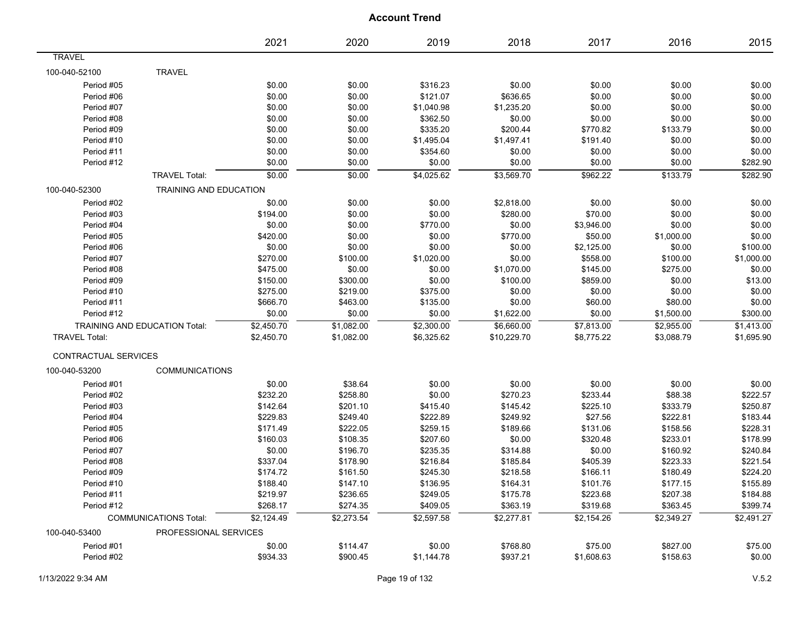|                      |                                      | 2021       | 2020       | 2019       | 2018        | 2017       | 2016       | 2015       |
|----------------------|--------------------------------------|------------|------------|------------|-------------|------------|------------|------------|
| <b>TRAVEL</b>        |                                      |            |            |            |             |            |            |            |
| 100-040-52100        | <b>TRAVEL</b>                        |            |            |            |             |            |            |            |
| Period #05           |                                      | \$0.00     | \$0.00     | \$316.23   | \$0.00      | \$0.00     | \$0.00     | \$0.00     |
| Period #06           |                                      | \$0.00     | \$0.00     | \$121.07   | \$636.65    | \$0.00     | \$0.00     | \$0.00     |
| Period #07           |                                      | \$0.00     | \$0.00     | \$1,040.98 | \$1,235.20  | \$0.00     | \$0.00     | \$0.00     |
| Period #08           |                                      | \$0.00     | \$0.00     | \$362.50   | \$0.00      | \$0.00     | \$0.00     | \$0.00     |
| Period #09           |                                      | \$0.00     | \$0.00     | \$335.20   | \$200.44    | \$770.82   | \$133.79   | \$0.00     |
| Period #10           |                                      | \$0.00     | \$0.00     | \$1,495.04 | \$1,497.41  | \$191.40   | \$0.00     | \$0.00     |
| Period #11           |                                      | \$0.00     | \$0.00     | \$354.60   | \$0.00      | \$0.00     | \$0.00     | \$0.00     |
| Period #12           |                                      | \$0.00     | \$0.00     | \$0.00     | \$0.00      | \$0.00     | \$0.00     | \$282.90   |
|                      | <b>TRAVEL Total:</b>                 | \$0.00     | \$0.00     | \$4,025.62 | \$3,569.70  | \$962.22   | \$133.79   | \$282.90   |
| 100-040-52300        | TRAINING AND EDUCATION               |            |            |            |             |            |            |            |
| Period #02           |                                      | \$0.00     | \$0.00     | \$0.00     | \$2,818.00  | \$0.00     | \$0.00     | \$0.00     |
| Period #03           |                                      | \$194.00   | \$0.00     | \$0.00     | \$280.00    | \$70.00    | \$0.00     | \$0.00     |
| Period #04           |                                      | \$0.00     | \$0.00     | \$770.00   | \$0.00      | \$3,946.00 | \$0.00     | \$0.00     |
| Period #05           |                                      | \$420.00   | \$0.00     | \$0.00     | \$770.00    | \$50.00    | \$1,000.00 | \$0.00     |
| Period #06           |                                      | \$0.00     | \$0.00     | \$0.00     | \$0.00      | \$2,125.00 | \$0.00     | \$100.00   |
| Period #07           |                                      | \$270.00   | \$100.00   | \$1,020.00 | \$0.00      | \$558.00   | \$100.00   | \$1,000.00 |
| Period #08           |                                      | \$475.00   | \$0.00     | \$0.00     | \$1,070.00  | \$145.00   | \$275.00   | \$0.00     |
| Period #09           |                                      | \$150.00   | \$300.00   | \$0.00     | \$100.00    | \$859.00   | \$0.00     | \$13.00    |
| Period #10           |                                      | \$275.00   | \$219.00   | \$375.00   | \$0.00      | \$0.00     | \$0.00     | \$0.00     |
| Period #11           |                                      | \$666.70   | \$463.00   | \$135.00   | \$0.00      | \$60.00    | \$80.00    | \$0.00     |
| Period #12           |                                      | \$0.00     | \$0.00     | \$0.00     | \$1,622.00  | \$0.00     | \$1,500.00 | \$300.00   |
|                      | <b>TRAINING AND EDUCATION Total:</b> | \$2,450.70 | \$1,082.00 | \$2,300.00 | \$6,660.00  | \$7,813.00 | \$2,955.00 | \$1,413.00 |
| <b>TRAVEL Total:</b> |                                      | \$2,450.70 | \$1,082.00 | \$6,325.62 | \$10,229.70 | \$8,775.22 | \$3,088.79 | \$1,695.90 |
| CONTRACTUAL SERVICES |                                      |            |            |            |             |            |            |            |
| 100-040-53200        | <b>COMMUNICATIONS</b>                |            |            |            |             |            |            |            |
| Period #01           |                                      | \$0.00     | \$38.64    | \$0.00     | \$0.00      | \$0.00     | \$0.00     | \$0.00     |
| Period #02           |                                      | \$232.20   | \$258.80   | \$0.00     | \$270.23    | \$233.44   | \$88.38    | \$222.57   |
| Period #03           |                                      | \$142.64   | \$201.10   | \$415.40   | \$145.42    | \$225.10   | \$333.79   | \$250.87   |
| Period #04           |                                      | \$229.83   | \$249.40   | \$222.89   | \$249.92    | \$27.56    | \$222.81   | \$183.44   |
| Period #05           |                                      | \$171.49   | \$222.05   | \$259.15   | \$189.66    | \$131.06   | \$158.56   | \$228.31   |
| Period #06           |                                      | \$160.03   | \$108.35   | \$207.60   | \$0.00      | \$320.48   | \$233.01   | \$178.99   |
| Period #07           |                                      | \$0.00     | \$196.70   | \$235.35   | \$314.88    | \$0.00     | \$160.92   | \$240.84   |
| Period #08           |                                      | \$337.04   | \$178.90   | \$216.84   | \$185.84    | \$405.39   | \$223.33   | \$221.54   |
| Period #09           |                                      | \$174.72   | \$161.50   | \$245.30   | \$218.58    | \$166.11   | \$180.49   | \$224.20   |
| Period #10           |                                      | \$188.40   | \$147.10   | \$136.95   | \$164.31    | \$101.76   | \$177.15   | \$155.89   |
| Period #11           |                                      | \$219.97   | \$236.65   | \$249.05   | \$175.78    | \$223.68   | \$207.38   | \$184.88   |
| Period #12           |                                      | \$268.17   | \$274.35   | \$409.05   | \$363.19    | \$319.68   | \$363.45   | \$399.74   |
|                      | <b>COMMUNICATIONS Total:</b>         | \$2,124.49 | \$2,273.54 | \$2,597.58 | \$2,277.81  | \$2,154.26 | \$2,349.27 | \$2,491.27 |
| 100-040-53400        | PROFESSIONAL SERVICES                |            |            |            |             |            |            |            |
| Period #01           |                                      | \$0.00     | \$114.47   | \$0.00     | \$768.80    | \$75.00    | \$827.00   | \$75.00    |
| Period #02           |                                      | \$934.33   | \$900.45   | \$1,144.78 | \$937.21    | \$1,608.63 | \$158.63   | \$0.00     |
|                      |                                      |            |            |            |             |            |            |            |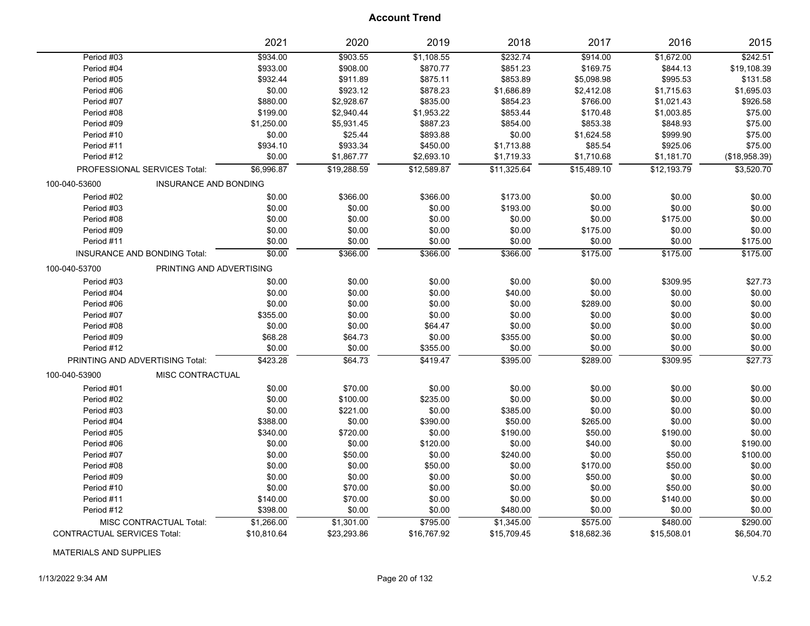|                                    |                              | 2021        | 2020        | 2019        | 2018        | 2017        | 2016        | 2015          |
|------------------------------------|------------------------------|-------------|-------------|-------------|-------------|-------------|-------------|---------------|
| Period #03                         |                              | \$934.00    | \$903.55    | \$1,108.55  | \$232.74    | \$914.00    | \$1,672.00  | \$242.51      |
| Period #04                         |                              | \$933.00    | \$908.00    | \$870.77    | \$851.23    | \$169.75    | \$844.13    | \$19,108.39   |
| Period #05                         |                              | \$932.44    | \$911.89    | \$875.11    | \$853.89    | \$5,098.98  | \$995.53    | \$131.58      |
| Period #06                         |                              | \$0.00      | \$923.12    | \$878.23    | \$1,686.89  | \$2,412.08  | \$1,715.63  | \$1,695.03    |
| Period #07                         |                              | \$880.00    | \$2,928.67  | \$835.00    | \$854.23    | \$766.00    | \$1,021.43  | \$926.58      |
| Period #08                         |                              | \$199.00    | \$2,940.44  | \$1,953.22  | \$853.44    | \$170.48    | \$1,003.85  | \$75.00       |
| Period #09                         |                              | \$1,250.00  | \$5,931.45  | \$887.23    | \$854.00    | \$853.38    | \$848.93    | \$75.00       |
| Period #10                         |                              | \$0.00      | \$25.44     | \$893.88    | \$0.00      | \$1,624.58  | \$999.90    | \$75.00       |
| Period #11                         |                              | \$934.10    | \$933.34    | \$450.00    | \$1,713.88  | \$85.54     | \$925.06    | \$75.00       |
| Period #12                         |                              | \$0.00      | \$1,867.77  | \$2,693.10  | \$1,719.33  | \$1,710.68  | \$1,181.70  | (\$18,958.39) |
| PROFESSIONAL SERVICES Total:       |                              | \$6,996.87  | \$19,288.59 | \$12,589.87 | \$11,325.64 | \$15,489.10 | \$12,193.79 | \$3,520.70    |
| 100-040-53600                      | <b>INSURANCE AND BONDING</b> |             |             |             |             |             |             |               |
| Period #02                         |                              | \$0.00      | \$366.00    | \$366.00    | \$173.00    | \$0.00      | \$0.00      | \$0.00        |
| Period #03                         |                              | \$0.00      | \$0.00      | \$0.00      | \$193.00    | \$0.00      | \$0.00      | \$0.00        |
| Period #08                         |                              | \$0.00      | \$0.00      | \$0.00      | \$0.00      | \$0.00      | \$175.00    | \$0.00        |
| Period #09                         |                              | \$0.00      | \$0.00      | \$0.00      | \$0.00      | \$175.00    | \$0.00      | \$0.00        |
| Period #11                         |                              | \$0.00      | \$0.00      | \$0.00      | \$0.00      | \$0.00      | \$0.00      | \$175.00      |
| INSURANCE AND BONDING Total:       |                              | \$0.00      | \$366.00    | \$366.00    | \$366.00    | \$175.00    | \$175.00    | \$175.00      |
| 100-040-53700                      | PRINTING AND ADVERTISING     |             |             |             |             |             |             |               |
| Period #03                         |                              | \$0.00      | \$0.00      | \$0.00      | \$0.00      | \$0.00      | \$309.95    | \$27.73       |
| Period #04                         |                              | \$0.00      | \$0.00      | \$0.00      | \$40.00     | \$0.00      | \$0.00      | \$0.00        |
| Period #06                         |                              | \$0.00      | \$0.00      | \$0.00      | \$0.00      | \$289.00    | \$0.00      | \$0.00        |
| Period #07                         |                              | \$355.00    | \$0.00      | \$0.00      | \$0.00      | \$0.00      | \$0.00      | \$0.00        |
| Period #08                         |                              | \$0.00      | \$0.00      | \$64.47     | \$0.00      | \$0.00      | \$0.00      | \$0.00        |
| Period #09                         |                              | \$68.28     | \$64.73     | \$0.00      | \$355.00    | \$0.00      | \$0.00      | \$0.00        |
| Period #12                         |                              | \$0.00      | \$0.00      | \$355.00    | \$0.00      | \$0.00      | \$0.00      | \$0.00        |
| PRINTING AND ADVERTISING Total:    |                              | \$423.28    | \$64.73     | \$419.47    | \$395.00    | \$289.00    | \$309.95    | \$27.73       |
| 100-040-53900                      | <b>MISC CONTRACTUAL</b>      |             |             |             |             |             |             |               |
| Period #01                         |                              | \$0.00      | \$70.00     | \$0.00      | \$0.00      | \$0.00      | \$0.00      | \$0.00        |
| Period #02                         |                              | \$0.00      | \$100.00    | \$235.00    | \$0.00      | \$0.00      | \$0.00      | \$0.00        |
| Period #03                         |                              | \$0.00      | \$221.00    | \$0.00      | \$385.00    | \$0.00      | \$0.00      | \$0.00        |
| Period #04                         |                              | \$388.00    | \$0.00      | \$390.00    | \$50.00     | \$265.00    | \$0.00      | \$0.00        |
| Period #05                         |                              | \$340.00    | \$720.00    | \$0.00      | \$190.00    | \$50.00     | \$190.00    | \$0.00        |
| Period #06                         |                              | \$0.00      | \$0.00      | \$120.00    | \$0.00      | \$40.00     | \$0.00      | \$190.00      |
| Period #07                         |                              | \$0.00      | \$50.00     | \$0.00      | \$240.00    | \$0.00      | \$50.00     | \$100.00      |
| Period #08                         |                              | \$0.00      | \$0.00      | \$50.00     | \$0.00      | \$170.00    | \$50.00     | \$0.00        |
| Period #09                         |                              | \$0.00      | \$0.00      | \$0.00      | \$0.00      | \$50.00     | \$0.00      | \$0.00        |
| Period #10                         |                              | \$0.00      | \$70.00     | \$0.00      | \$0.00      | \$0.00      | \$50.00     | \$0.00        |
| Period #11                         |                              | \$140.00    | \$70.00     | \$0.00      | \$0.00      | \$0.00      | \$140.00    | \$0.00        |
| Period #12                         |                              | \$398.00    | \$0.00      | \$0.00      | \$480.00    | \$0.00      | \$0.00      | \$0.00        |
|                                    | MISC CONTRACTUAL Total:      | \$1,266.00  | \$1,301.00  | \$795.00    | \$1,345.00  | \$575.00    | \$480.00    | \$290.00      |
| <b>CONTRACTUAL SERVICES Total:</b> |                              | \$10,810.64 | \$23,293.86 | \$16,767.92 | \$15,709.45 | \$18,682.36 | \$15,508.01 | \$6,504.70    |

MATERIALS AND SUPPLIES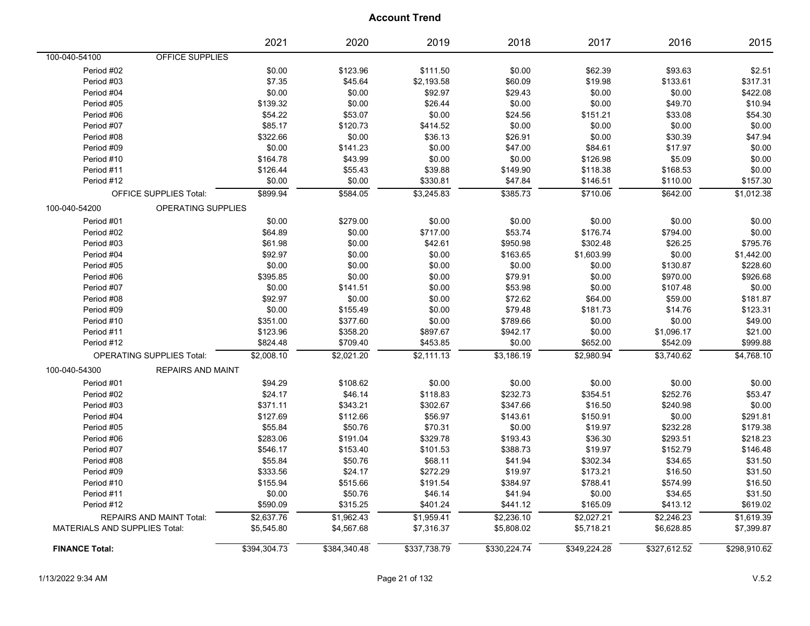|                                           | 2021         | 2020         | 2019         | 2018         | 2017         | 2016         | 2015         |
|-------------------------------------------|--------------|--------------|--------------|--------------|--------------|--------------|--------------|
| OFFICE SUPPLIES<br>100-040-54100          |              |              |              |              |              |              |              |
| Period #02                                | \$0.00       | \$123.96     | \$111.50     | \$0.00       | \$62.39      | \$93.63      | \$2.51       |
| Period #03                                | \$7.35       | \$45.64      | \$2,193.58   | \$60.09      | \$19.98      | \$133.61     | \$317.31     |
| Period #04                                | \$0.00       | \$0.00       | \$92.97      | \$29.43      | \$0.00       | \$0.00       | \$422.08     |
| Period #05                                | \$139.32     | \$0.00       | \$26.44      | \$0.00       | \$0.00       | \$49.70      | \$10.94      |
| Period #06                                | \$54.22      | \$53.07      | \$0.00       | \$24.56      | \$151.21     | \$33.08      | \$54.30      |
| Period #07                                | \$85.17      | \$120.73     | \$414.52     | \$0.00       | \$0.00       | \$0.00       | \$0.00       |
| Period #08                                | \$322.66     | \$0.00       | \$36.13      | \$26.91      | \$0.00       | \$30.39      | \$47.94      |
| Period #09                                | \$0.00       | \$141.23     | \$0.00       | \$47.00      | \$84.61      | \$17.97      | \$0.00       |
| Period #10                                | \$164.78     | \$43.99      | \$0.00       | \$0.00       | \$126.98     | \$5.09       | \$0.00       |
| Period #11                                | \$126.44     | \$55.43      | \$39.88      | \$149.90     | \$118.38     | \$168.53     | \$0.00       |
| Period #12                                | \$0.00       | \$0.00       | \$330.81     | \$47.84      | \$146.51     | \$110.00     | \$157.30     |
| OFFICE SUPPLIES Total:                    | \$899.94     | \$584.05     | \$3,245.83   | \$385.73     | \$710.06     | \$642.00     | \$1,012.38   |
| OPERATING SUPPLIES<br>100-040-54200       |              |              |              |              |              |              |              |
| Period #01                                | \$0.00       | \$279.00     | \$0.00       | \$0.00       | \$0.00       | \$0.00       | \$0.00       |
| Period #02                                | \$64.89      | \$0.00       | \$717.00     | \$53.74      | \$176.74     | \$794.00     | \$0.00       |
| Period #03                                | \$61.98      | \$0.00       | \$42.61      | \$950.98     | \$302.48     | \$26.25      | \$795.76     |
| Period #04                                | \$92.97      | \$0.00       | \$0.00       | \$163.65     | \$1,603.99   | \$0.00       | \$1,442.00   |
| Period #05                                | \$0.00       | \$0.00       | \$0.00       | \$0.00       | \$0.00       | \$130.87     | \$228.60     |
| Period #06                                | \$395.85     | \$0.00       | \$0.00       | \$79.91      | \$0.00       | \$970.00     | \$926.68     |
| Period #07                                | \$0.00       | \$141.51     | \$0.00       | \$53.98      | \$0.00       | \$107.48     | \$0.00       |
| Period #08                                | \$92.97      | \$0.00       | \$0.00       | \$72.62      | \$64.00      | \$59.00      | \$181.87     |
| Period #09                                | \$0.00       | \$155.49     | \$0.00       | \$79.48      | \$181.73     | \$14.76      | \$123.31     |
| Period #10                                | \$351.00     | \$377.60     | \$0.00       | \$789.66     | \$0.00       | \$0.00       | \$49.00      |
| Period #11                                | \$123.96     | \$358.20     | \$897.67     | \$942.17     | \$0.00       | \$1,096.17   | \$21.00      |
| Period #12                                | \$824.48     | \$709.40     | \$453.85     | \$0.00       | \$652.00     | \$542.09     | \$999.88     |
| <b>OPERATING SUPPLIES Total:</b>          | \$2,008.10   | \$2,021.20   | \$2,111.13   | \$3,186.19   | \$2,980.94   | \$3,740.62   | \$4,768.10   |
| 100-040-54300<br><b>REPAIRS AND MAINT</b> |              |              |              |              |              |              |              |
| Period #01                                | \$94.29      | \$108.62     | \$0.00       | \$0.00       | \$0.00       | \$0.00       | \$0.00       |
| Period #02                                | \$24.17      | \$46.14      | \$118.83     | \$232.73     | \$354.51     | \$252.76     | \$53.47      |
| Period #03                                | \$371.11     | \$343.21     | \$302.67     | \$347.66     | \$16.50      | \$240.98     | \$0.00       |
| Period #04                                | \$127.69     | \$112.66     | \$56.97      | \$143.61     | \$150.91     | \$0.00       | \$291.81     |
| Period #05                                | \$55.84      | \$50.76      | \$70.31      | \$0.00       | \$19.97      | \$232.28     | \$179.38     |
| Period #06                                | \$283.06     | \$191.04     | \$329.78     | \$193.43     | \$36.30      | \$293.51     | \$218.23     |
| Period #07                                | \$546.17     | \$153.40     | \$101.53     | \$388.73     | \$19.97      | \$152.79     | \$146.48     |
| Period #08                                | \$55.84      | \$50.76      | \$68.11      | \$41.94      | \$302.34     | \$34.65      | \$31.50      |
| Period #09                                | \$333.56     | \$24.17      | \$272.29     | \$19.97      | \$173.21     | \$16.50      | \$31.50      |
| Period #10                                | \$155.94     | \$515.66     | \$191.54     | \$384.97     | \$788.41     | \$574.99     | \$16.50      |
| Period #11                                | \$0.00       | \$50.76      | \$46.14      | \$41.94      | \$0.00       | \$34.65      | \$31.50      |
| Period #12                                | \$590.09     | \$315.25     | \$401.24     | \$441.12     | \$165.09     | \$413.12     | \$619.02     |
| REPAIRS AND MAINT Total:                  | \$2,637.76   | \$1,962.43   | \$1,959.41   | \$2,236.10   | \$2,027.21   | \$2,246.23   | \$1,619.39   |
| MATERIALS AND SUPPLIES Total:             | \$5,545.80   | \$4,567.68   | \$7,316.37   | \$5,808.02   | \$5,718.21   | \$6,628.85   | \$7,399.87   |
| <b>FINANCE Total:</b>                     | \$394,304.73 | \$384,340.48 | \$337,738.79 | \$330,224.74 | \$349,224.28 | \$327,612.52 | \$298,910.62 |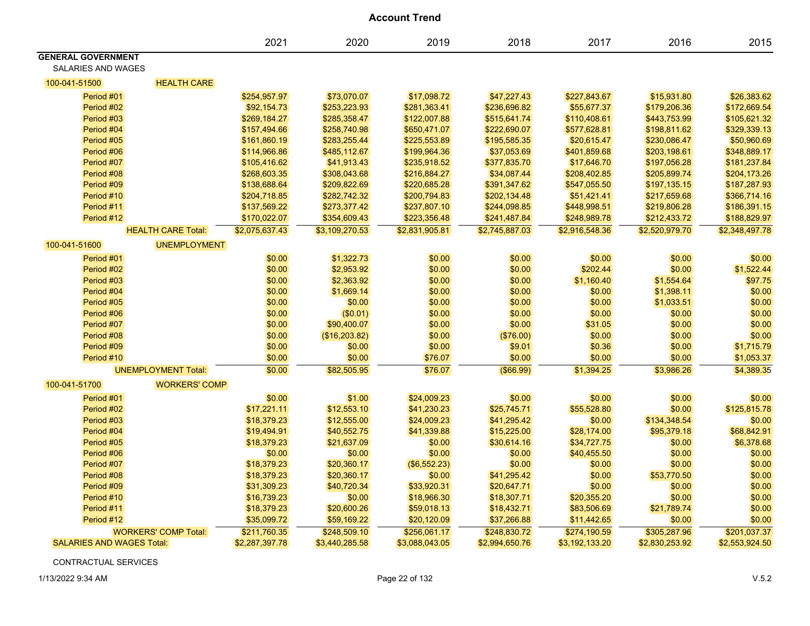| <b>Account Trend</b>                            |                             |                  |                |                  |                 |                   |                  |                  |  |
|-------------------------------------------------|-----------------------------|------------------|----------------|------------------|-----------------|-------------------|------------------|------------------|--|
|                                                 |                             | 2021             | 2020           | 2019             | 2018            | 2017              | 2016             | 2015             |  |
| <b>GENERAL GOVERNMENT</b><br>SALARIES AND WAGES |                             |                  |                |                  |                 |                   |                  |                  |  |
| 100-041-51500                                   | <b>HEALTH CARE</b>          |                  |                |                  |                 |                   |                  |                  |  |
| Period #01                                      |                             | \$254,957.97     | \$73,070.07    | \$17,098.72      | \$47,227.43     | \$227,843.67      | \$15,931.80      | \$26,383.62      |  |
| Period #02                                      |                             | \$92,154.73      | \$253,223.93   | \$281,363.41     | \$236,696.82    | \$55,677.37       | \$179,206.36     | \$172,669.54     |  |
| Period #03                                      |                             | \$269,184.27     | \$285,358.47   | \$122,007.88     | \$515,641.74    | \$110,408.61      | \$443,753.99     | \$105,621.32     |  |
| Period #04                                      |                             | \$157,494.66     | \$258,740.98   | \$650,471.07     | \$222,690.07    | \$577,628.81      | \$198,811.62     | \$329,339.13     |  |
| Period #05                                      |                             | \$161,860.19     | \$283,255.44   | \$225,553.89     | \$195,585.35    | \$20,615.47       | \$230,086.47     | \$50,960.69      |  |
| Period #06                                      |                             | \$114,966.86     | \$485,112.67   | \$199,964.36     | \$37,053.69     | \$401,859.68      | \$203,198.61     | \$348,889.17     |  |
| Period #07                                      |                             | \$105,416.62     | \$41,913.43    | \$235,918.52     | \$377,835.70    | \$17,646.70       | \$197,056.28     | \$181,237.84     |  |
| Period #08                                      |                             | \$268,603.35     | \$308,043.68   | \$216,884.27     | \$34,087.44     | \$208,402.85      | \$205,899.74     | \$204,173.26     |  |
| Period #09                                      |                             | \$138,688.64     | \$209,822.69   | \$220,685.28     | \$391,347.62    | \$547,055.50      | \$197,135.15     | \$187,287.93     |  |
| Period #10                                      |                             | \$204,718.85     | \$282,742.32   | \$200,794.83     | \$202,134.48    | \$51,421.41       | \$217,659.68     | \$366,714.16     |  |
| Period #11                                      |                             | \$137,569.22     | \$273,377.42   | \$237,807.10     | \$244,098.85    | \$448,998.51      | \$219,806.28     | \$186,391.15     |  |
| Period #12                                      |                             | \$170,022.07     | \$354,609.43   | \$223,356.48     | \$241,487.84    | \$248,989.78      | \$212,433.72     | \$188,829.97     |  |
|                                                 | <b>HEALTH CARE Total:</b>   | \$2,075,637.43   | \$3,109,270.53 | \$2,831,905.81   | \$2,745,887.03  | \$2,916,548.36    | \$2,520,979.70   | \$2,348,497.78   |  |
| 100-041-51600                                   | <b>UNEMPLOYMENT</b>         |                  |                |                  |                 |                   |                  |                  |  |
| Period #01                                      |                             | \$0.00           | \$1,322.73     | \$0.00           | \$0.00          | \$0.00            | \$0.00           | \$0.00           |  |
| Period #02                                      |                             | \$0.00           |                |                  |                 |                   |                  |                  |  |
| Period #03                                      |                             |                  | \$2,953.92     | \$0.00           | \$0.00          | \$202.44          | \$0.00           | \$1,522.44       |  |
|                                                 |                             | \$0.00           | \$2,363.92     | \$0.00           | \$0.00          | \$1,160.40        | \$1,554.64       | \$97.75          |  |
| Period #04                                      |                             | \$0.00           | \$1,669.14     | \$0.00           | \$0.00          | \$0.00            | \$1,398.11       | \$0.00           |  |
| Period #05                                      |                             | \$0.00           | \$0.00         | \$0.00           | \$0.00          | \$0.00            | \$1,033.51       | \$0.00           |  |
| Period #06<br>Period #07                        |                             | \$0.00           | (\$0.01)       | \$0.00           | \$0.00          | \$0.00            | \$0.00           | \$0.00           |  |
| Period #08                                      |                             | \$0.00<br>\$0.00 | \$90,400.07    | \$0.00<br>\$0.00 | \$0.00          | \$31.05<br>\$0.00 | \$0.00<br>\$0.00 | \$0.00<br>\$0.00 |  |
| Period #09                                      |                             |                  | (\$16,203.82)  |                  | (\$76.00)       |                   |                  |                  |  |
|                                                 |                             | \$0.00           | \$0.00         | \$0.00           | \$9.01          | \$0.36            | \$0.00           | \$1,715.79       |  |
| Period #10                                      |                             | \$0.00           | \$0.00         | \$76.07          | \$0.00          | \$0.00            | \$0.00           | \$1,053.37       |  |
|                                                 | <b>UNEMPLOYMENT Total:</b>  | \$0.00           | \$82,505.95    | \$76.07          | $($ \$66.99 $)$ | \$1,394.25        | \$3,986.26       | \$4,389.35       |  |
| 100-041-51700                                   | <b>WORKERS' COMP</b>        |                  |                |                  |                 |                   |                  |                  |  |
| Period #01                                      |                             | \$0.00           | \$1.00         | \$24,009.23      | \$0.00          | \$0.00            | \$0.00           | \$0.00           |  |
| Period #02                                      |                             | \$17,221.11      | \$12,553.10    | \$41,230.23      | \$25,745.71     | \$55,528.80       | \$0.00           | \$125,815.78     |  |
| Period #03                                      |                             | \$18,379.23      | \$12,555.00    | \$24,009.23      | \$41,295.42     | \$0.00            | \$134,348.54     | \$0.00           |  |
| Period #04                                      |                             | \$19,494.91      | \$40,552.75    | \$41,339.88      | \$15,225.00     | \$28,174.00       | \$95,379.18      | \$68,842.91      |  |
| Period #05                                      |                             | \$18,379.23      | \$21,637.09    | \$0.00           | \$30,614.16     | \$34,727.75       | \$0.00           | \$6,378.68       |  |
| Period #06                                      |                             | \$0.00           | \$0.00         | \$0.00           | \$0.00          | \$40,455.50       | \$0.00           | \$0.00           |  |
| Period #07                                      |                             | \$18,379.23      | \$20,360.17    | (\$6,552.23)     | \$0.00          | \$0.00            | \$0.00           | \$0.00           |  |
| Period #08                                      |                             | \$18,379.23      | \$20,360.17    | \$0.00           | \$41,295.42     | \$0.00            | \$53,770.50      | \$0.00           |  |
| Period #09                                      |                             | \$31,309.23      | \$40,720.34    | \$33,920.31      | \$20,647.71     | \$0.00            | \$0.00           | \$0.00           |  |
| Period #10                                      |                             | \$16,739.23      | \$0.00         | \$18,966.30      | \$18,307.71     | \$20,355.20       | \$0.00           | \$0.00           |  |
| Period #11                                      |                             | \$18,379.23      | \$20,600.26    | \$59,018.13      | \$18,432.71     | \$83,506.69       | \$21,789.74      | \$0.00           |  |
| Period #12                                      |                             | \$35,099.72      | \$59,169.22    | \$20,120.09      | \$37,266.88     | \$11,442.65       | \$0.00           | \$0.00           |  |
|                                                 | <b>WORKERS' COMP Total:</b> | \$211,760.35     | \$248,509.10   | \$256,061.17     | \$248,830.72    | \$274,190.59      | \$305,287.96     | \$201,037.37     |  |
| <b>SALARIES AND WAGES Total:</b>                |                             | \$2,287,397.78   | \$3,440,285.58 | \$3,088,043.05   | \$2,994,650.76  | \$3,192,133.20    | \$2,830,253.92   | \$2,553,924.50   |  |

CONTRACTUAL SERVICES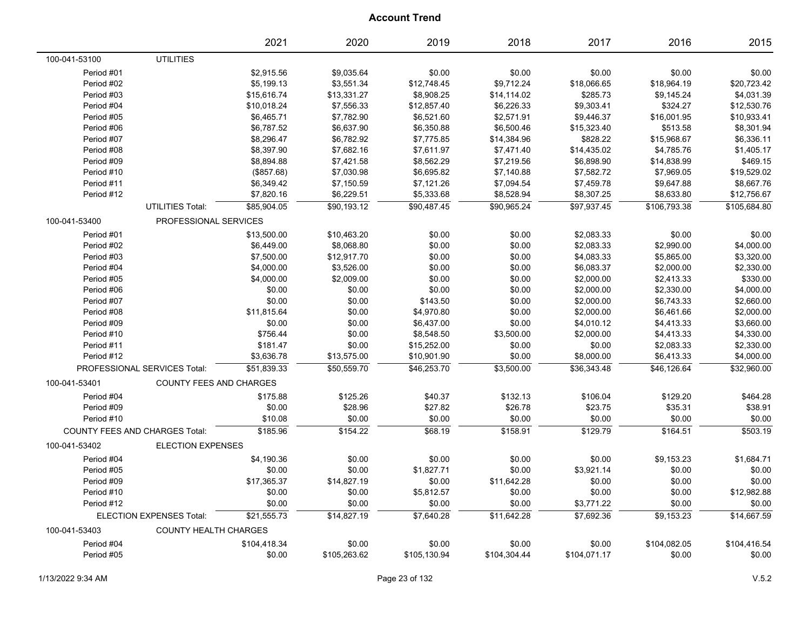|               |                                       | 2021         | 2020         | 2019         | 2018         | 2017         | 2016         | 2015         |
|---------------|---------------------------------------|--------------|--------------|--------------|--------------|--------------|--------------|--------------|
| 100-041-53100 | <b>UTILITIES</b>                      |              |              |              |              |              |              |              |
| Period #01    |                                       | \$2,915.56   | \$9,035.64   | \$0.00       | \$0.00       | \$0.00       | \$0.00       | \$0.00       |
| Period #02    |                                       | \$5,199.13   | \$3,551.34   | \$12,748.45  | \$9,712.24   | \$18,066.65  | \$18,964.19  | \$20,723.42  |
| Period #03    |                                       | \$15,616.74  | \$13,331.27  | \$8,908.25   | \$14,114.02  | \$285.73     | \$9,145.24   | \$4,031.39   |
| Period #04    |                                       | \$10,018.24  | \$7,556.33   | \$12,857.40  | \$6,226.33   | \$9,303.41   | \$324.27     | \$12,530.76  |
| Period #05    |                                       | \$6,465.71   | \$7,782.90   | \$6,521.60   | \$2,571.91   | \$9,446.37   | \$16,001.95  | \$10,933.41  |
| Period #06    |                                       | \$6,787.52   | \$6,637.90   | \$6,350.88   | \$6,500.46   | \$15,323.40  | \$513.58     | \$8,301.94   |
| Period #07    |                                       | \$8,296.47   | \$6,782.92   | \$7,775.85   | \$14,384.96  | \$828.22     | \$15,968.67  | \$6,336.11   |
| Period #08    |                                       | \$8,397.90   | \$7,682.16   | \$7,611.97   | \$7,471.40   | \$14,435.02  | \$4,785.76   | \$1,405.17   |
| Period #09    |                                       | \$8,894.88   | \$7,421.58   | \$8,562.29   | \$7,219.56   | \$6,898.90   | \$14,838.99  | \$469.15     |
| Period #10    |                                       | (\$857.68)   | \$7,030.98   | \$6,695.82   | \$7,140.88   | \$7,582.72   | \$7,969.05   | \$19,529.02  |
| Period #11    |                                       | \$6,349.42   | \$7,150.59   | \$7,121.26   | \$7,094.54   | \$7,459.78   | \$9,647.88   | \$8,667.76   |
| Period #12    |                                       | \$7,820.16   | \$6,229.51   | \$5,333.68   | \$8,528.94   | \$8,307.25   | \$8,633.80   | \$12,756.67  |
|               | <b>UTILITIES Total:</b>               | \$85.904.05  | \$90.193.12  | \$90.487.45  | \$90,965.24  | \$97.937.45  | \$106,793.38 | \$105,684.80 |
| 100-041-53400 | PROFESSIONAL SERVICES                 |              |              |              |              |              |              |              |
| Period #01    |                                       | \$13,500.00  | \$10,463.20  | \$0.00       | \$0.00       | \$2,083.33   | \$0.00       | \$0.00       |
| Period #02    |                                       | \$6,449.00   | \$8,068.80   | \$0.00       | \$0.00       | \$2,083.33   | \$2,990.00   | \$4,000.00   |
| Period #03    |                                       | \$7,500.00   | \$12,917.70  | \$0.00       | \$0.00       | \$4,083.33   | \$5,865.00   | \$3,320.00   |
| Period #04    |                                       | \$4,000.00   | \$3,526.00   | \$0.00       | \$0.00       | \$6,083.37   | \$2,000.00   | \$2,330.00   |
| Period #05    |                                       | \$4,000.00   | \$2,009.00   | \$0.00       | \$0.00       | \$2,000.00   | \$2,413.33   | \$330.00     |
| Period #06    |                                       | \$0.00       | \$0.00       | \$0.00       | \$0.00       | \$2,000.00   | \$2,330.00   | \$4,000.00   |
| Period #07    |                                       | \$0.00       | \$0.00       | \$143.50     | \$0.00       | \$2,000.00   | \$6,743.33   | \$2,660.00   |
| Period #08    |                                       | \$11,815.64  | \$0.00       | \$4,970.80   | \$0.00       | \$2,000.00   | \$6,461.66   | \$2,000.00   |
| Period #09    |                                       | \$0.00       | \$0.00       | \$6,437.00   | \$0.00       | \$4,010.12   | \$4,413.33   | \$3,660.00   |
| Period #10    |                                       | \$756.44     | \$0.00       | \$8,548.50   | \$3,500.00   | \$2,000.00   | \$4,413.33   | \$4,330.00   |
| Period #11    |                                       | \$181.47     | \$0.00       | \$15,252.00  | \$0.00       | \$0.00       | \$2,083.33   | \$2,330.00   |
| Period #12    |                                       | \$3,636.78   | \$13,575.00  | \$10,901.90  | \$0.00       | \$8,000.00   | \$6,413.33   | \$4,000.00   |
|               | PROFESSIONAL SERVICES Total:          | \$51,839.33  | \$50,559.70  | \$46,253.70  | \$3,500.00   | \$36,343.48  | \$46,126.64  | \$32,960.00  |
| 100-041-53401 | <b>COUNTY FEES AND CHARGES</b>        |              |              |              |              |              |              |              |
| Period #04    |                                       | \$175.88     | \$125.26     | \$40.37      | \$132.13     | \$106.04     | \$129.20     | \$464.28     |
| Period #09    |                                       | \$0.00       | \$28.96      | \$27.82      | \$26.78      | \$23.75      | \$35.31      | \$38.91      |
| Period #10    |                                       | \$10.08      | \$0.00       | \$0.00       | \$0.00       | \$0.00       | \$0.00       | \$0.00       |
|               | <b>COUNTY FEES AND CHARGES Total:</b> | \$185.96     | \$154.22     | \$68.19      | \$158.91     | \$129.79     | \$164.51     | \$503.19     |
| 100-041-53402 | <b>ELECTION EXPENSES</b>              |              |              |              |              |              |              |              |
| Period #04    |                                       | \$4,190.36   | \$0.00       | \$0.00       | \$0.00       | \$0.00       | \$9,153.23   | \$1,684.71   |
| Period #05    |                                       | \$0.00       | \$0.00       | \$1,827.71   | \$0.00       | \$3,921.14   | \$0.00       | \$0.00       |
| Period #09    |                                       | \$17,365.37  | \$14,827.19  | \$0.00       | \$11,642.28  | \$0.00       | \$0.00       | \$0.00       |
| Period #10    |                                       | \$0.00       | \$0.00       | \$5,812.57   | \$0.00       | \$0.00       | \$0.00       | \$12,982.88  |
| Period #12    |                                       | \$0.00       | \$0.00       | \$0.00       | \$0.00       | \$3,771.22   | \$0.00       | \$0.00       |
|               | ELECTION EXPENSES Total:              | \$21,555.73  | \$14,827.19  | \$7,640.28   | \$11,642.28  | \$7,692.36   | \$9,153.23   | \$14,667.59  |
| 100-041-53403 | <b>COUNTY HEALTH CHARGES</b>          |              |              |              |              |              |              |              |
| Period #04    |                                       | \$104,418.34 | \$0.00       | \$0.00       | \$0.00       | \$0.00       | \$104,082.05 | \$104,416.54 |
| Period #05    |                                       | \$0.00       | \$105,263.62 | \$105,130.94 | \$104,304.44 | \$104,071.17 | \$0.00       | \$0.00       |
|               |                                       |              |              |              |              |              |              |              |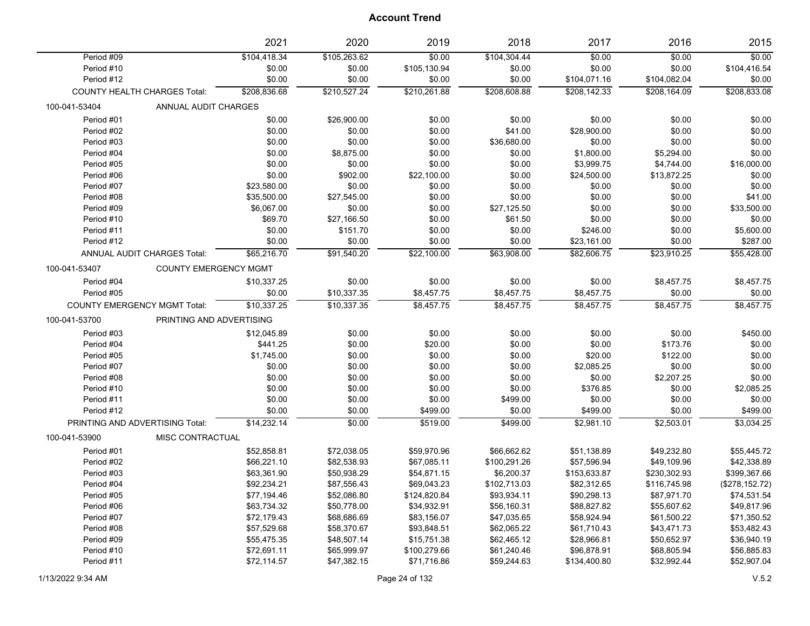|               |                                     | 2021         | 2020         | 2019         | 2018         | 2017         | 2016         | 2015            |
|---------------|-------------------------------------|--------------|--------------|--------------|--------------|--------------|--------------|-----------------|
| Period #09    |                                     | \$104,418.34 | \$105,263.62 | \$0.00       | \$104,304.44 | \$0.00       | \$0.00       | \$0.00          |
| Period #10    |                                     | \$0.00       | \$0.00       | \$105,130.94 | \$0.00       | \$0.00       | \$0.00       | \$104,416.54    |
| Period #12    |                                     | \$0.00       | \$0.00       | \$0.00       | \$0.00       | \$104,071.16 | \$104,082.04 | \$0.00          |
|               | <b>COUNTY HEALTH CHARGES Total:</b> | \$208,836.68 | \$210,527.24 | \$210,261.88 | \$208,608.88 | \$208,142.33 | \$208,164.09 | \$208,833.08    |
| 100-041-53404 | ANNUAL AUDIT CHARGES                |              |              |              |              |              |              |                 |
| Period #01    |                                     | \$0.00       | \$26,900.00  | \$0.00       | \$0.00       | \$0.00       | \$0.00       | \$0.00          |
| Period #02    |                                     | \$0.00       | \$0.00       | \$0.00       | \$41.00      | \$28,900.00  | \$0.00       | \$0.00          |
| Period #03    |                                     | \$0.00       | \$0.00       | \$0.00       | \$36,680.00  | \$0.00       | \$0.00       | \$0.00          |
| Period #04    |                                     | \$0.00       | \$8,875.00   | \$0.00       | \$0.00       | \$1,800.00   | \$5,294.00   | \$0.00          |
| Period #05    |                                     | \$0.00       | \$0.00       | \$0.00       | \$0.00       | \$3,999.75   | \$4,744.00   | \$16,000.00     |
| Period #06    |                                     | \$0.00       | \$902.00     | \$22,100.00  | \$0.00       | \$24,500.00  | \$13,872.25  | \$0.00          |
| Period #07    |                                     | \$23,580.00  | \$0.00       | \$0.00       | \$0.00       | \$0.00       | \$0.00       | \$0.00          |
| Period #08    |                                     | \$35,500.00  | \$27,545.00  | \$0.00       | \$0.00       | \$0.00       | \$0.00       | \$41.00         |
| Period #09    |                                     | \$6,067.00   | \$0.00       | \$0.00       | \$27,125.50  | \$0.00       | \$0.00       | \$33,500.00     |
| Period #10    |                                     | \$69.70      | \$27,166.50  | \$0.00       | \$61.50      | \$0.00       | \$0.00       | \$0.00          |
| Period #11    |                                     | \$0.00       | \$151.70     | \$0.00       | \$0.00       | \$246.00     | \$0.00       | \$5,600.00      |
| Period #12    |                                     | \$0.00       | \$0.00       | \$0.00       | \$0.00       | \$23,161.00  | \$0.00       | \$287.00        |
|               | <b>ANNUAL AUDIT CHARGES Total:</b>  | \$65,216.70  | \$91.540.20  | \$22,100.00  | \$63,908.00  | \$82.606.75  | \$23,910.25  | \$55.428.00     |
| 100-041-53407 | <b>COUNTY EMERGENCY MGMT</b>        |              |              |              |              |              |              |                 |
| Period #04    |                                     | \$10,337.25  | \$0.00       | \$0.00       | \$0.00       | \$0.00       | \$8,457.75   | \$8,457.75      |
| Period #05    |                                     | \$0.00       | \$10,337.35  | \$8,457.75   | \$8,457.75   | \$8,457.75   | \$0.00       | \$0.00          |
|               | <b>COUNTY EMERGENCY MGMT Total:</b> | \$10,337.25  | \$10,337.35  | \$8,457.75   | \$8,457.75   | \$8,457.75   | \$8,457.75   | \$8,457.75      |
| 100-041-53700 | PRINTING AND ADVERTISING            |              |              |              |              |              |              |                 |
| Period #03    |                                     | \$12,045.89  | \$0.00       | \$0.00       | \$0.00       | \$0.00       | \$0.00       | \$450.00        |
| Period #04    |                                     | \$441.25     | \$0.00       | \$20.00      | \$0.00       | \$0.00       | \$173.76     | \$0.00          |
| Period #05    |                                     | \$1,745.00   | \$0.00       | \$0.00       | \$0.00       | \$20.00      | \$122.00     | \$0.00          |
| Period #07    |                                     | \$0.00       | \$0.00       | \$0.00       | \$0.00       | \$2,085.25   | \$0.00       | \$0.00          |
| Period #08    |                                     | \$0.00       | \$0.00       | \$0.00       | \$0.00       | \$0.00       | \$2,207.25   | \$0.00          |
| Period #10    |                                     | \$0.00       | \$0.00       | \$0.00       | \$0.00       | \$376.85     | \$0.00       | \$2,085.25      |
| Period #11    |                                     | \$0.00       | \$0.00       | \$0.00       | \$499.00     | \$0.00       | \$0.00       | \$0.00          |
| Period #12    |                                     | \$0.00       | \$0.00       | \$499.00     | \$0.00       | \$499.00     | \$0.00       | \$499.00        |
|               | PRINTING AND ADVERTISING Total:     | \$14,232.14  | \$0.00       | \$519.00     | \$499.00     | \$2,981.10   | \$2,503.01   | \$3,034.25      |
| 100-041-53900 | MISC CONTRACTUAL                    |              |              |              |              |              |              |                 |
| Period #01    |                                     | \$52,858.81  | \$72,038.05  | \$59,970.96  | \$66,662.62  | \$51,138.89  | \$49,232.80  | \$55,445.72     |
| Period #02    |                                     | \$66,221.10  | \$82,538.93  | \$67,085.11  | \$100,291.26 | \$57,596.94  | \$49,109.96  | \$42,338.89     |
| Period #03    |                                     | \$63,361.90  | \$50,938.29  | \$54,871.15  | \$6,200.37   | \$153,633.87 | \$230,302.93 | \$399,367.66    |
| Period #04    |                                     | \$92,234.21  | \$87,556.43  | \$69,043.23  | \$102,713.03 | \$82,312.65  | \$116,745.98 | (\$278, 152.72) |
| Period #05    |                                     | \$77,194.46  | \$52,086.80  | \$124,820.84 | \$93,934.11  | \$90,298.13  | \$87,971.70  | \$74,531.54     |
| Period #06    |                                     | \$63,734.32  | \$50,778.00  | \$34,932.91  | \$56,160.31  | \$88,827.82  | \$55,607.62  | \$49,817.96     |
| Period #07    |                                     | \$72,179.43  | \$68,686.69  | \$83,156.07  | \$47,035.65  | \$58,924.94  | \$61,500.22  | \$71,350.52     |
| Period #08    |                                     | \$57,529.68  | \$58,370.67  | \$93,848.51  | \$62,065.22  | \$61,710.43  | \$43,471.73  | \$53,482.43     |
| Period #09    |                                     | \$55,475.35  | \$48,507.14  | \$15,751.38  | \$62,465.12  | \$28,966.81  | \$50,652.97  | \$36,940.19     |
| Period #10    |                                     | \$72,691.11  | \$65,999.97  | \$100,279.66 | \$61,240.46  | \$96,878.91  | \$68,805.94  | \$56,885.83     |
| Period #11    |                                     | \$72,114.57  | \$47,382.15  | \$71,716.86  | \$59,244.63  | \$134,400.80 | \$32,992.44  | \$52,907.04     |
|               |                                     |              |              |              |              |              |              |                 |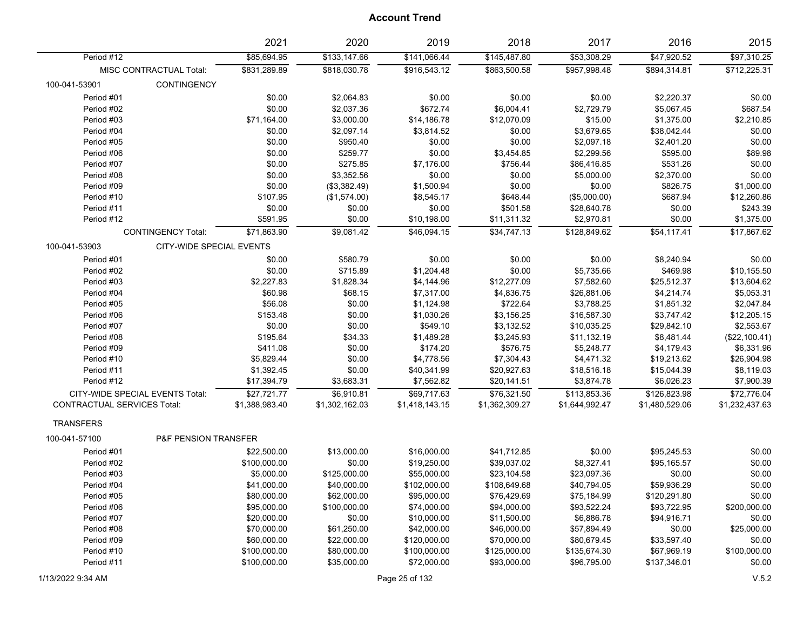| \$85,694.95<br>\$133,147.66<br>\$141,066.44<br>\$145,487.80<br>\$53,308.29<br>\$47,920.52<br>\$97,310.25<br>Period #12<br>\$831.289.89<br>\$818.030.78<br>\$916.543.12<br>\$863,500.58<br>\$957,998.48<br>\$894,314.81<br>MISC CONTRACTUAL Total:<br>\$712,225.31<br>100-041-53901<br><b>CONTINGENCY</b><br>Period #01<br>\$0.00<br>\$2,220.37<br>\$0.00<br>\$2,064.83<br>\$0.00<br>\$0.00<br>\$0.00<br>\$0.00<br>\$2,037.36<br>\$687.54<br>Period #02<br>\$672.74<br>\$6,004.41<br>\$2,729.79<br>\$5,067.45<br>\$71,164.00<br>\$3,000.00<br>\$14,186.78<br>\$12,070.09<br>\$15.00<br>\$1,375.00<br>\$2,210.85<br>Period #03<br>Period #04<br>\$0.00<br>\$2,097.14<br>\$3,814.52<br>\$0.00<br>\$3,679.65<br>\$38,042.44<br>\$0.00<br>Period #05<br>\$0.00<br>\$950.40<br>\$0.00<br>\$0.00<br>\$2,097.18<br>\$2,401.20<br>\$0.00<br>\$89.98<br>\$0.00<br>\$259.77<br>\$0.00<br>\$3,454.85<br>\$2,299.56<br>\$595.00<br>Period #06<br>\$275.85<br>\$756.44<br>\$531.26<br>\$0.00<br>Period #07<br>\$0.00<br>\$7,176.00<br>\$86,416.85<br>\$3,352.56<br>\$0.00<br>Period #08<br>\$0.00<br>\$0.00<br>\$0.00<br>\$5,000.00<br>\$2,370.00<br>\$0.00<br>\$1,000.00<br>Period #09<br>\$0.00<br>(\$3,382.49)<br>\$1,500.94<br>\$0.00<br>\$826.75<br>\$687.94<br>\$12,260.86<br>Period #10<br>\$107.95<br>\$8,545.17<br>\$648.44<br>(\$5,000.00)<br>(\$1,574.00)<br>Period #11<br>\$0.00<br>\$0.00<br>\$501.58<br>\$28,640.78<br>\$0.00<br>\$243.39<br>\$0.00<br>Period #12<br>\$591.95<br>\$0.00<br>\$10,198.00<br>\$11,311.32<br>\$2,970.81<br>\$0.00<br>\$1,375.00<br>\$34,747.13<br><b>CONTINGENCY Total:</b><br>\$71,863.90<br>\$9,081.42<br>\$46,094.15<br>\$128,849.62<br>\$54,117.41<br>\$17,867.62<br>100-041-53903<br>CITY-WIDE SPECIAL EVENTS<br>\$0.00<br>\$0.00<br>Period #01<br>\$0.00<br>\$580.79<br>\$0.00<br>\$8,240.94<br>\$0.00<br>\$0.00<br>\$715.89<br>\$1,204.48<br>\$0.00<br>\$5,735.66<br>\$469.98<br>\$10,155.50<br>Period #02<br>\$2,227.83<br>\$1,828.34<br>\$4,144.96<br>\$13,604.62<br>Period #03<br>\$12,277.09<br>\$7,582.60<br>\$25,512.37<br>\$60.98<br>\$4,836.75<br>\$5,053.31<br>Period #04<br>\$68.15<br>\$7,317.00<br>\$26,881.06<br>\$4,214.74<br>\$56.08<br>\$0.00<br>\$1,124.98<br>\$722.64<br>\$3,788.25<br>\$1,851.32<br>\$2,047.84<br>Period #05<br>\$153.48<br>\$0.00<br>\$1,030.26<br>\$3,156.25<br>\$16,587.30<br>\$3,747.42<br>\$12,205.15<br>Period #06 |
|------------------------------------------------------------------------------------------------------------------------------------------------------------------------------------------------------------------------------------------------------------------------------------------------------------------------------------------------------------------------------------------------------------------------------------------------------------------------------------------------------------------------------------------------------------------------------------------------------------------------------------------------------------------------------------------------------------------------------------------------------------------------------------------------------------------------------------------------------------------------------------------------------------------------------------------------------------------------------------------------------------------------------------------------------------------------------------------------------------------------------------------------------------------------------------------------------------------------------------------------------------------------------------------------------------------------------------------------------------------------------------------------------------------------------------------------------------------------------------------------------------------------------------------------------------------------------------------------------------------------------------------------------------------------------------------------------------------------------------------------------------------------------------------------------------------------------------------------------------------------------------------------------------------------------------------------------------------------------------------------------------------------------------------------------------------------------------------------------------------------------------------------------------------------------------------------------------------------------------------------------------------------------------------------------------------------------------------------------------------------------------------------|
|                                                                                                                                                                                                                                                                                                                                                                                                                                                                                                                                                                                                                                                                                                                                                                                                                                                                                                                                                                                                                                                                                                                                                                                                                                                                                                                                                                                                                                                                                                                                                                                                                                                                                                                                                                                                                                                                                                                                                                                                                                                                                                                                                                                                                                                                                                                                                                                                |
|                                                                                                                                                                                                                                                                                                                                                                                                                                                                                                                                                                                                                                                                                                                                                                                                                                                                                                                                                                                                                                                                                                                                                                                                                                                                                                                                                                                                                                                                                                                                                                                                                                                                                                                                                                                                                                                                                                                                                                                                                                                                                                                                                                                                                                                                                                                                                                                                |
|                                                                                                                                                                                                                                                                                                                                                                                                                                                                                                                                                                                                                                                                                                                                                                                                                                                                                                                                                                                                                                                                                                                                                                                                                                                                                                                                                                                                                                                                                                                                                                                                                                                                                                                                                                                                                                                                                                                                                                                                                                                                                                                                                                                                                                                                                                                                                                                                |
|                                                                                                                                                                                                                                                                                                                                                                                                                                                                                                                                                                                                                                                                                                                                                                                                                                                                                                                                                                                                                                                                                                                                                                                                                                                                                                                                                                                                                                                                                                                                                                                                                                                                                                                                                                                                                                                                                                                                                                                                                                                                                                                                                                                                                                                                                                                                                                                                |
|                                                                                                                                                                                                                                                                                                                                                                                                                                                                                                                                                                                                                                                                                                                                                                                                                                                                                                                                                                                                                                                                                                                                                                                                                                                                                                                                                                                                                                                                                                                                                                                                                                                                                                                                                                                                                                                                                                                                                                                                                                                                                                                                                                                                                                                                                                                                                                                                |
|                                                                                                                                                                                                                                                                                                                                                                                                                                                                                                                                                                                                                                                                                                                                                                                                                                                                                                                                                                                                                                                                                                                                                                                                                                                                                                                                                                                                                                                                                                                                                                                                                                                                                                                                                                                                                                                                                                                                                                                                                                                                                                                                                                                                                                                                                                                                                                                                |
|                                                                                                                                                                                                                                                                                                                                                                                                                                                                                                                                                                                                                                                                                                                                                                                                                                                                                                                                                                                                                                                                                                                                                                                                                                                                                                                                                                                                                                                                                                                                                                                                                                                                                                                                                                                                                                                                                                                                                                                                                                                                                                                                                                                                                                                                                                                                                                                                |
|                                                                                                                                                                                                                                                                                                                                                                                                                                                                                                                                                                                                                                                                                                                                                                                                                                                                                                                                                                                                                                                                                                                                                                                                                                                                                                                                                                                                                                                                                                                                                                                                                                                                                                                                                                                                                                                                                                                                                                                                                                                                                                                                                                                                                                                                                                                                                                                                |
|                                                                                                                                                                                                                                                                                                                                                                                                                                                                                                                                                                                                                                                                                                                                                                                                                                                                                                                                                                                                                                                                                                                                                                                                                                                                                                                                                                                                                                                                                                                                                                                                                                                                                                                                                                                                                                                                                                                                                                                                                                                                                                                                                                                                                                                                                                                                                                                                |
|                                                                                                                                                                                                                                                                                                                                                                                                                                                                                                                                                                                                                                                                                                                                                                                                                                                                                                                                                                                                                                                                                                                                                                                                                                                                                                                                                                                                                                                                                                                                                                                                                                                                                                                                                                                                                                                                                                                                                                                                                                                                                                                                                                                                                                                                                                                                                                                                |
|                                                                                                                                                                                                                                                                                                                                                                                                                                                                                                                                                                                                                                                                                                                                                                                                                                                                                                                                                                                                                                                                                                                                                                                                                                                                                                                                                                                                                                                                                                                                                                                                                                                                                                                                                                                                                                                                                                                                                                                                                                                                                                                                                                                                                                                                                                                                                                                                |
|                                                                                                                                                                                                                                                                                                                                                                                                                                                                                                                                                                                                                                                                                                                                                                                                                                                                                                                                                                                                                                                                                                                                                                                                                                                                                                                                                                                                                                                                                                                                                                                                                                                                                                                                                                                                                                                                                                                                                                                                                                                                                                                                                                                                                                                                                                                                                                                                |
|                                                                                                                                                                                                                                                                                                                                                                                                                                                                                                                                                                                                                                                                                                                                                                                                                                                                                                                                                                                                                                                                                                                                                                                                                                                                                                                                                                                                                                                                                                                                                                                                                                                                                                                                                                                                                                                                                                                                                                                                                                                                                                                                                                                                                                                                                                                                                                                                |
|                                                                                                                                                                                                                                                                                                                                                                                                                                                                                                                                                                                                                                                                                                                                                                                                                                                                                                                                                                                                                                                                                                                                                                                                                                                                                                                                                                                                                                                                                                                                                                                                                                                                                                                                                                                                                                                                                                                                                                                                                                                                                                                                                                                                                                                                                                                                                                                                |
|                                                                                                                                                                                                                                                                                                                                                                                                                                                                                                                                                                                                                                                                                                                                                                                                                                                                                                                                                                                                                                                                                                                                                                                                                                                                                                                                                                                                                                                                                                                                                                                                                                                                                                                                                                                                                                                                                                                                                                                                                                                                                                                                                                                                                                                                                                                                                                                                |
|                                                                                                                                                                                                                                                                                                                                                                                                                                                                                                                                                                                                                                                                                                                                                                                                                                                                                                                                                                                                                                                                                                                                                                                                                                                                                                                                                                                                                                                                                                                                                                                                                                                                                                                                                                                                                                                                                                                                                                                                                                                                                                                                                                                                                                                                                                                                                                                                |
|                                                                                                                                                                                                                                                                                                                                                                                                                                                                                                                                                                                                                                                                                                                                                                                                                                                                                                                                                                                                                                                                                                                                                                                                                                                                                                                                                                                                                                                                                                                                                                                                                                                                                                                                                                                                                                                                                                                                                                                                                                                                                                                                                                                                                                                                                                                                                                                                |
|                                                                                                                                                                                                                                                                                                                                                                                                                                                                                                                                                                                                                                                                                                                                                                                                                                                                                                                                                                                                                                                                                                                                                                                                                                                                                                                                                                                                                                                                                                                                                                                                                                                                                                                                                                                                                                                                                                                                                                                                                                                                                                                                                                                                                                                                                                                                                                                                |
|                                                                                                                                                                                                                                                                                                                                                                                                                                                                                                                                                                                                                                                                                                                                                                                                                                                                                                                                                                                                                                                                                                                                                                                                                                                                                                                                                                                                                                                                                                                                                                                                                                                                                                                                                                                                                                                                                                                                                                                                                                                                                                                                                                                                                                                                                                                                                                                                |
|                                                                                                                                                                                                                                                                                                                                                                                                                                                                                                                                                                                                                                                                                                                                                                                                                                                                                                                                                                                                                                                                                                                                                                                                                                                                                                                                                                                                                                                                                                                                                                                                                                                                                                                                                                                                                                                                                                                                                                                                                                                                                                                                                                                                                                                                                                                                                                                                |
|                                                                                                                                                                                                                                                                                                                                                                                                                                                                                                                                                                                                                                                                                                                                                                                                                                                                                                                                                                                                                                                                                                                                                                                                                                                                                                                                                                                                                                                                                                                                                                                                                                                                                                                                                                                                                                                                                                                                                                                                                                                                                                                                                                                                                                                                                                                                                                                                |
|                                                                                                                                                                                                                                                                                                                                                                                                                                                                                                                                                                                                                                                                                                                                                                                                                                                                                                                                                                                                                                                                                                                                                                                                                                                                                                                                                                                                                                                                                                                                                                                                                                                                                                                                                                                                                                                                                                                                                                                                                                                                                                                                                                                                                                                                                                                                                                                                |
|                                                                                                                                                                                                                                                                                                                                                                                                                                                                                                                                                                                                                                                                                                                                                                                                                                                                                                                                                                                                                                                                                                                                                                                                                                                                                                                                                                                                                                                                                                                                                                                                                                                                                                                                                                                                                                                                                                                                                                                                                                                                                                                                                                                                                                                                                                                                                                                                |
| \$0.00<br>\$0.00<br>\$549.10<br>\$3,132.52<br>\$10,035.25<br>\$29,842.10<br>\$2,553.67<br>Period #07                                                                                                                                                                                                                                                                                                                                                                                                                                                                                                                                                                                                                                                                                                                                                                                                                                                                                                                                                                                                                                                                                                                                                                                                                                                                                                                                                                                                                                                                                                                                                                                                                                                                                                                                                                                                                                                                                                                                                                                                                                                                                                                                                                                                                                                                                           |
| \$1,489.28<br>(\$22,100.41)<br>Period #08<br>\$195.64<br>\$34.33<br>\$3,245.93<br>\$11,132.19<br>\$8,481.44                                                                                                                                                                                                                                                                                                                                                                                                                                                                                                                                                                                                                                                                                                                                                                                                                                                                                                                                                                                                                                                                                                                                                                                                                                                                                                                                                                                                                                                                                                                                                                                                                                                                                                                                                                                                                                                                                                                                                                                                                                                                                                                                                                                                                                                                                    |
| \$411.08<br>\$0.00<br>\$174.20<br>\$576.75<br>\$5,248.77<br>\$6,331.96<br>Period #09<br>\$4,179.43                                                                                                                                                                                                                                                                                                                                                                                                                                                                                                                                                                                                                                                                                                                                                                                                                                                                                                                                                                                                                                                                                                                                                                                                                                                                                                                                                                                                                                                                                                                                                                                                                                                                                                                                                                                                                                                                                                                                                                                                                                                                                                                                                                                                                                                                                             |
| \$5,829.44<br>\$4,778.56<br>\$7,304.43<br>\$4,471.32<br>\$19,213.62<br>\$26,904.98<br>Period #10<br>\$0.00                                                                                                                                                                                                                                                                                                                                                                                                                                                                                                                                                                                                                                                                                                                                                                                                                                                                                                                                                                                                                                                                                                                                                                                                                                                                                                                                                                                                                                                                                                                                                                                                                                                                                                                                                                                                                                                                                                                                                                                                                                                                                                                                                                                                                                                                                     |
| Period #11<br>\$1,392.45<br>\$0.00<br>\$40,341.99<br>\$20,927.63<br>\$18,516.18<br>\$15,044.39<br>\$8,119.03                                                                                                                                                                                                                                                                                                                                                                                                                                                                                                                                                                                                                                                                                                                                                                                                                                                                                                                                                                                                                                                                                                                                                                                                                                                                                                                                                                                                                                                                                                                                                                                                                                                                                                                                                                                                                                                                                                                                                                                                                                                                                                                                                                                                                                                                                   |
| \$17,394.79<br>\$3,683.31<br>\$7,562.82<br>\$20,141.51<br>\$3,874.78<br>\$6,026.23<br>\$7,900.39<br>Period #12                                                                                                                                                                                                                                                                                                                                                                                                                                                                                                                                                                                                                                                                                                                                                                                                                                                                                                                                                                                                                                                                                                                                                                                                                                                                                                                                                                                                                                                                                                                                                                                                                                                                                                                                                                                                                                                                                                                                                                                                                                                                                                                                                                                                                                                                                 |
| \$72,776.04<br>CITY-WIDE SPECIAL EVENTS Total:<br>\$27,721.77<br>\$6,910.81<br>\$69,717.63<br>\$76,321.50<br>\$113,853.36<br>\$126,823.98                                                                                                                                                                                                                                                                                                                                                                                                                                                                                                                                                                                                                                                                                                                                                                                                                                                                                                                                                                                                                                                                                                                                                                                                                                                                                                                                                                                                                                                                                                                                                                                                                                                                                                                                                                                                                                                                                                                                                                                                                                                                                                                                                                                                                                                      |
| CONTRACTUAL SERVICES Total:<br>\$1,232,437.63<br>\$1,388,983.40<br>\$1,302,162.03<br>\$1,418,143.15<br>\$1,362,309.27<br>\$1,644,992.47<br>\$1,480,529.06                                                                                                                                                                                                                                                                                                                                                                                                                                                                                                                                                                                                                                                                                                                                                                                                                                                                                                                                                                                                                                                                                                                                                                                                                                                                                                                                                                                                                                                                                                                                                                                                                                                                                                                                                                                                                                                                                                                                                                                                                                                                                                                                                                                                                                      |
| <b>TRANSFERS</b>                                                                                                                                                                                                                                                                                                                                                                                                                                                                                                                                                                                                                                                                                                                                                                                                                                                                                                                                                                                                                                                                                                                                                                                                                                                                                                                                                                                                                                                                                                                                                                                                                                                                                                                                                                                                                                                                                                                                                                                                                                                                                                                                                                                                                                                                                                                                                                               |
| <b>P&amp;F PENSION TRANSFER</b><br>100-041-57100                                                                                                                                                                                                                                                                                                                                                                                                                                                                                                                                                                                                                                                                                                                                                                                                                                                                                                                                                                                                                                                                                                                                                                                                                                                                                                                                                                                                                                                                                                                                                                                                                                                                                                                                                                                                                                                                                                                                                                                                                                                                                                                                                                                                                                                                                                                                               |
| Period #01<br>\$22,500.00<br>\$13,000.00<br>\$16,000.00<br>\$41,712.85<br>\$0.00<br>\$95,245.53<br>\$0.00                                                                                                                                                                                                                                                                                                                                                                                                                                                                                                                                                                                                                                                                                                                                                                                                                                                                                                                                                                                                                                                                                                                                                                                                                                                                                                                                                                                                                                                                                                                                                                                                                                                                                                                                                                                                                                                                                                                                                                                                                                                                                                                                                                                                                                                                                      |
| \$0.00<br>\$19,250.00<br>\$39,037.02<br>\$8,327.41<br>\$95,165.57<br>\$0.00<br>Period #02<br>\$100,000.00                                                                                                                                                                                                                                                                                                                                                                                                                                                                                                                                                                                                                                                                                                                                                                                                                                                                                                                                                                                                                                                                                                                                                                                                                                                                                                                                                                                                                                                                                                                                                                                                                                                                                                                                                                                                                                                                                                                                                                                                                                                                                                                                                                                                                                                                                      |
| Period #03<br>\$5,000.00<br>\$125,000.00<br>\$55,000.00<br>\$23,104.58<br>\$23,097.36<br>\$0.00<br>\$0.00                                                                                                                                                                                                                                                                                                                                                                                                                                                                                                                                                                                                                                                                                                                                                                                                                                                                                                                                                                                                                                                                                                                                                                                                                                                                                                                                                                                                                                                                                                                                                                                                                                                                                                                                                                                                                                                                                                                                                                                                                                                                                                                                                                                                                                                                                      |
| \$40,000.00<br>\$0.00<br>Period #04<br>\$41,000.00<br>\$102,000.00<br>\$108,649.68<br>\$40,794.05<br>\$59,936.29                                                                                                                                                                                                                                                                                                                                                                                                                                                                                                                                                                                                                                                                                                                                                                                                                                                                                                                                                                                                                                                                                                                                                                                                                                                                                                                                                                                                                                                                                                                                                                                                                                                                                                                                                                                                                                                                                                                                                                                                                                                                                                                                                                                                                                                                               |
| \$0.00<br>Period #05<br>\$80,000.00<br>\$62,000.00<br>\$95,000.00<br>\$76,429.69<br>\$75,184.99<br>\$120,291.80                                                                                                                                                                                                                                                                                                                                                                                                                                                                                                                                                                                                                                                                                                                                                                                                                                                                                                                                                                                                                                                                                                                                                                                                                                                                                                                                                                                                                                                                                                                                                                                                                                                                                                                                                                                                                                                                                                                                                                                                                                                                                                                                                                                                                                                                                |
| \$200,000.00<br>Period #06<br>\$95,000.00<br>\$100,000.00<br>\$74,000.00<br>\$94,000.00<br>\$93,522.24<br>\$93,722.95                                                                                                                                                                                                                                                                                                                                                                                                                                                                                                                                                                                                                                                                                                                                                                                                                                                                                                                                                                                                                                                                                                                                                                                                                                                                                                                                                                                                                                                                                                                                                                                                                                                                                                                                                                                                                                                                                                                                                                                                                                                                                                                                                                                                                                                                          |
| Period #07<br>\$20,000.00<br>\$0.00<br>\$10,000.00<br>\$11,500.00<br>\$6,886.78<br>\$94,916.71<br>\$0.00                                                                                                                                                                                                                                                                                                                                                                                                                                                                                                                                                                                                                                                                                                                                                                                                                                                                                                                                                                                                                                                                                                                                                                                                                                                                                                                                                                                                                                                                                                                                                                                                                                                                                                                                                                                                                                                                                                                                                                                                                                                                                                                                                                                                                                                                                       |
| \$25,000.00<br>Period #08<br>\$70,000.00<br>\$61,250.00<br>\$42,000.00<br>\$46,000.00<br>\$57,894.49<br>\$0.00                                                                                                                                                                                                                                                                                                                                                                                                                                                                                                                                                                                                                                                                                                                                                                                                                                                                                                                                                                                                                                                                                                                                                                                                                                                                                                                                                                                                                                                                                                                                                                                                                                                                                                                                                                                                                                                                                                                                                                                                                                                                                                                                                                                                                                                                                 |
| \$22,000.00<br>\$0.00<br>Period #09<br>\$60,000.00<br>\$120,000.00<br>\$70,000.00<br>\$80,679.45<br>\$33,597.40                                                                                                                                                                                                                                                                                                                                                                                                                                                                                                                                                                                                                                                                                                                                                                                                                                                                                                                                                                                                                                                                                                                                                                                                                                                                                                                                                                                                                                                                                                                                                                                                                                                                                                                                                                                                                                                                                                                                                                                                                                                                                                                                                                                                                                                                                |
| \$100,000.00<br>\$125,000.00<br>\$67,969.19<br>Period #10<br>\$100,000.00<br>\$80,000.00<br>\$100,000.00<br>\$135,674.30                                                                                                                                                                                                                                                                                                                                                                                                                                                                                                                                                                                                                                                                                                                                                                                                                                                                                                                                                                                                                                                                                                                                                                                                                                                                                                                                                                                                                                                                                                                                                                                                                                                                                                                                                                                                                                                                                                                                                                                                                                                                                                                                                                                                                                                                       |
| Period #11<br>\$100,000.00<br>\$35,000.00<br>\$72,000.00<br>\$93,000.00<br>\$96,795.00<br>\$137,346.01<br>\$0.00                                                                                                                                                                                                                                                                                                                                                                                                                                                                                                                                                                                                                                                                                                                                                                                                                                                                                                                                                                                                                                                                                                                                                                                                                                                                                                                                                                                                                                                                                                                                                                                                                                                                                                                                                                                                                                                                                                                                                                                                                                                                                                                                                                                                                                                                               |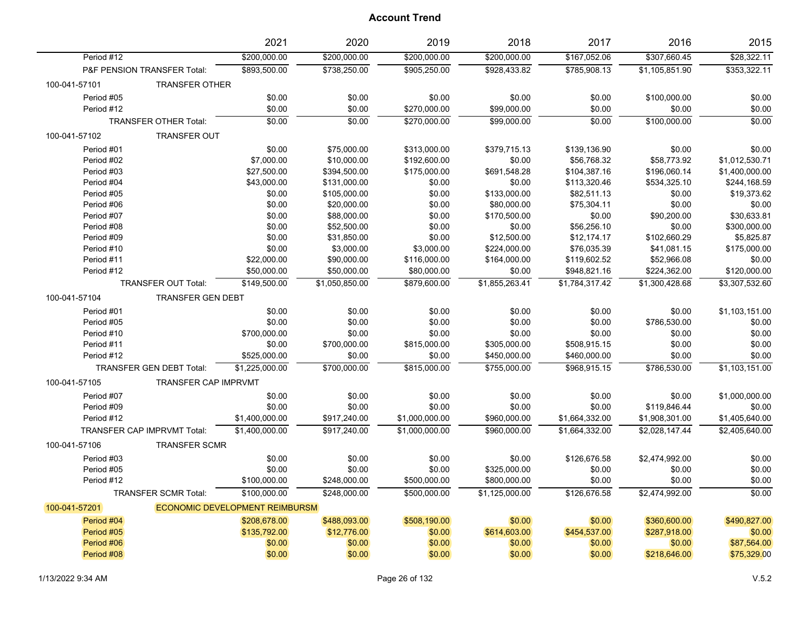|                                           | 2021                           | 2020           | 2019           | 2018           | 2017           | 2016           | 2015           |
|-------------------------------------------|--------------------------------|----------------|----------------|----------------|----------------|----------------|----------------|
| Period #12                                | \$200,000.00                   | \$200,000.00   | \$200,000.00   | \$200,000.00   | \$167,052.06   | \$307,660.45   | \$28,322.11    |
| P&F PENSION TRANSFER Total:               | \$893,500.00                   | \$738,250.00   | \$905,250.00   | \$928,433.82   | \$785,908.13   | \$1,105,851.90 | \$353,322.11   |
| 100-041-57101<br><b>TRANSFER OTHER</b>    |                                |                |                |                |                |                |                |
| Period #05                                | \$0.00                         | \$0.00         | \$0.00         | \$0.00         | \$0.00         | \$100,000.00   | \$0.00         |
| Period #12                                | \$0.00                         | \$0.00         | \$270,000.00   | \$99,000.00    | \$0.00         | \$0.00         | \$0.00         |
| <b>TRANSFER OTHER Total:</b>              | \$0.00                         | \$0.00         | \$270,000.00   | \$99,000.00    | \$0.00         | \$100,000.00   | \$0.00         |
| 100-041-57102<br><b>TRANSFER OUT</b>      |                                |                |                |                |                |                |                |
| Period #01                                | \$0.00                         | \$75,000.00    | \$313,000.00   | \$379,715.13   | \$139,136.90   | \$0.00         | \$0.00         |
| Period #02                                | \$7,000.00                     | \$10,000.00    | \$192,600.00   | \$0.00         | \$56,768.32    | \$58,773.92    | \$1,012,530.71 |
| Period #03                                | \$27,500.00                    | \$394,500.00   | \$175,000.00   | \$691,548.28   | \$104,387.16   | \$196,060.14   | \$1,400,000.00 |
| Period #04                                | \$43,000.00                    | \$131,000.00   | \$0.00         | \$0.00         | \$113,320.46   | \$534,325.10   | \$244,168.59   |
| Period #05                                | \$0.00                         | \$105,000.00   | \$0.00         | \$133,000.00   | \$82,511.13    | \$0.00         | \$19,373.62    |
| Period #06                                | \$0.00                         | \$20,000.00    | \$0.00         | \$80,000.00    | \$75,304.11    | \$0.00         | \$0.00         |
| Period #07                                | \$0.00                         | \$88,000.00    | \$0.00         | \$170,500.00   | \$0.00         | \$90,200.00    | \$30,633.81    |
| Period #08                                | \$0.00                         | \$52,500.00    | \$0.00         | \$0.00         | \$56,256.10    | \$0.00         | \$300,000.00   |
| Period #09                                | \$0.00                         | \$31,850.00    | \$0.00         | \$12,500.00    | \$12,174.17    | \$102,660.29   | \$5,825.87     |
| Period #10                                | \$0.00                         | \$3,000.00     | \$3,000.00     | \$224,000.00   | \$76,035.39    | \$41,081.15    | \$175,000.00   |
| Period #11                                | \$22,000.00                    | \$90,000.00    | \$116,000.00   | \$164,000.00   | \$119,602.52   | \$52,966.08    | \$0.00         |
| Period #12                                | \$50,000.00                    | \$50,000.00    | \$80,000.00    | \$0.00         | \$948,821.16   | \$224,362.00   | \$120,000.00   |
| <b>TRANSFER OUT Total:</b>                | \$149,500.00                   | \$1,050,850.00 | \$879,600.00   | \$1,855,263.41 | \$1,784,317.42 | \$1,300,428.68 | \$3,307,532.60 |
| <b>TRANSFER GEN DEBT</b><br>100-041-57104 |                                |                |                |                |                |                |                |
| Period #01                                | \$0.00                         | \$0.00         | \$0.00         | \$0.00         | \$0.00         | \$0.00         | \$1,103,151.00 |
| Period #05                                | \$0.00                         | \$0.00         | \$0.00         | \$0.00         | \$0.00         | \$786,530.00   | \$0.00         |
| Period #10                                | \$700,000.00                   | \$0.00         | \$0.00         | \$0.00         | \$0.00         | \$0.00         | \$0.00         |
| Period #11                                | \$0.00                         | \$700,000.00   | \$815,000.00   | \$305,000.00   | \$508,915.15   | \$0.00         | \$0.00         |
| Period #12                                | \$525,000.00                   | \$0.00         | \$0.00         | \$450,000.00   | \$460,000.00   | \$0.00         | \$0.00         |
| <b>TRANSFER GEN DEBT Total:</b>           | \$1,225,000.00                 | \$700,000.00   | \$815,000.00   | \$755,000.00   | \$968,915.15   | \$786,530.00   | \$1,103,151.00 |
| 100-041-57105                             | <b>TRANSFER CAP IMPRVMT</b>    |                |                |                |                |                |                |
| Period #07                                | \$0.00                         | \$0.00         | \$0.00         | \$0.00         | \$0.00         | \$0.00         | \$1,000,000.00 |
| Period #09                                | \$0.00                         | \$0.00         | \$0.00         | \$0.00         | \$0.00         | \$119,846.44   | \$0.00         |
| Period #12                                | \$1,400,000.00                 | \$917,240.00   | \$1,000,000.00 | \$960,000.00   | \$1,664,332.00 | \$1,908,301.00 | \$1,405,640.00 |
| TRANSFER CAP IMPRVMT Total:               | \$1,400,000.00                 | \$917,240.00   | \$1,000,000.00 | \$960,000.00   | \$1,664,332.00 | \$2,028,147.44 | \$2,405,640.00 |
| 100-041-57106<br><b>TRANSFER SCMR</b>     |                                |                |                |                |                |                |                |
| Period #03                                | \$0.00                         | \$0.00         | \$0.00         | \$0.00         | \$126,676.58   | \$2,474,992.00 | \$0.00         |
| Period #05                                | \$0.00                         | \$0.00         | \$0.00         | \$325,000.00   | \$0.00         | \$0.00         | \$0.00         |
| Period #12                                | \$100,000.00                   | \$248,000.00   | \$500,000.00   | \$800,000.00   | \$0.00         | \$0.00         | \$0.00         |
| <b>TRANSFER SCMR Total:</b>               | \$100,000.00                   | \$248,000.00   | \$500.000.00   | \$1.125.000.00 | \$126,676.58   | \$2,474,992.00 | \$0.00         |
| 100-041-57201                             | ECONOMIC DEVELOPMENT REIMBURSM |                |                |                |                |                |                |
| Period #04                                | \$208,678.00                   | \$488,093.00   | \$508,190.00   | \$0.00         | \$0.00         | \$360,600.00   | \$490,827.00   |
| Period #05                                | \$135,792.00                   | \$12,776.00    | \$0.00         | \$614,603.00   | \$454,537.00   | \$287,918.00   | \$0.00         |
| Period #06                                | \$0.00                         | \$0.00         | \$0.00         | \$0.00         | \$0.00         | \$0.00         | \$87,564.00    |
| Period #08                                | \$0.00                         | \$0.00         | \$0.00         | \$0.00         | \$0.00         | \$218,646.00   | \$75,329.00    |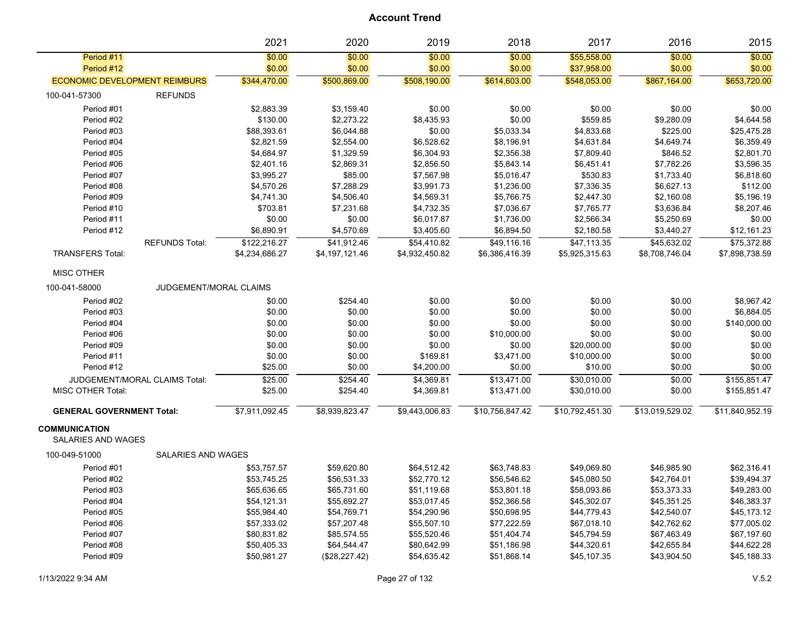|                                                   |                               | 2021           | 2020           | 2019           | 2018            | 2017            | 2016            | 2015            |
|---------------------------------------------------|-------------------------------|----------------|----------------|----------------|-----------------|-----------------|-----------------|-----------------|
| Period #11                                        |                               | \$0.00         | \$0.00         | \$0.00         | \$0.00          | \$55,558.00     | \$0.00          | \$0.00          |
| Period #12                                        |                               | \$0.00         | \$0.00         | \$0.00         | \$0.00          | \$37,958.00     | \$0.00          | \$0.00          |
| <b>ECONOMIC DEVELOPMENT REIMBURS</b>              |                               | \$344,470.00   | \$500,869.00   | \$508,190.00   | \$614,603.00    | \$548,053.00    | \$867,164.00    | \$653,720.00    |
| 100-041-57300                                     | <b>REFUNDS</b>                |                |                |                |                 |                 |                 |                 |
| Period #01                                        |                               | \$2,883.39     | \$3,159.40     | \$0.00         | \$0.00          | \$0.00          | \$0.00          | \$0.00          |
| Period #02                                        |                               | \$130.00       | \$2,273.22     | \$8,435.93     | \$0.00          | \$559.85        | \$9,280.09      | \$4,644.58      |
| Period #03                                        |                               | \$88,393.61    | \$6,044.88     | \$0.00         | \$5,033.34      | \$4,833.68      | \$225.00        | \$25,475.28     |
| Period #04                                        |                               | \$2,821.59     | \$2,554.00     | \$6,528.62     | \$8,196.91      | \$4,631.84      | \$4,649.74      | \$6,359.49      |
| Period #05                                        |                               | \$4,684.97     | \$1,329.59     | \$6,304.93     | \$2,356.38      | \$7,809.40      | \$846.52        | \$2,801.70      |
| Period #06                                        |                               | \$2,401.16     | \$2,869.31     | \$2,856.50     | \$5,843.14      | \$6,451.41      | \$7,782.26      | \$3,596.35      |
| Period #07                                        |                               | \$3,995.27     | \$85.00        | \$7,567.98     | \$5,016.47      | \$530.83        | \$1,733.40      | \$6,818.60      |
| Period #08                                        |                               | \$4,570.26     | \$7,288.29     | \$3,991.73     | \$1,236.00      | \$7,336.35      | \$6,627.13      | \$112.00        |
| Period #09                                        |                               | \$4,741.30     | \$4,506.40     | \$4,569.31     | \$5,766.75      | \$2,447.30      | \$2,160.08      | \$5,196.19      |
| Period #10                                        |                               | \$703.81       | \$7,231.68     | \$4,732.35     | \$7,036.67      | \$7,765.77      | \$3,636.84      | \$8,207.46      |
| Period #11                                        |                               | \$0.00         | \$0.00         | \$6,017.87     | \$1,736.00      | \$2,566.34      | \$5,250.69      | \$0.00          |
| Period #12                                        |                               | \$6,890.91     | \$4,570.69     | \$3,405.60     | \$6,894.50      | \$2,180.58      | \$3,440.27      | \$12,161.23     |
|                                                   | <b>REFUNDS Total:</b>         | \$122,216.27   | \$41,912.46    | \$54,410.82    | \$49,116.16     | \$47,113.35     | \$45,632.02     | \$75,372.88     |
| <b>TRANSFERS Total:</b>                           |                               | \$4,234,686.27 | \$4,197,121.46 | \$4,932,450.82 | \$6,386,416.39  | \$5,925,315.63  | \$8,708,746.04  | \$7,898,738.59  |
| <b>MISC OTHER</b>                                 |                               |                |                |                |                 |                 |                 |                 |
| 100-041-58000                                     | <b>JUDGEMENT/MORAL CLAIMS</b> |                |                |                |                 |                 |                 |                 |
| Period #02                                        |                               | \$0.00         | \$254.40       | \$0.00         | \$0.00          | \$0.00          | \$0.00          | \$8,967.42      |
| Period #03                                        |                               | \$0.00         | \$0.00         | \$0.00         | \$0.00          | \$0.00          | \$0.00          | \$6,884.05      |
| Period #04                                        |                               | \$0.00         | \$0.00         | \$0.00         | \$0.00          | \$0.00          | \$0.00          | \$140,000.00    |
| Period #06                                        |                               | \$0.00         | \$0.00         | \$0.00         | \$10,000.00     | \$0.00          | \$0.00          | \$0.00          |
| Period #09                                        |                               | \$0.00         | \$0.00         | \$0.00         | \$0.00          | \$20,000.00     | \$0.00          | \$0.00          |
| Period #11                                        |                               | \$0.00         | \$0.00         | \$169.81       | \$3,471.00      | \$10,000.00     | \$0.00          | \$0.00          |
| Period #12                                        |                               | \$25.00        | \$0.00         | \$4,200.00     | \$0.00          | \$10.00         | \$0.00          | \$0.00          |
|                                                   | JUDGEMENT/MORAL CLAIMS Total: | \$25.00        | \$254.40       | \$4,369.81     | \$13,471.00     | \$30,010.00     | \$0.00          | \$155,851.47    |
| <b>MISC OTHER Total:</b>                          |                               | \$25.00        | \$254.40       | \$4,369.81     | \$13,471.00     | \$30,010.00     | \$0.00          | \$155,851.47    |
| <b>GENERAL GOVERNMENT Total:</b>                  |                               | \$7,911,092.45 | \$8,939,823.47 | \$9,443,006.83 | \$10,756,847.42 | \$10,792,451.30 | \$13,019,529.02 | \$11,840,952.19 |
| <b>COMMUNICATION</b><br><b>SALARIES AND WAGES</b> |                               |                |                |                |                 |                 |                 |                 |
| 100-049-51000                                     | <b>SALARIES AND WAGES</b>     |                |                |                |                 |                 |                 |                 |
| Period #01                                        |                               | \$53,757.57    | \$59,620.80    | \$64,512.42    | \$63,748.83     | \$49,069.80     | \$46,985.90     | \$62,316.41     |
| Period #02                                        |                               | \$53,745.25    | \$56,531.33    | \$52,770.12    | \$56,546.62     | \$45,080.50     | \$42,764.01     | \$39,494.37     |
| Period #03                                        |                               | \$65,636.65    | \$65,731.60    | \$51,119.68    | \$53,801.18     | \$58,093.86     | \$53,373.33     | \$49,283.00     |
| Period #04                                        |                               | \$54,121.31    | \$55,692.27    | \$53,017.45    | \$52,366.58     | \$45,302.07     | \$45,351.25     | \$46,383.37     |
| Period #05                                        |                               | \$55,984.40    | \$54,769.71    | \$54,290.96    | \$50,698.95     | \$44,779.43     | \$42,540.07     | \$45,173.12     |
| Period #06                                        |                               | \$57,333.02    | \$57,207.48    | \$55,507.10    | \$77,222.59     | \$67,018.10     | \$42,762.62     | \$77,005.02     |
| Period #07                                        |                               | \$80,831.82    | \$85,574.55    | \$55,520.46    | \$51,404.74     | \$45,794.59     | \$67,463.49     | \$67,197.60     |
| Period #08                                        |                               | \$50,405.33    | \$64,544.47    | \$80,642.99    | \$51,186.98     | \$44,320.61     | \$42,655.84     | \$44,622.28     |
| Period #09                                        |                               | \$50,981.27    | (\$28, 227.42) | \$54,635.42    | \$51,868.14     | \$45,107.35     | \$43,904.50     | \$45,188.33     |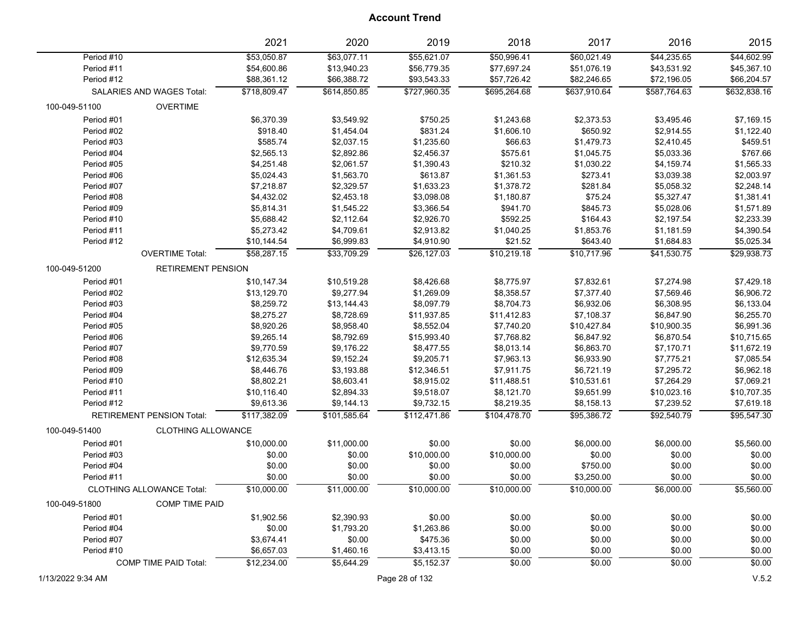|               |                                  | 2021         | 2020         | 2019         | 2018         | 2017         | 2016         | 2015         |
|---------------|----------------------------------|--------------|--------------|--------------|--------------|--------------|--------------|--------------|
| Period #10    |                                  | \$53,050.87  | \$63,077.11  | \$55,621.07  | \$50,996.41  | \$60,021.49  | \$44,235.65  | \$44,602.99  |
| Period #11    |                                  | \$54,600.86  | \$13,940.23  | \$56,779.35  | \$77,697.24  | \$51,076.19  | \$43,531.92  | \$45,367.10  |
| Period #12    |                                  | \$88,361.12  | \$66,388.72  | \$93,543.33  | \$57,726.42  | \$82,246.65  | \$72,196.05  | \$66,204.57  |
|               | SALARIES AND WAGES Total:        | \$718,809.47 | \$614,850.85 | \$727,960.35 | \$695,264.68 | \$637,910.64 | \$587,764.63 | \$632,838.16 |
| 100-049-51100 | <b>OVERTIME</b>                  |              |              |              |              |              |              |              |
| Period #01    |                                  | \$6,370.39   | \$3,549.92   | \$750.25     | \$1,243.68   | \$2,373.53   | \$3,495.46   | \$7,169.15   |
| Period #02    |                                  | \$918.40     | \$1,454.04   | \$831.24     | \$1,606.10   | \$650.92     | \$2,914.55   | \$1,122.40   |
| Period #03    |                                  | \$585.74     | \$2,037.15   | \$1,235.60   | \$66.63      | \$1,479.73   | \$2,410.45   | \$459.51     |
| Period #04    |                                  | \$2,565.13   | \$2,892.86   | \$2,456.37   | \$575.61     | \$1,045.75   | \$5,033.36   | \$767.66     |
| Period #05    |                                  | \$4,251.48   | \$2,061.57   | \$1,390.43   | \$210.32     | \$1,030.22   | \$4,159.74   | \$1,565.33   |
| Period #06    |                                  | \$5,024.43   | \$1,563.70   | \$613.87     | \$1,361.53   | \$273.41     | \$3,039.38   | \$2,003.97   |
| Period #07    |                                  | \$7,218.87   | \$2,329.57   | \$1,633.23   | \$1,378.72   | \$281.84     | \$5,058.32   | \$2,248.14   |
| Period #08    |                                  | \$4,432.02   | \$2,453.18   | \$3,098.08   | \$1,180.87   | \$75.24      | \$5,327.47   | \$1,381.41   |
| Period #09    |                                  | \$5,814.31   | \$1,545.22   | \$3,366.54   | \$941.70     | \$845.73     | \$5,028.06   | \$1,571.89   |
| Period #10    |                                  | \$5,688.42   | \$2,112.64   | \$2,926.70   | \$592.25     | \$164.43     | \$2,197.54   | \$2,233.39   |
| Period #11    |                                  | \$5,273.42   | \$4,709.61   | \$2,913.82   | \$1,040.25   | \$1,853.76   | \$1,181.59   | \$4,390.54   |
| Period #12    |                                  | \$10,144.54  | \$6,999.83   | \$4,910.90   | \$21.52      | \$643.40     | \$1,684.83   | \$5,025.34   |
|               | <b>OVERTIME Total:</b>           | \$58,287.15  | \$33,709.29  | \$26,127.03  | \$10,219.18  | \$10,717.96  | \$41,530.75  | \$29,938.73  |
| 100-049-51200 | <b>RETIREMENT PENSION</b>        |              |              |              |              |              |              |              |
| Period #01    |                                  | \$10,147.34  | \$10,519.28  | \$8,426.68   | \$8,775.97   | \$7,832.61   | \$7,274.98   | \$7,429.18   |
| Period #02    |                                  | \$13,129.70  | \$9,277.94   | \$1,269.09   | \$8,358.57   | \$7,377.40   | \$7,569.46   | \$6,906.72   |
| Period #03    |                                  | \$8,259.72   | \$13,144.43  | \$8,097.79   | \$8,704.73   | \$6,932.06   | \$6,308.95   | \$6,133.04   |
| Period #04    |                                  | \$8,275.27   | \$8,728.69   | \$11,937.85  | \$11,412.83  | \$7,108.37   | \$6,847.90   | \$6,255.70   |
| Period #05    |                                  | \$8,920.26   | \$8,958.40   | \$8,552.04   | \$7,740.20   | \$10,427.84  | \$10,900.35  | \$6,991.36   |
| Period #06    |                                  | \$9,265.14   | \$8,792.69   | \$15,993.40  | \$7,768.82   | \$6,847.92   | \$6,870.54   | \$10,715.65  |
| Period #07    |                                  | \$9,770.59   | \$9,176.22   | \$8,477.55   | \$8,013.14   | \$6,863.70   | \$7,170.71   | \$11,672.19  |
| Period #08    |                                  | \$12,635.34  | \$9,152.24   | \$9,205.71   | \$7,963.13   | \$6,933.90   | \$7,775.21   | \$7,085.54   |
| Period #09    |                                  | \$8,446.76   | \$3,193.88   | \$12,346.51  | \$7,911.75   | \$6,721.19   | \$7,295.72   | \$6,962.18   |
| Period #10    |                                  | \$8,802.21   | \$8,603.41   | \$8,915.02   | \$11,488.51  | \$10,531.61  | \$7,264.29   | \$7,069.21   |
| Period #11    |                                  | \$10,116.40  | \$2,894.33   | \$9,518.07   | \$8,121.70   | \$9,651.99   | \$10,023.16  | \$10,707.35  |
| Period #12    |                                  | \$9,613.36   | \$9,144.13   | \$9,732.15   | \$8,219.35   | \$8,158.13   | \$7,239.52   | \$7,619.18   |
|               | <b>RETIREMENT PENSION Total:</b> | \$117,382.09 | \$101,585.64 | \$112,471.86 | \$104,478.70 | \$95,386.72  | \$92,540.79  | \$95,547.30  |
| 100-049-51400 | <b>CLOTHING ALLOWANCE</b>        |              |              |              |              |              |              |              |
| Period #01    |                                  | \$10,000.00  | \$11,000.00  | \$0.00       | \$0.00       | \$6,000.00   | \$6,000.00   | \$5,560.00   |
| Period #03    |                                  | \$0.00       | \$0.00       | \$10,000.00  | \$10,000.00  | \$0.00       | \$0.00       | \$0.00       |
| Period #04    |                                  | \$0.00       | \$0.00       | \$0.00       | \$0.00       | \$750.00     | \$0.00       | \$0.00       |
| Period #11    |                                  | \$0.00       | \$0.00       | \$0.00       | \$0.00       | \$3,250.00   | \$0.00       | \$0.00       |
|               | <b>CLOTHING ALLOWANCE Total:</b> | \$10,000.00  | \$11,000.00  | \$10,000.00  | \$10,000.00  | \$10,000.00  | \$6,000.00   | \$5,560.00   |
| 100-049-51800 | <b>COMP TIME PAID</b>            |              |              |              |              |              |              |              |
| Period #01    |                                  | \$1,902.56   | \$2,390.93   | \$0.00       | \$0.00       | \$0.00       | \$0.00       | \$0.00       |
| Period #04    |                                  | \$0.00       | \$1,793.20   | \$1,263.86   | \$0.00       | \$0.00       | \$0.00       | \$0.00       |
| Period #07    |                                  | \$3,674.41   | \$0.00       | \$475.36     | \$0.00       | \$0.00       | \$0.00       | \$0.00       |
| Period #10    |                                  | \$6,657.03   | \$1,460.16   | \$3,413.15   | \$0.00       | \$0.00       | \$0.00       | \$0.00       |
|               | <b>COMP TIME PAID Total:</b>     | \$12,234.00  | \$5,644.29   | \$5,152.37   | \$0.00       | \$0.00       | \$0.00       | \$0.00       |
|               |                                  |              |              |              |              |              |              |              |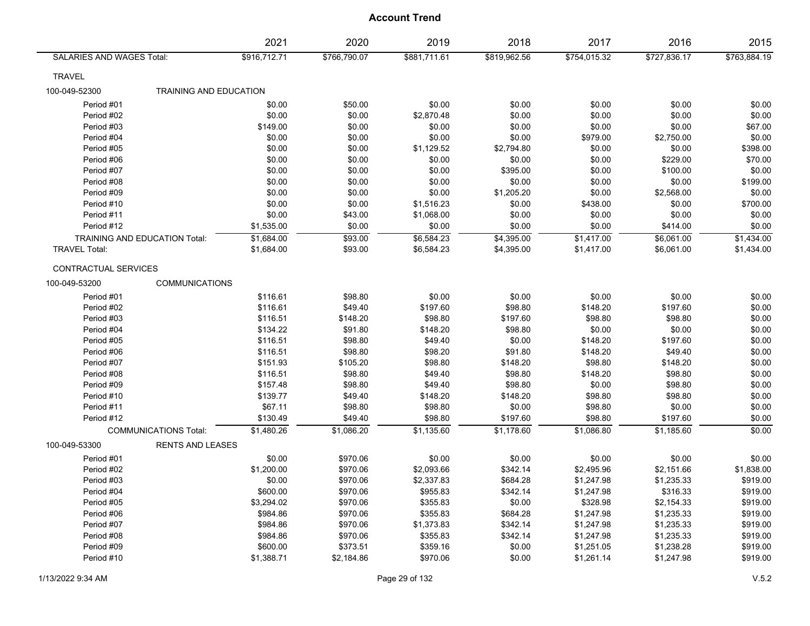|                                      |                               | 2021         | 2020         | 2019         | 2018         | 2017         | 2016         | 2015         |
|--------------------------------------|-------------------------------|--------------|--------------|--------------|--------------|--------------|--------------|--------------|
| SALARIES AND WAGES Total:            |                               | \$916,712.71 | \$766,790.07 | \$881,711.61 | \$819,962.56 | \$754,015.32 | \$727,836.17 | \$763,884.19 |
| <b>TRAVEL</b>                        |                               |              |              |              |              |              |              |              |
| 100-049-52300                        | <b>TRAINING AND EDUCATION</b> |              |              |              |              |              |              |              |
| Period #01                           |                               | \$0.00       | \$50.00      | \$0.00       | \$0.00       | \$0.00       | \$0.00       | \$0.00       |
| Period #02                           |                               | \$0.00       | \$0.00       | \$2,870.48   | \$0.00       | \$0.00       | \$0.00       | \$0.00       |
| Period #03                           |                               | \$149.00     | \$0.00       | \$0.00       | \$0.00       | \$0.00       | \$0.00       | \$67.00      |
| Period #04                           |                               | \$0.00       | \$0.00       | \$0.00       | \$0.00       | \$979.00     | \$2,750.00   | \$0.00       |
| Period #05                           |                               | \$0.00       | \$0.00       | \$1,129.52   | \$2,794.80   | \$0.00       | \$0.00       | \$398.00     |
| Period #06                           |                               | \$0.00       | \$0.00       | \$0.00       | \$0.00       | \$0.00       | \$229.00     | \$70.00      |
| Period #07                           |                               | \$0.00       | \$0.00       | \$0.00       | \$395.00     | \$0.00       | \$100.00     | \$0.00       |
| Period #08                           |                               | \$0.00       | \$0.00       | \$0.00       | \$0.00       | \$0.00       | \$0.00       | \$199.00     |
| Period #09                           |                               | \$0.00       | \$0.00       | \$0.00       | \$1,205.20   | \$0.00       | \$2,568.00   | \$0.00       |
| Period #10                           |                               | \$0.00       | \$0.00       | \$1,516.23   | \$0.00       | \$438.00     | \$0.00       | \$700.00     |
| Period #11                           |                               | \$0.00       | \$43.00      | \$1,068.00   | \$0.00       | \$0.00       | \$0.00       | \$0.00       |
| Period #12                           |                               | \$1,535.00   | \$0.00       | \$0.00       | \$0.00       | \$0.00       | \$414.00     | \$0.00       |
| <b>TRAINING AND EDUCATION Total:</b> |                               | \$1,684.00   | \$93.00      | \$6,584.23   | \$4,395.00   | \$1,417.00   | \$6,061.00   | \$1,434.00   |
| <b>TRAVEL Total:</b>                 |                               | \$1,684.00   | \$93.00      | \$6,584.23   | \$4,395.00   | \$1,417.00   | \$6,061.00   | \$1,434.00   |
| CONTRACTUAL SERVICES                 |                               |              |              |              |              |              |              |              |
| 100-049-53200                        | <b>COMMUNICATIONS</b>         |              |              |              |              |              |              |              |
| Period #01                           |                               | \$116.61     | \$98.80      | \$0.00       | \$0.00       | \$0.00       | \$0.00       | \$0.00       |
| Period #02                           |                               | \$116.61     | \$49.40      | \$197.60     | \$98.80      | \$148.20     | \$197.60     | \$0.00       |
| Period #03                           |                               | \$116.51     | \$148.20     | \$98.80      | \$197.60     | \$98.80      | \$98.80      | \$0.00       |
| Period #04                           |                               | \$134.22     | \$91.80      | \$148.20     | \$98.80      | \$0.00       | \$0.00       | \$0.00       |
| Period #05                           |                               | \$116.51     | \$98.80      | \$49.40      | \$0.00       | \$148.20     | \$197.60     | \$0.00       |
| Period #06                           |                               | \$116.51     | \$98.80      | \$98.20      | \$91.80      | \$148.20     | \$49.40      | \$0.00       |
| Period #07                           |                               | \$151.93     | \$105.20     | \$98.80      | \$148.20     | \$98.80      | \$148.20     | \$0.00       |
| Period #08                           |                               | \$116.51     | \$98.80      | \$49.40      | \$98.80      | \$148.20     | \$98.80      | \$0.00       |
| Period #09                           |                               | \$157.48     | \$98.80      | \$49.40      | \$98.80      | \$0.00       | \$98.80      | \$0.00       |
| Period #10                           |                               | \$139.77     | \$49.40      | \$148.20     | \$148.20     | \$98.80      | \$98.80      | \$0.00       |
| Period #11                           |                               | \$67.11      | \$98.80      | \$98.80      | \$0.00       | \$98.80      | \$0.00       | \$0.00       |
| Period #12                           |                               | \$130.49     | \$49.40      | \$98.80      | \$197.60     | \$98.80      | \$197.60     | \$0.00       |
|                                      | <b>COMMUNICATIONS Total:</b>  | \$1,480.26   | \$1,086.20   | \$1,135.60   | \$1,178.60   | \$1,086.80   | \$1,185.60   | \$0.00       |
| 100-049-53300                        | <b>RENTS AND LEASES</b>       |              |              |              |              |              |              |              |
| Period #01                           |                               | \$0.00       | \$970.06     | \$0.00       | \$0.00       | \$0.00       | \$0.00       | \$0.00       |
| Period #02                           |                               | \$1,200.00   | \$970.06     | \$2,093.66   | \$342.14     | \$2,495.96   | \$2,151.66   | \$1,838.00   |
| Period #03                           |                               | \$0.00       | \$970.06     | \$2,337.83   | \$684.28     | \$1,247.98   | \$1,235.33   | \$919.00     |
| Period #04                           |                               | \$600.00     | \$970.06     | \$955.83     | \$342.14     | \$1,247.98   | \$316.33     | \$919.00     |
| Period #05                           |                               | \$3,294.02   | \$970.06     | \$355.83     | \$0.00       | \$328.98     | \$2,154.33   | \$919.00     |
| Period #06                           |                               | \$984.86     | \$970.06     | \$355.83     | \$684.28     | \$1,247.98   | \$1,235.33   | \$919.00     |
| Period #07                           |                               | \$984.86     | \$970.06     | \$1,373.83   | \$342.14     | \$1,247.98   | \$1,235.33   | \$919.00     |
| Period #08                           |                               | \$984.86     | \$970.06     | \$355.83     | \$342.14     | \$1,247.98   | \$1,235.33   | \$919.00     |
| Period #09                           |                               | \$600.00     | \$373.51     | \$359.16     | \$0.00       | \$1,251.05   | \$1,238.28   | \$919.00     |
| Period #10                           |                               | \$1,388.71   | \$2,184.86   | \$970.06     | \$0.00       | \$1,261.14   | \$1,247.98   | \$919.00     |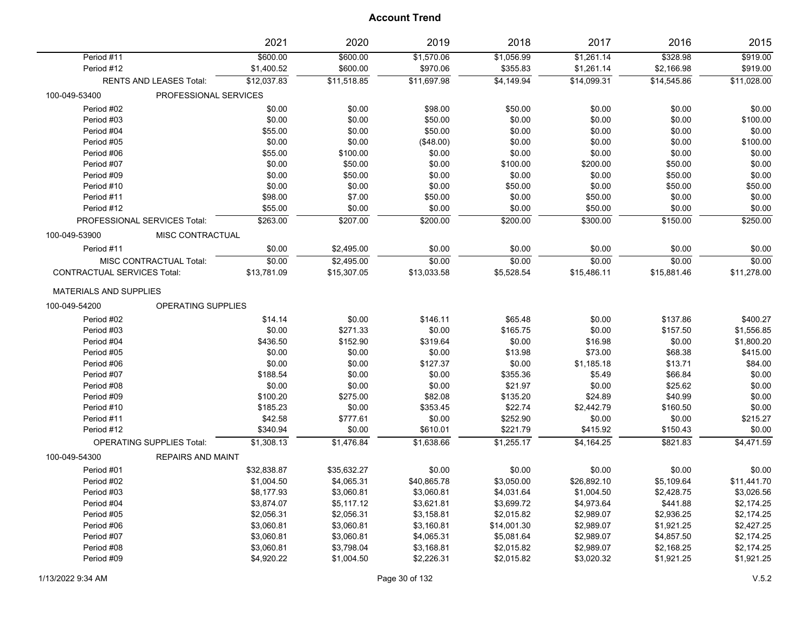|                                    |                                  | 2021                   | 2020                 | 2019                   | 2018                   | 2017                     | 2016                   | 2015                 |
|------------------------------------|----------------------------------|------------------------|----------------------|------------------------|------------------------|--------------------------|------------------------|----------------------|
| Period #11<br>Period #12           |                                  | \$600.00<br>\$1,400.52 | \$600.00<br>\$600.00 | \$1,570.06<br>\$970.06 | \$1,056.99<br>\$355.83 | \$1,261.14<br>\$1,261.14 | \$328.98<br>\$2,166.98 | \$919.00<br>\$919.00 |
|                                    | <b>RENTS AND LEASES Total:</b>   | \$12,037.83            | \$11,518.85          | \$11,697.98            | \$4,149.94             | \$14,099.31              | \$14,545.86            | \$11,028.00          |
| 100-049-53400                      | PROFESSIONAL SERVICES            |                        |                      |                        |                        |                          |                        |                      |
| Period #02                         |                                  | \$0.00                 | \$0.00               | \$98.00                | \$50.00                | \$0.00                   | \$0.00                 | \$0.00               |
| Period #03                         |                                  | \$0.00                 | \$0.00               | \$50.00                | \$0.00                 | \$0.00                   | \$0.00                 | \$100.00             |
| Period #04                         |                                  | \$55.00                | \$0.00               | \$50.00                | \$0.00                 | \$0.00                   | \$0.00                 | \$0.00               |
| Period #05                         |                                  | \$0.00                 | \$0.00               | (\$48.00)              | \$0.00                 | \$0.00                   | \$0.00                 | \$100.00             |
| Period #06                         |                                  | \$55.00                | \$100.00             | \$0.00                 | \$0.00                 | \$0.00                   | \$0.00                 | \$0.00               |
| Period #07                         |                                  | \$0.00                 | \$50.00              | \$0.00                 | \$100.00               | \$200.00                 | \$50.00                | \$0.00               |
| Period #09                         |                                  | \$0.00                 | \$50.00              | \$0.00                 | \$0.00                 | \$0.00                   | \$50.00                | \$0.00               |
| Period #10                         |                                  | \$0.00                 | \$0.00               | \$0.00                 | \$50.00                | \$0.00                   | \$50.00                | \$50.00              |
| Period #11                         |                                  | \$98.00                | \$7.00               | \$50.00                | \$0.00                 | \$50.00                  | \$0.00                 | \$0.00               |
| Period #12                         |                                  | \$55.00                | \$0.00               | \$0.00                 | \$0.00                 | \$50.00                  | \$0.00                 | \$0.00               |
|                                    | PROFESSIONAL SERVICES Total:     | \$263.00               | \$207.00             | \$200.00               | \$200.00               | \$300.00                 | \$150.00               | \$250.00             |
| 100-049-53900                      | MISC CONTRACTUAL                 |                        |                      |                        |                        |                          |                        |                      |
| Period #11                         |                                  | \$0.00                 | \$2,495.00           | \$0.00                 | \$0.00                 | \$0.00                   | \$0.00                 | \$0.00               |
|                                    | MISC CONTRACTUAL Total:          | \$0.00                 | \$2,495.00           | \$0.00                 | \$0.00                 | \$0.00                   | \$0.00                 | \$0.00               |
| <b>CONTRACTUAL SERVICES Total:</b> |                                  | \$13,781.09            | \$15,307.05          | \$13,033.58            | \$5,528.54             | \$15,486.11              | \$15,881.46            | \$11,278.00          |
| <b>MATERIALS AND SUPPLIES</b>      |                                  |                        |                      |                        |                        |                          |                        |                      |
| 100-049-54200                      | <b>OPERATING SUPPLIES</b>        |                        |                      |                        |                        |                          |                        |                      |
| Period #02                         |                                  | \$14.14                | \$0.00               | \$146.11               | \$65.48                | \$0.00                   | \$137.86               | \$400.27             |
| Period #03                         |                                  | \$0.00                 | \$271.33             | \$0.00                 | \$165.75               | \$0.00                   | \$157.50               | \$1,556.85           |
| Period #04                         |                                  | \$436.50               | \$152.90             | \$319.64               | \$0.00                 | \$16.98                  | \$0.00                 | \$1,800.20           |
| Period #05                         |                                  | \$0.00                 | \$0.00               | \$0.00                 | \$13.98                | \$73.00                  | \$68.38                | \$415.00             |
| Period #06                         |                                  | \$0.00                 | \$0.00               | \$127.37               | \$0.00                 | \$1,185.18               | \$13.71                | \$84.00              |
| Period #07                         |                                  | \$188.54               | \$0.00               | \$0.00                 | \$355.36               | \$5.49                   | \$66.84                | \$0.00               |
| Period #08                         |                                  | \$0.00                 | \$0.00               | \$0.00                 | \$21.97                | \$0.00                   | \$25.62                | \$0.00               |
| Period #09                         |                                  | \$100.20               | \$275.00             | \$82.08                | \$135.20               | \$24.89                  | \$40.99                | \$0.00               |
| Period #10                         |                                  | \$185.23               | \$0.00               | \$353.45               | \$22.74                | \$2,442.79               | \$160.50               | \$0.00               |
| Period #11                         |                                  | \$42.58                | \$777.61             | \$0.00                 | \$252.90               | \$0.00                   | \$0.00                 | \$215.27             |
| Period #12                         |                                  | \$340.94               | \$0.00               | \$610.01               | \$221.79               | \$415.92                 | \$150.43               | \$0.00               |
|                                    | <b>OPERATING SUPPLIES Total:</b> | \$1,308.13             | \$1,476.84           | \$1,638.66             | \$1,255.17             | \$4,164.25               | \$821.83               | \$4,471.59           |
| 100-049-54300                      | <b>REPAIRS AND MAINT</b>         |                        |                      |                        |                        |                          |                        |                      |
| Period #01                         |                                  | \$32,838.87            | \$35,632.27          | \$0.00                 | \$0.00                 | \$0.00                   | \$0.00                 | \$0.00               |
| Period #02                         |                                  | \$1,004.50             | \$4,065.31           | \$40,865.78            | \$3,050.00             | \$26,892.10              | \$5,109.64             | \$11,441.70          |
| Period #03                         |                                  | \$8,177.93             | \$3,060.81           | \$3,060.81             | \$4,031.64             | \$1,004.50               | \$2,428.75             | \$3,026.56           |
| Period #04                         |                                  | \$3,874.07             | \$5,117.12           | \$3,621.81             | \$3,699.72             | \$4,973.64               | \$441.88               | \$2,174.25           |
| Period #05                         |                                  | \$2,056.31             | \$2,056.31           | \$3,158.81             | \$2,015.82             | \$2,989.07               | \$2,936.25             | \$2,174.25           |
| Period #06                         |                                  | \$3,060.81             | \$3,060.81           | \$3,160.81             | \$14,001.30            | \$2,989.07               | \$1,921.25             | \$2,427.25           |
| Period #07                         |                                  | \$3,060.81             | \$3,060.81           | \$4,065.31             | \$5,081.64             | \$2,989.07               | \$4,857.50             | \$2,174.25           |
| Period #08                         |                                  | \$3,060.81             | \$3,798.04           | \$3,168.81             | \$2,015.82             | \$2,989.07               | \$2,168.25             | \$2,174.25           |
| Period #09                         |                                  | \$4,920.22             | \$1,004.50           | \$2,226.31             | \$2,015.82             | \$3,020.32               | \$1,921.25             | \$1,921.25           |
|                                    |                                  |                        |                      |                        |                        |                          |                        |                      |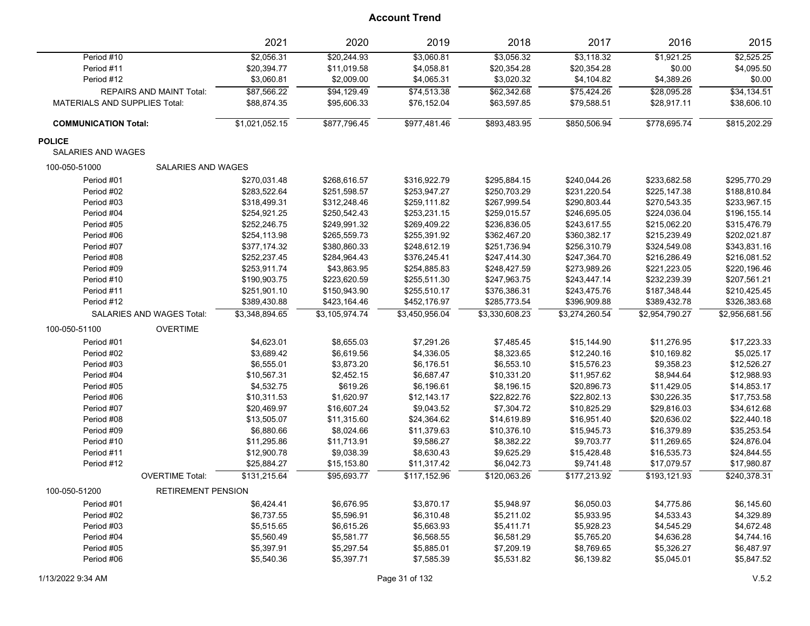|                                      |                                 | 2021           | 2020           | 2019           | 2018           | 2017           | 2016           | 2015           |
|--------------------------------------|---------------------------------|----------------|----------------|----------------|----------------|----------------|----------------|----------------|
| Period #10                           |                                 | \$2,056.31     | \$20,244.93    | \$3,060.81     | \$3,056.32     | \$3,118.32     | \$1,921.25     | \$2,525.25     |
| Period #11                           |                                 | \$20,394.77    | \$11,019.58    | \$4,058.81     | \$20,354.28    | \$20,354.28    | \$0.00         | \$4,095.50     |
| Period #12                           |                                 | \$3,060.81     | \$2,009.00     | \$4,065.31     | \$3,020.32     | \$4,104.82     | \$4,389.26     | \$0.00         |
|                                      | <b>REPAIRS AND MAINT Total:</b> | \$87,566.22    | \$94,129.49    | \$74,513.38    | \$62,342.68    | \$75,424.26    | \$28,095.28    | \$34,134.51    |
| <b>MATERIALS AND SUPPLIES Total:</b> |                                 | \$88,874.35    | \$95,606.33    | \$76,152.04    | \$63,597.85    | \$79,588.51    | \$28,917.11    | \$38,606.10    |
| <b>COMMUNICATION Total:</b>          |                                 | \$1,021,052.15 | \$877,796.45   | \$977,481.46   | \$893,483.95   | \$850,506.94   | \$778,695.74   | \$815,202.29   |
| <b>POLICE</b>                        |                                 |                |                |                |                |                |                |                |
| SALARIES AND WAGES                   |                                 |                |                |                |                |                |                |                |
| 100-050-51000                        | <b>SALARIES AND WAGES</b>       |                |                |                |                |                |                |                |
| Period #01                           |                                 | \$270,031.48   | \$268,616.57   | \$316,922.79   | \$295,884.15   | \$240,044.26   | \$233,682.58   | \$295,770.29   |
| Period #02                           |                                 | \$283,522.64   | \$251,598.57   | \$253,947.27   | \$250,703.29   | \$231,220.54   | \$225,147.38   | \$188,810.84   |
| Period #03                           |                                 | \$318,499.31   | \$312,248.46   | \$259,111.82   | \$267,999.54   | \$290,803.44   | \$270,543.35   | \$233,967.15   |
| Period #04                           |                                 | \$254,921.25   | \$250,542.43   | \$253,231.15   | \$259,015.57   | \$246,695.05   | \$224,036.04   | \$196,155.14   |
| Period #05                           |                                 | \$252,246.75   | \$249,991.32   | \$269,409.22   | \$236,836.05   | \$243,617.55   | \$215,062.20   | \$315,476.79   |
| Period #06                           |                                 | \$254,113.98   | \$265,559.73   | \$255,391.92   | \$362,467.20   | \$360,382.17   | \$215,239.49   | \$202,021.87   |
| Period #07                           |                                 | \$377,174.32   | \$380,860.33   | \$248,612.19   | \$251,736.94   | \$256,310.79   | \$324,549.08   | \$343,831.16   |
| Period #08                           |                                 | \$252,237.45   | \$284,964.43   | \$376,245.41   | \$247,414.30   | \$247,364.70   | \$216,286.49   | \$216,081.52   |
| Period #09                           |                                 | \$253,911.74   | \$43,863.95    | \$254,885.83   | \$248,427.59   | \$273,989.26   | \$221,223.05   | \$220,196.46   |
| Period #10                           |                                 | \$190,903.75   | \$223,620.59   | \$255,511.30   | \$247,963.75   | \$243,447.14   | \$232,239.39   | \$207,561.21   |
| Period #11                           |                                 | \$251,901.10   | \$150,943.90   | \$255,510.17   | \$376,386.31   | \$243,475.76   | \$187,348.44   | \$210,425.45   |
| Period #12                           |                                 | \$389,430.88   | \$423,164.46   | \$452,176.97   | \$285,773.54   | \$396,909.88   | \$389,432.78   | \$326,383.68   |
|                                      | SALARIES AND WAGES Total:       | \$3,348,894.65 | \$3,105,974.74 | \$3,450,956.04 | \$3,330,608.23 | \$3,274,260.54 | \$2,954,790.27 | \$2,956,681.56 |
| 100-050-51100                        | <b>OVERTIME</b>                 |                |                |                |                |                |                |                |
| Period #01                           |                                 | \$4,623.01     | \$8,655.03     | \$7,291.26     | \$7,485.45     | \$15,144.90    | \$11,276.95    | \$17,223.33    |
| Period #02                           |                                 | \$3,689.42     | \$6,619.56     | \$4,336.05     | \$8,323.65     | \$12,240.16    | \$10,169.82    | \$5,025.17     |
| Period #03                           |                                 | \$6,555.01     | \$3,873.20     | \$6,176.51     | \$6,553.10     | \$15,576.23    | \$9,358.23     | \$12,526.27    |
| Period #04                           |                                 | \$10,567.31    | \$2,452.15     | \$6,687.47     | \$10,331.20    | \$11,957.62    | \$8,944.64     | \$12,988.93    |
| Period #05                           |                                 | \$4,532.75     | \$619.26       | \$6,196.61     | \$8,196.15     | \$20,896.73    | \$11,429.05    | \$14,853.17    |
| Period #06                           |                                 | \$10,311.53    | \$1,620.97     | \$12,143.17    | \$22,822.76    | \$22,802.13    | \$30,226.35    | \$17,753.58    |
| Period #07                           |                                 | \$20,469.97    | \$16,607.24    | \$9,043.52     | \$7,304.72     | \$10,825.29    | \$29,816.03    | \$34,612.68    |
| Period #08                           |                                 | \$13,505.07    | \$11,315.60    | \$24,364.62    | \$14,619.89    | \$16,951.40    | \$20,636.02    | \$22,440.18    |
| Period #09                           |                                 | \$6,880.66     | \$8,024.66     | \$11,379.63    | \$10,376.10    | \$15,945.73    | \$16,379.89    | \$35,253.54    |
| Period #10                           |                                 | \$11,295.86    | \$11,713.91    | \$9,586.27     | \$8,382.22     | \$9,703.77     | \$11,269.65    | \$24,876.04    |
| Period #11                           |                                 | \$12,900.78    | \$9,038.39     | \$8,630.43     | \$9,625.29     | \$15,428.48    | \$16,535.73    | \$24,844.55    |
| Period #12                           |                                 | \$25,884.27    | \$15,153.80    | \$11,317.42    | \$6,042.73     | \$9,741.48     | \$17,079.57    | \$17,980.87    |
|                                      | <b>OVERTIME Total:</b>          | \$131,215.64   | \$95,693.77    | \$117,152.96   | \$120,063.26   | \$177,213.92   | \$193,121.93   | \$240,378.31   |
| 100-050-51200                        | <b>RETIREMENT PENSION</b>       |                |                |                |                |                |                |                |
| Period #01                           |                                 | \$6,424.41     | \$6,676.95     | \$3,870.17     | \$5,948.97     | \$6,050.03     | \$4,775.86     | \$6,145.60     |
| Period #02                           |                                 | \$6,737.55     | \$5,596.91     | \$6,310.48     | \$5,211.02     | \$5,933.95     | \$4,533.43     | \$4,329.89     |
| Period #03                           |                                 | \$5,515.65     | \$6,615.26     | \$5,663.93     | \$5,411.71     | \$5,928.23     | \$4,545.29     | \$4,672.48     |
| Period #04                           |                                 | \$5,560.49     | \$5,581.77     | \$6,568.55     | \$6,581.29     | \$5,765.20     | \$4,636.28     | \$4,744.16     |
| Period #05                           |                                 | \$5,397.91     | \$5,297.54     | \$5,885.01     | \$7,209.19     | \$8,769.65     | \$5,326.27     | \$6,487.97     |
| Period #06                           |                                 | \$5,540.36     | \$5,397.71     | \$7,585.39     | \$5,531.82     | \$6,139.82     | \$5,045.01     | \$5,847.52     |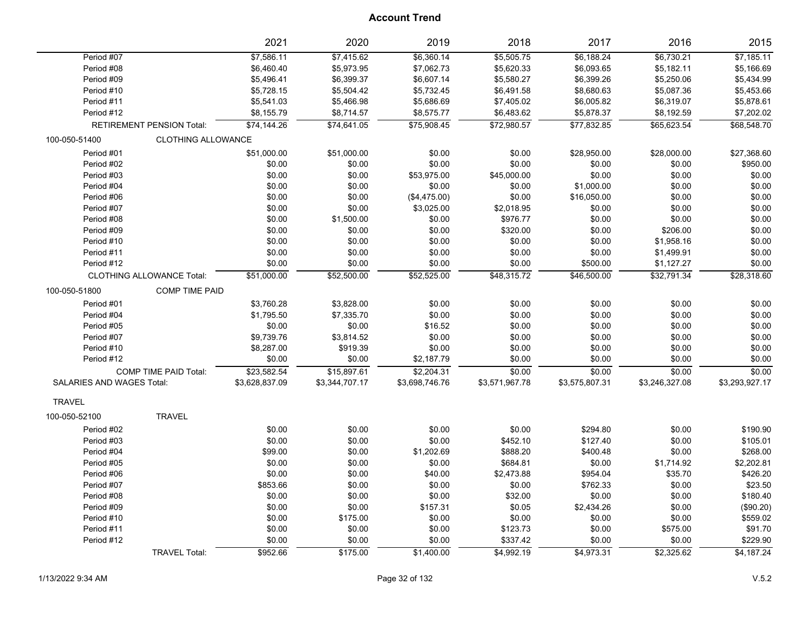| \$7,415.62<br>\$6,360.14<br>\$5,505.75<br>\$6,188.24<br>\$6,730.21<br>Period #07<br>\$7,586.11<br>\$5,973.95<br>Period #08<br>\$6,460.40<br>\$7,062.73<br>\$5,620.33<br>\$6,093.65<br>\$5,182.11 | \$7,185.11<br>\$5,166.69<br>\$5,434.99 |
|--------------------------------------------------------------------------------------------------------------------------------------------------------------------------------------------------|----------------------------------------|
|                                                                                                                                                                                                  |                                        |
|                                                                                                                                                                                                  |                                        |
| Period #09<br>\$5,496.41<br>\$6,399.37<br>\$6,607.14<br>\$5,580.27<br>\$6,399.26<br>\$5,250.06                                                                                                   |                                        |
| \$5,728.15<br>\$5,504.42<br>\$5,732.45<br>\$6,491.58<br>\$8,680.63<br>\$5,087.36<br>Period #10                                                                                                   | \$5,453.66                             |
| \$5,686.69<br>Period #11<br>\$5,541.03<br>\$5,466.98<br>\$7,405.02<br>\$6,005.82<br>\$6,319.07                                                                                                   | \$5,878.61                             |
| Period #12<br>\$8,155.79<br>\$8,714.57<br>\$8,575.77<br>\$6,483.62<br>\$5,878.37<br>\$8,192.59                                                                                                   | \$7,202.02                             |
| <b>RETIREMENT PENSION Total:</b><br>\$74,144.26<br>\$74,641.05<br>\$75,908.45<br>\$72,980.57<br>\$77,832.85<br>\$65,623.54                                                                       | \$68,548.70                            |
| 100-050-51400<br><b>CLOTHING ALLOWANCE</b>                                                                                                                                                       |                                        |
| Period #01<br>\$51,000.00<br>\$51,000.00<br>\$0.00<br>\$0.00<br>\$28,950.00<br>\$28,000.00                                                                                                       | \$27,368.60                            |
| Period #02<br>\$0.00<br>\$0.00<br>\$0.00<br>\$0.00<br>\$0.00<br>\$0.00                                                                                                                           | \$950.00                               |
| \$0.00<br>\$0.00<br>\$0.00<br>Period #03<br>\$0.00<br>\$53,975.00<br>\$45,000.00                                                                                                                 | \$0.00                                 |
| Period #04<br>\$0.00<br>\$0.00<br>\$0.00<br>\$0.00<br>\$1,000.00<br>\$0.00                                                                                                                       | \$0.00                                 |
| \$0.00<br>\$0.00<br>(\$4,475.00)<br>\$0.00<br>\$16,050.00<br>\$0.00<br>Period #06                                                                                                                | \$0.00                                 |
| \$0.00<br>\$3,025.00<br>\$0.00<br>Period #07<br>\$0.00<br>\$2,018.95<br>\$0.00                                                                                                                   | \$0.00                                 |
| Period #08<br>\$0.00<br>\$1,500.00<br>\$0.00<br>\$976.77<br>\$0.00<br>\$0.00                                                                                                                     | \$0.00                                 |
| \$0.00<br>\$0.00<br>\$320.00<br>\$0.00<br>\$206.00<br>Period #09<br>\$0.00                                                                                                                       | \$0.00                                 |
| Period #10<br>\$0.00<br>\$0.00<br>\$0.00<br>\$0.00<br>\$0.00<br>\$1,958.16                                                                                                                       | \$0.00                                 |
| \$0.00<br>\$0.00<br>\$0.00<br>Period #11<br>\$0.00<br>\$0.00<br>\$1,499.91                                                                                                                       | \$0.00                                 |
| \$0.00<br>\$0.00<br>\$0.00<br>\$500.00<br>Period #12<br>\$0.00<br>\$1,127.27                                                                                                                     | \$0.00                                 |
| \$51,000.00<br>\$52,500.00<br>\$52,525.00<br>\$48,315.72<br>\$46,500.00<br>\$32,791.34<br><b>CLOTHING ALLOWANCE Total:</b>                                                                       | \$28,318.60                            |
| 100-050-51800<br><b>COMP TIME PAID</b>                                                                                                                                                           |                                        |
| \$0.00<br>\$0.00<br>\$0.00<br>Period #01<br>\$3,760.28<br>\$3,828.00<br>\$0.00                                                                                                                   | \$0.00                                 |
| \$0.00<br>\$0.00<br>\$0.00<br>\$0.00<br>Period #04<br>\$1,795.50<br>\$7,335.70                                                                                                                   | \$0.00                                 |
| \$0.00<br>\$0.00<br>\$0.00<br>\$0.00<br>\$0.00<br>Period #05<br>\$16.52                                                                                                                          | \$0.00                                 |
| \$0.00<br>\$0.00<br>\$0.00<br>Period #07<br>\$9,739.76<br>\$3,814.52<br>\$0.00                                                                                                                   | \$0.00                                 |
| \$919.39<br>\$0.00<br>\$0.00<br>Period #10<br>\$8,287.00<br>\$0.00<br>\$0.00                                                                                                                     | \$0.00                                 |
| \$0.00<br>\$0.00<br>\$2,187.79<br>\$0.00<br>\$0.00<br>\$0.00<br>Period #12                                                                                                                       | \$0.00                                 |
| \$0.00<br>\$0.00<br>\$0.00<br>COMP TIME PAID Total:<br>\$23,582.54<br>\$15,897.61<br>\$2,204.31                                                                                                  | \$0.00                                 |
| SALARIES AND WAGES Total:<br>\$3,628,837.09<br>\$3,344,707.17<br>\$3,575,807.31<br>\$3,246,327.08<br>\$3,698,746.76<br>\$3,571,967.78                                                            | \$3,293,927.17                         |
| <b>TRAVEL</b>                                                                                                                                                                                    |                                        |
| <b>TRAVEL</b><br>100-050-52100                                                                                                                                                                   |                                        |
| Period #02<br>\$0.00<br>\$0.00<br>\$0.00<br>\$0.00<br>\$294.80<br>\$0.00                                                                                                                         | \$190.90                               |
| \$0.00<br>\$0.00<br>\$0.00<br>Period #03<br>\$0.00<br>\$452.10<br>\$127.40                                                                                                                       | \$105.01                               |
| \$99.00<br>\$1,202.69<br>\$0.00<br>Period #04<br>\$0.00<br>\$888.20<br>\$400.48                                                                                                                  | \$268.00                               |
| \$0.00<br>\$0.00<br>\$0.00<br>\$684.81<br>\$0.00<br>\$1,714.92<br>Period #05                                                                                                                     | \$2,202.81                             |
| \$0.00<br>\$0.00<br>\$2,473.88<br>\$35.70<br>Period #06<br>\$40.00<br>\$954.04                                                                                                                   | \$426.20                               |
| \$853.66<br>\$0.00<br>\$0.00<br>\$0.00<br>\$762.33<br>\$0.00<br>Period #07                                                                                                                       | \$23.50                                |
| \$0.00<br>\$0.00<br>\$32.00<br>\$0.00<br>Period #08<br>\$0.00<br>\$0.00                                                                                                                          | \$180.40                               |
| \$0.00<br>\$0.00<br>\$157.31<br>\$0.05<br>\$2,434.26<br>\$0.00<br>Period #09                                                                                                                     | (\$90.20)                              |
| \$0.00<br>\$0.00<br>\$0.00<br>\$0.00<br>Period #10<br>\$175.00<br>\$0.00                                                                                                                         | \$559.02                               |
| \$0.00<br>\$0.00<br>\$0.00<br>\$123.73<br>\$0.00<br>\$575.00<br>Period #11                                                                                                                       | \$91.70                                |
| Period #12<br>\$0.00<br>\$0.00<br>\$0.00<br>\$337.42<br>\$0.00<br>\$0.00                                                                                                                         | \$229.90                               |
| \$952.66<br>\$175.00<br>\$4,992.19<br>\$4,973.31<br>\$2,325.62<br><b>TRAVEL Total:</b><br>\$1,400.00                                                                                             | \$4,187.24                             |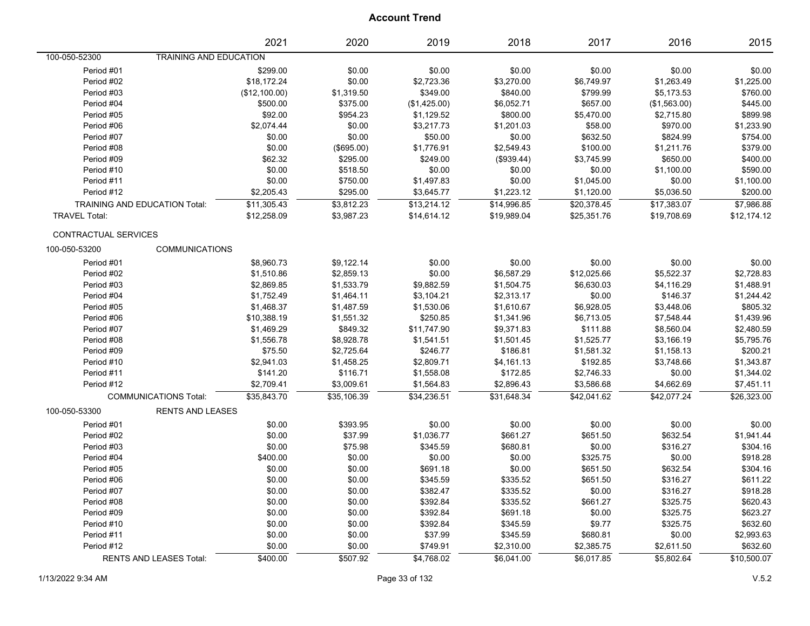|                               |                                | 2021          | 2020        | 2019         | 2018        | 2017        | 2016         | 2015        |
|-------------------------------|--------------------------------|---------------|-------------|--------------|-------------|-------------|--------------|-------------|
| 100-050-52300                 | TRAINING AND EDUCATION         |               |             |              |             |             |              |             |
| Period #01                    |                                | \$299.00      | \$0.00      | \$0.00       | \$0.00      | \$0.00      | \$0.00       | \$0.00      |
| Period #02                    |                                | \$18,172.24   | \$0.00      | \$2,723.36   | \$3,270.00  | \$6,749.97  | \$1,263.49   | \$1,225.00  |
| Period #03                    |                                | (\$12,100.00) | \$1,319.50  | \$349.00     | \$840.00    | \$799.99    | \$5,173.53   | \$760.00    |
| Period #04                    |                                | \$500.00      | \$375.00    | (\$1,425.00) | \$6,052.71  | \$657.00    | (\$1,563.00) | \$445.00    |
| Period #05                    |                                | \$92.00       | \$954.23    | \$1,129.52   | \$800.00    | \$5,470.00  | \$2,715.80   | \$899.98    |
| Period #06                    |                                | \$2,074.44    | \$0.00      | \$3,217.73   | \$1,201.03  | \$58.00     | \$970.00     | \$1,233.90  |
| Period #07                    |                                | \$0.00        | \$0.00      | \$50.00      | \$0.00      | \$632.50    | \$824.99     | \$754.00    |
| Period #08                    |                                | \$0.00        | (\$695.00)  | \$1,776.91   | \$2,549.43  | \$100.00    | \$1,211.76   | \$379.00    |
| Period #09                    |                                | \$62.32       | \$295.00    | \$249.00     | (\$939.44)  | \$3,745.99  | \$650.00     | \$400.00    |
| Period #10                    |                                | \$0.00        | \$518.50    | \$0.00       | \$0.00      | \$0.00      | \$1,100.00   | \$590.00    |
| Period #11                    |                                | \$0.00        | \$750.00    | \$1,497.83   | \$0.00      | \$1,045.00  | \$0.00       | \$1,100.00  |
| Period #12                    |                                | \$2,205.43    | \$295.00    | \$3,645.77   | \$1,223.12  | \$1,120.00  | \$5,036.50   | \$200.00    |
| TRAINING AND EDUCATION Total: |                                | \$11,305.43   | \$3,812.23  | \$13,214.12  | \$14,996.85 | \$20,378.45 | \$17,383.07  | \$7,986.88  |
| <b>TRAVEL Total:</b>          |                                | \$12,258.09   | \$3,987.23  | \$14,614.12  | \$19,989.04 | \$25,351.76 | \$19,708.69  | \$12,174.12 |
| CONTRACTUAL SERVICES          |                                |               |             |              |             |             |              |             |
| 100-050-53200                 | <b>COMMUNICATIONS</b>          |               |             |              |             |             |              |             |
| Period #01                    |                                | \$8,960.73    | \$9,122.14  | \$0.00       | \$0.00      | \$0.00      | \$0.00       | \$0.00      |
| Period #02                    |                                | \$1,510.86    | \$2,859.13  | \$0.00       | \$6,587.29  | \$12,025.66 | \$5,522.37   | \$2,728.83  |
| Period #03                    |                                | \$2,869.85    | \$1,533.79  | \$9,882.59   | \$1,504.75  | \$6,630.03  | \$4,116.29   | \$1,488.91  |
| Period #04                    |                                | \$1,752.49    | \$1,464.11  | \$3,104.21   | \$2,313.17  | \$0.00      | \$146.37     | \$1,244.42  |
| Period #05                    |                                | \$1,468.37    | \$1,487.59  | \$1,530.06   | \$1,610.67  | \$6,928.05  | \$3,448.06   | \$805.32    |
| Period #06                    |                                | \$10,388.19   | \$1,551.32  | \$250.85     | \$1,341.96  | \$6,713.05  | \$7,548.44   | \$1,439.96  |
| Period #07                    |                                | \$1,469.29    | \$849.32    | \$11,747.90  | \$9,371.83  | \$111.88    | \$8,560.04   | \$2,480.59  |
| Period #08                    |                                | \$1,556.78    | \$8,928.78  | \$1,541.51   | \$1,501.45  | \$1,525.77  | \$3,166.19   | \$5,795.76  |
| Period #09                    |                                | \$75.50       | \$2,725.64  | \$246.77     | \$186.81    | \$1,581.32  | \$1,158.13   | \$200.21    |
| Period #10                    |                                | \$2,941.03    | \$1,458.25  | \$2,809.71   | \$4,161.13  | \$192.85    | \$3,748.66   | \$1,343.87  |
| Period #11                    |                                | \$141.20      | \$116.71    | \$1,558.08   | \$172.85    | \$2,746.33  | \$0.00       | \$1,344.02  |
| Period #12                    |                                | \$2,709.41    | \$3,009.61  | \$1,564.83   | \$2,896.43  | \$3,586.68  | \$4,662.69   | \$7,451.11  |
|                               | <b>COMMUNICATIONS Total:</b>   | \$35,843.70   | \$35,106.39 | \$34,236.51  | \$31,648.34 | \$42,041.62 | \$42,077.24  | \$26,323.00 |
| 100-050-53300                 | <b>RENTS AND LEASES</b>        |               |             |              |             |             |              |             |
| Period #01                    |                                | \$0.00        | \$393.95    | \$0.00       | \$0.00      | \$0.00      | \$0.00       | \$0.00      |
| Period #02                    |                                | \$0.00        | \$37.99     | \$1,036.77   | \$661.27    | \$651.50    | \$632.54     | \$1,941.44  |
| Period #03                    |                                | \$0.00        | \$75.98     | \$345.59     | \$680.81    | \$0.00      | \$316.27     | \$304.16    |
| Period #04                    |                                | \$400.00      | \$0.00      | \$0.00       | \$0.00      | \$325.75    | \$0.00       | \$918.28    |
| Period #05                    |                                | \$0.00        | \$0.00      | \$691.18     | \$0.00      | \$651.50    | \$632.54     | \$304.16    |
| Period #06                    |                                | \$0.00        | \$0.00      | \$345.59     | \$335.52    | \$651.50    | \$316.27     | \$611.22    |
| Period #07                    |                                | \$0.00        | \$0.00      | \$382.47     | \$335.52    | \$0.00      | \$316.27     | \$918.28    |
| Period #08                    |                                | \$0.00        | \$0.00      | \$392.84     | \$335.52    | \$661.27    | \$325.75     | \$620.43    |
| Period #09                    |                                | \$0.00        | \$0.00      | \$392.84     | \$691.18    | \$0.00      | \$325.75     | \$623.27    |
| Period #10                    |                                | \$0.00        | \$0.00      | \$392.84     | \$345.59    | \$9.77      | \$325.75     | \$632.60    |
| Period #11                    |                                | \$0.00        | \$0.00      | \$37.99      | \$345.59    | \$680.81    | \$0.00       | \$2,993.63  |
| Period #12                    |                                | \$0.00        | \$0.00      | \$749.91     | \$2,310.00  | \$2,385.75  | \$2,611.50   | \$632.60    |
|                               | <b>RENTS AND LEASES Total:</b> | \$400.00      | \$507.92    | \$4,768.02   | \$6,041.00  | \$6,017.85  | \$5,802.64   | \$10,500.07 |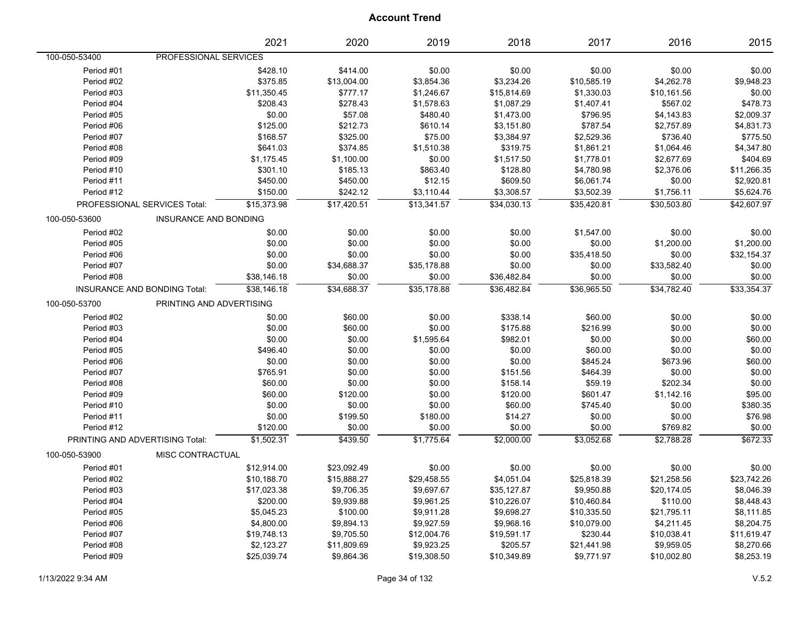|                                 |                                     | 2021        | 2020        | 2019        | 2018        | 2017        | 2016        | 2015        |
|---------------------------------|-------------------------------------|-------------|-------------|-------------|-------------|-------------|-------------|-------------|
| 100-050-53400                   | PROFESSIONAL SERVICES               |             |             |             |             |             |             |             |
| Period #01                      |                                     | \$428.10    | \$414.00    | \$0.00      | \$0.00      | \$0.00      | \$0.00      | \$0.00      |
| Period #02                      |                                     | \$375.85    | \$13,004.00 | \$3,854.36  | \$3,234.26  | \$10,585.19 | \$4,262.78  | \$9,948.23  |
| Period #03                      |                                     | \$11,350.45 | \$777.17    | \$1,246.67  | \$15,814.69 | \$1,330.03  | \$10,161.56 | \$0.00      |
| Period #04                      |                                     | \$208.43    | \$278.43    | \$1,578.63  | \$1,087.29  | \$1,407.41  | \$567.02    | \$478.73    |
| Period #05                      |                                     | \$0.00      | \$57.08     | \$480.40    | \$1,473.00  | \$796.95    | \$4,143.83  | \$2,009.37  |
| Period #06                      |                                     | \$125.00    | \$212.73    | \$610.14    | \$3,151.80  | \$787.54    | \$2,757.89  | \$4,831.73  |
| Period #07                      |                                     | \$168.57    | \$325.00    | \$75.00     | \$3,384.97  | \$2,529.36  | \$736.40    | \$775.50    |
| Period #08                      |                                     | \$641.03    | \$374.85    | \$1,510.38  | \$319.75    | \$1,861.21  | \$1,064.46  | \$4,347.80  |
| Period #09                      |                                     | \$1,175.45  | \$1,100.00  | \$0.00      | \$1,517.50  | \$1,778.01  | \$2,677.69  | \$404.69    |
| Period #10                      |                                     | \$301.10    | \$185.13    | \$863.40    | \$128.80    | \$4,780.98  | \$2,376.06  | \$11,266.35 |
| Period #11                      |                                     | \$450.00    | \$450.00    | \$12.15     | \$609.50    | \$6,061.74  | \$0.00      | \$2,920.81  |
| Period #12                      |                                     | \$150.00    | \$242.12    | \$3,110.44  | \$3,308.57  | \$3,502.39  | \$1,756.11  | \$5,624.76  |
|                                 | PROFESSIONAL SERVICES Total:        | \$15,373.98 | \$17,420.51 | \$13,341.57 | \$34,030.13 | \$35,420.81 | \$30,503.80 | \$42,607.97 |
| 100-050-53600                   | <b>INSURANCE AND BONDING</b>        |             |             |             |             |             |             |             |
| Period #02                      |                                     | \$0.00      | \$0.00      | \$0.00      | \$0.00      | \$1,547.00  | \$0.00      | \$0.00      |
| Period #05                      |                                     | \$0.00      | \$0.00      | \$0.00      | \$0.00      | \$0.00      | \$1,200.00  | \$1,200.00  |
| Period #06                      |                                     | \$0.00      | \$0.00      | \$0.00      | \$0.00      | \$35,418.50 | \$0.00      | \$32,154.37 |
| Period #07                      |                                     | \$0.00      | \$34,688.37 | \$35,178.88 | \$0.00      | \$0.00      | \$33,582.40 | \$0.00      |
| Period #08                      |                                     | \$38,146.18 | \$0.00      | \$0.00      | \$36,482.84 | \$0.00      | \$0.00      | \$0.00      |
|                                 | <b>INSURANCE AND BONDING Total:</b> | \$38,146.18 | \$34,688.37 | \$35,178.88 | \$36,482.84 | \$36,965.50 | \$34,782.40 | \$33,354.37 |
| 100-050-53700                   | PRINTING AND ADVERTISING            |             |             |             |             |             |             |             |
| Period #02                      |                                     | \$0.00      | \$60.00     | \$0.00      | \$338.14    | \$60.00     | \$0.00      | \$0.00      |
| Period #03                      |                                     | \$0.00      | \$60.00     | \$0.00      | \$175.88    | \$216.99    | \$0.00      | \$0.00      |
| Period #04                      |                                     | \$0.00      | \$0.00      | \$1,595.64  | \$982.01    | \$0.00      | \$0.00      | \$60.00     |
| Period #05                      |                                     | \$496.40    | \$0.00      | \$0.00      | \$0.00      | \$60.00     | \$0.00      | \$0.00      |
| Period #06                      |                                     | \$0.00      | \$0.00      | \$0.00      | \$0.00      | \$845.24    | \$673.96    | \$60.00     |
| Period #07                      |                                     | \$765.91    | \$0.00      | \$0.00      | \$151.56    | \$464.39    | \$0.00      | \$0.00      |
| Period #08                      |                                     | \$60.00     | \$0.00      | \$0.00      | \$158.14    | \$59.19     | \$202.34    | \$0.00      |
| Period #09                      |                                     | \$60.00     | \$120.00    | \$0.00      | \$120.00    | \$601.47    | \$1,142.16  | \$95.00     |
| Period #10                      |                                     | \$0.00      | \$0.00      | \$0.00      | \$60.00     | \$745.40    | \$0.00      | \$380.35    |
| Period #11                      |                                     | \$0.00      | \$199.50    | \$180.00    | \$14.27     | \$0.00      | \$0.00      | \$76.98     |
| Period #12                      |                                     | \$120.00    | \$0.00      | \$0.00      | \$0.00      | \$0.00      | \$769.82    | \$0.00      |
| PRINTING AND ADVERTISING Total: |                                     | \$1,502.31  | \$439.50    | \$1,775.64  | \$2,000.00  | \$3,052.68  | \$2,788.28  | \$672.33    |
| 100-050-53900                   | MISC CONTRACTUAL                    |             |             |             |             |             |             |             |
| Period #01                      |                                     | \$12,914.00 | \$23,092.49 | \$0.00      | \$0.00      | \$0.00      | \$0.00      | \$0.00      |
| Period #02                      |                                     | \$10,188.70 | \$15,888.27 | \$29,458.55 | \$4,051.04  | \$25,818.39 | \$21,258.56 | \$23,742.26 |
| Period #03                      |                                     | \$17,023.38 | \$9,706.35  | \$9,697.67  | \$35,127.87 | \$9,950.88  | \$20,174.05 | \$8,046.39  |
| Period #04                      |                                     | \$200.00    | \$9,939.88  | \$9,961.25  | \$10,226.07 | \$10,460.84 | \$110.00    | \$8,448.43  |
| Period #05                      |                                     | \$5,045.23  | \$100.00    | \$9,911.28  | \$9,698.27  | \$10,335.50 | \$21,795.11 | \$8,111.85  |
| Period #06                      |                                     | \$4,800.00  | \$9,894.13  | \$9,927.59  | \$9,968.16  | \$10,079.00 | \$4,211.45  | \$8,204.75  |
| Period #07                      |                                     | \$19,748.13 | \$9,705.50  | \$12,004.76 | \$19,591.17 | \$230.44    | \$10,038.41 | \$11,619.47 |
| Period #08                      |                                     | \$2,123.27  | \$11,809.69 | \$9,923.25  | \$205.57    | \$21,441.98 | \$9,959.05  | \$8,270.66  |
| Period #09                      |                                     | \$25,039.74 | \$9,864.36  | \$19,308.50 | \$10,349.89 | \$9,771.97  | \$10,002.80 | \$8,253.19  |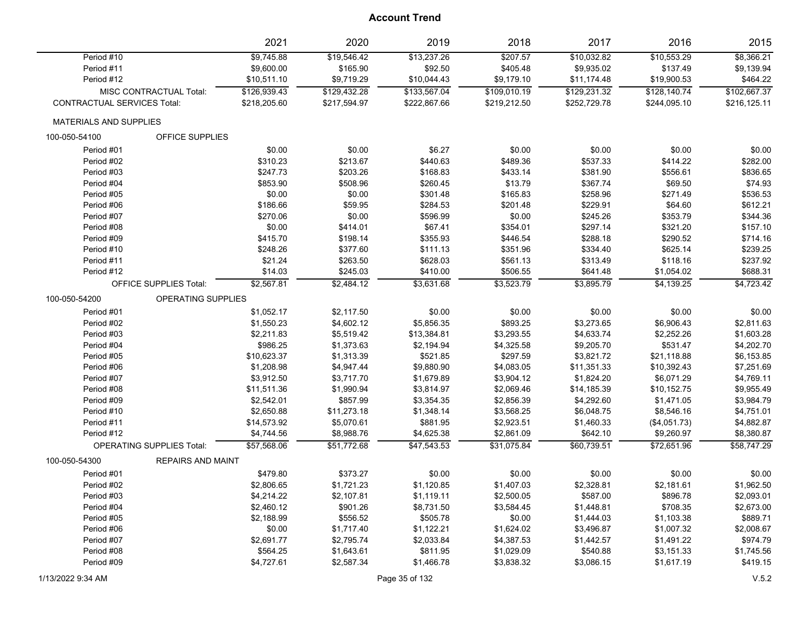|                               |                                  | 2021         | 2020         | 2019         | 2018         | 2017         | 2016         | 2015         |
|-------------------------------|----------------------------------|--------------|--------------|--------------|--------------|--------------|--------------|--------------|
| Period #10                    |                                  | \$9,745.88   | \$19,546.42  | \$13,237.26  | \$207.57     | \$10,032.82  | \$10,553.29  | \$8,366.21   |
| Period #11                    |                                  | \$9,600.00   | \$165.90     | \$92.50      | \$405.48     | \$9,935.02   | \$137.49     | \$9,139.94   |
| Period #12                    |                                  | \$10,511.10  | \$9,719.29   | \$10,044.43  | \$9,179.10   | \$11,174.48  | \$19,900.53  | \$464.22     |
|                               | MISC CONTRACTUAL Total:          | \$126,939.43 | \$129,432.28 | \$133,567.04 | \$109,010.19 | \$129,231.32 | \$128,140.74 | \$102,667.37 |
| CONTRACTUAL SERVICES Total:   |                                  | \$218,205.60 | \$217,594.97 | \$222,867.66 | \$219,212.50 | \$252,729.78 | \$244,095.10 | \$216,125.11 |
| <b>MATERIALS AND SUPPLIES</b> |                                  |              |              |              |              |              |              |              |
| 100-050-54100                 | OFFICE SUPPLIES                  |              |              |              |              |              |              |              |
| Period #01                    |                                  | \$0.00       | \$0.00       | \$6.27       | \$0.00       | \$0.00       | \$0.00       | \$0.00       |
| Period #02                    |                                  | \$310.23     | \$213.67     | \$440.63     | \$489.36     | \$537.33     | \$414.22     | \$282.00     |
| Period #03                    |                                  | \$247.73     | \$203.26     | \$168.83     | \$433.14     | \$381.90     | \$556.61     | \$836.65     |
| Period #04                    |                                  | \$853.90     | \$508.96     | \$260.45     | \$13.79      | \$367.74     | \$69.50      | \$74.93      |
| Period #05                    |                                  | \$0.00       | \$0.00       | \$301.48     | \$165.83     | \$258.96     | \$271.49     | \$536.53     |
| Period #06                    |                                  | \$186.66     | \$59.95      | \$284.53     | \$201.48     | \$229.91     | \$64.60      | \$612.21     |
| Period #07                    |                                  | \$270.06     | \$0.00       | \$596.99     | \$0.00       | \$245.26     | \$353.79     | \$344.36     |
| Period #08                    |                                  | \$0.00       | \$414.01     | \$67.41      | \$354.01     | \$297.14     | \$321.20     | \$157.10     |
| Period #09                    |                                  | \$415.70     | \$198.14     | \$355.93     | \$446.54     | \$288.18     | \$290.52     | \$714.16     |
| Period #10                    |                                  | \$248.26     | \$377.60     | \$111.13     | \$351.96     | \$334.40     | \$625.14     | \$239.25     |
| Period #11                    |                                  | \$21.24      | \$263.50     | \$628.03     | \$561.13     | \$313.49     | \$118.16     | \$237.92     |
| Period #12                    |                                  | \$14.03      | \$245.03     | \$410.00     | \$506.55     | \$641.48     | \$1,054.02   | \$688.31     |
|                               | <b>OFFICE SUPPLIES Total:</b>    | \$2,567.81   | \$2,484.12   | \$3,631.68   | \$3,523.79   | \$3,895.79   | \$4,139.25   | \$4,723.42   |
| 100-050-54200                 | <b>OPERATING SUPPLIES</b>        |              |              |              |              |              |              |              |
| Period #01                    |                                  | \$1,052.17   | \$2,117.50   | \$0.00       | \$0.00       | \$0.00       | \$0.00       | \$0.00       |
| Period #02                    |                                  | \$1,550.23   | \$4,602.12   | \$5,856.35   | \$893.25     | \$3,273.65   | \$6,906.43   | \$2,811.63   |
| Period #03                    |                                  | \$2,211.83   | \$5,519.42   | \$13,384.81  | \$3,293.55   | \$4,633.74   | \$2,252.26   | \$1,603.28   |
| Period #04                    |                                  | \$986.25     | \$1,373.63   | \$2,194.94   | \$4,325.58   | \$9,205.70   | \$531.47     | \$4,202.70   |
| Period #05                    |                                  | \$10,623.37  | \$1,313.39   | \$521.85     | \$297.59     | \$3,821.72   | \$21,118.88  | \$6,153.85   |
| Period #06                    |                                  | \$1,208.98   | \$4,947.44   | \$9,880.90   | \$4,083.05   | \$11,351.33  | \$10,392.43  | \$7,251.69   |
| Period #07                    |                                  | \$3,912.50   | \$3,717.70   | \$1,679.89   | \$3,904.12   | \$1,824.20   | \$6,071.29   | \$4,769.11   |
| Period #08                    |                                  | \$11,511.36  | \$1,990.94   | \$3,814.97   | \$2,069.46   | \$14,185.39  | \$10,152.75  | \$9,955.49   |
| Period #09                    |                                  | \$2,542.01   | \$857.99     | \$3,354.35   | \$2,856.39   | \$4,292.60   | \$1,471.05   | \$3,984.79   |
| Period #10                    |                                  | \$2,650.88   | \$11,273.18  | \$1,348.14   | \$3,568.25   | \$6,048.75   | \$8,546.16   | \$4,751.01   |
| Period #11                    |                                  | \$14,573.92  | \$5,070.61   | \$881.95     | \$2,923.51   | \$1,460.33   | (\$4,051.73) | \$4,882.87   |
| Period #12                    |                                  | \$4,744.56   | \$8,988.76   | \$4,625.38   | \$2,861.09   | \$642.10     | \$9,260.97   | \$8,380.87   |
|                               | <b>OPERATING SUPPLIES Total:</b> | \$57,568.06  | \$51,772.68  | \$47,543.53  | \$31,075.84  | \$60,739.51  | \$72,651.96  | \$58,747.29  |
| 100-050-54300                 | <b>REPAIRS AND MAINT</b>         |              |              |              |              |              |              |              |
| Period #01                    |                                  | \$479.80     | \$373.27     | \$0.00       | \$0.00       | \$0.00       | \$0.00       | \$0.00       |
| Period #02                    |                                  | \$2,806.65   | \$1,721.23   | \$1,120.85   | \$1,407.03   | \$2,328.81   | \$2,181.61   | \$1,962.50   |
| Period #03                    |                                  | \$4,214.22   | \$2,107.81   | \$1,119.11   | \$2,500.05   | \$587.00     | \$896.78     | \$2,093.01   |
| Period #04                    |                                  | \$2,460.12   | \$901.26     | \$8,731.50   | \$3,584.45   | \$1,448.81   | \$708.35     | \$2,673.00   |
| Period #05                    |                                  | \$2,188.99   | \$556.52     | \$505.78     | \$0.00       | \$1,444.03   | \$1,103.38   | \$889.71     |
| Period #06                    |                                  | \$0.00       | \$1,717.40   | \$1,122.21   | \$1,624.02   | \$3,496.87   | \$1,007.32   | \$2,008.67   |
| Period #07                    |                                  | \$2,691.77   | \$2,795.74   | \$2,033.84   | \$4,387.53   | \$1,442.57   | \$1,491.22   | \$974.79     |
| Period #08                    |                                  | \$564.25     | \$1,643.61   | \$811.95     | \$1,029.09   | \$540.88     | \$3,151.33   | \$1,745.56   |
| Period #09                    |                                  | \$4,727.61   | \$2,587.34   | \$1,466.78   | \$3,838.32   | \$3,086.15   | \$1,617.19   | \$419.15     |
|                               |                                  |              |              |              |              |              |              |              |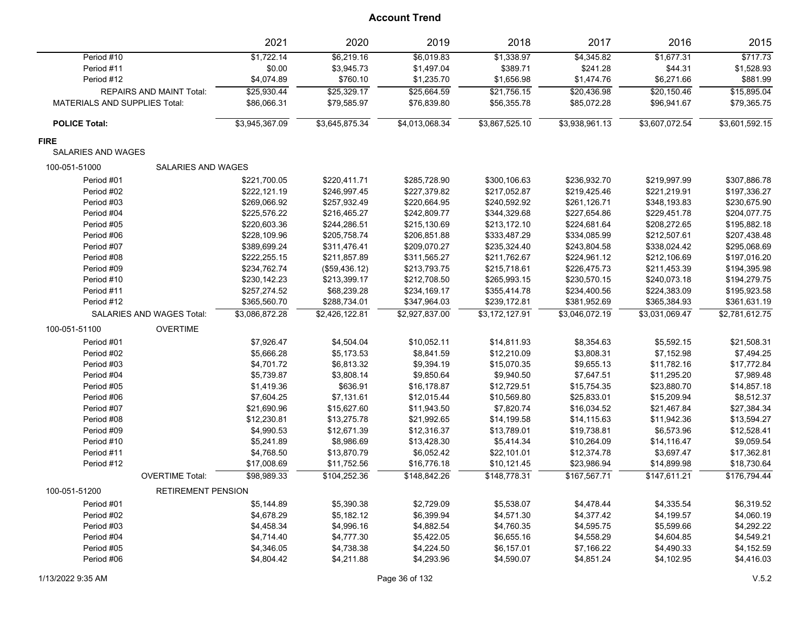|                                      |                           | 2021           | 2020           | 2019           | 2018           | 2017           | 2016           | 2015           |
|--------------------------------------|---------------------------|----------------|----------------|----------------|----------------|----------------|----------------|----------------|
| Period #10                           |                           | \$1,722.14     | \$6,219.16     | \$6,019.83     | \$1,338.97     | \$4,345.82     | \$1,677.31     | \$717.73       |
| Period #11                           |                           | \$0.00         | \$3,945.73     | \$1,497.04     | \$389.71       | \$241.28       | \$44.31        | \$1,528.93     |
| Period #12                           |                           | \$4,074.89     | \$760.10       | \$1,235.70     | \$1,656.98     | \$1,474.76     | \$6,271.66     | \$881.99       |
|                                      | REPAIRS AND MAINT Total:  | \$25,930.44    | \$25,329.17    | \$25,664.59    | \$21,756.15    | \$20,436.98    | \$20,150.46    | \$15,895.04    |
| <b>MATERIALS AND SUPPLIES Total:</b> |                           | \$86,066.31    | \$79,585.97    | \$76,839.80    | \$56,355.78    | \$85,072.28    | \$96,941.67    | \$79,365.75    |
| <b>POLICE Total:</b>                 |                           | \$3,945,367.09 | \$3,645,875.34 | \$4,013,068.34 | \$3,867,525.10 | \$3,938,961.13 | \$3,607,072.54 | \$3,601,592.15 |
| <b>FIRE</b>                          |                           |                |                |                |                |                |                |                |
| <b>SALARIES AND WAGES</b>            |                           |                |                |                |                |                |                |                |
| 100-051-51000                        | <b>SALARIES AND WAGES</b> |                |                |                |                |                |                |                |
| Period #01                           |                           | \$221,700.05   | \$220,411.71   | \$285,728.90   | \$300,106.63   | \$236,932.70   | \$219,997.99   | \$307,886.78   |
| Period #02                           |                           | \$222,121.19   | \$246,997.45   | \$227,379.82   | \$217,052.87   | \$219,425.46   | \$221,219.91   | \$197,336.27   |
| Period #03                           |                           | \$269,066.92   | \$257,932.49   | \$220,664.95   | \$240,592.92   | \$261,126.71   | \$348,193.83   | \$230,675.90   |
| Period #04                           |                           | \$225,576.22   | \$216,465.27   | \$242,809.77   | \$344,329.68   | \$227,654.86   | \$229,451.78   | \$204,077.75   |
| Period #05                           |                           | \$220,603.36   | \$244,286.51   | \$215,130.69   | \$213,172.10   | \$224,681.64   | \$208,272.65   | \$195,882.18   |
| Period #06                           |                           | \$228,109.96   | \$205,758.74   | \$206,851.88   | \$333,487.29   | \$334,085.99   | \$212,507.61   | \$207,438.48   |
| Period #07                           |                           | \$389,699.24   | \$311,476.41   | \$209,070.27   | \$235,324.40   | \$243,804.58   | \$338,024.42   | \$295,068.69   |
| Period #08                           |                           | \$222,255.15   | \$211,857.89   | \$311,565.27   | \$211,762.67   | \$224,961.12   | \$212,106.69   | \$197,016.20   |
| Period #09                           |                           | \$234,762.74   | (\$59,436.12)  | \$213,793.75   | \$215,718.61   | \$226,475.73   | \$211,453.39   | \$194,395.98   |
| Period #10                           |                           | \$230,142.23   | \$213,399.17   | \$212,708.50   | \$265,993.15   | \$230,570.15   | \$240,073.18   | \$194,279.75   |
| Period #11                           |                           | \$257,274.52   | \$68,239.28    | \$234,169.17   | \$355,414.78   | \$234,400.56   | \$224,383.09   | \$195,923.58   |
| Period #12                           |                           | \$365,560.70   | \$288,734.01   | \$347,964.03   | \$239,172.81   | \$381,952.69   | \$365,384.93   | \$361,631.19   |
|                                      | SALARIES AND WAGES Total: | \$3,086,872.28 | \$2,426,122.81 | \$2,927,837.00 | \$3,172,127.91 | \$3,046,072.19 | \$3,031,069.47 | \$2,781,612.75 |
| 100-051-51100                        | <b>OVERTIME</b>           |                |                |                |                |                |                |                |
| Period #01                           |                           | \$7,926.47     | \$4,504.04     | \$10,052.11    | \$14,811.93    | \$8,354.63     | \$5,592.15     | \$21,508.31    |
| Period #02                           |                           | \$5,666.28     | \$5,173.53     | \$8,841.59     | \$12,210.09    | \$3,808.31     | \$7,152.98     | \$7,494.25     |
| Period #03                           |                           | \$4,701.72     | \$6,813.32     | \$9,394.19     | \$15,070.35    | \$9,655.13     | \$11,782.16    | \$17,772.84    |
| Period #04                           |                           | \$5,739.87     | \$3,808.14     | \$9,850.64     | \$9,940.50     | \$7,647.51     | \$11,295.20    | \$7,989.48     |
| Period #05                           |                           | \$1,419.36     | \$636.91       | \$16,178.87    | \$12,729.51    | \$15,754.35    | \$23,880.70    | \$14,857.18    |
| Period #06                           |                           | \$7,604.25     | \$7,131.61     | \$12,015.44    | \$10,569.80    | \$25,833.01    | \$15,209.94    | \$8,512.37     |
| Period #07                           |                           | \$21,690.96    | \$15,627.60    | \$11,943.50    | \$7,820.74     | \$16,034.52    | \$21,467.84    | \$27,384.34    |
| Period #08                           |                           | \$12,230.81    | \$13,275.78    | \$21,992.65    | \$14,199.58    | \$14,115.63    | \$11,942.36    | \$13,594.27    |
| Period #09                           |                           | \$4,990.53     | \$12,671.39    | \$12,316.37    | \$13,789.01    | \$19,738.81    | \$6,573.96     | \$12,528.41    |
| Period #10                           |                           | \$5,241.89     | \$8,986.69     | \$13,428.30    | \$5,414.34     | \$10,264.09    | \$14,116.47    | \$9,059.54     |
| Period #11                           |                           | \$4,768.50     | \$13,870.79    | \$6,052.42     | \$22,101.01    | \$12,374.78    | \$3,697.47     | \$17,362.81    |
| Period #12                           |                           | \$17,008.69    | \$11,752.56    | \$16,776.18    | \$10,121.45    | \$23,986.94    | \$14,899.98    | \$18,730.64    |
|                                      | <b>OVERTIME Total:</b>    | \$98,989.33    | \$104,252.36   | \$148,842.26   | \$148,778.31   | \$167,567.71   | \$147,611.21   | \$176,794.44   |
| 100-051-51200                        | <b>RETIREMENT PENSION</b> |                |                |                |                |                |                |                |
| Period #01                           |                           | \$5,144.89     | \$5,390.38     | \$2,729.09     | \$5,538.07     | \$4,478.44     | \$4,335.54     | \$6,319.52     |
| Period #02                           |                           | \$4,678.29     | \$5,182.12     | \$6,399.94     | \$4,571.30     | \$4,377.42     | \$4,199.57     | \$4,060.19     |
| Period #03                           |                           | \$4,458.34     | \$4,996.16     | \$4,882.54     | \$4,760.35     | \$4,595.75     | \$5,599.66     | \$4,292.22     |
| Period #04                           |                           | \$4,714.40     | \$4,777.30     | \$5,422.05     | \$6,655.16     | \$4,558.29     | \$4,604.85     | \$4,549.21     |
| Period #05                           |                           | \$4,346.05     | \$4,738.38     | \$4,224.50     | \$6,157.01     | \$7,166.22     | \$4,490.33     | \$4,152.59     |
| Period #06                           |                           | \$4,804.42     | \$4,211.88     | \$4,293.96     | \$4,590.07     | \$4,851.24     | \$4,102.95     | \$4,416.03     |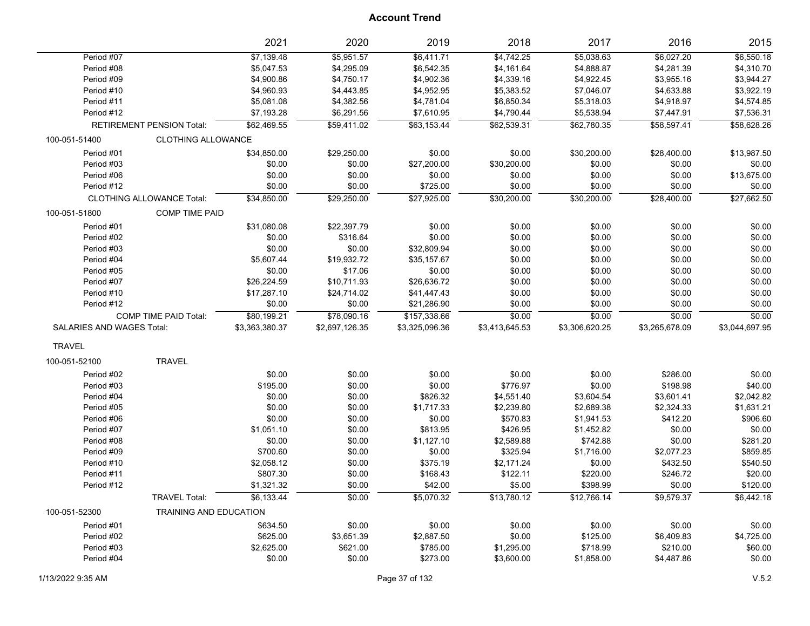|                           |                                  | 2021           | 2020           | 2019           | 2018           | 2017           | 2016           | 2015           |
|---------------------------|----------------------------------|----------------|----------------|----------------|----------------|----------------|----------------|----------------|
| Period #07                |                                  | \$7,139.48     | \$5,951.57     | \$6,411.71     | \$4,742.25     | \$5,038.63     | \$6,027.20     | \$6,550.18     |
| Period #08                |                                  | \$5,047.53     | \$4,295.09     | \$6,542.35     | \$4,161.64     | \$4,888.87     | \$4,281.39     | \$4,310.70     |
| Period #09                |                                  | \$4,900.86     | \$4,750.17     | \$4,902.36     | \$4,339.16     | \$4,922.45     | \$3,955.16     | \$3,944.27     |
| Period #10                |                                  | \$4,960.93     | \$4,443.85     | \$4,952.95     | \$5,383.52     | \$7,046.07     | \$4,633.88     | \$3,922.19     |
| Period #11                |                                  | \$5,081.08     | \$4,382.56     | \$4,781.04     | \$6,850.34     | \$5,318.03     | \$4,918.97     | \$4,574.85     |
| Period #12                |                                  | \$7,193.28     | \$6,291.56     | \$7,610.95     | \$4,790.44     | \$5,538.94     | \$7,447.91     | \$7,536.31     |
|                           | <b>RETIREMENT PENSION Total:</b> | \$62,469.55    | \$59,411.02    | \$63,153.44    | \$62,539.31    | \$62,780.35    | \$58,597.41    | \$58,628.26    |
| 100-051-51400             | <b>CLOTHING ALLOWANCE</b>        |                |                |                |                |                |                |                |
| Period #01                |                                  | \$34,850.00    | \$29,250.00    | \$0.00         | \$0.00         | \$30,200.00    | \$28,400.00    | \$13,987.50    |
| Period #03                |                                  | \$0.00         | \$0.00         | \$27,200.00    | \$30,200.00    | \$0.00         | \$0.00         | \$0.00         |
| Period #06                |                                  | \$0.00         | \$0.00         | \$0.00         | \$0.00         | \$0.00         | \$0.00         | \$13,675.00    |
| Period #12                |                                  | \$0.00         | \$0.00         | \$725.00       | \$0.00         | \$0.00         | \$0.00         | \$0.00         |
|                           | <b>CLOTHING ALLOWANCE Total:</b> | \$34,850.00    | \$29,250.00    | \$27,925.00    | \$30,200.00    | \$30,200.00    | \$28,400.00    | \$27,662.50    |
| 100-051-51800             | <b>COMP TIME PAID</b>            |                |                |                |                |                |                |                |
| Period #01                |                                  | \$31,080.08    | \$22,397.79    | \$0.00         | \$0.00         | \$0.00         | \$0.00         | \$0.00         |
| Period #02                |                                  | \$0.00         | \$316.64       | \$0.00         | \$0.00         | \$0.00         | \$0.00         | \$0.00         |
| Period #03                |                                  | \$0.00         | \$0.00         | \$32,809.94    | \$0.00         | \$0.00         | \$0.00         | \$0.00         |
| Period #04                |                                  | \$5,607.44     | \$19,932.72    | \$35,157.67    | \$0.00         | \$0.00         | \$0.00         | \$0.00         |
| Period #05                |                                  | \$0.00         | \$17.06        | \$0.00         | \$0.00         | \$0.00         | \$0.00         | \$0.00         |
| Period #07                |                                  | \$26,224.59    | \$10,711.93    | \$26,636.72    | \$0.00         | \$0.00         | \$0.00         | \$0.00         |
| Period #10                |                                  | \$17,287.10    | \$24,714.02    | \$41,447.43    | \$0.00         | \$0.00         | \$0.00         | \$0.00         |
| Period #12                |                                  | \$0.00         | \$0.00         | \$21,286.90    | \$0.00         | \$0.00         | \$0.00         | \$0.00         |
|                           | <b>COMP TIME PAID Total:</b>     | \$80,199.21    | \$78,090.16    | \$157,338.66   | \$0.00         | \$0.00         | \$0.00         | \$0.00         |
| SALARIES AND WAGES Total: |                                  | \$3,363,380.37 | \$2,697,126.35 | \$3,325,096.36 | \$3,413,645.53 | \$3,306,620.25 | \$3,265,678.09 | \$3,044,697.95 |
| <b>TRAVEL</b>             |                                  |                |                |                |                |                |                |                |
| 100-051-52100             | <b>TRAVEL</b>                    |                |                |                |                |                |                |                |
| Period #02                |                                  | \$0.00         | \$0.00         | \$0.00         | \$0.00         | \$0.00         | \$286.00       | \$0.00         |
| Period #03                |                                  | \$195.00       | \$0.00         | \$0.00         | \$776.97       | \$0.00         | \$198.98       | \$40.00        |
| Period #04                |                                  | \$0.00         | \$0.00         | \$826.32       | \$4,551.40     | \$3,604.54     | \$3,601.41     | \$2,042.82     |
| Period #05                |                                  | \$0.00         | \$0.00         | \$1,717.33     | \$2,239.80     | \$2,689.38     | \$2,324.33     | \$1,631.21     |
| Period #06                |                                  | \$0.00         | \$0.00         | \$0.00         | \$570.83       | \$1,941.53     | \$412.20       | \$906.60       |
| Period #07                |                                  | \$1,051.10     | \$0.00         | \$813.95       | \$426.95       | \$1,452.82     | \$0.00         | \$0.00         |
| Period #08                |                                  | \$0.00         | \$0.00         | \$1,127.10     | \$2,589.88     | \$742.88       | \$0.00         | \$281.20       |
| Period #09                |                                  | \$700.60       | \$0.00         | \$0.00         | \$325.94       | \$1,716.00     | \$2,077.23     | \$859.85       |
| Period #10                |                                  | \$2,058.12     | \$0.00         | \$375.19       | \$2,171.24     | \$0.00         | \$432.50       | \$540.50       |
| Period #11                |                                  | \$807.30       | \$0.00         | \$168.43       | \$122.11       | \$220.00       | \$246.72       | \$20.00        |
| Period #12                |                                  | \$1,321.32     | \$0.00         | \$42.00        | \$5.00         | \$398.99       | \$0.00         | \$120.00       |
|                           | <b>TRAVEL Total:</b>             | \$6,133.44     | \$0.00         | \$5,070.32     | \$13,780.12    | \$12,766.14    | \$9,579.37     | \$6,442.18     |
| 100-051-52300             | <b>TRAINING AND EDUCATION</b>    |                |                |                |                |                |                |                |
| Period #01                |                                  | \$634.50       | \$0.00         | \$0.00         | \$0.00         | \$0.00         | \$0.00         | \$0.00         |
| Period #02                |                                  | \$625.00       | \$3,651.39     | \$2,887.50     | \$0.00         | \$125.00       | \$6,409.83     | \$4,725.00     |
| Period #03                |                                  | \$2,625.00     | \$621.00       | \$785.00       | \$1,295.00     | \$718.99       | \$210.00       | \$60.00        |
| Period #04                |                                  | \$0.00         | \$0.00         | \$273.00       | \$3,600.00     | \$1,858.00     | \$4,487.86     | \$0.00         |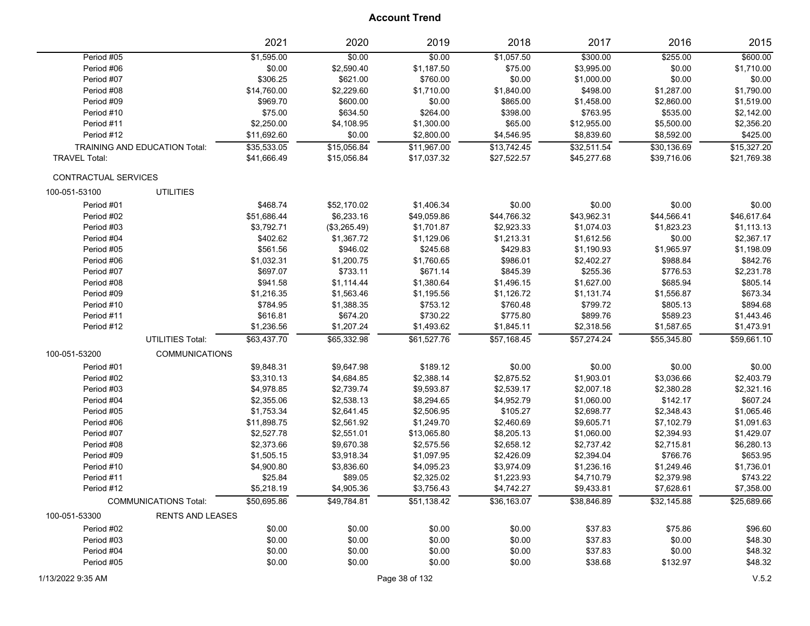|                      |                                      |                         | 2021        | 2020         | 2019        | 2018        | 2017        | 2016        | 2015        |
|----------------------|--------------------------------------|-------------------------|-------------|--------------|-------------|-------------|-------------|-------------|-------------|
|                      | Period #05                           |                         | \$1,595.00  | \$0.00       | \$0.00      | \$1,057.50  | \$300.00    | \$255.00    | \$600.00    |
|                      | Period #06                           |                         | \$0.00      | \$2,590.40   | \$1,187.50  | \$75.00     | \$3,995.00  | \$0.00      | \$1,710.00  |
|                      | Period #07                           |                         | \$306.25    | \$621.00     | \$760.00    | \$0.00      | \$1,000.00  | \$0.00      | \$0.00      |
|                      | Period #08                           |                         | \$14,760.00 | \$2,229.60   | \$1,710.00  | \$1,840.00  | \$498.00    | \$1,287.00  | \$1,790.00  |
|                      | Period #09                           |                         | \$969.70    | \$600.00     | \$0.00      | \$865.00    | \$1,458.00  | \$2,860.00  | \$1,519.00  |
|                      | Period #10                           |                         | \$75.00     | \$634.50     | \$264.00    | \$398.00    | \$763.95    | \$535.00    | \$2,142.00  |
|                      | Period #11                           |                         | \$2,250.00  | \$4,108.95   | \$1,300.00  | \$65.00     | \$12,955.00 | \$5,500.00  | \$2,356.20  |
|                      | Period #12                           |                         | \$11,692.60 | \$0.00       | \$2,800.00  | \$4,546.95  | \$8,839.60  | \$8,592.00  | \$425.00    |
|                      | <b>TRAINING AND EDUCATION Total:</b> |                         | \$35,533.05 | \$15,056.84  | \$11,967.00 | \$13,742.45 | \$32,511.54 | \$30,136.69 | \$15,327.20 |
| <b>TRAVEL Total:</b> |                                      |                         | \$41,666.49 | \$15,056.84  | \$17,037.32 | \$27,522.57 | \$45,277.68 | \$39,716.06 | \$21,769.38 |
|                      | CONTRACTUAL SERVICES                 |                         |             |              |             |             |             |             |             |
| 100-051-53100        |                                      | <b>UTILITIES</b>        |             |              |             |             |             |             |             |
|                      | Period #01                           |                         | \$468.74    | \$52,170.02  | \$1,406.34  | \$0.00      | \$0.00      | \$0.00      | \$0.00      |
|                      | Period #02                           |                         | \$51,686.44 | \$6,233.16   | \$49,059.86 | \$44,766.32 | \$43,962.31 | \$44,566.41 | \$46,617.64 |
|                      | Period #03                           |                         | \$3,792.71  | (\$3,265.49) | \$1,701.87  | \$2,923.33  | \$1,074.03  | \$1,823.23  | \$1,113.13  |
|                      | Period #04                           |                         | \$402.62    | \$1,367.72   | \$1,129.06  | \$1,213.31  | \$1,612.56  | \$0.00      | \$2,367.17  |
|                      | Period #05                           |                         | \$561.56    | \$946.02     | \$245.68    | \$429.83    | \$1,190.93  | \$1,965.97  | \$1,198.09  |
|                      | Period #06                           |                         | \$1,032.31  | \$1,200.75   | \$1,760.65  | \$986.01    | \$2,402.27  | \$988.84    | \$842.76    |
|                      | Period #07                           |                         | \$697.07    | \$733.11     | \$671.14    | \$845.39    | \$255.36    | \$776.53    | \$2,231.78  |
|                      | Period #08                           |                         | \$941.58    | \$1,114.44   | \$1,380.64  | \$1,496.15  | \$1,627.00  | \$685.94    | \$805.14    |
|                      | Period #09                           |                         | \$1,216.35  | \$1,563.46   | \$1,195.56  | \$1,126.72  | \$1,131.74  | \$1,556.87  | \$673.34    |
|                      | Period #10                           |                         | \$784.95    | \$1,388.35   | \$753.12    | \$760.48    | \$799.72    | \$805.13    | \$894.68    |
|                      | Period #11                           |                         | \$616.81    | \$674.20     | \$730.22    | \$775.80    | \$899.76    | \$589.23    | \$1,443.46  |
|                      | Period #12                           |                         | \$1,236.56  | \$1,207.24   | \$1,493.62  | \$1,845.11  | \$2,318.56  | \$1,587.65  | \$1,473.91  |
|                      |                                      | <b>UTILITIES Total:</b> | \$63,437.70 | \$65,332.98  | \$61,527.76 | \$57,168.45 | \$57,274.24 | \$55,345.80 | \$59,661.10 |
| 100-051-53200        |                                      | <b>COMMUNICATIONS</b>   |             |              |             |             |             |             |             |
|                      | Period #01                           |                         | \$9,848.31  | \$9,647.98   | \$189.12    | \$0.00      | \$0.00      | \$0.00      | \$0.00      |
|                      | Period #02                           |                         | \$3,310.13  | \$4,684.85   | \$2,388.14  | \$2,875.52  | \$1,903.01  | \$3,036.66  | \$2,403.79  |
|                      | Period #03                           |                         | \$4,978.85  | \$2,739.74   | \$9,593.87  | \$2,539.17  | \$2,007.18  | \$2,380.28  | \$2,321.16  |
|                      | Period #04                           |                         | \$2,355.06  | \$2,538.13   | \$8,294.65  | \$4,952.79  | \$1,060.00  | \$142.17    | \$607.24    |
|                      | Period #05                           |                         | \$1,753.34  | \$2,641.45   | \$2,506.95  | \$105.27    | \$2,698.77  | \$2,348.43  | \$1,065.46  |
|                      | Period #06                           |                         | \$11,898.75 | \$2,561.92   | \$1,249.70  | \$2,460.69  | \$9,605.71  | \$7,102.79  | \$1,091.63  |
|                      | Period #07                           |                         | \$2,527.78  | \$2,551.01   | \$13,065.80 | \$8,205.13  | \$1,060.00  | \$2,394.93  | \$1,429.07  |
|                      | Period #08                           |                         | \$2,373.66  | \$9,670.38   | \$2,575.56  | \$2,658.12  | \$2,737.42  | \$2,715.81  | \$6,280.13  |
|                      | Period #09                           |                         | \$1,505.15  | \$3,918.34   | \$1,097.95  | \$2,426.09  | \$2,394.04  | \$766.76    | \$653.95    |
|                      | Period #10                           |                         | \$4,900.80  | \$3,836.60   | \$4,095.23  | \$3,974.09  | \$1,236.16  | \$1,249.46  | \$1,736.01  |
|                      | Period #11                           |                         | \$25.84     | \$89.05      | \$2,325.02  | \$1,223.93  | \$4,710.79  | \$2,379.98  | \$743.22    |
|                      | Period #12                           |                         | \$5,218.19  | \$4,905.36   | \$3,756.43  | \$4,742.27  | \$9,433.81  | \$7,628.61  | \$7,358.00  |
|                      | <b>COMMUNICATIONS Total:</b>         |                         | \$50,695.86 | \$49,784.81  | \$51,138.42 | \$36,163.07 | \$38,846.89 | \$32,145.88 | \$25,689.66 |
| 100-051-53300        |                                      | <b>RENTS AND LEASES</b> |             |              |             |             |             |             |             |
|                      | Period #02                           |                         | \$0.00      | \$0.00       | \$0.00      | \$0.00      | \$37.83     | \$75.86     | \$96.60     |
|                      | Period #03                           |                         | \$0.00      | \$0.00       | \$0.00      | \$0.00      | \$37.83     | \$0.00      | \$48.30     |
|                      | Period #04                           |                         | \$0.00      | \$0.00       | \$0.00      | \$0.00      | \$37.83     | \$0.00      | \$48.32     |
|                      | Period #05                           |                         | \$0.00      | \$0.00       | \$0.00      | \$0.00      | \$38.68     | \$132.97    | \$48.32     |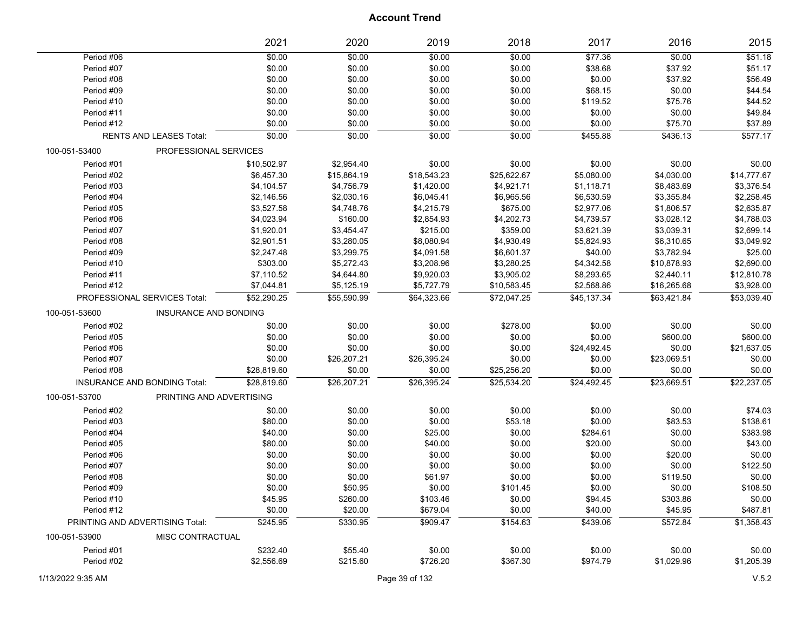|               |                                     | 2021        | 2020        | 2019        | 2018        | 2017        | 2016        | 2015        |
|---------------|-------------------------------------|-------------|-------------|-------------|-------------|-------------|-------------|-------------|
| Period #06    |                                     | \$0.00      | \$0.00      | \$0.00      | \$0.00      | \$77.36     | \$0.00      | \$51.18     |
| Period #07    |                                     | \$0.00      | \$0.00      | \$0.00      | \$0.00      | \$38.68     | \$37.92     | \$51.17     |
| Period #08    |                                     | \$0.00      | \$0.00      | \$0.00      | \$0.00      | \$0.00      | \$37.92     | \$56.49     |
| Period #09    |                                     | \$0.00      | \$0.00      | \$0.00      | \$0.00      | \$68.15     | \$0.00      | \$44.54     |
| Period #10    |                                     | \$0.00      | \$0.00      | \$0.00      | \$0.00      | \$119.52    | \$75.76     | \$44.52     |
| Period #11    |                                     | \$0.00      | \$0.00      | \$0.00      | \$0.00      | \$0.00      | \$0.00      | \$49.84     |
| Period #12    |                                     | \$0.00      | \$0.00      | \$0.00      | \$0.00      | \$0.00      | \$75.70     | \$37.89     |
|               | RENTS AND LEASES Total:             | \$0.00      | \$0.00      | \$0.00      | \$0.00      | \$455.88    | \$436.13    | \$577.17    |
| 100-051-53400 | PROFESSIONAL SERVICES               |             |             |             |             |             |             |             |
| Period #01    |                                     | \$10,502.97 | \$2,954.40  | \$0.00      | \$0.00      | \$0.00      | \$0.00      | \$0.00      |
| Period #02    |                                     | \$6,457.30  | \$15,864.19 | \$18,543.23 | \$25,622.67 | \$5,080.00  | \$4,030.00  | \$14,777.67 |
| Period #03    |                                     | \$4,104.57  | \$4,756.79  | \$1,420.00  | \$4,921.71  | \$1,118.71  | \$8,483.69  | \$3,376.54  |
| Period #04    |                                     | \$2,146.56  | \$2,030.16  | \$6,045.41  | \$6,965.56  | \$6,530.59  | \$3,355.84  | \$2,258.45  |
| Period #05    |                                     | \$3,527.58  | \$4,748.76  | \$4,215.79  | \$675.00    | \$2,977.06  | \$1,806.57  | \$2,635.87  |
| Period #06    |                                     | \$4,023.94  | \$160.00    | \$2,854.93  | \$4,202.73  | \$4,739.57  | \$3,028.12  | \$4,788.03  |
| Period #07    |                                     | \$1,920.01  | \$3,454.47  | \$215.00    | \$359.00    | \$3,621.39  | \$3,039.31  | \$2,699.14  |
| Period #08    |                                     | \$2,901.51  | \$3,280.05  | \$8,080.94  | \$4,930.49  | \$5,824.93  | \$6,310.65  | \$3,049.92  |
| Period #09    |                                     | \$2,247.48  | \$3,299.75  | \$4,091.58  | \$6,601.37  | \$40.00     | \$3,782.94  | \$25.00     |
| Period #10    |                                     | \$303.00    | \$5,272.43  | \$3,208.96  | \$3,280.25  | \$4,342.58  | \$10,878.93 | \$2,690.00  |
| Period #11    |                                     | \$7,110.52  | \$4,644.80  | \$9,920.03  | \$3,905.02  | \$8,293.65  | \$2,440.11  | \$12,810.78 |
| Period #12    |                                     | \$7,044.81  | \$5,125.19  | \$5,727.79  | \$10,583.45 | \$2,568.86  | \$16,265.68 | \$3,928.00  |
|               | PROFESSIONAL SERVICES Total:        | \$52,290.25 | \$55,590.99 | \$64,323.66 | \$72,047.25 | \$45,137.34 | \$63,421.84 | \$53,039.40 |
| 100-051-53600 | <b>INSURANCE AND BONDING</b>        |             |             |             |             |             |             |             |
| Period #02    |                                     | \$0.00      | \$0.00      | \$0.00      | \$278.00    | \$0.00      | \$0.00      | \$0.00      |
| Period #05    |                                     | \$0.00      | \$0.00      | \$0.00      | \$0.00      | \$0.00      | \$600.00    | \$600.00    |
| Period #06    |                                     | \$0.00      | \$0.00      | \$0.00      | \$0.00      | \$24,492.45 | \$0.00      | \$21,637.05 |
| Period #07    |                                     | \$0.00      | \$26,207.21 | \$26,395.24 | \$0.00      | \$0.00      | \$23,069.51 | \$0.00      |
| Period #08    |                                     | \$28,819.60 | \$0.00      | \$0.00      | \$25,256.20 | \$0.00      | \$0.00      | \$0.00      |
|               | <b>INSURANCE AND BONDING Total:</b> | \$28,819.60 | \$26,207.21 | \$26,395.24 | \$25,534.20 | \$24,492.45 | \$23,669.51 | \$22,237.05 |
| 100-051-53700 | PRINTING AND ADVERTISING            |             |             |             |             |             |             |             |
| Period #02    |                                     | \$0.00      | \$0.00      | \$0.00      | \$0.00      | \$0.00      | \$0.00      | \$74.03     |
| Period #03    |                                     | \$80.00     | \$0.00      | \$0.00      | \$53.18     | \$0.00      | \$83.53     | \$138.61    |
| Period #04    |                                     | \$40.00     | \$0.00      | \$25.00     | \$0.00      | \$284.61    | \$0.00      | \$383.98    |
| Period #05    |                                     | \$80.00     | \$0.00      | \$40.00     | \$0.00      | \$20.00     | \$0.00      | \$43.00     |
| Period #06    |                                     | \$0.00      | \$0.00      | \$0.00      | \$0.00      | \$0.00      | \$20.00     | \$0.00      |
| Period #07    |                                     | \$0.00      | \$0.00      | \$0.00      | \$0.00      | \$0.00      | \$0.00      | \$122.50    |
| Period #08    |                                     | \$0.00      | \$0.00      | \$61.97     | \$0.00      | \$0.00      | \$119.50    | \$0.00      |
| Period #09    |                                     | \$0.00      | \$50.95     | \$0.00      | \$101.45    | \$0.00      | \$0.00      | \$108.50    |
| Period #10    |                                     | \$45.95     | \$260.00    | \$103.46    | \$0.00      | \$94.45     | \$303.86    | \$0.00      |
| Period #12    |                                     | \$0.00      | \$20.00     | \$679.04    | \$0.00      | \$40.00     | \$45.95     | \$487.81    |
|               | PRINTING AND ADVERTISING Total:     | \$245.95    | \$330.95    | \$909.47    | \$154.63    | \$439.06    | \$572.84    | \$1,358.43  |
| 100-051-53900 | MISC CONTRACTUAL                    |             |             |             |             |             |             |             |
| Period #01    |                                     | \$232.40    | \$55.40     | \$0.00      | \$0.00      |             | \$0.00      | \$0.00      |
|               |                                     |             |             |             |             | \$0.00      |             |             |
| Period #02    |                                     | \$2,556.69  | \$215.60    | \$726.20    | \$367.30    | \$974.79    | \$1,029.96  | \$1,205.39  |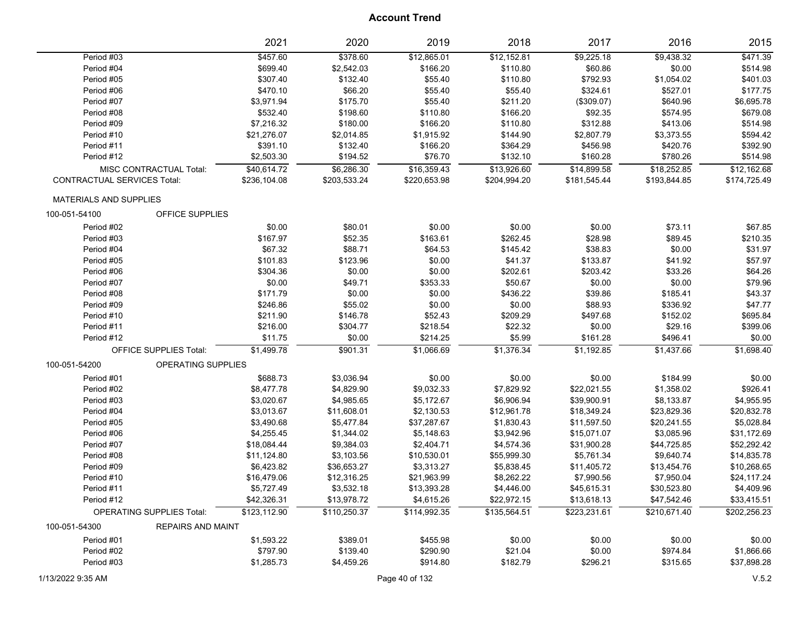|                                    |                                  | 2021         | 2020         | 2019         | 2018         | 2017         | 2016         | 2015         |
|------------------------------------|----------------------------------|--------------|--------------|--------------|--------------|--------------|--------------|--------------|
| Period #03                         |                                  | \$457.60     | \$378.60     | \$12,865.01  | \$12,152.81  | \$9,225.18   | \$9,438.32   | \$471.39     |
| Period #04                         |                                  | \$699.40     | \$2,542.03   | \$166.20     | \$110.80     | \$60.86      | \$0.00       | \$514.98     |
| Period #05                         |                                  | \$307.40     | \$132.40     | \$55.40      | \$110.80     | \$792.93     | \$1,054.02   | \$401.03     |
| Period #06                         |                                  | \$470.10     | \$66.20      | \$55.40      | \$55.40      | \$324.61     | \$527.01     | \$177.75     |
| Period #07                         |                                  | \$3,971.94   | \$175.70     | \$55.40      | \$211.20     | (\$309.07)   | \$640.96     | \$6,695.78   |
| Period #08                         |                                  | \$532.40     | \$198.60     | \$110.80     | \$166.20     | \$92.35      | \$574.95     | \$679.08     |
| Period #09                         |                                  | \$7,216.32   | \$180.00     | \$166.20     | \$110.80     | \$312.88     | \$413.06     | \$514.98     |
| Period #10                         |                                  | \$21,276.07  | \$2,014.85   | \$1,915.92   | \$144.90     | \$2,807.79   | \$3,373.55   | \$594.42     |
| Period #11                         |                                  | \$391.10     | \$132.40     | \$166.20     | \$364.29     | \$456.98     | \$420.76     | \$392.90     |
| Period #12                         |                                  | \$2,503.30   | \$194.52     | \$76.70      | \$132.10     | \$160.28     | \$780.26     | \$514.98     |
|                                    | MISC CONTRACTUAL Total:          | \$40,614.72  | \$6,286.30   | \$16,359.43  | \$13,926.60  | \$14,899.58  | \$18,252.85  | \$12,162.68  |
| <b>CONTRACTUAL SERVICES Total:</b> |                                  | \$236,104.08 | \$203,533.24 | \$220,653.98 | \$204,994.20 | \$181,545.44 | \$193,844.85 | \$174,725.49 |
| <b>MATERIALS AND SUPPLIES</b>      |                                  |              |              |              |              |              |              |              |
| 100-051-54100                      | OFFICE SUPPLIES                  |              |              |              |              |              |              |              |
| Period #02                         |                                  | \$0.00       | \$80.01      | \$0.00       | \$0.00       | \$0.00       | \$73.11      | \$67.85      |
| Period #03                         |                                  | \$167.97     | \$52.35      | \$163.61     | \$262.45     | \$28.98      | \$89.45      | \$210.35     |
| Period #04                         |                                  | \$67.32      | \$88.71      | \$64.53      | \$145.42     | \$38.83      | \$0.00       | \$31.97      |
| Period #05                         |                                  | \$101.83     | \$123.96     | \$0.00       | \$41.37      | \$133.87     | \$41.92      | \$57.97      |
| Period #06                         |                                  | \$304.36     | \$0.00       | \$0.00       | \$202.61     | \$203.42     | \$33.26      | \$64.26      |
| Period #07                         |                                  | \$0.00       | \$49.71      | \$353.33     | \$50.67      | \$0.00       | \$0.00       | \$79.96      |
| Period #08                         |                                  | \$171.79     | \$0.00       | \$0.00       | \$436.22     | \$39.86      | \$185.41     | \$43.37      |
| Period #09                         |                                  | \$246.86     | \$55.02      | \$0.00       | \$0.00       | \$88.93      | \$336.92     | \$47.77      |
| Period #10                         |                                  | \$211.90     | \$146.78     | \$52.43      | \$209.29     | \$497.68     | \$152.02     | \$695.84     |
| Period #11                         |                                  | \$216.00     | \$304.77     | \$218.54     | \$22.32      | \$0.00       | \$29.16      | \$399.06     |
| Period #12                         |                                  | \$11.75      | \$0.00       | \$214.25     | \$5.99       | \$161.28     | \$496.41     | \$0.00       |
|                                    | <b>OFFICE SUPPLIES Total:</b>    | \$1,499.78   | \$901.31     | \$1,066.69   | \$1,376.34   | \$1,192.85   | \$1,437.66   | \$1,698.40   |
| 100-051-54200                      | OPERATING SUPPLIES               |              |              |              |              |              |              |              |
| Period #01                         |                                  | \$688.73     | \$3,036.94   | \$0.00       | \$0.00       | \$0.00       | \$184.99     | \$0.00       |
| Period #02                         |                                  | \$8,477.78   | \$4,829.90   | \$9,032.33   | \$7,829.92   | \$22,021.55  | \$1,358.02   | \$926.41     |
| Period #03                         |                                  | \$3,020.67   | \$4,985.65   | \$5,172.67   | \$6,906.94   | \$39,900.91  | \$8,133.87   | \$4,955.95   |
| Period #04                         |                                  | \$3,013.67   | \$11,608.01  | \$2,130.53   | \$12,961.78  | \$18,349.24  | \$23,829.36  | \$20,832.78  |
| Period #05                         |                                  | \$3,490.68   | \$5,477.84   | \$37,287.67  | \$1,830.43   | \$11,597.50  | \$20,241.55  | \$5,028.84   |
| Period #06                         |                                  | \$4,255.45   | \$1,344.02   | \$5,148.63   | \$3,942.96   | \$15,071.07  | \$3,085.96   | \$31,172.69  |
| Period #07                         |                                  | \$18,084.44  | \$9,384.03   | \$2,404.71   | \$4,574.36   | \$31,900.28  | \$44,725.85  | \$52,292.42  |
| Period #08                         |                                  | \$11,124.80  | \$3,103.56   | \$10,530.01  | \$55,999.30  | \$5,761.34   | \$9,640.74   | \$14,835.78  |
| Period #09                         |                                  | \$6,423.82   | \$36,653.27  | \$3,313.27   | \$5,838.45   | \$11,405.72  | \$13,454.76  | \$10,268.65  |
| Period #10                         |                                  | \$16,479.06  | \$12,316.25  | \$21,963.99  | \$8,262.22   | \$7,990.56   | \$7,950.04   | \$24,117.24  |
| Period #11                         |                                  | \$5,727.49   | \$3,532.18   | \$13,393.28  | \$4,446.00   | \$45,615.31  | \$30,523.80  | \$4,409.96   |
| Period #12                         |                                  | \$42,326.31  | \$13,978.72  | \$4,615.26   | \$22,972.15  | \$13,618.13  | \$47,542.46  | \$33,415.51  |
|                                    | <b>OPERATING SUPPLIES Total:</b> | \$123,112.90 | \$110,250.37 | \$114,992.35 | \$135,564.51 | \$223,231.61 | \$210,671.40 | \$202,256.23 |
| 100-051-54300                      | <b>REPAIRS AND MAINT</b>         |              |              |              |              |              |              |              |
| Period #01                         |                                  | \$1,593.22   | \$389.01     | \$455.98     | \$0.00       | \$0.00       | \$0.00       | \$0.00       |
| Period #02                         |                                  | \$797.90     | \$139.40     | \$290.90     | \$21.04      | \$0.00       | \$974.84     | \$1,866.66   |
| Period #03                         |                                  | \$1,285.73   | \$4,459.26   | \$914.80     | \$182.79     | \$296.21     | \$315.65     | \$37,898.28  |
|                                    |                                  |              |              |              |              |              |              |              |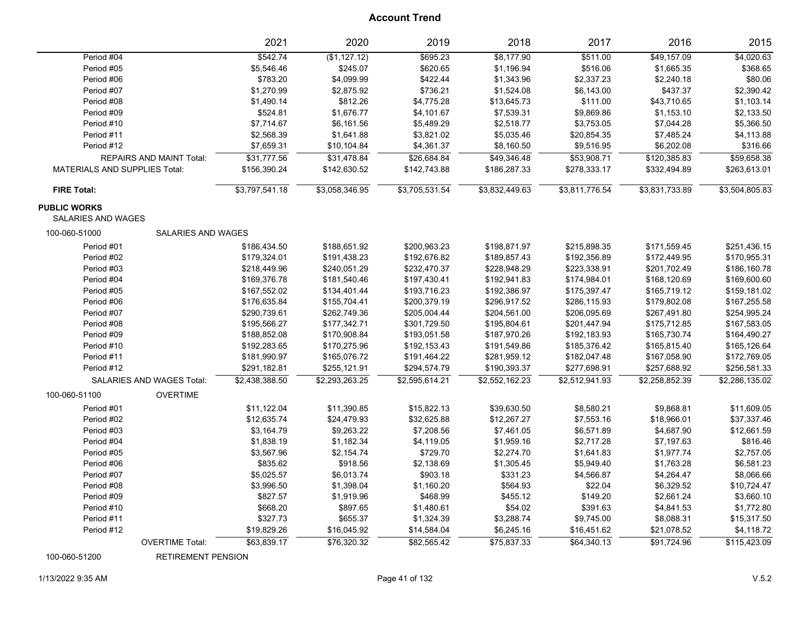|                                                  | 2021           | 2020           | 2019           | 2018           | 2017           | 2016           | 2015           |
|--------------------------------------------------|----------------|----------------|----------------|----------------|----------------|----------------|----------------|
| Period #04                                       | \$542.74       | (\$1,127.12)   | \$695.23       | \$8,177.90     | \$511.00       | \$49,157.09    | \$4,020.63     |
| Period #05                                       | \$5,546.46     | \$245.07       | \$620.65       | \$1,196.94     | \$516.06       | \$1,665.35     | \$368.65       |
| Period #06                                       | \$783.20       | \$4,099.99     | \$422.44       | \$1,343.96     | \$2,337.23     | \$2,240.18     | \$80.06        |
| Period #07                                       | \$1,270.99     | \$2,875.92     | \$736.21       | \$1,524.08     | \$6,143.00     | \$437.37       | \$2,390.42     |
| Period #08                                       | \$1,490.14     | \$812.26       | \$4,775.28     | \$13,645.73    | \$111.00       | \$43,710.65    | \$1,103.14     |
| Period #09                                       | \$524.81       | \$1,676.77     | \$4,101.67     | \$7,539.31     | \$9,869.86     | \$1,153.10     | \$2,133.50     |
| Period #10                                       | \$7,714.67     | \$6,161.56     | \$5,489.29     | \$2,518.77     | \$3,753.05     | \$7,044.28     | \$5,366.50     |
| Period #11                                       | \$2,568.39     | \$1,641.88     | \$3,821.02     | \$5,035.46     | \$20,854.35    | \$7,485.24     | \$4,113.88     |
| Period #12                                       | \$7,659.31     | \$10,104.84    | \$4,361.37     | \$8,160.50     | \$9,516.95     | \$6,202.08     | \$316.66       |
| <b>REPAIRS AND MAINT Total:</b>                  | \$31,777.56    | \$31,478.84    | \$26,684.84    | \$49,346.48    | \$53,908.71    | \$120,385.83   | \$59,658.38    |
| <b>MATERIALS AND SUPPLIES Total:</b>             | \$156,390.24   | \$142,630.52   | \$142,743.88   | \$186,287.33   | \$278,333.17   | \$332,494.89   | \$263,613.01   |
| <b>FIRE Total:</b>                               | \$3,797,541.18 | \$3,058,346.95 | \$3,705,531.54 | \$3,832,449.63 | \$3,811,776.54 | \$3,831,733.89 | \$3,504,805.83 |
| <b>PUBLIC WORKS</b><br><b>SALARIES AND WAGES</b> |                |                |                |                |                |                |                |
| SALARIES AND WAGES<br>100-060-51000              |                |                |                |                |                |                |                |
| Period #01                                       | \$186,434.50   | \$188,651.92   | \$200,963.23   | \$198,871.97   | \$215,898.35   | \$171,559.45   | \$251,436.15   |
| Period #02                                       | \$179,324.01   | \$191,438.23   | \$192,676.82   | \$189,857.43   | \$192,356.89   | \$172,449.95   | \$170,955.31   |
| Period #03                                       | \$218,449.96   | \$240,051.29   | \$232,470.37   | \$228,948.29   | \$223,338.91   | \$201,702.49   | \$186,160.78   |
| Period #04                                       | \$169,376.78   | \$181,540.46   | \$197,430.41   | \$192,941.83   | \$174,984.01   | \$168,120.69   | \$169,600.60   |
| Period #05                                       | \$167,552.02   | \$134,401.44   | \$193,716.23   | \$192,386.97   | \$175,397.47   | \$165,719.12   | \$159,181.02   |
| Period #06                                       | \$176,635.84   | \$155,704.41   | \$200,379.19   | \$296,917.52   | \$286,115.93   | \$179,802.08   | \$167,255.58   |
| Period #07                                       | \$290,739.61   | \$262,749.36   | \$205,004.44   | \$204,561.00   | \$206,095.69   | \$267,491.80   | \$254,995.24   |
| Period #08                                       | \$195,566.27   | \$177,342.71   | \$301,729.50   | \$195,804.61   | \$201,447.94   | \$175,712.85   | \$167,583.05   |
| Period #09                                       | \$188,852.08   | \$170,908.84   | \$193,051.58   | \$187,970.26   | \$192,183.93   | \$165,730.74   | \$164,490.27   |
| Period #10                                       | \$192,283.65   | \$170,275.96   | \$192,153.43   | \$191,549.86   | \$185,376.42   | \$165,815.40   | \$165,126.64   |
| Period #11                                       | \$181,990.97   | \$165,076.72   | \$191,464.22   | \$281,959.12   | \$182,047.48   | \$167,058.90   | \$172,769.05   |
| Period #12                                       | \$291,182.81   | \$255,121.91   | \$294,574.79   | \$190,393.37   | \$277,698.91   | \$257,688.92   | \$256,581.33   |
| SALARIES AND WAGES Total:                        | \$2,438,388.50 | \$2,293,263.25 | \$2,595,614.21 | \$2,552,162.23 | \$2,512,941.93 | \$2,258,852.39 | \$2,286,135.02 |
| 100-060-51100<br><b>OVERTIME</b>                 |                |                |                |                |                |                |                |
| Period #01                                       | \$11,122.04    | \$11,390.85    | \$15,822.13    | \$39,630.50    | \$8,580.21     | \$9,868.81     | \$11,609.05    |
| Period #02                                       | \$12,635.74    | \$24,479.93    | \$32,625.88    | \$12,267.27    | \$7,553.16     | \$18,966.01    | \$37,337.46    |
| Period #03                                       | \$3,164.79     | \$9,263.22     | \$7,208.56     | \$7,461.05     | \$6,571.89     | \$4,687.90     | \$12,661.59    |
| Period #04                                       | \$1,838.19     | \$1,182.34     | \$4,119.05     | \$1,959.16     | \$2,717.28     | \$7,197.63     | \$816.46       |
| Period #05                                       | \$3,567.96     | \$2,154.74     | \$729.70       | \$2,274.70     | \$1,641.83     | \$1,977.74     | \$2,757.05     |
| Period #06                                       | \$835.62       | \$918.56       | \$2,138.69     | \$1,305.45     | \$5,949.40     | \$1,763.28     | \$6,581.23     |
| Period #07                                       | \$5,025.57     | \$6,013.74     | \$903.18       | \$331.23       | \$4,566.87     | \$4,264.47     | \$8,066.66     |
| Period #08                                       | \$3,996.50     | \$1,398.04     | \$1,160.20     | \$564.93       | \$22.04        | \$6,329.52     | \$10,724.47    |
| Period #09                                       | \$827.57       | \$1,919.96     | \$468.99       | \$455.12       | \$149.20       | \$2,661.24     | \$3,660.10     |
| Period #10                                       | \$668.20       | \$897.65       | \$1,480.61     | \$54.02        | \$391.63       | \$4,841.53     | \$1,772.80     |
| Period #11                                       | \$327.73       | \$655.37       | \$1,324.39     | \$3,288.74     | \$9,745.00     | \$8,088.31     | \$15,317.50    |
| Period #12                                       | \$19,829.26    | \$16,045.92    | \$14,584.04    | \$6,245.16     | \$16,451.62    | \$21,078.52    | \$4,118.72     |
| <b>OVERTIME Total:</b>                           | \$63,839.17    | \$76,320.32    | \$82,565.42    | \$75,837.33    | \$64,340.13    | \$91,724.96    | \$115,423.09   |

100-060-51200 RETIREMENT PENSION

1/13/2022 9:35 AM Page 41 of 132 V.5.2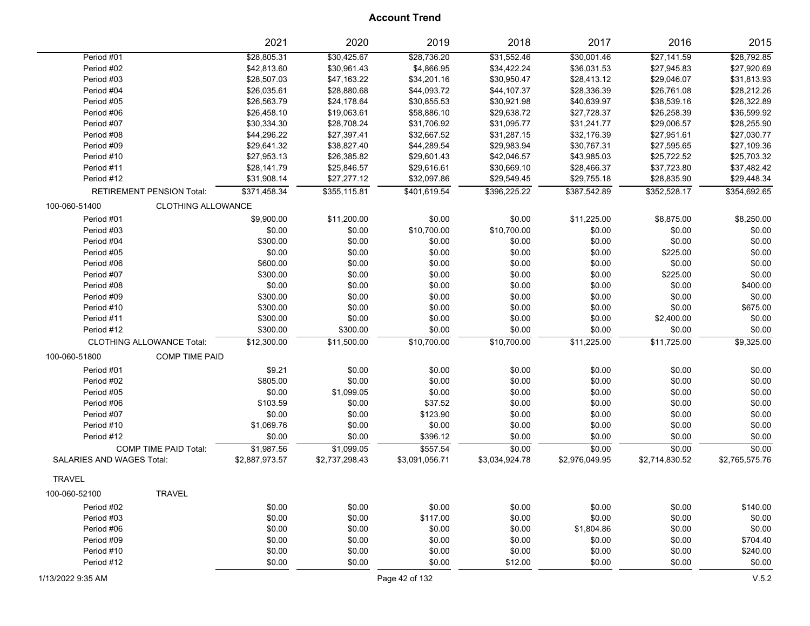| \$31,552.46<br>Period #01<br>\$28,805.31<br>\$30,425.67<br>\$28,736.20<br>\$30,001.46<br>\$27,141.59<br>\$4,866.95<br>Period #02<br>\$42,813.60<br>\$30,961.43<br>\$34,422.24<br>\$36,031.53<br>\$27,945.83<br>Period #03<br>\$28,507.03<br>\$47,163.22<br>\$34,201.16<br>\$30,950.47<br>\$28,413.12<br>\$29,046.07<br>\$28,880.68<br>\$44,093.72<br>\$44,107.37<br>\$28,336.39<br>\$26,761.08<br>Period #04<br>\$26,035.61<br>\$24,178.64 | \$28,792.85<br>\$27,920.69<br>\$31,813.93<br>\$28,212.26<br>\$26,322.89<br>\$36,599.92<br>\$28,255.90<br>\$27,030.77<br>\$27,109.36 |
|--------------------------------------------------------------------------------------------------------------------------------------------------------------------------------------------------------------------------------------------------------------------------------------------------------------------------------------------------------------------------------------------------------------------------------------------|-------------------------------------------------------------------------------------------------------------------------------------|
|                                                                                                                                                                                                                                                                                                                                                                                                                                            |                                                                                                                                     |
|                                                                                                                                                                                                                                                                                                                                                                                                                                            |                                                                                                                                     |
|                                                                                                                                                                                                                                                                                                                                                                                                                                            |                                                                                                                                     |
|                                                                                                                                                                                                                                                                                                                                                                                                                                            |                                                                                                                                     |
| \$30,855.53<br>\$30,921.98<br>\$40,639.97<br>\$38,539.16<br>Period #05<br>\$26,563.79                                                                                                                                                                                                                                                                                                                                                      |                                                                                                                                     |
| \$26,458.10<br>\$58,886.10<br>\$29,638.72<br>\$27,728.37<br>\$26,258.39<br>Period #06<br>\$19,063.61                                                                                                                                                                                                                                                                                                                                       |                                                                                                                                     |
| \$28,708.24<br>\$31,706.92<br>\$31,095.77<br>\$31,241.77<br>\$29,006.57<br>Period #07<br>\$30,334.30                                                                                                                                                                                                                                                                                                                                       |                                                                                                                                     |
| Period #08<br>\$44,296.22<br>\$27,397.41<br>\$32,667.52<br>\$31,287.15<br>\$32,176.39<br>\$27,951.61                                                                                                                                                                                                                                                                                                                                       |                                                                                                                                     |
| \$29,983.94<br>Period #09<br>\$29,641.32<br>\$38,827.40<br>\$44,289.54<br>\$30,767.31<br>\$27,595.65                                                                                                                                                                                                                                                                                                                                       |                                                                                                                                     |
| Period #10<br>\$27,953.13<br>\$26,385.82<br>\$29,601.43<br>\$42,046.57<br>\$43,985.03<br>\$25,722.52                                                                                                                                                                                                                                                                                                                                       | \$25,703.32                                                                                                                         |
| \$30,669.10<br>\$37,723.80<br>Period #11<br>\$28,141.79<br>\$25,846.57<br>\$29,616.61<br>\$28,466.37                                                                                                                                                                                                                                                                                                                                       | \$37,482.42                                                                                                                         |
| Period #12<br>\$31,908.14<br>\$27,277.12<br>\$32,097.86<br>\$29,549.45<br>\$29,755.18<br>\$28,835.90                                                                                                                                                                                                                                                                                                                                       | \$29,448.34                                                                                                                         |
| \$401,619.54<br>\$387,542.89<br>\$352,528.17<br><b>RETIREMENT PENSION Total:</b><br>\$371,458.34<br>\$355,115.81<br>\$396,225.22                                                                                                                                                                                                                                                                                                           | \$354,692.65                                                                                                                        |
| <b>CLOTHING ALLOWANCE</b><br>100-060-51400                                                                                                                                                                                                                                                                                                                                                                                                 |                                                                                                                                     |
| Period #01<br>\$9,900.00<br>\$11,200.00<br>\$0.00<br>\$0.00<br>\$11,225.00<br>\$8,875.00                                                                                                                                                                                                                                                                                                                                                   | \$8,250.00                                                                                                                          |
| \$0.00<br>\$10,700.00<br>\$10,700.00<br>\$0.00<br>Period #03<br>\$0.00<br>\$0.00                                                                                                                                                                                                                                                                                                                                                           | \$0.00                                                                                                                              |
| \$300.00<br>\$0.00<br>\$0.00<br>\$0.00<br>Period #04<br>\$0.00<br>\$0.00                                                                                                                                                                                                                                                                                                                                                                   | \$0.00                                                                                                                              |
| \$0.00<br>\$0.00<br>\$0.00<br>\$0.00<br>\$0.00<br>\$225.00<br>Period #05                                                                                                                                                                                                                                                                                                                                                                   | \$0.00                                                                                                                              |
| \$600.00<br>\$0.00<br>\$0.00<br>\$0.00<br>\$0.00<br>\$0.00<br>Period #06                                                                                                                                                                                                                                                                                                                                                                   | \$0.00                                                                                                                              |
| \$300.00<br>\$0.00<br>\$0.00<br>\$225.00<br>Period #07<br>\$0.00<br>\$0.00                                                                                                                                                                                                                                                                                                                                                                 | \$0.00                                                                                                                              |
| \$0.00<br>\$0.00<br>\$0.00<br>\$0.00<br>\$0.00<br>\$0.00<br>Period #08                                                                                                                                                                                                                                                                                                                                                                     | \$400.00                                                                                                                            |
| \$300.00<br>\$0.00<br>\$0.00<br>\$0.00<br>\$0.00<br>\$0.00<br>Period #09                                                                                                                                                                                                                                                                                                                                                                   | \$0.00                                                                                                                              |
| \$300.00<br>\$0.00<br>\$0.00<br>\$0.00<br>\$0.00<br>\$0.00<br>Period #10                                                                                                                                                                                                                                                                                                                                                                   | \$675.00                                                                                                                            |
| \$300.00<br>\$0.00<br>Period #11<br>\$0.00<br>\$0.00<br>\$0.00<br>\$2,400.00                                                                                                                                                                                                                                                                                                                                                               | \$0.00                                                                                                                              |
| \$300.00<br>Period #12<br>\$300.00<br>\$0.00<br>\$0.00<br>\$0.00<br>\$0.00                                                                                                                                                                                                                                                                                                                                                                 | \$0.00                                                                                                                              |
| \$12,300.00<br>\$11,225.00<br>\$11,725.00<br><b>CLOTHING ALLOWANCE Total:</b><br>\$11,500.00<br>\$10,700.00<br>\$10,700.00                                                                                                                                                                                                                                                                                                                 | \$9,325.00                                                                                                                          |
|                                                                                                                                                                                                                                                                                                                                                                                                                                            |                                                                                                                                     |
| <b>COMP TIME PAID</b><br>100-060-51800                                                                                                                                                                                                                                                                                                                                                                                                     |                                                                                                                                     |
| \$9.21<br>\$0.00<br>\$0.00<br>\$0.00<br>Period #01<br>\$0.00<br>\$0.00                                                                                                                                                                                                                                                                                                                                                                     | \$0.00                                                                                                                              |
| \$805.00<br>\$0.00<br>\$0.00<br>\$0.00<br>Period #02<br>\$0.00<br>\$0.00                                                                                                                                                                                                                                                                                                                                                                   | \$0.00                                                                                                                              |
| \$0.00<br>\$1,099.05<br>\$0.00<br>\$0.00<br>\$0.00<br>Period #05<br>\$0.00                                                                                                                                                                                                                                                                                                                                                                 | \$0.00                                                                                                                              |
| \$103.59<br>\$0.00<br>\$0.00<br>Period #06<br>\$0.00<br>\$37.52<br>\$0.00                                                                                                                                                                                                                                                                                                                                                                  | \$0.00                                                                                                                              |
| \$0.00<br>\$0.00<br>\$0.00<br>Period #07<br>\$0.00<br>\$0.00<br>\$123.90                                                                                                                                                                                                                                                                                                                                                                   | \$0.00                                                                                                                              |
| \$1,069.76<br>\$0.00<br>\$0.00<br>\$0.00<br>Period #10<br>\$0.00<br>\$0.00                                                                                                                                                                                                                                                                                                                                                                 | \$0.00                                                                                                                              |
| \$0.00<br>\$0.00<br>\$0.00<br>\$396.12<br>\$0.00<br>\$0.00<br>Period #12                                                                                                                                                                                                                                                                                                                                                                   | \$0.00                                                                                                                              |
| \$557.54<br>\$1,987.56<br>\$1,099.05<br>\$0.00<br>\$0.00<br>\$0.00<br><b>COMP TIME PAID Total:</b>                                                                                                                                                                                                                                                                                                                                         | \$0.00                                                                                                                              |
| <b>SALARIES AND WAGES Total:</b><br>\$2,887,973.57<br>\$2,737,298.43<br>\$3,091,056.71<br>\$3,034,924.78<br>\$2,976,049.95<br>\$2,714,830.52                                                                                                                                                                                                                                                                                               | \$2,765,575.76                                                                                                                      |
| <b>TRAVEL</b>                                                                                                                                                                                                                                                                                                                                                                                                                              |                                                                                                                                     |
| 100-060-52100<br><b>TRAVEL</b>                                                                                                                                                                                                                                                                                                                                                                                                             |                                                                                                                                     |
| Period #02<br>\$0.00<br>\$0.00<br>\$0.00<br>\$0.00<br>\$0.00<br>\$0.00                                                                                                                                                                                                                                                                                                                                                                     | \$140.00                                                                                                                            |
| \$0.00<br>\$0.00<br>\$0.00<br>\$0.00<br>\$0.00<br>Period #03<br>\$117.00                                                                                                                                                                                                                                                                                                                                                                   | \$0.00                                                                                                                              |
| Period #06<br>\$0.00<br>\$0.00<br>\$0.00<br>\$0.00<br>\$1,804.86<br>\$0.00                                                                                                                                                                                                                                                                                                                                                                 | \$0.00                                                                                                                              |
| \$0.00<br>\$0.00<br>\$0.00<br>Period #09<br>\$0.00<br>\$0.00<br>\$0.00                                                                                                                                                                                                                                                                                                                                                                     | \$704.40                                                                                                                            |
| \$0.00<br>\$0.00<br>\$0.00<br>\$0.00<br>\$0.00<br>Period #10<br>\$0.00                                                                                                                                                                                                                                                                                                                                                                     | \$240.00                                                                                                                            |
| Period #12<br>\$0.00<br>\$0.00<br>\$0.00<br>\$12.00<br>\$0.00<br>\$0.00                                                                                                                                                                                                                                                                                                                                                                    | \$0.00                                                                                                                              |
| 1/13/2022 9:35 AM<br>Page 42 of 132                                                                                                                                                                                                                                                                                                                                                                                                        | V.5.2                                                                                                                               |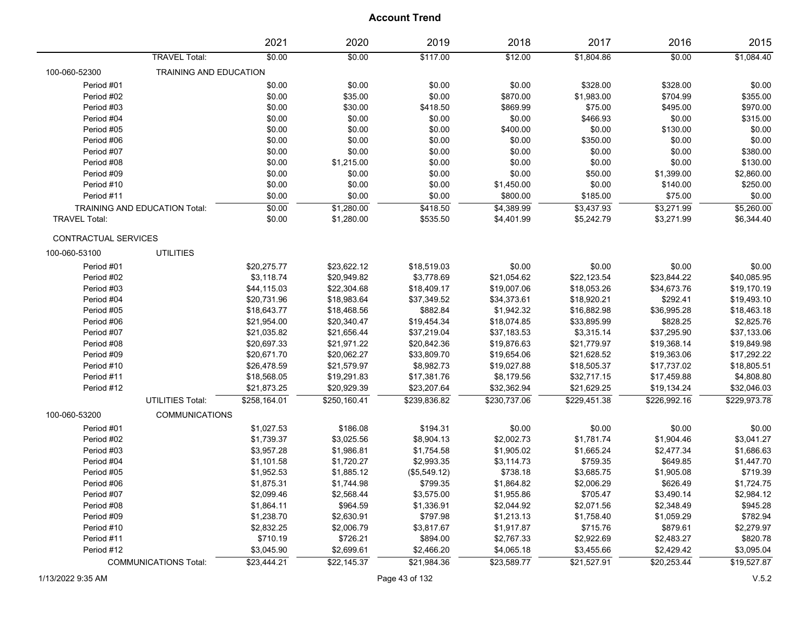|                      |                                      | 2021         | 2020         | 2019         | 2018         | 2017         | 2016         | 2015         |
|----------------------|--------------------------------------|--------------|--------------|--------------|--------------|--------------|--------------|--------------|
|                      | <b>TRAVEL Total:</b>                 | \$0.00       | \$0.00       | \$117.00     | \$12.00      | \$1,804.86   | \$0.00       | \$1,084.40   |
| 100-060-52300        | TRAINING AND EDUCATION               |              |              |              |              |              |              |              |
| Period #01           |                                      | \$0.00       | \$0.00       | \$0.00       | \$0.00       | \$328.00     | \$328.00     | \$0.00       |
| Period #02           |                                      | \$0.00       | \$35.00      | \$0.00       | \$870.00     | \$1,983.00   | \$704.99     | \$355.00     |
| Period #03           |                                      | \$0.00       | \$30.00      | \$418.50     | \$869.99     | \$75.00      | \$495.00     | \$970.00     |
| Period #04           |                                      | \$0.00       | \$0.00       | \$0.00       | \$0.00       | \$466.93     | \$0.00       | \$315.00     |
| Period #05           |                                      | \$0.00       | \$0.00       | \$0.00       | \$400.00     | \$0.00       | \$130.00     | \$0.00       |
| Period #06           |                                      | \$0.00       | \$0.00       | \$0.00       | \$0.00       | \$350.00     | \$0.00       | \$0.00       |
| Period #07           |                                      | \$0.00       | \$0.00       | \$0.00       | \$0.00       | \$0.00       | \$0.00       | \$380.00     |
| Period #08           |                                      | \$0.00       | \$1,215.00   | \$0.00       | \$0.00       | \$0.00       | \$0.00       | \$130.00     |
| Period #09           |                                      | \$0.00       | \$0.00       | \$0.00       | \$0.00       | \$50.00      | \$1,399.00   | \$2,860.00   |
| Period #10           |                                      | \$0.00       | \$0.00       | \$0.00       | \$1,450.00   | \$0.00       | \$140.00     | \$250.00     |
| Period #11           |                                      | \$0.00       | \$0.00       | \$0.00       | \$800.00     | \$185.00     | \$75.00      | \$0.00       |
|                      | <b>TRAINING AND EDUCATION Total:</b> | \$0.00       | \$1,280.00   | \$418.50     | \$4,389.99   | \$3,437.93   | \$3,271.99   | \$5,260.00   |
| <b>TRAVEL Total:</b> |                                      | \$0.00       | \$1,280.00   | \$535.50     | \$4,401.99   | \$5,242.79   | \$3,271.99   | \$6,344.40   |
| CONTRACTUAL SERVICES |                                      |              |              |              |              |              |              |              |
| 100-060-53100        | <b>UTILITIES</b>                     |              |              |              |              |              |              |              |
| Period #01           |                                      | \$20,275.77  | \$23,622.12  | \$18,519.03  | \$0.00       | \$0.00       | \$0.00       | \$0.00       |
| Period #02           |                                      | \$3,118.74   | \$20,949.82  | \$3,778.69   | \$21,054.62  | \$22,123.54  | \$23,844.22  | \$40,085.95  |
| Period #03           |                                      | \$44,115.03  | \$22,304.68  | \$18,409.17  | \$19,007.06  | \$18,053.26  | \$34,673.76  | \$19,170.19  |
| Period #04           |                                      | \$20,731.96  | \$18,983.64  | \$37,349.52  | \$34,373.61  | \$18,920.21  | \$292.41     | \$19,493.10  |
| Period #05           |                                      | \$18,643.77  | \$18,468.56  | \$882.84     | \$1,942.32   | \$16,882.98  | \$36,995.28  | \$18,463.18  |
| Period #06           |                                      | \$21,954.00  | \$20,340.47  | \$19,454.34  | \$18,074.85  | \$33,895.99  | \$828.25     | \$2,825.76   |
| Period #07           |                                      | \$21,035.82  | \$21,656.44  | \$37,219.04  | \$37,183.53  | \$3,315.14   | \$37,295.90  | \$37,133.06  |
| Period #08           |                                      | \$20,697.33  | \$21,971.22  | \$20,842.36  | \$19,876.63  | \$21,779.97  | \$19,368.14  | \$19,849.98  |
| Period #09           |                                      | \$20,671.70  | \$20,062.27  | \$33,809.70  | \$19,654.06  | \$21,628.52  | \$19,363.06  | \$17,292.22  |
| Period #10           |                                      | \$26,478.59  | \$21,579.97  | \$8,982.73   | \$19,027.88  | \$18,505.37  | \$17,737.02  | \$18,805.51  |
| Period #11           |                                      | \$18,568.05  | \$19,291.83  | \$17,381.76  | \$8,179.56   | \$32,717.15  | \$17,459.88  | \$4,808.80   |
| Period #12           |                                      | \$21,873.25  | \$20,929.39  | \$23,207.64  | \$32,362.94  | \$21,629.25  | \$19,134.24  | \$32,046.03  |
|                      | UTILITIES Total:                     | \$258,164.01 | \$250,160.41 | \$239,836.82 | \$230,737.06 | \$229,451.38 | \$226,992.16 | \$229,973.78 |
| 100-060-53200        | <b>COMMUNICATIONS</b>                |              |              |              |              |              |              |              |
| Period #01           |                                      | \$1,027.53   | \$186.08     | \$194.31     | \$0.00       | \$0.00       | \$0.00       | \$0.00       |
| Period #02           |                                      | \$1,739.37   | \$3,025.56   | \$8,904.13   | \$2,002.73   | \$1,781.74   | \$1,904.46   | \$3,041.27   |
| Period #03           |                                      | \$3,957.28   | \$1,986.81   | \$1,754.58   | \$1,905.02   | \$1,665.24   | \$2,477.34   | \$1,686.63   |
| Period #04           |                                      | \$1,101.58   | \$1,720.27   | \$2,993.35   | \$3,114.73   | \$759.35     | \$649.85     | \$1,447.70   |
| Period #05           |                                      | \$1,952.53   | \$1,885.12   | (\$5,549.12) | \$738.18     | \$3,685.75   | \$1,905.08   | \$719.39     |
| Period #06           |                                      | \$1,875.31   | \$1,744.98   | \$799.35     | \$1,864.82   | \$2,006.29   | \$626.49     | \$1,724.75   |
| Period #07           |                                      | \$2,099.46   | \$2,568.44   | \$3,575.00   | \$1,955.86   | \$705.47     | \$3,490.14   | \$2,984.12   |
| Period #08           |                                      | \$1,864.11   | \$964.59     | \$1,336.91   | \$2,044.92   | \$2,071.56   | \$2,348.49   | \$945.28     |
| Period #09           |                                      | \$1,238.70   | \$2,630.91   | \$797.98     | \$1,213.13   | \$1,758.40   | \$1,059.29   | \$782.94     |
| Period #10           |                                      | \$2,832.25   | \$2,006.79   | \$3,817.67   | \$1,917.87   | \$715.76     | \$879.61     | \$2,279.97   |
| Period #11           |                                      | \$710.19     | \$726.21     | \$894.00     | \$2,767.33   | \$2,922.69   | \$2,483.27   | \$820.78     |
| Period #12           |                                      | \$3,045.90   | \$2,699.61   | \$2,466.20   | \$4,065.18   | \$3,455.66   | \$2,429.42   | \$3,095.04   |
|                      | <b>COMMUNICATIONS Total:</b>         | \$23,444.21  | \$22,145.37  | \$21,984.36  | \$23,589.77  | \$21,527.91  | \$20,253.44  | \$19,527.87  |
|                      |                                      |              |              |              |              |              |              |              |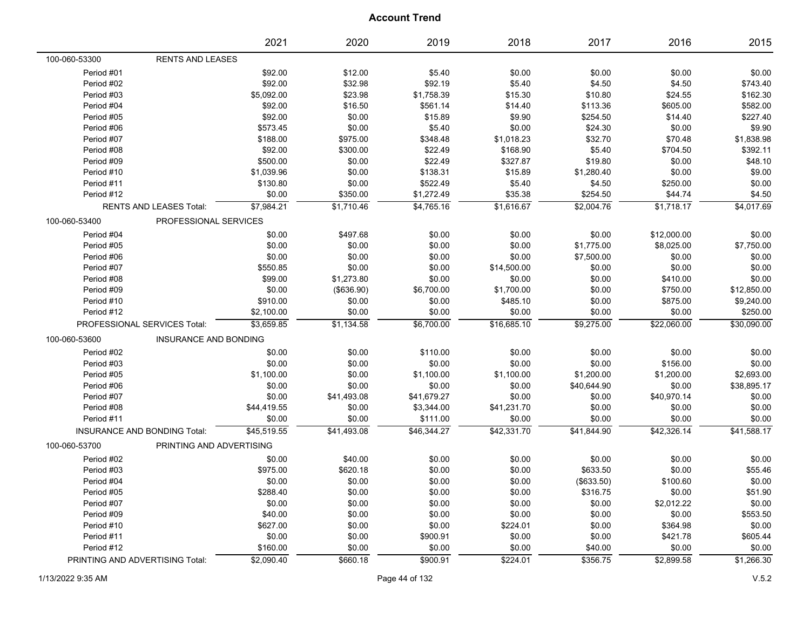|                                 |                                     | 2021        | 2020        | 2019        | 2018        | 2017        | 2016        | 2015        |
|---------------------------------|-------------------------------------|-------------|-------------|-------------|-------------|-------------|-------------|-------------|
| 100-060-53300                   | <b>RENTS AND LEASES</b>             |             |             |             |             |             |             |             |
| Period #01                      |                                     | \$92.00     | \$12.00     | \$5.40      | \$0.00      | \$0.00      | \$0.00      | \$0.00      |
| Period #02                      |                                     | \$92.00     | \$32.98     | \$92.19     | \$5.40      | \$4.50      | \$4.50      | \$743.40    |
| Period #03                      |                                     | \$5,092.00  | \$23.98     | \$1,758.39  | \$15.30     | \$10.80     | \$24.55     | \$162.30    |
| Period #04                      |                                     | \$92.00     | \$16.50     | \$561.14    | \$14.40     | \$113.36    | \$605.00    | \$582.00    |
| Period #05                      |                                     | \$92.00     | \$0.00      | \$15.89     | \$9.90      | \$254.50    | \$14.40     | \$227.40    |
| Period #06                      |                                     | \$573.45    | \$0.00      | \$5.40      | \$0.00      | \$24.30     | \$0.00      | \$9.90      |
| Period #07                      |                                     | \$188.00    | \$975.00    | \$348.48    | \$1,018.23  | \$32.70     | \$70.48     | \$1,838.98  |
| Period #08                      |                                     | \$92.00     | \$300.00    | \$22.49     | \$168.90    | \$5.40      | \$704.50    | \$392.11    |
| Period #09                      |                                     | \$500.00    | \$0.00      | \$22.49     | \$327.87    | \$19.80     | \$0.00      | \$48.10     |
| Period #10                      |                                     | \$1,039.96  | \$0.00      | \$138.31    | \$15.89     | \$1,280.40  | \$0.00      | \$9.00      |
| Period #11                      |                                     | \$130.80    | \$0.00      | \$522.49    | \$5.40      | \$4.50      | \$250.00    | \$0.00      |
| Period #12                      |                                     | \$0.00      | \$350.00    | \$1,272.49  | \$35.38     | \$254.50    | \$44.74     | \$4.50      |
|                                 | <b>RENTS AND LEASES Total:</b>      | \$7,984.21  | \$1,710.46  | \$4,765.16  | \$1,616.67  | \$2,004.76  | \$1,718.17  | \$4,017.69  |
| 100-060-53400                   | PROFESSIONAL SERVICES               |             |             |             |             |             |             |             |
| Period #04                      |                                     | \$0.00      | \$497.68    | \$0.00      | \$0.00      | \$0.00      | \$12,000.00 | \$0.00      |
| Period #05                      |                                     | \$0.00      | \$0.00      | \$0.00      | \$0.00      | \$1,775.00  | \$8,025.00  | \$7,750.00  |
| Period #06                      |                                     | \$0.00      | \$0.00      | \$0.00      | \$0.00      | \$7,500.00  | \$0.00      | \$0.00      |
| Period #07                      |                                     | \$550.85    | \$0.00      | \$0.00      | \$14,500.00 | \$0.00      | \$0.00      | \$0.00      |
| Period #08                      |                                     | \$99.00     | \$1,273.80  | \$0.00      | \$0.00      | \$0.00      | \$410.00    | \$0.00      |
| Period #09                      |                                     | \$0.00      | (\$636.90)  | \$6,700.00  | \$1,700.00  | \$0.00      | \$750.00    | \$12,850.00 |
| Period #10                      |                                     | \$910.00    | \$0.00      | \$0.00      | \$485.10    | \$0.00      | \$875.00    | \$9,240.00  |
| Period #12                      |                                     | \$2,100.00  | \$0.00      | \$0.00      | \$0.00      | \$0.00      | \$0.00      | \$250.00    |
|                                 | PROFESSIONAL SERVICES Total:        | \$3,659.85  | \$1,134.58  | \$6,700.00  | \$16,685.10 | \$9,275.00  | \$22,060.00 | \$30,090.00 |
| 100-060-53600                   | INSURANCE AND BONDING               |             |             |             |             |             |             |             |
| Period #02                      |                                     | \$0.00      | \$0.00      | \$110.00    | \$0.00      | \$0.00      | \$0.00      | \$0.00      |
| Period #03                      |                                     | \$0.00      | \$0.00      | \$0.00      | \$0.00      | \$0.00      | \$156.00    | \$0.00      |
| Period #05                      |                                     | \$1,100.00  | \$0.00      | \$1,100.00  | \$1,100.00  | \$1,200.00  | \$1,200.00  | \$2,693.00  |
| Period #06                      |                                     | \$0.00      | \$0.00      | \$0.00      | \$0.00      | \$40,644.90 | \$0.00      | \$38,895.17 |
| Period #07                      |                                     | \$0.00      | \$41,493.08 | \$41,679.27 | \$0.00      | \$0.00      | \$40,970.14 | \$0.00      |
| Period #08                      |                                     | \$44,419.55 | \$0.00      | \$3,344.00  | \$41,231.70 | \$0.00      | \$0.00      | \$0.00      |
| Period #11                      |                                     | \$0.00      | \$0.00      | \$111.00    | \$0.00      | \$0.00      | \$0.00      | \$0.00      |
|                                 | <b>INSURANCE AND BONDING Total:</b> | \$45,519.55 | \$41,493.08 | \$46,344.27 | \$42,331.70 | \$41,844.90 | \$42,326.14 | \$41,588.17 |
| 100-060-53700                   | PRINTING AND ADVERTISING            |             |             |             |             |             |             |             |
| Period #02                      |                                     | \$0.00      | \$40.00     | \$0.00      | \$0.00      | \$0.00      | \$0.00      | \$0.00      |
| Period #03                      |                                     | \$975.00    | \$620.18    | \$0.00      | \$0.00      | \$633.50    | \$0.00      | \$55.46     |
| Period #04                      |                                     | \$0.00      | \$0.00      | \$0.00      | \$0.00      | (\$633.50)  | \$100.60    | \$0.00      |
| Period #05                      |                                     | \$288.40    | \$0.00      | \$0.00      | \$0.00      | \$316.75    | \$0.00      | \$51.90     |
| Period #07                      |                                     | \$0.00      | \$0.00      | \$0.00      | \$0.00      | \$0.00      | \$2,012.22  | \$0.00      |
| Period #09                      |                                     | \$40.00     | \$0.00      | \$0.00      | \$0.00      | \$0.00      | \$0.00      | \$553.50    |
| Period #10                      |                                     | \$627.00    | \$0.00      | \$0.00      | \$224.01    | \$0.00      | \$364.98    | \$0.00      |
| Period #11                      |                                     | \$0.00      | \$0.00      | \$900.91    | \$0.00      | \$0.00      | \$421.78    | \$605.44    |
| Period #12                      |                                     | \$160.00    | \$0.00      | \$0.00      | \$0.00      | \$40.00     | \$0.00      | \$0.00      |
| PRINTING AND ADVERTISING Total: |                                     | \$2,090.40  | \$660.18    | \$900.91    | \$224.01    | \$356.75    | \$2,899.58  | \$1,266.30  |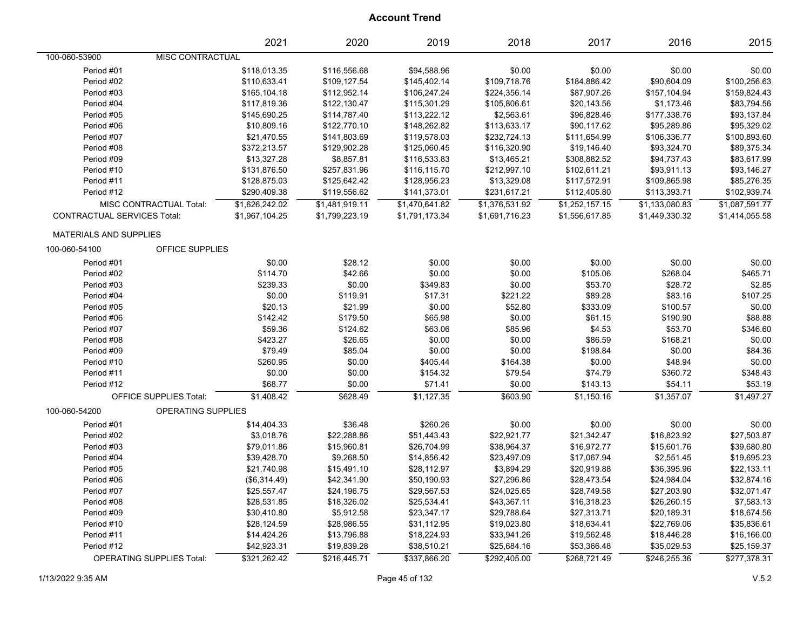|                                    |                               | 2021           | 2020                        | 2019           | 2018           | 2017           | 2016           | 2015           |
|------------------------------------|-------------------------------|----------------|-----------------------------|----------------|----------------|----------------|----------------|----------------|
| 100-060-53900                      | MISC CONTRACTUAL              |                |                             |                |                |                |                |                |
| Period #01                         |                               | \$118,013.35   | \$116,556.68                | \$94,588.96    | \$0.00         | \$0.00         | \$0.00         | \$0.00         |
| Period #02                         |                               | \$110,633.41   | \$109,127.54                | \$145,402.14   | \$109,718.76   | \$184,886.42   | \$90,604.09    | \$100,256.63   |
| Period #03                         |                               | \$165,104.18   | \$112,952.14                | \$106,247.24   | \$224,356.14   | \$87,907.26    | \$157,104.94   | \$159,824.43   |
| Period #04                         |                               | \$117,819.36   | \$122,130.47                | \$115,301.29   | \$105,806.61   | \$20,143.56    | \$1,173.46     | \$83,794.56    |
| Period #05                         |                               | \$145,690.25   | \$114,787.40                | \$113,222.12   | \$2,563.61     | \$96,828.46    | \$177,338.76   | \$93,137.84    |
| Period #06                         |                               | \$10,809.16    | \$122,770.10                | \$148,262.82   | \$113,633.17   | \$90,117.62    | \$95,289.86    | \$95,329.02    |
| Period #07                         |                               | \$21,470.55    | \$141,803.69                | \$119,578.03   | \$232,724.13   | \$111,654.99   | \$106,336.77   | \$100,893.60   |
| Period #08                         |                               | \$372,213.57   | \$129,902.28                | \$125,060.45   | \$116,320.90   | \$19,146.40    | \$93,324.70    | \$89,375.34    |
| Period #09                         |                               | \$13,327.28    | \$8,857.81                  | \$116,533.83   | \$13,465.21    | \$308,882.52   | \$94,737.43    | \$83,617.99    |
| Period #10                         |                               | \$131,876.50   | \$257,831.96                | \$116,115.70   | \$212,997.10   | \$102,611.21   | \$93,911.13    | \$93,146.27    |
| Period #11                         |                               | \$128,875.03   | \$125,642.42                | \$128,956.23   | \$13,329.08    | \$117,572.91   | \$109,865.98   | \$85,276.35    |
| Period #12                         |                               | \$290,409.38   | \$119,556.62                | \$141,373.01   | \$231,617.21   | \$112,405.80   | \$113,393.71   | \$102,939.74   |
|                                    | MISC CONTRACTUAL Total:       | \$1,626,242.02 | $\overline{\$1,481,919.11}$ | \$1,470,641.82 | \$1,376,531.92 | \$1,252,157.15 | \$1,133,080.83 | \$1,087,591.77 |
| <b>CONTRACTUAL SERVICES Total:</b> |                               | \$1,967,104.25 | \$1,799,223.19              | \$1,791,173.34 | \$1,691,716.23 | \$1,556,617.85 | \$1,449,330.32 | \$1,414,055.58 |
| <b>MATERIALS AND SUPPLIES</b>      |                               |                |                             |                |                |                |                |                |
| 100-060-54100                      | <b>OFFICE SUPPLIES</b>        |                |                             |                |                |                |                |                |
| Period #01                         |                               | \$0.00         | \$28.12                     | \$0.00         | \$0.00         | \$0.00         | \$0.00         | \$0.00         |
| Period #02                         |                               | \$114.70       | \$42.66                     | \$0.00         | \$0.00         | \$105.06       | \$268.04       | \$465.71       |
| Period #03                         |                               | \$239.33       | \$0.00                      | \$349.83       | \$0.00         | \$53.70        | \$28.72        | \$2.85         |
| Period #04                         |                               | \$0.00         | \$119.91                    | \$17.31        | \$221.22       | \$89.28        | \$83.16        | \$107.25       |
| Period #05                         |                               | \$20.13        | \$21.99                     | \$0.00         | \$52.80        | \$333.09       | \$100.57       | \$0.00         |
| Period #06                         |                               | \$142.42       | \$179.50                    | \$65.98        | \$0.00         | \$61.15        | \$190.90       | \$88.88        |
| Period #07                         |                               | \$59.36        | \$124.62                    | \$63.06        | \$85.96        | \$4.53         | \$53.70        | \$346.60       |
| Period #08                         |                               | \$423.27       | \$26.65                     | \$0.00         | \$0.00         | \$86.59        | \$168.21       | \$0.00         |
| Period #09                         |                               | \$79.49        | \$85.04                     | \$0.00         | \$0.00         | \$198.84       | \$0.00         | \$84.36        |
| Period #10                         |                               | \$260.95       | \$0.00                      | \$405.44       | \$164.38       | \$0.00         | \$48.94        | \$0.00         |
| Period #11                         |                               | \$0.00         | \$0.00                      | \$154.32       | \$79.54        | \$74.79        | \$360.72       | \$348.43       |
| Period #12                         |                               | \$68.77        | \$0.00                      | \$71.41        | \$0.00         | \$143.13       | \$54.11        | \$53.19        |
|                                    | <b>OFFICE SUPPLIES Total:</b> | \$1,408.42     | \$628.49                    | \$1,127.35     | \$603.90       | \$1,150.16     | \$1,357.07     | \$1,497.27     |
| 100-060-54200                      | OPERATING SUPPLIES            |                |                             |                |                |                |                |                |
| Period #01                         |                               | \$14,404.33    | \$36.48                     | \$260.26       | \$0.00         | \$0.00         | \$0.00         | \$0.00         |
| Period #02                         |                               | \$3,018.76     | \$22,288.86                 | \$51,443.43    | \$22,921.77    | \$21,342.47    | \$16,823.92    | \$27,503.87    |
| Period #03                         |                               | \$79,011.86    | \$15,960.81                 | \$26,704.99    | \$38,964.37    | \$16,972.77    | \$15,601.76    | \$39,680.80    |
| Period #04                         |                               | \$39,428.70    | \$9,268.50                  | \$14,856.42    | \$23,497.09    | \$17,067.94    | \$2,551.45     | \$19,695.23    |
| Period #05                         |                               | \$21,740.98    | \$15,491.10                 | \$28,112.97    | \$3,894.29     | \$20,919.88    | \$36,395.96    | \$22,133.11    |
| Period #06                         |                               | (\$6,314.49)   | \$42,341.90                 | \$50,190.93    | \$27,296.86    | \$28,473.54    | \$24,984.04    | \$32,874.16    |
| Period #07                         |                               | \$25,557.47    | \$24,196.75                 | \$29,567.53    | \$24,025.65    | \$28,749.58    | \$27,203.90    | \$32,071.47    |
| Period #08                         |                               | \$28,531.85    | \$18,326.02                 | \$25,534.41    | \$43,367.11    | \$16,318.23    | \$26,260.15    | \$7,583.13     |
| Period #09                         |                               | \$30,410.80    | \$5,912.58                  | \$23,347.17    | \$29,788.64    | \$27,313.71    | \$20,189.31    | \$18,674.56    |
| Period #10                         |                               | \$28,124.59    | \$28,986.55                 | \$31,112.95    | \$19,023.80    | \$18,634.41    | \$22,769.06    | \$35,836.61    |
| Period #11                         |                               | \$14,424.26    | \$13,796.88                 | \$18,224.93    | \$33,941.26    | \$19,562.48    | \$18,446.28    | \$16,166.00    |
| Period #12                         |                               | \$42,923.31    | \$19,839.28                 | \$38,510.21    | \$25,684.16    | \$53,366.48    | \$35,029.53    | \$25,159.37    |
|                                    | OPERATING SUPPLIES Total:     | \$321,262.42   | \$216,445.71                | \$337,866.20   | \$292,405.00   | \$268,721.49   | \$246,255.36   | \$277,378.31   |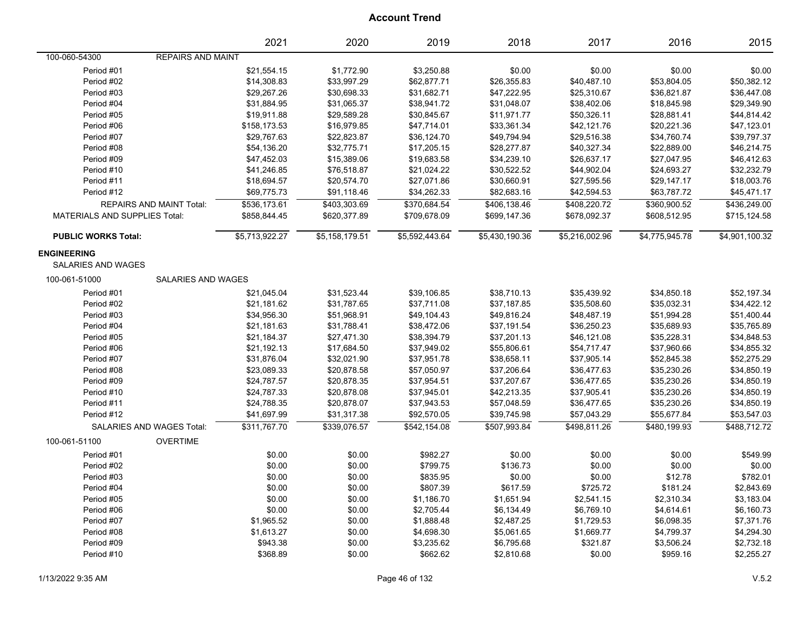|                                                 |                                 | 2021           | 2020           | 2019           | 2018           | 2017           | 2016           | 2015           |
|-------------------------------------------------|---------------------------------|----------------|----------------|----------------|----------------|----------------|----------------|----------------|
| 100-060-54300                                   | <b>REPAIRS AND MAINT</b>        |                |                |                |                |                |                |                |
| Period #01                                      |                                 | \$21,554.15    | \$1,772.90     | \$3,250.88     | \$0.00         | \$0.00         | \$0.00         | \$0.00         |
| Period #02                                      |                                 | \$14,308.83    | \$33,997.29    | \$62,877.71    | \$26,355.83    | \$40,487.10    | \$53,804.05    | \$50,382.12    |
| Period #03                                      |                                 | \$29,267.26    | \$30,698.33    | \$31,682.71    | \$47,222.95    | \$25,310.67    | \$36,821.87    | \$36,447.08    |
| Period #04                                      |                                 | \$31,884.95    | \$31,065.37    | \$38,941.72    | \$31,048.07    | \$38,402.06    | \$18,845.98    | \$29,349.90    |
| Period #05                                      |                                 | \$19,911.88    | \$29,589.28    | \$30,845.67    | \$11,971.77    | \$50,326.11    | \$28,881.41    | \$44,814.42    |
| Period #06                                      |                                 | \$158,173.53   | \$16,979.85    | \$47,714.01    | \$33,361.34    | \$42,121.76    | \$20,221.36    | \$47,123.01    |
| Period #07                                      |                                 | \$29,767.63    | \$22,823.87    | \$36,124.70    | \$49,794.94    | \$29,516.38    | \$34,760.74    | \$39,797.37    |
| Period #08                                      |                                 | \$54,136.20    | \$32,775.71    | \$17,205.15    | \$28,277.87    | \$40,327.34    | \$22,889.00    | \$46,214.75    |
| Period #09                                      |                                 | \$47,452.03    | \$15,389.06    | \$19,683.58    | \$34,239.10    | \$26,637.17    | \$27,047.95    | \$46,412.63    |
| Period #10                                      |                                 | \$41,246.85    | \$76,518.87    | \$21,024.22    | \$30,522.52    | \$44,902.04    | \$24,693.27    | \$32,232.79    |
| Period #11                                      |                                 | \$18,694.57    | \$20,574.70    | \$27,071.86    | \$30,660.91    | \$27,595.56    | \$29,147.17    | \$18,003.76    |
| Period #12                                      |                                 | \$69,775.73    | \$91,118.46    | \$34,262.33    | \$82,683.16    | \$42,594.53    | \$63,787.72    | \$45,471.17    |
|                                                 | <b>REPAIRS AND MAINT Total:</b> | \$536,173.61   | \$403,303.69   | \$370,684.54   | \$406,138.46   | \$408,220.72   | \$360,900.52   | \$436,249.00   |
| <b>MATERIALS AND SUPPLIES Total:</b>            |                                 | \$858,844.45   | \$620,377.89   | \$709,678.09   | \$699,147.36   | \$678,092.37   | \$608,512.95   | \$715,124.58   |
| <b>PUBLIC WORKS Total:</b>                      |                                 | \$5,713,922.27 | \$5,158,179.51 | \$5,592,443.64 | \$5,430,190.36 | \$5,216,002.96 | \$4,775,945.78 | \$4,901,100.32 |
| <b>ENGINEERING</b><br><b>SALARIES AND WAGES</b> |                                 |                |                |                |                |                |                |                |
| 100-061-51000                                   | <b>SALARIES AND WAGES</b>       |                |                |                |                |                |                |                |
| Period #01                                      |                                 | \$21,045.04    | \$31,523.44    | \$39,106.85    | \$38,710.13    | \$35,439.92    | \$34,850.18    | \$52,197.34    |
| Period #02                                      |                                 | \$21,181.62    | \$31,787.65    | \$37,711.08    | \$37,187.85    | \$35,508.60    | \$35,032.31    | \$34,422.12    |
| Period #03                                      |                                 | \$34,956.30    | \$51,968.91    | \$49,104.43    | \$49,816.24    | \$48,487.19    | \$51,994.28    | \$51,400.44    |
| Period #04                                      |                                 | \$21,181.63    | \$31,788.41    | \$38,472.06    | \$37,191.54    | \$36,250.23    | \$35,689.93    | \$35,765.89    |
| Period #05                                      |                                 | \$21,184.37    | \$27,471.30    | \$38,394.79    | \$37,201.13    | \$46,121.08    | \$35,228.31    | \$34,848.53    |
| Period #06                                      |                                 | \$21,192.13    | \$17,684.50    | \$37,949.02    | \$55,806.61    | \$54,717.47    | \$37,960.66    | \$34,855.32    |
| Period #07                                      |                                 | \$31,876.04    | \$32,021.90    | \$37,951.78    | \$38,658.11    | \$37,905.14    | \$52,845.38    | \$52,275.29    |
| Period #08                                      |                                 | \$23,089.33    | \$20,878.58    | \$57,050.97    | \$37,206.64    | \$36,477.63    | \$35,230.26    | \$34,850.19    |
| Period #09                                      |                                 | \$24,787.57    | \$20,878.35    | \$37,954.51    | \$37,207.67    | \$36,477.65    | \$35,230.26    | \$34,850.19    |
| Period #10                                      |                                 | \$24,787.33    | \$20,878.08    | \$37,945.01    | \$42,213.35    | \$37,905.41    | \$35,230.26    | \$34,850.19    |
| Period #11                                      |                                 | \$24,788.35    | \$20,878.07    | \$37,943.53    | \$57,048.59    | \$36,477.65    | \$35,230.26    | \$34,850.19    |
| Period #12                                      |                                 | \$41,697.99    | \$31,317.38    | \$92,570.05    | \$39,745.98    | \$57,043.29    | \$55,677.84    | \$53,547.03    |
|                                                 | SALARIES AND WAGES Total:       | \$311,767.70   | \$339,076.57   | \$542,154.08   | \$507,993.84   | \$498,811.26   | \$480,199.93   | \$488,712.72   |
| 100-061-51100                                   | <b>OVERTIME</b>                 |                |                |                |                |                |                |                |
| Period #01                                      |                                 | \$0.00         | \$0.00         | \$982.27       | \$0.00         | \$0.00         | \$0.00         | \$549.99       |
| Period #02                                      |                                 | \$0.00         | \$0.00         | \$799.75       | \$136.73       | \$0.00         | \$0.00         | \$0.00         |
| Period #03                                      |                                 | \$0.00         | \$0.00         | \$835.95       | \$0.00         | \$0.00         | \$12.78        | \$782.01       |
| Period #04                                      |                                 | \$0.00         | \$0.00         | \$807.39       | \$617.59       | \$725.72       | \$181.24       | \$2,843.69     |
| Period #05                                      |                                 | \$0.00         | \$0.00         | \$1,186.70     | \$1,651.94     | \$2,541.15     | \$2,310.34     | \$3,183.04     |
| Period #06                                      |                                 | \$0.00         | \$0.00         | \$2,705.44     | \$6,134.49     | \$6,769.10     | \$4,614.61     | \$6,160.73     |
| Period #07                                      |                                 | \$1,965.52     | \$0.00         | \$1,888.48     | \$2,487.25     | \$1,729.53     | \$6,098.35     | \$7,371.76     |
| Period #08                                      |                                 | \$1,613.27     | \$0.00         | \$4,698.30     | \$5,061.65     | \$1,669.77     | \$4,799.37     | \$4,294.30     |
| Period #09                                      |                                 | \$943.38       | \$0.00         | \$3,235.62     | \$6,795.68     | \$321.87       | \$3,506.24     | \$2,732.18     |
| Period #10                                      |                                 | \$368.89       | \$0.00         | \$662.62       | \$2,810.68     | \$0.00         | \$959.16       | \$2,255.27     |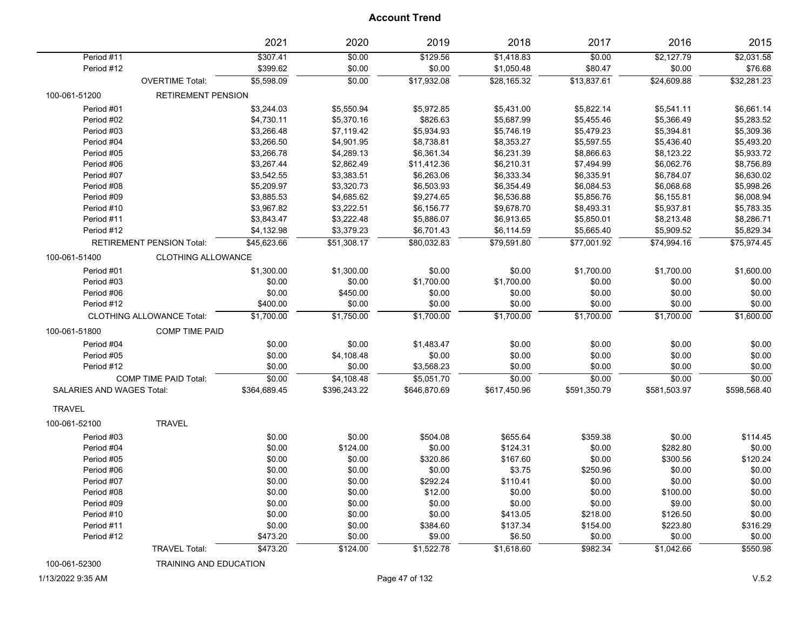|                                  |                                  | 2021                 | 2020             | 2019               | 2018                     | 2017              | 2016                 | 2015                  |
|----------------------------------|----------------------------------|----------------------|------------------|--------------------|--------------------------|-------------------|----------------------|-----------------------|
| Period #11<br>Period #12         |                                  | \$307.41<br>\$399.62 | \$0.00<br>\$0.00 | \$129.56<br>\$0.00 | \$1,418.83<br>\$1,050.48 | \$0.00<br>\$80.47 | \$2,127.79<br>\$0.00 | \$2,031.58<br>\$76.68 |
|                                  | <b>OVERTIME Total:</b>           | \$5,598.09           | \$0.00           | \$17,932.08        | \$28,165.32              | \$13,837.61       | \$24,609.88          | \$32,281.23           |
| 100-061-51200                    | RETIREMENT PENSION               |                      |                  |                    |                          |                   |                      |                       |
| Period #01                       |                                  | \$3,244.03           | \$5,550.94       | \$5,972.85         | \$5,431.00               | \$5,822.14        | \$5,541.11           | \$6,661.14            |
| Period #02                       |                                  | \$4,730.11           | \$5,370.16       | \$826.63           | \$5,687.99               | \$5,455.46        | \$5,366.49           | \$5,283.52            |
| Period #03                       |                                  | \$3,266.48           | \$7,119.42       | \$5,934.93         | \$5,746.19               | \$5,479.23        | \$5,394.81           | \$5,309.36            |
| Period #04                       |                                  | \$3,266.50           | \$4,901.95       | \$8,738.81         | \$8,353.27               | \$5,597.55        | \$5,436.40           | \$5,493.20            |
| Period #05                       |                                  | \$3,266.78           | \$4,289.13       | \$6,361.34         | \$6,231.39               | \$8,866.63        | \$8,123.22           | \$5,933.72            |
| Period #06                       |                                  | \$3,267.44           | \$2,862.49       | \$11,412.36        | \$6,210.31               | \$7,494.99        | \$6,062.76           | \$8,756.89            |
| Period #07                       |                                  | \$3,542.55           | \$3,383.51       | \$6,263.06         | \$6,333.34               | \$6,335.91        | \$6,784.07           | \$6,630.02            |
| Period #08                       |                                  | \$5,209.97           | \$3,320.73       | \$6,503.93         | \$6,354.49               | \$6,084.53        | \$6,068.68           | \$5,998.26            |
| Period #09                       |                                  | \$3,885.53           | \$4,685.62       | \$9,274.65         | \$6,536.88               | \$5,856.76        | \$6,155.81           | \$6,008.94            |
| Period #10                       |                                  | \$3,967.82           | \$3,222.51       | \$6,156.77         | \$9,678.70               | \$8,493.31        | \$5,937.81           | \$5,783.35            |
| Period #11                       |                                  | \$3,843.47           | \$3,222.48       | \$5,886.07         | \$6,913.65               | \$5,850.01        | \$8,213.48           | \$8,286.71            |
| Period #12                       |                                  | \$4,132.98           | \$3,379.23       | \$6,701.43         | \$6,114.59               | \$5,665.40        | \$5,909.52           | \$5,829.34            |
|                                  | <b>RETIREMENT PENSION Total:</b> | \$45,623.66          | \$51,308.17      | \$80,032.83        | \$79,591.80              | \$77,001.92       | \$74,994.16          | \$75,974.45           |
| 100-061-51400                    | <b>CLOTHING ALLOWANCE</b>        |                      |                  |                    |                          |                   |                      |                       |
| Period #01                       |                                  | \$1,300.00           | \$1,300.00       | \$0.00             | \$0.00                   | \$1,700.00        | \$1,700.00           | \$1,600.00            |
| Period #03                       |                                  | \$0.00               | \$0.00           | \$1,700.00         | \$1,700.00               | \$0.00            | \$0.00               | \$0.00                |
| Period #06                       |                                  | \$0.00               | \$450.00         | \$0.00             | \$0.00                   | \$0.00            | \$0.00               | \$0.00                |
| Period #12                       |                                  | \$400.00             | \$0.00           | \$0.00             | \$0.00                   | \$0.00            | \$0.00               | \$0.00                |
|                                  | <b>CLOTHING ALLOWANCE Total:</b> | \$1,700.00           | \$1,750.00       | \$1,700.00         | \$1,700.00               | \$1,700.00        | \$1,700.00           | \$1,600.00            |
| 100-061-51800                    | <b>COMP TIME PAID</b>            |                      |                  |                    |                          |                   |                      |                       |
| Period #04                       |                                  | \$0.00               | \$0.00           | \$1,483.47         | \$0.00                   | \$0.00            | \$0.00               | \$0.00                |
| Period #05                       |                                  | \$0.00               | \$4,108.48       | \$0.00             | \$0.00                   | \$0.00            | \$0.00               | \$0.00                |
| Period #12                       |                                  | \$0.00               | \$0.00           | \$3,568.23         | \$0.00                   | \$0.00            | \$0.00               | \$0.00                |
|                                  | <b>COMP TIME PAID Total:</b>     | \$0.00               | \$4,108.48       | \$5,051.70         | \$0.00                   | \$0.00            | \$0.00               | \$0.00                |
| <b>SALARIES AND WAGES Total:</b> |                                  | \$364,689.45         | \$396,243.22     | \$646,870.69       | \$617,450.96             | \$591,350.79      | \$581,503.97         | \$598,568.40          |
| <b>TRAVEL</b>                    |                                  |                      |                  |                    |                          |                   |                      |                       |
| 100-061-52100                    | <b>TRAVEL</b>                    |                      |                  |                    |                          |                   |                      |                       |
| Period #03                       |                                  | \$0.00               | \$0.00           | \$504.08           | \$655.64                 | \$359.38          | \$0.00               | \$114.45              |
| Period #04                       |                                  | \$0.00               | \$124.00         | \$0.00             | \$124.31                 | \$0.00            | \$282.80             | \$0.00                |
| Period #05                       |                                  | \$0.00               | \$0.00           | \$320.86           | \$167.60                 | \$0.00            | \$300.56             | \$120.24              |
| Period #06                       |                                  | \$0.00               | \$0.00           | \$0.00             | \$3.75                   | \$250.96          | \$0.00               | \$0.00                |
| Period #07                       |                                  | \$0.00               | \$0.00           | \$292.24           | \$110.41                 | \$0.00            | \$0.00               | \$0.00                |
| Period #08                       |                                  | \$0.00               | \$0.00           | \$12.00            | \$0.00                   | \$0.00            | \$100.00             | \$0.00                |
| Period #09                       |                                  | \$0.00               | \$0.00           | \$0.00             | \$0.00                   | \$0.00            | \$9.00               | \$0.00                |
| Period #10                       |                                  | \$0.00               | \$0.00           | \$0.00             | \$413.05                 | \$218.00          | \$126.50             | \$0.00                |
| Period #11                       |                                  | \$0.00               | \$0.00           | \$384.60           | \$137.34                 | \$154.00          | \$223.80             | \$316.29              |
| Period #12                       |                                  | \$473.20             | \$0.00           | \$9.00             | \$6.50                   | \$0.00            | \$0.00               | \$0.00                |
|                                  |                                  |                      |                  |                    |                          |                   |                      |                       |
|                                  | <b>TRAVEL Total:</b>             | \$473.20             | \$124.00         | \$1,522.78         | \$1,618.60               | \$982.34          | \$1,042.66           | \$550.98              |

100-061-52300 TRAINING AND EDUCATION

1/13/2022 9:35 AM Page 47 of 132 V.5.2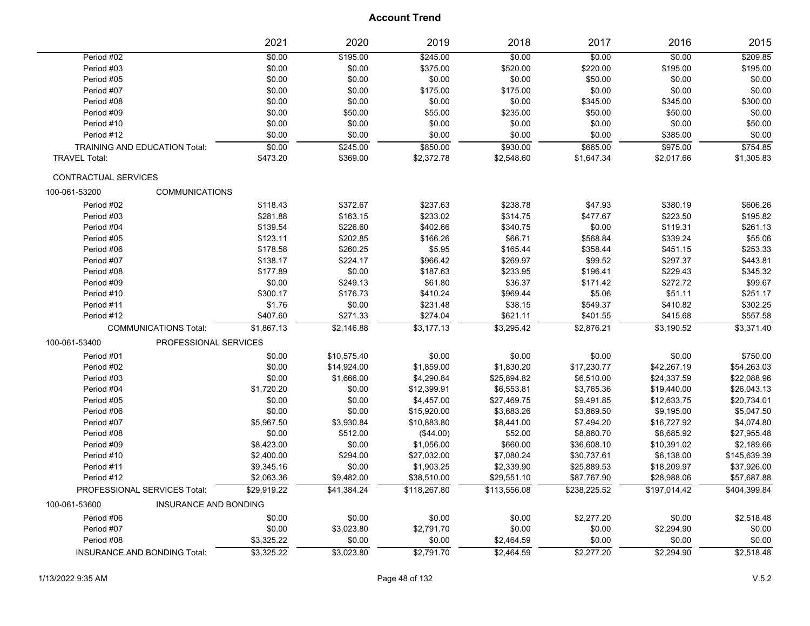|                             |                                      | 2021        | 2020        | 2019         | 2018         | 2017         | 2016         | 2015         |
|-----------------------------|--------------------------------------|-------------|-------------|--------------|--------------|--------------|--------------|--------------|
| Period #02                  |                                      | \$0.00      | \$195.00    | \$245.00     | \$0.00       | \$0.00       | \$0.00       | \$209.85     |
| Period #03                  |                                      | \$0.00      | \$0.00      | \$375.00     | \$520.00     | \$220.00     | \$195.00     | \$195.00     |
| Period #05                  |                                      | \$0.00      | \$0.00      | \$0.00       | \$0.00       | \$50.00      | \$0.00       | \$0.00       |
| Period #07                  |                                      | \$0.00      | \$0.00      | \$175.00     | \$175.00     | \$0.00       | \$0.00       | \$0.00       |
| Period #08                  |                                      | \$0.00      | \$0.00      | \$0.00       | \$0.00       | \$345.00     | \$345.00     | \$300.00     |
| Period #09                  |                                      | \$0.00      | \$50.00     | \$55.00      | \$235.00     | \$50.00      | \$50.00      | \$0.00       |
| Period #10                  |                                      | \$0.00      | \$0.00      | \$0.00       | \$0.00       | \$0.00       | \$0.00       | \$50.00      |
| Period #12                  |                                      | \$0.00      | \$0.00      | \$0.00       | \$0.00       | \$0.00       | \$385.00     | \$0.00       |
|                             | <b>TRAINING AND EDUCATION Total:</b> | \$0.00      | \$245.00    | \$850.00     | \$930.00     | \$665.00     | \$975.00     | \$754.85     |
| <b>TRAVEL Total:</b>        |                                      | \$473.20    | \$369.00    | \$2,372.78   | \$2,548.60   | \$1,647.34   | \$2,017.66   | \$1,305.83   |
| <b>CONTRACTUAL SERVICES</b> |                                      |             |             |              |              |              |              |              |
| 100-061-53200               | <b>COMMUNICATIONS</b>                |             |             |              |              |              |              |              |
| Period #02                  |                                      | \$118.43    | \$372.67    | \$237.63     | \$238.78     | \$47.93      | \$380.19     | \$606.26     |
| Period #03                  |                                      | \$281.88    | \$163.15    | \$233.02     | \$314.75     | \$477.67     | \$223.50     | \$195.82     |
| Period #04                  |                                      | \$139.54    | \$226.60    | \$402.66     | \$340.75     | \$0.00       | \$119.31     | \$261.13     |
| Period #05                  |                                      | \$123.11    | \$202.85    | \$166.26     | \$66.71      | \$568.84     | \$339.24     | \$55.06      |
| Period #06                  |                                      | \$178.58    | \$260.25    | \$5.95       | \$165.44     | \$358.44     | \$451.15     | \$253.33     |
| Period #07                  |                                      | \$138.17    | \$224.17    | \$966.42     | \$269.97     | \$99.52      | \$297.37     | \$443.81     |
| Period #08                  |                                      | \$177.89    | \$0.00      | \$187.63     | \$233.95     | \$196.41     | \$229.43     | \$345.32     |
| Period #09                  |                                      | \$0.00      | \$249.13    | \$61.80      | \$36.37      | \$171.42     | \$272.72     | \$99.67      |
| Period #10                  |                                      | \$300.17    | \$176.73    | \$410.24     | \$969.44     | \$5.06       | \$51.11      | \$251.17     |
| Period #11                  |                                      | \$1.76      | \$0.00      | \$231.48     | \$38.15      | \$549.37     | \$410.82     | \$302.25     |
| Period #12                  |                                      | \$407.60    | \$271.33    | \$274.04     | \$621.11     | \$401.55     | \$415.68     | \$557.58     |
|                             | <b>COMMUNICATIONS Total:</b>         | \$1,867.13  | \$2,146.88  | \$3,177.13   | \$3,295.42   | \$2,876.21   | \$3,190.52   | \$3,371.40   |
| 100-061-53400               | PROFESSIONAL SERVICES                |             |             |              |              |              |              |              |
| Period #01                  |                                      | \$0.00      | \$10,575.40 | \$0.00       | \$0.00       | \$0.00       | \$0.00       | \$750.00     |
| Period #02                  |                                      | \$0.00      | \$14,924.00 | \$1,859.00   | \$1,830.20   | \$17,230.77  | \$42,267.19  | \$54,263.03  |
| Period #03                  |                                      | \$0.00      | \$1,666.00  | \$4,290.84   | \$25,894.82  | \$6,510.00   | \$24,337.59  | \$22,088.96  |
| Period #04                  |                                      | \$1,720.20  | \$0.00      | \$12,399.91  | \$6,553.81   | \$3,765.36   | \$19,440.00  | \$26,043.13  |
| Period #05                  |                                      | \$0.00      | \$0.00      | \$4,457.00   | \$27,469.75  | \$9,491.85   | \$12,633.75  | \$20,734.01  |
| Period #06                  |                                      | \$0.00      | \$0.00      | \$15,920.00  | \$3,683.26   | \$3,869.50   | \$9,195.00   | \$5,047.50   |
| Period #07                  |                                      | \$5,967.50  | \$3,930.84  | \$10,883.80  | \$8,441.00   | \$7,494.20   | \$16,727.92  | \$4,074.80   |
| Period #08                  |                                      | \$0.00      | \$512.00    | (\$44.00)    | \$52.00      | \$8,860.70   | \$8,685.92   | \$27,955.48  |
| Period #09                  |                                      | \$8,423.00  | \$0.00      | \$1,056.00   | \$660.00     | \$36,608.10  | \$10,391.02  | \$2,189.66   |
| Period #10                  |                                      | \$2,400.00  | \$294.00    | \$27,032.00  | \$7,080.24   | \$30,737.61  | \$6,138.00   | \$145,639.39 |
| Period #11                  |                                      | \$9,345.16  | \$0.00      | \$1,903.25   | \$2,339.90   | \$25,889.53  | \$18,209.97  | \$37,926.00  |
| Period #12                  |                                      | \$2,063.36  | \$9,482.00  | \$38,510.00  | \$29,551.10  | \$87,767.90  | \$28,988.06  | \$57,687.88  |
|                             | PROFESSIONAL SERVICES Total:         | \$29,919.22 | \$41.384.24 | \$118.267.80 | \$113.556.08 | \$238.225.52 | \$197,014.42 | \$404,399.84 |
| 100-061-53600               | <b>INSURANCE AND BONDING</b>         |             |             |              |              |              |              |              |
| Period #06                  |                                      | \$0.00      | \$0.00      | \$0.00       | \$0.00       | \$2,277.20   | \$0.00       | \$2,518.48   |
| Period #07                  |                                      | \$0.00      | \$3,023.80  | \$2,791.70   | \$0.00       | \$0.00       | \$2,294.90   | \$0.00       |
| Period #08                  |                                      | \$3,325.22  | \$0.00      | \$0.00       | \$2,464.59   | \$0.00       | \$0.00       | \$0.00       |
|                             | <b>INSURANCE AND BONDING Total:</b>  | \$3,325.22  | \$3,023.80  | \$2,791.70   | \$2,464.59   | \$2,277.20   | \$2,294.90   | \$2,518.48   |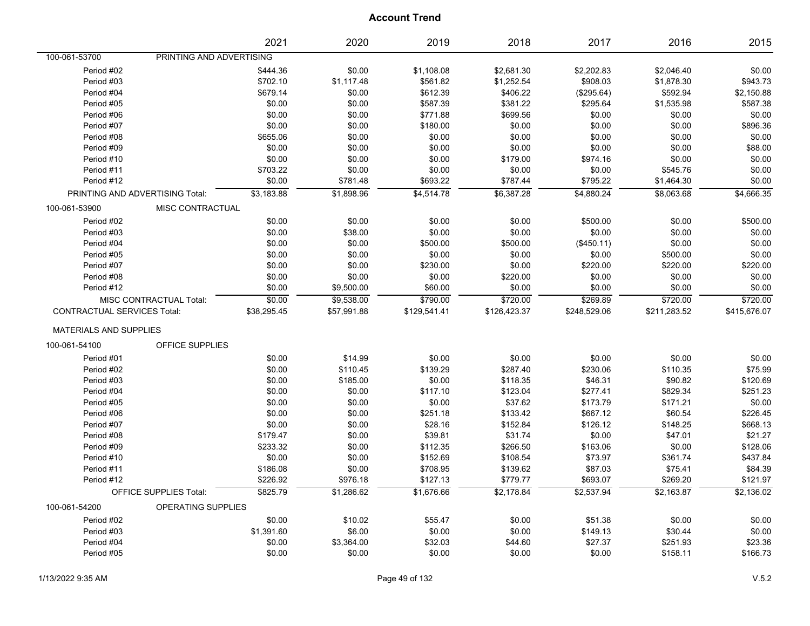|                                    |                                 | 2021        | 2020        | 2019         | 2018         | 2017         | 2016         | 2015         |
|------------------------------------|---------------------------------|-------------|-------------|--------------|--------------|--------------|--------------|--------------|
| 100-061-53700                      | PRINTING AND ADVERTISING        |             |             |              |              |              |              |              |
| Period #02                         |                                 | \$444.36    | \$0.00      | \$1,108.08   | \$2,681.30   | \$2,202.83   | \$2,046.40   | \$0.00       |
| Period #03                         |                                 | \$702.10    | \$1,117.48  | \$561.82     | \$1,252.54   | \$908.03     | \$1,878.30   | \$943.73     |
| Period #04                         |                                 | \$679.14    | \$0.00      | \$612.39     | \$406.22     | (\$295.64)   | \$592.94     | \$2,150.88   |
| Period #05                         |                                 | \$0.00      | \$0.00      | \$587.39     | \$381.22     | \$295.64     | \$1,535.98   | \$587.38     |
| Period #06                         |                                 | \$0.00      | \$0.00      | \$771.88     | \$699.56     | \$0.00       | \$0.00       | \$0.00       |
| Period #07                         |                                 | \$0.00      | \$0.00      | \$180.00     | \$0.00       | \$0.00       | \$0.00       | \$896.36     |
| Period #08                         |                                 | \$655.06    | \$0.00      | \$0.00       | \$0.00       | \$0.00       | \$0.00       | \$0.00       |
| Period #09                         |                                 | \$0.00      | \$0.00      | \$0.00       | \$0.00       | \$0.00       | \$0.00       | \$88.00      |
| Period #10                         |                                 | \$0.00      | \$0.00      | \$0.00       | \$179.00     | \$974.16     | \$0.00       | \$0.00       |
| Period #11                         |                                 | \$703.22    | \$0.00      | \$0.00       | \$0.00       | \$0.00       | \$545.76     | \$0.00       |
| Period #12                         |                                 | \$0.00      | \$781.48    | \$693.22     | \$787.44     | \$795.22     | \$1,464.30   | \$0.00       |
|                                    | PRINTING AND ADVERTISING Total: | \$3,183.88  | \$1,898.96  | \$4,514.78   | \$6,387.28   | \$4,880.24   | \$8,063.68   | \$4,666.35   |
| 100-061-53900                      | MISC CONTRACTUAL                |             |             |              |              |              |              |              |
| Period #02                         |                                 | \$0.00      | \$0.00      | \$0.00       | \$0.00       | \$500.00     | \$0.00       | \$500.00     |
| Period #03                         |                                 | \$0.00      | \$38.00     | \$0.00       | \$0.00       | \$0.00       | \$0.00       | \$0.00       |
| Period #04                         |                                 | \$0.00      | \$0.00      | \$500.00     | \$500.00     | (\$450.11)   | \$0.00       | \$0.00       |
| Period #05                         |                                 | \$0.00      | \$0.00      | \$0.00       | \$0.00       | \$0.00       | \$500.00     | \$0.00       |
| Period #07                         |                                 | \$0.00      | \$0.00      | \$230.00     | \$0.00       | \$220.00     | \$220.00     | \$220.00     |
| Period #08                         |                                 | \$0.00      | \$0.00      | \$0.00       | \$220.00     | \$0.00       | \$0.00       | \$0.00       |
| Period #12                         |                                 | \$0.00      | \$9,500.00  | \$60.00      | \$0.00       | \$0.00       | \$0.00       | \$0.00       |
|                                    | MISC CONTRACTUAL Total:         | \$0.00      | \$9,538.00  | \$790.00     | \$720.00     | \$269.89     | \$720.00     | \$720.00     |
| <b>CONTRACTUAL SERVICES Total:</b> |                                 | \$38,295.45 | \$57,991.88 | \$129,541.41 | \$126,423.37 | \$248,529.06 | \$211,283.52 | \$415,676.07 |
| <b>MATERIALS AND SUPPLIES</b>      |                                 |             |             |              |              |              |              |              |
| 100-061-54100                      | OFFICE SUPPLIES                 |             |             |              |              |              |              |              |
| Period #01                         |                                 | \$0.00      | \$14.99     | \$0.00       | \$0.00       | \$0.00       | \$0.00       | \$0.00       |
| Period #02                         |                                 | \$0.00      | \$110.45    | \$139.29     | \$287.40     | \$230.06     | \$110.35     | \$75.99      |
| Period #03                         |                                 | \$0.00      | \$185.00    | \$0.00       | \$118.35     | \$46.31      | \$90.82      | \$120.69     |
| Period #04                         |                                 | \$0.00      | \$0.00      | \$117.10     | \$123.04     | \$277.41     | \$829.34     | \$251.23     |
| Period #05                         |                                 | \$0.00      | \$0.00      | \$0.00       | \$37.62      | \$173.79     | \$171.21     | \$0.00       |
| Period #06                         |                                 | \$0.00      | \$0.00      | \$251.18     | \$133.42     | \$667.12     | \$60.54      | \$226.45     |
| Period #07                         |                                 | \$0.00      | \$0.00      | \$28.16      | \$152.84     | \$126.12     | \$148.25     | \$668.13     |
| Period #08                         |                                 | \$179.47    | \$0.00      | \$39.81      | \$31.74      | \$0.00       | \$47.01      | \$21.27      |
| Period #09                         |                                 | \$233.32    | \$0.00      | \$112.35     | \$266.50     | \$163.06     | \$0.00       | \$128.06     |
| Period #10                         |                                 | \$0.00      | \$0.00      | \$152.69     | \$108.54     | \$73.97      | \$361.74     | \$437.84     |
| Period #11                         |                                 | \$186.08    | \$0.00      | \$708.95     | \$139.62     | \$87.03      | \$75.41      | \$84.39      |
| Period #12                         |                                 | \$226.92    | \$976.18    | \$127.13     | \$779.77     | \$693.07     | \$269.20     | \$121.97     |
|                                    | <b>OFFICE SUPPLIES Total:</b>   | \$825.79    | \$1.286.62  | \$1,676.66   | \$2,178.84   | \$2,537.94   | \$2.163.87   | \$2,136.02   |
| 100-061-54200                      | OPERATING SUPPLIES              |             |             |              |              |              |              |              |
| Period #02                         |                                 | \$0.00      | \$10.02     | \$55.47      | \$0.00       | \$51.38      | \$0.00       | \$0.00       |
| Period #03                         |                                 | \$1,391.60  | \$6.00      | \$0.00       | \$0.00       | \$149.13     | \$30.44      | \$0.00       |
| Period #04                         |                                 | \$0.00      | \$3,364.00  | \$32.03      | \$44.60      | \$27.37      | \$251.93     | \$23.36      |
| Period #05                         |                                 | \$0.00      | \$0.00      | \$0.00       | \$0.00       | \$0.00       | \$158.11     | \$166.73     |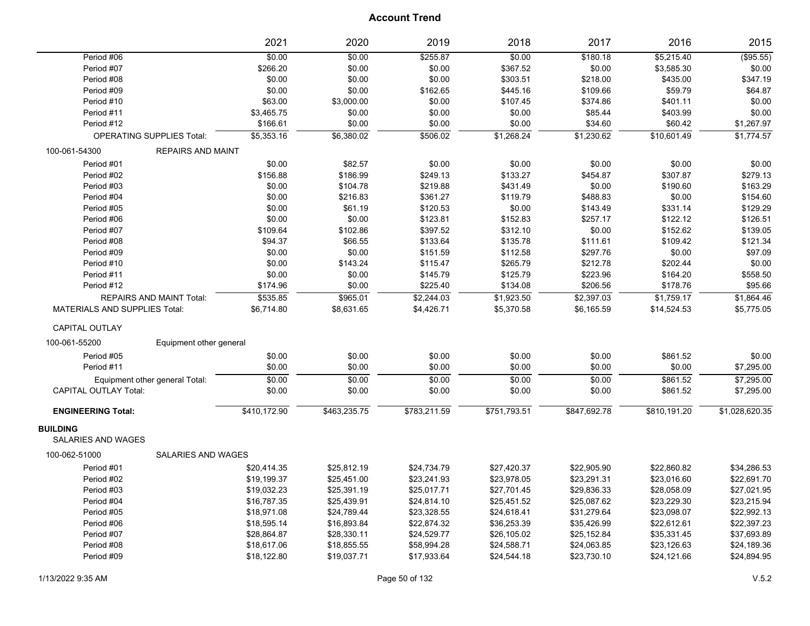|                                       |                                  | 2021         | 2020           | 2019         | 2018         | 2017         | 2016         | 2015           |
|---------------------------------------|----------------------------------|--------------|----------------|--------------|--------------|--------------|--------------|----------------|
| Period #06                            |                                  | \$0.00       | \$0.00         | \$255.87     | \$0.00       | \$180.18     | \$5,215.40   | (\$95.55)      |
| Period #07                            |                                  | \$266.20     | \$0.00         | \$0.00       | \$367.52     | \$0.00       | \$3,585.30   | \$0.00         |
| Period #08                            |                                  | \$0.00       | \$0.00         | \$0.00       | \$303.51     | \$218.00     | \$435.00     | \$347.19       |
| Period #09                            |                                  | \$0.00       | \$0.00         | \$162.65     | \$445.16     | \$109.66     | \$59.79      | \$64.87        |
| Period #10                            |                                  | \$63.00      | \$3,000.00     | \$0.00       | \$107.45     | \$374.86     | \$401.11     | \$0.00         |
| Period #11                            |                                  | \$3,465.75   | \$0.00         | \$0.00       | \$0.00       | \$85.44      | \$403.99     | \$0.00         |
| Period #12                            |                                  | \$166.61     | \$0.00         | \$0.00       | \$0.00       | \$34.60      | \$60.42      | \$1,267.97     |
|                                       | <b>OPERATING SUPPLIES Total:</b> | \$5,353.16   | \$6,380.02     | \$506.02     | \$1,268.24   | \$1,230.62   | \$10,601.49  | \$1,774.57     |
| 100-061-54300                         | <b>REPAIRS AND MAINT</b>         |              |                |              |              |              |              |                |
| Period #01                            |                                  | \$0.00       | \$82.57        | \$0.00       | \$0.00       | \$0.00       | \$0.00       | \$0.00         |
| Period #02                            |                                  | \$156.88     | \$186.99       | \$249.13     | \$133.27     | \$454.87     | \$307.87     | \$279.13       |
| Period #03                            |                                  | \$0.00       | \$104.78       | \$219.88     | \$431.49     | \$0.00       | \$190.60     | \$163.29       |
| Period #04                            |                                  | \$0.00       | \$216.83       | \$361.27     | \$119.79     | \$488.83     | \$0.00       | \$154.60       |
| Period #05                            |                                  | \$0.00       | \$61.19        | \$120.53     | \$0.00       | \$143.49     | \$331.14     | \$129.29       |
| Period #06                            |                                  | \$0.00       | \$0.00         | \$123.81     | \$152.83     | \$257.17     | \$122.12     | \$126.51       |
| Period #07                            |                                  | \$109.64     | \$102.86       | \$397.52     | \$312.10     | \$0.00       | \$152.62     | \$139.05       |
| Period #08                            |                                  | \$94.37      | \$66.55        | \$133.64     | \$135.78     | \$111.61     | \$109.42     | \$121.34       |
| Period #09                            |                                  | \$0.00       | \$0.00         | \$151.59     | \$112.58     | \$297.76     | \$0.00       | \$97.09        |
| Period #10                            |                                  | \$0.00       | \$143.24       | \$115.47     | \$265.79     | \$212.78     | \$202.44     | \$0.00         |
| Period #11                            |                                  | \$0.00       | \$0.00         | \$145.79     | \$125.79     | \$223.96     | \$164.20     | \$558.50       |
| Period #12                            |                                  | \$174.96     | \$0.00         | \$225.40     | \$134.08     | \$206.56     | \$178.76     | \$95.66        |
|                                       | <b>REPAIRS AND MAINT Total:</b>  | \$535.85     | \$965.01       | \$2,244.03   | \$1,923.50   | \$2,397.03   | \$1,759.17   | \$1,864.46     |
| <b>MATERIALS AND SUPPLIES Total:</b>  |                                  | \$6,714.80   | \$8,631.65     | \$4,426.71   | \$5,370.58   | \$6,165.59   | \$14,524.53  | \$5,775.05     |
| <b>CAPITAL OUTLAY</b>                 |                                  |              |                |              |              |              |              |                |
| 100-061-55200                         | Equipment other general          |              |                |              |              |              |              |                |
| Period #05                            |                                  | \$0.00       | \$0.00         | \$0.00       | \$0.00       | \$0.00       | \$861.52     | \$0.00         |
| Period #11                            |                                  | \$0.00       | \$0.00         | \$0.00       | \$0.00       | \$0.00       | \$0.00       | \$7,295.00     |
|                                       | Equipment other general Total:   | \$0.00       | $\frac{1}{00}$ | \$0.00       | \$0.00       | \$0.00       | \$861.52     | \$7,295.00     |
| <b>CAPITAL OUTLAY Total:</b>          |                                  | \$0.00       | \$0.00         | \$0.00       | \$0.00       | \$0.00       | \$861.52     | \$7,295.00     |
| <b>ENGINEERING Total:</b>             |                                  | \$410,172.90 | \$463,235.75   | \$783,211.59 | \$751,793.51 | \$847,692.78 | \$810,191.20 | \$1,028,620.35 |
| <b>BUILDING</b><br>SALARIES AND WAGES |                                  |              |                |              |              |              |              |                |
| 100-062-51000                         | SALARIES AND WAGES               |              |                |              |              |              |              |                |
| Period #01                            |                                  | \$20,414.35  | \$25,812.19    | \$24,734.79  | \$27,420.37  | \$22,905.90  | \$22,860.82  | \$34,286.53    |
| Period #02                            |                                  | \$19,199.37  | \$25,451.00    | \$23,241.93  | \$23,978.05  | \$23,291.31  | \$23,016.60  | \$22,691.70    |
| Period #03                            |                                  | \$19,032.23  | \$25,391.19    | \$25,017.71  | \$27,701.45  | \$29,836.33  | \$28,058.09  | \$27,021.95    |
| Period #04                            |                                  | \$16,787.35  | \$25,439.91    | \$24,814.10  | \$25,451.52  | \$25,087.62  | \$23,229.30  | \$23,215.94    |
| Period #05                            |                                  | \$18,971.08  | \$24,789.44    | \$23,328.55  | \$24,618.41  | \$31,279.64  | \$23,098.07  | \$22,992.13    |
| Period #06                            |                                  | \$18,595.14  | \$16,893.84    | \$22,874.32  | \$36,253.39  | \$35,426.99  | \$22,612.61  | \$22,397.23    |
| Period #07                            |                                  | \$28,864.87  | \$28,330.11    | \$24,529.77  | \$26,105.02  | \$25,152.84  | \$35,331.45  | \$37,693.89    |
| Period #08                            |                                  | \$18,617.06  | \$18,855.55    | \$58,994.28  | \$24,588.71  | \$24,063.85  | \$23,126.63  | \$24,189.36    |
| Period #09                            |                                  | \$18,122.80  | \$19,037.71    | \$17,933.64  | \$24,544.18  | \$23,730.10  | \$24,121.66  | \$24,894.95    |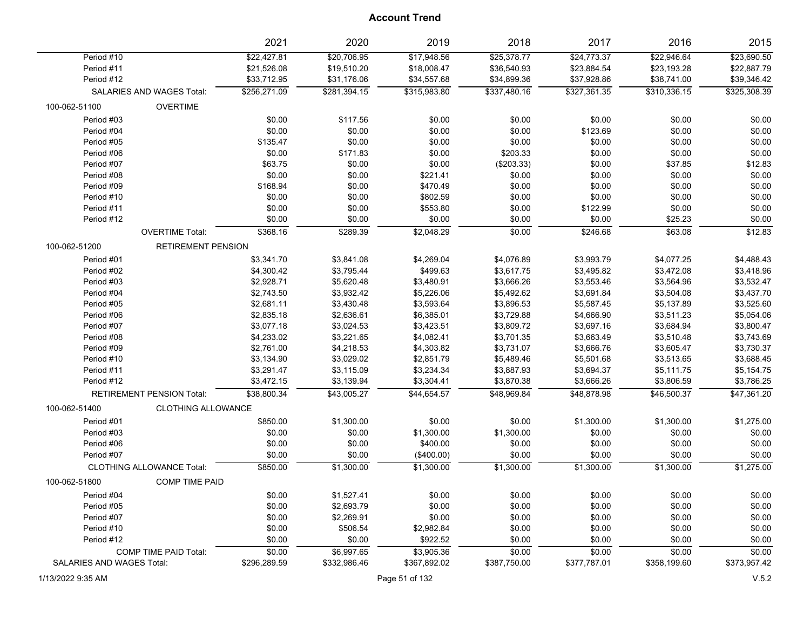|                           |                                  | 2021         | 2020         | 2019         | 2018         | 2017         | 2016         | 2015         |
|---------------------------|----------------------------------|--------------|--------------|--------------|--------------|--------------|--------------|--------------|
| Period #10                |                                  | \$22,427.81  | \$20,706.95  | \$17,948.56  | \$25,378.77  | \$24,773.37  | \$22,946.64  | \$23,690.50  |
| Period #11                |                                  | \$21,526.08  | \$19,510.20  | \$18,008.47  | \$36,540.93  | \$23,884.54  | \$23,193.28  | \$22,887.79  |
| Period #12                |                                  | \$33,712.95  | \$31,176.06  | \$34,557.68  | \$34,899.36  | \$37,928.86  | \$38,741.00  | \$39,346.42  |
|                           | SALARIES AND WAGES Total:        | \$256,271.09 | \$281,394.15 | \$315,983.80 | \$337,480.16 | \$327,361.35 | \$310,336.15 | \$325,308.39 |
| 100-062-51100             | <b>OVERTIME</b>                  |              |              |              |              |              |              |              |
| Period #03                |                                  | \$0.00       | \$117.56     | \$0.00       | \$0.00       | \$0.00       | \$0.00       | \$0.00       |
| Period #04                |                                  | \$0.00       | \$0.00       | \$0.00       | \$0.00       | \$123.69     | \$0.00       | \$0.00       |
| Period #05                |                                  | \$135.47     | \$0.00       | \$0.00       | \$0.00       | \$0.00       | \$0.00       | \$0.00       |
| Period #06                |                                  | \$0.00       | \$171.83     | \$0.00       | \$203.33     | \$0.00       | \$0.00       | \$0.00       |
| Period #07                |                                  | \$63.75      | \$0.00       | \$0.00       | (\$203.33)   | \$0.00       | \$37.85      | \$12.83      |
| Period #08                |                                  | \$0.00       | \$0.00       | \$221.41     | \$0.00       | \$0.00       | \$0.00       | \$0.00       |
| Period #09                |                                  | \$168.94     | \$0.00       | \$470.49     | \$0.00       | \$0.00       | \$0.00       | \$0.00       |
| Period #10                |                                  | \$0.00       | \$0.00       | \$802.59     | \$0.00       | \$0.00       | \$0.00       | \$0.00       |
| Period #11                |                                  | \$0.00       | \$0.00       | \$553.80     | \$0.00       | \$122.99     | \$0.00       | \$0.00       |
| Period #12                |                                  | \$0.00       | \$0.00       | \$0.00       | \$0.00       | \$0.00       | \$25.23      | \$0.00       |
|                           | <b>OVERTIME Total:</b>           | \$368.16     | \$289.39     | \$2,048.29   | 50.00        | \$246.68     | \$63.08      | \$12.83      |
| 100-062-51200             | <b>RETIREMENT PENSION</b>        |              |              |              |              |              |              |              |
| Period #01                |                                  | \$3,341.70   | \$3,841.08   | \$4,269.04   | \$4,076.89   | \$3,993.79   | \$4,077.25   | \$4,488.43   |
| Period #02                |                                  | \$4,300.42   | \$3,795.44   | \$499.63     | \$3,617.75   | \$3,495.82   | \$3,472.08   | \$3,418.96   |
| Period #03                |                                  | \$2,928.71   | \$5,620.48   | \$3,480.91   | \$3,666.26   | \$3,553.46   | \$3,564.96   | \$3,532.47   |
| Period #04                |                                  | \$2,743.50   | \$3,932.42   | \$5,226.06   | \$5,492.62   | \$3,691.84   | \$3,504.08   | \$3,437.70   |
| Period #05                |                                  | \$2,681.11   | \$3,430.48   | \$3,593.64   | \$3,896.53   | \$5,587.45   | \$5,137.89   | \$3,525.60   |
| Period #06                |                                  | \$2,835.18   | \$2,636.61   | \$6,385.01   | \$3,729.88   | \$4,666.90   | \$3,511.23   | \$5,054.06   |
| Period #07                |                                  | \$3,077.18   | \$3,024.53   | \$3,423.51   | \$3,809.72   | \$3,697.16   | \$3,684.94   | \$3,800.47   |
| Period #08                |                                  | \$4,233.02   | \$3,221.65   | \$4,082.41   | \$3,701.35   | \$3,663.49   | \$3,510.48   | \$3,743.69   |
| Period #09                |                                  | \$2,761.00   | \$4,218.53   | \$4,303.82   | \$3,731.07   | \$3,666.76   | \$3,605.47   | \$3,730.37   |
| Period #10                |                                  | \$3,134.90   | \$3,029.02   | \$2,851.79   | \$5,489.46   | \$5,501.68   | \$3,513.65   | \$3,688.45   |
| Period #11                |                                  | \$3,291.47   | \$3,115.09   | \$3,234.34   | \$3,887.93   | \$3,694.37   | \$5,111.75   | \$5,154.75   |
| Period #12                |                                  | \$3,472.15   | \$3,139.94   | \$3,304.41   | \$3,870.38   | \$3,666.26   | \$3,806.59   | \$3,786.25   |
|                           | <b>RETIREMENT PENSION Total:</b> | \$38,800.34  | \$43,005.27  | \$44,654.57  | \$48,969.84  | \$48,878.98  | \$46,500.37  | \$47,361.20  |
| 100-062-51400             | <b>CLOTHING ALLOWANCE</b>        |              |              |              |              |              |              |              |
| Period #01                |                                  | \$850.00     | \$1,300.00   | \$0.00       | \$0.00       | \$1,300.00   | \$1,300.00   | \$1,275.00   |
| Period #03                |                                  | \$0.00       | \$0.00       | \$1,300.00   | \$1,300.00   | \$0.00       | \$0.00       | \$0.00       |
| Period #06                |                                  | \$0.00       | \$0.00       | \$400.00     | \$0.00       | \$0.00       | \$0.00       | \$0.00       |
| Period #07                |                                  | \$0.00       | \$0.00       | (\$400.00)   | \$0.00       | \$0.00       | \$0.00       | \$0.00       |
|                           | <b>CLOTHING ALLOWANCE Total:</b> | \$850.00     | \$1,300.00   | \$1,300.00   | \$1,300.00   | \$1,300.00   | \$1,300.00   | \$1,275.00   |
| 100-062-51800             | <b>COMP TIME PAID</b>            |              |              |              |              |              |              |              |
| Period #04                |                                  | \$0.00       | \$1,527.41   | \$0.00       | \$0.00       | \$0.00       | \$0.00       | \$0.00       |
| Period #05                |                                  | \$0.00       | \$2,693.79   | \$0.00       | \$0.00       | \$0.00       | \$0.00       | \$0.00       |
| Period #07                |                                  | \$0.00       | \$2,269.91   | \$0.00       | \$0.00       | \$0.00       | \$0.00       | \$0.00       |
| Period #10                |                                  | \$0.00       | \$506.54     | \$2,982.84   | \$0.00       | \$0.00       | \$0.00       | \$0.00       |
| Period #12                |                                  | \$0.00       | \$0.00       | \$922.52     | \$0.00       | \$0.00       | \$0.00       | \$0.00       |
|                           | <b>COMP TIME PAID Total:</b>     | \$0.00       | \$6,997.65   | \$3,905.36   | \$0.00       | \$0.00       | \$0.00       | \$0.00       |
| SALARIES AND WAGES Total: |                                  | \$296,289.59 | \$332,986.46 | \$367,892.02 | \$387,750.00 | \$377,787.01 | \$358,199.60 | \$373,957.42 |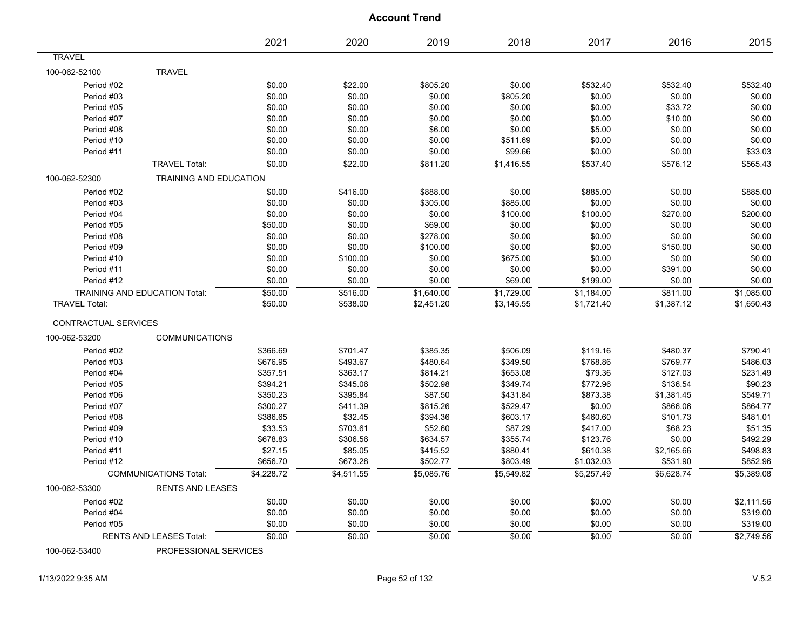|                      |                                      | 2021       | 2020           | 2019       | 2018       | 2017       | 2016       | 2015       |
|----------------------|--------------------------------------|------------|----------------|------------|------------|------------|------------|------------|
| <b>TRAVEL</b>        |                                      |            |                |            |            |            |            |            |
| 100-062-52100        | <b>TRAVEL</b>                        |            |                |            |            |            |            |            |
| Period #02           |                                      | \$0.00     | \$22.00        | \$805.20   | \$0.00     | \$532.40   | \$532.40   | \$532.40   |
| Period #03           |                                      | \$0.00     | \$0.00         | \$0.00     | \$805.20   | \$0.00     | \$0.00     | \$0.00     |
| Period #05           |                                      | \$0.00     | \$0.00         | \$0.00     | \$0.00     | \$0.00     | \$33.72    | \$0.00     |
| Period #07           |                                      | \$0.00     | \$0.00         | \$0.00     | \$0.00     | \$0.00     | \$10.00    | \$0.00     |
| Period #08           |                                      | \$0.00     | \$0.00         | \$6.00     | \$0.00     | \$5.00     | \$0.00     | \$0.00     |
| Period #10           |                                      | \$0.00     | \$0.00         | \$0.00     | \$511.69   | \$0.00     | \$0.00     | \$0.00     |
| Period #11           |                                      | \$0.00     | \$0.00         | \$0.00     | \$99.66    | \$0.00     | \$0.00     | \$33.03    |
|                      | <b>TRAVEL Total:</b>                 | \$0.00     | \$22.00        | \$811.20   | \$1,416.55 | \$537.40   | \$576.12   | \$565.43   |
| 100-062-52300        | TRAINING AND EDUCATION               |            |                |            |            |            |            |            |
| Period #02           |                                      | \$0.00     | \$416.00       | \$888.00   | \$0.00     | \$885.00   | \$0.00     | \$885.00   |
| Period #03           |                                      | \$0.00     | \$0.00         | \$305.00   | \$885.00   | \$0.00     | \$0.00     | \$0.00     |
| Period #04           |                                      | \$0.00     | \$0.00         | \$0.00     | \$100.00   | \$100.00   | \$270.00   | \$200.00   |
| Period #05           |                                      | \$50.00    | \$0.00         | \$69.00    | \$0.00     | \$0.00     | \$0.00     | \$0.00     |
| Period #08           |                                      | \$0.00     | \$0.00         | \$278.00   | \$0.00     | \$0.00     | \$0.00     | \$0.00     |
| Period #09           |                                      | \$0.00     | \$0.00         | \$100.00   | \$0.00     | \$0.00     | \$150.00   | \$0.00     |
| Period #10           |                                      | \$0.00     | \$100.00       | \$0.00     | \$675.00   | \$0.00     | \$0.00     | \$0.00     |
| Period #11           |                                      | \$0.00     | \$0.00         | \$0.00     | \$0.00     | \$0.00     | \$391.00   | \$0.00     |
| Period #12           |                                      | \$0.00     | \$0.00         | \$0.00     | \$69.00    | \$199.00   | \$0.00     | \$0.00     |
|                      | <b>TRAINING AND EDUCATION Total:</b> | \$50.00    | \$516.00       | \$1,640.00 | \$1,729.00 | \$1,184.00 | \$811.00   | \$1,085.00 |
| <b>TRAVEL Total:</b> |                                      | \$50.00    | \$538.00       | \$2,451.20 | \$3,145.55 | \$1,721.40 | \$1,387.12 | \$1,650.43 |
| CONTRACTUAL SERVICES |                                      |            |                |            |            |            |            |            |
| 100-062-53200        | <b>COMMUNICATIONS</b>                |            |                |            |            |            |            |            |
| Period #02           |                                      | \$366.69   | \$701.47       | \$385.35   | \$506.09   | \$119.16   | \$480.37   | \$790.41   |
| Period #03           |                                      | \$676.95   | \$493.67       | \$480.64   | \$349.50   | \$768.86   | \$769.77   | \$486.03   |
| Period #04           |                                      | \$357.51   | \$363.17       | \$814.21   | \$653.08   | \$79.36    | \$127.03   | \$231.49   |
| Period #05           |                                      | \$394.21   | \$345.06       | \$502.98   | \$349.74   | \$772.96   | \$136.54   | \$90.23    |
| Period #06           |                                      | \$350.23   | \$395.84       | \$87.50    | \$431.84   | \$873.38   | \$1,381.45 | \$549.71   |
| Period #07           |                                      | \$300.27   | \$411.39       | \$815.26   | \$529.47   | \$0.00     | \$866.06   | \$864.77   |
| Period #08           |                                      | \$386.65   | \$32.45        | \$394.36   | \$603.17   | \$460.60   | \$101.73   | \$481.01   |
| Period #09           |                                      | \$33.53    | \$703.61       | \$52.60    | \$87.29    | \$417.00   | \$68.23    | \$51.35    |
| Period #10           |                                      | \$678.83   | \$306.56       | \$634.57   | \$355.74   | \$123.76   | \$0.00     | \$492.29   |
| Period #11           |                                      | \$27.15    | \$85.05        | \$415.52   | \$880.41   | \$610.38   | \$2,165.66 | \$498.83   |
| Period #12           |                                      | \$656.70   | \$673.28       | \$502.77   | \$803.49   | \$1,032.03 | \$531.90   | \$852.96   |
|                      | <b>COMMUNICATIONS Total:</b>         | \$4,228.72 | \$4,511.55     | \$5,085.76 | \$5,549.82 | \$5,257.49 | \$6,628.74 | \$5,389.08 |
| 100-062-53300        | <b>RENTS AND LEASES</b>              |            |                |            |            |            |            |            |
| Period #02           |                                      | \$0.00     | \$0.00         | \$0.00     | \$0.00     | \$0.00     | \$0.00     | \$2,111.56 |
| Period #04           |                                      | \$0.00     | \$0.00         | \$0.00     | \$0.00     | \$0.00     | \$0.00     | \$319.00   |
| Period #05           |                                      | \$0.00     | \$0.00         | \$0.00     | \$0.00     | \$0.00     | \$0.00     | \$319.00   |
|                      | <b>RENTS AND LEASES Total:</b>       | \$0.00     | $\frac{1}{00}$ | \$0.00     | \$0.00     | \$0.00     | \$0.00     | \$2,749.56 |

100-062-53400 PROFESSIONAL SERVICES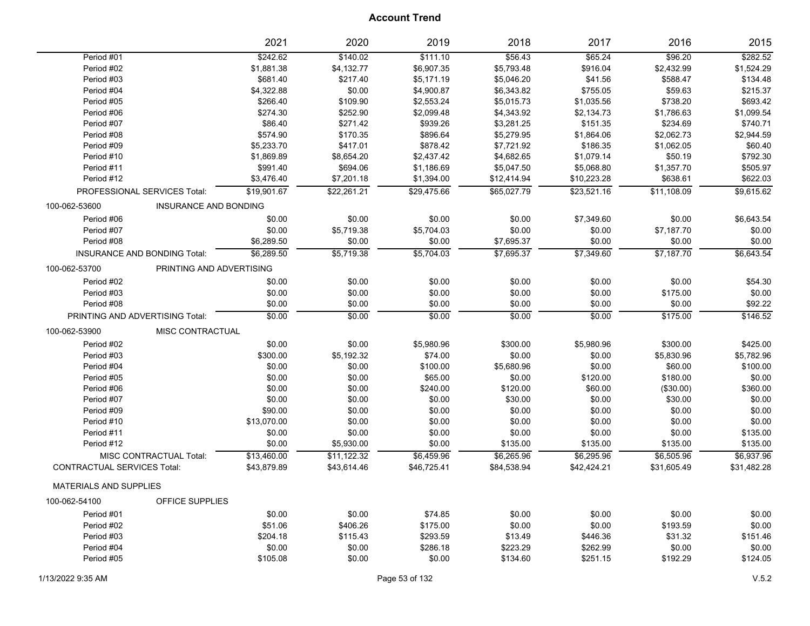|                                    |                                 | 2021        | 2020        | 2019        | 2018        | 2017        | 2016        | 2015        |
|------------------------------------|---------------------------------|-------------|-------------|-------------|-------------|-------------|-------------|-------------|
| Period #01                         |                                 | \$242.62    | \$140.02    | \$111.10    | \$56.43     | \$65.24     | \$96.20     | \$282.52    |
| Period #02                         |                                 | \$1,881.38  | \$4,132.77  | \$6,907.35  | \$5,793.48  | \$916.04    | \$2,432.99  | \$1,524.29  |
| Period #03                         |                                 | \$681.40    | \$217.40    | \$5,171.19  | \$5,046.20  | \$41.56     | \$588.47    | \$134.48    |
| Period #04                         |                                 | \$4,322.88  | \$0.00      | \$4,900.87  | \$6,343.82  | \$755.05    | \$59.63     | \$215.37    |
| Period #05                         |                                 | \$266.40    | \$109.90    | \$2,553.24  | \$5,015.73  | \$1,035.56  | \$738.20    | \$693.42    |
| Period #06                         |                                 | \$274.30    | \$252.90    | \$2,099.48  | \$4,343.92  | \$2,134.73  | \$1,786.63  | \$1,099.54  |
| Period #07                         |                                 | \$86.40     | \$271.42    | \$939.26    | \$3,281.25  | \$151.35    | \$234.69    | \$740.71    |
| Period #08                         |                                 | \$574.90    | \$170.35    | \$896.64    | \$5,279.95  | \$1,864.06  | \$2,062.73  | \$2,944.59  |
| Period #09                         |                                 | \$5,233.70  | \$417.01    | \$878.42    | \$7,721.92  | \$186.35    | \$1,062.05  | \$60.40     |
| Period #10                         |                                 | \$1,869.89  | \$8,654.20  | \$2,437.42  | \$4,682.65  | \$1,079.14  | \$50.19     | \$792.30    |
| Period #11                         |                                 | \$991.40    | \$694.06    | \$1,186.69  | \$5,047.50  | \$5,068.80  | \$1,357.70  | \$505.97    |
| Period #12                         |                                 | \$3,476.40  | \$7,201.18  | \$1,394.00  | \$12,414.94 | \$10,223.28 | \$638.61    | \$622.03    |
|                                    | PROFESSIONAL SERVICES Total:    | \$19,901.67 | \$22,261.21 | \$29,475.66 | \$65,027.79 | \$23,521.16 | \$11,108.09 | \$9,615.62  |
| 100-062-53600                      | <b>INSURANCE AND BONDING</b>    |             |             |             |             |             |             |             |
| Period #06                         |                                 | \$0.00      | \$0.00      | \$0.00      | \$0.00      | \$7,349.60  | \$0.00      | \$6,643.54  |
| Period #07                         |                                 | \$0.00      | \$5,719.38  | \$5,704.03  | \$0.00      | \$0.00      | \$7,187.70  | \$0.00      |
| Period #08                         |                                 | \$6,289.50  | \$0.00      | \$0.00      | \$7,695.37  | \$0.00      | \$0.00      | \$0.00      |
|                                    | INSURANCE AND BONDING Total:    | \$6,289.50  | \$5,719.38  | \$5,704.03  | \$7,695.37  | \$7,349.60  | \$7,187.70  | \$6,643.54  |
| 100-062-53700                      | PRINTING AND ADVERTISING        |             |             |             |             |             |             |             |
| Period #02                         |                                 | \$0.00      | \$0.00      | \$0.00      | \$0.00      | \$0.00      | \$0.00      | \$54.30     |
| Period #03                         |                                 | \$0.00      | \$0.00      | \$0.00      | \$0.00      | \$0.00      | \$175.00    | \$0.00      |
| Period #08                         |                                 | \$0.00      | \$0.00      | \$0.00      | \$0.00      | \$0.00      | \$0.00      | \$92.22     |
|                                    | PRINTING AND ADVERTISING Total: | \$0.00      | \$0.00      | \$0.00      | \$0.00      | \$0.00      | \$175.00    | \$146.52    |
| 100-062-53900                      | MISC CONTRACTUAL                |             |             |             |             |             |             |             |
| Period #02                         |                                 | \$0.00      | \$0.00      | \$5,980.96  | \$300.00    | \$5,980.96  | \$300.00    | \$425.00    |
| Period #03                         |                                 | \$300.00    | \$5,192.32  | \$74.00     | \$0.00      | \$0.00      | \$5,830.96  | \$5,782.96  |
| Period #04                         |                                 | \$0.00      | \$0.00      | \$100.00    | \$5,680.96  | \$0.00      | \$60.00     | \$100.00    |
| Period #05                         |                                 | \$0.00      | \$0.00      | \$65.00     | \$0.00      | \$120.00    | \$180.00    | \$0.00      |
| Period #06                         |                                 | \$0.00      | \$0.00      | \$240.00    | \$120.00    | \$60.00     | (\$30.00)   | \$360.00    |
| Period #07                         |                                 | \$0.00      | \$0.00      | \$0.00      | \$30.00     | \$0.00      | \$30.00     | \$0.00      |
| Period #09                         |                                 | \$90.00     | \$0.00      | \$0.00      | \$0.00      | \$0.00      | \$0.00      | \$0.00      |
| Period #10                         |                                 | \$13,070.00 | \$0.00      | \$0.00      | \$0.00      | \$0.00      | \$0.00      | \$0.00      |
| Period #11                         |                                 | \$0.00      | \$0.00      | \$0.00      | \$0.00      | \$0.00      | \$0.00      | \$135.00    |
| Period #12                         |                                 | \$0.00      | \$5,930.00  | \$0.00      | \$135.00    | \$135.00    | \$135.00    | \$135.00    |
|                                    | MISC CONTRACTUAL Total:         | \$13,460.00 | \$11,122.32 | \$6,459.96  | \$6,265.96  | \$6,295.96  | \$6,505.96  | \$6,937.96  |
| <b>CONTRACTUAL SERVICES Total:</b> |                                 | \$43,879.89 | \$43,614.46 | \$46,725.41 | \$84,538.94 | \$42,424.21 | \$31,605.49 | \$31,482.28 |
| <b>MATERIALS AND SUPPLIES</b>      |                                 |             |             |             |             |             |             |             |
| 100-062-54100                      | OFFICE SUPPLIES                 |             |             |             |             |             |             |             |
|                                    |                                 |             |             |             |             |             |             |             |
| Period #01                         |                                 | \$0.00      | \$0.00      | \$74.85     | \$0.00      | \$0.00      | \$0.00      | \$0.00      |
| Period #02                         |                                 | \$51.06     | \$406.26    | \$175.00    | \$0.00      | \$0.00      | \$193.59    | \$0.00      |
| Period #03                         |                                 | \$204.18    | \$115.43    | \$293.59    | \$13.49     | \$446.36    | \$31.32     | \$151.46    |
| Period #04                         |                                 | \$0.00      | \$0.00      | \$286.18    | \$223.29    | \$262.99    | \$0.00      | \$0.00      |
| Period #05                         |                                 | \$105.08    | \$0.00      | \$0.00      | \$134.60    | \$251.15    | \$192.29    | \$124.05    |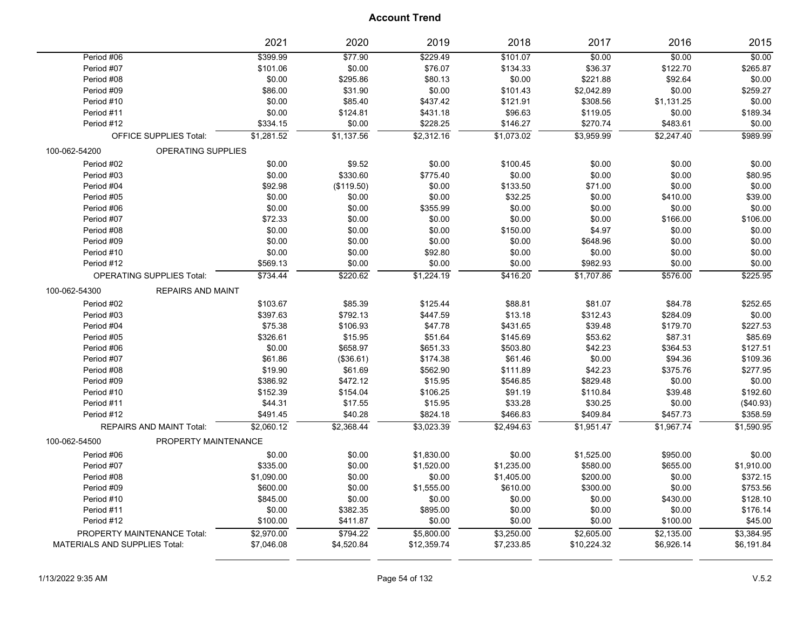|                          |                                  | 2021               | 2020                 | 2019               | 2018             | 2017             | 2016               | 2015                |
|--------------------------|----------------------------------|--------------------|----------------------|--------------------|------------------|------------------|--------------------|---------------------|
| Period #06               |                                  | \$399.99           | \$77.90              | \$229.49           | \$101.07         | \$0.00           | \$0.00             | \$0.00              |
| Period #07               |                                  | \$101.06           | \$0.00               | \$76.07            | \$134.33         | \$36.37          | \$122.70           | \$265.87            |
| Period #08               |                                  | \$0.00             | \$295.86             | \$80.13            | \$0.00           | \$221.88         | \$92.64            | \$0.00              |
| Period #09               |                                  | \$86.00            | \$31.90              | \$0.00             | \$101.43         | \$2,042.89       | \$0.00             | \$259.27            |
| Period #10               |                                  | \$0.00             | \$85.40              | \$437.42           | \$121.91         | \$308.56         | \$1,131.25         | \$0.00              |
| Period #11               |                                  | \$0.00             | \$124.81             | \$431.18           | \$96.63          | \$119.05         | \$0.00             | \$189.34            |
| Period #12               |                                  | \$334.15           | \$0.00               | \$228.25           | \$146.27         | \$270.74         | \$483.61           | \$0.00              |
|                          | <b>OFFICE SUPPLIES Total:</b>    | \$1,281.52         | \$1,137.56           | \$2,312.16         | \$1,073.02       | \$3,959.99       | \$2,247.40         | \$989.99            |
| 100-062-54200            | <b>OPERATING SUPPLIES</b>        |                    |                      |                    |                  |                  |                    |                     |
| Period #02               |                                  | \$0.00             | \$9.52               | \$0.00             | \$100.45         | \$0.00           | \$0.00             | \$0.00              |
| Period #03               |                                  | \$0.00             | \$330.60             | \$775.40           | \$0.00           | \$0.00           | \$0.00             | \$80.95             |
| Period #04               |                                  | \$92.98            | (\$119.50)           | \$0.00             | \$133.50         | \$71.00          | \$0.00             | \$0.00              |
| Period #05               |                                  | \$0.00             | \$0.00               | \$0.00             | \$32.25          | \$0.00           | \$410.00           | \$39.00             |
| Period #06               |                                  | \$0.00             | \$0.00               | \$355.99           | \$0.00           | \$0.00           | \$0.00             | \$0.00              |
| Period #07               |                                  | \$72.33            | \$0.00               | \$0.00             | \$0.00           | \$0.00           | \$166.00           | \$106.00            |
| Period #08               |                                  | \$0.00             | \$0.00               | \$0.00             | \$150.00         | \$4.97           | \$0.00             | \$0.00              |
| Period #09               |                                  | \$0.00             | \$0.00               | \$0.00             | \$0.00           | \$648.96         | \$0.00             | \$0.00              |
| Period #10               |                                  | \$0.00             | \$0.00               | \$92.80            | \$0.00           | \$0.00           | \$0.00             | \$0.00              |
| Period #12               |                                  | \$569.13           | \$0.00               | \$0.00             | \$0.00           | \$982.93         | \$0.00             | \$0.00              |
|                          | <b>OPERATING SUPPLIES Total:</b> | \$734.44           | \$220.62             | \$1,224.19         | \$416.20         | \$1,707.86       | \$576.00           | \$225.95            |
| 100-062-54300            | <b>REPAIRS AND MAINT</b>         |                    |                      |                    |                  |                  |                    |                     |
| Period #02               |                                  | \$103.67           | \$85.39              | \$125.44           | \$88.81          | \$81.07          | \$84.78            | \$252.65            |
| Period #03               |                                  | \$397.63           | \$792.13             | \$447.59           | \$13.18          | \$312.43         | \$284.09           | \$0.00              |
| Period #04               |                                  | \$75.38            | \$106.93             | \$47.78            | \$431.65         | \$39.48          | \$179.70           | \$227.53            |
| Period #05               |                                  | \$326.61           | \$15.95              | \$51.64            | \$145.69         | \$53.62          | \$87.31            | \$85.69             |
| Period #06               |                                  | \$0.00             | \$658.97             | \$651.33           | \$503.80         | \$42.23          | \$364.53           | \$127.51            |
| Period #07               |                                  | \$61.86            | (\$36.61)            | \$174.38           | \$61.46          | \$0.00           | \$94.36            | \$109.36            |
| Period #08               |                                  | \$19.90            | \$61.69              | \$562.90           | \$111.89         | \$42.23          | \$375.76           | \$277.95            |
| Period #09               |                                  | \$386.92           | \$472.12             | \$15.95            | \$546.85         | \$829.48         | \$0.00             | \$0.00              |
| Period #10               |                                  | \$152.39           | \$154.04             | \$106.25           | \$91.19          | \$110.84         | \$39.48            | \$192.60            |
| Period #11               |                                  | \$44.31            | \$17.55              | \$15.95            | \$33.28          | \$30.25          | \$0.00             | (\$40.93)           |
| Period #12               |                                  | \$491.45           | \$40.28              | \$824.18           | \$466.83         | \$409.84         | \$457.73           | \$358.59            |
|                          | REPAIRS AND MAINT Total:         | \$2,060.12         | \$2,368.44           | \$3,023.39         | \$2,494.63       | \$1,951.47       | \$1,967.74         | \$1,590.95          |
| 100-062-54500            | PROPERTY MAINTENANCE             |                    |                      |                    |                  |                  |                    |                     |
| Period #06               |                                  | \$0.00             | \$0.00               | \$1,830.00         | \$0.00           | \$1,525.00       | \$950.00           | \$0.00              |
| Period #07               |                                  | \$335.00           | \$0.00               | \$1,520.00         | \$1,235.00       | \$580.00         | \$655.00           | \$1,910.00          |
| Period #08               |                                  |                    | \$0.00               | \$0.00             | \$1,405.00       | \$200.00         | \$0.00             | \$372.15            |
| Period #09               |                                  |                    |                      |                    |                  |                  |                    |                     |
| Period #10               |                                  | \$1,090.00         |                      |                    |                  |                  |                    |                     |
|                          |                                  | \$600.00           | \$0.00               | \$1,555.00         | \$610.00         | \$300.00         | \$0.00             | \$753.56            |
|                          |                                  | \$845.00           | \$0.00               | \$0.00             | \$0.00           | \$0.00           | \$430.00           | \$128.10            |
| Period #11<br>Period #12 |                                  | \$0.00<br>\$100.00 | \$382.35<br>\$411.87 | \$895.00<br>\$0.00 | \$0.00<br>\$0.00 | \$0.00<br>\$0.00 | \$0.00<br>\$100.00 | \$176.14<br>\$45.00 |
|                          | PROPERTY MAINTENANCE Total:      | \$2,970.00         | \$794.22             | \$5,800.00         | \$3,250.00       | \$2,605.00       | \$2,135.00         | \$3,384.95          |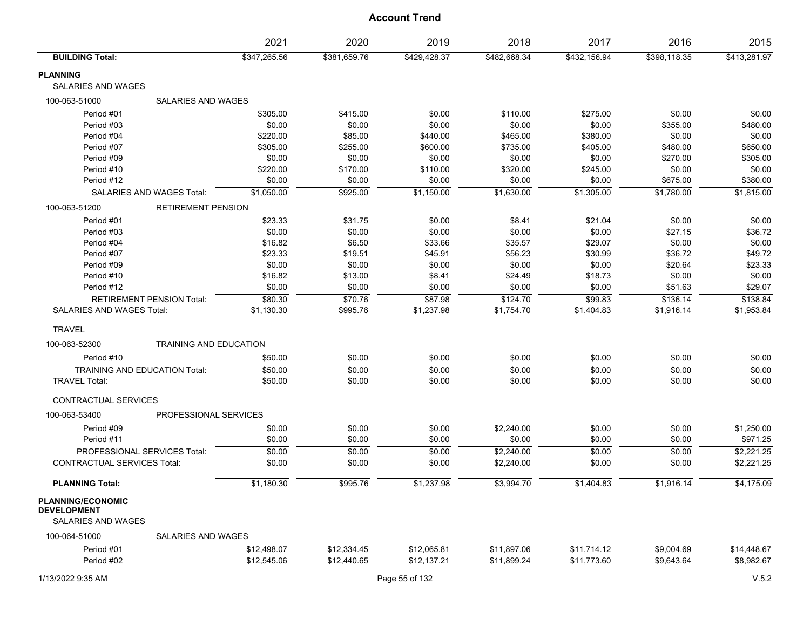|                                                                             |                                  | 2021         | 2020         | 2019         | 2018         | 2017         | 2016         | 2015         |
|-----------------------------------------------------------------------------|----------------------------------|--------------|--------------|--------------|--------------|--------------|--------------|--------------|
| <b>BUILDING Total:</b>                                                      |                                  | \$347,265.56 | \$381,659.76 | \$429,428.37 | \$482,668.34 | \$432,156.94 | \$398,118.35 | \$413,281.97 |
| <b>PLANNING</b>                                                             |                                  |              |              |              |              |              |              |              |
| <b>SALARIES AND WAGES</b>                                                   |                                  |              |              |              |              |              |              |              |
| 100-063-51000                                                               | <b>SALARIES AND WAGES</b>        |              |              |              |              |              |              |              |
| Period #01                                                                  |                                  | \$305.00     | \$415.00     | \$0.00       | \$110.00     | \$275.00     | \$0.00       | \$0.00       |
| Period #03                                                                  |                                  | \$0.00       | \$0.00       | \$0.00       | \$0.00       | \$0.00       | \$355.00     | \$480.00     |
| Period #04                                                                  |                                  | \$220.00     | \$85.00      | \$440.00     | \$465.00     | \$380.00     | \$0.00       | \$0.00       |
| Period #07                                                                  |                                  | \$305.00     | \$255.00     | \$600.00     | \$735.00     | \$405.00     | \$480.00     | \$650.00     |
| Period #09                                                                  |                                  | \$0.00       | \$0.00       | \$0.00       | \$0.00       | \$0.00       | \$270.00     | \$305.00     |
| Period #10                                                                  |                                  | \$220.00     | \$170.00     | \$110.00     | \$320.00     | \$245.00     | \$0.00       | \$0.00       |
| Period #12                                                                  |                                  | \$0.00       | \$0.00       | \$0.00       | \$0.00       | \$0.00       | \$675.00     | \$380.00     |
|                                                                             | SALARIES AND WAGES Total:        | \$1,050.00   | \$925.00     | \$1,150.00   | \$1,630.00   | \$1,305.00   | \$1,780.00   | \$1,815.00   |
| 100-063-51200                                                               | <b>RETIREMENT PENSION</b>        |              |              |              |              |              |              |              |
| Period #01                                                                  |                                  | \$23.33      | \$31.75      | \$0.00       | \$8.41       | \$21.04      | \$0.00       | \$0.00       |
| Period #03                                                                  |                                  | \$0.00       | \$0.00       | \$0.00       | \$0.00       | \$0.00       | \$27.15      | \$36.72      |
| Period #04                                                                  |                                  | \$16.82      | \$6.50       | \$33.66      | \$35.57      | \$29.07      | \$0.00       | \$0.00       |
| Period #07                                                                  |                                  | \$23.33      | \$19.51      | \$45.91      | \$56.23      | \$30.99      | \$36.72      | \$49.72      |
| Period #09                                                                  |                                  | \$0.00       | \$0.00       | \$0.00       | \$0.00       | \$0.00       | \$20.64      | \$23.33      |
| Period #10                                                                  |                                  | \$16.82      | \$13.00      | \$8.41       | \$24.49      | \$18.73      | \$0.00       | \$0.00       |
| Period #12                                                                  |                                  | \$0.00       | \$0.00       | \$0.00       | \$0.00       | \$0.00       | \$51.63      | \$29.07      |
|                                                                             | <b>RETIREMENT PENSION Total:</b> | \$80.30      | \$70.76      | \$87.98      | \$124.70     | \$99.83      | \$136.14     | \$138.84     |
| SALARIES AND WAGES Total:                                                   |                                  | \$1,130.30   | \$995.76     | \$1,237.98   | \$1,754.70   | \$1,404.83   | \$1,916.14   | \$1,953.84   |
| <b>TRAVEL</b>                                                               |                                  |              |              |              |              |              |              |              |
| 100-063-52300                                                               | <b>TRAINING AND EDUCATION</b>    |              |              |              |              |              |              |              |
| Period #10                                                                  |                                  | \$50.00      | \$0.00       | \$0.00       | \$0.00       | \$0.00       | \$0.00       | \$0.00       |
| <b>TRAINING AND EDUCATION Total:</b>                                        |                                  | \$50.00      | \$0.00       | \$0.00       | \$0.00       | \$0.00       | \$0.00       | \$0.00       |
| <b>TRAVEL Total:</b>                                                        |                                  | \$50.00      | \$0.00       | \$0.00       | \$0.00       | \$0.00       | \$0.00       | \$0.00       |
| CONTRACTUAL SERVICES                                                        |                                  |              |              |              |              |              |              |              |
| 100-063-53400                                                               | PROFESSIONAL SERVICES            |              |              |              |              |              |              |              |
| Period #09                                                                  |                                  | \$0.00       | \$0.00       | \$0.00       | \$2,240.00   | \$0.00       | \$0.00       | \$1,250.00   |
| Period #11                                                                  |                                  | \$0.00       | \$0.00       | \$0.00       | \$0.00       | \$0.00       | \$0.00       | \$971.25     |
| PROFESSIONAL SERVICES Total:                                                |                                  | \$0.00       | \$0.00       | \$0.00       | \$2,240.00   | \$0.00       | \$0.00       | \$2,221.25   |
| <b>CONTRACTUAL SERVICES Total:</b>                                          |                                  | \$0.00       | \$0.00       | \$0.00       | \$2,240.00   | \$0.00       | \$0.00       | \$2,221.25   |
| <b>PLANNING Total:</b>                                                      |                                  | \$1,180.30   | \$995.76     | \$1,237.98   | \$3,994.70   | \$1,404.83   | \$1,916.14   | \$4,175.09   |
| <b>PLANNING/ECONOMIC</b><br><b>DEVELOPMENT</b><br><b>SALARIES AND WAGES</b> |                                  |              |              |              |              |              |              |              |
| 100-064-51000                                                               | SALARIES AND WAGES               |              |              |              |              |              |              |              |
| Period #01                                                                  |                                  | \$12,498.07  | \$12,334.45  | \$12,065.81  | \$11,897.06  | \$11,714.12  | \$9,004.69   | \$14,448.67  |
| Period #02                                                                  |                                  | \$12,545.06  | \$12,440.65  | \$12,137.21  | \$11,899.24  | \$11,773.60  | \$9,643.64   | \$8,982.67   |

1/13/2022 9:35 AM Page 55 of 132 V.5.2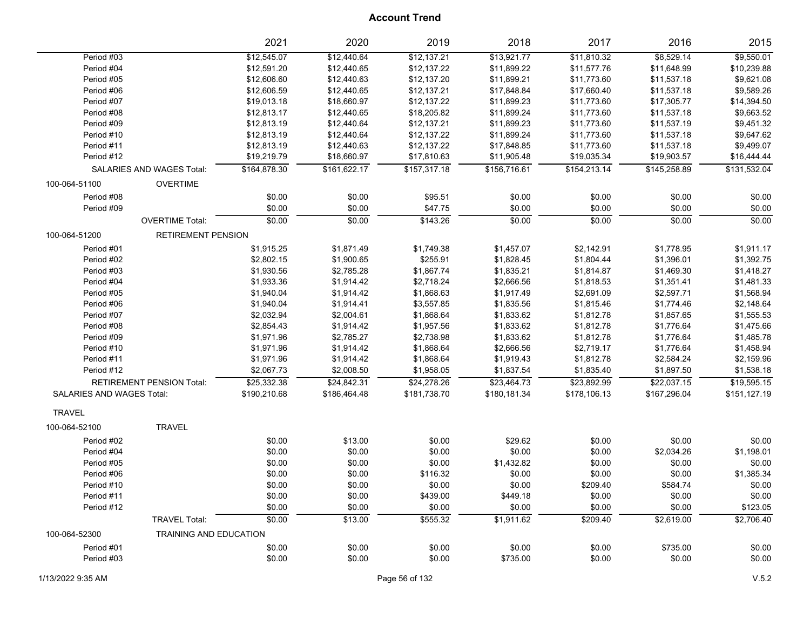|                                  |                                  | 2021         | 2020         | 2019         | 2018         | 2017         | 2016         | 2015         |
|----------------------------------|----------------------------------|--------------|--------------|--------------|--------------|--------------|--------------|--------------|
| Period #03                       |                                  | \$12,545.07  | \$12,440.64  | \$12,137.21  | \$13,921.77  | \$11,810.32  | \$8,529.14   | \$9,550.01   |
| Period #04                       |                                  | \$12,591.20  | \$12,440.65  | \$12,137.22  | \$11,899.22  | \$11,577.76  | \$11,648.99  | \$10,239.88  |
| Period #05                       |                                  | \$12,606.60  | \$12,440.63  | \$12,137.20  | \$11,899.21  | \$11,773.60  | \$11,537.18  | \$9,621.08   |
| Period #06                       |                                  | \$12,606.59  | \$12,440.65  | \$12,137.21  | \$17,848.84  | \$17,660.40  | \$11,537.18  | \$9,589.26   |
| Period #07                       |                                  | \$19,013.18  | \$18,660.97  | \$12,137.22  | \$11,899.23  | \$11,773.60  | \$17,305.77  | \$14,394.50  |
| Period #08                       |                                  | \$12,813.17  | \$12,440.65  | \$18,205.82  | \$11,899.24  | \$11,773.60  | \$11,537.18  | \$9,663.52   |
| Period #09                       |                                  | \$12,813.19  | \$12,440.64  | \$12,137.21  | \$11,899.23  | \$11,773.60  | \$11,537.19  | \$9,451.32   |
| Period #10                       |                                  | \$12,813.19  | \$12,440.64  | \$12,137.22  | \$11,899.24  | \$11,773.60  | \$11,537.18  | \$9,647.62   |
| Period #11                       |                                  | \$12,813.19  | \$12,440.63  | \$12,137.22  | \$17,848.85  | \$11,773.60  | \$11,537.18  | \$9,499.07   |
| Period #12                       |                                  | \$19,219.79  | \$18,660.97  | \$17,810.63  | \$11,905.48  | \$19,035.34  | \$19,903.57  | \$16,444.44  |
|                                  | <b>SALARIES AND WAGES Total:</b> | \$164.878.30 | \$161,622.17 | \$157,317.18 | \$156,716.61 | \$154,213.14 | \$145,258.89 | \$131,532.04 |
| 100-064-51100                    | <b>OVERTIME</b>                  |              |              |              |              |              |              |              |
| Period #08                       |                                  | \$0.00       | \$0.00       | \$95.51      | \$0.00       | \$0.00       | \$0.00       | \$0.00       |
| Period #09                       |                                  | \$0.00       | \$0.00       | \$47.75      | \$0.00       | \$0.00       | \$0.00       | \$0.00       |
|                                  | <b>OVERTIME Total:</b>           | \$0.00       | \$0.00       | \$143.26     | \$0.00       | \$0.00       | \$0.00       | \$0.00       |
| 100-064-51200                    | <b>RETIREMENT PENSION</b>        |              |              |              |              |              |              |              |
| Period #01                       |                                  | \$1,915.25   | \$1,871.49   | \$1,749.38   | \$1,457.07   | \$2,142.91   | \$1,778.95   | \$1,911.17   |
| Period #02                       |                                  | \$2,802.15   | \$1,900.65   | \$255.91     | \$1,828.45   | \$1,804.44   | \$1,396.01   | \$1,392.75   |
| Period #03                       |                                  | \$1,930.56   | \$2,785.28   | \$1,867.74   | \$1,835.21   | \$1,814.87   | \$1,469.30   | \$1,418.27   |
| Period #04                       |                                  | \$1,933.36   | \$1,914.42   | \$2,718.24   | \$2,666.56   | \$1,818.53   | \$1,351.41   | \$1,481.33   |
| Period #05                       |                                  | \$1,940.04   | \$1,914.42   | \$1,868.63   | \$1,917.49   | \$2,691.09   | \$2,597.71   | \$1,568.94   |
| Period #06                       |                                  | \$1,940.04   | \$1,914.41   | \$3,557.85   | \$1,835.56   | \$1,815.46   | \$1,774.46   | \$2,148.64   |
| Period #07                       |                                  | \$2,032.94   | \$2,004.61   | \$1,868.64   | \$1,833.62   | \$1,812.78   | \$1,857.65   | \$1,555.53   |
| Period #08                       |                                  | \$2,854.43   | \$1,914.42   | \$1,957.56   | \$1,833.62   | \$1,812.78   | \$1,776.64   | \$1,475.66   |
| Period #09                       |                                  | \$1,971.96   | \$2,785.27   | \$2,738.98   | \$1,833.62   | \$1,812.78   | \$1,776.64   | \$1,485.78   |
| Period #10                       |                                  | \$1,971.96   | \$1,914.42   | \$1,868.64   | \$2,666.56   | \$2,719.17   | \$1,776.64   | \$1,458.94   |
| Period #11                       |                                  | \$1,971.96   | \$1,914.42   | \$1,868.64   | \$1,919.43   | \$1,812.78   | \$2,584.24   | \$2,159.96   |
| Period #12                       |                                  | \$2,067.73   | \$2,008.50   | \$1,958.05   | \$1,837.54   | \$1,835.40   | \$1,897.50   | \$1,538.18   |
|                                  | RETIREMENT PENSION Total:        | \$25,332.38  | \$24.842.31  | \$24,278.26  | \$23.464.73  | \$23,892.99  | \$22.037.15  | \$19.595.15  |
| <b>SALARIES AND WAGES Total:</b> |                                  | \$190,210.68 | \$186,464.48 | \$181,738.70 | \$180,181.34 | \$178,106.13 | \$167,296.04 | \$151,127.19 |
| <b>TRAVEL</b>                    |                                  |              |              |              |              |              |              |              |
| 100-064-52100                    | <b>TRAVEL</b>                    |              |              |              |              |              |              |              |
| Period #02                       |                                  | \$0.00       | \$13.00      | \$0.00       | \$29.62      | \$0.00       | \$0.00       | \$0.00       |
| Period #04                       |                                  | \$0.00       | \$0.00       | \$0.00       | \$0.00       | \$0.00       | \$2,034.26   | \$1,198.01   |
| Period #05                       |                                  | \$0.00       | \$0.00       | \$0.00       | \$1,432.82   | \$0.00       | \$0.00       | \$0.00       |
| Period #06                       |                                  | \$0.00       | \$0.00       | \$116.32     | \$0.00       | \$0.00       | \$0.00       | \$1,385.34   |
| Period #10                       |                                  | \$0.00       | \$0.00       | \$0.00       | \$0.00       | \$209.40     | \$584.74     | \$0.00       |
| Period #11                       |                                  | \$0.00       | \$0.00       | \$439.00     | \$449.18     | \$0.00       | \$0.00       | \$0.00       |
| Period #12                       |                                  | \$0.00       | \$0.00       | \$0.00       | \$0.00       | \$0.00       | \$0.00       | \$123.05     |
|                                  | <b>TRAVEL Total:</b>             | \$0.00       | \$13.00      | \$555.32     | \$1,911.62   | \$209.40     | \$2,619.00   | \$2,706.40   |
| 100-064-52300                    | <b>TRAINING AND EDUCATION</b>    |              |              |              |              |              |              |              |
| Period #01                       |                                  | \$0.00       | \$0.00       | \$0.00       | \$0.00       | \$0.00       | \$735.00     | \$0.00       |
| Period #03                       |                                  | \$0.00       | \$0.00       | \$0.00       | \$735.00     | \$0.00       | \$0.00       | \$0.00       |
|                                  |                                  |              |              |              |              |              |              |              |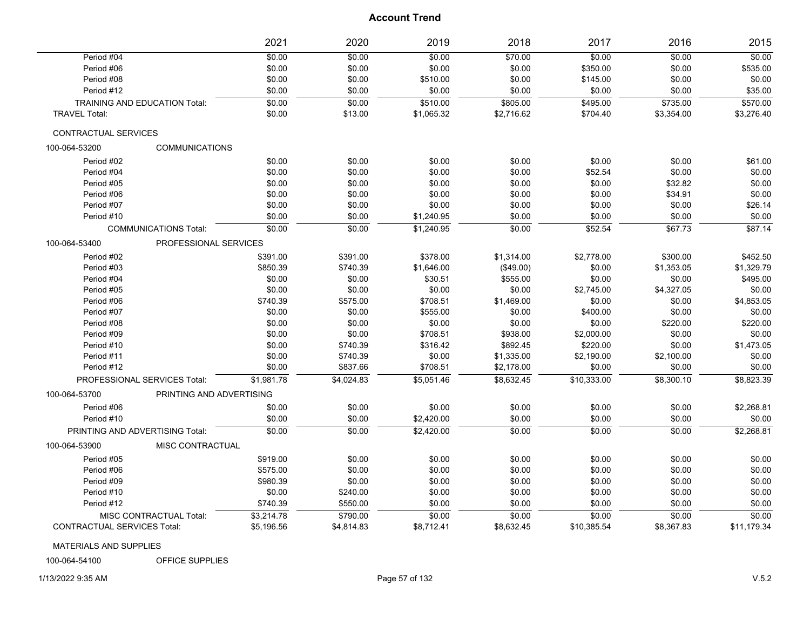|                                    |                                      | 2021       | 2020       | 2019       | 2018       | 2017        | 2016       | 2015        |
|------------------------------------|--------------------------------------|------------|------------|------------|------------|-------------|------------|-------------|
| Period #04                         |                                      | \$0.00     | \$0.00     | \$0.00     | \$70.00    | \$0.00      | \$0.00     | \$0.00      |
| Period #06                         |                                      | \$0.00     | \$0.00     | \$0.00     | \$0.00     | \$350.00    | \$0.00     | \$535.00    |
| Period #08                         |                                      | \$0.00     | \$0.00     | \$510.00   | \$0.00     | \$145.00    | \$0.00     | \$0.00      |
| Period #12                         |                                      | \$0.00     | \$0.00     | \$0.00     | \$0.00     | \$0.00      | \$0.00     | \$35.00     |
|                                    | <b>TRAINING AND EDUCATION Total:</b> | \$0.00     | \$0.00     | \$510.00   | \$805.00   | \$495.00    | \$735.00   | \$570.00    |
| <b>TRAVEL Total:</b>               |                                      | \$0.00     | \$13.00    | \$1,065.32 | \$2,716.62 | \$704.40    | \$3,354.00 | \$3,276.40  |
| CONTRACTUAL SERVICES               |                                      |            |            |            |            |             |            |             |
| 100-064-53200                      | <b>COMMUNICATIONS</b>                |            |            |            |            |             |            |             |
| Period #02                         |                                      | \$0.00     | \$0.00     | \$0.00     | \$0.00     | \$0.00      | \$0.00     | \$61.00     |
| Period #04                         |                                      | \$0.00     | \$0.00     | \$0.00     | \$0.00     | \$52.54     | \$0.00     | \$0.00      |
| Period #05                         |                                      | \$0.00     | \$0.00     | \$0.00     | \$0.00     | \$0.00      | \$32.82    | \$0.00      |
| Period #06                         |                                      | \$0.00     | \$0.00     | \$0.00     | \$0.00     | \$0.00      | \$34.91    | \$0.00      |
| Period #07                         |                                      | \$0.00     | \$0.00     | \$0.00     | \$0.00     | \$0.00      | \$0.00     | \$26.14     |
| Period #10                         |                                      | \$0.00     | \$0.00     | \$1,240.95 | \$0.00     | \$0.00      | \$0.00     | \$0.00      |
|                                    | <b>COMMUNICATIONS Total:</b>         | \$0.00     | \$0.00     | \$1,240.95 | \$0.00     | \$52.54     | \$67.73    | \$87.14     |
| 100-064-53400                      | PROFESSIONAL SERVICES                |            |            |            |            |             |            |             |
| Period #02                         |                                      | \$391.00   | \$391.00   | \$378.00   | \$1,314.00 | \$2,778.00  | \$300.00   | \$452.50    |
| Period #03                         |                                      | \$850.39   | \$740.39   | \$1,646.00 | (\$49.00)  | \$0.00      | \$1,353.05 | \$1,329.79  |
| Period #04                         |                                      | \$0.00     | \$0.00     | \$30.51    | \$555.00   | \$0.00      | \$0.00     | \$495.00    |
| Period #05                         |                                      | \$0.00     | \$0.00     | \$0.00     | \$0.00     | \$2,745.00  | \$4,327.05 | \$0.00      |
| Period #06                         |                                      | \$740.39   | \$575.00   | \$708.51   | \$1,469.00 | \$0.00      | \$0.00     | \$4,853.05  |
| Period #07                         |                                      | \$0.00     | \$0.00     | \$555.00   | \$0.00     | \$400.00    | \$0.00     | \$0.00      |
| Period #08                         |                                      | \$0.00     | \$0.00     | \$0.00     | \$0.00     | \$0.00      | \$220.00   | \$220.00    |
| Period #09                         |                                      | \$0.00     | \$0.00     | \$708.51   | \$938.00   | \$2,000.00  | \$0.00     | \$0.00      |
| Period #10                         |                                      | \$0.00     | \$740.39   | \$316.42   | \$892.45   | \$220.00    | \$0.00     | \$1,473.05  |
| Period #11                         |                                      | \$0.00     | \$740.39   | \$0.00     | \$1,335.00 | \$2,190.00  | \$2,100.00 | \$0.00      |
| Period #12                         |                                      | \$0.00     | \$837.66   | \$708.51   | \$2,178.00 | \$0.00      | \$0.00     | \$0.00      |
|                                    | PROFESSIONAL SERVICES Total:         | \$1,981.78 | \$4,024.83 | \$5,051.46 | \$8,632.45 | \$10,333.00 | \$8,300.10 | \$8,823.39  |
| 100-064-53700                      | PRINTING AND ADVERTISING             |            |            |            |            |             |            |             |
| Period #06                         |                                      | \$0.00     | \$0.00     | \$0.00     | \$0.00     | \$0.00      | \$0.00     | \$2,268.81  |
| Period #10                         |                                      | \$0.00     | \$0.00     | \$2,420.00 | \$0.00     | \$0.00      | \$0.00     | \$0.00      |
|                                    | PRINTING AND ADVERTISING Total:      | \$0.00     | \$0.00     | \$2,420.00 | \$0.00     | \$0.00      | \$0.00     | \$2,268.81  |
| 100-064-53900                      | MISC CONTRACTUAL                     |            |            |            |            |             |            |             |
| Period #05                         |                                      | \$919.00   | \$0.00     | \$0.00     | \$0.00     | \$0.00      | \$0.00     | \$0.00      |
| Period #06                         |                                      | \$575.00   | \$0.00     | \$0.00     | \$0.00     | \$0.00      | \$0.00     | \$0.00      |
| Period #09                         |                                      | \$980.39   | \$0.00     | \$0.00     | \$0.00     | \$0.00      | \$0.00     | \$0.00      |
| Period #10                         |                                      | \$0.00     | \$240.00   | \$0.00     | \$0.00     | \$0.00      | \$0.00     | \$0.00      |
| Period #12                         |                                      | \$740.39   | \$550.00   | \$0.00     | \$0.00     | \$0.00      | \$0.00     | \$0.00      |
|                                    | <b>MISC CONTRACTUAL Total:</b>       | \$3,214.78 | \$790.00   | \$0.00     | \$0.00     | \$0.00      | \$0.00     | \$0.00      |
| <b>CONTRACTUAL SERVICES Total:</b> |                                      | \$5,196.56 | \$4,814.83 | \$8,712.41 | \$8,632.45 | \$10,385.54 | \$8,367.83 | \$11,179.34 |
|                                    |                                      |            |            |            |            |             |            |             |

MATERIALS AND SUPPLIES

100-064-54100 OFFICE SUPPLIES

1/13/2022 9:35 AM Page 57 of 132 V.5.2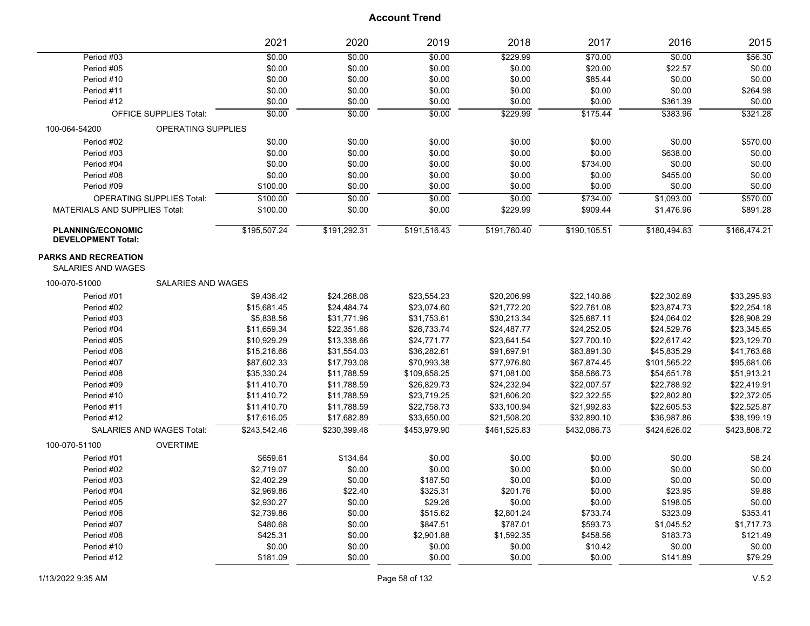|                                                       |                               | 2021         | 2020         | 2019         | 2018         | 2017         | 2016         | 2015         |
|-------------------------------------------------------|-------------------------------|--------------|--------------|--------------|--------------|--------------|--------------|--------------|
| Period #03                                            |                               | \$0.00       | \$0.00       | \$0.00       | \$229.99     | \$70.00      | \$0.00       | \$56.30      |
| Period #05                                            |                               | \$0.00       | \$0.00       | \$0.00       | \$0.00       | \$20.00      | \$22.57      | \$0.00       |
| Period #10                                            |                               | \$0.00       | \$0.00       | \$0.00       | \$0.00       | \$85.44      | \$0.00       | \$0.00       |
| Period #11                                            |                               | \$0.00       | \$0.00       | \$0.00       | \$0.00       | \$0.00       | \$0.00       | \$264.98     |
| Period #12                                            |                               | \$0.00       | \$0.00       | \$0.00       | \$0.00       | \$0.00       | \$361.39     | \$0.00       |
|                                                       | <b>OFFICE SUPPLIES Total:</b> | \$0.00       | 50.00        | \$0.00       | \$229.99     | \$175.44     | \$383.96     | \$321.28     |
| 100-064-54200                                         | OPERATING SUPPLIES            |              |              |              |              |              |              |              |
| Period #02                                            |                               | \$0.00       | \$0.00       | \$0.00       | \$0.00       | \$0.00       | \$0.00       | \$570.00     |
| Period #03                                            |                               | \$0.00       | \$0.00       | \$0.00       | \$0.00       | \$0.00       | \$638.00     | \$0.00       |
| Period #04                                            |                               | \$0.00       | \$0.00       | \$0.00       | \$0.00       | \$734.00     | \$0.00       | \$0.00       |
| Period #08                                            |                               | \$0.00       | \$0.00       | \$0.00       | \$0.00       | \$0.00       | \$455.00     | \$0.00       |
| Period #09                                            |                               | \$100.00     | \$0.00       | \$0.00       | \$0.00       | \$0.00       | \$0.00       | \$0.00       |
| <b>OPERATING SUPPLIES Total:</b>                      |                               | \$100.00     | \$0.00       | \$0.00       | \$0.00       | \$734.00     | \$1,093.00   | \$570.00     |
| MATERIALS AND SUPPLIES Total:                         |                               | \$100.00     | \$0.00       | \$0.00       | \$229.99     | \$909.44     | \$1,476.96   | \$891.28     |
| <b>PLANNING/ECONOMIC</b><br><b>DEVELOPMENT Total:</b> |                               | \$195,507.24 | \$191,292.31 | \$191,516.43 | \$191,760.40 | \$190,105.51 | \$180,494.83 | \$166,474.21 |
| <b>PARKS AND RECREATION</b><br>SALARIES AND WAGES     |                               |              |              |              |              |              |              |              |
| 100-070-51000                                         | <b>SALARIES AND WAGES</b>     |              |              |              |              |              |              |              |
| Period #01                                            |                               | \$9,436.42   | \$24,268.08  | \$23,554.23  | \$20,206.99  | \$22,140.86  | \$22,302.69  | \$33,295.93  |
| Period #02                                            |                               | \$15,681.45  | \$24,484.74  | \$23,074.60  | \$21,772.20  | \$22,761.08  | \$23,874.73  | \$22,254.18  |
| Period #03                                            |                               | \$5,838.56   | \$31,771.96  | \$31,753.61  | \$30,213.34  | \$25,687.11  | \$24,064.02  | \$26,908.29  |
| Period #04                                            |                               | \$11,659.34  | \$22,351.68  | \$26,733.74  | \$24,487.77  | \$24,252.05  | \$24,529.76  | \$23,345.65  |
| Period #05                                            |                               | \$10,929.29  | \$13,338.66  | \$24,771.77  | \$23,641.54  | \$27,700.10  | \$22,617.42  | \$23,129.70  |
| Period #06                                            |                               | \$15,216.66  | \$31,554.03  | \$36,282.61  | \$91,697.91  | \$83,891.30  | \$45,835.29  | \$41,763.68  |
| Period #07                                            |                               | \$87,602.33  | \$17,793.08  | \$70,993.38  | \$77,976.80  | \$67,874.45  | \$101,565.22 | \$95,681.06  |
| Period #08                                            |                               | \$35,330.24  | \$11,788.59  | \$109,858.25 | \$71,081.00  | \$58,566.73  | \$54,651.78  | \$51,913.21  |
| Period #09                                            |                               | \$11,410.70  | \$11,788.59  | \$26,829.73  | \$24,232.94  | \$22,007.57  | \$22,788.92  | \$22,419.91  |
| Period #10                                            |                               | \$11,410.72  | \$11,788.59  | \$23,719.25  | \$21,606.20  | \$22,322.55  | \$22,802.80  | \$22,372.05  |
| Period #11                                            |                               | \$11,410.70  | \$11,788.59  | \$22,758.73  | \$33,100.94  | \$21,992.83  | \$22,605.53  | \$22,525.87  |
| Period #12                                            |                               | \$17,616.05  | \$17,682.89  | \$33,650.00  | \$21,508.20  | \$32,890.10  | \$36,987.86  | \$38,199.19  |
| <b>SALARIES AND WAGES Total:</b>                      |                               | \$243,542.46 | \$230.399.48 | \$453.979.90 | \$461,525.83 | \$432,086.73 | \$424,626.02 | \$423,808.72 |
| 100-070-51100                                         | <b>OVERTIME</b>               |              |              |              |              |              |              |              |
| Period #01                                            |                               | \$659.61     | \$134.64     | \$0.00       | \$0.00       | \$0.00       | \$0.00       | \$8.24       |
| Period #02                                            |                               | \$2,719.07   | \$0.00       | \$0.00       | \$0.00       | \$0.00       | \$0.00       | \$0.00       |
| Period #03                                            |                               | \$2,402.29   | \$0.00       | \$187.50     | \$0.00       | \$0.00       | \$0.00       | \$0.00       |
| Period #04                                            |                               | \$2,969.86   | \$22.40      | \$325.31     | \$201.76     | \$0.00       | \$23.95      | \$9.88       |
| Period #05                                            |                               | \$2,930.27   | \$0.00       | \$29.26      | \$0.00       | \$0.00       | \$198.05     | \$0.00       |
| Period #06                                            |                               | \$2,739.86   | \$0.00       | \$515.62     | \$2,801.24   | \$733.74     | \$323.09     | \$353.41     |
| Period #07                                            |                               | \$480.68     | \$0.00       | \$847.51     | \$787.01     | \$593.73     | \$1,045.52   | \$1,717.73   |
| Period #08                                            |                               | \$425.31     | \$0.00       | \$2,901.88   | \$1,592.35   | \$458.56     | \$183.73     | \$121.49     |
| Period #10                                            |                               | \$0.00       | \$0.00       | \$0.00       | \$0.00       | \$10.42      | \$0.00       | \$0.00       |
| Period #12                                            |                               | \$181.09     | \$0.00       | \$0.00       | \$0.00       | \$0.00       | \$141.89     | \$79.29      |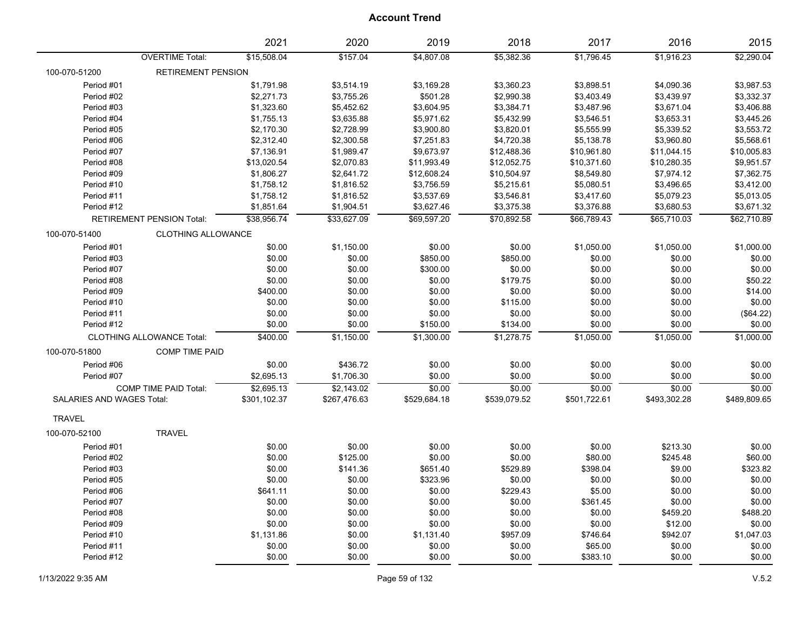|                           |                                  | 2021         | 2020         | 2019         | 2018         | 2017         | 2016         | 2015         |
|---------------------------|----------------------------------|--------------|--------------|--------------|--------------|--------------|--------------|--------------|
|                           | <b>OVERTIME Total:</b>           | \$15,508.04  | \$157.04     | \$4,807.08   | \$5,382.36   | \$1,796.45   | \$1,916.23   | \$2,290.04   |
| 100-070-51200             | RETIREMENT PENSION               |              |              |              |              |              |              |              |
| Period #01                |                                  | \$1,791.98   | \$3,514.19   | \$3,169.28   | \$3,360.23   | \$3,898.51   | \$4,090.36   | \$3,987.53   |
| Period #02                |                                  | \$2,271.73   | \$3,755.26   | \$501.28     | \$2,990.38   | \$3,403.49   | \$3,439.97   | \$3,332.37   |
| Period #03                |                                  | \$1,323.60   | \$5,452.62   | \$3,604.95   | \$3,384.71   | \$3,487.96   | \$3,671.04   | \$3,406.88   |
| Period #04                |                                  | \$1,755.13   | \$3,635.88   | \$5,971.62   | \$5,432.99   | \$3,546.51   | \$3,653.31   | \$3,445.26   |
| Period #05                |                                  | \$2,170.30   | \$2,728.99   | \$3,900.80   | \$3,820.01   | \$5,555.99   | \$5,339.52   | \$3,553.72   |
| Period #06                |                                  | \$2,312.40   | \$2,300.58   | \$7,251.83   | \$4,720.38   | \$5,138.78   | \$3,960.80   | \$5,568.61   |
| Period #07                |                                  | \$7,136.91   | \$1,989.47   | \$9,673.97   | \$12,488.36  | \$10,961.80  | \$11,044.15  | \$10,005.83  |
| Period #08                |                                  | \$13,020.54  | \$2,070.83   | \$11,993.49  | \$12,052.75  | \$10,371.60  | \$10,280.35  | \$9,951.57   |
| Period #09                |                                  | \$1,806.27   | \$2,641.72   | \$12,608.24  | \$10,504.97  | \$8,549.80   | \$7,974.12   | \$7,362.75   |
| Period #10                |                                  | \$1,758.12   | \$1,816.52   | \$3,756.59   | \$5,215.61   | \$5,080.51   | \$3,496.65   | \$3,412.00   |
| Period #11                |                                  | \$1,758.12   | \$1,816.52   | \$3,537.69   | \$3,546.81   | \$3,417.60   | \$5,079.23   | \$5,013.05   |
| Period #12                |                                  | \$1,851.64   | \$1,904.51   | \$3,627.46   | \$3,375.38   | \$3,376.88   | \$3,680.53   | \$3,671.32   |
|                           | RETIREMENT PENSION Total:        | \$38,956.74  | \$33,627.09  | \$69,597.20  | \$70,892.58  | \$66,789.43  | \$65,710.03  | \$62,710.89  |
| 100-070-51400             | <b>CLOTHING ALLOWANCE</b>        |              |              |              |              |              |              |              |
| Period #01                |                                  | \$0.00       | \$1,150.00   | \$0.00       | \$0.00       | \$1,050.00   | \$1,050.00   | \$1,000.00   |
| Period #03                |                                  | \$0.00       | \$0.00       | \$850.00     | \$850.00     | \$0.00       | \$0.00       | \$0.00       |
| Period #07                |                                  | \$0.00       | \$0.00       | \$300.00     | \$0.00       | \$0.00       | \$0.00       | \$0.00       |
| Period #08                |                                  | \$0.00       | \$0.00       | \$0.00       | \$179.75     | \$0.00       | \$0.00       | \$50.22      |
| Period #09                |                                  | \$400.00     | \$0.00       | \$0.00       | \$0.00       | \$0.00       | \$0.00       | \$14.00      |
| Period #10                |                                  | \$0.00       | \$0.00       | \$0.00       | \$115.00     | \$0.00       | \$0.00       | \$0.00       |
| Period #11                |                                  | \$0.00       | \$0.00       | \$0.00       | \$0.00       | \$0.00       | \$0.00       | (\$64.22)    |
| Period #12                |                                  | \$0.00       | \$0.00       | \$150.00     | \$134.00     | \$0.00       | \$0.00       | \$0.00       |
|                           | <b>CLOTHING ALLOWANCE Total:</b> | \$400.00     | \$1,150.00   | \$1,300.00   | \$1,278.75   | \$1,050.00   | \$1,050.00   | \$1,000.00   |
| 100-070-51800             | <b>COMP TIME PAID</b>            |              |              |              |              |              |              |              |
| Period #06                |                                  | \$0.00       | \$436.72     | \$0.00       | \$0.00       | \$0.00       | \$0.00       | \$0.00       |
| Period #07                |                                  | \$2,695.13   | \$1,706.30   | \$0.00       | \$0.00       | \$0.00       | \$0.00       | \$0.00       |
|                           | <b>COMP TIME PAID Total:</b>     | \$2,695.13   | \$2,143.02   | \$0.00       | \$0.00       | \$0.00       | \$0.00       | \$0.00       |
| SALARIES AND WAGES Total: |                                  | \$301,102.37 | \$267,476.63 | \$529,684.18 | \$539,079.52 | \$501,722.61 | \$493,302.28 | \$489,809.65 |
| <b>TRAVEL</b>             |                                  |              |              |              |              |              |              |              |
| 100-070-52100             | <b>TRAVEL</b>                    |              |              |              |              |              |              |              |
| Period #01                |                                  | \$0.00       | \$0.00       | \$0.00       | \$0.00       | \$0.00       | \$213.30     | \$0.00       |
| Period #02                |                                  | \$0.00       | \$125.00     | \$0.00       | \$0.00       | \$80.00      | \$245.48     | \$60.00      |
| Period #03                |                                  | \$0.00       | \$141.36     | \$651.40     | \$529.89     | \$398.04     | \$9.00       | \$323.82     |
| Period #05                |                                  | \$0.00       | \$0.00       | \$323.96     | \$0.00       | \$0.00       | \$0.00       | \$0.00       |
| Period #06                |                                  | \$641.11     | \$0.00       | \$0.00       | \$229.43     | \$5.00       | \$0.00       | \$0.00       |
| Period #07                |                                  | \$0.00       | \$0.00       | \$0.00       | \$0.00       | \$361.45     | \$0.00       | \$0.00       |
| Period #08                |                                  | \$0.00       | \$0.00       | \$0.00       | \$0.00       | \$0.00       | \$459.20     | \$488.20     |
| Period #09                |                                  | \$0.00       | \$0.00       | \$0.00       | \$0.00       | \$0.00       | \$12.00      | \$0.00       |
| Period #10                |                                  | \$1,131.86   | \$0.00       | \$1,131.40   | \$957.09     | \$746.64     | \$942.07     | \$1,047.03   |
| Period #11                |                                  | \$0.00       | \$0.00       | \$0.00       | \$0.00       | \$65.00      | \$0.00       | \$0.00       |
| Period #12                |                                  | \$0.00       | \$0.00       | \$0.00       | \$0.00       | \$383.10     | \$0.00       | \$0.00       |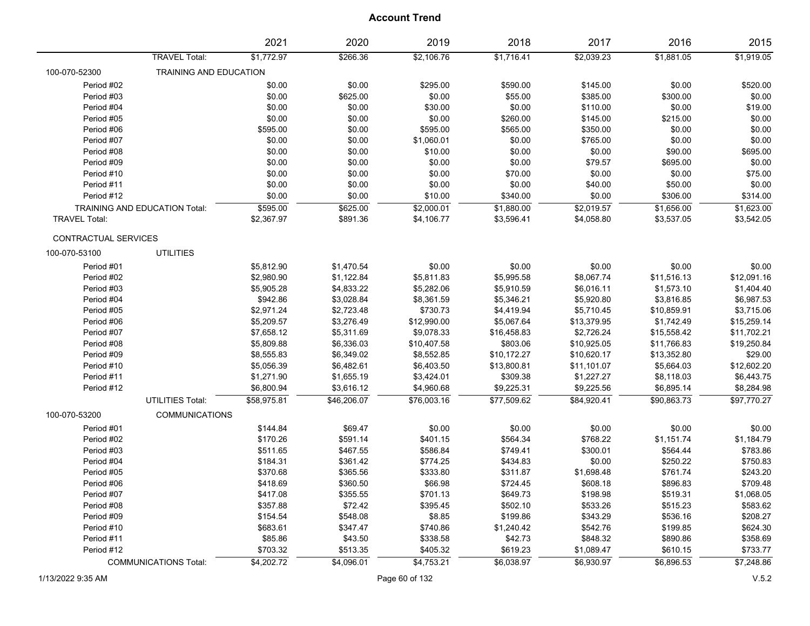|                          |                               | 2021                     | 2020                     | 2019                      | 2018                    | 2017                      | 2016                       | 2015                       |
|--------------------------|-------------------------------|--------------------------|--------------------------|---------------------------|-------------------------|---------------------------|----------------------------|----------------------------|
|                          | <b>TRAVEL Total:</b>          | \$1,772.97               | \$266.36                 | \$2,106.76                | \$1,716.41              | \$2,039.23                | \$1,881.05                 | \$1,919.05                 |
| 100-070-52300            | TRAINING AND EDUCATION        |                          |                          |                           |                         |                           |                            |                            |
| Period #02               |                               | \$0.00                   | \$0.00                   | \$295.00                  | \$590.00                | \$145.00                  | \$0.00                     | \$520.00                   |
| Period #03               |                               | \$0.00                   | \$625.00                 | \$0.00                    | \$55.00                 | \$385.00                  | \$300.00                   | \$0.00                     |
| Period #04               |                               | \$0.00                   | \$0.00                   | \$30.00                   | \$0.00                  | \$110.00                  | \$0.00                     | \$19.00                    |
| Period #05               |                               | \$0.00                   | \$0.00                   | \$0.00                    | \$260.00                | \$145.00                  | \$215.00                   | \$0.00                     |
| Period #06               |                               | \$595.00                 | \$0.00                   | \$595.00                  | \$565.00                | \$350.00                  | \$0.00                     | \$0.00                     |
| Period #07               |                               | \$0.00                   | \$0.00                   | \$1,060.01                | \$0.00                  | \$765.00                  | \$0.00                     | \$0.00                     |
| Period #08               |                               | \$0.00                   | \$0.00                   | \$10.00                   | \$0.00                  | \$0.00                    | \$90.00                    | \$695.00                   |
| Period #09               |                               | \$0.00                   | \$0.00                   | \$0.00                    | \$0.00                  | \$79.57                   | \$695.00                   | \$0.00                     |
| Period #10               |                               | \$0.00                   | \$0.00                   | \$0.00                    | \$70.00                 | \$0.00                    | \$0.00                     | \$75.00                    |
| Period #11               |                               | \$0.00                   | \$0.00                   | \$0.00                    | \$0.00                  | \$40.00                   | \$50.00                    | \$0.00                     |
| Period #12               |                               | \$0.00                   | \$0.00                   | \$10.00                   | \$340.00                | \$0.00                    | \$306.00                   | \$314.00                   |
|                          | TRAINING AND EDUCATION Total: | \$595.00                 | \$625.00                 | \$2,000.01                | \$1,880.00              | \$2,019.57                | \$1,656.00                 | \$1,623.00                 |
| <b>TRAVEL Total:</b>     |                               | \$2,367.97               | \$891.36                 | \$4,106.77                | \$3,596.41              | \$4,058.80                | \$3,537.05                 | \$3,542.05                 |
| CONTRACTUAL SERVICES     |                               |                          |                          |                           |                         |                           |                            |                            |
| 100-070-53100            | <b>UTILITIES</b>              |                          |                          |                           |                         |                           |                            |                            |
| Period #01               |                               | \$5,812.90               | \$1,470.54               | \$0.00                    | \$0.00                  | \$0.00                    | \$0.00                     | \$0.00                     |
| Period #02               |                               | \$2,980.90               | \$1,122.84               | \$5,811.83                | \$5,995.58              | \$8,067.74                | \$11,516.13                | \$12,091.16                |
| Period #03               |                               | \$5,905.28               | \$4,833.22               | \$5,282.06                | \$5,910.59              | \$6,016.11                | \$1,573.10                 | \$1,404.40                 |
| Period #04               |                               | \$942.86                 | \$3,028.84               | \$8,361.59                | \$5,346.21              | \$5,920.80                | \$3,816.85                 | \$6,987.53                 |
| Period #05               |                               | \$2,971.24               | \$2,723.48               | \$730.73                  | \$4,419.94              | \$5,710.45                | \$10,859.91                | \$3,715.06                 |
| Period #06               |                               |                          | \$3,276.49               | \$12,990.00               |                         | \$13,379.95               |                            | \$15,259.14                |
|                          |                               | \$5,209.57               |                          |                           | \$5,067.64              |                           | \$1,742.49                 |                            |
| Period #07<br>Period #08 |                               | \$7,658.12               | \$5,311.69<br>\$6,336.03 | \$9,078.33<br>\$10,407.58 | \$16,458.83<br>\$803.06 | \$2,726.24<br>\$10,925.05 | \$15,558.42<br>\$11,766.83 | \$11,702.21<br>\$19,250.84 |
| Period #09               |                               | \$5,809.88<br>\$8,555.83 | \$6,349.02               | \$8,552.85                | \$10,172.27             | \$10,620.17               | \$13,352.80                | \$29.00                    |
| Period #10               |                               |                          | \$6,482.61               | \$6,403.50                | \$13,800.81             | \$11,101.07               |                            | \$12,602.20                |
| Period #11               |                               | \$5,056.39<br>\$1,271.90 | \$1,655.19               | \$3,424.01                | \$309.38                | \$1,227.27                | \$5,664.03                 | \$6,443.75                 |
|                          |                               |                          |                          |                           |                         |                           | \$8,118.03                 |                            |
| Period #12               |                               | \$6,800.94               | \$3,616.12               | \$4,960.68                | \$9,225.31              | \$9,225.56                | \$6,895.14                 | \$8,284.98                 |
|                          | UTILITIES Total:              | \$58,975.81              | \$46,206.07              | \$76,003.16               | \$77,509.62             | \$84,920.41               | \$90,863.73                | \$97,770.27                |
| 100-070-53200            | <b>COMMUNICATIONS</b>         |                          |                          |                           |                         |                           |                            |                            |
| Period #01               |                               | \$144.84                 | \$69.47                  | \$0.00                    | \$0.00                  | \$0.00                    | \$0.00                     | \$0.00                     |
| Period #02               |                               | \$170.26                 | \$591.14                 | \$401.15                  | \$564.34                | \$768.22                  | \$1,151.74                 | \$1,184.79                 |
| Period #03               |                               | \$511.65                 | \$467.55                 | \$586.84                  | \$749.41                | \$300.01                  | \$564.44                   | \$783.86                   |
| Period #04               |                               | \$184.31                 | \$361.42                 | \$774.25                  | \$434.83                | \$0.00                    | \$250.22                   | \$750.83                   |
| Period #05               |                               | \$370.68                 | \$365.56                 | \$333.80                  | \$311.87                | \$1,698.48                | \$761.74                   | \$243.20                   |
| Period #06               |                               | \$418.69                 | \$360.50                 | \$66.98                   | \$724.45                | \$608.18                  | \$896.83                   | \$709.48                   |
| Period #07               |                               | \$417.08                 | \$355.55                 | \$701.13                  | \$649.73                | \$198.98                  | \$519.31                   | \$1,068.05                 |
| Period #08               |                               | \$357.88                 | \$72.42                  | \$395.45                  | \$502.10                | \$533.26                  | \$515.23                   | \$583.62                   |
| Period #09               |                               | \$154.54                 | \$548.08                 | \$8.85                    | \$199.86                | \$343.29                  | \$536.16                   | \$208.27                   |
| Period #10               |                               | \$683.61                 | \$347.47                 | \$740.86                  | \$1,240.42              | \$542.76                  | \$199.85                   | \$624.30                   |
| Period #11               |                               | \$85.86                  | \$43.50                  | \$338.58                  | \$42.73                 | \$848.32                  | \$890.86                   | \$358.69                   |
| Period #12               |                               | \$703.32                 | \$513.35                 | \$405.32                  | \$619.23                | \$1,089.47                | \$610.15                   | \$733.77                   |
|                          | <b>COMMUNICATIONS Total:</b>  | \$4,202.72               | \$4,096.01               | \$4,753.21                | \$6,038.97              | \$6,930.97                | \$6,896.53                 | \$7,248.86                 |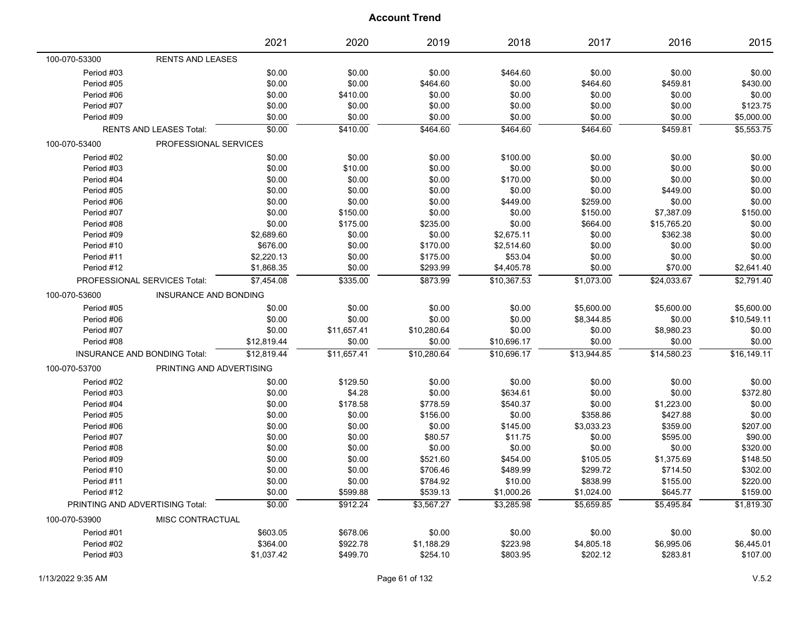|                                 |                                | 2021        | 2020        | 2019        | 2018        | 2017        | 2016        | 2015        |
|---------------------------------|--------------------------------|-------------|-------------|-------------|-------------|-------------|-------------|-------------|
| 100-070-53300                   | <b>RENTS AND LEASES</b>        |             |             |             |             |             |             |             |
| Period #03                      |                                | \$0.00      | \$0.00      | \$0.00      | \$464.60    | \$0.00      | \$0.00      | \$0.00      |
| Period #05                      |                                | \$0.00      | \$0.00      | \$464.60    | \$0.00      | \$464.60    | \$459.81    | \$430.00    |
| Period #06                      |                                | \$0.00      | \$410.00    | \$0.00      | \$0.00      | \$0.00      | \$0.00      | \$0.00      |
| Period #07                      |                                | \$0.00      | \$0.00      | \$0.00      | \$0.00      | \$0.00      | \$0.00      | \$123.75    |
| Period #09                      |                                | \$0.00      | \$0.00      | \$0.00      | \$0.00      | \$0.00      | \$0.00      | \$5,000.00  |
|                                 | <b>RENTS AND LEASES Total:</b> | \$0.00      | \$410.00    | \$464.60    | \$464.60    | \$464.60    | \$459.81    | \$5,553.75  |
| 100-070-53400                   | PROFESSIONAL SERVICES          |             |             |             |             |             |             |             |
| Period #02                      |                                | \$0.00      | \$0.00      | \$0.00      | \$100.00    | \$0.00      | \$0.00      | \$0.00      |
| Period #03                      |                                | \$0.00      | \$10.00     | \$0.00      | \$0.00      | \$0.00      | \$0.00      | \$0.00      |
| Period #04                      |                                | \$0.00      | \$0.00      | \$0.00      | \$170.00    | \$0.00      | \$0.00      | \$0.00      |
| Period #05                      |                                | \$0.00      | \$0.00      | \$0.00      | \$0.00      | \$0.00      | \$449.00    | \$0.00      |
| Period #06                      |                                | \$0.00      | \$0.00      | \$0.00      | \$449.00    | \$259.00    | \$0.00      | \$0.00      |
| Period #07                      |                                | \$0.00      | \$150.00    | \$0.00      | \$0.00      | \$150.00    | \$7,387.09  | \$150.00    |
| Period #08                      |                                | \$0.00      | \$175.00    | \$235.00    | \$0.00      | \$664.00    | \$15,765.20 | \$0.00      |
| Period #09                      |                                | \$2,689.60  | \$0.00      | \$0.00      | \$2,675.11  | \$0.00      | \$362.38    | \$0.00      |
| Period #10                      |                                | \$676.00    | \$0.00      | \$170.00    | \$2,514.60  | \$0.00      | \$0.00      | \$0.00      |
| Period #11                      |                                | \$2,220.13  | \$0.00      | \$175.00    | \$53.04     | \$0.00      | \$0.00      | \$0.00      |
| Period #12                      |                                | \$1,868.35  | \$0.00      | \$293.99    | \$4,405.78  | \$0.00      | \$70.00     | \$2,641.40  |
|                                 | PROFESSIONAL SERVICES Total:   | \$7,454.08  | \$335.00    | \$873.99    | \$10,367.53 | \$1,073.00  | \$24,033.67 | \$2,791.40  |
| 100-070-53600                   | <b>INSURANCE AND BONDING</b>   |             |             |             |             |             |             |             |
| Period #05                      |                                | \$0.00      | \$0.00      | \$0.00      | \$0.00      | \$5,600.00  | \$5,600.00  | \$5,600.00  |
| Period #06                      |                                | \$0.00      | \$0.00      | \$0.00      | \$0.00      | \$8,344.85  | \$0.00      | \$10,549.11 |
| Period #07                      |                                | \$0.00      | \$11,657.41 | \$10,280.64 | \$0.00      | \$0.00      | \$8,980.23  | \$0.00      |
| Period #08                      |                                | \$12,819.44 | \$0.00      | \$0.00      | \$10,696.17 | \$0.00      | \$0.00      | \$0.00      |
|                                 | INSURANCE AND BONDING Total:   | \$12,819.44 | \$11,657.41 | \$10,280.64 | \$10,696.17 | \$13,944.85 | \$14,580.23 | \$16.149.11 |
| 100-070-53700                   | PRINTING AND ADVERTISING       |             |             |             |             |             |             |             |
| Period #02                      |                                | \$0.00      | \$129.50    | \$0.00      | \$0.00      | \$0.00      | \$0.00      | \$0.00      |
| Period #03                      |                                | \$0.00      | \$4.28      | \$0.00      | \$634.61    | \$0.00      | \$0.00      | \$372.80    |
| Period #04                      |                                | \$0.00      | \$178.58    | \$778.59    | \$540.37    | \$0.00      | \$1,223.00  | \$0.00      |
| Period #05                      |                                | \$0.00      | \$0.00      | \$156.00    | \$0.00      | \$358.86    | \$427.88    | \$0.00      |
| Period #06                      |                                | \$0.00      | \$0.00      | \$0.00      | \$145.00    | \$3,033.23  | \$359.00    | \$207.00    |
| Period #07                      |                                | \$0.00      | \$0.00      | \$80.57     | \$11.75     | \$0.00      | \$595.00    | \$90.00     |
| Period #08                      |                                | \$0.00      | \$0.00      | \$0.00      | \$0.00      | \$0.00      | \$0.00      | \$320.00    |
| Period #09                      |                                | \$0.00      | \$0.00      | \$521.60    | \$454.00    | \$105.05    | \$1,375.69  | \$148.50    |
| Period #10                      |                                | \$0.00      | \$0.00      | \$706.46    | \$489.99    | \$299.72    | \$714.50    | \$302.00    |
| Period #11                      |                                | \$0.00      | \$0.00      | \$784.92    | \$10.00     | \$838.99    | \$155.00    | \$220.00    |
| Period #12                      |                                | \$0.00      | \$599.88    | \$539.13    | \$1,000.26  | \$1,024.00  | \$645.77    | \$159.00    |
| PRINTING AND ADVERTISING Total: |                                | \$0.00      | \$912.24    | \$3.567.27  | \$3.285.98  | \$5.659.85  | \$5.495.84  | \$1.819.30  |
| 100-070-53900                   | MISC CONTRACTUAL               |             |             |             |             |             |             |             |
| Period #01                      |                                | \$603.05    | \$678.06    | \$0.00      | \$0.00      | \$0.00      | \$0.00      | \$0.00      |
| Period #02                      |                                | \$364.00    | \$922.78    | \$1,188.29  | \$223.98    | \$4,805.18  | \$6,995.06  | \$6,445.01  |
| Period #03                      |                                | \$1,037.42  | \$499.70    | \$254.10    | \$803.95    | \$202.12    | \$283.81    | \$107.00    |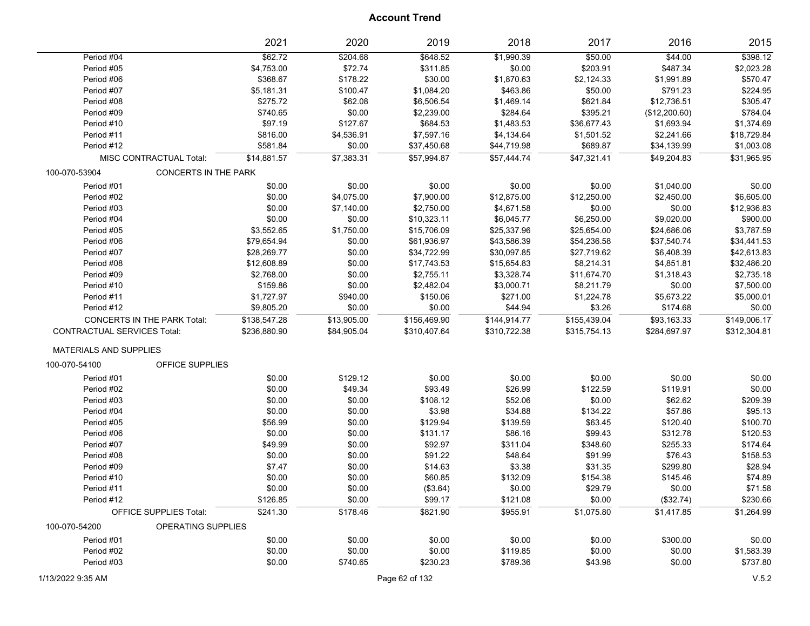|                                    |                                    | 2021         | 2020        | 2019         | 2018         | 2017         | 2016          | 2015         |
|------------------------------------|------------------------------------|--------------|-------------|--------------|--------------|--------------|---------------|--------------|
| Period #04                         |                                    | \$62.72      | \$204.68    | \$648.52     | \$1,990.39   | \$50.00      | \$44.00       | \$398.12     |
| Period #05                         |                                    | \$4,753.00   | \$72.74     | \$311.85     | \$0.00       | \$203.91     | \$487.34      | \$2,023.28   |
| Period #06                         |                                    | \$368.67     | \$178.22    | \$30.00      | \$1,870.63   | \$2,124.33   | \$1,991.89    | \$570.47     |
| Period #07                         |                                    | \$5,181.31   | \$100.47    | \$1,084.20   | \$463.86     | \$50.00      | \$791.23      | \$224.95     |
| Period #08                         |                                    | \$275.72     | \$62.08     | \$6,506.54   | \$1,469.14   | \$621.84     | \$12,736.51   | \$305.47     |
| Period #09                         |                                    | \$740.65     | \$0.00      | \$2,239.00   | \$284.64     | \$395.21     | (\$12,200.60) | \$784.04     |
| Period #10                         |                                    | \$97.19      | \$127.67    | \$684.53     | \$1,483.53   | \$36,677.43  | \$1,693.94    | \$1,374.69   |
| Period #11                         |                                    | \$816.00     | \$4,536.91  | \$7,597.16   | \$4,134.64   | \$1,501.52   | \$2,241.66    | \$18,729.84  |
| Period #12                         |                                    | \$581.84     | \$0.00      | \$37,450.68  | \$44,719.98  | \$689.87     | \$34,139.99   | \$1,003.08   |
|                                    | MISC CONTRACTUAL Total:            | \$14,881.57  | \$7,383.31  | \$57,994.87  | \$57,444.74  | \$47,321.41  | \$49,204.83   | \$31,965.95  |
| 100-070-53904                      | <b>CONCERTS IN THE PARK</b>        |              |             |              |              |              |               |              |
| Period #01                         |                                    | \$0.00       | \$0.00      | \$0.00       | \$0.00       | \$0.00       | \$1,040.00    | \$0.00       |
| Period #02                         |                                    | \$0.00       | \$4,075.00  | \$7,900.00   | \$12,875.00  | \$12,250.00  | \$2,450.00    | \$6,605.00   |
| Period #03                         |                                    | \$0.00       | \$7,140.00  | \$2,750.00   | \$4,671.58   | \$0.00       | \$0.00        | \$12,936.83  |
| Period #04                         |                                    | \$0.00       | \$0.00      | \$10,323.11  | \$6,045.77   | \$6,250.00   | \$9,020.00    | \$900.00     |
| Period #05                         |                                    | \$3,552.65   | \$1,750.00  | \$15,706.09  | \$25,337.96  | \$25,654.00  | \$24,686.06   | \$3,787.59   |
| Period #06                         |                                    | \$79,654.94  | \$0.00      | \$61,936.97  | \$43,586.39  | \$54,236.58  | \$37,540.74   | \$34,441.53  |
| Period #07                         |                                    | \$28,269.77  | \$0.00      | \$34,722.99  | \$30,097.85  | \$27,719.62  | \$6,408.39    | \$42,613.83  |
| Period #08                         |                                    | \$12,608.89  | \$0.00      | \$17,743.53  | \$15,654.83  | \$8,214.31   | \$4,851.81    | \$32,486.20  |
| Period #09                         |                                    | \$2,768.00   | \$0.00      | \$2,755.11   | \$3,328.74   | \$11,674.70  | \$1,318.43    | \$2,735.18   |
| Period #10                         |                                    | \$159.86     | \$0.00      | \$2,482.04   | \$3,000.71   | \$8,211.79   | \$0.00        | \$7,500.00   |
| Period #11                         |                                    | \$1,727.97   | \$940.00    | \$150.06     | \$271.00     | \$1,224.78   | \$5,673.22    | \$5,000.01   |
| Period #12                         |                                    | \$9,805.20   | \$0.00      | \$0.00       | \$44.94      | \$3.26       | \$174.68      | \$0.00       |
|                                    | <b>CONCERTS IN THE PARK Total:</b> | \$138,547.28 | \$13,905.00 | \$156,469.90 | \$144,914.77 | \$155,439.04 | \$93,163.33   | \$149,006.17 |
| <b>CONTRACTUAL SERVICES Total:</b> |                                    | \$236,880.90 | \$84,905.04 | \$310.407.64 | \$310,722.38 | \$315,754.13 | \$284,697.97  | \$312,304.81 |
| <b>MATERIALS AND SUPPLIES</b>      |                                    |              |             |              |              |              |               |              |
| 100-070-54100                      | OFFICE SUPPLIES                    |              |             |              |              |              |               |              |
| Period #01                         |                                    | \$0.00       | \$129.12    | \$0.00       | \$0.00       | \$0.00       | \$0.00        | \$0.00       |
| Period #02                         |                                    | \$0.00       | \$49.34     | \$93.49      | \$26.99      | \$122.59     | \$119.91      | \$0.00       |
| Period #03                         |                                    | \$0.00       | \$0.00      | \$108.12     | \$52.06      | \$0.00       | \$62.62       | \$209.39     |
| Period #04                         |                                    | \$0.00       | \$0.00      | \$3.98       | \$34.88      | \$134.22     | \$57.86       | \$95.13      |
| Period #05                         |                                    | \$56.99      | \$0.00      | \$129.94     | \$139.59     | \$63.45      | \$120.40      | \$100.70     |
| Period #06                         |                                    | \$0.00       | \$0.00      | \$131.17     | \$86.16      | \$99.43      | \$312.78      | \$120.53     |
| Period #07                         |                                    | \$49.99      | \$0.00      | \$92.97      | \$311.04     | \$348.60     | \$255.33      | \$174.64     |
| Period #08                         |                                    | \$0.00       | \$0.00      | \$91.22      | \$48.64      | \$91.99      | \$76.43       | \$158.53     |
| Period #09                         |                                    | \$7.47       | \$0.00      | \$14.63      | \$3.38       | \$31.35      | \$299.80      | \$28.94      |
| Period #10                         |                                    | \$0.00       | \$0.00      | \$60.85      | \$132.09     | \$154.38     | \$145.46      | \$74.89      |
| Period #11                         |                                    | \$0.00       | \$0.00      | (\$3.64)     | \$0.00       | \$29.79      | \$0.00        | \$71.58      |
| Period #12                         |                                    | \$126.85     | \$0.00      | \$99.17      | \$121.08     | \$0.00       | (\$32.74)     | \$230.66     |
|                                    | <b>OFFICE SUPPLIES Total:</b>      | \$241.30     | \$178.46    | \$821.90     | \$955.91     | \$1,075.80   | \$1,417.85    | \$1,264.99   |
|                                    | OPERATING SUPPLIES                 |              |             |              |              |              |               |              |
| 100-070-54200                      |                                    |              |             |              |              |              |               |              |
| Period #01                         |                                    | \$0.00       | \$0.00      | \$0.00       | \$0.00       | \$0.00       | \$300.00      | \$0.00       |
| Period #02                         |                                    | \$0.00       | \$0.00      | \$0.00       | \$119.85     | \$0.00       | \$0.00        | \$1,583.39   |
| Period #03                         |                                    | \$0.00       | \$740.65    | \$230.23     | \$789.36     | \$43.98      | \$0.00        | \$737.80     |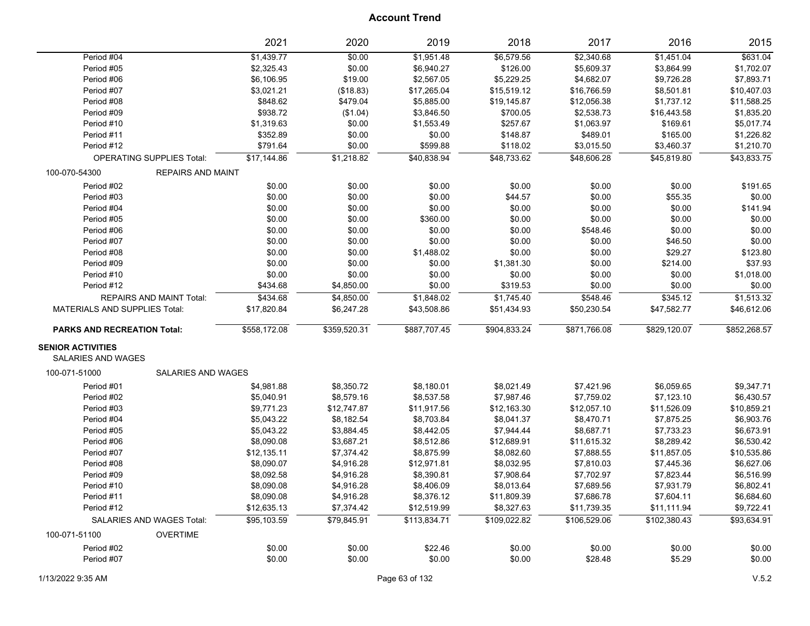|                                      |                                  | 2021         | 2020         | 2019         | 2018         | 2017         | 2016         | 2015         |
|--------------------------------------|----------------------------------|--------------|--------------|--------------|--------------|--------------|--------------|--------------|
| Period #04                           |                                  | \$1,439.77   | \$0.00       | \$1,951.48   | \$6,579.56   | \$2,340.68   | \$1,451.04   | \$631.04     |
| Period #05                           |                                  | \$2,325.43   | \$0.00       | \$6,940.27   | \$126.00     | \$5,609.37   | \$3,864.99   | \$1,702.07   |
| Period #06                           |                                  | \$6,106.95   | \$19.00      | \$2,567.05   | \$5,229.25   | \$4,682.07   | \$9,726.28   | \$7,893.71   |
| Period #07                           |                                  | \$3,021.21   | (\$18.83)    | \$17,265.04  | \$15,519.12  | \$16,766.59  | \$8,501.81   | \$10,407.03  |
| Period #08                           |                                  | \$848.62     | \$479.04     | \$5,885.00   | \$19,145.87  | \$12,056.38  | \$1,737.12   | \$11,588.25  |
| Period #09                           |                                  | \$938.72     | (\$1.04)     | \$3,846.50   | \$700.05     | \$2,538.73   | \$16,443.58  | \$1,835.20   |
| Period #10                           |                                  | \$1,319.63   | \$0.00       | \$1,553.49   | \$257.67     | \$1,063.97   | \$169.61     | \$5,017.74   |
| Period #11                           |                                  | \$352.89     | \$0.00       | \$0.00       | \$148.87     | \$489.01     | \$165.00     | \$1,226.82   |
| Period #12                           |                                  | \$791.64     | \$0.00       | \$599.88     | \$118.02     | \$3,015.50   | \$3,460.37   | \$1,210.70   |
|                                      | <b>OPERATING SUPPLIES Total:</b> | \$17,144.86  | \$1,218.82   | \$40,838.94  | \$48,733.62  | \$48,606.28  | \$45,819.80  | \$43,833.75  |
| 100-070-54300                        | <b>REPAIRS AND MAINT</b>         |              |              |              |              |              |              |              |
| Period #02                           |                                  | \$0.00       | \$0.00       | \$0.00       | \$0.00       | \$0.00       | \$0.00       | \$191.65     |
| Period #03                           |                                  | \$0.00       | \$0.00       | \$0.00       | \$44.57      | \$0.00       | \$55.35      | \$0.00       |
| Period #04                           |                                  | \$0.00       | \$0.00       | \$0.00       | \$0.00       | \$0.00       | \$0.00       | \$141.94     |
| Period #05                           |                                  | \$0.00       | \$0.00       | \$360.00     | \$0.00       | \$0.00       | \$0.00       | \$0.00       |
| Period #06                           |                                  | \$0.00       | \$0.00       | \$0.00       | \$0.00       | \$548.46     | \$0.00       | \$0.00       |
| Period #07                           |                                  | \$0.00       | \$0.00       | \$0.00       | \$0.00       | \$0.00       | \$46.50      | \$0.00       |
| Period #08                           |                                  | \$0.00       | \$0.00       | \$1,488.02   | \$0.00       | \$0.00       | \$29.27      | \$123.80     |
| Period #09                           |                                  | \$0.00       | \$0.00       | \$0.00       | \$1,381.30   | \$0.00       | \$214.00     | \$37.93      |
| Period #10                           |                                  | \$0.00       | \$0.00       | \$0.00       | \$0.00       | \$0.00       | \$0.00       | \$1,018.00   |
| Period #12                           |                                  | \$434.68     | \$4,850.00   | \$0.00       | \$319.53     | \$0.00       | \$0.00       | \$0.00       |
|                                      | REPAIRS AND MAINT Total:         | \$434.68     | \$4,850.00   | \$1,848.02   | \$1,745.40   | \$548.46     | \$345.12     | \$1,513.32   |
| <b>MATERIALS AND SUPPLIES Total:</b> |                                  | \$17,820.84  | \$6,247.28   | \$43,508.86  | \$51,434.93  | \$50,230.54  | \$47,582.77  | \$46,612.06  |
| <b>PARKS AND RECREATION Total:</b>   |                                  | \$558,172.08 | \$359,520.31 | \$887,707.45 | \$904,833.24 | \$871,766.08 | \$829,120.07 | \$852,268.57 |
| <b>SENIOR ACTIVITIES</b>             |                                  |              |              |              |              |              |              |              |
| <b>SALARIES AND WAGES</b>            |                                  |              |              |              |              |              |              |              |
| 100-071-51000                        | <b>SALARIES AND WAGES</b>        |              |              |              |              |              |              |              |
| Period #01                           |                                  | \$4,981.88   | \$8,350.72   | \$8,180.01   | \$8,021.49   | \$7,421.96   | \$6,059.65   | \$9,347.71   |
| Period #02                           |                                  | \$5,040.91   | \$8,579.16   | \$8,537.58   | \$7,987.46   | \$7,759.02   | \$7,123.10   | \$6,430.57   |
| Period #03                           |                                  | \$9,771.23   | \$12,747.87  | \$11,917.56  | \$12,163.30  | \$12,057.10  | \$11,526.09  | \$10,859.21  |
| Period #04                           |                                  | \$5,043.22   | \$8,182.54   | \$8,703.84   | \$8,041.37   | \$8,470.71   | \$7,875.25   | \$6,903.76   |
| Period #05                           |                                  | \$5,043.22   | \$3,884.45   | \$8,442.05   | \$7,944.44   | \$8,687.71   | \$7,733.23   | \$6,673.91   |
| Period #06                           |                                  | \$8,090.08   | \$3,687.21   | \$8,512.86   | \$12,689.91  | \$11,615.32  | \$8,289.42   | \$6,530.42   |
| Period #07                           |                                  | \$12,135.11  | \$7,374.42   | \$8,875.99   | \$8,082.60   | \$7,888.55   | \$11,857.05  | \$10,535.86  |
| Period #08                           |                                  | \$8,090.07   | \$4,916.28   | \$12,971.81  | \$8,032.95   | \$7,810.03   | \$7,445.36   | \$6,627.06   |
| Period #09                           |                                  | \$8,092.58   | \$4,916.28   | \$8,390.81   | \$7,908.64   | \$7,702.97   | \$7,823.44   | \$6,516.99   |
| Period #10                           |                                  | \$8,090.08   | \$4,916.28   | \$8,406.09   | \$8,013.64   | \$7,689.56   | \$7,931.79   | \$6,802.41   |
| Period #11                           |                                  | \$8,090.08   | \$4,916.28   | \$8,376.12   | \$11,809.39  | \$7,686.78   | \$7,604.11   | \$6,684.60   |
| Period #12                           |                                  | \$12,635.13  | \$7,374.42   | \$12,519.99  | \$8,327.63   | \$11,739.35  | \$11,111.94  | \$9,722.41   |
|                                      | SALARIES AND WAGES Total:        | \$95,103.59  | \$79,845.91  | \$113,834.71 | \$109,022.82 | \$106,529.06 | \$102,380.43 | \$93,634.91  |
| 100-071-51100                        | <b>OVERTIME</b>                  |              |              |              |              |              |              |              |
| Period #02                           |                                  | \$0.00       | \$0.00       | \$22.46      | \$0.00       | \$0.00       | \$0.00       | \$0.00       |
| Period #07                           |                                  | \$0.00       | \$0.00       | \$0.00       | \$0.00       | \$28.48      | \$5.29       | \$0.00       |
|                                      |                                  |              |              |              |              |              |              |              |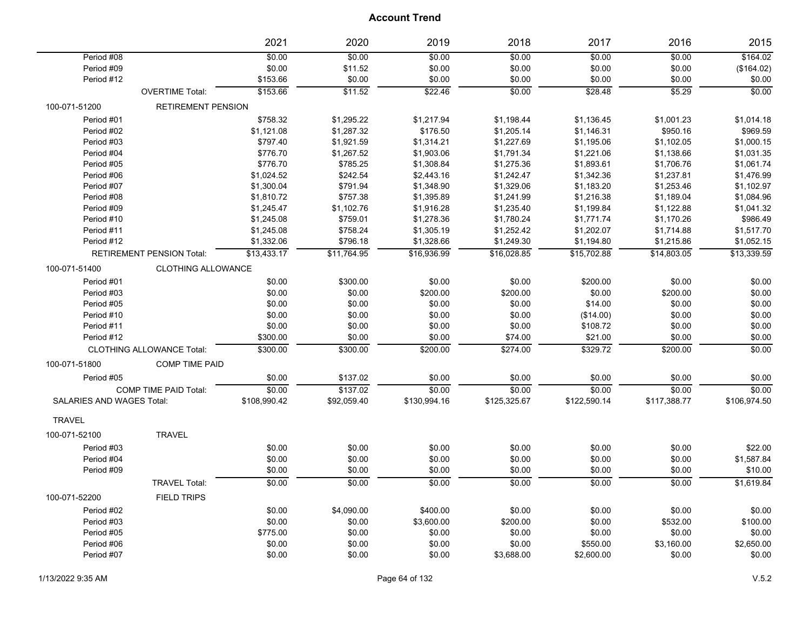|                                  |                                  | 2021         | 2020        | 2019         | 2018         | 2017         | 2016         | 2015         |
|----------------------------------|----------------------------------|--------------|-------------|--------------|--------------|--------------|--------------|--------------|
| Period #08                       |                                  | \$0.00       | \$0.00      | \$0.00       | \$0.00       | \$0.00       | \$0.00       | \$164.02     |
| Period #09                       |                                  | \$0.00       | \$11.52     | \$0.00       | \$0.00       | \$0.00       | \$0.00       | (\$164.02)   |
| Period #12                       |                                  | \$153.66     | \$0.00      | \$0.00       | \$0.00       | \$0.00       | \$0.00       | \$0.00       |
|                                  | <b>OVERTIME Total:</b>           | \$153.66     | \$11.52     | \$22.46      | \$0.00       | \$28.48      | \$5.29       | \$0.00       |
| 100-071-51200                    | <b>RETIREMENT PENSION</b>        |              |             |              |              |              |              |              |
| Period #01                       |                                  | \$758.32     | \$1,295.22  | \$1,217.94   | \$1,198.44   | \$1,136.45   | \$1,001.23   | \$1,014.18   |
| Period #02                       |                                  | \$1,121.08   | \$1,287.32  | \$176.50     | \$1,205.14   | \$1,146.31   | \$950.16     | \$969.59     |
| Period #03                       |                                  | \$797.40     | \$1,921.59  | \$1,314.21   | \$1,227.69   | \$1,195.06   | \$1,102.05   | \$1,000.15   |
| Period #04                       |                                  | \$776.70     | \$1,267.52  | \$1,903.06   | \$1,791.34   | \$1,221.06   | \$1,138.66   | \$1,031.35   |
| Period #05                       |                                  | \$776.70     | \$785.25    | \$1,308.84   | \$1,275.36   | \$1,893.61   | \$1,706.76   | \$1,061.74   |
| Period #06                       |                                  | \$1,024.52   | \$242.54    | \$2,443.16   | \$1,242.47   | \$1,342.36   | \$1,237.81   | \$1,476.99   |
| Period #07                       |                                  | \$1,300.04   | \$791.94    | \$1,348.90   | \$1,329.06   | \$1,183.20   | \$1,253.46   | \$1,102.97   |
| Period #08                       |                                  | \$1,810.72   | \$757.38    | \$1,395.89   | \$1,241.99   | \$1,216.38   | \$1,189.04   | \$1,084.96   |
| Period #09                       |                                  | \$1,245.47   | \$1,102.76  | \$1,916.28   | \$1,235.40   | \$1,199.84   | \$1,122.88   | \$1,041.32   |
| Period #10                       |                                  | \$1,245.08   | \$759.01    | \$1,278.36   | \$1,780.24   | \$1,771.74   | \$1,170.26   | \$986.49     |
| Period #11                       |                                  | \$1,245.08   | \$758.24    | \$1,305.19   | \$1,252.42   | \$1,202.07   | \$1,714.88   | \$1,517.70   |
| Period #12                       |                                  | \$1,332.06   | \$796.18    | \$1,328.66   | \$1,249.30   | \$1,194.80   | \$1,215.86   | \$1,052.15   |
|                                  | <b>RETIREMENT PENSION Total:</b> | \$13,433.17  | \$11,764.95 | \$16,936.99  | \$16,028.85  | \$15,702.88  | \$14,803.05  | \$13,339.59  |
| 100-071-51400                    | <b>CLOTHING ALLOWANCE</b>        |              |             |              |              |              |              |              |
| Period #01                       |                                  | \$0.00       | \$300.00    | \$0.00       | \$0.00       | \$200.00     | \$0.00       | \$0.00       |
| Period #03                       |                                  | \$0.00       | \$0.00      | \$200.00     | \$200.00     | \$0.00       | \$200.00     | \$0.00       |
| Period #05                       |                                  | \$0.00       | \$0.00      | \$0.00       | \$0.00       | \$14.00      | \$0.00       | \$0.00       |
| Period #10                       |                                  | \$0.00       | \$0.00      | \$0.00       | \$0.00       | (\$14.00)    | \$0.00       | \$0.00       |
| Period #11                       |                                  | \$0.00       | \$0.00      | \$0.00       | \$0.00       | \$108.72     | \$0.00       | \$0.00       |
| Period #12                       |                                  | \$300.00     | \$0.00      | \$0.00       | \$74.00      | \$21.00      | \$0.00       | \$0.00       |
|                                  | <b>CLOTHING ALLOWANCE Total:</b> | \$300.00     | \$300.00    | \$200.00     | \$274.00     | \$329.72     | \$200.00     | \$0.00       |
| 100-071-51800                    | <b>COMP TIME PAID</b>            |              |             |              |              |              |              |              |
| Period #05                       |                                  | \$0.00       | \$137.02    | \$0.00       | \$0.00       | \$0.00       | \$0.00       | \$0.00       |
|                                  | COMP TIME PAID Total:            | \$0.00       | \$137.02    | \$0.00       | \$0.00       | \$0.00       | \$0.00       | \$0.00       |
| <b>SALARIES AND WAGES Total:</b> |                                  | \$108,990.42 | \$92,059.40 | \$130,994.16 | \$125,325.67 | \$122,590.14 | \$117,388.77 | \$106,974.50 |
| <b>TRAVEL</b>                    |                                  |              |             |              |              |              |              |              |
| 100-071-52100                    | <b>TRAVEL</b>                    |              |             |              |              |              |              |              |
| Period #03                       |                                  | \$0.00       | \$0.00      | \$0.00       | \$0.00       | \$0.00       | \$0.00       | \$22.00      |
| Period #04                       |                                  | \$0.00       | \$0.00      | \$0.00       | \$0.00       | \$0.00       | \$0.00       | \$1,587.84   |
| Period #09                       |                                  | \$0.00       | \$0.00      | \$0.00       | \$0.00       | \$0.00       | \$0.00       | \$10.00      |
|                                  | <b>TRAVEL Total:</b>             | \$0.00       | \$0.00      | \$0.00       | \$0.00       | \$0.00       | \$0.00       | \$1,619.84   |
| 100-071-52200                    | <b>FIELD TRIPS</b>               |              |             |              |              |              |              |              |
| Period #02                       |                                  | \$0.00       | \$4,090.00  | \$400.00     | \$0.00       | \$0.00       | \$0.00       | \$0.00       |
| Period #03                       |                                  | \$0.00       | \$0.00      | \$3,600.00   | \$200.00     | \$0.00       | \$532.00     | \$100.00     |
| Period #05                       |                                  | \$775.00     | \$0.00      | \$0.00       | \$0.00       | \$0.00       | \$0.00       | \$0.00       |
| Period #06                       |                                  | \$0.00       | \$0.00      | \$0.00       | \$0.00       | \$550.00     | \$3,160.00   | \$2,650.00   |
| Period #07                       |                                  | \$0.00       | \$0.00      | \$0.00       | \$3,688.00   | \$2,600.00   | \$0.00       | \$0.00       |
|                                  |                                  |              |             |              |              |              |              |              |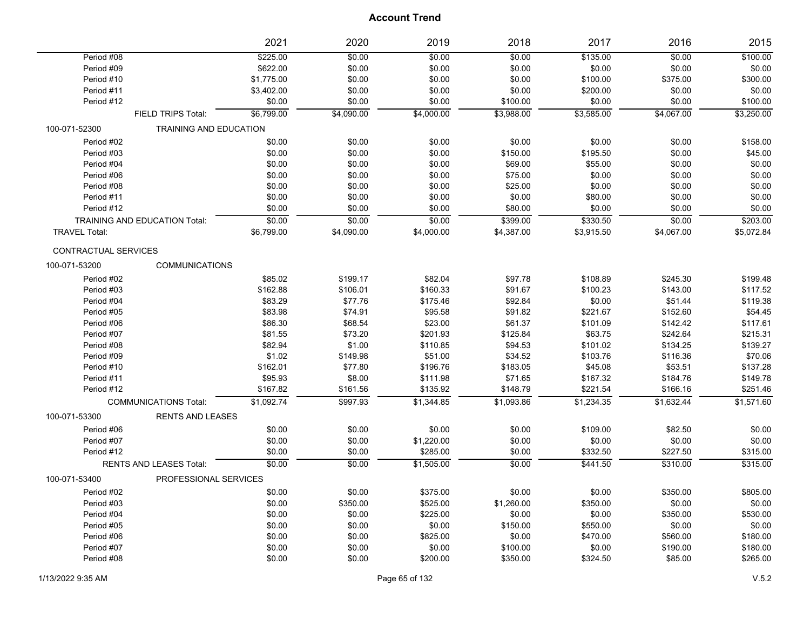|                             |                                      | 2021       | 2020       | 2019       | 2018       | 2017       | 2016       | 2015       |
|-----------------------------|--------------------------------------|------------|------------|------------|------------|------------|------------|------------|
| Period #08                  |                                      | \$225.00   | \$0.00     | \$0.00     | \$0.00     | \$135.00   | \$0.00     | \$100.00   |
| Period #09                  |                                      | \$622.00   | \$0.00     | \$0.00     | \$0.00     | \$0.00     | \$0.00     | \$0.00     |
| Period #10                  |                                      | \$1,775.00 | \$0.00     | \$0.00     | \$0.00     | \$100.00   | \$375.00   | \$300.00   |
| Period #11                  |                                      | \$3,402.00 | \$0.00     | \$0.00     | \$0.00     | \$200.00   | \$0.00     | \$0.00     |
| Period #12                  |                                      | \$0.00     | \$0.00     | \$0.00     | \$100.00   | \$0.00     | \$0.00     | \$100.00   |
|                             | FIELD TRIPS Total:                   | \$6,799.00 | \$4,090.00 | \$4,000.00 | \$3.988.00 | \$3,585.00 | \$4,067.00 | \$3,250.00 |
| 100-071-52300               | TRAINING AND EDUCATION               |            |            |            |            |            |            |            |
| Period #02                  |                                      | \$0.00     | \$0.00     | \$0.00     | \$0.00     | \$0.00     | \$0.00     | \$158.00   |
| Period #03                  |                                      | \$0.00     | \$0.00     | \$0.00     | \$150.00   | \$195.50   | \$0.00     | \$45.00    |
| Period #04                  |                                      | \$0.00     | \$0.00     | \$0.00     | \$69.00    | \$55.00    | \$0.00     | \$0.00     |
| Period #06                  |                                      | \$0.00     | \$0.00     | \$0.00     | \$75.00    | \$0.00     | \$0.00     | \$0.00     |
| Period #08                  |                                      | \$0.00     | \$0.00     | \$0.00     | \$25.00    | \$0.00     | \$0.00     | \$0.00     |
| Period #11                  |                                      | \$0.00     | \$0.00     | \$0.00     | \$0.00     | \$80.00    | \$0.00     | \$0.00     |
| Period #12                  |                                      | \$0.00     | \$0.00     | \$0.00     | \$80.00    | \$0.00     | \$0.00     | \$0.00     |
|                             | <b>TRAINING AND EDUCATION Total:</b> | \$0.00     | \$0.00     | \$0.00     | \$399.00   | \$330.50   | \$0.00     | \$203.00   |
| <b>TRAVEL Total:</b>        |                                      | \$6,799.00 | \$4,090.00 | \$4,000.00 | \$4,387.00 | \$3,915.50 | \$4,067.00 | \$5,072.84 |
| <b>CONTRACTUAL SERVICES</b> |                                      |            |            |            |            |            |            |            |
| 100-071-53200               | <b>COMMUNICATIONS</b>                |            |            |            |            |            |            |            |
| Period #02                  |                                      | \$85.02    | \$199.17   | \$82.04    | \$97.78    | \$108.89   | \$245.30   | \$199.48   |
| Period #03                  |                                      | \$162.88   | \$106.01   | \$160.33   | \$91.67    | \$100.23   | \$143.00   | \$117.52   |
| Period #04                  |                                      | \$83.29    | \$77.76    | \$175.46   | \$92.84    | \$0.00     | \$51.44    | \$119.38   |
| Period #05                  |                                      | \$83.98    | \$74.91    | \$95.58    | \$91.82    | \$221.67   | \$152.60   | \$54.45    |
| Period #06                  |                                      | \$86.30    | \$68.54    | \$23.00    | \$61.37    | \$101.09   | \$142.42   | \$117.61   |
| Period #07                  |                                      | \$81.55    | \$73.20    | \$201.93   | \$125.84   | \$63.75    | \$242.64   | \$215.31   |
| Period #08                  |                                      | \$82.94    | \$1.00     | \$110.85   | \$94.53    | \$101.02   | \$134.25   | \$139.27   |
| Period #09                  |                                      | \$1.02     | \$149.98   | \$51.00    | \$34.52    | \$103.76   | \$116.36   | \$70.06    |
| Period #10                  |                                      | \$162.01   | \$77.80    | \$196.76   | \$183.05   | \$45.08    | \$53.51    | \$137.28   |
| Period #11                  |                                      | \$95.93    | \$8.00     | \$111.98   | \$71.65    | \$167.32   | \$184.76   | \$149.78   |
| Period #12                  |                                      | \$167.82   | \$161.56   | \$135.92   | \$148.79   | \$221.54   | \$166.16   | \$251.46   |
|                             | <b>COMMUNICATIONS Total:</b>         | \$1,092.74 | \$997.93   | \$1,344.85 | \$1,093.86 | \$1,234.35 | \$1,632.44 | \$1,571.60 |
| 100-071-53300               | <b>RENTS AND LEASES</b>              |            |            |            |            |            |            |            |
| Period #06                  |                                      | \$0.00     | \$0.00     | \$0.00     | \$0.00     | \$109.00   | \$82.50    | \$0.00     |
| Period #07                  |                                      | \$0.00     | \$0.00     | \$1,220.00 | \$0.00     | \$0.00     | \$0.00     | \$0.00     |
| Period #12                  |                                      | \$0.00     | \$0.00     | \$285.00   | \$0.00     | \$332.50   | \$227.50   | \$315.00   |
|                             | <b>RENTS AND LEASES Total:</b>       | \$0.00     | \$0.00     | \$1,505.00 | \$0.00     | \$441.50   | \$310.00   | \$315.00   |
| 100-071-53400               | PROFESSIONAL SERVICES                |            |            |            |            |            |            |            |
| Period #02                  |                                      | \$0.00     | \$0.00     | \$375.00   | \$0.00     | \$0.00     | \$350.00   | \$805.00   |
| Period #03                  |                                      | \$0.00     | \$350.00   | \$525.00   | \$1,260.00 | \$350.00   | \$0.00     | \$0.00     |
| Period #04                  |                                      | \$0.00     | \$0.00     | \$225.00   | \$0.00     | \$0.00     | \$350.00   | \$530.00   |
| Period #05                  |                                      | \$0.00     | \$0.00     | \$0.00     | \$150.00   | \$550.00   | \$0.00     | \$0.00     |
| Period #06                  |                                      | \$0.00     | \$0.00     | \$825.00   | \$0.00     | \$470.00   | \$560.00   | \$180.00   |
| Period #07                  |                                      | \$0.00     | \$0.00     | \$0.00     | \$100.00   | \$0.00     | \$190.00   | \$180.00   |
| Period #08                  |                                      | \$0.00     | \$0.00     | \$200.00   | \$350.00   | \$324.50   | \$85.00    | \$265.00   |
|                             |                                      |            |            |            |            |            |            |            |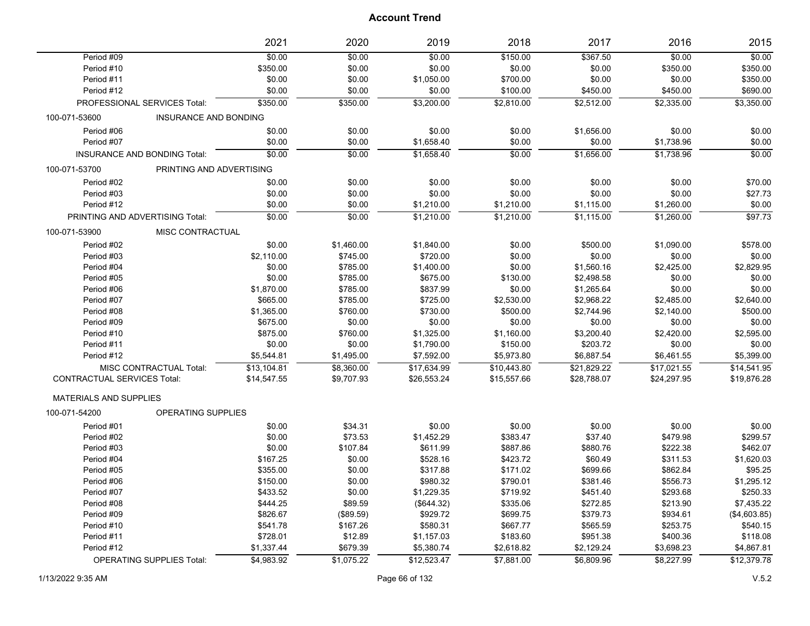|                                    |                                 | 2021        | 2020       | 2019        | 2018        | 2017        | 2016        | 2015         |
|------------------------------------|---------------------------------|-------------|------------|-------------|-------------|-------------|-------------|--------------|
| Period #09                         |                                 | \$0.00      | \$0.00     | \$0.00      | \$150.00    | \$367.50    | \$0.00      | \$0.00       |
| Period #10                         |                                 | \$350.00    | \$0.00     | \$0.00      | \$0.00      | \$0.00      | \$350.00    | \$350.00     |
| Period #11                         |                                 | \$0.00      | \$0.00     | \$1,050.00  | \$700.00    | \$0.00      | \$0.00      | \$350.00     |
| Period #12                         |                                 | \$0.00      | \$0.00     | \$0.00      | \$100.00    | \$450.00    | \$450.00    | \$690.00     |
|                                    | PROFESSIONAL SERVICES Total:    | \$350.00    | \$350.00   | \$3,200.00  | \$2,810.00  | \$2,512.00  | \$2,335.00  | \$3,350.00   |
| 100-071-53600                      | <b>INSURANCE AND BONDING</b>    |             |            |             |             |             |             |              |
| Period #06                         |                                 | \$0.00      | \$0.00     | \$0.00      | \$0.00      | \$1,656.00  | \$0.00      | \$0.00       |
| Period #07                         |                                 | \$0.00      | \$0.00     | \$1,658.40  | \$0.00      | \$0.00      | \$1,738.96  | \$0.00       |
|                                    | INSURANCE AND BONDING Total:    | \$0.00      | \$0.00     | \$1,658.40  | \$0.00      | \$1,656.00  | \$1,738.96  | \$0.00       |
| 100-071-53700                      | PRINTING AND ADVERTISING        |             |            |             |             |             |             |              |
| Period #02                         |                                 | \$0.00      | \$0.00     | \$0.00      | \$0.00      | \$0.00      | \$0.00      | \$70.00      |
| Period #03                         |                                 | \$0.00      | \$0.00     | \$0.00      | \$0.00      | \$0.00      | \$0.00      | \$27.73      |
| Period #12                         |                                 | \$0.00      | \$0.00     | \$1,210.00  | \$1,210.00  | \$1,115.00  | \$1,260.00  | \$0.00       |
|                                    | PRINTING AND ADVERTISING Total: | \$0.00      | \$0.00     | \$1,210.00  | \$1,210.00  | \$1,115.00  | \$1,260.00  | \$97.73      |
| 100-071-53900                      | MISC CONTRACTUAL                |             |            |             |             |             |             |              |
| Period #02                         |                                 | \$0.00      | \$1,460.00 | \$1,840.00  | \$0.00      | \$500.00    | \$1,090.00  | \$578.00     |
| Period #03                         |                                 | \$2,110.00  | \$745.00   | \$720.00    | \$0.00      | \$0.00      | \$0.00      | \$0.00       |
| Period #04                         |                                 | \$0.00      | \$785.00   | \$1,400.00  | \$0.00      | \$1,560.16  | \$2,425.00  | \$2,829.95   |
| Period #05                         |                                 | \$0.00      | \$785.00   | \$675.00    | \$130.00    | \$2,498.58  | \$0.00      | \$0.00       |
| Period #06                         |                                 | \$1,870.00  | \$785.00   | \$837.99    | \$0.00      | \$1,265.64  | \$0.00      | \$0.00       |
| Period #07                         |                                 | \$665.00    | \$785.00   | \$725.00    | \$2,530.00  | \$2,968.22  | \$2,485.00  | \$2,640.00   |
| Period #08                         |                                 | \$1,365.00  | \$760.00   | \$730.00    | \$500.00    | \$2,744.96  | \$2,140.00  | \$500.00     |
| Period #09                         |                                 | \$675.00    | \$0.00     | \$0.00      | \$0.00      | \$0.00      | \$0.00      | \$0.00       |
| Period #10                         |                                 | \$875.00    | \$760.00   | \$1,325.00  | \$1,160.00  | \$3,200.40  | \$2,420.00  | \$2,595.00   |
| Period #11                         |                                 | \$0.00      | \$0.00     | \$1,790.00  | \$150.00    | \$203.72    | \$0.00      | \$0.00       |
| Period #12                         |                                 | \$5,544.81  | \$1,495.00 | \$7,592.00  | \$5,973.80  | \$6,887.54  | \$6,461.55  | \$5,399.00   |
|                                    | MISC CONTRACTUAL Total:         | \$13,104.81 | \$8,360.00 | \$17,634.99 | \$10,443.80 | \$21,829.22 | \$17,021.55 | \$14,541.95  |
| <b>CONTRACTUAL SERVICES Total:</b> |                                 | \$14,547.55 | \$9,707.93 | \$26,553.24 | \$15,557.66 | \$28,788.07 | \$24,297.95 | \$19,876.28  |
| <b>MATERIALS AND SUPPLIES</b>      |                                 |             |            |             |             |             |             |              |
| 100-071-54200                      | OPERATING SUPPLIES              |             |            |             |             |             |             |              |
| Period #01                         |                                 | \$0.00      | \$34.31    | \$0.00      | \$0.00      | \$0.00      | \$0.00      | \$0.00       |
| Period #02                         |                                 | \$0.00      | \$73.53    | \$1,452.29  | \$383.47    | \$37.40     | \$479.98    | \$299.57     |
| Period #03                         |                                 | \$0.00      | \$107.84   | \$611.99    | \$887.86    | \$880.76    | \$222.38    | \$462.07     |
| Period #04                         |                                 | \$167.25    | \$0.00     | \$528.16    | \$423.72    | \$60.49     | \$311.53    | \$1,620.03   |
| Period #05                         |                                 | \$355.00    | \$0.00     | \$317.88    | \$171.02    | \$699.66    | \$862.84    | \$95.25      |
| Period #06                         |                                 | \$150.00    | \$0.00     | \$980.32    | \$790.01    | \$381.46    | \$556.73    | \$1,295.12   |
| Period #07                         |                                 | \$433.52    | \$0.00     | \$1,229.35  | \$719.92    | \$451.40    | \$293.68    | \$250.33     |
| Period #08                         |                                 | \$444.25    | \$89.59    | (\$644.32)  | \$335.06    | \$272.85    | \$213.90    | \$7,435.22   |
| Period #09                         |                                 | \$826.67    | (\$89.59)  | \$929.72    | \$699.75    | \$379.73    | \$934.61    | (\$4,603.85) |
| Period #10                         |                                 | \$541.78    | \$167.26   | \$580.31    | \$667.77    | \$565.59    | \$253.75    | \$540.15     |
| Period #11                         |                                 | \$728.01    | \$12.89    | \$1,157.03  | \$183.60    | \$951.38    | \$400.36    | \$118.08     |
| Period #12                         |                                 | \$1,337.44  | \$679.39   | \$5,380.74  | \$2,618.82  | \$2,129.24  | \$3,698.23  | \$4,867.81   |
|                                    | OPERATING SUPPLIES Total:       | \$4,983.92  | \$1,075.22 | \$12,523.47 | \$7,881.00  | \$6,809.96  | \$8,227.99  | \$12,379.78  |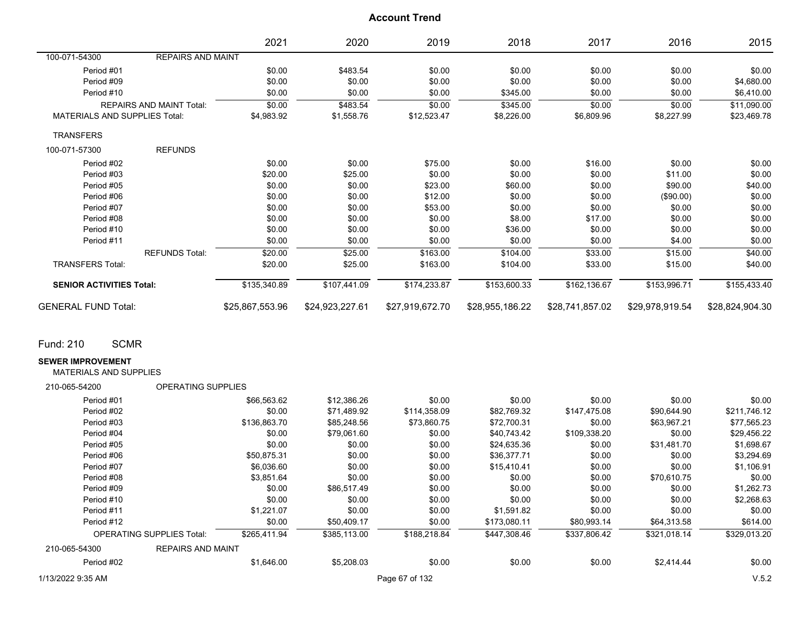|                                      |                                 | 2021            | 2020            | 2019            | 2018            | 2017            | 2016            | 2015            |
|--------------------------------------|---------------------------------|-----------------|-----------------|-----------------|-----------------|-----------------|-----------------|-----------------|
| 100-071-54300                        | <b>REPAIRS AND MAINT</b>        |                 |                 |                 |                 |                 |                 |                 |
| Period #01                           |                                 | \$0.00          | \$483.54        | \$0.00          | \$0.00          | \$0.00          | \$0.00          | \$0.00          |
| Period #09                           |                                 | \$0.00          | \$0.00          | \$0.00          | \$0.00          | \$0.00          | \$0.00          | \$4,680.00      |
| Period #10                           |                                 | \$0.00          | \$0.00          | \$0.00          | \$345.00        | \$0.00          | \$0.00          | \$6,410.00      |
|                                      | <b>REPAIRS AND MAINT Total:</b> | \$0.00          | \$483.54        | \$0.00          | \$345.00        | \$0.00          | \$0.00          | \$11,090.00     |
| <b>MATERIALS AND SUPPLIES Total:</b> |                                 | \$4,983.92      | \$1,558.76      | \$12,523.47     | \$8,226.00      | \$6,809.96      | \$8,227.99      | \$23,469.78     |
| <b>TRANSFERS</b>                     |                                 |                 |                 |                 |                 |                 |                 |                 |
| 100-071-57300                        | <b>REFUNDS</b>                  |                 |                 |                 |                 |                 |                 |                 |
| Period #02                           |                                 | \$0.00          | \$0.00          | \$75.00         | \$0.00          | \$16.00         | \$0.00          | \$0.00          |
| Period #03                           |                                 | \$20.00         | \$25.00         | \$0.00          | \$0.00          | \$0.00          | \$11.00         | \$0.00          |
| Period #05                           |                                 | \$0.00          | \$0.00          | \$23.00         | \$60.00         | \$0.00          | \$90.00         | \$40.00         |
| Period #06                           |                                 | \$0.00          | \$0.00          | \$12.00         | \$0.00          | \$0.00          | $(\$90.00)$     | \$0.00          |
| Period #07                           |                                 | \$0.00          | \$0.00          | \$53.00         | \$0.00          | \$0.00          | \$0.00          | \$0.00          |
| Period #08                           |                                 | \$0.00          | \$0.00          | \$0.00          | \$8.00          | \$17.00         | \$0.00          | \$0.00          |
| Period #10                           |                                 | \$0.00          | \$0.00          | \$0.00          | \$36.00         | \$0.00          | \$0.00          | \$0.00          |
| Period #11                           |                                 | \$0.00          | \$0.00          | \$0.00          | \$0.00          | \$0.00          | \$4.00          | \$0.00          |
|                                      | <b>REFUNDS Total:</b>           | \$20.00         | \$25.00         | \$163.00        | \$104.00        | \$33.00         | \$15.00         | \$40.00         |
| <b>TRANSFERS Total:</b>              |                                 | \$20.00         | \$25.00         | \$163.00        | \$104.00        | \$33.00         | \$15.00         | \$40.00         |
| <b>SENIOR ACTIVITIES Total:</b>      |                                 | \$135,340.89    | \$107,441.09    | \$174,233.87    | \$153,600.33    | \$162,136.67    | \$153,996.71    | \$155,433.40    |
| <b>GENERAL FUND Total:</b>           |                                 | \$25,867,553.96 | \$24,923,227.61 | \$27,919,672.70 | \$28,955,186.22 | \$28,741,857.02 | \$29,978,919.54 | \$28,824,904.30 |

Fund: 210 SCMR

#### **SEWER IMPROVEMENT**

MATERIALS AND SUPPLIES

| 210-065-54200 | <b>OPERATING SUPPLIES</b>        |              |              |              |              |              |              |              |
|---------------|----------------------------------|--------------|--------------|--------------|--------------|--------------|--------------|--------------|
| Period #01    |                                  | \$66,563.62  | \$12,386.26  | \$0.00       | \$0.00       | \$0.00       | \$0.00       | \$0.00       |
| Period #02    |                                  | \$0.00       | \$71,489.92  | \$114,358.09 | \$82,769.32  | \$147,475.08 | \$90,644.90  | \$211,746.12 |
| Period #03    |                                  | \$136,863.70 | \$85,248.56  | \$73,860.75  | \$72,700.31  | \$0.00       | \$63.967.21  | \$77,565.23  |
| Period #04    |                                  | \$0.00       | \$79,061.60  | \$0.00       | \$40,743.42  | \$109,338.20 | \$0.00       | \$29,456.22  |
| Period #05    |                                  | \$0.00       | \$0.00       | \$0.00       | \$24,635.36  | \$0.00       | \$31.481.70  | \$1,698.67   |
| Period #06    |                                  | \$50.875.31  | \$0.00       | \$0.00       | \$36,377.71  | \$0.00       | \$0.00       | \$3,294.69   |
| Period #07    |                                  | \$6,036.60   | \$0.00       | \$0.00       | \$15,410.41  | \$0.00       | \$0.00       | \$1,106.91   |
| Period #08    |                                  | \$3,851.64   | \$0.00       | \$0.00       | \$0.00       | \$0.00       | \$70,610.75  | \$0.00       |
| Period #09    |                                  | \$0.00       | \$86,517.49  | \$0.00       | \$0.00       | \$0.00       | \$0.00       | \$1,262.73   |
| Period #10    |                                  | \$0.00       | \$0.00       | \$0.00       | \$0.00       | \$0.00       | \$0.00       | \$2,268.63   |
| Period #11    |                                  | \$1.221.07   | \$0.00       | \$0.00       | \$1,591.82   | \$0.00       | \$0.00       | \$0.00       |
| Period #12    |                                  | \$0.00       | \$50,409.17  | \$0.00       | \$173.080.11 | \$80,993.14  | \$64,313.58  | \$614.00     |
|               | <b>OPERATING SUPPLIES Total:</b> | \$265,411.94 | \$385,113.00 | \$188,218.84 | \$447,308.46 | \$337,806.42 | \$321,018.14 | \$329,013.20 |
| 210-065-54300 | <b>REPAIRS AND MAINT</b>         |              |              |              |              |              |              |              |
| Period #02    |                                  | \$1,646.00   | \$5,208.03   | \$0.00       | \$0.00       | \$0.00       | \$2,414.44   | \$0.00       |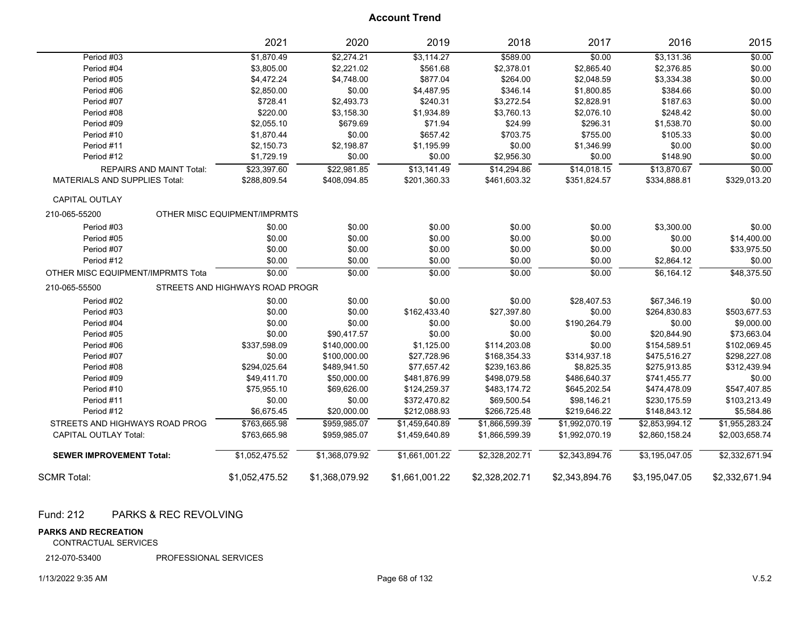|                                      | 2021                            | 2020           | 2019           | 2018           | 2017           | 2016           | 2015           |
|--------------------------------------|---------------------------------|----------------|----------------|----------------|----------------|----------------|----------------|
| Period #03                           | \$1,870.49                      | \$2,274.21     | \$3,114.27     | \$589.00       | \$0.00         | \$3,131.36     | \$0.00         |
| Period #04                           | \$3,805.00                      | \$2,221.02     | \$561.68       | \$2,378.01     | \$2,865.40     | \$2,376.85     | \$0.00         |
| Period #05                           | \$4,472.24                      | \$4,748.00     | \$877.04       | \$264.00       | \$2,048.59     | \$3,334.38     | \$0.00         |
| Period #06                           | \$2,850.00                      | \$0.00         | \$4,487.95     | \$346.14       | \$1,800.85     | \$384.66       | \$0.00         |
| Period #07                           | \$728.41                        | \$2,493.73     | \$240.31       | \$3,272.54     | \$2,828.91     | \$187.63       | \$0.00         |
| Period #08                           | \$220.00                        | \$3,158.30     | \$1,934.89     | \$3,760.13     | \$2,076.10     | \$248.42       | \$0.00         |
| Period #09                           | \$2,055.10                      | \$679.69       | \$71.94        | \$24.99        | \$296.31       | \$1,538.70     | \$0.00         |
| Period #10                           | \$1,870.44                      | \$0.00         | \$657.42       | \$703.75       | \$755.00       | \$105.33       | \$0.00         |
| Period #11                           | \$2,150.73                      | \$2,198.87     | \$1,195.99     | \$0.00         | \$1,346.99     | \$0.00         | \$0.00         |
| Period #12                           | \$1,729.19                      | \$0.00         | \$0.00         | \$2,956.30     | \$0.00         | \$148.90       | \$0.00         |
| <b>REPAIRS AND MAINT Total:</b>      | \$23,397.60                     | \$22,981.85    | \$13,141.49    | \$14,294.86    | \$14,018.15    | \$13,870.67    | \$0.00         |
| <b>MATERIALS AND SUPPLIES Total:</b> | \$288,809.54                    | \$408,094.85   | \$201,360.33   | \$461,603.32   | \$351,824.57   | \$334,888.81   | \$329,013.20   |
| <b>CAPITAL OUTLAY</b>                |                                 |                |                |                |                |                |                |
| 210-065-55200                        | OTHER MISC EQUIPMENT/IMPRMTS    |                |                |                |                |                |                |
| Period #03                           | \$0.00                          | \$0.00         | \$0.00         | \$0.00         | \$0.00         | \$3,300.00     | \$0.00         |
| Period #05                           | \$0.00                          | \$0.00         | \$0.00         | \$0.00         | \$0.00         | \$0.00         | \$14,400.00    |
| Period #07                           | \$0.00                          | \$0.00         | \$0.00         | \$0.00         | \$0.00         | \$0.00         | \$33,975.50    |
| Period #12                           | \$0.00                          | \$0.00         | \$0.00         | \$0.00         | \$0.00         | \$2,864.12     | \$0.00         |
| OTHER MISC EQUIPMENT/IMPRMTS Tota    | \$0.00                          | \$0.00         | \$0.00         | \$0.00         | \$0.00         | \$6.164.12     | \$48,375.50    |
| 210-065-55500                        | STREETS AND HIGHWAYS ROAD PROGR |                |                |                |                |                |                |
| Period #02                           | \$0.00                          | \$0.00         | \$0.00         | \$0.00         | \$28,407.53    | \$67,346.19    | \$0.00         |
| Period #03                           | \$0.00                          | \$0.00         | \$162,433.40   | \$27,397.80    | \$0.00         | \$264,830.83   | \$503,677.53   |
| Period #04                           | \$0.00                          | \$0.00         | \$0.00         | \$0.00         | \$190,264.79   | \$0.00         | \$9,000.00     |
| Period #05                           | \$0.00                          | \$90,417.57    | \$0.00         | \$0.00         | \$0.00         | \$20,844.90    | \$73,663.04    |
| Period #06                           | \$337,598.09                    | \$140,000.00   | \$1,125.00     | \$114,203.08   | \$0.00         | \$154,589.51   | \$102,069.45   |
| Period #07                           | \$0.00                          | \$100,000.00   | \$27,728.96    | \$168,354.33   | \$314,937.18   | \$475,516.27   | \$298,227.08   |
| Period #08                           | \$294,025.64                    | \$489,941.50   | \$77,657.42    | \$239,163.86   | \$8,825.35     | \$275,913.85   | \$312,439.94   |
| Period #09                           | \$49,411.70                     | \$50,000.00    | \$481,876.99   | \$498,079.58   | \$486,640.37   | \$741,455.77   | \$0.00         |
| Period #10                           | \$75,955.10                     | \$69,626.00    | \$124,259.37   | \$483,174.72   | \$645,202.54   | \$474,478.09   | \$547,407.85   |
| Period #11                           | \$0.00                          | \$0.00         | \$372,470.82   | \$69,500.54    | \$98,146.21    | \$230,175.59   | \$103,213.49   |
| Period #12                           | \$6,675.45                      | \$20,000.00    | \$212,088.93   | \$266,725.48   | \$219,646.22   | \$148,843.12   | \$5,584.86     |
| STREETS AND HIGHWAYS ROAD PROG       | \$763,665.98                    | \$959,985.07   | \$1,459,640.89 | \$1,866,599.39 | \$1,992,070.19 | \$2,853,994.12 | \$1,955,283.24 |
| <b>CAPITAL OUTLAY Total:</b>         | \$763,665.98                    | \$959,985.07   | \$1,459,640.89 | \$1,866,599.39 | \$1,992,070.19 | \$2,860,158.24 | \$2,003,658.74 |
| <b>SEWER IMPROVEMENT Total:</b>      | \$1,052,475.52                  | \$1,368,079.92 | \$1,661,001.22 | \$2,328,202.71 | \$2,343,894.76 | \$3,195,047.05 | \$2,332,671.94 |
| <b>SCMR Total:</b>                   | \$1,052,475.52                  | \$1,368,079.92 | \$1,661,001.22 | \$2,328,202.71 | \$2,343,894.76 | \$3,195,047.05 | \$2,332,671.94 |

#### Fund: 212 PARKS & REC REVOLVING

#### **PARKS AND RECREATION**

CONTRACTUAL SERVICES

212-070-53400 PROFESSIONAL SERVICES

#### 1/13/2022 9:35 AM Page 68 of 132 V.5.2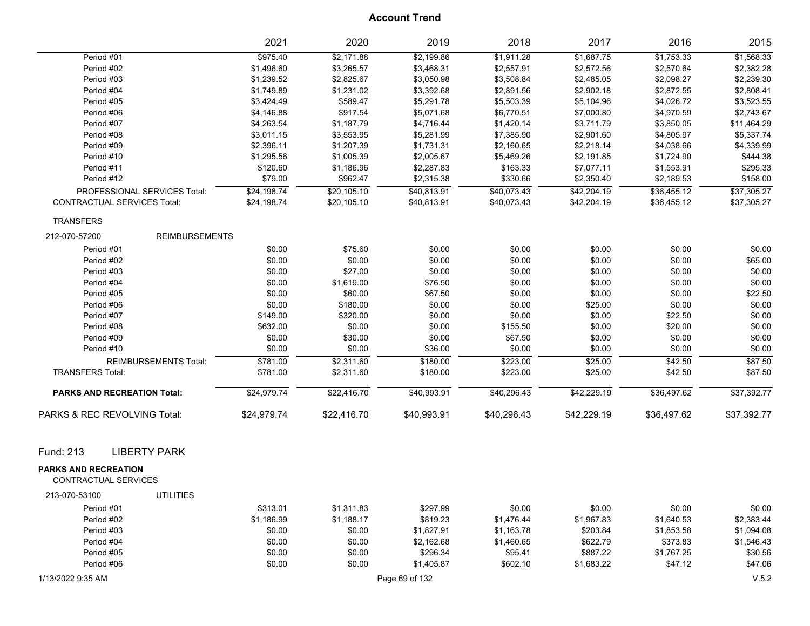|                                                     |                              | 2021        | 2020        | 2019           | 2018        | 2017        | 2016        | 2015        |
|-----------------------------------------------------|------------------------------|-------------|-------------|----------------|-------------|-------------|-------------|-------------|
| Period #01                                          |                              | \$975.40    | \$2,171.88  | \$2,199.86     | \$1,911.28  | \$1,687.75  | \$1,753.33  | \$1,568.33  |
| Period #02                                          |                              | \$1,496.60  | \$3,265.57  | \$3,468.31     | \$2,557.91  | \$2,572.56  | \$2,570.64  | \$2,382.28  |
| Period #03                                          |                              | \$1,239.52  | \$2,825.67  | \$3,050.98     | \$3,508.84  | \$2,485.05  | \$2,098.27  | \$2,239.30  |
| Period #04                                          |                              | \$1,749.89  | \$1,231.02  | \$3,392.68     | \$2,891.56  | \$2,902.18  | \$2,872.55  | \$2,808.41  |
| Period #05                                          |                              | \$3,424.49  | \$589.47    | \$5,291.78     | \$5,503.39  | \$5,104.96  | \$4,026.72  | \$3,523.55  |
| Period #06                                          |                              | \$4,146.88  | \$917.54    | \$5,071.68     | \$6,770.51  | \$7,000.80  | \$4,970.59  | \$2,743.67  |
| Period #07                                          |                              | \$4,263.54  | \$1,187.79  | \$4,716.44     | \$1,420.14  | \$3,711.79  | \$3,850.05  | \$11,464.29 |
| Period #08                                          |                              | \$3,011.15  | \$3,553.95  | \$5,281.99     | \$7,385.90  | \$2,901.60  | \$4,805.97  | \$5,337.74  |
| Period #09                                          |                              | \$2,396.11  | \$1,207.39  | \$1,731.31     | \$2,160.65  | \$2,218.14  | \$4,038.66  | \$4,339.99  |
| Period #10                                          |                              | \$1,295.56  | \$1,005.39  | \$2,005.67     | \$5,469.26  | \$2,191.85  | \$1,724.90  | \$444.38    |
| Period #11                                          |                              | \$120.60    | \$1,186.96  | \$2,287.83     | \$163.33    | \$7,077.11  | \$1,553.91  | \$295.33    |
| Period #12                                          |                              | \$79.00     | \$962.47    | \$2,315.38     | \$330.66    | \$2,350.40  | \$2,189.53  | \$158.00    |
| PROFESSIONAL SERVICES Total:                        |                              | \$24,198.74 | \$20,105.10 | \$40,813.91    | \$40,073.43 | \$42,204.19 | \$36,455.12 | \$37,305.27 |
| <b>CONTRACTUAL SERVICES Total:</b>                  |                              | \$24,198.74 | \$20,105.10 | \$40,813.91    | \$40,073.43 | \$42,204.19 | \$36,455.12 | \$37,305.27 |
| <b>TRANSFERS</b>                                    |                              |             |             |                |             |             |             |             |
| 212-070-57200                                       | <b>REIMBURSEMENTS</b>        |             |             |                |             |             |             |             |
| Period #01                                          |                              | \$0.00      | \$75.60     | \$0.00         | \$0.00      | \$0.00      | \$0.00      | \$0.00      |
| Period #02                                          |                              | \$0.00      | \$0.00      | \$0.00         | \$0.00      | \$0.00      | \$0.00      | \$65.00     |
| Period #03                                          |                              | \$0.00      | \$27.00     | \$0.00         | \$0.00      | \$0.00      | \$0.00      | \$0.00      |
| Period #04                                          |                              | \$0.00      | \$1,619.00  | \$76.50        | \$0.00      | \$0.00      | \$0.00      | \$0.00      |
| Period #05                                          |                              | \$0.00      | \$60.00     | \$67.50        | \$0.00      | \$0.00      | \$0.00      | \$22.50     |
| Period #06                                          |                              | \$0.00      | \$180.00    | \$0.00         | \$0.00      | \$25.00     | \$0.00      | \$0.00      |
| Period #07                                          |                              | \$149.00    | \$320.00    | \$0.00         | \$0.00      | \$0.00      | \$22.50     | \$0.00      |
| Period #08                                          |                              | \$632.00    | \$0.00      | \$0.00         | \$155.50    | \$0.00      | \$20.00     | \$0.00      |
| Period #09                                          |                              | \$0.00      | \$30.00     | \$0.00         | \$67.50     | \$0.00      | \$0.00      | \$0.00      |
| Period #10                                          |                              | \$0.00      | \$0.00      | \$36.00        | \$0.00      | \$0.00      | \$0.00      | \$0.00      |
|                                                     | <b>REIMBURSEMENTS Total:</b> | \$781.00    | \$2,311.60  | \$180.00       | \$223.00    | \$25.00     | \$42.50     | \$87.50     |
| <b>TRANSFERS Total:</b>                             |                              | \$781.00    | \$2,311.60  | \$180.00       | \$223.00    | \$25.00     | \$42.50     | \$87.50     |
| <b>PARKS AND RECREATION Total:</b>                  |                              | \$24,979.74 | \$22,416.70 | \$40,993.91    | \$40,296.43 | \$42,229.19 | \$36,497.62 | \$37,392.77 |
| PARKS & REC REVOLVING Total:                        |                              | \$24,979.74 | \$22,416.70 | \$40,993.91    | \$40,296.43 | \$42,229.19 | \$36,497.62 | \$37,392.77 |
| <b>LIBERTY PARK</b><br>Fund: 213                    |                              |             |             |                |             |             |             |             |
|                                                     |                              |             |             |                |             |             |             |             |
| <b>PARKS AND RECREATION</b><br>CONTRACTUAL SERVICES |                              |             |             |                |             |             |             |             |
| 213-070-53100                                       | <b>UTILITIES</b>             |             |             |                |             |             |             |             |
| Period #01                                          |                              | \$313.01    | \$1,311.83  | \$297.99       | \$0.00      | \$0.00      | \$0.00      | \$0.00      |
| Period #02                                          |                              | \$1,186.99  | \$1,188.17  | \$819.23       | \$1,476.44  | \$1,967.83  | \$1,640.53  | \$2,383.44  |
| Period #03                                          |                              | \$0.00      | \$0.00      | \$1,827.91     | \$1,163.78  | \$203.84    | \$1,853.58  | \$1,094.08  |
| Period #04                                          |                              | \$0.00      | \$0.00      | \$2,162.68     | \$1,460.65  | \$622.79    | \$373.83    | \$1,546.43  |
| Period #05                                          |                              | \$0.00      | \$0.00      | \$296.34       | \$95.41     | \$887.22    | \$1,767.25  | \$30.56     |
| Period #06                                          |                              | \$0.00      | \$0.00      | \$1,405.87     | \$602.10    | \$1,683.22  | \$47.12     | \$47.06     |
| 1/13/2022 9:35 AM                                   |                              |             |             | Page 69 of 132 |             |             |             | V.5.2       |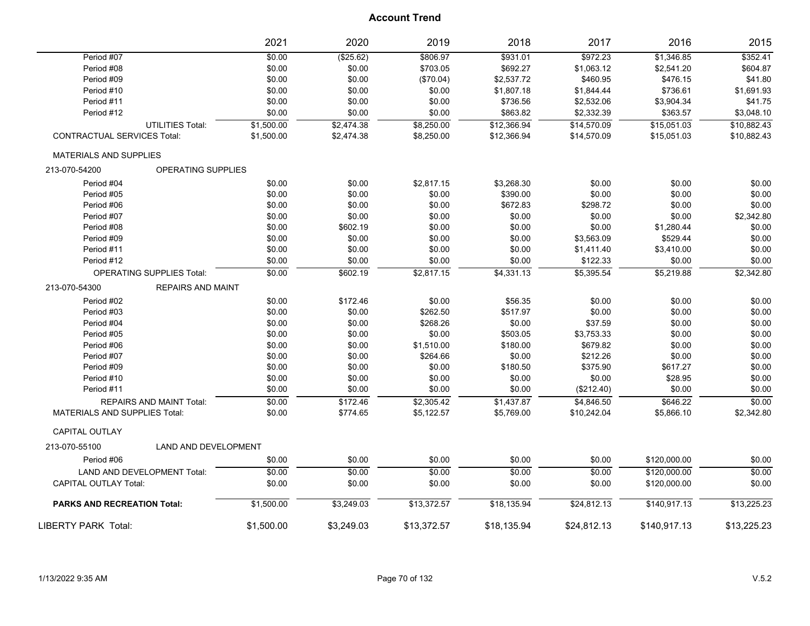|                                              | 2021       | 2020       | 2019        | 2018        | 2017        | 2016         | 2015        |
|----------------------------------------------|------------|------------|-------------|-------------|-------------|--------------|-------------|
| Period #07                                   | \$0.00     | (\$25.62)  | \$806.97    | \$931.01    | \$972.23    | \$1,346.85   | \$352.41    |
| Period #08                                   | \$0.00     | \$0.00     | \$703.05    | \$692.27    | \$1,063.12  | \$2,541.20   | \$604.87    |
| Period #09                                   | \$0.00     | \$0.00     | (\$70.04)   | \$2,537.72  | \$460.95    | \$476.15     | \$41.80     |
| Period #10                                   | \$0.00     | \$0.00     | \$0.00      | \$1,807.18  | \$1,844.44  | \$736.61     | \$1,691.93  |
| Period #11                                   | \$0.00     | \$0.00     | \$0.00      | \$736.56    | \$2,532.06  | \$3,904.34   | \$41.75     |
| Period #12                                   | \$0.00     | \$0.00     | \$0.00      | \$863.82    | \$2,332.39  | \$363.57     | \$3,048.10  |
| <b>UTILITIES Total:</b>                      | \$1,500.00 | \$2,474.38 | \$8,250.00  | \$12,366.94 | \$14,570.09 | \$15,051.03  | \$10,882.43 |
| CONTRACTUAL SERVICES Total:                  | \$1,500.00 | \$2,474.38 | \$8,250.00  | \$12,366.94 | \$14,570.09 | \$15,051.03  | \$10,882.43 |
| <b>MATERIALS AND SUPPLIES</b>                |            |            |             |             |             |              |             |
| <b>OPERATING SUPPLIES</b><br>213-070-54200   |            |            |             |             |             |              |             |
| Period #04                                   | \$0.00     | \$0.00     | \$2,817.15  | \$3,268.30  | \$0.00      | \$0.00       | \$0.00      |
| Period #05                                   | \$0.00     | \$0.00     | \$0.00      | \$390.00    | \$0.00      | \$0.00       | \$0.00      |
| Period #06                                   | \$0.00     | \$0.00     | \$0.00      | \$672.83    | \$298.72    | \$0.00       | \$0.00      |
| Period #07                                   | \$0.00     | \$0.00     | \$0.00      | \$0.00      | \$0.00      | \$0.00       | \$2,342.80  |
| Period #08                                   | \$0.00     | \$602.19   | \$0.00      | \$0.00      | \$0.00      | \$1,280.44   | \$0.00      |
| Period #09                                   | \$0.00     | \$0.00     | \$0.00      | \$0.00      | \$3,563.09  | \$529.44     | \$0.00      |
| Period #11                                   | \$0.00     | \$0.00     | \$0.00      | \$0.00      | \$1,411.40  | \$3,410.00   | \$0.00      |
| Period #12                                   | \$0.00     | \$0.00     | \$0.00      | \$0.00      | \$122.33    | \$0.00       | \$0.00      |
| <b>OPERATING SUPPLIES Total:</b>             | \$0.00     | \$602.19   | \$2,817.15  | \$4,331.13  | \$5,395.54  | \$5,219.88   | \$2,342.80  |
| 213-070-54300<br><b>REPAIRS AND MAINT</b>    |            |            |             |             |             |              |             |
| Period #02                                   | \$0.00     | \$172.46   | \$0.00      | \$56.35     | \$0.00      | \$0.00       | \$0.00      |
| Period #03                                   | \$0.00     | \$0.00     | \$262.50    | \$517.97    | \$0.00      | \$0.00       | \$0.00      |
| Period #04                                   | \$0.00     | \$0.00     | \$268.26    | \$0.00      | \$37.59     | \$0.00       | \$0.00      |
| Period #05                                   | \$0.00     | \$0.00     | \$0.00      | \$503.05    | \$3,753.33  | \$0.00       | \$0.00      |
| Period #06                                   | \$0.00     | \$0.00     | \$1,510.00  | \$180.00    | \$679.82    | \$0.00       | \$0.00      |
| Period #07                                   | \$0.00     | \$0.00     | \$264.66    | \$0.00      | \$212.26    | \$0.00       | \$0.00      |
| Period #09                                   | \$0.00     | \$0.00     | \$0.00      | \$180.50    | \$375.90    | \$617.27     | \$0.00      |
| Period #10                                   | \$0.00     | \$0.00     | \$0.00      | \$0.00      | \$0.00      | \$28.95      | \$0.00      |
| Period #11                                   | \$0.00     | \$0.00     | \$0.00      | \$0.00      | (\$212.40)  | \$0.00       | \$0.00      |
| REPAIRS AND MAINT Total:                     | \$0.00     | \$172.46   | \$2,305.42  | \$1,437.87  | \$4,846.50  | \$646.22     | \$0.00      |
| <b>MATERIALS AND SUPPLIES Total:</b>         | \$0.00     | \$774.65   | \$5,122.57  | \$5,769.00  | \$10,242.04 | \$5,866.10   | \$2,342.80  |
| CAPITAL OUTLAY                               |            |            |             |             |             |              |             |
| <b>LAND AND DEVELOPMENT</b><br>213-070-55100 |            |            |             |             |             |              |             |
| Period #06                                   | \$0.00     | \$0.00     | \$0.00      | \$0.00      | \$0.00      | \$120,000.00 | \$0.00      |
| <b>LAND AND DEVELOPMENT Total:</b>           | \$0.00     | \$0.00     | \$0.00      | \$0.00      | \$0.00      | \$120.000.00 | \$0.00      |
| <b>CAPITAL OUTLAY Total:</b>                 | \$0.00     | \$0.00     | \$0.00      | \$0.00      | \$0.00      | \$120,000.00 | \$0.00      |
| <b>PARKS AND RECREATION Total:</b>           | \$1,500.00 | \$3,249.03 | \$13,372.57 | \$18,135.94 | \$24,812.13 | \$140,917.13 | \$13,225.23 |
| LIBERTY PARK Total:                          | \$1,500.00 | \$3,249.03 | \$13,372.57 | \$18,135.94 | \$24,812.13 | \$140,917.13 | \$13,225.23 |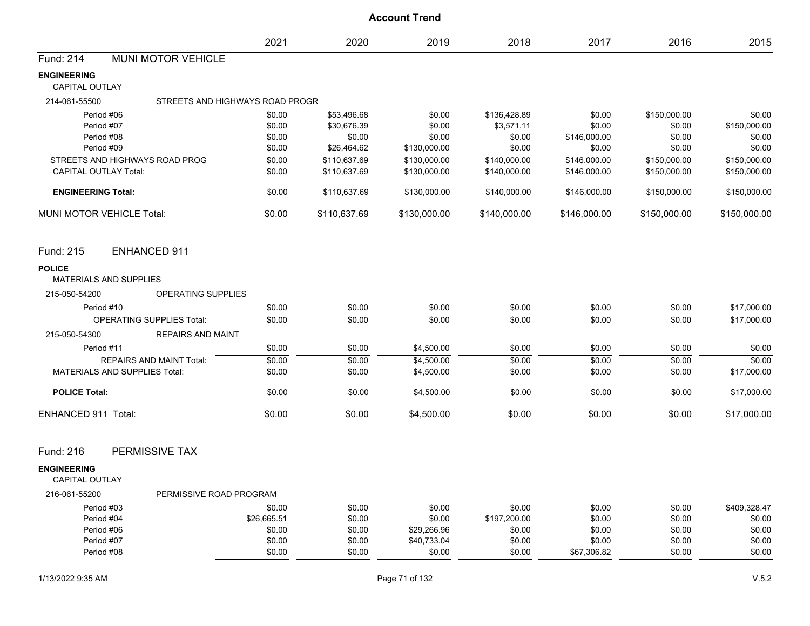|                                                | 2021                            | 2020                         | 2019                         | 2018                         | 2017                         | 2016                         | 2015                         |
|------------------------------------------------|---------------------------------|------------------------------|------------------------------|------------------------------|------------------------------|------------------------------|------------------------------|
| <b>MUNI MOTOR VEHICLE</b><br>Fund: 214         |                                 |                              |                              |                              |                              |                              |                              |
| <b>ENGINEERING</b><br><b>CAPITAL OUTLAY</b>    |                                 |                              |                              |                              |                              |                              |                              |
| 214-061-55500                                  | STREETS AND HIGHWAYS ROAD PROGR |                              |                              |                              |                              |                              |                              |
| Period #06                                     | \$0.00                          | \$53,496.68                  | \$0.00                       | \$136,428.89                 | \$0.00                       | \$150,000.00                 | \$0.00                       |
| Period #07                                     | \$0.00                          | \$30,676.39                  | \$0.00                       | \$3,571.11                   | \$0.00                       | \$0.00                       | \$150,000.00                 |
| Period #08                                     | \$0.00                          | \$0.00                       | \$0.00                       | \$0.00                       | \$146,000.00                 | \$0.00                       | \$0.00                       |
| Period #09<br>STREETS AND HIGHWAYS ROAD PROG   | \$0.00                          | \$26,464.62                  | \$130,000.00                 | \$0.00                       | \$0.00                       | \$0.00                       | \$0.00                       |
| <b>CAPITAL OUTLAY Total:</b>                   | \$0.00<br>\$0.00                | \$110,637.69<br>\$110,637.69 | \$130,000.00<br>\$130,000.00 | \$140,000.00<br>\$140,000.00 | \$146,000.00<br>\$146,000.00 | \$150,000.00<br>\$150,000.00 | \$150,000.00<br>\$150,000.00 |
|                                                |                                 |                              |                              |                              |                              |                              |                              |
| <b>ENGINEERING Total:</b>                      | \$0.00                          | \$110,637.69                 | $\overline{$130,000.00}$     | \$140,000.00                 | \$146,000.00                 | \$150,000.00                 | \$150,000.00                 |
| <b>MUNI MOTOR VEHICLE Total:</b>               | \$0.00                          | \$110,637.69                 | \$130,000.00                 | \$140,000.00                 | \$146,000.00                 | \$150,000.00                 | \$150,000.00                 |
| Fund: 215<br><b>ENHANCED 911</b>               |                                 |                              |                              |                              |                              |                              |                              |
| <b>POLICE</b><br><b>MATERIALS AND SUPPLIES</b> |                                 |                              |                              |                              |                              |                              |                              |
| OPERATING SUPPLIES<br>215-050-54200            |                                 |                              |                              |                              |                              |                              |                              |
| Period #10                                     | \$0.00                          | \$0.00                       | \$0.00                       | \$0.00                       | \$0.00                       | \$0.00                       | \$17,000.00                  |
| <b>OPERATING SUPPLIES Total:</b>               | \$0.00                          | \$0.00                       | \$0.00                       | \$0.00                       | \$0.00                       | \$0.00                       | \$17,000.00                  |
| 215-050-54300<br><b>REPAIRS AND MAINT</b>      |                                 |                              |                              |                              |                              |                              |                              |
| Period #11                                     | \$0.00                          | \$0.00                       | \$4,500.00                   | \$0.00                       | \$0.00                       | \$0.00                       | \$0.00                       |
| <b>REPAIRS AND MAINT Total:</b>                | \$0.00                          | \$0.00                       | \$4,500.00                   | \$0.00                       | \$0.00                       | \$0.00                       | \$0.00                       |
| <b>MATERIALS AND SUPPLIES Total:</b>           | \$0.00                          | \$0.00                       | \$4,500.00                   | \$0.00                       | \$0.00                       | \$0.00                       | \$17,000.00                  |
| <b>POLICE Total:</b>                           | \$0.00                          | \$0.00                       | \$4,500.00                   | \$0.00                       | \$0.00                       | \$0.00                       | \$17,000.00                  |
| <b>ENHANCED 911 Total:</b>                     | \$0.00                          | \$0.00                       | \$4,500.00                   | \$0.00                       | \$0.00                       | \$0.00                       | \$17,000.00                  |
| PERMISSIVE TAX<br>Fund: 216                    |                                 |                              |                              |                              |                              |                              |                              |
| <b>ENGINEERING</b><br><b>CAPITAL OUTLAY</b>    |                                 |                              |                              |                              |                              |                              |                              |
| 216-061-55200                                  | PERMISSIVE ROAD PROGRAM         |                              |                              |                              |                              |                              |                              |
| Period #03                                     | \$0.00                          | \$0.00                       | \$0.00                       | \$0.00                       | \$0.00                       | \$0.00                       | \$409,328.47                 |
| Period #04                                     | \$26,665.51                     | \$0.00                       | \$0.00                       | \$197,200.00                 | \$0.00                       | \$0.00                       | \$0.00                       |
| Period #06                                     | \$0.00                          | \$0.00                       | \$29,266.96                  | \$0.00                       | \$0.00                       | \$0.00                       | \$0.00                       |
| Period #07                                     | \$0.00                          | \$0.00                       | \$40,733.04                  | \$0.00                       | \$0.00                       | \$0.00                       | \$0.00                       |
| Period #08                                     | \$0.00                          | \$0.00                       | \$0.00                       | \$0.00                       | \$67,306.82                  | \$0.00                       | \$0.00                       |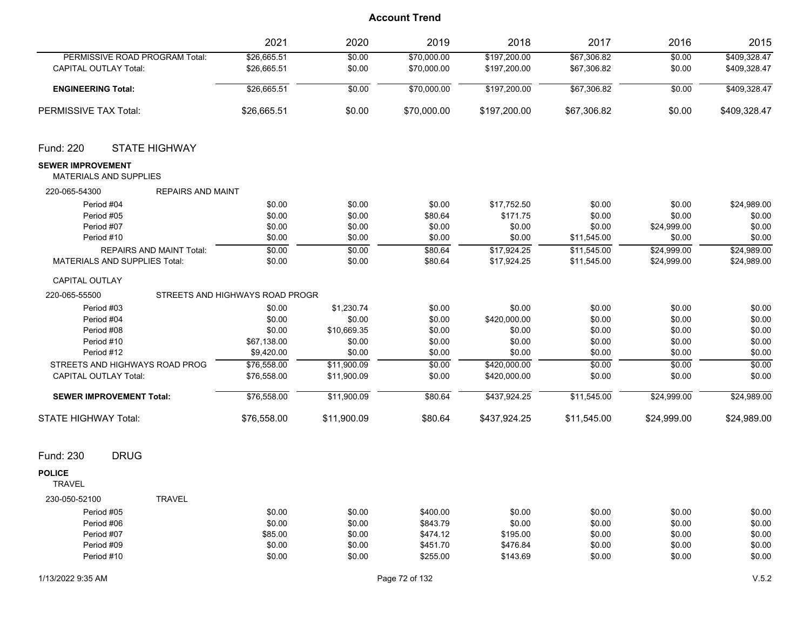|                                                                                                                                                                         | 2021                                                                                                 | 2020                                                                                                 | 2019                                                                          | 2018                                                                                                 | 2017                                                                              | 2016                                                                              | 2015                                                                              |
|-------------------------------------------------------------------------------------------------------------------------------------------------------------------------|------------------------------------------------------------------------------------------------------|------------------------------------------------------------------------------------------------------|-------------------------------------------------------------------------------|------------------------------------------------------------------------------------------------------|-----------------------------------------------------------------------------------|-----------------------------------------------------------------------------------|-----------------------------------------------------------------------------------|
| PERMISSIVE ROAD PROGRAM Total:<br><b>CAPITAL OUTLAY Total:</b>                                                                                                          | \$26,665.51<br>\$26,665.51                                                                           | \$0.00<br>\$0.00                                                                                     | \$70,000.00<br>\$70,000.00                                                    | \$197,200.00<br>\$197,200.00                                                                         | \$67,306.82<br>\$67,306.82                                                        | \$0.00<br>\$0.00                                                                  | \$409,328.47<br>\$409,328.47                                                      |
| <b>ENGINEERING Total:</b>                                                                                                                                               | \$26,665.51                                                                                          | \$0.00                                                                                               | \$70,000.00                                                                   | \$197,200.00                                                                                         | \$67,306.82                                                                       | \$0.00                                                                            | \$409,328.47                                                                      |
| PERMISSIVE TAX Total:                                                                                                                                                   | \$26,665.51                                                                                          | \$0.00                                                                                               | \$70,000.00                                                                   | \$197,200.00                                                                                         | \$67,306.82                                                                       | \$0.00                                                                            | \$409,328.47                                                                      |
| Fund: 220<br><b>STATE HIGHWAY</b>                                                                                                                                       |                                                                                                      |                                                                                                      |                                                                               |                                                                                                      |                                                                                   |                                                                                   |                                                                                   |
| <b>SEWER IMPROVEMENT</b><br>MATERIALS AND SUPPLIES                                                                                                                      |                                                                                                      |                                                                                                      |                                                                               |                                                                                                      |                                                                                   |                                                                                   |                                                                                   |
| 220-065-54300                                                                                                                                                           | <b>REPAIRS AND MAINT</b>                                                                             |                                                                                                      |                                                                               |                                                                                                      |                                                                                   |                                                                                   |                                                                                   |
| Period #04<br>Period #05<br>Period #07<br>Period #10<br><b>REPAIRS AND MAINT Total:</b>                                                                                 | \$0.00<br>\$0.00<br>\$0.00<br>\$0.00<br>\$0.00                                                       | \$0.00<br>\$0.00<br>\$0.00<br>\$0.00<br>\$0.00                                                       | \$0.00<br>\$80.64<br>\$0.00<br>\$0.00<br>\$80.64                              | \$17,752.50<br>\$171.75<br>\$0.00<br>\$0.00<br>\$17,924.25                                           | \$0.00<br>\$0.00<br>\$0.00<br>\$11,545.00<br>\$11,545.00                          | \$0.00<br>\$0.00<br>\$24,999.00<br>\$0.00<br>\$24,999.00                          | \$24,989.00<br>\$0.00<br>\$0.00<br>\$0.00<br>\$24,989.00                          |
| MATERIALS AND SUPPLIES Total:                                                                                                                                           | \$0.00                                                                                               | \$0.00                                                                                               | \$80.64                                                                       | \$17,924.25                                                                                          | \$11,545.00                                                                       | \$24,999.00                                                                       | \$24,989.00                                                                       |
| <b>CAPITAL OUTLAY</b>                                                                                                                                                   |                                                                                                      |                                                                                                      |                                                                               |                                                                                                      |                                                                                   |                                                                                   |                                                                                   |
| 220-065-55500                                                                                                                                                           | STREETS AND HIGHWAYS ROAD PROGR                                                                      |                                                                                                      |                                                                               |                                                                                                      |                                                                                   |                                                                                   |                                                                                   |
| Period #03<br>Period #04<br>Period #08<br>Period #10<br>Period #12<br>STREETS AND HIGHWAYS ROAD PROG<br><b>CAPITAL OUTLAY Total:</b><br><b>SEWER IMPROVEMENT Total:</b> | \$0.00<br>\$0.00<br>\$0.00<br>\$67,138.00<br>\$9,420.00<br>\$76,558.00<br>\$76,558.00<br>\$76,558.00 | \$1,230.74<br>\$0.00<br>\$10,669.35<br>\$0.00<br>\$0.00<br>\$11,900.09<br>\$11,900.09<br>\$11,900.09 | \$0.00<br>\$0.00<br>\$0.00<br>\$0.00<br>\$0.00<br>\$0.00<br>\$0.00<br>\$80.64 | \$0.00<br>\$420,000.00<br>\$0.00<br>\$0.00<br>\$0.00<br>\$420,000.00<br>\$420,000.00<br>\$437,924.25 | \$0.00<br>\$0.00<br>\$0.00<br>\$0.00<br>\$0.00<br>\$0.00<br>\$0.00<br>\$11,545.00 | \$0.00<br>\$0.00<br>\$0.00<br>\$0.00<br>\$0.00<br>\$0.00<br>\$0.00<br>\$24,999.00 | \$0.00<br>\$0.00<br>\$0.00<br>\$0.00<br>\$0.00<br>\$0.00<br>\$0.00<br>\$24,989.00 |
| <b>STATE HIGHWAY Total:</b>                                                                                                                                             | \$76,558.00                                                                                          | \$11,900.09                                                                                          | \$80.64                                                                       | \$437,924.25                                                                                         | \$11,545.00                                                                       | \$24,999.00                                                                       | \$24,989.00                                                                       |
| Fund: 230<br><b>DRUG</b><br><b>POLICE</b><br><b>TRAVEL</b>                                                                                                              |                                                                                                      |                                                                                                      |                                                                               |                                                                                                      |                                                                                   |                                                                                   |                                                                                   |
| <b>TRAVEL</b><br>230-050-52100                                                                                                                                          |                                                                                                      |                                                                                                      |                                                                               |                                                                                                      |                                                                                   |                                                                                   |                                                                                   |
| Period #05<br>Period #06<br>Period #07<br>Period #09<br>Period #10                                                                                                      | \$0.00<br>\$0.00<br>\$85.00<br>\$0.00<br>\$0.00                                                      | \$0.00<br>\$0.00<br>\$0.00<br>\$0.00<br>\$0.00                                                       | \$400.00<br>\$843.79<br>\$474.12<br>\$451.70<br>\$255.00                      | \$0.00<br>\$0.00<br>\$195.00<br>\$476.84<br>\$143.69                                                 | \$0.00<br>\$0.00<br>\$0.00<br>\$0.00<br>\$0.00                                    | \$0.00<br>\$0.00<br>\$0.00<br>\$0.00<br>\$0.00                                    | \$0.00<br>\$0.00<br>\$0.00<br>\$0.00<br>\$0.00                                    |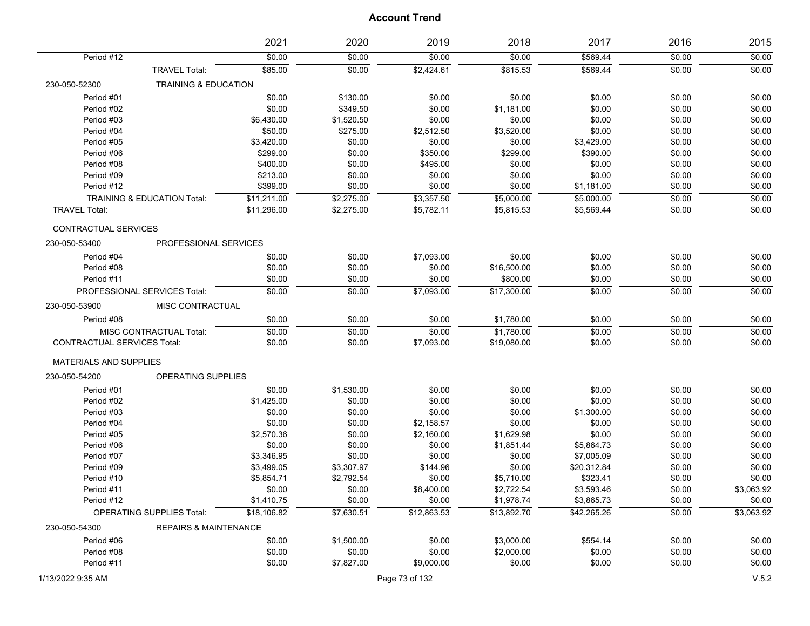|                                    |                                  | 2021        | 2020       | 2019           | 2018        | 2017        | 2016   | 2015       |
|------------------------------------|----------------------------------|-------------|------------|----------------|-------------|-------------|--------|------------|
| Period #12                         |                                  | \$0.00      | \$0.00     | \$0.00         | \$0.00      | \$569.44    | \$0.00 | \$0.00     |
|                                    | <b>TRAVEL Total:</b>             | \$85.00     | \$0.00     | \$2,424.61     | \$815.53    | \$569.44    | \$0.00 | \$0.00     |
| 230-050-52300                      | <b>TRAINING &amp; EDUCATION</b>  |             |            |                |             |             |        |            |
| Period #01                         |                                  | \$0.00      | \$130.00   | \$0.00         | \$0.00      | \$0.00      | \$0.00 | \$0.00     |
| Period #02                         |                                  | \$0.00      | \$349.50   | \$0.00         | \$1,181.00  | \$0.00      | \$0.00 | \$0.00     |
| Period #03                         |                                  | \$6,430.00  | \$1,520.50 | \$0.00         | \$0.00      | \$0.00      | \$0.00 | \$0.00     |
| Period #04                         |                                  | \$50.00     | \$275.00   | \$2,512.50     | \$3,520.00  | \$0.00      | \$0.00 | \$0.00     |
| Period #05                         |                                  | \$3,420.00  | \$0.00     | \$0.00         | \$0.00      | \$3,429.00  | \$0.00 | \$0.00     |
| Period #06                         |                                  | \$299.00    | \$0.00     | \$350.00       | \$299.00    | \$390.00    | \$0.00 | \$0.00     |
| Period #08                         |                                  | \$400.00    | \$0.00     | \$495.00       | \$0.00      | \$0.00      | \$0.00 | \$0.00     |
| Period #09                         |                                  | \$213.00    | \$0.00     | \$0.00         | \$0.00      | \$0.00      | \$0.00 | \$0.00     |
| Period #12                         |                                  | \$399.00    | \$0.00     | \$0.00         | \$0.00      | \$1,181.00  | \$0.00 | \$0.00     |
|                                    | TRAINING & EDUCATION Total:      | \$11,211.00 | \$2,275.00 | \$3,357.50     | \$5,000.00  | \$5,000.00  | \$0.00 | \$0.00     |
| <b>TRAVEL Total:</b>               |                                  | \$11,296.00 | \$2,275.00 | \$5,782.11     | \$5,815.53  | \$5,569.44  | \$0.00 | \$0.00     |
| CONTRACTUAL SERVICES               |                                  |             |            |                |             |             |        |            |
| 230-050-53400                      | PROFESSIONAL SERVICES            |             |            |                |             |             |        |            |
| Period #04                         |                                  | \$0.00      | \$0.00     | \$7,093.00     | \$0.00      | \$0.00      | \$0.00 | \$0.00     |
| Period #08                         |                                  | \$0.00      | \$0.00     | \$0.00         | \$16,500.00 | \$0.00      | \$0.00 | \$0.00     |
| Period #11                         |                                  | \$0.00      | \$0.00     | \$0.00         | \$800.00    | \$0.00      | \$0.00 | \$0.00     |
|                                    | PROFESSIONAL SERVICES Total:     | \$0.00      | \$0.00     | \$7,093.00     | \$17,300.00 | \$0.00      | \$0.00 | \$0.00     |
| 230-050-53900                      | MISC CONTRACTUAL                 |             |            |                |             |             |        |            |
| Period #08                         |                                  | \$0.00      | \$0.00     | \$0.00         | \$1,780.00  | \$0.00      | \$0.00 | \$0.00     |
|                                    | MISC CONTRACTUAL Total:          | \$0.00      | \$0.00     | \$0.00         | \$1,780.00  | \$0.00      | \$0.00 | \$0.00     |
| <b>CONTRACTUAL SERVICES Total:</b> |                                  | \$0.00      | \$0.00     | \$7,093.00     | \$19,080.00 | \$0.00      | \$0.00 | \$0.00     |
| <b>MATERIALS AND SUPPLIES</b>      |                                  |             |            |                |             |             |        |            |
| 230-050-54200                      | <b>OPERATING SUPPLIES</b>        |             |            |                |             |             |        |            |
| Period #01                         |                                  | \$0.00      | \$1,530.00 | \$0.00         | \$0.00      | \$0.00      | \$0.00 | \$0.00     |
| Period #02                         |                                  | \$1,425.00  | \$0.00     | \$0.00         | \$0.00      | \$0.00      | \$0.00 | \$0.00     |
| Period #03                         |                                  | \$0.00      | \$0.00     | \$0.00         | \$0.00      | \$1,300.00  | \$0.00 | \$0.00     |
| Period #04                         |                                  | \$0.00      | \$0.00     | \$2,158.57     | \$0.00      | \$0.00      | \$0.00 | \$0.00     |
| Period #05                         |                                  | \$2,570.36  | \$0.00     | \$2,160.00     | \$1,629.98  | \$0.00      | \$0.00 | \$0.00     |
| Period #06                         |                                  | \$0.00      | \$0.00     | \$0.00         | \$1,851.44  | \$5,864.73  | \$0.00 | \$0.00     |
| Period #07                         |                                  | \$3,346.95  | \$0.00     | \$0.00         | \$0.00      | \$7,005.09  | \$0.00 | \$0.00     |
| Period #09                         |                                  | \$3,499.05  | \$3,307.97 | \$144.96       | \$0.00      | \$20,312.84 | \$0.00 | \$0.00     |
| Period #10                         |                                  | \$5,854.71  | \$2,792.54 | \$0.00         | \$5,710.00  | \$323.41    | \$0.00 | \$0.00     |
| Period #11                         |                                  | \$0.00      | \$0.00     | \$8,400.00     | \$2,722.54  | \$3,593.46  | \$0.00 | \$3,063.92 |
| Period #12                         |                                  | \$1,410.75  | \$0.00     | \$0.00         | \$1,978.74  | \$3,865.73  | \$0.00 | \$0.00     |
|                                    | <b>OPERATING SUPPLIES Total:</b> | \$18,106.82 | \$7,630.51 | \$12,863.53    | \$13,892.70 | \$42,265.26 | \$0.00 | \$3,063.92 |
| 230-050-54300                      | <b>REPAIRS &amp; MAINTENANCE</b> |             |            |                |             |             |        |            |
| Period #06                         |                                  | \$0.00      | \$1,500.00 | \$0.00         | \$3,000.00  | \$554.14    | \$0.00 | \$0.00     |
| Period #08                         |                                  | \$0.00      | \$0.00     | \$0.00         | \$2,000.00  | \$0.00      | \$0.00 | \$0.00     |
| Period #11                         |                                  | \$0.00      | \$7,827.00 | \$9,000.00     | \$0.00      | \$0.00      | \$0.00 | \$0.00     |
| 1/13/2022 9:35 AM                  |                                  |             |            | Page 73 of 132 |             |             |        | V.5.2      |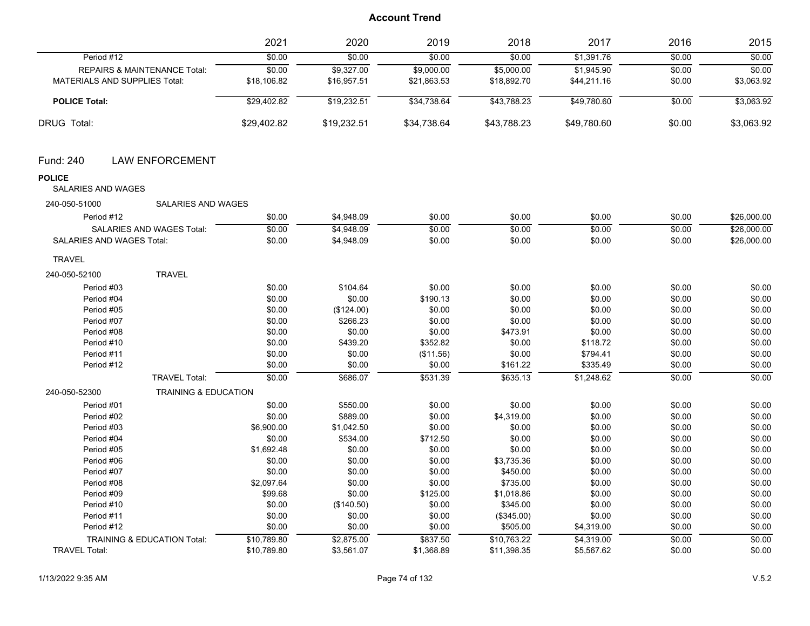|                                                  | 2021        | 2020        | 2019        | 2018        | 2017        | 2016   | 2015        |
|--------------------------------------------------|-------------|-------------|-------------|-------------|-------------|--------|-------------|
| Period #12                                       | \$0.00      | \$0.00      | \$0.00      | \$0.00      | \$1,391.76  | \$0.00 | \$0.00      |
| REPAIRS & MAINTENANCE Total:                     | \$0.00      | \$9,327.00  | \$9,000.00  | \$5,000.00  | \$1,945.90  | \$0.00 | \$0.00      |
| <b>MATERIALS AND SUPPLIES Total:</b>             | \$18,106.82 | \$16,957.51 | \$21,863.53 | \$18,892.70 | \$44,211.16 | \$0.00 | \$3,063.92  |
| <b>POLICE Total:</b>                             | \$29,402.82 | \$19,232.51 | \$34,738.64 | \$43,788.23 | \$49,780.60 | \$0.00 | \$3,063.92  |
| DRUG Total:                                      | \$29,402.82 | \$19,232.51 | \$34,738.64 | \$43,788.23 | \$49,780.60 | \$0.00 | \$3,063.92  |
| <b>LAW ENFORCEMENT</b><br>Fund: 240              |             |             |             |             |             |        |             |
| <b>POLICE</b><br><b>SALARIES AND WAGES</b>       |             |             |             |             |             |        |             |
| 240-050-51000<br>SALARIES AND WAGES              |             |             |             |             |             |        |             |
| Period #12                                       | \$0.00      | \$4,948.09  | \$0.00      | \$0.00      | \$0.00      | \$0.00 | \$26,000.00 |
| SALARIES AND WAGES Total:                        | \$0.00      | \$4,948.09  | \$0.00      | \$0.00      | \$0.00      | \$0.00 | \$26,000.00 |
| SALARIES AND WAGES Total:                        | \$0.00      | \$4,948.09  | \$0.00      | \$0.00      | \$0.00      | \$0.00 | \$26,000.00 |
| <b>TRAVEL</b>                                    |             |             |             |             |             |        |             |
| <b>TRAVEL</b><br>240-050-52100                   |             |             |             |             |             |        |             |
| Period #03                                       | \$0.00      | \$104.64    | \$0.00      | \$0.00      | \$0.00      | \$0.00 | \$0.00      |
| Period #04                                       | \$0.00      | \$0.00      | \$190.13    | \$0.00      | \$0.00      | \$0.00 | \$0.00      |
| Period #05                                       | \$0.00      | (\$124.00)  | \$0.00      | \$0.00      | \$0.00      | \$0.00 | \$0.00      |
| Period #07                                       | \$0.00      | \$266.23    | \$0.00      | \$0.00      | \$0.00      | \$0.00 | \$0.00      |
| Period #08                                       | \$0.00      | \$0.00      | \$0.00      | \$473.91    | \$0.00      | \$0.00 | \$0.00      |
| Period #10                                       | \$0.00      | \$439.20    | \$352.82    | \$0.00      | \$118.72    | \$0.00 | \$0.00      |
| Period #11                                       | \$0.00      | \$0.00      | (\$11.56)   | \$0.00      | \$794.41    | \$0.00 | \$0.00      |
| Period #12                                       | \$0.00      | \$0.00      | \$0.00      | \$161.22    | \$335.49    | \$0.00 | \$0.00      |
| <b>TRAVEL Total:</b>                             | \$0.00      | \$686.07    | \$531.39    | \$635.13    | \$1,248.62  | \$0.00 | \$0.00      |
| 240-050-52300<br><b>TRAINING &amp; EDUCATION</b> |             |             |             |             |             |        |             |
| Period #01                                       | \$0.00      | \$550.00    | \$0.00      | \$0.00      | \$0.00      | \$0.00 | \$0.00      |
| Period #02                                       | \$0.00      | \$889.00    | \$0.00      | \$4,319.00  | \$0.00      | \$0.00 | \$0.00      |
| Period #03                                       | \$6,900.00  | \$1,042.50  | \$0.00      | \$0.00      | \$0.00      | \$0.00 | \$0.00      |
| Period #04                                       | \$0.00      | \$534.00    | \$712.50    | \$0.00      | \$0.00      | \$0.00 | \$0.00      |
| Period #05                                       | \$1,692.48  | \$0.00      | \$0.00      | \$0.00      | \$0.00      | \$0.00 | \$0.00      |
| Period #06                                       | \$0.00      | \$0.00      | \$0.00      | \$3,735.36  | \$0.00      | \$0.00 | \$0.00      |
| Period #07                                       | \$0.00      | \$0.00      | \$0.00      | \$450.00    | \$0.00      | \$0.00 | \$0.00      |
| Period #08                                       | \$2,097.64  | \$0.00      | \$0.00      | \$735.00    | \$0.00      | \$0.00 | \$0.00      |
| Period #09                                       | \$99.68     | \$0.00      | \$125.00    | \$1,018.86  | \$0.00      | \$0.00 | \$0.00      |
| Period #10                                       | \$0.00      | (\$140.50)  | \$0.00      | \$345.00    | \$0.00      | \$0.00 | \$0.00      |
| Period #11                                       | \$0.00      | \$0.00      | \$0.00      | (\$345.00)  | \$0.00      | \$0.00 | \$0.00      |
| Period #12                                       | \$0.00      | \$0.00      | \$0.00      | \$505.00    | \$4,319.00  | \$0.00 | \$0.00      |
| <b>TRAINING &amp; EDUCATION Total:</b>           | \$10,789.80 | \$2,875.00  | \$837.50    | \$10,763.22 | \$4,319.00  | \$0.00 | \$0.00      |
| <b>TRAVEL Total:</b>                             | \$10,789.80 | \$3,561.07  | \$1,368.89  | \$11,398.35 | \$5,567.62  | \$0.00 | \$0.00      |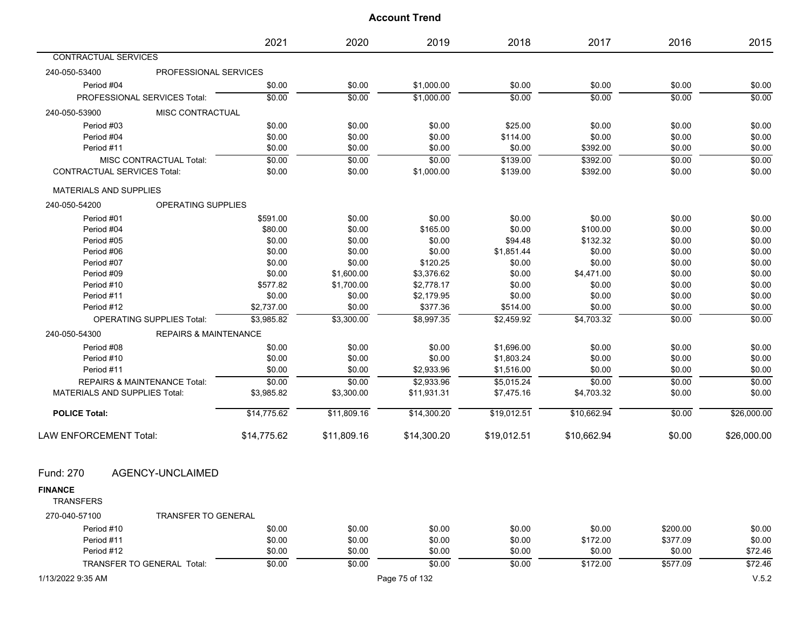|                                                   | 2021        | 2020        | 2019           | 2018        | 2017        | 2016     | 2015        |
|---------------------------------------------------|-------------|-------------|----------------|-------------|-------------|----------|-------------|
| CONTRACTUAL SERVICES                              |             |             |                |             |             |          |             |
| PROFESSIONAL SERVICES<br>240-050-53400            |             |             |                |             |             |          |             |
| Period #04                                        | \$0.00      | \$0.00      | \$1,000.00     | \$0.00      | \$0.00      | \$0.00   | \$0.00      |
| PROFESSIONAL SERVICES Total:                      | \$0.00      | \$0.00      | \$1,000.00     | \$0.00      | \$0.00      | \$0.00   | \$0.00      |
| 240-050-53900<br>MISC CONTRACTUAL                 |             |             |                |             |             |          |             |
| Period #03                                        | \$0.00      | \$0.00      | \$0.00         | \$25.00     | \$0.00      | \$0.00   | \$0.00      |
| Period #04                                        | \$0.00      | \$0.00      | \$0.00         | \$114.00    | \$0.00      | \$0.00   | \$0.00      |
| Period #11                                        | \$0.00      | \$0.00      | \$0.00         | \$0.00      | \$392.00    | \$0.00   | \$0.00      |
| MISC CONTRACTUAL Total:                           | \$0.00      | \$0.00      | \$0.00         | \$139.00    | \$392.00    | \$0.00   | \$0.00      |
| <b>CONTRACTUAL SERVICES Total:</b>                | \$0.00      | \$0.00      | \$1,000.00     | \$139.00    | \$392.00    | \$0.00   | \$0.00      |
| <b>MATERIALS AND SUPPLIES</b>                     |             |             |                |             |             |          |             |
| OPERATING SUPPLIES<br>240-050-54200               |             |             |                |             |             |          |             |
| Period #01                                        | \$591.00    | \$0.00      | \$0.00         | \$0.00      | \$0.00      | \$0.00   | \$0.00      |
| Period #04                                        | \$80.00     | \$0.00      | \$165.00       | \$0.00      | \$100.00    | \$0.00   | \$0.00      |
| Period #05                                        | \$0.00      | \$0.00      | \$0.00         | \$94.48     | \$132.32    | \$0.00   | \$0.00      |
| Period #06                                        | \$0.00      | \$0.00      | \$0.00         | \$1,851.44  | \$0.00      | \$0.00   | \$0.00      |
| Period #07                                        | \$0.00      | \$0.00      | \$120.25       | \$0.00      | \$0.00      | \$0.00   | \$0.00      |
| Period #09                                        | \$0.00      | \$1,600.00  | \$3,376.62     | \$0.00      | \$4,471.00  | \$0.00   | \$0.00      |
| Period #10                                        | \$577.82    | \$1,700.00  | \$2,778.17     | \$0.00      | \$0.00      | \$0.00   | \$0.00      |
| Period #11                                        | \$0.00      | \$0.00      | \$2,179.95     | \$0.00      | \$0.00      | \$0.00   | \$0.00      |
| Period #12                                        | \$2,737.00  | \$0.00      | \$377.36       | \$514.00    | \$0.00      | \$0.00   | \$0.00      |
| <b>OPERATING SUPPLIES Total:</b>                  | \$3,985.82  | \$3,300.00  | \$8,997.35     | \$2,459.92  | \$4,703.32  | \$0.00   | \$0.00      |
| 240-050-54300<br><b>REPAIRS &amp; MAINTENANCE</b> |             |             |                |             |             |          |             |
| Period #08                                        | \$0.00      | \$0.00      | \$0.00         | \$1,696.00  | \$0.00      | \$0.00   | \$0.00      |
| Period #10                                        | \$0.00      | \$0.00      | \$0.00         | \$1,803.24  | \$0.00      | \$0.00   | \$0.00      |
| Period #11                                        | \$0.00      | \$0.00      | \$2,933.96     | \$1,516.00  | \$0.00      | \$0.00   | \$0.00      |
| <b>REPAIRS &amp; MAINTENANCE Total:</b>           | \$0.00      | \$0.00      | \$2,933.96     | \$5,015.24  | \$0.00      | \$0.00   | \$0.00      |
| <b>MATERIALS AND SUPPLIES Total:</b>              | \$3,985.82  | \$3,300.00  | \$11,931.31    | \$7,475.16  | \$4,703.32  | \$0.00   | \$0.00      |
| <b>POLICE Total:</b>                              | \$14,775.62 | \$11,809.16 | \$14,300.20    | \$19,012.51 | \$10,662.94 | \$0.00   | \$26,000.00 |
| LAW ENFORCEMENT Total:                            | \$14,775.62 | \$11,809.16 | \$14,300.20    | \$19,012.51 | \$10,662.94 | \$0.00   | \$26,000.00 |
| AGENCY-UNCLAIMED<br>Fund: 270                     |             |             |                |             |             |          |             |
| <b>FINANCE</b><br><b>TRANSFERS</b>                |             |             |                |             |             |          |             |
| 270-040-57100<br><b>TRANSFER TO GENERAL</b>       |             |             |                |             |             |          |             |
| Period #10                                        | \$0.00      | \$0.00      | \$0.00         | \$0.00      | \$0.00      | \$200.00 | \$0.00      |
| Period #11                                        | \$0.00      | \$0.00      | \$0.00         | \$0.00      | \$172.00    | \$377.09 | \$0.00      |
| Period #12                                        | \$0.00      | \$0.00      | \$0.00         | \$0.00      | \$0.00      | \$0.00   | \$72.46     |
| TRANSFER TO GENERAL Total:                        | \$0.00      | \$0.00      | \$0.00         | \$0.00      | \$172.00    | \$577.09 | \$72.46     |
| 1/13/2022 9:35 AM                                 |             |             | Page 75 of 132 |             |             |          | V.5.2       |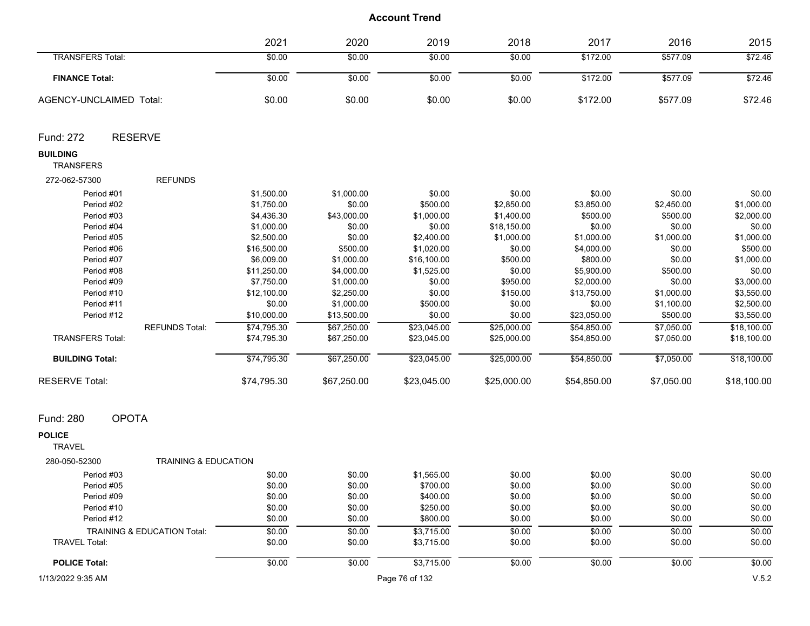|                                                                                                                                                                                                                                                                             | 2021                                                                                                                                                                                                                             | 2020                                                                                                                                                                                                                 | 2019                                                                                                                                                                                                      | 2018                                                                                                                                                                                                    | 2017                                                                                                                                                                                                               | 2016                                                                                                                                                                                               | 2015                                                                                                                                                                                                               |
|-----------------------------------------------------------------------------------------------------------------------------------------------------------------------------------------------------------------------------------------------------------------------------|----------------------------------------------------------------------------------------------------------------------------------------------------------------------------------------------------------------------------------|----------------------------------------------------------------------------------------------------------------------------------------------------------------------------------------------------------------------|-----------------------------------------------------------------------------------------------------------------------------------------------------------------------------------------------------------|---------------------------------------------------------------------------------------------------------------------------------------------------------------------------------------------------------|--------------------------------------------------------------------------------------------------------------------------------------------------------------------------------------------------------------------|----------------------------------------------------------------------------------------------------------------------------------------------------------------------------------------------------|--------------------------------------------------------------------------------------------------------------------------------------------------------------------------------------------------------------------|
| <b>TRANSFERS Total:</b>                                                                                                                                                                                                                                                     | \$0.00                                                                                                                                                                                                                           | \$0.00                                                                                                                                                                                                               | \$0.00                                                                                                                                                                                                    | \$0.00                                                                                                                                                                                                  | \$172.00                                                                                                                                                                                                           | \$577.09                                                                                                                                                                                           | \$72.46                                                                                                                                                                                                            |
| <b>FINANCE Total:</b>                                                                                                                                                                                                                                                       | \$0.00                                                                                                                                                                                                                           | \$0.00                                                                                                                                                                                                               | \$0.00                                                                                                                                                                                                    | \$0.00                                                                                                                                                                                                  | \$172.00                                                                                                                                                                                                           | \$577.09                                                                                                                                                                                           | \$72.46                                                                                                                                                                                                            |
| AGENCY-UNCLAIMED Total:                                                                                                                                                                                                                                                     | \$0.00                                                                                                                                                                                                                           | \$0.00                                                                                                                                                                                                               | \$0.00                                                                                                                                                                                                    | \$0.00                                                                                                                                                                                                  | \$172.00                                                                                                                                                                                                           | \$577.09                                                                                                                                                                                           | \$72.46                                                                                                                                                                                                            |
| <b>RESERVE</b><br>Fund: 272                                                                                                                                                                                                                                                 |                                                                                                                                                                                                                                  |                                                                                                                                                                                                                      |                                                                                                                                                                                                           |                                                                                                                                                                                                         |                                                                                                                                                                                                                    |                                                                                                                                                                                                    |                                                                                                                                                                                                                    |
| <b>BUILDING</b><br><b>TRANSFERS</b>                                                                                                                                                                                                                                         |                                                                                                                                                                                                                                  |                                                                                                                                                                                                                      |                                                                                                                                                                                                           |                                                                                                                                                                                                         |                                                                                                                                                                                                                    |                                                                                                                                                                                                    |                                                                                                                                                                                                                    |
| <b>REFUNDS</b><br>272-062-57300                                                                                                                                                                                                                                             |                                                                                                                                                                                                                                  |                                                                                                                                                                                                                      |                                                                                                                                                                                                           |                                                                                                                                                                                                         |                                                                                                                                                                                                                    |                                                                                                                                                                                                    |                                                                                                                                                                                                                    |
| Period #01<br>Period #02<br>Period #03<br>Period #04<br>Period #05<br>Period #06<br>Period #07<br>Period #08<br>Period #09<br>Period #10<br>Period #11<br>Period #12<br><b>REFUNDS Total:</b><br><b>TRANSFERS Total:</b><br><b>BUILDING Total:</b><br><b>RESERVE Total:</b> | \$1,500.00<br>\$1,750.00<br>\$4,436.30<br>\$1,000.00<br>\$2,500.00<br>\$16,500.00<br>\$6,009.00<br>\$11,250.00<br>\$7,750.00<br>\$12,100.00<br>\$0.00<br>\$10,000.00<br>\$74,795.30<br>\$74,795.30<br>\$74,795.30<br>\$74,795.30 | \$1,000.00<br>\$0.00<br>\$43,000.00<br>\$0.00<br>\$0.00<br>\$500.00<br>\$1,000.00<br>\$4,000.00<br>\$1,000.00<br>\$2,250.00<br>\$1,000.00<br>\$13,500.00<br>\$67,250.00<br>\$67,250.00<br>\$67,250.00<br>\$67,250.00 | \$0.00<br>\$500.00<br>\$1,000.00<br>\$0.00<br>\$2,400.00<br>\$1,020.00<br>\$16,100.00<br>\$1,525.00<br>\$0.00<br>\$0.00<br>\$500.00<br>\$0.00<br>\$23,045.00<br>\$23,045.00<br>\$23,045.00<br>\$23,045.00 | \$0.00<br>\$2,850.00<br>\$1,400.00<br>\$18,150.00<br>\$1,000.00<br>\$0.00<br>\$500.00<br>\$0.00<br>\$950.00<br>\$150.00<br>\$0.00<br>\$0.00<br>\$25,000.00<br>\$25,000.00<br>\$25,000.00<br>\$25,000.00 | \$0.00<br>\$3,850.00<br>\$500.00<br>\$0.00<br>\$1,000.00<br>\$4,000.00<br>\$800.00<br>\$5,900.00<br>\$2,000.00<br>\$13,750.00<br>\$0.00<br>\$23,050.00<br>\$54,850.00<br>\$54,850.00<br>\$54,850.00<br>\$54,850.00 | \$0.00<br>\$2,450.00<br>\$500.00<br>\$0.00<br>\$1,000.00<br>\$0.00<br>\$0.00<br>\$500.00<br>\$0.00<br>\$1,000.00<br>\$1,100.00<br>\$500.00<br>\$7,050.00<br>\$7,050.00<br>\$7,050.00<br>\$7,050.00 | \$0.00<br>\$1,000.00<br>\$2,000.00<br>\$0.00<br>\$1,000.00<br>\$500.00<br>\$1,000.00<br>\$0.00<br>\$3,000.00<br>\$3,550.00<br>\$2,500.00<br>\$3,550.00<br>\$18,100.00<br>\$18,100.00<br>\$18,100.00<br>\$18,100.00 |
| <b>OPOTA</b><br>Fund: 280                                                                                                                                                                                                                                                   |                                                                                                                                                                                                                                  |                                                                                                                                                                                                                      |                                                                                                                                                                                                           |                                                                                                                                                                                                         |                                                                                                                                                                                                                    |                                                                                                                                                                                                    |                                                                                                                                                                                                                    |
| <b>POLICE</b><br><b>TRAVEL</b>                                                                                                                                                                                                                                              |                                                                                                                                                                                                                                  |                                                                                                                                                                                                                      |                                                                                                                                                                                                           |                                                                                                                                                                                                         |                                                                                                                                                                                                                    |                                                                                                                                                                                                    |                                                                                                                                                                                                                    |
| 280-050-52300<br><b>TRAINING &amp; EDUCATION</b>                                                                                                                                                                                                                            |                                                                                                                                                                                                                                  |                                                                                                                                                                                                                      |                                                                                                                                                                                                           |                                                                                                                                                                                                         |                                                                                                                                                                                                                    |                                                                                                                                                                                                    |                                                                                                                                                                                                                    |
| Period #03                                                                                                                                                                                                                                                                  | \$0.00                                                                                                                                                                                                                           | \$0.00                                                                                                                                                                                                               | \$1,565.00                                                                                                                                                                                                | \$0.00                                                                                                                                                                                                  | \$0.00                                                                                                                                                                                                             | \$0.00                                                                                                                                                                                             | \$0.00                                                                                                                                                                                                             |
| Period #05                                                                                                                                                                                                                                                                  | \$0.00                                                                                                                                                                                                                           | \$0.00                                                                                                                                                                                                               | \$700.00                                                                                                                                                                                                  | \$0.00                                                                                                                                                                                                  | \$0.00                                                                                                                                                                                                             | \$0.00                                                                                                                                                                                             | \$0.00                                                                                                                                                                                                             |
| Period #09                                                                                                                                                                                                                                                                  | \$0.00                                                                                                                                                                                                                           | \$0.00                                                                                                                                                                                                               | \$400.00                                                                                                                                                                                                  | \$0.00                                                                                                                                                                                                  | \$0.00                                                                                                                                                                                                             | \$0.00                                                                                                                                                                                             | \$0.00                                                                                                                                                                                                             |
| Period #10                                                                                                                                                                                                                                                                  | \$0.00                                                                                                                                                                                                                           | \$0.00                                                                                                                                                                                                               | \$250.00                                                                                                                                                                                                  | \$0.00                                                                                                                                                                                                  | \$0.00                                                                                                                                                                                                             | \$0.00                                                                                                                                                                                             | \$0.00                                                                                                                                                                                                             |
| Period #12                                                                                                                                                                                                                                                                  | \$0.00                                                                                                                                                                                                                           | \$0.00                                                                                                                                                                                                               | \$800.00                                                                                                                                                                                                  | \$0.00                                                                                                                                                                                                  | \$0.00                                                                                                                                                                                                             | \$0.00                                                                                                                                                                                             | \$0.00                                                                                                                                                                                                             |
| TRAINING & EDUCATION Total:                                                                                                                                                                                                                                                 | \$0.00                                                                                                                                                                                                                           | \$0.00                                                                                                                                                                                                               | \$3,715.00                                                                                                                                                                                                | \$0.00                                                                                                                                                                                                  | \$0.00                                                                                                                                                                                                             | \$0.00                                                                                                                                                                                             | \$0.00                                                                                                                                                                                                             |
| <b>TRAVEL Total:</b>                                                                                                                                                                                                                                                        | \$0.00                                                                                                                                                                                                                           | \$0.00                                                                                                                                                                                                               | \$3,715.00                                                                                                                                                                                                | \$0.00                                                                                                                                                                                                  | \$0.00                                                                                                                                                                                                             | \$0.00                                                                                                                                                                                             | \$0.00                                                                                                                                                                                                             |
| <b>POLICE Total:</b>                                                                                                                                                                                                                                                        | \$0.00                                                                                                                                                                                                                           | \$0.00                                                                                                                                                                                                               | \$3,715.00                                                                                                                                                                                                | \$0.00                                                                                                                                                                                                  | \$0.00                                                                                                                                                                                                             | \$0.00                                                                                                                                                                                             | \$0.00                                                                                                                                                                                                             |
| 1/13/2022 9:35 AM                                                                                                                                                                                                                                                           |                                                                                                                                                                                                                                  |                                                                                                                                                                                                                      | Page 76 of 132                                                                                                                                                                                            |                                                                                                                                                                                                         |                                                                                                                                                                                                                    |                                                                                                                                                                                                    | V.5.2                                                                                                                                                                                                              |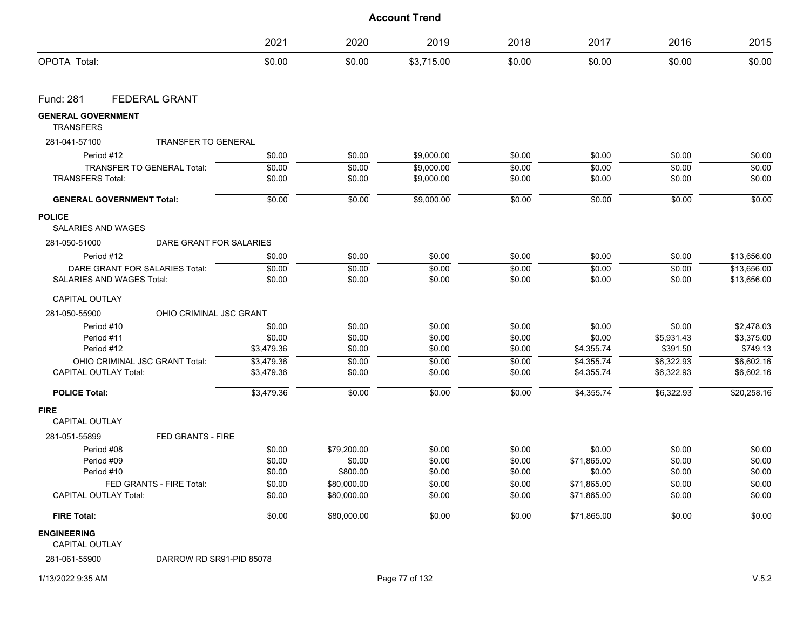|                                               |                                   | 2021       | 2020        | 2019       | 2018   | 2017        | 2016       | 2015        |
|-----------------------------------------------|-----------------------------------|------------|-------------|------------|--------|-------------|------------|-------------|
| OPOTA Total:                                  |                                   | \$0.00     | \$0.00      | \$3,715.00 | \$0.00 | \$0.00      | \$0.00     | \$0.00      |
| Fund: 281                                     | FEDERAL GRANT                     |            |             |            |        |             |            |             |
| <b>GENERAL GOVERNMENT</b><br><b>TRANSFERS</b> |                                   |            |             |            |        |             |            |             |
| 281-041-57100                                 | <b>TRANSFER TO GENERAL</b>        |            |             |            |        |             |            |             |
| Period #12                                    |                                   | \$0.00     | \$0.00      | \$9,000.00 | \$0.00 | \$0.00      | \$0.00     | \$0.00      |
|                                               | <b>TRANSFER TO GENERAL Total:</b> | \$0.00     | \$0.00      | \$9,000.00 | \$0.00 | \$0.00      | \$0.00     | \$0.00      |
| <b>TRANSFERS Total:</b>                       |                                   | \$0.00     | \$0.00      | \$9,000.00 | \$0.00 | \$0.00      | \$0.00     | \$0.00      |
| <b>GENERAL GOVERNMENT Total:</b>              |                                   | \$0.00     | \$0.00      | \$9.000.00 | \$0.00 | \$0.00      | \$0.00     | \$0.00      |
| <b>POLICE</b><br>SALARIES AND WAGES           |                                   |            |             |            |        |             |            |             |
| 281-050-51000                                 | DARE GRANT FOR SALARIES           |            |             |            |        |             |            |             |
| Period #12                                    |                                   | \$0.00     | \$0.00      | \$0.00     | \$0.00 | \$0.00      | \$0.00     | \$13,656.00 |
| DARE GRANT FOR SALARIES Total:                |                                   | \$0.00     | \$0.00      | \$0.00     | \$0.00 | \$0.00      | \$0.00     | \$13,656.00 |
| SALARIES AND WAGES Total:                     |                                   | \$0.00     | \$0.00      | \$0.00     | \$0.00 | \$0.00      | \$0.00     | \$13,656.00 |
| CAPITAL OUTLAY                                |                                   |            |             |            |        |             |            |             |
| 281-050-55900                                 | OHIO CRIMINAL JSC GRANT           |            |             |            |        |             |            |             |
| Period #10                                    |                                   | \$0.00     | \$0.00      | \$0.00     | \$0.00 | \$0.00      | \$0.00     | \$2,478.03  |
| Period #11                                    |                                   | \$0.00     | \$0.00      | \$0.00     | \$0.00 | \$0.00      | \$5,931.43 | \$3,375.00  |
| Period #12                                    |                                   | \$3,479.36 | \$0.00      | \$0.00     | \$0.00 | \$4,355.74  | \$391.50   | \$749.13    |
|                                               | OHIO CRIMINAL JSC GRANT Total:    | \$3,479.36 | \$0.00      | \$0.00     | \$0.00 | \$4,355.74  | \$6,322.93 | \$6,602.16  |
| <b>CAPITAL OUTLAY Total:</b>                  |                                   | \$3,479.36 | \$0.00      | \$0.00     | \$0.00 | \$4,355.74  | \$6,322.93 | \$6,602.16  |
| <b>POLICE Total:</b>                          |                                   | \$3,479.36 | \$0.00      | \$0.00     | \$0.00 | \$4,355.74  | \$6,322.93 | \$20,258.16 |
| <b>FIRE</b>                                   |                                   |            |             |            |        |             |            |             |
| <b>CAPITAL OUTLAY</b>                         |                                   |            |             |            |        |             |            |             |
| 281-051-55899                                 | <b>FED GRANTS - FIRE</b>          |            |             |            |        |             |            |             |
| Period #08                                    |                                   | \$0.00     | \$79,200.00 | \$0.00     | \$0.00 | \$0.00      | \$0.00     | \$0.00      |
| Period #09                                    |                                   | \$0.00     | \$0.00      | \$0.00     | \$0.00 | \$71,865.00 | \$0.00     | \$0.00      |
| Period #10                                    |                                   | \$0.00     | \$800.00    | \$0.00     | \$0.00 | \$0.00      | \$0.00     | \$0.00      |
|                                               | FED GRANTS - FIRE Total:          | \$0.00     | \$80,000.00 | \$0.00     | \$0.00 | \$71,865.00 | \$0.00     | \$0.00      |
| <b>CAPITAL OUTLAY Total:</b>                  |                                   | \$0.00     | \$80,000.00 | \$0.00     | \$0.00 | \$71.865.00 | \$0.00     | \$0.00      |
| <b>FIRE Total:</b>                            |                                   | \$0.00     | \$80,000.00 | \$0.00     | \$0.00 | \$71,865.00 | \$0.00     | \$0.00      |
| <b>ENGINEERING</b><br><b>CAPITAL OUTLAY</b>   |                                   |            |             |            |        |             |            |             |

281-061-55900 DARROW RD SR91-PID 85078

1/13/2022 9:35 AM Page 77 of 132 V.5.2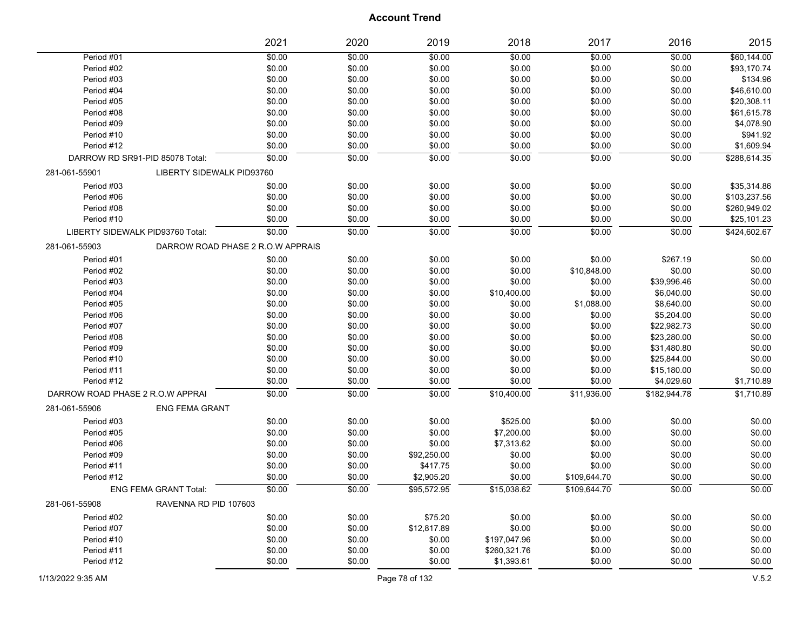|                                  |                                   | 2021   | 2020   | 2019        | 2018         | 2017         | 2016         | 2015         |
|----------------------------------|-----------------------------------|--------|--------|-------------|--------------|--------------|--------------|--------------|
| Period #01                       |                                   | \$0.00 | \$0.00 | \$0.00      | \$0.00       | \$0.00       | \$0.00       | \$60,144.00  |
| Period #02                       |                                   | \$0.00 | \$0.00 | \$0.00      | \$0.00       | \$0.00       | \$0.00       | \$93,170.74  |
| Period #03                       |                                   | \$0.00 | \$0.00 | \$0.00      | \$0.00       | \$0.00       | \$0.00       | \$134.96     |
| Period #04                       |                                   | \$0.00 | \$0.00 | \$0.00      | \$0.00       | \$0.00       | \$0.00       | \$46,610.00  |
| Period #05                       |                                   | \$0.00 | \$0.00 | \$0.00      | \$0.00       | \$0.00       | \$0.00       | \$20,308.11  |
| Period #08                       |                                   | \$0.00 | \$0.00 | \$0.00      | \$0.00       | \$0.00       | \$0.00       | \$61,615.78  |
| Period #09                       |                                   | \$0.00 | \$0.00 | \$0.00      | \$0.00       | \$0.00       | \$0.00       | \$4,078.90   |
| Period #10                       |                                   | \$0.00 | \$0.00 | \$0.00      | \$0.00       | \$0.00       | \$0.00       | \$941.92     |
| Period #12                       |                                   | \$0.00 | \$0.00 | \$0.00      | \$0.00       | \$0.00       | \$0.00       | \$1,609.94   |
|                                  | DARROW RD SR91-PID 85078 Total:   | \$0.00 | \$0.00 | \$0.00      | \$0.00       | \$0.00       | \$0.00       | \$288,614.35 |
| 281-061-55901                    | LIBERTY SIDEWALK PID93760         |        |        |             |              |              |              |              |
| Period #03                       |                                   | \$0.00 | \$0.00 | \$0.00      | \$0.00       | \$0.00       | \$0.00       | \$35,314.86  |
| Period #06                       |                                   | \$0.00 | \$0.00 | \$0.00      | \$0.00       | \$0.00       | \$0.00       | \$103,237.56 |
| Period #08                       |                                   | \$0.00 | \$0.00 | \$0.00      | \$0.00       | \$0.00       | \$0.00       | \$260,949.02 |
| Period #10                       |                                   | \$0.00 | \$0.00 | \$0.00      | \$0.00       | \$0.00       | \$0.00       | \$25,101.23  |
|                                  | LIBERTY SIDEWALK PID93760 Total:  | \$0.00 | \$0.00 | \$0.00      | \$0.00       | \$0.00       | \$0.00       | \$424,602.67 |
| 281-061-55903                    | DARROW ROAD PHASE 2 R.O.W APPRAIS |        |        |             |              |              |              |              |
| Period #01                       |                                   | \$0.00 | \$0.00 | \$0.00      | \$0.00       | \$0.00       | \$267.19     | \$0.00       |
| Period #02                       |                                   | \$0.00 | \$0.00 | \$0.00      | \$0.00       | \$10,848.00  | \$0.00       | \$0.00       |
| Period #03                       |                                   | \$0.00 | \$0.00 | \$0.00      | \$0.00       | \$0.00       | \$39,996.46  | \$0.00       |
| Period #04                       |                                   | \$0.00 | \$0.00 | \$0.00      | \$10,400.00  | \$0.00       | \$6,040.00   | \$0.00       |
| Period #05                       |                                   | \$0.00 | \$0.00 | \$0.00      | \$0.00       | \$1,088.00   | \$8,640.00   | \$0.00       |
| Period #06                       |                                   | \$0.00 | \$0.00 | \$0.00      | \$0.00       | \$0.00       | \$5,204.00   | \$0.00       |
| Period #07                       |                                   | \$0.00 | \$0.00 | \$0.00      | \$0.00       | \$0.00       | \$22,982.73  | \$0.00       |
| Period #08                       |                                   | \$0.00 | \$0.00 | \$0.00      | \$0.00       | \$0.00       | \$23,280.00  | \$0.00       |
| Period #09                       |                                   | \$0.00 | \$0.00 | \$0.00      | \$0.00       | \$0.00       | \$31,480.80  | \$0.00       |
| Period #10                       |                                   | \$0.00 | \$0.00 | \$0.00      | \$0.00       | \$0.00       | \$25,844.00  | \$0.00       |
| Period #11                       |                                   | \$0.00 | \$0.00 | \$0.00      | \$0.00       | \$0.00       | \$15,180.00  | \$0.00       |
| Period #12                       |                                   | \$0.00 | \$0.00 | \$0.00      | \$0.00       | \$0.00       | \$4,029.60   | \$1,710.89   |
| DARROW ROAD PHASE 2 R.O.W APPRAI |                                   | \$0.00 | \$0.00 | \$0.00      | \$10,400.00  | \$11,936.00  | \$182,944.78 | \$1,710.89   |
| 281-061-55906                    | <b>ENG FEMA GRANT</b>             |        |        |             |              |              |              |              |
| Period #03                       |                                   | \$0.00 | \$0.00 | \$0.00      | \$525.00     | \$0.00       | \$0.00       | \$0.00       |
| Period #05                       |                                   | \$0.00 | \$0.00 | \$0.00      | \$7,200.00   | \$0.00       | \$0.00       | \$0.00       |
| Period #06                       |                                   | \$0.00 | \$0.00 | \$0.00      | \$7,313.62   | \$0.00       | \$0.00       | \$0.00       |
| Period #09                       |                                   | \$0.00 | \$0.00 | \$92,250.00 | \$0.00       | \$0.00       | \$0.00       | \$0.00       |
| Period #11                       |                                   | \$0.00 | \$0.00 | \$417.75    | \$0.00       | \$0.00       | \$0.00       | \$0.00       |
| Period #12                       |                                   | \$0.00 | \$0.00 | \$2,905.20  | \$0.00       | \$109,644.70 | \$0.00       | \$0.00       |
|                                  | <b>ENG FEMA GRANT Total:</b>      | \$0.00 | \$0.00 | \$95,572.95 | \$15,038.62  | \$109,644.70 | \$0.00       | \$0.00       |
| 281-061-55908                    | RAVENNA RD PID 107603             |        |        |             |              |              |              |              |
| Period #02                       |                                   | \$0.00 | \$0.00 | \$75.20     | \$0.00       | \$0.00       | \$0.00       | \$0.00       |
| Period #07                       |                                   | \$0.00 | \$0.00 | \$12,817.89 | \$0.00       | \$0.00       | \$0.00       | \$0.00       |
| Period #10                       |                                   | \$0.00 | \$0.00 | \$0.00      | \$197,047.96 | \$0.00       | \$0.00       | \$0.00       |
| Period #11                       |                                   | \$0.00 | \$0.00 | \$0.00      | \$260,321.76 | \$0.00       | \$0.00       | \$0.00       |
| Period #12                       |                                   | \$0.00 | \$0.00 | \$0.00      | \$1,393.61   | \$0.00       | \$0.00       | \$0.00       |
|                                  |                                   |        |        |             |              |              |              |              |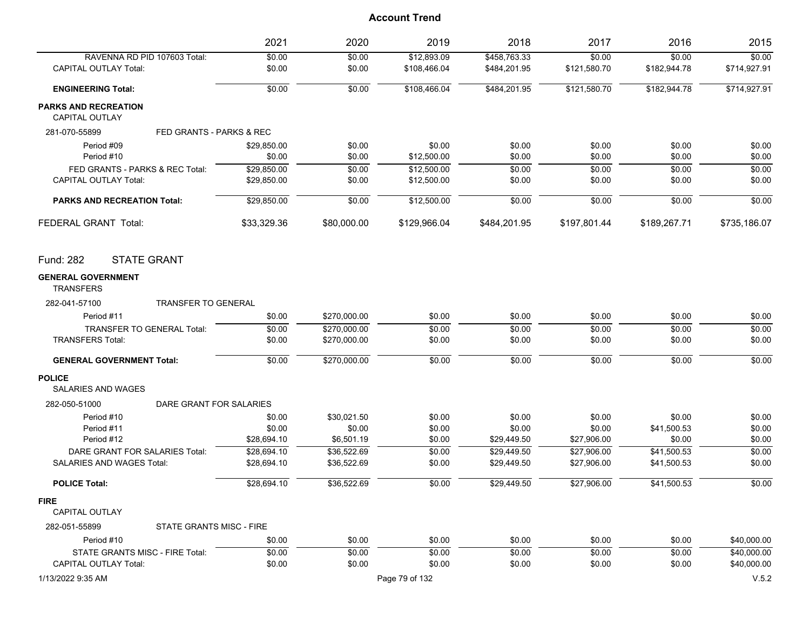|                                               |                            | 2021        | 2020         | 2019           | 2018         | 2017         | 2016         | 2015         |
|-----------------------------------------------|----------------------------|-------------|--------------|----------------|--------------|--------------|--------------|--------------|
| RAVENNA RD PID 107603 Total:                  |                            | \$0.00      | \$0.00       | \$12,893.09    | \$458,763.33 | \$0.00       | \$0.00       | \$0.00       |
| <b>CAPITAL OUTLAY Total:</b>                  |                            | \$0.00      | \$0.00       | \$108,466.04   | \$484,201.95 | \$121,580.70 | \$182,944.78 | \$714,927.91 |
| <b>ENGINEERING Total:</b>                     |                            | \$0.00      | \$0.00       | \$108,466.04   | \$484,201.95 | \$121,580.70 | \$182,944.78 | \$714,927.91 |
| <b>PARKS AND RECREATION</b><br>CAPITAL OUTLAY |                            |             |              |                |              |              |              |              |
| 281-070-55899                                 | FED GRANTS - PARKS & REC   |             |              |                |              |              |              |              |
| Period #09                                    |                            | \$29,850.00 | \$0.00       | \$0.00         | \$0.00       | \$0.00       | \$0.00       | \$0.00       |
| Period #10                                    |                            | \$0.00      | \$0.00       | \$12,500.00    | \$0.00       | \$0.00       | \$0.00       | \$0.00       |
| FED GRANTS - PARKS & REC Total:               |                            | \$29,850.00 | \$0.00       | \$12,500.00    | \$0.00       | \$0.00       | \$0.00       | \$0.00       |
| <b>CAPITAL OUTLAY Total:</b>                  |                            | \$29,850.00 | \$0.00       | \$12,500.00    | \$0.00       | \$0.00       | \$0.00       | \$0.00       |
| <b>PARKS AND RECREATION Total:</b>            |                            | \$29,850.00 | \$0.00       | \$12,500.00    | \$0.00       | \$0.00       | \$0.00       | \$0.00       |
| FEDERAL GRANT Total:                          |                            | \$33,329.36 | \$80,000.00  | \$129,966.04   | \$484,201.95 | \$197,801.44 | \$189,267.71 | \$735,186.07 |
| <b>STATE GRANT</b><br>Fund: 282               |                            |             |              |                |              |              |              |              |
| <b>GENERAL GOVERNMENT</b><br><b>TRANSFERS</b> |                            |             |              |                |              |              |              |              |
| 282-041-57100                                 | <b>TRANSFER TO GENERAL</b> |             |              |                |              |              |              |              |
| Period #11                                    |                            | \$0.00      | \$270,000.00 | \$0.00         | \$0.00       | \$0.00       | \$0.00       | \$0.00       |
| TRANSFER TO GENERAL Total:                    |                            | \$0.00      | \$270,000.00 | \$0.00         | \$0.00       | \$0.00       | \$0.00       | \$0.00       |
| <b>TRANSFERS Total:</b>                       |                            | \$0.00      | \$270,000.00 | \$0.00         | \$0.00       | \$0.00       | \$0.00       | \$0.00       |
| <b>GENERAL GOVERNMENT Total:</b>              |                            | \$0.00      | \$270,000.00 | \$0.00         | \$0.00       | \$0.00       | \$0.00       | \$0.00       |
| <b>POLICE</b><br><b>SALARIES AND WAGES</b>    |                            |             |              |                |              |              |              |              |
| 282-050-51000                                 | DARE GRANT FOR SALARIES    |             |              |                |              |              |              |              |
| Period #10                                    |                            | \$0.00      | \$30,021.50  | \$0.00         | \$0.00       | \$0.00       | \$0.00       | \$0.00       |
| Period #11                                    |                            | \$0.00      | \$0.00       | \$0.00         | \$0.00       | \$0.00       | \$41,500.53  | \$0.00       |
| Period #12                                    |                            | \$28,694.10 | \$6,501.19   | \$0.00         | \$29,449.50  | \$27,906.00  | \$0.00       | \$0.00       |
| DARE GRANT FOR SALARIES Total:                |                            | \$28,694.10 | \$36,522.69  | \$0.00         | \$29.449.50  | \$27.906.00  | \$41,500.53  | \$0.00       |
| SALARIES AND WAGES Total:                     |                            | \$28,694.10 | \$36,522.69  | \$0.00         | \$29,449.50  | \$27,906.00  | \$41,500.53  | \$0.00       |
| <b>POLICE Total:</b>                          |                            | \$28,694.10 | \$36.522.69  | \$0.00         | \$29,449.50  | \$27,906.00  | \$41,500.53  | \$0.00       |
| <b>FIRE</b><br>CAPITAL OUTLAY                 |                            |             |              |                |              |              |              |              |
| 282-051-55899                                 | STATE GRANTS MISC - FIRE   |             |              |                |              |              |              |              |
| Period #10                                    |                            | \$0.00      | \$0.00       | \$0.00         | \$0.00       | \$0.00       | \$0.00       | \$40,000.00  |
| STATE GRANTS MISC - FIRE Total:               |                            | \$0.00      | \$0.00       | \$0.00         | \$0.00       | \$0.00       | \$0.00       | \$40,000.00  |
| <b>CAPITAL OUTLAY Total:</b>                  |                            | \$0.00      | \$0.00       | \$0.00         | \$0.00       | \$0.00       | \$0.00       | \$40,000.00  |
| 1/13/2022 9:35 AM                             |                            |             |              | Page 79 of 132 |              |              |              | V.5.2        |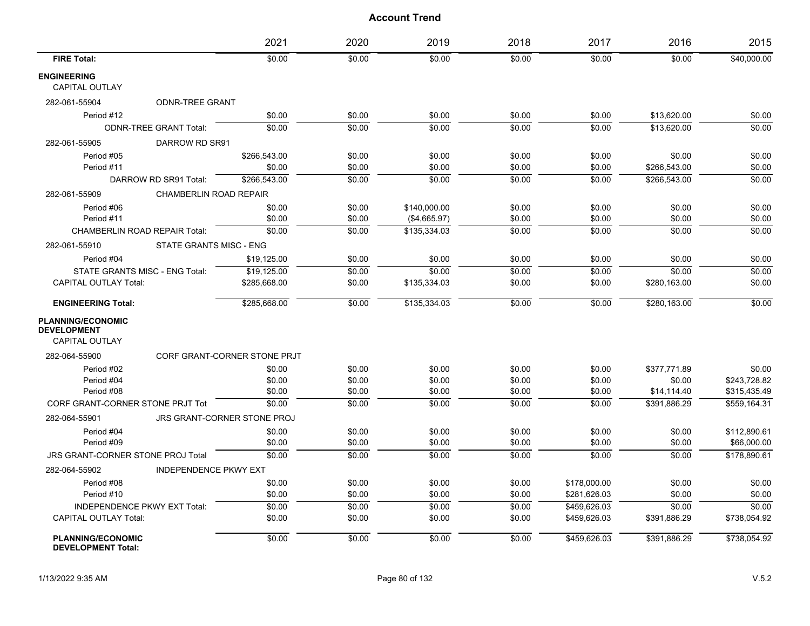|                                                       |                               | 2021                         | 2020   | 2019         | 2018   | 2017         | 2016         | 2015         |
|-------------------------------------------------------|-------------------------------|------------------------------|--------|--------------|--------|--------------|--------------|--------------|
| <b>FIRE Total:</b>                                    |                               | \$0.00                       | \$0.00 | \$0.00       | \$0.00 | \$0.00       | \$0.00       | \$40,000.00  |
| <b>ENGINEERING</b><br><b>CAPITAL OUTLAY</b>           |                               |                              |        |              |        |              |              |              |
| 282-061-55904                                         | <b>ODNR-TREE GRANT</b>        |                              |        |              |        |              |              |              |
| Period #12                                            |                               | \$0.00                       | \$0.00 | \$0.00       | \$0.00 | \$0.00       | \$13,620.00  | \$0.00       |
|                                                       | <b>ODNR-TREE GRANT Total:</b> | \$0.00                       | \$0.00 | \$0.00       | \$0.00 | \$0.00       | \$13,620.00  | \$0.00       |
| 282-061-55905                                         | DARROW RD SR91                |                              |        |              |        |              |              |              |
| Period #05                                            |                               | \$266,543.00                 | \$0.00 | \$0.00       | \$0.00 | \$0.00       | \$0.00       | \$0.00       |
| Period #11                                            |                               | \$0.00                       | \$0.00 | \$0.00       | \$0.00 | \$0.00       | \$266,543.00 | \$0.00       |
|                                                       | DARROW RD SR91 Total:         | \$266.543.00                 | \$0.00 | \$0.00       | \$0.00 | \$0.00       | \$266.543.00 | \$0.00       |
| 282-061-55909                                         | <b>CHAMBERLIN ROAD REPAIR</b> |                              |        |              |        |              |              |              |
| Period #06                                            |                               | \$0.00                       | \$0.00 | \$140,000.00 | \$0.00 | \$0.00       | \$0.00       | \$0.00       |
| Period #11                                            |                               | \$0.00                       | \$0.00 | (\$4,665.97) | \$0.00 | \$0.00       | \$0.00       | \$0.00       |
| <b>CHAMBERLIN ROAD REPAIR Total:</b>                  |                               | \$0.00                       | \$0.00 | \$135.334.03 | \$0.00 | \$0.00       | \$0.00       | \$0.00       |
| 282-061-55910                                         | STATE GRANTS MISC - ENG       |                              |        |              |        |              |              |              |
| Period #04                                            |                               | \$19,125.00                  | \$0.00 | \$0.00       | \$0.00 | \$0.00       | \$0.00       | \$0.00       |
| <b>STATE GRANTS MISC - ENG Total:</b>                 |                               | \$19,125.00                  | \$0.00 | \$0.00       | \$0.00 | \$0.00       | \$0.00       | \$0.00       |
| <b>CAPITAL OUTLAY Total:</b>                          |                               | \$285,668.00                 | \$0.00 | \$135,334.03 | \$0.00 | \$0.00       | \$280,163.00 | \$0.00       |
| <b>ENGINEERING Total:</b>                             |                               | \$285,668.00                 | \$0.00 | \$135,334.03 | \$0.00 | \$0.00       | \$280,163.00 | \$0.00       |
| <b>PLANNING/ECONOMIC</b><br><b>DEVELOPMENT</b>        |                               |                              |        |              |        |              |              |              |
| <b>CAPITAL OUTLAY</b>                                 |                               |                              |        |              |        |              |              |              |
| 282-064-55900                                         |                               | CORF GRANT-CORNER STONE PRJT |        |              |        |              |              |              |
| Period #02                                            |                               | \$0.00                       | \$0.00 | \$0.00       | \$0.00 | \$0.00       | \$377,771.89 | \$0.00       |
| Period #04                                            |                               | \$0.00                       | \$0.00 | \$0.00       | \$0.00 | \$0.00       | \$0.00       | \$243.728.82 |
| Period #08                                            |                               | \$0.00                       | \$0.00 | \$0.00       | \$0.00 | \$0.00       | \$14,114.40  | \$315,435.49 |
| CORF GRANT-CORNER STONE PRJT Tot                      |                               | \$0.00                       | \$0.00 | \$0.00       | \$0.00 | \$0.00       | \$391.886.29 | \$559.164.31 |
| 282-064-55901                                         |                               | JRS GRANT-CORNER STONE PROJ  |        |              |        |              |              |              |
| Period #04                                            |                               | \$0.00                       | \$0.00 | \$0.00       | \$0.00 | \$0.00       | \$0.00       | \$112,890.61 |
| Period #09                                            |                               | \$0.00                       | \$0.00 | \$0.00       | \$0.00 | \$0.00       | \$0.00       | \$66,000.00  |
| <b>JRS GRANT-CORNER STONE PROJ Total</b>              |                               | \$0.00                       | \$0.00 | \$0.00       | \$0.00 | 50.00        | \$0.00       | \$178,890.61 |
| 282-064-55902                                         | <b>INDEPENDENCE PKWY EXT</b>  |                              |        |              |        |              |              |              |
| Period #08                                            |                               | \$0.00                       | \$0.00 | \$0.00       | \$0.00 | \$178,000.00 | \$0.00       | \$0.00       |
| Period #10                                            |                               | \$0.00                       | \$0.00 | \$0.00       | \$0.00 | \$281,626.03 | \$0.00       | \$0.00       |
| <b>INDEPENDENCE PKWY EXT Total:</b>                   |                               | \$0.00                       | \$0.00 | \$0.00       | \$0.00 | \$459,626.03 | \$0.00       | \$0.00       |
| <b>CAPITAL OUTLAY Total:</b>                          |                               | \$0.00                       | \$0.00 | \$0.00       | \$0.00 | \$459,626.03 | \$391,886.29 | \$738,054.92 |
| <b>PLANNING/ECONOMIC</b><br><b>DEVELOPMENT Total:</b> |                               | \$0.00                       | \$0.00 | \$0.00       | \$0.00 | \$459,626.03 | \$391.886.29 | \$738.054.92 |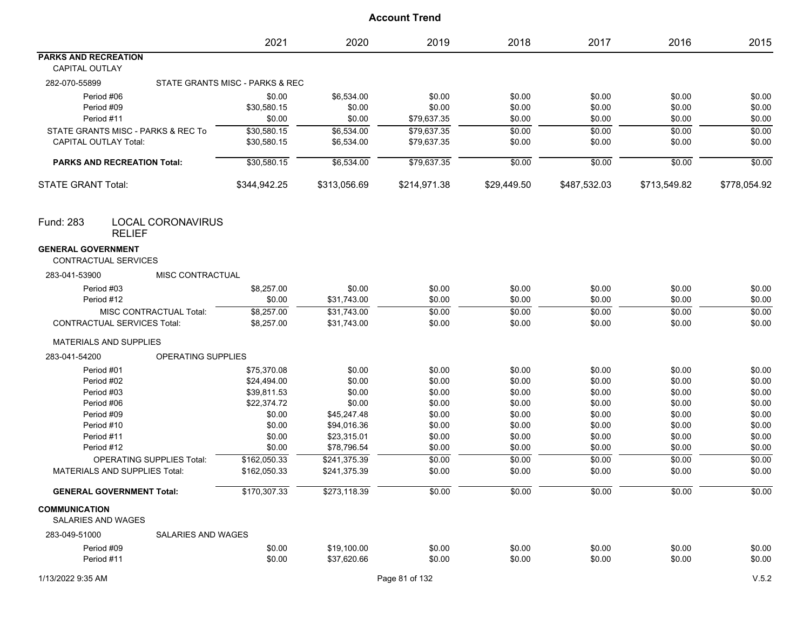|                                                      |                                           | 2021                            | 2020         | 2019           | 2018        | 2017         | 2016         | 2015         |
|------------------------------------------------------|-------------------------------------------|---------------------------------|--------------|----------------|-------------|--------------|--------------|--------------|
| <b>PARKS AND RECREATION</b><br><b>CAPITAL OUTLAY</b> |                                           |                                 |              |                |             |              |              |              |
| 282-070-55899                                        |                                           | STATE GRANTS MISC - PARKS & REC |              |                |             |              |              |              |
|                                                      | Period #06                                | \$0.00                          | \$6,534.00   | \$0.00         | \$0.00      | \$0.00       | \$0.00       | \$0.00       |
|                                                      | Period #09                                | \$30,580.15                     | \$0.00       | \$0.00         | \$0.00      | \$0.00       | \$0.00       | \$0.00       |
|                                                      | Period #11                                | \$0.00                          | \$0.00       | \$79,637.35    | \$0.00      | \$0.00       | \$0.00       | \$0.00       |
|                                                      | STATE GRANTS MISC - PARKS & REC To        | \$30,580.15                     | \$6,534.00   | \$79,637.35    | \$0.00      | \$0.00       | \$0.00       | \$0.00       |
| <b>CAPITAL OUTLAY Total:</b>                         |                                           | \$30,580.15                     | \$6,534.00   | \$79,637.35    | \$0.00      | \$0.00       | \$0.00       | \$0.00       |
|                                                      | <b>PARKS AND RECREATION Total:</b>        | \$30,580.15                     | \$6,534.00   | \$79,637.35    | \$0.00      | \$0.00       | \$0.00       | \$0.00       |
| <b>STATE GRANT Total:</b>                            |                                           | \$344,942.25                    | \$313,056.69 | \$214,971.38   | \$29,449.50 | \$487,532.03 | \$713,549.82 | \$778,054.92 |
| <b>Fund: 283</b>                                     | <b>LOCAL CORONAVIRUS</b><br><b>RELIEF</b> |                                 |              |                |             |              |              |              |
| <b>GENERAL GOVERNMENT</b>                            | <b>CONTRACTUAL SERVICES</b>               |                                 |              |                |             |              |              |              |
| 283-041-53900                                        | MISC CONTRACTUAL                          |                                 |              |                |             |              |              |              |
|                                                      | Period #03                                | \$8,257.00                      | \$0.00       | \$0.00         | \$0.00      | \$0.00       | \$0.00       | \$0.00       |
|                                                      | Period #12                                | \$0.00                          | \$31,743.00  | \$0.00         | \$0.00      | \$0.00       | \$0.00       | \$0.00       |
|                                                      | MISC CONTRACTUAL Total:                   | \$8,257.00                      | \$31,743.00  | \$0.00         | \$0.00      | \$0.00       | \$0.00       | \$0.00       |
|                                                      | <b>CONTRACTUAL SERVICES Total:</b>        | \$8,257.00                      | \$31,743.00  | \$0.00         | \$0.00      | \$0.00       | \$0.00       | \$0.00       |
|                                                      | <b>MATERIALS AND SUPPLIES</b>             |                                 |              |                |             |              |              |              |
| 283-041-54200                                        | <b>OPERATING SUPPLIES</b>                 |                                 |              |                |             |              |              |              |
|                                                      | Period #01                                | \$75,370.08                     | \$0.00       | \$0.00         | \$0.00      | \$0.00       | \$0.00       | \$0.00       |
|                                                      | Period #02                                | \$24,494.00                     | \$0.00       | \$0.00         | \$0.00      | \$0.00       | \$0.00       | \$0.00       |
|                                                      | Period #03                                | \$39,811.53                     | \$0.00       | \$0.00         | \$0.00      | \$0.00       | \$0.00       | \$0.00       |
|                                                      | Period #06                                | \$22,374.72                     | \$0.00       | \$0.00         | \$0.00      | \$0.00       | \$0.00       | \$0.00       |
|                                                      | Period #09                                | \$0.00                          | \$45,247.48  | \$0.00         | \$0.00      | \$0.00       | \$0.00       | \$0.00       |
|                                                      | Period #10                                | \$0.00                          | \$94,016.36  | \$0.00         | \$0.00      | \$0.00       | \$0.00       | \$0.00       |
|                                                      | Period #11                                | \$0.00                          | \$23,315.01  | \$0.00         | \$0.00      | \$0.00       | \$0.00       | \$0.00       |
|                                                      | Period #12                                | \$0.00                          | \$78,796.54  | \$0.00         | \$0.00      | \$0.00       | \$0.00       | \$0.00       |
|                                                      | <b>OPERATING SUPPLIES Total:</b>          | \$162,050.33                    | \$241,375.39 | \$0.00         | \$0.00      | \$0.00       | \$0.00       | \$0.00       |
|                                                      | <b>MATERIALS AND SUPPLIES Total:</b>      | \$162,050.33                    | \$241,375.39 | \$0.00         | \$0.00      | \$0.00       | \$0.00       | \$0.00       |
|                                                      | <b>GENERAL GOVERNMENT Total:</b>          | \$170,307.33                    | \$273,118.39 | \$0.00         | \$0.00      | \$0.00       | \$0.00       | \$0.00       |
| <b>COMMUNICATION</b><br><b>SALARIES AND WAGES</b>    |                                           |                                 |              |                |             |              |              |              |
| 283-049-51000                                        | SALARIES AND WAGES                        |                                 |              |                |             |              |              |              |
|                                                      | Period #09                                | \$0.00                          | \$19,100.00  | \$0.00         | \$0.00      | \$0.00       | \$0.00       | \$0.00       |
|                                                      | Period #11                                | \$0.00                          | \$37,620.66  | \$0.00         | \$0.00      | \$0.00       | \$0.00       | \$0.00       |
| 1/13/2022 9:35 AM                                    |                                           |                                 |              | Page 81 of 132 |             |              |              | V.5.2        |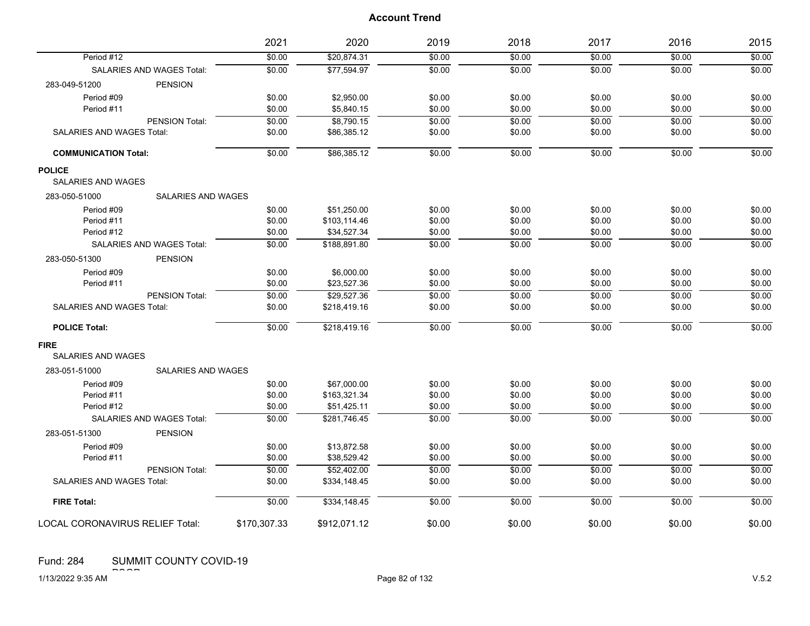|                                        |                                  | 2021         | 2020         | 2019   | 2018   | 2017   | 2016   | 2015   |
|----------------------------------------|----------------------------------|--------------|--------------|--------|--------|--------|--------|--------|
| Period #12                             |                                  | \$0.00       | \$20,874.31  | \$0.00 | \$0.00 | \$0.00 | \$0.00 | \$0.00 |
|                                        | <b>SALARIES AND WAGES Total:</b> | \$0.00       | \$77,594.97  | \$0.00 | \$0.00 | \$0.00 | \$0.00 | \$0.00 |
| 283-049-51200                          | <b>PENSION</b>                   |              |              |        |        |        |        |        |
| Period #09                             |                                  | \$0.00       | \$2,950.00   | \$0.00 | \$0.00 | \$0.00 | \$0.00 | \$0.00 |
| Period #11                             |                                  | \$0.00       | \$5,840.15   | \$0.00 | \$0.00 | \$0.00 | \$0.00 | \$0.00 |
|                                        | PENSION Total:                   | \$0.00       | \$8,790.15   | \$0.00 | \$0.00 | \$0.00 | \$0.00 | \$0.00 |
| SALARIES AND WAGES Total:              |                                  | \$0.00       | \$86,385.12  | \$0.00 | \$0.00 | \$0.00 | \$0.00 | \$0.00 |
| <b>COMMUNICATION Total:</b>            |                                  | \$0.00       | \$86,385.12  | \$0.00 | \$0.00 | \$0.00 | \$0.00 | \$0.00 |
| <b>POLICE</b>                          |                                  |              |              |        |        |        |        |        |
| SALARIES AND WAGES                     |                                  |              |              |        |        |        |        |        |
| 283-050-51000                          | <b>SALARIES AND WAGES</b>        |              |              |        |        |        |        |        |
| Period #09                             |                                  | \$0.00       | \$51,250.00  | \$0.00 | \$0.00 | \$0.00 | \$0.00 | \$0.00 |
| Period #11                             |                                  | \$0.00       | \$103,114.46 | \$0.00 | \$0.00 | \$0.00 | \$0.00 | \$0.00 |
| Period #12                             |                                  | \$0.00       | \$34,527.34  | \$0.00 | \$0.00 | \$0.00 | \$0.00 | \$0.00 |
|                                        | <b>SALARIES AND WAGES Total:</b> | \$0.00       | \$188.891.80 | \$0.00 | \$0.00 | \$0.00 | \$0.00 | \$0.00 |
| 283-050-51300                          | <b>PENSION</b>                   |              |              |        |        |        |        |        |
| Period #09                             |                                  | \$0.00       | \$6,000.00   | \$0.00 | \$0.00 | \$0.00 | \$0.00 | \$0.00 |
| Period #11                             |                                  | \$0.00       | \$23,527.36  | \$0.00 | \$0.00 | \$0.00 | \$0.00 | \$0.00 |
|                                        | PENSION Total:                   | \$0.00       | \$29.527.36  | \$0.00 | \$0.00 | \$0.00 | \$0.00 | \$0.00 |
| SALARIES AND WAGES Total:              |                                  | \$0.00       | \$218,419.16 | \$0.00 | \$0.00 | \$0.00 | \$0.00 | \$0.00 |
| <b>POLICE Total:</b>                   |                                  | \$0.00       | \$218,419.16 | \$0.00 | \$0.00 | \$0.00 | \$0.00 | \$0.00 |
| <b>FIRE</b>                            |                                  |              |              |        |        |        |        |        |
| <b>SALARIES AND WAGES</b>              |                                  |              |              |        |        |        |        |        |
| 283-051-51000                          | <b>SALARIES AND WAGES</b>        |              |              |        |        |        |        |        |
| Period #09                             |                                  | \$0.00       | \$67,000.00  | \$0.00 | \$0.00 | \$0.00 | \$0.00 | \$0.00 |
| Period #11                             |                                  | \$0.00       | \$163,321.34 | \$0.00 | \$0.00 | \$0.00 | \$0.00 | \$0.00 |
| Period #12                             |                                  | \$0.00       | \$51,425.11  | \$0.00 | \$0.00 | \$0.00 | \$0.00 | \$0.00 |
|                                        | <b>SALARIES AND WAGES Total:</b> | \$0.00       | \$281.746.45 | \$0.00 | \$0.00 | \$0.00 | \$0.00 | \$0.00 |
| 283-051-51300                          | <b>PENSION</b>                   |              |              |        |        |        |        |        |
| Period #09                             |                                  | \$0.00       | \$13,872.58  | \$0.00 | \$0.00 | \$0.00 | \$0.00 | \$0.00 |
| Period #11                             |                                  | \$0.00       | \$38,529.42  | \$0.00 | \$0.00 | \$0.00 | \$0.00 | \$0.00 |
|                                        | PENSION Total:                   | \$0.00       | \$52.402.00  | \$0.00 | \$0.00 | \$0.00 | \$0.00 | \$0.00 |
| SALARIES AND WAGES Total:              |                                  | \$0.00       | \$334,148.45 | \$0.00 | \$0.00 | \$0.00 | \$0.00 | \$0.00 |
| <b>FIRE Total:</b>                     |                                  | \$0.00       | \$334,148.45 | \$0.00 | \$0.00 | \$0.00 | \$0.00 | \$0.00 |
| <b>LOCAL CORONAVIRUS RELIEF Total:</b> |                                  | \$170,307.33 | \$912,071.12 | \$0.00 | \$0.00 | \$0.00 | \$0.00 | \$0.00 |

noon<br>Pool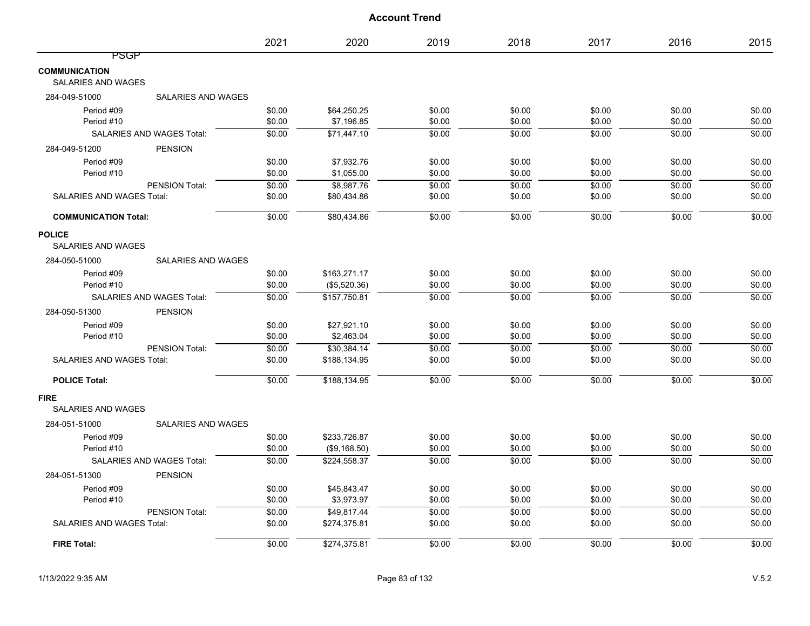|                                                   |                                  | 2021   | 2020         | 2019   | 2018   | 2017   | 2016   | 2015   |
|---------------------------------------------------|----------------------------------|--------|--------------|--------|--------|--------|--------|--------|
| <b>PSGP</b>                                       |                                  |        |              |        |        |        |        |        |
| <b>COMMUNICATION</b><br><b>SALARIES AND WAGES</b> |                                  |        |              |        |        |        |        |        |
| 284-049-51000                                     | <b>SALARIES AND WAGES</b>        |        |              |        |        |        |        |        |
| Period #09                                        |                                  | \$0.00 | \$64,250.25  | \$0.00 | \$0.00 | \$0.00 | \$0.00 | \$0.00 |
| Period #10                                        |                                  | \$0.00 | \$7,196.85   | \$0.00 | \$0.00 | \$0.00 | \$0.00 | \$0.00 |
|                                                   | SALARIES AND WAGES Total:        | \$0.00 | \$71,447.10  | \$0.00 | \$0.00 | \$0.00 | \$0.00 | \$0.00 |
| 284-049-51200                                     | <b>PENSION</b>                   |        |              |        |        |        |        |        |
| Period #09                                        |                                  | \$0.00 | \$7,932.76   | \$0.00 | \$0.00 | \$0.00 | \$0.00 | \$0.00 |
| Period #10                                        |                                  | \$0.00 | \$1,055.00   | \$0.00 | \$0.00 | \$0.00 | \$0.00 | \$0.00 |
|                                                   | PENSION Total:                   | \$0.00 | \$8,987.76   | \$0.00 | \$0.00 | \$0.00 | \$0.00 | \$0.00 |
| <b>SALARIES AND WAGES Total:</b>                  |                                  | \$0.00 | \$80,434.86  | \$0.00 | \$0.00 | \$0.00 | \$0.00 | \$0.00 |
| <b>COMMUNICATION Total:</b>                       |                                  | \$0.00 | \$80,434.86  | \$0.00 | \$0.00 | \$0.00 | \$0.00 | \$0.00 |
| <b>POLICE</b><br><b>SALARIES AND WAGES</b>        |                                  |        |              |        |        |        |        |        |
| 284-050-51000                                     | SALARIES AND WAGES               |        |              |        |        |        |        |        |
| Period #09                                        |                                  | \$0.00 | \$163,271.17 | \$0.00 | \$0.00 | \$0.00 | \$0.00 | \$0.00 |
| Period #10                                        |                                  | \$0.00 | (\$5,520.36) | \$0.00 | \$0.00 | \$0.00 | \$0.00 | \$0.00 |
|                                                   | <b>SALARIES AND WAGES Total:</b> | \$0.00 | \$157.750.81 | \$0.00 | \$0.00 | \$0.00 | \$0.00 | \$0.00 |
| 284-050-51300                                     | <b>PENSION</b>                   |        |              |        |        |        |        |        |
| Period #09                                        |                                  | \$0.00 | \$27,921.10  | \$0.00 | \$0.00 | \$0.00 | \$0.00 | \$0.00 |
| Period #10                                        |                                  | \$0.00 | \$2,463.04   | \$0.00 | \$0.00 | \$0.00 | \$0.00 | \$0.00 |
|                                                   | PENSION Total:                   | \$0.00 | \$30,384.14  | \$0.00 | \$0.00 | \$0.00 | \$0.00 | \$0.00 |
| <b>SALARIES AND WAGES Total:</b>                  |                                  | \$0.00 | \$188,134.95 | \$0.00 | \$0.00 | \$0.00 | \$0.00 | \$0.00 |
| <b>POLICE Total:</b>                              |                                  | \$0.00 | \$188,134.95 | \$0.00 | \$0.00 | \$0.00 | \$0.00 | \$0.00 |
| <b>FIRE</b><br><b>SALARIES AND WAGES</b>          |                                  |        |              |        |        |        |        |        |
| 284-051-51000                                     | <b>SALARIES AND WAGES</b>        |        |              |        |        |        |        |        |
| Period #09                                        |                                  | \$0.00 | \$233,726.87 | \$0.00 | \$0.00 | \$0.00 | \$0.00 | \$0.00 |
| Period #10                                        |                                  | \$0.00 | (\$9,168.50) | \$0.00 | \$0.00 | \$0.00 | \$0.00 | \$0.00 |
|                                                   | SALARIES AND WAGES Total:        | \$0.00 | \$224,558.37 | \$0.00 | \$0.00 | \$0.00 | \$0.00 | \$0.00 |
| 284-051-51300                                     | <b>PENSION</b>                   |        |              |        |        |        |        |        |
| Period #09                                        |                                  | \$0.00 | \$45,843.47  | \$0.00 | \$0.00 | \$0.00 | \$0.00 | \$0.00 |
| Period #10                                        |                                  | \$0.00 | \$3,973.97   | \$0.00 | \$0.00 | \$0.00 | \$0.00 | \$0.00 |
|                                                   | PENSION Total:                   | \$0.00 | \$49,817.44  | \$0.00 | \$0.00 | \$0.00 | \$0.00 | \$0.00 |
| <b>SALARIES AND WAGES Total:</b>                  |                                  | \$0.00 | \$274,375.81 | \$0.00 | \$0.00 | \$0.00 | \$0.00 | \$0.00 |
| <b>FIRE Total:</b>                                |                                  | \$0.00 | \$274,375.81 | \$0.00 | \$0.00 | \$0.00 | \$0.00 | \$0.00 |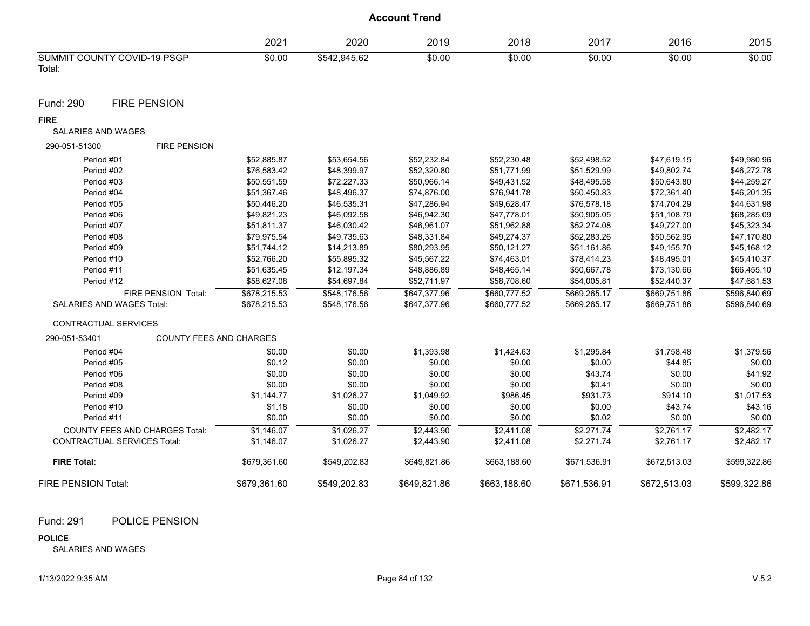|                                       | 2021   | 2020         | 2019   | 2018   | 001<br>∠∪ I ′ | 2016   | 2015   |
|---------------------------------------|--------|--------------|--------|--------|---------------|--------|--------|
| SUMMIT COUNTY COVID-19 PSGP<br>Total: | \$0.00 | \$542.945.62 | \$0.00 | \$0.00 | \$0.00        | \$0.00 | \$0.00 |

Fund: 290 FIRE PENSION

#### **FIRE**

#### SALARIES AND WAGES

| 290-051-51300                         | <b>FIRE PENSION</b>            |              |              |              |              |              |              |              |
|---------------------------------------|--------------------------------|--------------|--------------|--------------|--------------|--------------|--------------|--------------|
| Period #01                            |                                | \$52,885.87  | \$53,654.56  | \$52,232.84  | \$52,230.48  | \$52,498.52  | \$47,619.15  | \$49,980.96  |
| Period #02                            |                                | \$76,583.42  | \$48,399.97  | \$52,320.80  | \$51,771.99  | \$51,529.99  | \$49,802.74  | \$46,272.78  |
| Period #03                            |                                | \$50,551.59  | \$72,227.33  | \$50,966.14  | \$49,431.52  | \$48,495.58  | \$50,643.80  | \$44,259.27  |
| Period #04                            |                                | \$51,367.46  | \$48,496.37  | \$74,876.00  | \$76,941.78  | \$50,450.83  | \$72,361.40  | \$46,201.35  |
| Period #05                            |                                | \$50,446.20  | \$46,535.31  | \$47,286.94  | \$49,628.47  | \$76,578.18  | \$74,704.29  | \$44,631.98  |
| Period #06                            |                                | \$49,821.23  | \$46,092.58  | \$46,942.30  | \$47,778.01  | \$50,905.05  | \$51,108.79  | \$68,285.09  |
| Period #07                            |                                | \$51,811.37  | \$46,030.42  | \$46,961.07  | \$51,962.88  | \$52,274.08  | \$49.727.00  | \$45,323.34  |
| Period #08                            |                                | \$79.975.54  | \$49,735.63  | \$48,331.84  | \$49,274.37  | \$52,283.26  | \$50.562.95  | \$47,170.80  |
| Period #09                            |                                | \$51,744.12  | \$14,213.89  | \$80,293.95  | \$50,121.27  | \$51,161.86  | \$49.155.70  | \$45,168.12  |
| Period #10                            |                                | \$52,766.20  | \$55,895.32  | \$45,567.22  | \$74,463.01  | \$78,414.23  | \$48,495.01  | \$45,410.37  |
| Period #11                            |                                | \$51,635.45  | \$12,197.34  | \$48,886.89  | \$48,465.14  | \$50,667.78  | \$73,130.66  | \$66,455.10  |
| Period #12                            |                                | \$58,627.08  | \$54,697.84  | \$52,711.97  | \$58,708.60  | \$54,005.81  | \$52,440.37  | \$47,681.53  |
|                                       | FIRE PENSION Total:            | \$678.215.53 | \$548.176.56 | \$647.377.96 | \$660.777.52 | \$669.265.17 | \$669.751.86 | \$596,840.69 |
| <b>SALARIES AND WAGES Total:</b>      |                                | \$678,215.53 | \$548,176.56 | \$647,377.96 | \$660,777.52 | \$669,265.17 | \$669,751.86 | \$596,840.69 |
| <b>CONTRACTUAL SERVICES</b>           |                                |              |              |              |              |              |              |              |
| 290-051-53401                         | <b>COUNTY FEES AND CHARGES</b> |              |              |              |              |              |              |              |
| Period #04                            |                                | \$0.00       | \$0.00       | \$1,393.98   | \$1,424.63   | \$1,295.84   | \$1,758.48   | \$1,379.56   |
| Period #05                            |                                | \$0.12       | \$0.00       | \$0.00       | \$0.00       | \$0.00       | \$44.85      | \$0.00       |
| Period #06                            |                                | \$0.00       | \$0.00       | \$0.00       | \$0.00       | \$43.74      | \$0.00       | \$41.92      |
| Period #08                            |                                | \$0.00       | \$0.00       | \$0.00       | \$0.00       | \$0.41       | \$0.00       | \$0.00       |
| Period #09                            |                                | \$1,144.77   | \$1,026.27   | \$1,049.92   | \$986.45     | \$931.73     | \$914.10     | \$1,017.53   |
| Period #10                            |                                | \$1.18       | \$0.00       | \$0.00       | \$0.00       | \$0.00       | \$43.74      | \$43.16      |
| Period #11                            |                                | \$0.00       | \$0.00       | \$0.00       | \$0.00       | \$0.02       | \$0.00       | \$0.00       |
| <b>COUNTY FEES AND CHARGES Total:</b> |                                | \$1.146.07   | \$1,026.27   | \$2,443.90   | \$2.411.08   | \$2.271.74   | \$2.761.17   | \$2.482.17   |
| <b>CONTRACTUAL SERVICES Total:</b>    |                                | \$1,146.07   | \$1,026.27   | \$2,443.90   | \$2,411.08   | \$2,271.74   | \$2,761.17   | \$2,482.17   |
| <b>FIRE Total:</b>                    |                                | \$679,361.60 | \$549,202.83 | \$649,821.86 | \$663,188.60 | \$671,536.91 | \$672,513.03 | \$599,322.86 |
| FIRE PENSION Total:                   |                                | \$679,361.60 | \$549,202.83 | \$649,821.86 | \$663,188.60 | \$671,536.91 | \$672,513.03 | \$599,322.86 |

# Fund: 291 POLICE PENSION

#### **POLICE**

SALARIES AND WAGES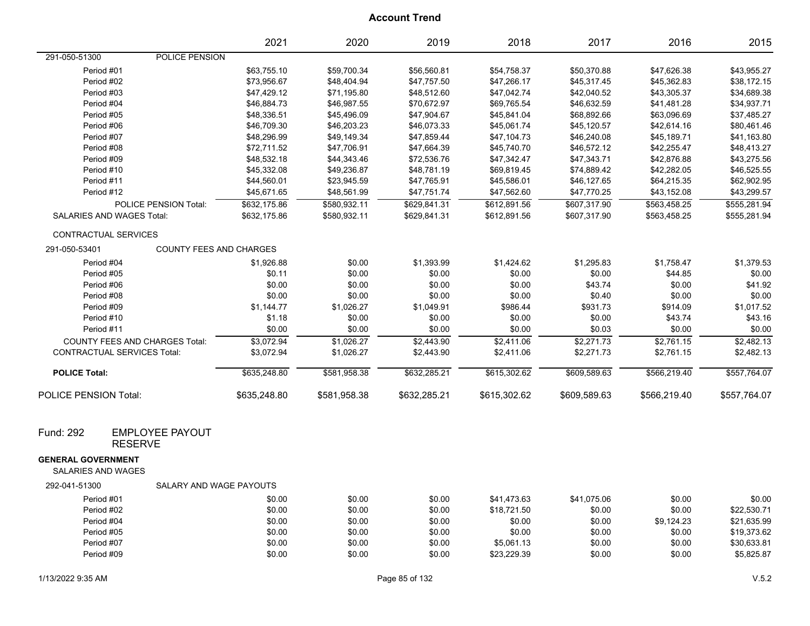|                                                        |                                          | 2021                                          | 2020          | 2019         | 2018         | 2017         | 2016          | 2015         |
|--------------------------------------------------------|------------------------------------------|-----------------------------------------------|---------------|--------------|--------------|--------------|---------------|--------------|
| 291-050-51300                                          | POLICE PENSION                           |                                               |               |              |              |              |               |              |
|                                                        | Period #01                               | \$63,755.10                                   | \$59,700.34   | \$56,560.81  | \$54,758.37  | \$50,370.88  | \$47,626.38   | \$43,955.27  |
|                                                        | Period #02                               | \$73,956.67                                   | \$48,404.94   | \$47,757.50  | \$47,266.17  | \$45,317.45  | \$45,362.83   | \$38,172.15  |
|                                                        | Period #03                               | \$47,429.12                                   | \$71,195.80   | \$48,512.60  | \$47,042.74  | \$42,040.52  | \$43,305.37   | \$34,689.38  |
|                                                        | Period #04                               | \$46,884.73                                   | \$46,987.55   | \$70,672.97  | \$69,765.54  | \$46,632.59  | \$41,481.28   | \$34,937.71  |
|                                                        | Period #05                               | \$48,336.51                                   | \$45,496.09   | \$47,904.67  | \$45,841.04  | \$68,892.66  | \$63,096.69   | \$37,485.27  |
|                                                        | Period #06                               | \$46,709.30                                   | \$46,203.23   | \$46,073.33  | \$45,061.74  | \$45,120.57  | \$42,614.16   | \$80,461.46  |
|                                                        | Period #07                               | \$48,296.99                                   | \$49,149.34   | \$47,859.44  | \$47,104.73  | \$46,240.08  | \$45,189.71   | \$41,163.80  |
|                                                        | Period #08                               | \$72,711.52                                   | \$47,706.91   | \$47,664.39  | \$45,740.70  | \$46,572.12  | \$42,255.47   | \$48,413.27  |
|                                                        | Period #09                               | \$48,532.18                                   | \$44,343.46   | \$72,536.76  | \$47,342.47  | \$47,343.71  | \$42,876.88   | \$43,275.56  |
|                                                        | Period #10                               | \$45,332.08                                   | \$49,236.87   | \$48,781.19  | \$69,819.45  | \$74,889.42  | \$42,282.05   | \$46,525.55  |
|                                                        | Period #11                               | \$44,560.01                                   | \$23,945.59   | \$47,765.91  | \$45,586.01  | \$46,127.65  | \$64,215.35   | \$62,902.95  |
|                                                        | Period #12                               | \$45,671.65                                   | \$48,561.99   | \$47,751.74  | \$47,562.60  | \$47,770.25  | \$43,152.08   | \$43,299.57  |
|                                                        | POLICE PENSION Total:                    | \$632,175.86                                  | \$580,932.11  | \$629,841.31 | \$612,891.56 | \$607,317.90 | \$563,458.25  | \$555,281.94 |
|                                                        | <b>SALARIES AND WAGES Total:</b>         | \$632,175.86                                  | \$580,932.11  | \$629,841.31 | \$612,891.56 | \$607,317.90 | \$563,458.25  | \$555,281.94 |
|                                                        | CONTRACTUAL SERVICES                     |                                               |               |              |              |              |               |              |
| 291-050-53401                                          | <b>COUNTY FEES AND CHARGES</b>           |                                               |               |              |              |              |               |              |
|                                                        | Period #04                               | \$1,926.88                                    | \$0.00        | \$1,393.99   | \$1,424.62   | \$1,295.83   | \$1,758.47    | \$1,379.53   |
|                                                        | Period #05                               | \$0.11                                        | \$0.00        | \$0.00       | \$0.00       | \$0.00       | \$44.85       | \$0.00       |
|                                                        | Period #06                               | \$0.00                                        | \$0.00        | \$0.00       | \$0.00       | \$43.74      | \$0.00        | \$41.92      |
|                                                        | Period #08                               | \$0.00                                        | \$0.00        | \$0.00       | \$0.00       | \$0.40       | \$0.00        | \$0.00       |
|                                                        | Period #09                               | \$1,144.77                                    | \$1,026.27    | \$1,049.91   | \$986.44     | \$931.73     | \$914.09      | \$1,017.52   |
|                                                        | Period #10                               | \$1.18                                        | \$0.00        | \$0.00       | \$0.00       | \$0.00       | \$43.74       | \$43.16      |
|                                                        | Period #11                               | \$0.00                                        | \$0.00        | \$0.00       | \$0.00       | \$0.03       | \$0.00        | \$0.00       |
|                                                        | <b>COUNTY FEES AND CHARGES Total:</b>    | \$3,072.94                                    | \$1,026.27    | \$2,443.90   | \$2,411.06   | \$2,271.73   | \$2,761.15    | \$2,482.13   |
|                                                        | <b>CONTRACTUAL SERVICES Total:</b>       | \$3,072.94                                    | \$1,026.27    | \$2,443.90   | \$2,411.06   | \$2,271.73   | \$2,761.15    | \$2,482.13   |
| <b>POLICE Total:</b>                                   |                                          | \$635,248.80                                  | \$581,958.38  | \$632,285.21 | \$615,302.62 | \$609,589.63 | \$566,219.40  | \$557,764.07 |
| <b>POLICE PENSION Total:</b>                           |                                          | \$635,248.80                                  | \$581,958.38  | \$632,285.21 | \$615,302.62 | \$609,589.63 | \$566,219.40  | \$557,764.07 |
| Fund: 292                                              | <b>EMPLOYEE PAYOUT</b><br><b>RESERVE</b> |                                               |               |              |              |              |               |              |
| <b>GENERAL GOVERNMENT</b><br><b>SALARIES AND WAGES</b> |                                          |                                               |               |              |              |              |               |              |
| 292-041-51300                                          | SALARY AND WAGE PAYOUTS                  |                                               |               |              |              |              |               |              |
|                                                        | Period #01                               | \$0.00                                        | \$0.00        | \$0.00       | \$41,473.63  | \$41,075.06  | \$0.00        | \$0.00       |
|                                                        | $\cdot$ $\cdot$ $\cdot$                  | $\mathbf{A} \mathbf{A} \mathbf{A} \mathbf{A}$ | $\sim$ $\sim$ |              |              |              | $\sim$ $\sim$ |              |

| Period #02 | \$0.00 | \$0.00 | \$0.00 | \$18.721.50 | \$0.00 | \$0.00     | \$22,530.71 |
|------------|--------|--------|--------|-------------|--------|------------|-------------|
| Period #04 | \$0.00 | \$0.00 | \$0.00 | \$0.00      | \$0.00 | \$9.124.23 | \$21.635.99 |
| Period #05 | \$0.00 | \$0.00 | \$0.00 | \$0.00      | \$0.00 | \$0.00     | \$19.373.62 |
| Period #07 | \$0.00 | \$0.00 | \$0.00 | \$5.061.13  | \$0.00 | \$0.00     | \$30.633.81 |
| Period #09 | \$0.00 | \$0.00 | \$0.00 | \$23.229.39 | \$0.00 | \$0.00     | \$5,825.87  |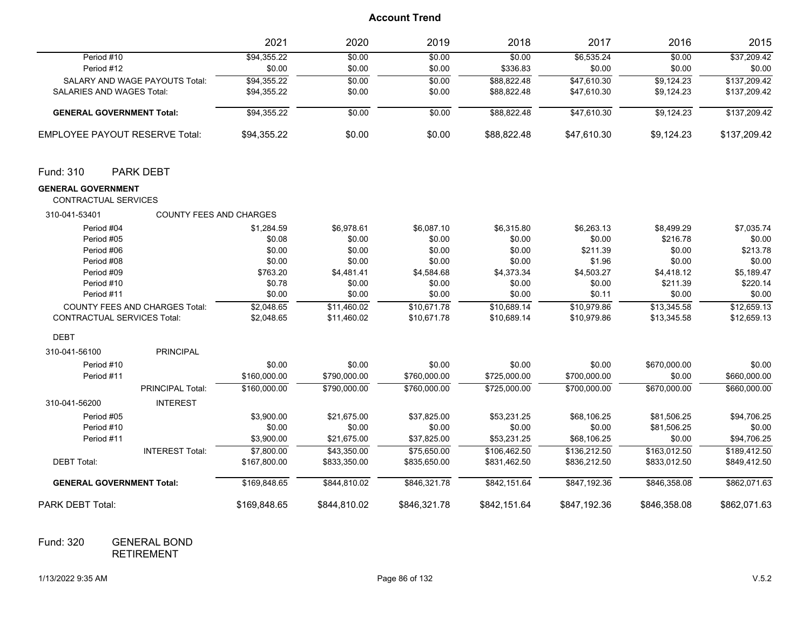|                                                   |                                       | 2021         | 2020         | 2019         | 2018         | 2017         | 2016         | 2015         |
|---------------------------------------------------|---------------------------------------|--------------|--------------|--------------|--------------|--------------|--------------|--------------|
| Period #10                                        |                                       | \$94,355.22  | \$0.00       | \$0.00       | \$0.00       | \$6,535.24   | \$0.00       | \$37,209.42  |
| Period #12                                        |                                       | \$0.00       | \$0.00       | \$0.00       | \$336.83     | \$0.00       | \$0.00       | \$0.00       |
|                                                   | <b>SALARY AND WAGE PAYOUTS Total:</b> | \$94,355.22  | \$0.00       | \$0.00       | \$88,822.48  | \$47,610.30  | \$9,124.23   | \$137,209.42 |
| SALARIES AND WAGES Total:                         |                                       | \$94,355.22  | \$0.00       | \$0.00       | \$88,822.48  | \$47,610.30  | \$9,124.23   | \$137,209.42 |
| <b>GENERAL GOVERNMENT Total:</b>                  |                                       | \$94,355.22  | \$0.00       | \$0.00       | \$88,822.48  | \$47,610.30  | \$9,124.23   | \$137,209.42 |
| <b>EMPLOYEE PAYOUT RESERVE Total:</b>             |                                       | \$94,355.22  | \$0.00       | \$0.00       | \$88,822.48  | \$47,610.30  | \$9,124.23   | \$137,209.42 |
| Fund: 310                                         | <b>PARK DEBT</b>                      |              |              |              |              |              |              |              |
| <b>GENERAL GOVERNMENT</b><br>CONTRACTUAL SERVICES |                                       |              |              |              |              |              |              |              |
| 310-041-53401                                     | <b>COUNTY FEES AND CHARGES</b>        |              |              |              |              |              |              |              |
| Period #04                                        |                                       | \$1,284.59   | \$6,978.61   | \$6,087.10   | \$6,315.80   | \$6,263.13   | \$8,499.29   | \$7,035.74   |
| Period #05                                        |                                       | \$0.08       | \$0.00       | \$0.00       | \$0.00       | \$0.00       | \$216.78     | \$0.00       |
| Period #06                                        |                                       | \$0.00       | \$0.00       | \$0.00       | \$0.00       | \$211.39     | \$0.00       | \$213.78     |
| Period #08                                        |                                       | \$0.00       | \$0.00       | \$0.00       | \$0.00       | \$1.96       | \$0.00       | \$0.00       |
| Period #09                                        |                                       | \$763.20     | \$4,481.41   | \$4,584.68   | \$4,373.34   | \$4,503.27   | \$4,418.12   | \$5,189.47   |
| Period #10                                        |                                       | \$0.78       | \$0.00       | \$0.00       | \$0.00       | \$0.00       | \$211.39     | \$220.14     |
| Period #11                                        |                                       | \$0.00       | \$0.00       | \$0.00       | \$0.00       | \$0.11       | \$0.00       | \$0.00       |
|                                                   | <b>COUNTY FEES AND CHARGES Total:</b> | \$2,048.65   | \$11,460.02  | \$10,671.78  | \$10,689.14  | \$10,979.86  | \$13,345.58  | \$12,659.13  |
| <b>CONTRACTUAL SERVICES Total:</b>                |                                       | \$2,048.65   | \$11,460.02  | \$10,671.78  | \$10,689.14  | \$10,979.86  | \$13,345.58  | \$12,659.13  |
| <b>DEBT</b>                                       |                                       |              |              |              |              |              |              |              |
| 310-041-56100                                     | <b>PRINCIPAL</b>                      |              |              |              |              |              |              |              |
| Period #10                                        |                                       | \$0.00       | \$0.00       | \$0.00       | \$0.00       | \$0.00       | \$670,000.00 | \$0.00       |
| Period #11                                        |                                       | \$160,000.00 | \$790,000.00 | \$760,000.00 | \$725,000.00 | \$700,000.00 | \$0.00       | \$660,000.00 |
|                                                   | <b>PRINCIPAL Total:</b>               | \$160,000.00 | \$790,000.00 | \$760,000.00 | \$725,000.00 | \$700.000.00 | \$670,000.00 | \$660,000.00 |
| 310-041-56200                                     | <b>INTEREST</b>                       |              |              |              |              |              |              |              |
| Period #05                                        |                                       | \$3,900.00   | \$21,675.00  | \$37,825.00  | \$53,231.25  | \$68,106.25  | \$81,506.25  | \$94,706.25  |
| Period #10                                        |                                       | \$0.00       | \$0.00       | \$0.00       | \$0.00       | \$0.00       | \$81,506.25  | \$0.00       |
| Period #11                                        |                                       | \$3,900.00   | \$21,675.00  | \$37,825.00  | \$53,231.25  | \$68,106.25  | \$0.00       | \$94,706.25  |
|                                                   | <b>INTEREST Total:</b>                | \$7,800.00   | \$43,350.00  | \$75,650.00  | \$106,462.50 | \$136,212.50 | \$163,012.50 | \$189,412.50 |
| <b>DEBT Total:</b>                                |                                       | \$167,800.00 | \$833,350.00 | \$835,650.00 | \$831,462.50 | \$836,212.50 | \$833,012.50 | \$849,412.50 |
| <b>GENERAL GOVERNMENT Total:</b>                  |                                       | \$169,848.65 | \$844,810.02 | \$846,321.78 | \$842,151.64 | \$847,192.36 | \$846,358.08 | \$862,071.63 |
| PARK DEBT Total:                                  |                                       | \$169,848.65 | \$844,810.02 | \$846,321.78 | \$842,151.64 | \$847,192.36 | \$846,358.08 | \$862,071.63 |

GENERAL BOND RETIREMENT Fund: 320

1/13/2022 9:35 AM Page 86 of 132 V.5.2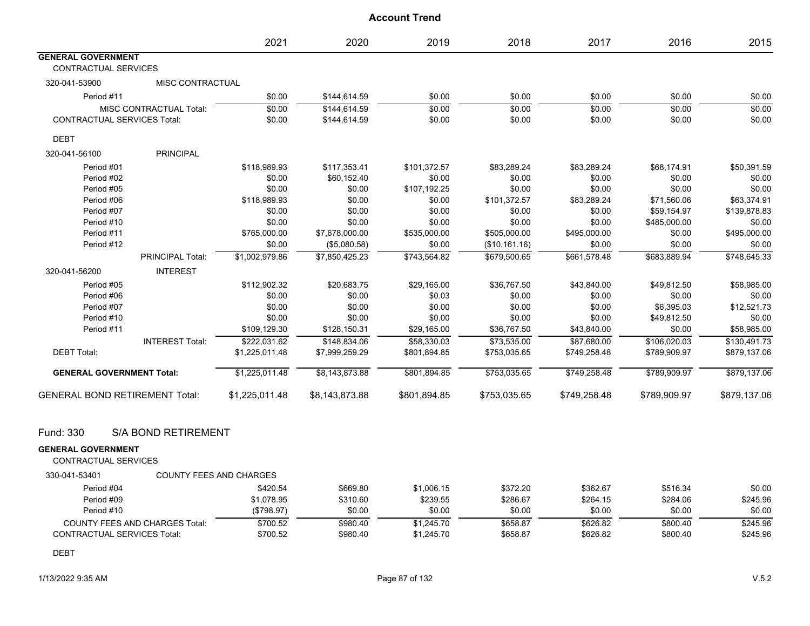|                                       |                            | 2021                           | 2020           | 2019         | 2018          | 2017         | 2016         | 2015         |
|---------------------------------------|----------------------------|--------------------------------|----------------|--------------|---------------|--------------|--------------|--------------|
| <b>GENERAL GOVERNMENT</b>             |                            |                                |                |              |               |              |              |              |
| <b>CONTRACTUAL SERVICES</b>           |                            |                                |                |              |               |              |              |              |
| 320-041-53900                         | MISC CONTRACTUAL           |                                |                |              |               |              |              |              |
| Period #11                            |                            | \$0.00                         | \$144,614.59   | \$0.00       | \$0.00        | \$0.00       | \$0.00       | \$0.00       |
|                                       | MISC CONTRACTUAL Total:    | \$0.00                         | \$144,614.59   | \$0.00       | \$0.00        | \$0.00       | \$0.00       | \$0.00       |
| <b>CONTRACTUAL SERVICES Total:</b>    |                            | \$0.00                         | \$144,614.59   | \$0.00       | \$0.00        | \$0.00       | \$0.00       | \$0.00       |
| <b>DEBT</b>                           |                            |                                |                |              |               |              |              |              |
| 320-041-56100                         | <b>PRINCIPAL</b>           |                                |                |              |               |              |              |              |
| Period #01                            |                            | \$118,989.93                   | \$117,353.41   | \$101,372.57 | \$83,289.24   | \$83,289.24  | \$68,174.91  | \$50,391.59  |
| Period #02                            |                            | \$0.00                         | \$60,152.40    | \$0.00       | \$0.00        | \$0.00       | \$0.00       | \$0.00       |
| Period #05                            |                            | \$0.00                         | \$0.00         | \$107,192.25 | \$0.00        | \$0.00       | \$0.00       | \$0.00       |
| Period #06                            |                            | \$118,989.93                   | \$0.00         | \$0.00       | \$101,372.57  | \$83,289.24  | \$71,560.06  | \$63,374.91  |
| Period #07                            |                            | \$0.00                         | \$0.00         | \$0.00       | \$0.00        | \$0.00       | \$59,154.97  | \$139,878.83 |
| Period #10                            |                            | \$0.00                         | \$0.00         | \$0.00       | \$0.00        | \$0.00       | \$485,000.00 | \$0.00       |
| Period #11                            |                            | \$765,000.00                   | \$7,678,000.00 | \$535,000.00 | \$505,000.00  | \$495,000.00 | \$0.00       | \$495,000.00 |
| Period #12                            |                            | \$0.00                         | (\$5,080.58)   | \$0.00       | (\$10,161.16) | \$0.00       | \$0.00       | \$0.00       |
|                                       | <b>PRINCIPAL Total:</b>    | \$1,002,979.86                 | \$7,850,425.23 | \$743,564.82 | \$679,500.65  | \$661,578.48 | \$683,889.94 | \$748,645.33 |
| 320-041-56200                         | <b>INTEREST</b>            |                                |                |              |               |              |              |              |
| Period #05                            |                            | \$112,902.32                   | \$20,683.75    | \$29,165.00  | \$36,767.50   | \$43,840.00  | \$49,812.50  | \$58,985.00  |
| Period #06                            |                            | \$0.00                         | \$0.00         | \$0.03       | \$0.00        | \$0.00       | \$0.00       | \$0.00       |
| Period #07                            |                            | \$0.00                         | \$0.00         | \$0.00       | \$0.00        | \$0.00       | \$6,395.03   | \$12,521.73  |
| Period #10                            |                            | \$0.00                         | \$0.00         | \$0.00       | \$0.00        | \$0.00       | \$49,812.50  | \$0.00       |
| Period #11                            |                            | \$109,129.30                   | \$128,150.31   | \$29,165.00  | \$36,767.50   | \$43,840.00  | \$0.00       | \$58,985.00  |
|                                       | <b>INTEREST Total:</b>     | \$222,031.62                   | \$148.834.06   | \$58.330.03  | \$73,535.00   | \$87.680.00  | \$106.020.03 | \$130,491.73 |
| <b>DEBT Total:</b>                    |                            | \$1,225,011.48                 | \$7,999,259.29 | \$801,894.85 | \$753,035.65  | \$749,258.48 | \$789,909.97 | \$879,137.06 |
| <b>GENERAL GOVERNMENT Total:</b>      |                            | \$1,225,011.48                 | \$8,143,873.88 | \$801,894.85 | \$753,035.65  | \$749,258.48 | \$789,909.97 | \$879,137.06 |
| <b>GENERAL BOND RETIREMENT Total:</b> |                            | \$1,225,011.48                 | \$8,143,873.88 | \$801,894.85 | \$753,035.65  | \$749,258.48 | \$789,909.97 | \$879,137.06 |
| Fund: 330                             | <b>S/A BOND RETIREMENT</b> |                                |                |              |               |              |              |              |
| <b>GENERAL GOVERNMENT</b>             |                            |                                |                |              |               |              |              |              |
| <b>CONTRACTUAL SERVICES</b>           |                            |                                |                |              |               |              |              |              |
| 330-041-53401                         |                            | <b>COUNTY FEES AND CHARGES</b> |                |              |               |              |              |              |

| Period #04                            | \$420.54   | \$669.80 | \$1,006.15 | \$372.20 | \$362.67 | \$516.34 | \$0.00   |
|---------------------------------------|------------|----------|------------|----------|----------|----------|----------|
| Period #09                            | \$1.078.95 | \$310.60 | \$239.55   | \$286.67 | \$264.15 | \$284.06 | \$245.96 |
| Period #10                            | (\$798.97) | \$0.00   | \$0.00     | \$0.00   | \$0.00   | \$0.00   | \$0.00   |
| <b>COUNTY FEES AND CHARGES Total:</b> | \$700.52   | \$980.40 | \$1.245.70 | \$658.87 | \$626.82 | \$800.40 | \$245.96 |
| <b>CONTRACTUAL SERVICES Total:</b>    | \$700.52   | \$980.40 | \$1.245.70 | \$658.87 | \$626.82 | \$800.40 | \$245.96 |

DEBT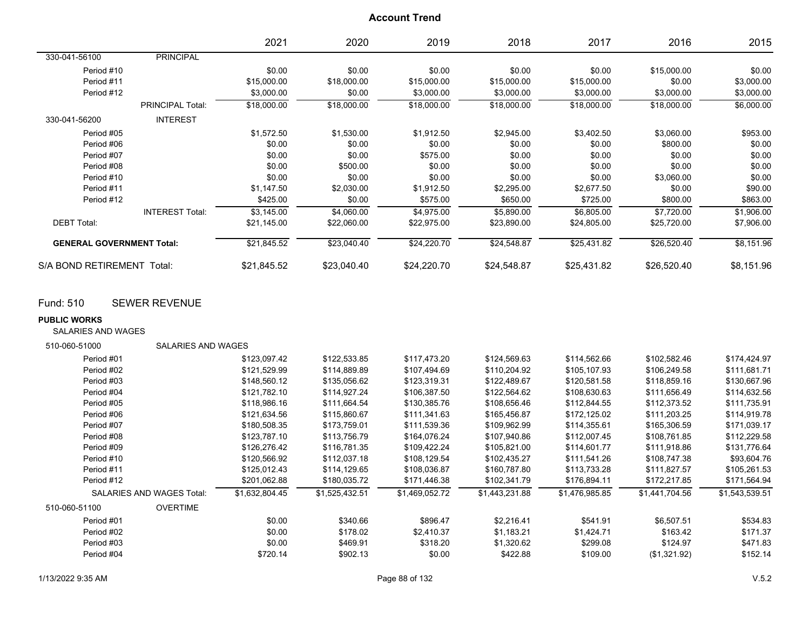|                                  |                         | 2021        | 2020        | 2019        | 2018        | 2017        | 2016        | 2015       |
|----------------------------------|-------------------------|-------------|-------------|-------------|-------------|-------------|-------------|------------|
| 330-041-56100                    | <b>PRINCIPAL</b>        |             |             |             |             |             |             |            |
| Period #10                       |                         | \$0.00      | \$0.00      | \$0.00      | \$0.00      | \$0.00      | \$15,000.00 | \$0.00     |
| Period #11                       |                         | \$15,000.00 | \$18,000.00 | \$15,000.00 | \$15,000.00 | \$15,000.00 | \$0.00      | \$3,000.00 |
| Period #12                       |                         | \$3,000.00  | \$0.00      | \$3,000.00  | \$3,000.00  | \$3,000.00  | \$3,000.00  | \$3,000.00 |
|                                  | <b>PRINCIPAL Total:</b> | \$18,000.00 | \$18,000.00 | \$18,000.00 | \$18,000.00 | \$18,000.00 | \$18,000.00 | \$6,000.00 |
| 330-041-56200                    | <b>INTEREST</b>         |             |             |             |             |             |             |            |
| Period #05                       |                         | \$1,572.50  | \$1,530.00  | \$1,912.50  | \$2,945.00  | \$3,402.50  | \$3,060.00  | \$953.00   |
| Period #06                       |                         | \$0.00      | \$0.00      | \$0.00      | \$0.00      | \$0.00      | \$800.00    | \$0.00     |
| Period #07                       |                         | \$0.00      | \$0.00      | \$575.00    | \$0.00      | \$0.00      | \$0.00      | \$0.00     |
| Period #08                       |                         | \$0.00      | \$500.00    | \$0.00      | \$0.00      | \$0.00      | \$0.00      | \$0.00     |
| Period #10                       |                         | \$0.00      | \$0.00      | \$0.00      | \$0.00      | \$0.00      | \$3,060.00  | \$0.00     |
| Period #11                       |                         | \$1,147.50  | \$2,030.00  | \$1,912.50  | \$2,295.00  | \$2,677.50  | \$0.00      | \$90.00    |
| Period #12                       |                         | \$425.00    | \$0.00      | \$575.00    | \$650.00    | \$725.00    | \$800.00    | \$863.00   |
|                                  | <b>INTEREST Total:</b>  | \$3,145.00  | \$4,060.00  | \$4,975.00  | \$5,890.00  | \$6,805.00  | \$7.720.00  | \$1,906.00 |
| <b>DEBT Total:</b>               |                         | \$21,145.00 | \$22,060.00 | \$22,975.00 | \$23,890.00 | \$24,805.00 | \$25,720.00 | \$7,906.00 |
| <b>GENERAL GOVERNMENT Total:</b> |                         | \$21,845.52 | \$23,040.40 | \$24,220.70 | \$24,548.87 | \$25,431.82 | \$26,520.40 | \$8,151.96 |
| S/A BOND RETIREMENT Total:       |                         | \$21,845.52 | \$23,040.40 | \$24,220.70 | \$24,548.87 | \$25,431.82 | \$26,520.40 | \$8,151.96 |

## Fund: 510 SEWER REVENUE

#### **PUBLIC WORKS**

SALARIES AND WAGES

| 510-060-51000 | SALARIES AND WAGES               |                |                |                |                |                |                |                |
|---------------|----------------------------------|----------------|----------------|----------------|----------------|----------------|----------------|----------------|
| Period #01    |                                  | \$123,097.42   | \$122,533.85   | \$117,473.20   | \$124,569.63   | \$114,562.66   | \$102,582.46   | \$174,424.97   |
| Period #02    |                                  | \$121,529.99   | \$114,889.89   | \$107,494.69   | \$110,204.92   | \$105,107.93   | \$106,249.58   | \$111,681.71   |
| Period #03    |                                  | \$148,560.12   | \$135,056.62   | \$123,319.31   | \$122,489.67   | \$120,581.58   | \$118,859.16   | \$130,667.96   |
| Period #04    |                                  | \$121,782.10   | \$114,927.24   | \$106,387.50   | \$122,564.62   | \$108,630.63   | \$111,656.49   | \$114,632.56   |
| Period #05    |                                  | \$118,986.16   | \$111,664.54   | \$130,385.76   | \$108,656.46   | \$112,844.55   | \$112,373.52   | \$111,735.91   |
| Period #06    |                                  | \$121,634.56   | \$115,860.67   | \$111,341.63   | \$165,456.87   | \$172,125.02   | \$111,203.25   | \$114,919.78   |
| Period #07    |                                  | \$180,508.35   | \$173.759.01   | \$111,539.36   | \$109.962.99   | \$114,355.61   | \$165,306.59   | \$171,039.17   |
| Period #08    |                                  | \$123,787.10   | \$113,756.79   | \$164,076.24   | \$107,940.86   | \$112,007.45   | \$108,761.85   | \$112,229.58   |
| Period #09    |                                  | \$126,276.42   | \$116,781.35   | \$109,422.24   | \$105,821.00   | \$114,601.77   | \$111,918.86   | \$131,776.64   |
| Period #10    |                                  | \$120,566.92   | \$112,037.18   | \$108,129.54   | \$102,435.27   | \$111,541.26   | \$108,747.38   | \$93,604.76    |
| Period #11    |                                  | \$125,012.43   | \$114,129.65   | \$108,036.87   | \$160,787.80   | \$113,733.28   | \$111.827.57   | \$105,261.53   |
| Period #12    |                                  | \$201,062.88   | \$180,035.72   | \$171,446.38   | \$102,341.79   | \$176,894.11   | \$172,217.85   | \$171,564.94   |
|               | <b>SALARIES AND WAGES Total:</b> | \$1,632,804.45 | \$1,525,432.51 | \$1,469,052.72 | \$1,443,231.88 | \$1,476,985.85 | \$1,441,704.56 | \$1,543,539.51 |
| 510-060-51100 | <b>OVERTIME</b>                  |                |                |                |                |                |                |                |
| Period #01    |                                  | \$0.00         | \$340.66       | \$896.47       | \$2.216.41     | \$541.91       | \$6,507.51     | \$534.83       |
| Period #02    |                                  | \$0.00         | \$178.02       | \$2,410.37     | \$1,183.21     | \$1,424.71     | \$163.42       | \$171.37       |
| Period #03    |                                  | \$0.00         | \$469.91       | \$318.20       | \$1,320.62     | \$299.08       | \$124.97       | \$471.83       |
| Period #04    |                                  | \$720.14       | \$902.13       | \$0.00         | \$422.88       | \$109.00       | (\$1,321.92)   | \$152.14       |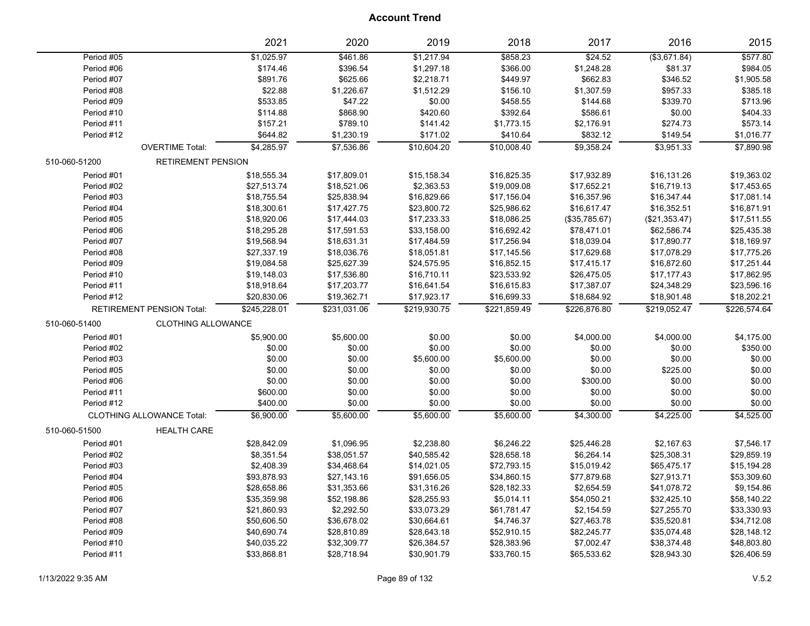|               |                                  | 2021         | 2020         | 2019         | 2018         | 2017          | 2016               | 2015         |
|---------------|----------------------------------|--------------|--------------|--------------|--------------|---------------|--------------------|--------------|
| Period #05    |                                  | \$1,025.97   | \$461.86     | \$1,217.94   | \$858.23     | \$24.52       | $($ \$3,671.84 $)$ | \$577.80     |
| Period #06    |                                  | \$174.46     | \$396.54     | \$1,297.18   | \$366.00     | \$1,248.28    | \$81.37            | \$984.05     |
| Period #07    |                                  | \$891.76     | \$625.66     | \$2,218.71   | \$449.97     | \$662.83      | \$346.52           | \$1,905.58   |
| Period #08    |                                  | \$22.88      | \$1,226.67   | \$1,512.29   | \$156.10     | \$1,307.59    | \$957.33           | \$385.18     |
| Period #09    |                                  | \$533.85     | \$47.22      | \$0.00       | \$458.55     | \$144.68      | \$339.70           | \$713.96     |
| Period #10    |                                  | \$114.88     | \$868.90     | \$420.60     | \$392.64     | \$586.61      | \$0.00             | \$404.33     |
| Period #11    |                                  | \$157.21     | \$789.10     | \$141.42     | \$1,773.15   | \$2,176.91    | \$274.73           | \$573.14     |
| Period #12    |                                  | \$644.82     | \$1,230.19   | \$171.02     | \$410.64     | \$832.12      | \$149.54           | \$1,016.77   |
|               | <b>OVERTIME Total:</b>           | \$4,285.97   | \$7,536.86   | \$10,604.20  | \$10,008.40  | \$9,358.24    | \$3,951.33         | \$7,890.98   |
| 510-060-51200 | <b>RETIREMENT PENSION</b>        |              |              |              |              |               |                    |              |
| Period #01    |                                  | \$18,555.34  | \$17,809.01  | \$15,158.34  | \$16,825.35  | \$17,932.89   | \$16,131.26        | \$19,363.02  |
| Period #02    |                                  | \$27,513.74  | \$18,521.06  | \$2,363.53   | \$19,009.08  | \$17,652.21   | \$16,719.13        | \$17,453.65  |
| Period #03    |                                  | \$18,755.54  | \$25,838.94  | \$16,829.66  | \$17,156.04  | \$16,357.96   | \$16,347.44        | \$17,081.14  |
| Period #04    |                                  | \$18,300.61  | \$17,427.75  | \$23,800.72  | \$25,986.62  | \$16,617.47   | \$16,352.51        | \$16,871.91  |
| Period #05    |                                  | \$18,920.06  | \$17,444.03  | \$17,233.33  | \$18,086.25  | (\$35,785.67) | (\$21,353.47)      | \$17,511.55  |
| Period #06    |                                  | \$18,295.28  | \$17,591.53  | \$33,158.00  | \$16,692.42  | \$78,471.01   | \$62,586.74        | \$25,435.38  |
| Period #07    |                                  | \$19,568.94  | \$18,631.31  | \$17,484.59  | \$17,256.94  | \$18,039.04   | \$17,890.77        | \$18,169.97  |
| Period #08    |                                  | \$27,337.19  | \$18,036.76  | \$18,051.81  | \$17,145.56  | \$17,629.68   | \$17,078.29        | \$17,775.26  |
| Period #09    |                                  | \$19,084.58  | \$25,627.39  | \$24,575.95  | \$16,852.15  | \$17,415.17   | \$16,872.60        | \$17,251.44  |
| Period #10    |                                  | \$19,148.03  | \$17,536.80  | \$16,710.11  | \$23,533.92  | \$26,475.05   | \$17,177.43        | \$17,862.95  |
| Period #11    |                                  | \$18,918.64  | \$17,203.77  | \$16,641.54  | \$16,615.83  | \$17,387.07   | \$24,348.29        | \$23,596.16  |
| Period #12    |                                  | \$20,830.06  | \$19,362.71  | \$17,923.17  | \$16,699.33  | \$18,684.92   | \$18,901.48        | \$18,202.21  |
|               | <b>RETIREMENT PENSION Total:</b> | \$245,228.01 | \$231,031.06 | \$219,930.75 | \$221,859.49 | \$226,876.80  | \$219,052.47       | \$226,574.64 |
| 510-060-51400 | CLOTHING ALLOWANCE               |              |              |              |              |               |                    |              |
| Period #01    |                                  | \$5,900.00   | \$5,600.00   | \$0.00       | \$0.00       | \$4,000.00    | \$4,000.00         | \$4,175.00   |
| Period #02    |                                  | \$0.00       | \$0.00       | \$0.00       | \$0.00       | \$0.00        | \$0.00             | \$350.00     |
| Period #03    |                                  | \$0.00       | \$0.00       | \$5,600.00   | \$5,600.00   | \$0.00        | \$0.00             | \$0.00       |
| Period #05    |                                  | \$0.00       | \$0.00       | \$0.00       | \$0.00       | \$0.00        | \$225.00           | \$0.00       |
| Period #06    |                                  | \$0.00       | \$0.00       | \$0.00       | \$0.00       | \$300.00      | \$0.00             | \$0.00       |
| Period #11    |                                  | \$600.00     | \$0.00       | \$0.00       | \$0.00       | \$0.00        | \$0.00             | \$0.00       |
| Period #12    |                                  | \$400.00     | \$0.00       | \$0.00       | \$0.00       | \$0.00        | \$0.00             | \$0.00       |
|               | CLOTHING ALLOWANCE Total:        | \$6,900.00   | \$5,600.00   | \$5,600.00   | \$5,600.00   | \$4,300.00    | \$4,225.00         | \$4,525.00   |
| 510-060-51500 | <b>HEALTH CARE</b>               |              |              |              |              |               |                    |              |
| Period #01    |                                  | \$28,842.09  | \$1,096.95   | \$2,238.80   | \$6,246.22   | \$25,446.28   | \$2,167.63         | \$7,546.17   |
| Period #02    |                                  | \$8,351.54   | \$38,051.57  | \$40,585.42  | \$28,658.18  | \$6,264.14    | \$25,308.31        | \$29,859.19  |
| Period #03    |                                  | \$2,408.39   | \$34,468.64  | \$14,021.05  | \$72,793.15  | \$15,019.42   | \$65,475.17        | \$15,194.28  |
| Period #04    |                                  | \$93,878.93  | \$27,143.16  | \$91,656.05  | \$34,860.15  | \$77,879.68   | \$27,913.71        | \$53,309.60  |
| Period #05    |                                  | \$28,658.86  | \$31,353.66  | \$31,316.26  | \$28,182.33  | \$2,654.59    | \$41,078.72        | \$9,154.86   |
| Period #06    |                                  | \$35,359.98  | \$52,198.86  | \$28,255.93  | \$5,014.11   | \$54,050.21   | \$32,425.10        | \$58,140.22  |
| Period #07    |                                  | \$21,860.93  | \$2,292.50   | \$33,073.29  | \$61,781.47  | \$2,154.59    | \$27,255.70        | \$33,330.93  |
| Period #08    |                                  | \$50,606.50  | \$36,678.02  | \$30,664.61  | \$4,746.37   | \$27,463.78   | \$35,520.81        | \$34,712.08  |
| Period #09    |                                  | \$40,690.74  | \$28,810.89  | \$28,643.18  | \$52,910.15  | \$82,245.77   | \$35,074.48        | \$28,148.12  |
| Period #10    |                                  | \$40,035.22  | \$32,309.77  | \$26,384.57  | \$28,383.96  | \$7,002.47    | \$38,374.48        | \$48,803.80  |
| Period #11    |                                  | \$33,868.81  | \$28,718.94  | \$30,901.79  | \$33,760.15  | \$65,533.62   | \$28,943.30        | \$26,406.59  |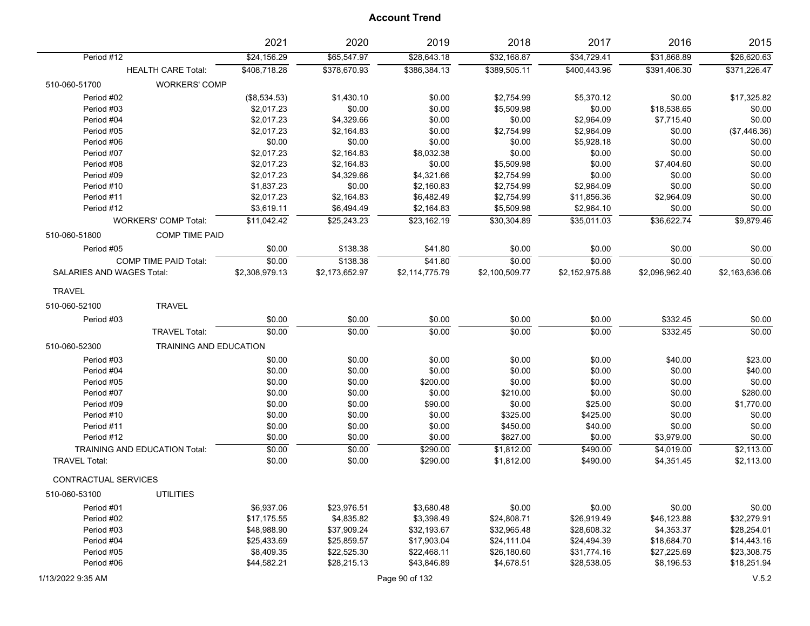|                           |                                      | 2021           | 2020           | 2019           | 2018           | 2017           | 2016           | 2015           |
|---------------------------|--------------------------------------|----------------|----------------|----------------|----------------|----------------|----------------|----------------|
| Period #12                |                                      | \$24,156.29    | \$65,547.97    | \$28,643.18    | \$32,168.87    | \$34,729.41    | \$31,868.89    | \$26,620.63    |
|                           | <b>HEALTH CARE Total:</b>            | \$408,718.28   | \$378,670.93   | \$386,384.13   | \$389,505.11   | \$400,443.96   | \$391,406.30   | \$371,226.47   |
| 510-060-51700             | <b>WORKERS' COMP</b>                 |                |                |                |                |                |                |                |
| Period #02                |                                      | (\$8,534.53)   | \$1,430.10     | \$0.00         | \$2,754.99     | \$5,370.12     | \$0.00         | \$17,325.82    |
| Period #03                |                                      | \$2,017.23     | \$0.00         | \$0.00         | \$5,509.98     | \$0.00         | \$18,538.65    | \$0.00         |
| Period #04                |                                      | \$2,017.23     | \$4,329.66     | \$0.00         | \$0.00         | \$2,964.09     | \$7,715.40     | \$0.00         |
| Period #05                |                                      | \$2,017.23     | \$2,164.83     | \$0.00         | \$2,754.99     | \$2,964.09     | \$0.00         | (\$7,446.36)   |
| Period #06                |                                      | \$0.00         | \$0.00         | \$0.00         | \$0.00         | \$5,928.18     | \$0.00         | \$0.00         |
| Period #07                |                                      | \$2,017.23     | \$2,164.83     | \$8,032.38     | \$0.00         | \$0.00         | \$0.00         | \$0.00         |
| Period #08                |                                      | \$2,017.23     | \$2,164.83     | \$0.00         | \$5,509.98     | \$0.00         | \$7,404.60     | \$0.00         |
| Period #09                |                                      | \$2,017.23     | \$4,329.66     | \$4,321.66     | \$2,754.99     | \$0.00         | \$0.00         | \$0.00         |
| Period #10                |                                      | \$1,837.23     | \$0.00         | \$2,160.83     | \$2,754.99     | \$2,964.09     | \$0.00         | \$0.00         |
| Period #11                |                                      | \$2,017.23     | \$2,164.83     | \$6,482.49     | \$2,754.99     | \$11,856.36    | \$2,964.09     | \$0.00         |
| Period #12                |                                      | \$3,619.11     | \$6,494.49     | \$2,164.83     | \$5,509.98     | \$2,964.10     | \$0.00         | \$0.00         |
|                           | <b>WORKERS' COMP Total:</b>          | \$11,042.42    | \$25,243.23    | \$23,162.19    | \$30,304.89    | \$35,011.03    | \$36,622.74    | \$9,879.46     |
| 510-060-51800             | <b>COMP TIME PAID</b>                |                |                |                |                |                |                |                |
| Period #05                |                                      | \$0.00         | \$138.38       | \$41.80        | \$0.00         | \$0.00         | \$0.00         | \$0.00         |
|                           | <b>COMP TIME PAID Total:</b>         | \$0.00         | \$138.38       | \$41.80        | \$0.00         | \$0.00         | \$0.00         | \$0.00         |
| SALARIES AND WAGES Total: |                                      | \$2,308,979.13 | \$2,173,652.97 | \$2,114,775.79 | \$2,100,509.77 | \$2,152,975.88 | \$2,096,962.40 | \$2,163,636.06 |
| <b>TRAVEL</b>             |                                      |                |                |                |                |                |                |                |
| 510-060-52100             | <b>TRAVEL</b>                        |                |                |                |                |                |                |                |
| Period #03                |                                      | \$0.00         | \$0.00         | \$0.00         | \$0.00         | \$0.00         | \$332.45       | \$0.00         |
|                           | <b>TRAVEL Total:</b>                 | \$0.00         | \$0.00         | \$0.00         | \$0.00         | \$0.00         | \$332.45       | \$0.00         |
| 510-060-52300             | TRAINING AND EDUCATION               |                |                |                |                |                |                |                |
| Period #03                |                                      | \$0.00         | \$0.00         | \$0.00         | \$0.00         | \$0.00         | \$40.00        | \$23.00        |
| Period #04                |                                      | \$0.00         | \$0.00         | \$0.00         | \$0.00         | \$0.00         | \$0.00         | \$40.00        |
| Period #05                |                                      | \$0.00         | \$0.00         | \$200.00       | \$0.00         | \$0.00         | \$0.00         | \$0.00         |
| Period #07                |                                      | \$0.00         | \$0.00         | \$0.00         | \$210.00       | \$0.00         | \$0.00         | \$280.00       |
| Period #09                |                                      | \$0.00         | \$0.00         | \$90.00        | \$0.00         | \$25.00        | \$0.00         | \$1,770.00     |
| Period #10                |                                      | \$0.00         | \$0.00         | \$0.00         | \$325.00       | \$425.00       | \$0.00         | \$0.00         |
| Period #11                |                                      | \$0.00         | \$0.00         | \$0.00         | \$450.00       | \$40.00        | \$0.00         | \$0.00         |
| Period #12                |                                      | \$0.00         | \$0.00         | \$0.00         | \$827.00       | \$0.00         | \$3,979.00     | \$0.00         |
|                           | <b>TRAINING AND EDUCATION Total:</b> | \$0.00         | \$0.00         | \$290.00       | \$1,812.00     | \$490.00       | \$4,019.00     | \$2,113.00     |
| <b>TRAVEL Total:</b>      |                                      | \$0.00         | \$0.00         | \$290.00       | \$1,812.00     | \$490.00       | \$4,351.45     | \$2,113.00     |
| CONTRACTUAL SERVICES      |                                      |                |                |                |                |                |                |                |
| 510-060-53100             | <b>UTILITIES</b>                     |                |                |                |                |                |                |                |
| Period #01                |                                      | \$6,937.06     | \$23,976.51    | \$3,680.48     | \$0.00         | \$0.00         | \$0.00         | \$0.00         |
| Period #02                |                                      | \$17,175.55    | \$4,835.82     | \$3,398.49     | \$24,808.71    | \$26,919.49    | \$46,123.88    | \$32,279.91    |
| Period #03                |                                      | \$48,988.90    | \$37,909.24    | \$32,193.67    | \$32,965.48    | \$28,608.32    | \$4,353.37     | \$28,254.01    |
| Period #04                |                                      | \$25,433.69    | \$25,859.57    | \$17,903.04    | \$24,111.04    | \$24,494.39    | \$18,684.70    | \$14,443.16    |
| Period #05                |                                      | \$8,409.35     | \$22,525.30    | \$22,468.11    | \$26,180.60    | \$31,774.16    | \$27,225.69    | \$23,308.75    |
| Period #06                |                                      | \$44,582.21    | \$28,215.13    | \$43,846.89    | \$4,678.51     | \$28,538.05    | \$8,196.53     | \$18,251.94    |
| 1/13/2022 9:35 AM         |                                      |                |                | Page 90 of 132 |                |                |                | V.5.2          |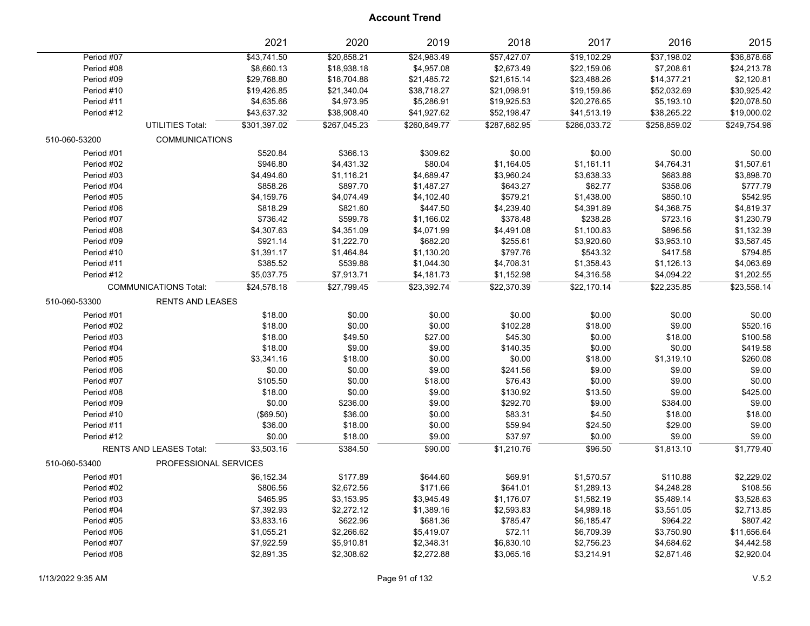|               |                                | 2021         | 2020         | 2019         | 2018         | 2017         | 2016         | 2015         |
|---------------|--------------------------------|--------------|--------------|--------------|--------------|--------------|--------------|--------------|
| Period #07    |                                | \$43,741.50  | \$20,858.21  | \$24,983.49  | \$57,427.07  | \$19,102.29  | \$37,198.02  | \$36,878.68  |
| Period #08    |                                | \$8,660.13   | \$18,938.18  | \$4,957.08   | \$2,673.49   | \$22,159.06  | \$7,208.61   | \$24,213.78  |
| Period #09    |                                | \$29,768.80  | \$18,704.88  | \$21,485.72  | \$21,615.14  | \$23,488.26  | \$14,377.21  | \$2,120.81   |
| Period #10    |                                | \$19,426.85  | \$21,340.04  | \$38,718.27  | \$21,098.91  | \$19,159.86  | \$52,032.69  | \$30,925.42  |
| Period #11    |                                | \$4,635.66   | \$4,973.95   | \$5,286.91   | \$19,925.53  | \$20,276.65  | \$5,193.10   | \$20,078.50  |
| Period #12    |                                | \$43,637.32  | \$38,908.40  | \$41,927.62  | \$52,198.47  | \$41,513.19  | \$38,265.22  | \$19,000.02  |
|               | UTILITIES Total:               | \$301,397.02 | \$267,045.23 | \$260,849.77 | \$287,682.95 | \$286,033.72 | \$258,859.02 | \$249,754.98 |
| 510-060-53200 | <b>COMMUNICATIONS</b>          |              |              |              |              |              |              |              |
| Period #01    |                                | \$520.84     | \$366.13     | \$309.62     | \$0.00       | \$0.00       | \$0.00       | \$0.00       |
| Period #02    |                                | \$946.80     | \$4,431.32   | \$80.04      | \$1,164.05   | \$1,161.11   | \$4,764.31   | \$1,507.61   |
| Period #03    |                                | \$4,494.60   | \$1,116.21   | \$4,689.47   | \$3,960.24   | \$3,638.33   | \$683.88     | \$3,898.70   |
| Period #04    |                                | \$858.26     | \$897.70     | \$1,487.27   | \$643.27     | \$62.77      | \$358.06     | \$777.79     |
| Period #05    |                                | \$4,159.76   | \$4,074.49   | \$4,102.40   | \$579.21     | \$1,438.00   | \$850.10     | \$542.95     |
| Period #06    |                                | \$818.29     | \$821.60     | \$447.50     | \$4,239.40   | \$4,391.89   | \$4,368.75   | \$4,819.37   |
| Period #07    |                                | \$736.42     | \$599.78     | \$1,166.02   | \$378.48     | \$238.28     | \$723.16     | \$1,230.79   |
| Period #08    |                                | \$4,307.63   | \$4,351.09   | \$4,071.99   | \$4,491.08   | \$1,100.83   | \$896.56     | \$1,132.39   |
| Period #09    |                                | \$921.14     | \$1,222.70   | \$682.20     | \$255.61     | \$3,920.60   | \$3,953.10   | \$3,587.45   |
| Period #10    |                                | \$1,391.17   | \$1,464.84   | \$1,130.20   | \$797.76     | \$543.32     | \$417.58     | \$794.85     |
| Period #11    |                                | \$385.52     | \$539.88     | \$1,044.30   | \$4,708.31   | \$1,358.43   | \$1,126.13   | \$4,063.69   |
| Period #12    |                                | \$5,037.75   | \$7,913.71   | \$4,181.73   | \$1,152.98   | \$4,316.58   | \$4,094.22   | \$1,202.55   |
|               | <b>COMMUNICATIONS Total:</b>   | \$24,578.18  | \$27,799.45  | \$23,392.74  | \$22,370.39  | \$22,170.14  | \$22,235.85  | \$23,558.14  |
| 510-060-53300 | <b>RENTS AND LEASES</b>        |              |              |              |              |              |              |              |
| Period #01    |                                | \$18.00      | \$0.00       | \$0.00       | \$0.00       | \$0.00       | \$0.00       | \$0.00       |
| Period #02    |                                | \$18.00      | \$0.00       | \$0.00       | \$102.28     | \$18.00      | \$9.00       | \$520.16     |
| Period #03    |                                | \$18.00      | \$49.50      | \$27.00      | \$45.30      | \$0.00       | \$18.00      | \$100.58     |
| Period #04    |                                | \$18.00      | \$9.00       | \$9.00       | \$140.35     | \$0.00       | \$0.00       | \$419.58     |
| Period #05    |                                | \$3,341.16   | \$18.00      | \$0.00       | \$0.00       | \$18.00      | \$1,319.10   | \$260.08     |
| Period #06    |                                | \$0.00       | \$0.00       | \$9.00       | \$241.56     | \$9.00       | \$9.00       | \$9.00       |
| Period #07    |                                | \$105.50     | \$0.00       | \$18.00      | \$76.43      | \$0.00       | \$9.00       | \$0.00       |
| Period #08    |                                | \$18.00      | \$0.00       | \$9.00       | \$130.92     | \$13.50      | \$9.00       | \$425.00     |
| Period #09    |                                | \$0.00       | \$236.00     | \$9.00       | \$292.70     | \$9.00       | \$384.00     | \$9.00       |
| Period #10    |                                | (\$69.50)    | \$36.00      | \$0.00       | \$83.31      | \$4.50       | \$18.00      | \$18.00      |
| Period #11    |                                | \$36.00      | \$18.00      | \$0.00       | \$59.94      | \$24.50      | \$29.00      | \$9.00       |
| Period #12    |                                | \$0.00       | \$18.00      | \$9.00       | \$37.97      | \$0.00       | \$9.00       | \$9.00       |
|               | <b>RENTS AND LEASES Total:</b> | \$3,503.16   | \$384.50     | \$90.00      | \$1,210.76   | \$96.50      | \$1,813.10   | \$1.779.40   |
| 510-060-53400 | PROFESSIONAL SERVICES          |              |              |              |              |              |              |              |
| Period #01    |                                | \$6,152.34   | \$177.89     | \$644.60     | \$69.91      | \$1,570.57   | \$110.88     | \$2,229.02   |
| Period #02    |                                | \$806.56     | \$2,672.56   | \$171.66     | \$641.01     | \$1,289.13   | \$4,248.28   | \$108.56     |
| Period #03    |                                | \$465.95     | \$3,153.95   | \$3,945.49   | \$1,176.07   | \$1,582.19   | \$5,489.14   | \$3,528.63   |
| Period #04    |                                | \$7,392.93   | \$2,272.12   | \$1,389.16   | \$2,593.83   | \$4,989.18   | \$3,551.05   | \$2,713.85   |
| Period #05    |                                | \$3,833.16   | \$622.96     | \$681.36     | \$785.47     | \$6,185.47   | \$964.22     | \$807.42     |
| Period #06    |                                | \$1,055.21   | \$2,266.62   | \$5,419.07   | \$72.11      | \$6,709.39   | \$3,750.90   | \$11,656.64  |
| Period #07    |                                | \$7,922.59   | \$5,910.81   | \$2,348.31   | \$6,830.10   | \$2,756.23   | \$4,684.62   | \$4,442.58   |
| Period #08    |                                | \$2,891.35   | \$2,308.62   | \$2,272.88   | \$3,065.16   | \$3,214.91   | \$2,871.46   | \$2,920.04   |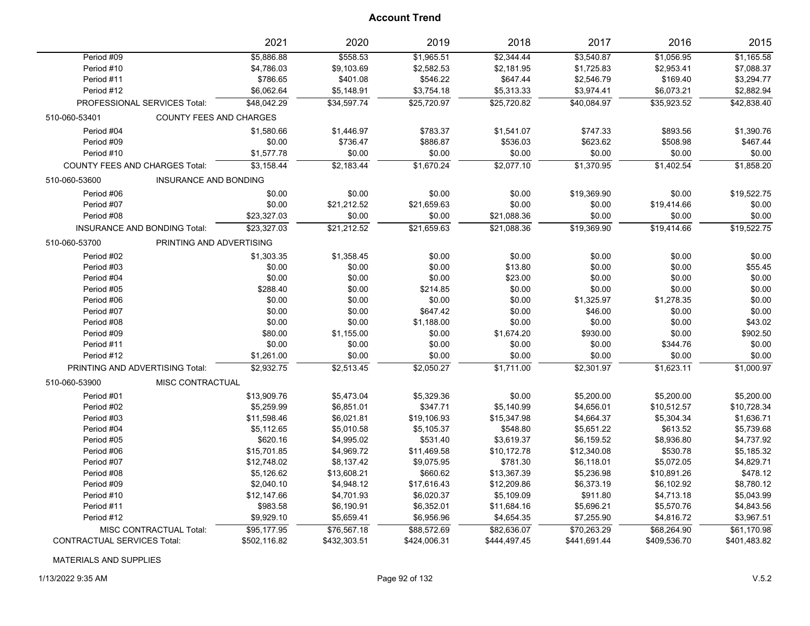|                                               | 2021                           | 2020         | 2019         | 2018         | 2017         | 2016         | 2015         |
|-----------------------------------------------|--------------------------------|--------------|--------------|--------------|--------------|--------------|--------------|
| Period #09                                    | \$5,886.88                     | \$558.53     | \$1,965.51   | \$2,344.44   | \$3,540.87   | \$1,056.95   | \$1,165.58   |
| Period #10                                    | \$4,786.03                     | \$9,103.69   | \$2,582.53   | \$2,181.95   | \$1,725.83   | \$2,953.41   | \$7,088.37   |
| Period #11                                    | \$786.65                       | \$401.08     | \$546.22     | \$647.44     | \$2,546.79   | \$169.40     | \$3,294.77   |
| Period #12                                    | \$6,062.64                     | \$5,148.91   | \$3,754.18   | \$5,313.33   | \$3,974.41   | \$6,073.21   | \$2,882.94   |
| PROFESSIONAL SERVICES Total:                  | \$48.042.29                    | \$34,597.74  | \$25,720.97  | \$25.720.82  | \$40,084.97  | \$35.923.52  | \$42.838.40  |
| 510-060-53401                                 | <b>COUNTY FEES AND CHARGES</b> |              |              |              |              |              |              |
| Period #04                                    | \$1,580.66                     | \$1,446.97   | \$783.37     | \$1,541.07   | \$747.33     | \$893.56     | \$1,390.76   |
| Period #09                                    | \$0.00                         | \$736.47     | \$886.87     | \$536.03     | \$623.62     | \$508.98     | \$467.44     |
| Period #10                                    | \$1,577.78                     | \$0.00       | \$0.00       | \$0.00       | \$0.00       | \$0.00       | \$0.00       |
| COUNTY FEES AND CHARGES Total:                | \$3,158.44                     | \$2,183.44   | \$1,670.24   | \$2,077.10   | \$1,370.95   | \$1,402.54   | \$1,858.20   |
| 510-060-53600<br><b>INSURANCE AND BONDING</b> |                                |              |              |              |              |              |              |
| Period #06                                    | \$0.00                         | \$0.00       | \$0.00       | \$0.00       | \$19,369.90  | \$0.00       | \$19,522.75  |
| Period #07                                    | \$0.00                         | \$21,212.52  | \$21,659.63  | \$0.00       | \$0.00       | \$19,414.66  | \$0.00       |
| Period #08                                    | \$23,327.03                    | \$0.00       | \$0.00       | \$21,088.36  | \$0.00       | \$0.00       | \$0.00       |
| INSURANCE AND BONDING Total:                  | \$23,327.03                    | \$21,212.52  | \$21,659.63  | \$21,088.36  | \$19,369.90  | \$19,414.66  | \$19,522.75  |
| 510-060-53700<br>PRINTING AND ADVERTISING     |                                |              |              |              |              |              |              |
| Period #02                                    | \$1,303.35                     | \$1,358.45   | \$0.00       | \$0.00       | \$0.00       | \$0.00       | \$0.00       |
| Period #03                                    | \$0.00                         | \$0.00       | \$0.00       | \$13.80      | \$0.00       | \$0.00       | \$55.45      |
| Period #04                                    | \$0.00                         | \$0.00       | \$0.00       | \$23.00      | \$0.00       | \$0.00       | \$0.00       |
| Period #05                                    | \$288.40                       | \$0.00       | \$214.85     | \$0.00       | \$0.00       | \$0.00       | \$0.00       |
| Period #06                                    | \$0.00                         | \$0.00       | \$0.00       | \$0.00       | \$1,325.97   | \$1,278.35   | \$0.00       |
| Period #07                                    | \$0.00                         | \$0.00       | \$647.42     | \$0.00       | \$46.00      | \$0.00       | \$0.00       |
| Period #08                                    | \$0.00                         | \$0.00       | \$1,188.00   | \$0.00       | \$0.00       | \$0.00       | \$43.02      |
| Period #09                                    | \$80.00                        | \$1,155.00   | \$0.00       | \$1,674.20   | \$930.00     | \$0.00       | \$902.50     |
| Period #11                                    | \$0.00                         | \$0.00       | \$0.00       | \$0.00       | \$0.00       | \$344.76     | \$0.00       |
| Period #12                                    | \$1,261.00                     | \$0.00       | \$0.00       | \$0.00       | \$0.00       | \$0.00       | \$0.00       |
| PRINTING AND ADVERTISING Total:               | \$2,932.75                     | \$2,513.45   | \$2.050.27   | \$1.711.00   | \$2,301.97   | \$1,623.11   | \$1.000.97   |
| MISC CONTRACTUAL<br>510-060-53900             |                                |              |              |              |              |              |              |
| Period #01                                    | \$13,909.76                    | \$5,473.04   | \$5,329.36   | \$0.00       | \$5,200.00   | \$5,200.00   | \$5,200.00   |
| Period #02                                    | \$5,259.99                     | \$6,851.01   | \$347.71     | \$5,140.99   | \$4,656.01   | \$10,512.57  | \$10,728.34  |
| Period #03                                    | \$11,598.46                    | \$6,021.81   | \$19,106.93  | \$15,347.98  | \$4,664.37   | \$5,304.34   | \$1,636.71   |
| Period #04                                    | \$5,112.65                     | \$5,010.58   | \$5,105.37   | \$548.80     | \$5,651.22   | \$613.52     | \$5,739.68   |
| Period #05                                    | \$620.16                       | \$4,995.02   | \$531.40     | \$3,619.37   | \$6,159.52   | \$8,936.80   | \$4,737.92   |
| Period #06                                    | \$15,701.85                    | \$4,969.72   | \$11,469.58  | \$10,172.78  | \$12,340.08  | \$530.78     | \$5,185.32   |
| Period #07                                    | \$12,748.02                    | \$8,137.42   | \$9,075.95   | \$781.30     | \$6,118.01   | \$5,072.05   | \$4,829.71   |
| Period #08                                    | \$5,126.62                     | \$13,608.21  | \$660.62     | \$13,367.39  | \$5,236.98   | \$10,891.26  | \$478.12     |
| Period #09                                    | \$2,040.10                     | \$4,948.12   | \$17,616.43  | \$12,209.86  | \$6,373.19   | \$6,102.92   | \$8,780.12   |
| Period #10                                    | \$12,147.66                    | \$4,701.93   | \$6,020.37   | \$5,109.09   | \$911.80     | \$4,713.18   | \$5,043.99   |
| Period #11                                    | \$983.58                       | \$6,190.91   | \$6,352.01   | \$11,684.16  | \$5,696.21   | \$5,570.76   | \$4,843.56   |
| Period #12                                    | \$9,929.10                     | \$5,659.41   | \$6,956.96   | \$4,654.35   | \$7,255.90   | \$4,816.72   | \$3,967.51   |
| <b>MISC CONTRACTUAL Total:</b>                | \$95.177.95                    | \$76.567.18  | \$88.572.69  | \$82.636.07  | \$70.263.29  | \$68.264.90  | \$61.170.98  |
| <b>CONTRACTUAL SERVICES Total:</b>            | \$502,116.82                   | \$432,303.51 | \$424,006.31 | \$444,497.45 | \$441,691.44 | \$409,536.70 | \$401,483.82 |

MATERIALS AND SUPPLIES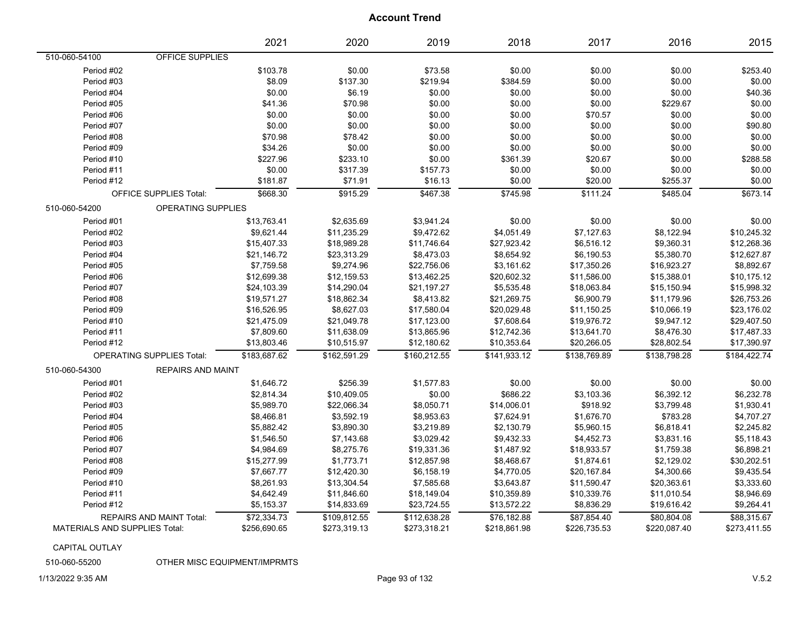|                                      |                                  | 2021         | 2020         | 2019         | 2018         | 2017         | 2016         | 2015         |
|--------------------------------------|----------------------------------|--------------|--------------|--------------|--------------|--------------|--------------|--------------|
| 510-060-54100                        | OFFICE SUPPLIES                  |              |              |              |              |              |              |              |
| Period #02                           |                                  | \$103.78     | \$0.00       | \$73.58      | \$0.00       | \$0.00       | \$0.00       | \$253.40     |
| Period #03                           |                                  | \$8.09       | \$137.30     | \$219.94     | \$384.59     | \$0.00       | \$0.00       | \$0.00       |
| Period #04                           |                                  | \$0.00       | \$6.19       | \$0.00       | \$0.00       | \$0.00       | \$0.00       | \$40.36      |
| Period #05                           |                                  | \$41.36      | \$70.98      | \$0.00       | \$0.00       | \$0.00       | \$229.67     | \$0.00       |
| Period #06                           |                                  | \$0.00       | \$0.00       | \$0.00       | \$0.00       | \$70.57      | \$0.00       | \$0.00       |
| Period #07                           |                                  | \$0.00       | \$0.00       | \$0.00       | \$0.00       | \$0.00       | \$0.00       | \$90.80      |
| Period #08                           |                                  | \$70.98      | \$78.42      | \$0.00       | \$0.00       | \$0.00       | \$0.00       | \$0.00       |
| Period #09                           |                                  | \$34.26      | \$0.00       | \$0.00       | \$0.00       | \$0.00       | \$0.00       | \$0.00       |
| Period #10                           |                                  | \$227.96     | \$233.10     | \$0.00       | \$361.39     | \$20.67      | \$0.00       | \$288.58     |
| Period #11                           |                                  | \$0.00       | \$317.39     | \$157.73     | \$0.00       | \$0.00       | \$0.00       | \$0.00       |
| Period #12                           |                                  | \$181.87     | \$71.91      | \$16.13      | \$0.00       | \$20.00      | \$255.37     | \$0.00       |
|                                      | <b>OFFICE SUPPLIES Total:</b>    | \$668.30     | \$915.29     | \$467.38     | \$745.98     | \$111.24     | \$485.04     | \$673.14     |
| 510-060-54200                        | <b>OPERATING SUPPLIES</b>        |              |              |              |              |              |              |              |
| Period #01                           |                                  | \$13,763.41  | \$2,635.69   | \$3,941.24   | \$0.00       | \$0.00       | \$0.00       | \$0.00       |
| Period #02                           |                                  | \$9,621.44   | \$11,235.29  | \$9,472.62   | \$4,051.49   | \$7,127.63   | \$8,122.94   | \$10,245.32  |
| Period #03                           |                                  | \$15,407.33  | \$18,989.28  | \$11,746.64  | \$27,923.42  | \$6,516.12   | \$9,360.31   | \$12,268.36  |
| Period #04                           |                                  | \$21,146.72  | \$23,313.29  | \$8,473.03   | \$8,654.92   | \$6,190.53   | \$5,380.70   | \$12,627.87  |
| Period #05                           |                                  | \$7,759.58   | \$9,274.96   | \$22,756.06  | \$3,161.62   | \$17,350.26  | \$16,923.27  | \$8,892.67   |
| Period #06                           |                                  | \$12,699.38  | \$12,159.53  | \$13,462.25  | \$20,602.32  | \$11,586.00  | \$15,388.01  | \$10,175.12  |
| Period #07                           |                                  | \$24,103.39  | \$14,290.04  | \$21,197.27  | \$5,535.48   | \$18,063.84  | \$15,150.94  | \$15,998.32  |
| Period #08                           |                                  | \$19,571.27  | \$18,862.34  | \$8,413.82   | \$21,269.75  | \$6,900.79   | \$11,179.96  | \$26,753.26  |
| Period #09                           |                                  | \$16,526.95  | \$8,627.03   | \$17,580.04  | \$20,029.48  | \$11,150.25  | \$10,066.19  | \$23,176.02  |
| Period #10                           |                                  | \$21,475.09  | \$21,049.78  | \$17,123.00  | \$7,608.64   | \$19,976.72  | \$9,947.12   | \$29,407.50  |
| Period #11                           |                                  | \$7,809.60   | \$11,638.09  | \$13,865.96  | \$12,742.36  | \$13,641.70  | \$8,476.30   | \$17,487.33  |
| Period #12                           |                                  | \$13,803.46  | \$10,515.97  | \$12,180.62  | \$10,353.64  | \$20,266.05  | \$28,802.54  | \$17,390.97  |
|                                      | <b>OPERATING SUPPLIES Total:</b> | \$183,687.62 | \$162,591.29 | \$160,212.55 | \$141,933.12 | \$138,769.89 | \$138,798.28 | \$184,422.74 |
| 510-060-54300                        | <b>REPAIRS AND MAINT</b>         |              |              |              |              |              |              |              |
| Period #01                           |                                  | \$1,646.72   | \$256.39     | \$1,577.83   | \$0.00       | \$0.00       | \$0.00       | \$0.00       |
| Period #02                           |                                  | \$2,814.34   | \$10,409.05  | \$0.00       | \$686.22     | \$3,103.36   | \$6,392.12   | \$6,232.78   |
| Period #03                           |                                  | \$5,989.70   | \$22,066.34  | \$8,050.71   | \$14,006.01  | \$918.92     | \$3,799.48   | \$1,930.41   |
| Period #04                           |                                  | \$8,466.81   | \$3,592.19   | \$8,953.63   | \$7,624.91   | \$1,676.70   | \$783.28     | \$4,707.27   |
| Period #05                           |                                  | \$5,882.42   | \$3,890.30   | \$3,219.89   | \$2,130.79   | \$5,960.15   | \$6,818.41   | \$2,245.82   |
| Period #06                           |                                  | \$1,546.50   | \$7,143.68   | \$3,029.42   | \$9,432.33   | \$4,452.73   | \$3,831.16   | \$5,118.43   |
| Period #07                           |                                  | \$4,984.69   | \$8,275.76   | \$19,331.36  | \$1,487.92   | \$18,933.57  | \$1,759.38   | \$6,898.21   |
| Period #08                           |                                  | \$15,277.99  | \$1,773.71   | \$12,857.98  | \$8,468.67   | \$1,874.61   | \$2,129.02   | \$30,202.51  |
| Period #09                           |                                  | \$7,667.77   | \$12,420.30  | \$6,158.19   | \$4,770.05   | \$20,167.84  | \$4,300.66   | \$9,435.54   |
| Period #10                           |                                  | \$8,261.93   | \$13,304.54  | \$7,585.68   | \$3,643.87   | \$11,590.47  | \$20,363.61  | \$3,333.60   |
| Period #11                           |                                  | \$4,642.49   | \$11,846.60  | \$18,149.04  | \$10,359.89  | \$10,339.76  | \$11,010.54  | \$8,946.69   |
| Period #12                           |                                  | \$5,153.37   | \$14,833.69  | \$23,724.55  | \$13,572.22  | \$8,836.29   | \$19,616.42  | \$9,264.41   |
|                                      | <b>REPAIRS AND MAINT Total:</b>  | \$72,334.73  | \$109,812.55 | \$112,638.28 | \$76,182.88  | \$87,854.40  | \$80,804.08  | \$88,315.67  |
| <b>MATERIALS AND SUPPLIES Total:</b> |                                  | \$256,690.65 | \$273,319.13 | \$273,318.21 | \$218,861.98 | \$226,735.53 | \$220,087.40 | \$273,411.55 |

CAPITAL OUTLAY

510-060-55200 OTHER MISC EQUIPMENT/IMPRMTS

1/13/2022 9:35 AM Page 93 of 132 V.5.2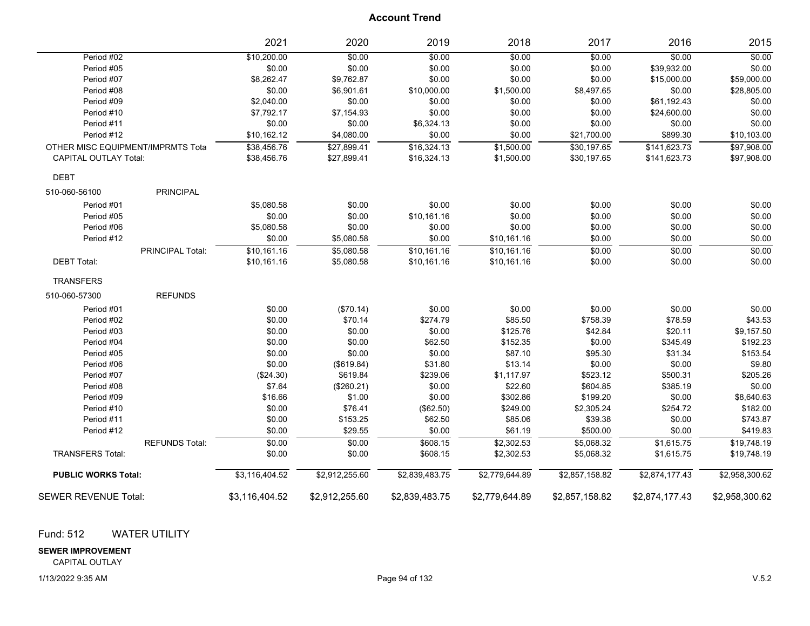|                                   |                       | 2021           | 2020           | 2019           | 2018           | 2017           | 2016           | 2015           |
|-----------------------------------|-----------------------|----------------|----------------|----------------|----------------|----------------|----------------|----------------|
| Period #02                        |                       | \$10,200.00    | \$0.00         | \$0.00         | \$0.00         | \$0.00         | \$0.00         | \$0.00         |
| Period #05                        |                       | \$0.00         | \$0.00         | \$0.00         | \$0.00         | \$0.00         | \$39,932.00    | \$0.00         |
| Period #07                        |                       | \$8,262.47     | \$9,762.87     | \$0.00         | \$0.00         | \$0.00         | \$15,000.00    | \$59,000.00    |
| Period #08                        |                       | \$0.00         | \$6,901.61     | \$10,000.00    | \$1,500.00     | \$8,497.65     | \$0.00         | \$28,805.00    |
| Period #09                        |                       | \$2,040.00     | \$0.00         | \$0.00         | \$0.00         | \$0.00         | \$61,192.43    | \$0.00         |
| Period #10                        |                       | \$7,792.17     | \$7,154.93     | \$0.00         | \$0.00         | \$0.00         | \$24,600.00    | \$0.00         |
| Period #11                        |                       | \$0.00         | \$0.00         | \$6,324.13     | \$0.00         | \$0.00         | \$0.00         | \$0.00         |
| Period #12                        |                       | \$10,162.12    | \$4,080.00     | \$0.00         | \$0.00         | \$21,700.00    | \$899.30       | \$10,103.00    |
| OTHER MISC EQUIPMENT/IMPRMTS Tota |                       | \$38,456.76    | \$27,899.41    | \$16,324.13    | \$1,500.00     | \$30,197.65    | \$141,623.73   | \$97,908.00    |
| <b>CAPITAL OUTLAY Total:</b>      |                       | \$38,456.76    | \$27,899.41    | \$16,324.13    | \$1,500.00     | \$30,197.65    | \$141,623.73   | \$97,908.00    |
| <b>DEBT</b>                       |                       |                |                |                |                |                |                |                |
| 510-060-56100                     | <b>PRINCIPAL</b>      |                |                |                |                |                |                |                |
| Period #01                        |                       | \$5,080.58     | \$0.00         | \$0.00         | \$0.00         | \$0.00         | \$0.00         | \$0.00         |
| Period #05                        |                       | \$0.00         | \$0.00         | \$10,161.16    | \$0.00         | \$0.00         | \$0.00         | \$0.00         |
| Period #06                        |                       | \$5,080.58     | \$0.00         | \$0.00         | \$0.00         | \$0.00         | \$0.00         | \$0.00         |
| Period #12                        |                       | \$0.00         | \$5,080.58     | \$0.00         | \$10,161.16    | \$0.00         | \$0.00         | \$0.00         |
|                                   | PRINCIPAL Total:      | \$10,161.16    | \$5,080.58     | \$10,161.16    | \$10,161.16    | \$0.00         | \$0.00         | \$0.00         |
| <b>DEBT Total:</b>                |                       | \$10,161.16    | \$5,080.58     | \$10,161.16    | \$10,161.16    | \$0.00         | \$0.00         | \$0.00         |
| <b>TRANSFERS</b>                  |                       |                |                |                |                |                |                |                |
| 510-060-57300                     | <b>REFUNDS</b>        |                |                |                |                |                |                |                |
| Period #01                        |                       | \$0.00         | (\$70.14)      | \$0.00         | \$0.00         | \$0.00         | \$0.00         | \$0.00         |
| Period #02                        |                       | \$0.00         | \$70.14        | \$274.79       | \$85.50        | \$758.39       | \$78.59        | \$43.53        |
| Period #03                        |                       | \$0.00         | \$0.00         | \$0.00         | \$125.76       | \$42.84        | \$20.11        | \$9,157.50     |
| Period #04                        |                       | \$0.00         | \$0.00         | \$62.50        | \$152.35       | \$0.00         | \$345.49       | \$192.23       |
| Period #05                        |                       | \$0.00         | \$0.00         | \$0.00         | \$87.10        | \$95.30        | \$31.34        | \$153.54       |
| Period #06                        |                       | \$0.00         | (\$619.84)     | \$31.80        | \$13.14        | \$0.00         | \$0.00         | \$9.80         |
| Period #07                        |                       | (\$24.30)      | \$619.84       | \$239.06       | \$1,117.97     | \$523.12       | \$500.31       | \$205.26       |
| Period #08                        |                       | \$7.64         | (\$260.21)     | \$0.00         | \$22.60        | \$604.85       | \$385.19       | \$0.00         |
| Period #09                        |                       | \$16.66        | \$1.00         | \$0.00         | \$302.86       | \$199.20       | \$0.00         | \$8,640.63     |
| Period #10                        |                       | \$0.00         | \$76.41        | (\$62.50)      | \$249.00       | \$2,305.24     | \$254.72       | \$182.00       |
| Period #11                        |                       | \$0.00         | \$153.25       | \$62.50        | \$85.06        | \$39.38        | \$0.00         | \$743.87       |
| Period #12                        |                       | \$0.00         | \$29.55        | \$0.00         | \$61.19        | \$500.00       | \$0.00         | \$419.83       |
|                                   | <b>REFUNDS Total:</b> | \$0.00         | \$0.00         | \$608.15       | \$2,302.53     | \$5,068.32     | \$1,615.75     | \$19,748.19    |
| <b>TRANSFERS Total:</b>           |                       | \$0.00         | \$0.00         | \$608.15       | \$2,302.53     | \$5,068.32     | \$1,615.75     | \$19,748.19    |
| <b>PUBLIC WORKS Total:</b>        |                       | \$3,116,404.52 | \$2,912,255.60 | \$2,839,483.75 | \$2,779,644.89 | \$2,857,158.82 | \$2,874,177.43 | \$2,958,300.62 |
| <b>SEWER REVENUE Total:</b>       |                       | \$3,116,404.52 | \$2,912,255.60 | \$2,839,483.75 | \$2,779,644.89 | \$2,857,158.82 | \$2,874,177.43 | \$2,958,300.62 |

Fund: 512 WATER UTILITY

#### **SEWER IMPROVEMENT**

CAPITAL OUTLAY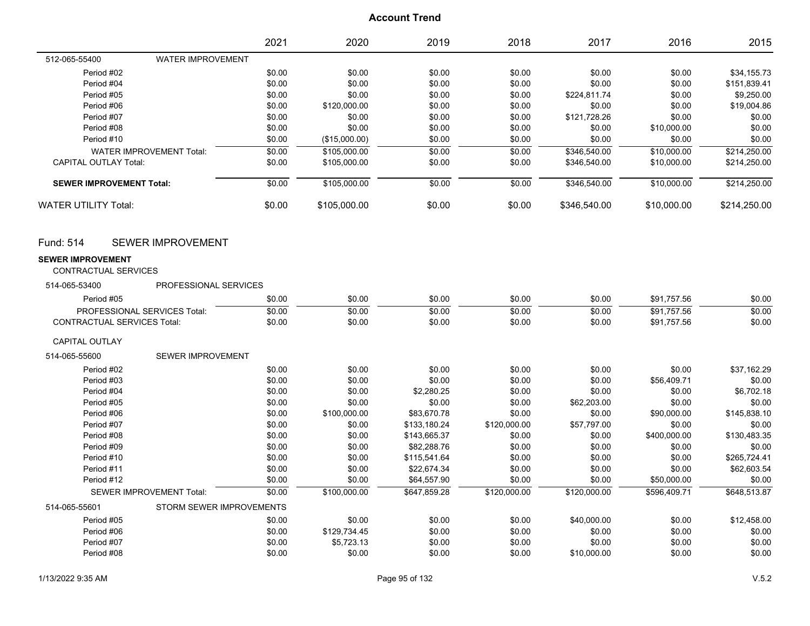|                                                  |                                 | 2021   | 2020          | 2019         | 2018         | 2017         | 2016         | 2015         |
|--------------------------------------------------|---------------------------------|--------|---------------|--------------|--------------|--------------|--------------|--------------|
| 512-065-55400                                    | <b>WATER IMPROVEMENT</b>        |        |               |              |              |              |              |              |
| Period #02                                       |                                 | \$0.00 | \$0.00        | \$0.00       | \$0.00       | \$0.00       | \$0.00       | \$34,155.73  |
| Period #04                                       |                                 | \$0.00 | \$0.00        | \$0.00       | \$0.00       | \$0.00       | \$0.00       | \$151,839.41 |
| Period #05                                       |                                 | \$0.00 | \$0.00        | \$0.00       | \$0.00       | \$224,811.74 | \$0.00       | \$9,250.00   |
| Period #06                                       |                                 | \$0.00 | \$120,000.00  | \$0.00       | \$0.00       | \$0.00       | \$0.00       | \$19,004.86  |
| Period #07                                       |                                 | \$0.00 | \$0.00        | \$0.00       | \$0.00       | \$121,728.26 | \$0.00       | \$0.00       |
| Period #08                                       |                                 | \$0.00 | \$0.00        | \$0.00       | \$0.00       | \$0.00       | \$10,000.00  | \$0.00       |
| Period #10                                       |                                 | \$0.00 | (\$15,000.00) | \$0.00       | \$0.00       | \$0.00       | \$0.00       | \$0.00       |
|                                                  | <b>WATER IMPROVEMENT Total:</b> | \$0.00 | \$105,000.00  | \$0.00       | \$0.00       | \$346,540.00 | \$10,000.00  | \$214,250.00 |
| <b>CAPITAL OUTLAY Total:</b>                     |                                 | \$0.00 | \$105,000.00  | \$0.00       | \$0.00       | \$346,540.00 | \$10,000.00  | \$214,250.00 |
| <b>SEWER IMPROVEMENT Total:</b>                  |                                 | \$0.00 | \$105,000.00  | \$0.00       | \$0.00       | \$346.540.00 | \$10,000.00  | \$214,250.00 |
| <b>WATER UTILITY Total:</b>                      |                                 | \$0.00 | \$105,000.00  | \$0.00       | \$0.00       | \$346,540.00 | \$10,000.00  | \$214,250.00 |
| <b>Fund: 514</b>                                 | <b>SEWER IMPROVEMENT</b>        |        |               |              |              |              |              |              |
| <b>SEWER IMPROVEMENT</b><br>CONTRACTUAL SERVICES |                                 |        |               |              |              |              |              |              |
| 514-065-53400                                    | PROFESSIONAL SERVICES           |        |               |              |              |              |              |              |
| Period #05                                       |                                 | \$0.00 | \$0.00        | \$0.00       | \$0.00       | \$0.00       | \$91,757.56  | \$0.00       |
| PROFESSIONAL SERVICES Total:                     |                                 | \$0.00 | \$0.00        | \$0.00       | \$0.00       | \$0.00       | \$91,757.56  | \$0.00       |
| <b>CONTRACTUAL SERVICES Total:</b>               |                                 | \$0.00 | \$0.00        | \$0.00       | \$0.00       | \$0.00       | \$91,757.56  | \$0.00       |
| <b>CAPITAL OUTLAY</b>                            |                                 |        |               |              |              |              |              |              |
| 514-065-55600                                    | SEWER IMPROVEMENT               |        |               |              |              |              |              |              |
| Period #02                                       |                                 | \$0.00 | \$0.00        | \$0.00       | \$0.00       | \$0.00       | \$0.00       | \$37,162.29  |
| Period #03                                       |                                 | \$0.00 | \$0.00        | \$0.00       | \$0.00       | \$0.00       | \$56,409.71  | \$0.00       |
| Period #04                                       |                                 | \$0.00 | \$0.00        | \$2,280.25   | \$0.00       | \$0.00       | \$0.00       | \$6,702.18   |
| Period #05                                       |                                 | \$0.00 | \$0.00        | \$0.00       | \$0.00       | \$62,203.00  | \$0.00       | \$0.00       |
| Period #06                                       |                                 | \$0.00 | \$100,000.00  | \$83,670.78  | \$0.00       | \$0.00       | \$90,000.00  | \$145,838.10 |
| Period #07                                       |                                 | \$0.00 | \$0.00        | \$133,180.24 | \$120,000.00 | \$57,797.00  | \$0.00       | \$0.00       |
| Period #08                                       |                                 | \$0.00 | \$0.00        | \$143,665.37 | \$0.00       | \$0.00       | \$400,000.00 | \$130,483.35 |
| Period #09                                       |                                 | \$0.00 | \$0.00        | \$82,288.76  | \$0.00       | \$0.00       | \$0.00       | \$0.00       |
| Period #10                                       |                                 | \$0.00 | \$0.00        | \$115,541.64 | \$0.00       | \$0.00       | \$0.00       | \$265,724.41 |
| Period #11                                       |                                 | \$0.00 | \$0.00        | \$22,674.34  | \$0.00       | \$0.00       | \$0.00       | \$62,603.54  |
| Period #12                                       |                                 | \$0.00 | \$0.00        | \$64,557.90  | \$0.00       | \$0.00       | \$50,000.00  | \$0.00       |
|                                                  | <b>SEWER IMPROVEMENT Total:</b> | \$0.00 | \$100.000.00  | \$647.859.28 | \$120,000.00 | \$120.000.00 | \$596.409.71 | \$648.513.87 |
| 514-065-55601                                    | STORM SEWER IMPROVEMENTS        |        |               |              |              |              |              |              |
| Period #05                                       |                                 | \$0.00 | \$0.00        | \$0.00       | \$0.00       | \$40,000.00  | \$0.00       | \$12,458.00  |
| Period #06                                       |                                 | \$0.00 | \$129,734.45  | \$0.00       | \$0.00       | \$0.00       | \$0.00       | \$0.00       |
| Period #07                                       |                                 | \$0.00 | \$5,723.13    | \$0.00       | \$0.00       | \$0.00       | \$0.00       | \$0.00       |
| Period #08                                       |                                 | \$0.00 | \$0.00        | \$0.00       | \$0.00       | \$10,000.00  | \$0.00       | \$0.00       |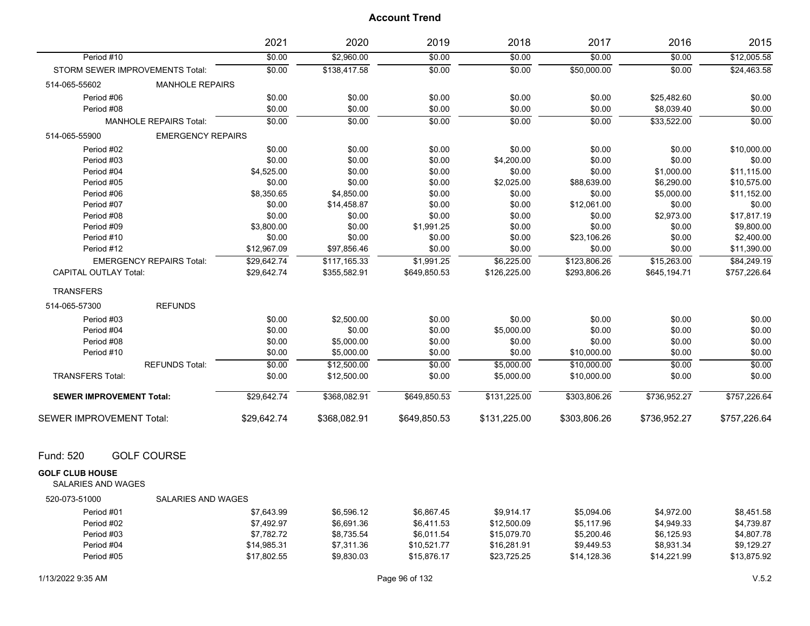|                                                     |                                 | 2021        | 2020         | 2019         | 2018         | 2017         | 2016         | 2015         |
|-----------------------------------------------------|---------------------------------|-------------|--------------|--------------|--------------|--------------|--------------|--------------|
| Period #10                                          |                                 | \$0.00      | \$2,960.00   | \$0.00       | \$0.00       | \$0.00       | \$0.00       | \$12,005.58  |
| STORM SEWER IMPROVEMENTS Total:                     |                                 | \$0.00      | \$138,417.58 | \$0.00       | \$0.00       | \$50,000.00  | \$0.00       | \$24,463.58  |
| 514-065-55602                                       | <b>MANHOLE REPAIRS</b>          |             |              |              |              |              |              |              |
| Period #06                                          |                                 | \$0.00      | \$0.00       | \$0.00       | \$0.00       | \$0.00       | \$25,482.60  | \$0.00       |
| Period #08                                          |                                 | \$0.00      | \$0.00       | \$0.00       | \$0.00       | \$0.00       | \$8,039.40   | \$0.00       |
|                                                     | <b>MANHOLE REPAIRS Total:</b>   | \$0.00      | \$0.00       | \$0.00       | \$0.00       | \$0.00       | \$33,522.00  | \$0.00       |
| 514-065-55900                                       | <b>EMERGENCY REPAIRS</b>        |             |              |              |              |              |              |              |
| Period #02                                          |                                 | \$0.00      | \$0.00       | \$0.00       | \$0.00       | \$0.00       | \$0.00       | \$10,000.00  |
| Period #03                                          |                                 | \$0.00      | \$0.00       | \$0.00       | \$4,200.00   | \$0.00       | \$0.00       | \$0.00       |
| Period #04                                          |                                 | \$4,525.00  | \$0.00       | \$0.00       | \$0.00       | \$0.00       | \$1,000.00   | \$11,115.00  |
| Period #05                                          |                                 | \$0.00      | \$0.00       | \$0.00       | \$2,025.00   | \$88,639.00  | \$6,290.00   | \$10,575.00  |
| Period #06                                          |                                 | \$8,350.65  | \$4,850.00   | \$0.00       | \$0.00       | \$0.00       | \$5,000.00   | \$11,152.00  |
| Period #07                                          |                                 | \$0.00      | \$14,458.87  | \$0.00       | \$0.00       | \$12,061.00  | \$0.00       | \$0.00       |
| Period #08                                          |                                 | \$0.00      | \$0.00       | \$0.00       | \$0.00       | \$0.00       | \$2,973.00   | \$17,817.19  |
| Period #09                                          |                                 | \$3,800.00  | \$0.00       | \$1,991.25   | \$0.00       | \$0.00       | \$0.00       | \$9,800.00   |
| Period #10                                          |                                 | \$0.00      | \$0.00       | \$0.00       | \$0.00       | \$23,106.26  | \$0.00       | \$2,400.00   |
| Period #12                                          |                                 | \$12,967.09 | \$97,856.46  | \$0.00       | \$0.00       | \$0.00       | \$0.00       | \$11,390.00  |
|                                                     | <b>EMERGENCY REPAIRS Total:</b> | \$29.642.74 | \$117,165.33 | \$1,991.25   | \$6,225.00   | \$123,806.26 | \$15,263.00  | \$84,249.19  |
| <b>CAPITAL OUTLAY Total:</b>                        |                                 | \$29,642.74 | \$355,582.91 | \$649,850.53 | \$126,225.00 | \$293,806.26 | \$645,194.71 | \$757,226.64 |
| <b>TRANSFERS</b>                                    |                                 |             |              |              |              |              |              |              |
| 514-065-57300                                       | <b>REFUNDS</b>                  |             |              |              |              |              |              |              |
| Period #03                                          |                                 | \$0.00      | \$2,500.00   | \$0.00       | \$0.00       | \$0.00       | \$0.00       | \$0.00       |
| Period #04                                          |                                 | \$0.00      | \$0.00       | \$0.00       | \$5,000.00   | \$0.00       | \$0.00       | \$0.00       |
| Period #08                                          |                                 | \$0.00      | \$5,000.00   | \$0.00       | \$0.00       | \$0.00       | \$0.00       | \$0.00       |
| Period #10                                          |                                 | \$0.00      | \$5,000.00   | \$0.00       | \$0.00       | \$10,000.00  | \$0.00       | \$0.00       |
|                                                     | <b>REFUNDS Total:</b>           | \$0.00      | \$12,500.00  | \$0.00       | \$5,000.00   | \$10,000.00  | \$0.00       | \$0.00       |
| <b>TRANSFERS Total:</b>                             |                                 | \$0.00      | \$12,500.00  | \$0.00       | \$5,000.00   | \$10,000.00  | \$0.00       | \$0.00       |
| <b>SEWER IMPROVEMENT Total:</b>                     |                                 | \$29,642.74 | \$368,082.91 | \$649,850.53 | \$131,225.00 | \$303,806.26 | \$736,952.27 | \$757,226.64 |
|                                                     |                                 |             |              |              |              |              |              |              |
| SEWER IMPROVEMENT Total:                            |                                 | \$29,642.74 | \$368,082.91 | \$649,850.53 | \$131,225.00 | \$303,806.26 | \$736,952.27 | \$757,226.64 |
| Fund: 520                                           | <b>GOLF COURSE</b>              |             |              |              |              |              |              |              |
|                                                     |                                 |             |              |              |              |              |              |              |
| <b>GOLF CLUB HOUSE</b><br><b>SALARIES AND WAGES</b> |                                 |             |              |              |              |              |              |              |
| 520-073-51000                                       | SALARIES AND WAGES              |             |              |              |              |              |              |              |
| Period #01                                          |                                 | \$7,643.99  | \$6,596.12   | \$6,867.45   | \$9,914.17   | \$5,094.06   | \$4,972.00   | \$8,451.58   |
| Period #02                                          |                                 | \$7,492.97  | \$6,691.36   | \$6,411.53   | \$12,500.09  | \$5,117.96   | \$4,949.33   | \$4,739.87   |
| Period #03                                          |                                 | \$7,782.72  | \$8,735.54   | \$6,011.54   | \$15,079.70  | \$5,200.46   | \$6,125.93   | \$4,807.78   |
| Period #04                                          |                                 | \$14,985.31 | \$7,311.36   | \$10,521.77  | \$16,281.91  | \$9,449.53   | \$8,931.34   | \$9,129.27   |
| Period #05                                          |                                 | \$17,802.55 | \$9,830.03   | \$15,876.17  | \$23,725.25  | \$14,128.36  | \$14,221.99  | \$13,875.92  |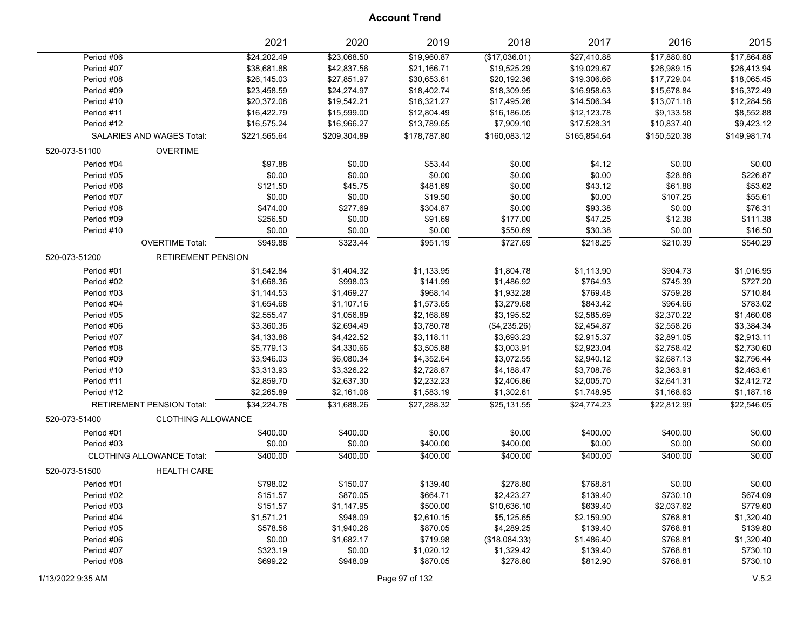|               |                                  | 2021         | 2020         | 2019         | 2018          | 2017         | 2016         | 2015         |
|---------------|----------------------------------|--------------|--------------|--------------|---------------|--------------|--------------|--------------|
| Period #06    |                                  | \$24,202.49  | \$23,068.50  | \$19,960.87  | (\$17,036.01) | \$27,410.88  | \$17,880.60  | \$17,864.88  |
| Period #07    |                                  | \$38,681.88  | \$42,837.56  | \$21,166.71  | \$19,525.29   | \$19,029.67  | \$26,989.15  | \$26,413.94  |
| Period #08    |                                  | \$26,145.03  | \$27,851.97  | \$30,653.61  | \$20,192.36   | \$19,306.66  | \$17,729.04  | \$18,065.45  |
| Period #09    |                                  | \$23,458.59  | \$24,274.97  | \$18,402.74  | \$18,309.95   | \$16,958.63  | \$15,678.84  | \$16,372.49  |
| Period #10    |                                  | \$20,372.08  | \$19,542.21  | \$16,321.27  | \$17,495.26   | \$14,506.34  | \$13,071.18  | \$12,284.56  |
| Period #11    |                                  | \$16,422.79  | \$15,599.00  | \$12,804.49  | \$16,186.05   | \$12,123.78  | \$9,133.58   | \$8,552.88   |
| Period #12    |                                  | \$16,575.24  | \$16,966.27  | \$13,789.65  | \$7,909.10    | \$17,528.31  | \$10,837.40  | \$9,423.12   |
|               | SALARIES AND WAGES Total:        | \$221,565.64 | \$209,304.89 | \$178,787.80 | \$160,083.12  | \$165,854.64 | \$150,520.38 | \$149,981.74 |
| 520-073-51100 | <b>OVERTIME</b>                  |              |              |              |               |              |              |              |
| Period #04    |                                  | \$97.88      | \$0.00       | \$53.44      | \$0.00        | \$4.12       | \$0.00       | \$0.00       |
| Period #05    |                                  | \$0.00       | \$0.00       | \$0.00       | \$0.00        | \$0.00       | \$28.88      | \$226.87     |
| Period #06    |                                  | \$121.50     | \$45.75      | \$481.69     | \$0.00        | \$43.12      | \$61.88      | \$53.62      |
| Period #07    |                                  | \$0.00       | \$0.00       | \$19.50      | \$0.00        | \$0.00       | \$107.25     | \$55.61      |
| Period #08    |                                  | \$474.00     | \$277.69     | \$304.87     | \$0.00        | \$93.38      | \$0.00       | \$76.31      |
| Period #09    |                                  | \$256.50     | \$0.00       | \$91.69      | \$177.00      | \$47.25      | \$12.38      | \$111.38     |
| Period #10    |                                  | \$0.00       | \$0.00       | \$0.00       | \$550.69      | \$30.38      | \$0.00       | \$16.50      |
|               | <b>OVERTIME Total:</b>           | \$949.88     | \$323.44     | \$951.19     | \$727.69      | \$218.25     | \$210.39     | \$540.29     |
| 520-073-51200 | <b>RETIREMENT PENSION</b>        |              |              |              |               |              |              |              |
| Period #01    |                                  | \$1,542.84   | \$1,404.32   | \$1,133.95   | \$1,804.78    | \$1,113.90   | \$904.73     | \$1,016.95   |
| Period #02    |                                  | \$1,668.36   | \$998.03     | \$141.99     | \$1,486.92    | \$764.93     | \$745.39     | \$727.20     |
| Period #03    |                                  | \$1,144.53   | \$1,469.27   | \$968.14     | \$1,932.28    | \$769.48     | \$759.28     | \$710.84     |
| Period #04    |                                  | \$1,654.68   | \$1,107.16   | \$1,573.65   | \$3,279.68    | \$843.42     | \$964.66     | \$783.02     |
| Period #05    |                                  | \$2,555.47   | \$1,056.89   | \$2,168.89   | \$3,195.52    | \$2,585.69   | \$2,370.22   | \$1,460.06   |
| Period #06    |                                  | \$3,360.36   | \$2,694.49   | \$3,780.78   | (\$4,235.26)  | \$2,454.87   | \$2,558.26   | \$3,384.34   |
| Period #07    |                                  | \$4,133.86   | \$4,422.52   | \$3,118.11   | \$3,693.23    | \$2,915.37   | \$2,891.05   | \$2,913.11   |
| Period #08    |                                  | \$5,779.13   | \$4,330.66   | \$3,505.88   | \$3,003.91    | \$2,923.04   | \$2,758.42   | \$2,730.60   |
| Period #09    |                                  | \$3,946.03   | \$6,080.34   | \$4,352.64   | \$3,072.55    | \$2,940.12   | \$2,687.13   | \$2,756.44   |
| Period #10    |                                  | \$3,313.93   | \$3,326.22   | \$2,728.87   | \$4,188.47    | \$3,708.76   | \$2,363.91   | \$2,463.61   |
| Period #11    |                                  | \$2,859.70   | \$2,637.30   | \$2,232.23   | \$2,406.86    | \$2,005.70   | \$2,641.31   | \$2,412.72   |
| Period #12    |                                  | \$2,265.89   | \$2,161.06   | \$1,583.19   | \$1,302.61    | \$1,748.95   | \$1,168.63   | \$1,187.16   |
|               | <b>RETIREMENT PENSION Total:</b> | \$34,224.78  | \$31,688.26  | \$27,288.32  | \$25,131.55   | \$24,774.23  | \$22,812.99  | \$22,546.05  |
| 520-073-51400 | <b>CLOTHING ALLOWANCE</b>        |              |              |              |               |              |              |              |
| Period #01    |                                  | \$400.00     | \$400.00     | \$0.00       | \$0.00        | \$400.00     | \$400.00     | \$0.00       |
| Period #03    |                                  | \$0.00       | \$0.00       | \$400.00     | \$400.00      | \$0.00       | \$0.00       | \$0.00       |
|               | <b>CLOTHING ALLOWANCE Total:</b> | \$400.00     | \$400.00     | \$400.00     | \$400.00      | \$400.00     | \$400.00     | \$0.00       |
| 520-073-51500 | <b>HEALTH CARE</b>               |              |              |              |               |              |              |              |
| Period #01    |                                  | \$798.02     | \$150.07     | \$139.40     | \$278.80      | \$768.81     | \$0.00       | \$0.00       |
| Period #02    |                                  | \$151.57     | \$870.05     | \$664.71     | \$2,423.27    | \$139.40     | \$730.10     | \$674.09     |
| Period #03    |                                  | \$151.57     | \$1,147.95   | \$500.00     | \$10,636.10   | \$639.40     | \$2,037.62   | \$779.60     |
| Period #04    |                                  | \$1,571.21   | \$948.09     | \$2,610.15   | \$5,125.65    | \$2,159.90   | \$768.81     | \$1,320.40   |
| Period #05    |                                  | \$578.56     | \$1,940.26   | \$870.05     | \$4,289.25    | \$139.40     | \$768.81     | \$139.80     |
| Period #06    |                                  | \$0.00       | \$1,682.17   | \$719.98     | (\$18,084.33) | \$1,486.40   | \$768.81     | \$1,320.40   |
| Period #07    |                                  | \$323.19     | \$0.00       | \$1,020.12   | \$1,329.42    | \$139.40     | \$768.81     | \$730.10     |
| Period #08    |                                  | \$699.22     | \$948.09     | \$870.05     | \$278.80      | \$812.90     | \$768.81     | \$730.10     |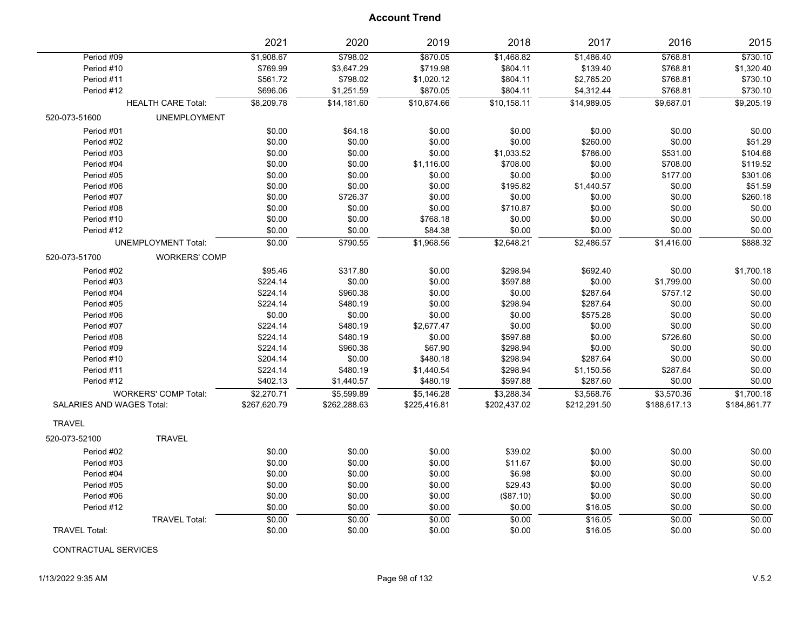|                                  |                             | 2021         | 2020         | 2019         | 2018         | 2017         | 2016         | 2015         |
|----------------------------------|-----------------------------|--------------|--------------|--------------|--------------|--------------|--------------|--------------|
| Period #09                       |                             | \$1,908.67   | \$798.02     | \$870.05     | \$1,468.82   | \$1,486.40   | \$768.81     | \$730.10     |
| Period #10                       |                             | \$769.99     | \$3,647.29   | \$719.98     | \$804.11     | \$139.40     | \$768.81     | \$1,320.40   |
| Period #11                       |                             | \$561.72     | \$798.02     | \$1,020.12   | \$804.11     | \$2,765.20   | \$768.81     | \$730.10     |
| Period #12                       |                             | \$696.06     | \$1,251.59   | \$870.05     | \$804.11     | \$4,312.44   | \$768.81     | \$730.10     |
|                                  | <b>HEALTH CARE Total:</b>   | \$8,209.78   | \$14,181.60  | \$10,874.66  | \$10,158.11  | \$14,989.05  | \$9,687.01   | \$9,205.19   |
| 520-073-51600                    | <b>UNEMPLOYMENT</b>         |              |              |              |              |              |              |              |
| Period #01                       |                             | \$0.00       | \$64.18      | \$0.00       | \$0.00       | \$0.00       | \$0.00       | \$0.00       |
| Period #02                       |                             | \$0.00       | \$0.00       | \$0.00       | \$0.00       | \$260.00     | \$0.00       | \$51.29      |
| Period #03                       |                             | \$0.00       | \$0.00       | \$0.00       | \$1,033.52   | \$786.00     | \$531.00     | \$104.68     |
| Period #04                       |                             | \$0.00       | \$0.00       | \$1,116.00   | \$708.00     | \$0.00       | \$708.00     | \$119.52     |
| Period #05                       |                             | \$0.00       | \$0.00       | \$0.00       | \$0.00       | \$0.00       | \$177.00     | \$301.06     |
| Period #06                       |                             | \$0.00       | \$0.00       | \$0.00       | \$195.82     | \$1,440.57   | \$0.00       | \$51.59      |
| Period #07                       |                             | \$0.00       | \$726.37     | \$0.00       | \$0.00       | \$0.00       | \$0.00       | \$260.18     |
| Period #08                       |                             | \$0.00       | \$0.00       | \$0.00       | \$710.87     | \$0.00       | \$0.00       | \$0.00       |
| Period #10                       |                             | \$0.00       | \$0.00       | \$768.18     | \$0.00       | \$0.00       | \$0.00       | \$0.00       |
| Period #12                       |                             | \$0.00       | \$0.00       | \$84.38      | \$0.00       | \$0.00       | \$0.00       | \$0.00       |
|                                  | <b>UNEMPLOYMENT Total:</b>  | \$0.00       | \$790.55     | \$1,968.56   | \$2,648.21   | \$2,486.57   | \$1,416.00   | \$888.32     |
| 520-073-51700                    | <b>WORKERS' COMP</b>        |              |              |              |              |              |              |              |
| Period #02                       |                             | \$95.46      | \$317.80     | \$0.00       | \$298.94     | \$692.40     | \$0.00       | \$1,700.18   |
| Period #03                       |                             | \$224.14     | \$0.00       | \$0.00       | \$597.88     | \$0.00       | \$1,799.00   | \$0.00       |
| Period #04                       |                             | \$224.14     | \$960.38     | \$0.00       | \$0.00       | \$287.64     | \$757.12     | \$0.00       |
| Period #05                       |                             | \$224.14     | \$480.19     | \$0.00       | \$298.94     | \$287.64     | \$0.00       | \$0.00       |
| Period #06                       |                             | \$0.00       | \$0.00       | \$0.00       | \$0.00       | \$575.28     | \$0.00       | \$0.00       |
| Period #07                       |                             | \$224.14     | \$480.19     | \$2,677.47   | \$0.00       | \$0.00       | \$0.00       | \$0.00       |
| Period #08                       |                             | \$224.14     | \$480.19     | \$0.00       | \$597.88     | \$0.00       | \$726.60     | \$0.00       |
| Period #09                       |                             | \$224.14     | \$960.38     | \$67.90      | \$298.94     | \$0.00       | \$0.00       | \$0.00       |
| Period #10                       |                             | \$204.14     | \$0.00       | \$480.18     | \$298.94     | \$287.64     | \$0.00       | \$0.00       |
| Period #11                       |                             | \$224.14     | \$480.19     | \$1,440.54   | \$298.94     | \$1,150.56   | \$287.64     | \$0.00       |
| Period #12                       |                             | \$402.13     | \$1,440.57   | \$480.19     | \$597.88     | \$287.60     | \$0.00       | \$0.00       |
|                                  | <b>WORKERS' COMP Total:</b> | \$2,270.71   | \$5,599.89   | \$5,146.28   | \$3,288.34   | \$3,568.76   | \$3,570.36   | \$1,700.18   |
| <b>SALARIES AND WAGES Total:</b> |                             | \$267,620.79 | \$262,288.63 | \$225,416.81 | \$202,437.02 | \$212,291.50 | \$188,617.13 | \$184,861.77 |
| <b>TRAVEL</b>                    |                             |              |              |              |              |              |              |              |
| 520-073-52100                    | <b>TRAVEL</b>               |              |              |              |              |              |              |              |
| Period #02                       |                             | \$0.00       | \$0.00       | \$0.00       | \$39.02      | \$0.00       | \$0.00       | \$0.00       |
| Period #03                       |                             | \$0.00       | \$0.00       | \$0.00       | \$11.67      | \$0.00       | \$0.00       | \$0.00       |
| Period #04                       |                             | \$0.00       | \$0.00       | \$0.00       | \$6.98       | \$0.00       | \$0.00       | \$0.00       |
| Period #05                       |                             | \$0.00       | \$0.00       | \$0.00       | \$29.43      | \$0.00       | \$0.00       | \$0.00       |
| Period #06                       |                             | \$0.00       | \$0.00       | \$0.00       | (\$87.10)    | \$0.00       | \$0.00       | \$0.00       |
| Period #12                       |                             | \$0.00       | \$0.00       | \$0.00       | \$0.00       | \$16.05      | \$0.00       | \$0.00       |
|                                  | <b>TRAVEL Total:</b>        | \$0.00       | \$0.00       | \$0.00       | \$0.00       | \$16.05      | \$0.00       | \$0.00       |
| <b>TRAVEL Total:</b>             |                             | \$0.00       | \$0.00       | \$0.00       | \$0.00       | \$16.05      | \$0.00       | \$0.00       |

CONTRACTUAL SERVICES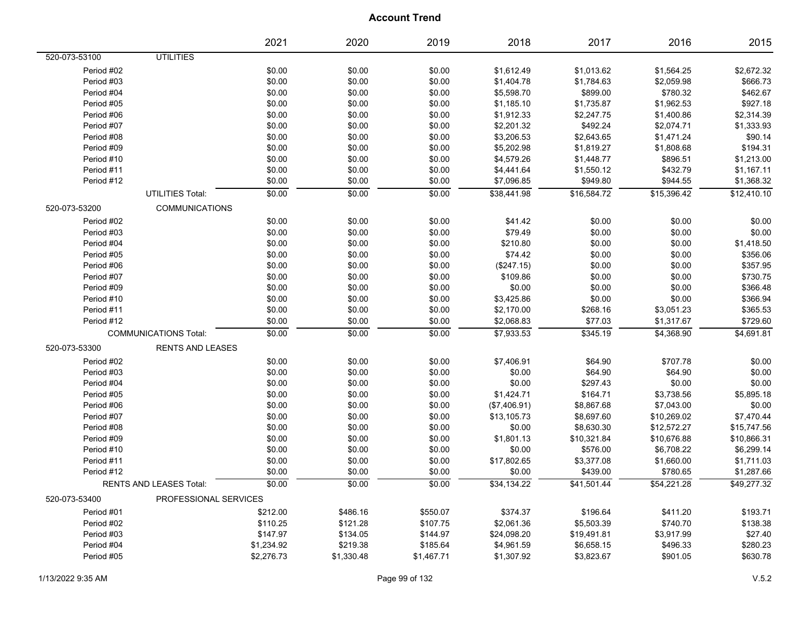|               |                                | 2021       | 2020       | 2019       | 2018         | 2017        | 2016        | 2015        |
|---------------|--------------------------------|------------|------------|------------|--------------|-------------|-------------|-------------|
| 520-073-53100 | <b>UTILITIES</b>               |            |            |            |              |             |             |             |
| Period #02    |                                | \$0.00     | \$0.00     | \$0.00     | \$1,612.49   | \$1,013.62  | \$1,564.25  | \$2,672.32  |
| Period #03    |                                | \$0.00     | \$0.00     | \$0.00     | \$1,404.78   | \$1,784.63  | \$2,059.98  | \$666.73    |
| Period #04    |                                | \$0.00     | \$0.00     | \$0.00     | \$5,598.70   | \$899.00    | \$780.32    | \$462.67    |
| Period #05    |                                | \$0.00     | \$0.00     | \$0.00     | \$1,185.10   | \$1,735.87  | \$1,962.53  | \$927.18    |
| Period #06    |                                | \$0.00     | \$0.00     | \$0.00     | \$1,912.33   | \$2,247.75  | \$1,400.86  | \$2,314.39  |
| Period #07    |                                | \$0.00     | \$0.00     | \$0.00     | \$2,201.32   | \$492.24    | \$2,074.71  | \$1,333.93  |
| Period #08    |                                | \$0.00     | \$0.00     | \$0.00     | \$3,206.53   | \$2,643.65  | \$1,471.24  | \$90.14     |
| Period #09    |                                | \$0.00     | \$0.00     | \$0.00     | \$5,202.98   | \$1,819.27  | \$1,808.68  | \$194.31    |
| Period #10    |                                | \$0.00     | \$0.00     | \$0.00     | \$4,579.26   | \$1,448.77  | \$896.51    | \$1,213.00  |
| Period #11    |                                | \$0.00     | \$0.00     | \$0.00     | \$4,441.64   | \$1,550.12  | \$432.79    | \$1,167.11  |
| Period #12    |                                | \$0.00     | \$0.00     | \$0.00     | \$7,096.85   | \$949.80    | \$944.55    | \$1,368.32  |
|               | <b>UTILITIES Total:</b>        | \$0.00     | \$0.00     | \$0.00     | \$38,441.98  | \$16,584.72 | \$15,396.42 | \$12,410.10 |
| 520-073-53200 | <b>COMMUNICATIONS</b>          |            |            |            |              |             |             |             |
| Period #02    |                                | \$0.00     | \$0.00     | \$0.00     | \$41.42      | \$0.00      | \$0.00      | \$0.00      |
| Period #03    |                                | \$0.00     | \$0.00     | \$0.00     | \$79.49      | \$0.00      | \$0.00      | \$0.00      |
| Period #04    |                                | \$0.00     | \$0.00     | \$0.00     | \$210.80     | \$0.00      | \$0.00      | \$1,418.50  |
| Period #05    |                                | \$0.00     | \$0.00     | \$0.00     | \$74.42      | \$0.00      | \$0.00      | \$356.06    |
| Period #06    |                                | \$0.00     | \$0.00     | \$0.00     | (\$247.15)   | \$0.00      | \$0.00      | \$357.95    |
| Period #07    |                                | \$0.00     | \$0.00     | \$0.00     | \$109.86     | \$0.00      | \$0.00      | \$730.75    |
| Period #09    |                                | \$0.00     | \$0.00     | \$0.00     | \$0.00       | \$0.00      | \$0.00      | \$366.48    |
| Period #10    |                                | \$0.00     | \$0.00     | \$0.00     | \$3,425.86   | \$0.00      | \$0.00      | \$366.94    |
| Period #11    |                                | \$0.00     | \$0.00     | \$0.00     | \$2,170.00   | \$268.16    | \$3,051.23  | \$365.53    |
| Period #12    |                                | \$0.00     | \$0.00     | \$0.00     | \$2,068.83   | \$77.03     | \$1,317.67  | \$729.60    |
|               | <b>COMMUNICATIONS Total:</b>   | \$0.00     | \$0.00     | \$0.00     | \$7,933.53   | \$345.19    | \$4,368.90  | \$4,691.81  |
| 520-073-53300 | <b>RENTS AND LEASES</b>        |            |            |            |              |             |             |             |
| Period #02    |                                | \$0.00     | \$0.00     | \$0.00     | \$7,406.91   | \$64.90     | \$707.78    | \$0.00      |
| Period #03    |                                | \$0.00     | \$0.00     | \$0.00     | \$0.00       | \$64.90     | \$64.90     | \$0.00      |
| Period #04    |                                | \$0.00     | \$0.00     | \$0.00     | \$0.00       | \$297.43    | \$0.00      | \$0.00      |
| Period #05    |                                | \$0.00     | \$0.00     | \$0.00     | \$1,424.71   | \$164.71    | \$3,738.56  | \$5,895.18  |
| Period #06    |                                | \$0.00     | \$0.00     | \$0.00     | (\$7,406.91) | \$8,867.68  | \$7,043.00  | \$0.00      |
| Period #07    |                                | \$0.00     | \$0.00     | \$0.00     | \$13,105.73  | \$8,697.60  | \$10,269.02 | \$7,470.44  |
| Period #08    |                                | \$0.00     | \$0.00     | \$0.00     | \$0.00       | \$8,630.30  | \$12,572.27 | \$15,747.56 |
| Period #09    |                                | \$0.00     | \$0.00     | \$0.00     | \$1,801.13   | \$10,321.84 | \$10,676.88 | \$10,866.31 |
| Period #10    |                                | \$0.00     | \$0.00     | \$0.00     | \$0.00       | \$576.00    | \$6,708.22  | \$6,299.14  |
| Period #11    |                                | \$0.00     | \$0.00     | \$0.00     | \$17,802.65  | \$3,377.08  | \$1,660.00  | \$1,711.03  |
| Period #12    |                                | \$0.00     | \$0.00     | \$0.00     | \$0.00       | \$439.00    | \$780.65    | \$1,287.66  |
|               | <b>RENTS AND LEASES Total:</b> | \$0.00     | \$0.00     | \$0.00     | \$34,134.22  | \$41,501.44 | \$54,221.28 | \$49,277.32 |
| 520-073-53400 | PROFESSIONAL SERVICES          |            |            |            |              |             |             |             |
| Period #01    |                                | \$212.00   | \$486.16   | \$550.07   | \$374.37     | \$196.64    | \$411.20    | \$193.71    |
| Period #02    |                                | \$110.25   | \$121.28   | \$107.75   | \$2,061.36   | \$5,503.39  | \$740.70    | \$138.38    |
| Period #03    |                                | \$147.97   | \$134.05   | \$144.97   | \$24,098.20  | \$19,491.81 | \$3,917.99  | \$27.40     |
| Period #04    |                                | \$1,234.92 | \$219.38   | \$185.64   | \$4,961.59   | \$6,658.15  | \$496.33    | \$280.23    |
| Period #05    |                                | \$2,276.73 | \$1,330.48 | \$1,467.71 | \$1,307.92   | \$3,823.67  | \$901.05    | \$630.78    |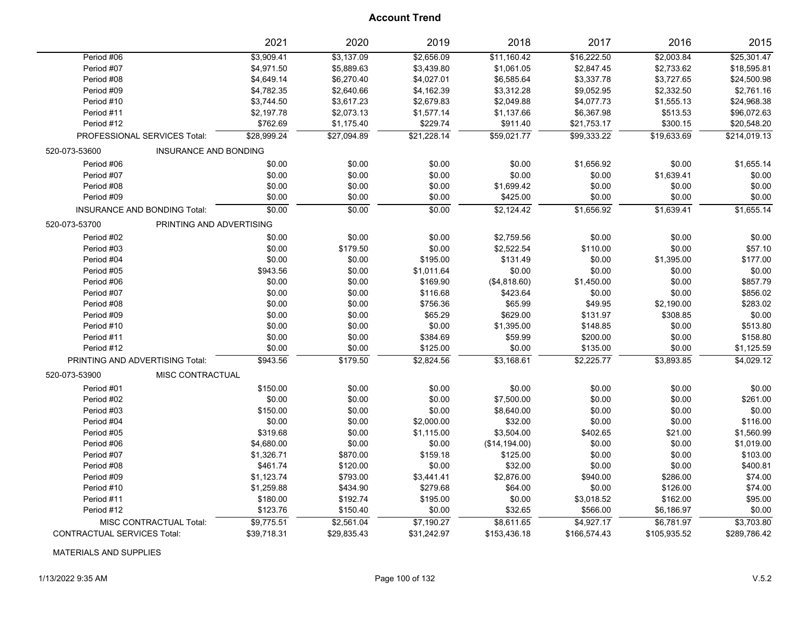|                                    |                              | 2021        | 2020        | 2019        | 2018           | 2017         | 2016         | 2015         |
|------------------------------------|------------------------------|-------------|-------------|-------------|----------------|--------------|--------------|--------------|
| Period #06                         |                              | \$3,909.41  | \$3,137.09  | \$2,656.09  | \$11,160.42    | \$16,222.50  | \$2,003.84   | \$25,301.47  |
| Period #07                         |                              | \$4,971.50  | \$5,889.63  | \$3,439.80  | \$1,061.05     | \$2,847.45   | \$2,733.62   | \$18,595.81  |
| Period #08                         |                              | \$4,649.14  | \$6,270.40  | \$4,027.01  | \$6,585.64     | \$3,337.78   | \$3,727.65   | \$24,500.98  |
| Period #09                         |                              | \$4,782.35  | \$2,640.66  | \$4,162.39  | \$3,312.28     | \$9,052.95   | \$2,332.50   | \$2,761.16   |
| Period #10                         |                              | \$3,744.50  | \$3,617.23  | \$2,679.83  | \$2,049.88     | \$4,077.73   | \$1,555.13   | \$24,968.38  |
| Period #11                         |                              | \$2,197.78  | \$2,073.13  | \$1,577.14  | \$1,137.66     | \$6,367.98   | \$513.53     | \$96,072.63  |
| Period #12                         |                              | \$762.69    | \$1,175.40  | \$229.74    | \$911.40       | \$21,753.17  | \$300.15     | \$20,548.20  |
| PROFESSIONAL SERVICES Total:       |                              | \$28,999.24 | \$27,094.89 | \$21,228.14 | \$59,021.77    | \$99,333.22  | \$19,633.69  | \$214,019.13 |
| 520-073-53600                      | <b>INSURANCE AND BONDING</b> |             |             |             |                |              |              |              |
| Period #06                         |                              | \$0.00      | \$0.00      | \$0.00      | \$0.00         | \$1,656.92   | \$0.00       | \$1,655.14   |
| Period #07                         |                              | \$0.00      | \$0.00      | \$0.00      | \$0.00         | \$0.00       | \$1,639.41   | \$0.00       |
| Period #08                         |                              | \$0.00      | \$0.00      | \$0.00      | \$1,699.42     | \$0.00       | \$0.00       | \$0.00       |
| Period #09                         |                              | \$0.00      | \$0.00      | \$0.00      | \$425.00       | \$0.00       | \$0.00       | \$0.00       |
| INSURANCE AND BONDING Total:       |                              | \$0.00      | \$0.00      | \$0.00      | \$2,124.42     | \$1,656.92   | \$1,639.41   | \$1,655.14   |
| 520-073-53700                      | PRINTING AND ADVERTISING     |             |             |             |                |              |              |              |
| Period #02                         |                              | \$0.00      | \$0.00      | \$0.00      | \$2,759.56     | \$0.00       | \$0.00       | \$0.00       |
| Period #03                         |                              | \$0.00      | \$179.50    | \$0.00      | \$2,522.54     | \$110.00     | \$0.00       | \$57.10      |
| Period #04                         |                              | \$0.00      | \$0.00      | \$195.00    | \$131.49       | \$0.00       | \$1,395.00   | \$177.00     |
| Period #05                         |                              | \$943.56    | \$0.00      | \$1,011.64  | \$0.00         | \$0.00       | \$0.00       | \$0.00       |
| Period #06                         |                              | \$0.00      | \$0.00      | \$169.90    | (\$4,818.60)   | \$1,450.00   | \$0.00       | \$857.79     |
| Period #07                         |                              | \$0.00      | \$0.00      | \$116.68    | \$423.64       | \$0.00       | \$0.00       | \$856.02     |
| Period #08                         |                              | \$0.00      | \$0.00      | \$756.36    | \$65.99        | \$49.95      | \$2,190.00   | \$283.02     |
| Period #09                         |                              | \$0.00      | \$0.00      | \$65.29     | \$629.00       | \$131.97     | \$308.85     | \$0.00       |
| Period #10                         |                              | \$0.00      | \$0.00      | \$0.00      | \$1,395.00     | \$148.85     | \$0.00       | \$513.80     |
| Period #11                         |                              | \$0.00      | \$0.00      | \$384.69    | \$59.99        | \$200.00     | \$0.00       | \$158.80     |
| Period #12                         |                              | \$0.00      | \$0.00      | \$125.00    | \$0.00         | \$135.00     | \$0.00       | \$1,125.59   |
| PRINTING AND ADVERTISING Total:    |                              | \$943.56    | \$179.50    | \$2,824.56  | \$3,168.61     | \$2,225.77   | \$3,893.85   | \$4,029.12   |
| 520-073-53900                      | MISC CONTRACTUAL             |             |             |             |                |              |              |              |
| Period #01                         |                              | \$150.00    | \$0.00      | \$0.00      | \$0.00         | \$0.00       | \$0.00       | \$0.00       |
| Period #02                         |                              | \$0.00      | \$0.00      | \$0.00      | \$7,500.00     | \$0.00       | \$0.00       | \$261.00     |
| Period #03                         |                              | \$150.00    | \$0.00      | \$0.00      | \$8,640.00     | \$0.00       | \$0.00       | \$0.00       |
| Period #04                         |                              | \$0.00      | \$0.00      | \$2,000.00  | \$32.00        | \$0.00       | \$0.00       | \$116.00     |
| Period #05                         |                              | \$319.68    | \$0.00      | \$1,115.00  | \$3,504.00     | \$402.65     | \$21.00      | \$1,560.99   |
| Period #06                         |                              | \$4,680.00  | \$0.00      | \$0.00      | (\$14, 194.00) | \$0.00       | \$0.00       | \$1,019.00   |
| Period #07                         |                              | \$1,326.71  | \$870.00    | \$159.18    | \$125.00       | \$0.00       | \$0.00       | \$103.00     |
| Period #08                         |                              | \$461.74    | \$120.00    | \$0.00      | \$32.00        | \$0.00       | \$0.00       | \$400.81     |
| Period #09                         |                              | \$1,123.74  | \$793.00    | \$3,441.41  | \$2,876.00     | \$940.00     | \$286.00     | \$74.00      |
| Period #10                         |                              | \$1,259.88  | \$434.90    | \$279.68    | \$64.00        | \$0.00       | \$126.00     | \$74.00      |
| Period #11                         |                              | \$180.00    | \$192.74    | \$195.00    | \$0.00         | \$3,018.52   | \$162.00     | \$95.00      |
| Period #12                         |                              | \$123.76    | \$150.40    | \$0.00      | \$32.65        | \$566.00     | \$6,186.97   | \$0.00       |
| MISC CONTRACTUAL Total:            |                              | \$9,775.51  | \$2,561.04  | \$7,190.27  | \$8,611.65     | \$4,927.17   | \$6,781.97   | \$3,703.80   |
| <b>CONTRACTUAL SERVICES Total:</b> |                              | \$39,718.31 | \$29,835.43 | \$31,242.97 | \$153,436.18   | \$166,574.43 | \$105,935.52 | \$289,786.42 |

MATERIALS AND SUPPLIES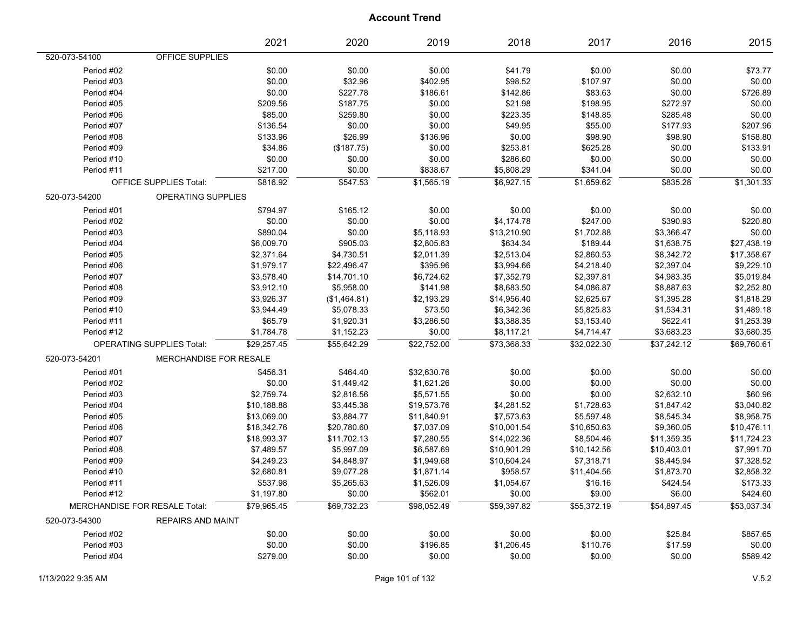| OFFICE SUPPLIES<br>520-073-54100<br>Period #02<br>\$0.00<br>\$0.00<br>\$0.00<br>\$41.79<br>\$0.00<br>\$0.00<br>\$73.77<br>\$0.00<br>\$32.96<br>\$0.00<br>Period #03<br>\$402.95<br>\$98.52<br>\$107.97<br>\$0.00<br>\$227.78<br>\$0.00<br>\$726.89<br>Period #04<br>\$0.00<br>\$186.61<br>\$142.86<br>\$83.63<br>\$187.75<br>\$0.00<br>Period #05<br>\$209.56<br>\$0.00<br>\$21.98<br>\$198.95<br>\$272.97<br>Period #06<br>\$85.00<br>\$259.80<br>\$0.00<br>\$223.35<br>\$285.48<br>\$0.00<br>\$148.85<br>\$207.96<br>Period #07<br>\$136.54<br>\$0.00<br>\$0.00<br>\$49.95<br>\$55.00<br>\$177.93<br>Period #08<br>\$133.96<br>\$26.99<br>\$136.96<br>\$0.00<br>\$98.90<br>\$98.90<br>\$158.80<br>\$34.86<br>\$253.81<br>\$625.28<br>\$0.00<br>\$133.91<br>Period #09<br>(\$187.75)<br>\$0.00<br>\$0.00<br>\$0.00<br>\$286.60<br>\$0.00<br>\$0.00<br>\$0.00<br>Period #10<br>\$0.00<br>Period #11<br>\$217.00<br>\$0.00<br>\$838.67<br>\$5,808.29<br>\$341.04<br>\$0.00<br>\$0.00<br>\$816.92<br>\$1,565.19<br>\$6,927.15<br>\$1,659.62<br>\$835.28<br>\$1,301.33<br>\$547.53<br><b>OFFICE SUPPLIES Total:</b><br>520-073-54200<br><b>OPERATING SUPPLIES</b><br>Period #01<br>\$794.97<br>\$165.12<br>\$0.00<br>\$0.00<br>\$0.00<br>\$0.00<br>\$0.00<br>\$220.80<br>Period #02<br>\$0.00<br>\$0.00<br>\$0.00<br>\$4,174.78<br>\$247.00<br>\$390.93<br>\$0.00<br>Period #03<br>\$890.04<br>\$0.00<br>\$5,118.93<br>\$13,210.90<br>\$1,702.88<br>\$3,366.47<br>\$6,009.70<br>\$905.03<br>\$2,805.83<br>\$634.34<br>\$189.44<br>\$1,638.75<br>\$27,438.19<br>Period #04<br>\$2,513.04<br>\$2,860.53<br>\$17,358.67<br>Period #05<br>\$2,371.64<br>\$4,730.51<br>\$2,011.39<br>\$8,342.72<br>\$395.96<br>\$3,994.66<br>\$4,218.40<br>\$2,397.04<br>\$9,229.10<br>Period #06<br>\$1,979.17<br>\$22,496.47<br>\$14,701.10<br>\$6,724.62<br>\$7,352.79<br>\$2,397.81<br>\$4,983.35<br>\$5,019.84<br>Period #07<br>\$3,578.40<br>\$3,912.10<br>\$5,958.00<br>\$141.98<br>\$8,683.50<br>\$4,086.87<br>\$2,252.80<br>Period #08<br>\$8,887.63<br>\$2,193.29<br>\$14,956.40<br>\$2,625.67<br>\$1,818.29<br>Period #09<br>\$3,926.37<br>\$1,395.28<br>(\$1,464.81)<br>\$73.50<br>\$5,825.83<br>\$1,489.18<br>Period #10<br>\$3,944.49<br>\$5,078.33<br>\$6,342.36<br>\$1,534.31<br>\$3,286.50<br>\$622.41<br>\$1,253.39<br>Period #11<br>\$65.79<br>\$1,920.31<br>\$3,388.35<br>\$3,153.40<br>\$3,683.23<br>\$3,680.35<br>Period #12<br>\$1,784.78<br>\$1,152.23<br>\$0.00<br>\$8,117.21<br>\$4,714.47<br>\$29,257.45<br>\$55,642.29<br>\$22,752.00<br>\$37,242.12<br>\$69,760.61<br><b>OPERATING SUPPLIES Total:</b><br>\$73,368.33<br>\$32,022.30<br>MERCHANDISE FOR RESALE<br>520-073-54201<br>Period #01<br>\$456.31<br>\$32,630.76<br>\$0.00<br>\$0.00<br>\$0.00<br>\$0.00<br>\$464.40<br>\$0.00<br>\$1,621.26<br>\$0.00<br>\$0.00<br>\$0.00<br>\$0.00<br>Period #02<br>\$1,449.42<br>Period #03<br>\$2,759.74<br>\$2,816.56<br>\$5,571.55<br>\$0.00<br>\$0.00<br>\$2,632.10<br>\$60.96<br>\$4,281.52<br>\$1,728.63<br>\$3,040.82<br>Period #04<br>\$10,188.88<br>\$3,445.38<br>\$19,573.76<br>\$1,847.42<br>\$7,573.63<br>\$5,597.48<br>\$8,958.75<br>Period #05<br>\$13,069.00<br>\$3,884.77<br>\$11,840.91<br>\$8,545.34<br>\$10,001.54<br>\$10,476.11<br>Period #06<br>\$18,342.76<br>\$20,780.60<br>\$7,037.09<br>\$10,650.63<br>\$9,360.05<br>Period #07<br>\$18,993.37<br>\$11,702.13<br>\$7,280.55<br>\$14,022.36<br>\$8,504.46<br>\$11,359.35<br>\$11,724.23<br>\$6,587.69<br>\$10,901.29<br>\$10,403.01<br>\$7,991.70<br>Period #08<br>\$7,489.57<br>\$5,997.09<br>\$10,142.56<br>Period #09<br>\$1,949.68<br>\$10,604.24<br>\$7,318.71<br>\$7,328.52<br>\$4,249.23<br>\$4,848.97<br>\$8,445.94<br>\$2,858.32<br>Period #10<br>\$2,680.81<br>\$9,077.28<br>\$1,871.14<br>\$958.57<br>\$11,404.56<br>\$1,873.70<br>Period #11<br>\$1,526.09<br>\$1,054.67<br>\$173.33<br>\$537.98<br>\$5,265.63<br>\$16.16<br>\$424.54<br>Period #12<br>\$0.00<br>\$562.01<br>\$0.00<br>\$9.00<br>\$6.00<br>\$424.60<br>\$1,197.80<br>\$79,965.45<br>\$69,732.23<br>\$98,052.49<br>\$59,397.82<br>\$55,372.19<br>\$54,897.45<br>\$53,037.34<br>MERCHANDISE FOR RESALE Total:<br>520-073-54300<br><b>REPAIRS AND MAINT</b><br>\$25.84<br>\$857.65<br>Period #02<br>\$0.00<br>\$0.00<br>\$0.00<br>\$0.00<br>\$0.00<br>\$0.00<br>\$110.76<br>\$0.00<br>Period #03<br>\$0.00<br>\$196.85<br>\$1,206.45<br>\$17.59 |            | 2021     | 2020   | 2019   | 2018   | 2017   | 2016   | 2015     |
|---------------------------------------------------------------------------------------------------------------------------------------------------------------------------------------------------------------------------------------------------------------------------------------------------------------------------------------------------------------------------------------------------------------------------------------------------------------------------------------------------------------------------------------------------------------------------------------------------------------------------------------------------------------------------------------------------------------------------------------------------------------------------------------------------------------------------------------------------------------------------------------------------------------------------------------------------------------------------------------------------------------------------------------------------------------------------------------------------------------------------------------------------------------------------------------------------------------------------------------------------------------------------------------------------------------------------------------------------------------------------------------------------------------------------------------------------------------------------------------------------------------------------------------------------------------------------------------------------------------------------------------------------------------------------------------------------------------------------------------------------------------------------------------------------------------------------------------------------------------------------------------------------------------------------------------------------------------------------------------------------------------------------------------------------------------------------------------------------------------------------------------------------------------------------------------------------------------------------------------------------------------------------------------------------------------------------------------------------------------------------------------------------------------------------------------------------------------------------------------------------------------------------------------------------------------------------------------------------------------------------------------------------------------------------------------------------------------------------------------------------------------------------------------------------------------------------------------------------------------------------------------------------------------------------------------------------------------------------------------------------------------------------------------------------------------------------------------------------------------------------------------------------------------------------------------------------------------------------------------------------------------------------------------------------------------------------------------------------------------------------------------------------------------------------------------------------------------------------------------------------------------------------------------------------------------------------------------------------------------------------------------------------------------------------------------------------------------------------------------------------------------------------------------------------------------------------------------------------------------------------------------------------------------------------------------------------------------------------------------------------------------------------------------------------------------------------------------------------------------------------------------------------------------------------------------------------------------------------------------------------------------------------------------------------------------------------------------------------------------------------------------------------|------------|----------|--------|--------|--------|--------|--------|----------|
|                                                                                                                                                                                                                                                                                                                                                                                                                                                                                                                                                                                                                                                                                                                                                                                                                                                                                                                                                                                                                                                                                                                                                                                                                                                                                                                                                                                                                                                                                                                                                                                                                                                                                                                                                                                                                                                                                                                                                                                                                                                                                                                                                                                                                                                                                                                                                                                                                                                                                                                                                                                                                                                                                                                                                                                                                                                                                                                                                                                                                                                                                                                                                                                                                                                                                                                                                                                                                                                                                                                                                                                                                                                                                                                                                                                                                                                                                                                                                                                                                                                                                                                                                                                                                                                                                                                                                                                                   |            |          |        |        |        |        |        |          |
|                                                                                                                                                                                                                                                                                                                                                                                                                                                                                                                                                                                                                                                                                                                                                                                                                                                                                                                                                                                                                                                                                                                                                                                                                                                                                                                                                                                                                                                                                                                                                                                                                                                                                                                                                                                                                                                                                                                                                                                                                                                                                                                                                                                                                                                                                                                                                                                                                                                                                                                                                                                                                                                                                                                                                                                                                                                                                                                                                                                                                                                                                                                                                                                                                                                                                                                                                                                                                                                                                                                                                                                                                                                                                                                                                                                                                                                                                                                                                                                                                                                                                                                                                                                                                                                                                                                                                                                                   |            |          |        |        |        |        |        |          |
|                                                                                                                                                                                                                                                                                                                                                                                                                                                                                                                                                                                                                                                                                                                                                                                                                                                                                                                                                                                                                                                                                                                                                                                                                                                                                                                                                                                                                                                                                                                                                                                                                                                                                                                                                                                                                                                                                                                                                                                                                                                                                                                                                                                                                                                                                                                                                                                                                                                                                                                                                                                                                                                                                                                                                                                                                                                                                                                                                                                                                                                                                                                                                                                                                                                                                                                                                                                                                                                                                                                                                                                                                                                                                                                                                                                                                                                                                                                                                                                                                                                                                                                                                                                                                                                                                                                                                                                                   |            |          |        |        |        |        |        |          |
|                                                                                                                                                                                                                                                                                                                                                                                                                                                                                                                                                                                                                                                                                                                                                                                                                                                                                                                                                                                                                                                                                                                                                                                                                                                                                                                                                                                                                                                                                                                                                                                                                                                                                                                                                                                                                                                                                                                                                                                                                                                                                                                                                                                                                                                                                                                                                                                                                                                                                                                                                                                                                                                                                                                                                                                                                                                                                                                                                                                                                                                                                                                                                                                                                                                                                                                                                                                                                                                                                                                                                                                                                                                                                                                                                                                                                                                                                                                                                                                                                                                                                                                                                                                                                                                                                                                                                                                                   |            |          |        |        |        |        |        |          |
|                                                                                                                                                                                                                                                                                                                                                                                                                                                                                                                                                                                                                                                                                                                                                                                                                                                                                                                                                                                                                                                                                                                                                                                                                                                                                                                                                                                                                                                                                                                                                                                                                                                                                                                                                                                                                                                                                                                                                                                                                                                                                                                                                                                                                                                                                                                                                                                                                                                                                                                                                                                                                                                                                                                                                                                                                                                                                                                                                                                                                                                                                                                                                                                                                                                                                                                                                                                                                                                                                                                                                                                                                                                                                                                                                                                                                                                                                                                                                                                                                                                                                                                                                                                                                                                                                                                                                                                                   |            |          |        |        |        |        |        |          |
|                                                                                                                                                                                                                                                                                                                                                                                                                                                                                                                                                                                                                                                                                                                                                                                                                                                                                                                                                                                                                                                                                                                                                                                                                                                                                                                                                                                                                                                                                                                                                                                                                                                                                                                                                                                                                                                                                                                                                                                                                                                                                                                                                                                                                                                                                                                                                                                                                                                                                                                                                                                                                                                                                                                                                                                                                                                                                                                                                                                                                                                                                                                                                                                                                                                                                                                                                                                                                                                                                                                                                                                                                                                                                                                                                                                                                                                                                                                                                                                                                                                                                                                                                                                                                                                                                                                                                                                                   |            |          |        |        |        |        |        |          |
|                                                                                                                                                                                                                                                                                                                                                                                                                                                                                                                                                                                                                                                                                                                                                                                                                                                                                                                                                                                                                                                                                                                                                                                                                                                                                                                                                                                                                                                                                                                                                                                                                                                                                                                                                                                                                                                                                                                                                                                                                                                                                                                                                                                                                                                                                                                                                                                                                                                                                                                                                                                                                                                                                                                                                                                                                                                                                                                                                                                                                                                                                                                                                                                                                                                                                                                                                                                                                                                                                                                                                                                                                                                                                                                                                                                                                                                                                                                                                                                                                                                                                                                                                                                                                                                                                                                                                                                                   |            |          |        |        |        |        |        |          |
|                                                                                                                                                                                                                                                                                                                                                                                                                                                                                                                                                                                                                                                                                                                                                                                                                                                                                                                                                                                                                                                                                                                                                                                                                                                                                                                                                                                                                                                                                                                                                                                                                                                                                                                                                                                                                                                                                                                                                                                                                                                                                                                                                                                                                                                                                                                                                                                                                                                                                                                                                                                                                                                                                                                                                                                                                                                                                                                                                                                                                                                                                                                                                                                                                                                                                                                                                                                                                                                                                                                                                                                                                                                                                                                                                                                                                                                                                                                                                                                                                                                                                                                                                                                                                                                                                                                                                                                                   |            |          |        |        |        |        |        |          |
|                                                                                                                                                                                                                                                                                                                                                                                                                                                                                                                                                                                                                                                                                                                                                                                                                                                                                                                                                                                                                                                                                                                                                                                                                                                                                                                                                                                                                                                                                                                                                                                                                                                                                                                                                                                                                                                                                                                                                                                                                                                                                                                                                                                                                                                                                                                                                                                                                                                                                                                                                                                                                                                                                                                                                                                                                                                                                                                                                                                                                                                                                                                                                                                                                                                                                                                                                                                                                                                                                                                                                                                                                                                                                                                                                                                                                                                                                                                                                                                                                                                                                                                                                                                                                                                                                                                                                                                                   |            |          |        |        |        |        |        |          |
|                                                                                                                                                                                                                                                                                                                                                                                                                                                                                                                                                                                                                                                                                                                                                                                                                                                                                                                                                                                                                                                                                                                                                                                                                                                                                                                                                                                                                                                                                                                                                                                                                                                                                                                                                                                                                                                                                                                                                                                                                                                                                                                                                                                                                                                                                                                                                                                                                                                                                                                                                                                                                                                                                                                                                                                                                                                                                                                                                                                                                                                                                                                                                                                                                                                                                                                                                                                                                                                                                                                                                                                                                                                                                                                                                                                                                                                                                                                                                                                                                                                                                                                                                                                                                                                                                                                                                                                                   |            |          |        |        |        |        |        |          |
|                                                                                                                                                                                                                                                                                                                                                                                                                                                                                                                                                                                                                                                                                                                                                                                                                                                                                                                                                                                                                                                                                                                                                                                                                                                                                                                                                                                                                                                                                                                                                                                                                                                                                                                                                                                                                                                                                                                                                                                                                                                                                                                                                                                                                                                                                                                                                                                                                                                                                                                                                                                                                                                                                                                                                                                                                                                                                                                                                                                                                                                                                                                                                                                                                                                                                                                                                                                                                                                                                                                                                                                                                                                                                                                                                                                                                                                                                                                                                                                                                                                                                                                                                                                                                                                                                                                                                                                                   |            |          |        |        |        |        |        |          |
|                                                                                                                                                                                                                                                                                                                                                                                                                                                                                                                                                                                                                                                                                                                                                                                                                                                                                                                                                                                                                                                                                                                                                                                                                                                                                                                                                                                                                                                                                                                                                                                                                                                                                                                                                                                                                                                                                                                                                                                                                                                                                                                                                                                                                                                                                                                                                                                                                                                                                                                                                                                                                                                                                                                                                                                                                                                                                                                                                                                                                                                                                                                                                                                                                                                                                                                                                                                                                                                                                                                                                                                                                                                                                                                                                                                                                                                                                                                                                                                                                                                                                                                                                                                                                                                                                                                                                                                                   |            |          |        |        |        |        |        |          |
|                                                                                                                                                                                                                                                                                                                                                                                                                                                                                                                                                                                                                                                                                                                                                                                                                                                                                                                                                                                                                                                                                                                                                                                                                                                                                                                                                                                                                                                                                                                                                                                                                                                                                                                                                                                                                                                                                                                                                                                                                                                                                                                                                                                                                                                                                                                                                                                                                                                                                                                                                                                                                                                                                                                                                                                                                                                                                                                                                                                                                                                                                                                                                                                                                                                                                                                                                                                                                                                                                                                                                                                                                                                                                                                                                                                                                                                                                                                                                                                                                                                                                                                                                                                                                                                                                                                                                                                                   |            |          |        |        |        |        |        |          |
|                                                                                                                                                                                                                                                                                                                                                                                                                                                                                                                                                                                                                                                                                                                                                                                                                                                                                                                                                                                                                                                                                                                                                                                                                                                                                                                                                                                                                                                                                                                                                                                                                                                                                                                                                                                                                                                                                                                                                                                                                                                                                                                                                                                                                                                                                                                                                                                                                                                                                                                                                                                                                                                                                                                                                                                                                                                                                                                                                                                                                                                                                                                                                                                                                                                                                                                                                                                                                                                                                                                                                                                                                                                                                                                                                                                                                                                                                                                                                                                                                                                                                                                                                                                                                                                                                                                                                                                                   |            |          |        |        |        |        |        |          |
|                                                                                                                                                                                                                                                                                                                                                                                                                                                                                                                                                                                                                                                                                                                                                                                                                                                                                                                                                                                                                                                                                                                                                                                                                                                                                                                                                                                                                                                                                                                                                                                                                                                                                                                                                                                                                                                                                                                                                                                                                                                                                                                                                                                                                                                                                                                                                                                                                                                                                                                                                                                                                                                                                                                                                                                                                                                                                                                                                                                                                                                                                                                                                                                                                                                                                                                                                                                                                                                                                                                                                                                                                                                                                                                                                                                                                                                                                                                                                                                                                                                                                                                                                                                                                                                                                                                                                                                                   |            |          |        |        |        |        |        |          |
|                                                                                                                                                                                                                                                                                                                                                                                                                                                                                                                                                                                                                                                                                                                                                                                                                                                                                                                                                                                                                                                                                                                                                                                                                                                                                                                                                                                                                                                                                                                                                                                                                                                                                                                                                                                                                                                                                                                                                                                                                                                                                                                                                                                                                                                                                                                                                                                                                                                                                                                                                                                                                                                                                                                                                                                                                                                                                                                                                                                                                                                                                                                                                                                                                                                                                                                                                                                                                                                                                                                                                                                                                                                                                                                                                                                                                                                                                                                                                                                                                                                                                                                                                                                                                                                                                                                                                                                                   |            |          |        |        |        |        |        |          |
|                                                                                                                                                                                                                                                                                                                                                                                                                                                                                                                                                                                                                                                                                                                                                                                                                                                                                                                                                                                                                                                                                                                                                                                                                                                                                                                                                                                                                                                                                                                                                                                                                                                                                                                                                                                                                                                                                                                                                                                                                                                                                                                                                                                                                                                                                                                                                                                                                                                                                                                                                                                                                                                                                                                                                                                                                                                                                                                                                                                                                                                                                                                                                                                                                                                                                                                                                                                                                                                                                                                                                                                                                                                                                                                                                                                                                                                                                                                                                                                                                                                                                                                                                                                                                                                                                                                                                                                                   |            |          |        |        |        |        |        |          |
|                                                                                                                                                                                                                                                                                                                                                                                                                                                                                                                                                                                                                                                                                                                                                                                                                                                                                                                                                                                                                                                                                                                                                                                                                                                                                                                                                                                                                                                                                                                                                                                                                                                                                                                                                                                                                                                                                                                                                                                                                                                                                                                                                                                                                                                                                                                                                                                                                                                                                                                                                                                                                                                                                                                                                                                                                                                                                                                                                                                                                                                                                                                                                                                                                                                                                                                                                                                                                                                                                                                                                                                                                                                                                                                                                                                                                                                                                                                                                                                                                                                                                                                                                                                                                                                                                                                                                                                                   |            |          |        |        |        |        |        |          |
|                                                                                                                                                                                                                                                                                                                                                                                                                                                                                                                                                                                                                                                                                                                                                                                                                                                                                                                                                                                                                                                                                                                                                                                                                                                                                                                                                                                                                                                                                                                                                                                                                                                                                                                                                                                                                                                                                                                                                                                                                                                                                                                                                                                                                                                                                                                                                                                                                                                                                                                                                                                                                                                                                                                                                                                                                                                                                                                                                                                                                                                                                                                                                                                                                                                                                                                                                                                                                                                                                                                                                                                                                                                                                                                                                                                                                                                                                                                                                                                                                                                                                                                                                                                                                                                                                                                                                                                                   |            |          |        |        |        |        |        |          |
|                                                                                                                                                                                                                                                                                                                                                                                                                                                                                                                                                                                                                                                                                                                                                                                                                                                                                                                                                                                                                                                                                                                                                                                                                                                                                                                                                                                                                                                                                                                                                                                                                                                                                                                                                                                                                                                                                                                                                                                                                                                                                                                                                                                                                                                                                                                                                                                                                                                                                                                                                                                                                                                                                                                                                                                                                                                                                                                                                                                                                                                                                                                                                                                                                                                                                                                                                                                                                                                                                                                                                                                                                                                                                                                                                                                                                                                                                                                                                                                                                                                                                                                                                                                                                                                                                                                                                                                                   |            |          |        |        |        |        |        |          |
|                                                                                                                                                                                                                                                                                                                                                                                                                                                                                                                                                                                                                                                                                                                                                                                                                                                                                                                                                                                                                                                                                                                                                                                                                                                                                                                                                                                                                                                                                                                                                                                                                                                                                                                                                                                                                                                                                                                                                                                                                                                                                                                                                                                                                                                                                                                                                                                                                                                                                                                                                                                                                                                                                                                                                                                                                                                                                                                                                                                                                                                                                                                                                                                                                                                                                                                                                                                                                                                                                                                                                                                                                                                                                                                                                                                                                                                                                                                                                                                                                                                                                                                                                                                                                                                                                                                                                                                                   |            |          |        |        |        |        |        |          |
|                                                                                                                                                                                                                                                                                                                                                                                                                                                                                                                                                                                                                                                                                                                                                                                                                                                                                                                                                                                                                                                                                                                                                                                                                                                                                                                                                                                                                                                                                                                                                                                                                                                                                                                                                                                                                                                                                                                                                                                                                                                                                                                                                                                                                                                                                                                                                                                                                                                                                                                                                                                                                                                                                                                                                                                                                                                                                                                                                                                                                                                                                                                                                                                                                                                                                                                                                                                                                                                                                                                                                                                                                                                                                                                                                                                                                                                                                                                                                                                                                                                                                                                                                                                                                                                                                                                                                                                                   |            |          |        |        |        |        |        |          |
|                                                                                                                                                                                                                                                                                                                                                                                                                                                                                                                                                                                                                                                                                                                                                                                                                                                                                                                                                                                                                                                                                                                                                                                                                                                                                                                                                                                                                                                                                                                                                                                                                                                                                                                                                                                                                                                                                                                                                                                                                                                                                                                                                                                                                                                                                                                                                                                                                                                                                                                                                                                                                                                                                                                                                                                                                                                                                                                                                                                                                                                                                                                                                                                                                                                                                                                                                                                                                                                                                                                                                                                                                                                                                                                                                                                                                                                                                                                                                                                                                                                                                                                                                                                                                                                                                                                                                                                                   |            |          |        |        |        |        |        |          |
|                                                                                                                                                                                                                                                                                                                                                                                                                                                                                                                                                                                                                                                                                                                                                                                                                                                                                                                                                                                                                                                                                                                                                                                                                                                                                                                                                                                                                                                                                                                                                                                                                                                                                                                                                                                                                                                                                                                                                                                                                                                                                                                                                                                                                                                                                                                                                                                                                                                                                                                                                                                                                                                                                                                                                                                                                                                                                                                                                                                                                                                                                                                                                                                                                                                                                                                                                                                                                                                                                                                                                                                                                                                                                                                                                                                                                                                                                                                                                                                                                                                                                                                                                                                                                                                                                                                                                                                                   |            |          |        |        |        |        |        |          |
|                                                                                                                                                                                                                                                                                                                                                                                                                                                                                                                                                                                                                                                                                                                                                                                                                                                                                                                                                                                                                                                                                                                                                                                                                                                                                                                                                                                                                                                                                                                                                                                                                                                                                                                                                                                                                                                                                                                                                                                                                                                                                                                                                                                                                                                                                                                                                                                                                                                                                                                                                                                                                                                                                                                                                                                                                                                                                                                                                                                                                                                                                                                                                                                                                                                                                                                                                                                                                                                                                                                                                                                                                                                                                                                                                                                                                                                                                                                                                                                                                                                                                                                                                                                                                                                                                                                                                                                                   |            |          |        |        |        |        |        |          |
|                                                                                                                                                                                                                                                                                                                                                                                                                                                                                                                                                                                                                                                                                                                                                                                                                                                                                                                                                                                                                                                                                                                                                                                                                                                                                                                                                                                                                                                                                                                                                                                                                                                                                                                                                                                                                                                                                                                                                                                                                                                                                                                                                                                                                                                                                                                                                                                                                                                                                                                                                                                                                                                                                                                                                                                                                                                                                                                                                                                                                                                                                                                                                                                                                                                                                                                                                                                                                                                                                                                                                                                                                                                                                                                                                                                                                                                                                                                                                                                                                                                                                                                                                                                                                                                                                                                                                                                                   |            |          |        |        |        |        |        |          |
|                                                                                                                                                                                                                                                                                                                                                                                                                                                                                                                                                                                                                                                                                                                                                                                                                                                                                                                                                                                                                                                                                                                                                                                                                                                                                                                                                                                                                                                                                                                                                                                                                                                                                                                                                                                                                                                                                                                                                                                                                                                                                                                                                                                                                                                                                                                                                                                                                                                                                                                                                                                                                                                                                                                                                                                                                                                                                                                                                                                                                                                                                                                                                                                                                                                                                                                                                                                                                                                                                                                                                                                                                                                                                                                                                                                                                                                                                                                                                                                                                                                                                                                                                                                                                                                                                                                                                                                                   |            |          |        |        |        |        |        |          |
|                                                                                                                                                                                                                                                                                                                                                                                                                                                                                                                                                                                                                                                                                                                                                                                                                                                                                                                                                                                                                                                                                                                                                                                                                                                                                                                                                                                                                                                                                                                                                                                                                                                                                                                                                                                                                                                                                                                                                                                                                                                                                                                                                                                                                                                                                                                                                                                                                                                                                                                                                                                                                                                                                                                                                                                                                                                                                                                                                                                                                                                                                                                                                                                                                                                                                                                                                                                                                                                                                                                                                                                                                                                                                                                                                                                                                                                                                                                                                                                                                                                                                                                                                                                                                                                                                                                                                                                                   |            |          |        |        |        |        |        |          |
|                                                                                                                                                                                                                                                                                                                                                                                                                                                                                                                                                                                                                                                                                                                                                                                                                                                                                                                                                                                                                                                                                                                                                                                                                                                                                                                                                                                                                                                                                                                                                                                                                                                                                                                                                                                                                                                                                                                                                                                                                                                                                                                                                                                                                                                                                                                                                                                                                                                                                                                                                                                                                                                                                                                                                                                                                                                                                                                                                                                                                                                                                                                                                                                                                                                                                                                                                                                                                                                                                                                                                                                                                                                                                                                                                                                                                                                                                                                                                                                                                                                                                                                                                                                                                                                                                                                                                                                                   |            |          |        |        |        |        |        |          |
|                                                                                                                                                                                                                                                                                                                                                                                                                                                                                                                                                                                                                                                                                                                                                                                                                                                                                                                                                                                                                                                                                                                                                                                                                                                                                                                                                                                                                                                                                                                                                                                                                                                                                                                                                                                                                                                                                                                                                                                                                                                                                                                                                                                                                                                                                                                                                                                                                                                                                                                                                                                                                                                                                                                                                                                                                                                                                                                                                                                                                                                                                                                                                                                                                                                                                                                                                                                                                                                                                                                                                                                                                                                                                                                                                                                                                                                                                                                                                                                                                                                                                                                                                                                                                                                                                                                                                                                                   |            |          |        |        |        |        |        |          |
|                                                                                                                                                                                                                                                                                                                                                                                                                                                                                                                                                                                                                                                                                                                                                                                                                                                                                                                                                                                                                                                                                                                                                                                                                                                                                                                                                                                                                                                                                                                                                                                                                                                                                                                                                                                                                                                                                                                                                                                                                                                                                                                                                                                                                                                                                                                                                                                                                                                                                                                                                                                                                                                                                                                                                                                                                                                                                                                                                                                                                                                                                                                                                                                                                                                                                                                                                                                                                                                                                                                                                                                                                                                                                                                                                                                                                                                                                                                                                                                                                                                                                                                                                                                                                                                                                                                                                                                                   |            |          |        |        |        |        |        |          |
|                                                                                                                                                                                                                                                                                                                                                                                                                                                                                                                                                                                                                                                                                                                                                                                                                                                                                                                                                                                                                                                                                                                                                                                                                                                                                                                                                                                                                                                                                                                                                                                                                                                                                                                                                                                                                                                                                                                                                                                                                                                                                                                                                                                                                                                                                                                                                                                                                                                                                                                                                                                                                                                                                                                                                                                                                                                                                                                                                                                                                                                                                                                                                                                                                                                                                                                                                                                                                                                                                                                                                                                                                                                                                                                                                                                                                                                                                                                                                                                                                                                                                                                                                                                                                                                                                                                                                                                                   |            |          |        |        |        |        |        |          |
|                                                                                                                                                                                                                                                                                                                                                                                                                                                                                                                                                                                                                                                                                                                                                                                                                                                                                                                                                                                                                                                                                                                                                                                                                                                                                                                                                                                                                                                                                                                                                                                                                                                                                                                                                                                                                                                                                                                                                                                                                                                                                                                                                                                                                                                                                                                                                                                                                                                                                                                                                                                                                                                                                                                                                                                                                                                                                                                                                                                                                                                                                                                                                                                                                                                                                                                                                                                                                                                                                                                                                                                                                                                                                                                                                                                                                                                                                                                                                                                                                                                                                                                                                                                                                                                                                                                                                                                                   |            |          |        |        |        |        |        |          |
|                                                                                                                                                                                                                                                                                                                                                                                                                                                                                                                                                                                                                                                                                                                                                                                                                                                                                                                                                                                                                                                                                                                                                                                                                                                                                                                                                                                                                                                                                                                                                                                                                                                                                                                                                                                                                                                                                                                                                                                                                                                                                                                                                                                                                                                                                                                                                                                                                                                                                                                                                                                                                                                                                                                                                                                                                                                                                                                                                                                                                                                                                                                                                                                                                                                                                                                                                                                                                                                                                                                                                                                                                                                                                                                                                                                                                                                                                                                                                                                                                                                                                                                                                                                                                                                                                                                                                                                                   |            |          |        |        |        |        |        |          |
|                                                                                                                                                                                                                                                                                                                                                                                                                                                                                                                                                                                                                                                                                                                                                                                                                                                                                                                                                                                                                                                                                                                                                                                                                                                                                                                                                                                                                                                                                                                                                                                                                                                                                                                                                                                                                                                                                                                                                                                                                                                                                                                                                                                                                                                                                                                                                                                                                                                                                                                                                                                                                                                                                                                                                                                                                                                                                                                                                                                                                                                                                                                                                                                                                                                                                                                                                                                                                                                                                                                                                                                                                                                                                                                                                                                                                                                                                                                                                                                                                                                                                                                                                                                                                                                                                                                                                                                                   |            |          |        |        |        |        |        |          |
|                                                                                                                                                                                                                                                                                                                                                                                                                                                                                                                                                                                                                                                                                                                                                                                                                                                                                                                                                                                                                                                                                                                                                                                                                                                                                                                                                                                                                                                                                                                                                                                                                                                                                                                                                                                                                                                                                                                                                                                                                                                                                                                                                                                                                                                                                                                                                                                                                                                                                                                                                                                                                                                                                                                                                                                                                                                                                                                                                                                                                                                                                                                                                                                                                                                                                                                                                                                                                                                                                                                                                                                                                                                                                                                                                                                                                                                                                                                                                                                                                                                                                                                                                                                                                                                                                                                                                                                                   |            |          |        |        |        |        |        |          |
|                                                                                                                                                                                                                                                                                                                                                                                                                                                                                                                                                                                                                                                                                                                                                                                                                                                                                                                                                                                                                                                                                                                                                                                                                                                                                                                                                                                                                                                                                                                                                                                                                                                                                                                                                                                                                                                                                                                                                                                                                                                                                                                                                                                                                                                                                                                                                                                                                                                                                                                                                                                                                                                                                                                                                                                                                                                                                                                                                                                                                                                                                                                                                                                                                                                                                                                                                                                                                                                                                                                                                                                                                                                                                                                                                                                                                                                                                                                                                                                                                                                                                                                                                                                                                                                                                                                                                                                                   |            |          |        |        |        |        |        |          |
|                                                                                                                                                                                                                                                                                                                                                                                                                                                                                                                                                                                                                                                                                                                                                                                                                                                                                                                                                                                                                                                                                                                                                                                                                                                                                                                                                                                                                                                                                                                                                                                                                                                                                                                                                                                                                                                                                                                                                                                                                                                                                                                                                                                                                                                                                                                                                                                                                                                                                                                                                                                                                                                                                                                                                                                                                                                                                                                                                                                                                                                                                                                                                                                                                                                                                                                                                                                                                                                                                                                                                                                                                                                                                                                                                                                                                                                                                                                                                                                                                                                                                                                                                                                                                                                                                                                                                                                                   |            |          |        |        |        |        |        |          |
|                                                                                                                                                                                                                                                                                                                                                                                                                                                                                                                                                                                                                                                                                                                                                                                                                                                                                                                                                                                                                                                                                                                                                                                                                                                                                                                                                                                                                                                                                                                                                                                                                                                                                                                                                                                                                                                                                                                                                                                                                                                                                                                                                                                                                                                                                                                                                                                                                                                                                                                                                                                                                                                                                                                                                                                                                                                                                                                                                                                                                                                                                                                                                                                                                                                                                                                                                                                                                                                                                                                                                                                                                                                                                                                                                                                                                                                                                                                                                                                                                                                                                                                                                                                                                                                                                                                                                                                                   |            |          |        |        |        |        |        |          |
|                                                                                                                                                                                                                                                                                                                                                                                                                                                                                                                                                                                                                                                                                                                                                                                                                                                                                                                                                                                                                                                                                                                                                                                                                                                                                                                                                                                                                                                                                                                                                                                                                                                                                                                                                                                                                                                                                                                                                                                                                                                                                                                                                                                                                                                                                                                                                                                                                                                                                                                                                                                                                                                                                                                                                                                                                                                                                                                                                                                                                                                                                                                                                                                                                                                                                                                                                                                                                                                                                                                                                                                                                                                                                                                                                                                                                                                                                                                                                                                                                                                                                                                                                                                                                                                                                                                                                                                                   |            |          |        |        |        |        |        |          |
|                                                                                                                                                                                                                                                                                                                                                                                                                                                                                                                                                                                                                                                                                                                                                                                                                                                                                                                                                                                                                                                                                                                                                                                                                                                                                                                                                                                                                                                                                                                                                                                                                                                                                                                                                                                                                                                                                                                                                                                                                                                                                                                                                                                                                                                                                                                                                                                                                                                                                                                                                                                                                                                                                                                                                                                                                                                                                                                                                                                                                                                                                                                                                                                                                                                                                                                                                                                                                                                                                                                                                                                                                                                                                                                                                                                                                                                                                                                                                                                                                                                                                                                                                                                                                                                                                                                                                                                                   |            |          |        |        |        |        |        |          |
|                                                                                                                                                                                                                                                                                                                                                                                                                                                                                                                                                                                                                                                                                                                                                                                                                                                                                                                                                                                                                                                                                                                                                                                                                                                                                                                                                                                                                                                                                                                                                                                                                                                                                                                                                                                                                                                                                                                                                                                                                                                                                                                                                                                                                                                                                                                                                                                                                                                                                                                                                                                                                                                                                                                                                                                                                                                                                                                                                                                                                                                                                                                                                                                                                                                                                                                                                                                                                                                                                                                                                                                                                                                                                                                                                                                                                                                                                                                                                                                                                                                                                                                                                                                                                                                                                                                                                                                                   |            |          |        |        |        |        |        |          |
|                                                                                                                                                                                                                                                                                                                                                                                                                                                                                                                                                                                                                                                                                                                                                                                                                                                                                                                                                                                                                                                                                                                                                                                                                                                                                                                                                                                                                                                                                                                                                                                                                                                                                                                                                                                                                                                                                                                                                                                                                                                                                                                                                                                                                                                                                                                                                                                                                                                                                                                                                                                                                                                                                                                                                                                                                                                                                                                                                                                                                                                                                                                                                                                                                                                                                                                                                                                                                                                                                                                                                                                                                                                                                                                                                                                                                                                                                                                                                                                                                                                                                                                                                                                                                                                                                                                                                                                                   |            |          |        |        |        |        |        |          |
|                                                                                                                                                                                                                                                                                                                                                                                                                                                                                                                                                                                                                                                                                                                                                                                                                                                                                                                                                                                                                                                                                                                                                                                                                                                                                                                                                                                                                                                                                                                                                                                                                                                                                                                                                                                                                                                                                                                                                                                                                                                                                                                                                                                                                                                                                                                                                                                                                                                                                                                                                                                                                                                                                                                                                                                                                                                                                                                                                                                                                                                                                                                                                                                                                                                                                                                                                                                                                                                                                                                                                                                                                                                                                                                                                                                                                                                                                                                                                                                                                                                                                                                                                                                                                                                                                                                                                                                                   | Period #04 | \$279.00 | \$0.00 | \$0.00 | \$0.00 | \$0.00 | \$0.00 | \$589.42 |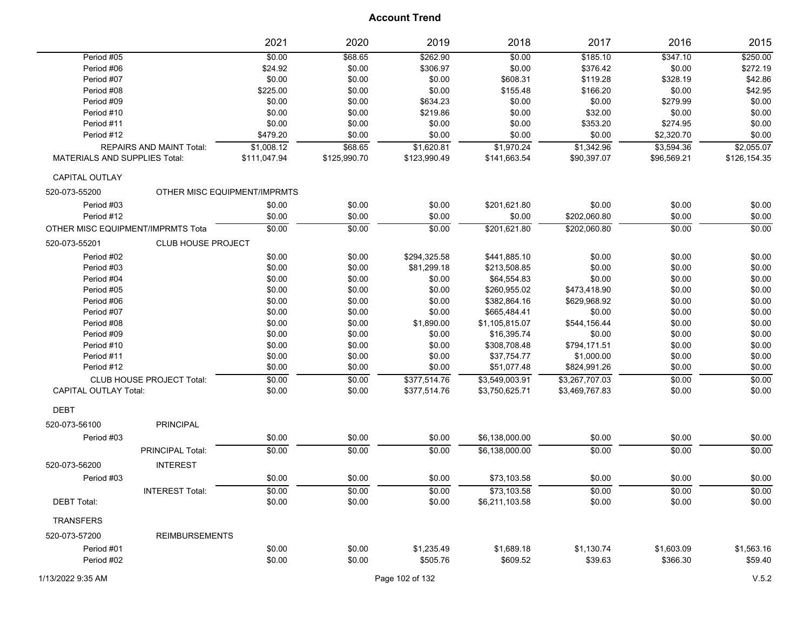|                                      |                                 | 2021                         | 2020         | 2019         | 2018           | 2017           | 2016        | 2015         |
|--------------------------------------|---------------------------------|------------------------------|--------------|--------------|----------------|----------------|-------------|--------------|
| Period #05                           |                                 | \$0.00                       | \$68.65      | \$262.90     | \$0.00         | \$185.10       | \$347.10    | \$250.00     |
| Period #06                           |                                 | \$24.92                      | \$0.00       | \$306.97     | \$0.00         | \$376.42       | \$0.00      | \$272.19     |
| Period #07                           |                                 | \$0.00                       | \$0.00       | \$0.00       | \$608.31       | \$119.28       | \$328.19    | \$42.86      |
| Period #08                           |                                 | \$225.00                     | \$0.00       | \$0.00       | \$155.48       | \$166.20       | \$0.00      | \$42.95      |
| Period #09                           |                                 | \$0.00                       | \$0.00       | \$634.23     | \$0.00         | \$0.00         | \$279.99    | \$0.00       |
| Period #10                           |                                 | \$0.00                       | \$0.00       | \$219.86     | \$0.00         | \$32.00        | \$0.00      | \$0.00       |
| Period #11                           |                                 | \$0.00                       | \$0.00       | \$0.00       | \$0.00         | \$353.20       | \$274.95    | \$0.00       |
| Period #12                           |                                 | \$479.20                     | \$0.00       | \$0.00       | \$0.00         | \$0.00         | \$2,320.70  | \$0.00       |
|                                      | <b>REPAIRS AND MAINT Total:</b> | \$1,008.12                   | \$68.65      | \$1,620.81   | \$1,970.24     | \$1,342.96     | \$3,594.36  | \$2,055.07   |
| <b>MATERIALS AND SUPPLIES Total:</b> |                                 | \$111,047.94                 | \$125,990.70 | \$123,990.49 | \$141,663.54   | \$90,397.07    | \$96,569.21 | \$126,154.35 |
| CAPITAL OUTLAY                       |                                 |                              |              |              |                |                |             |              |
| 520-073-55200                        |                                 | OTHER MISC EQUIPMENT/IMPRMTS |              |              |                |                |             |              |
| Period #03                           |                                 | \$0.00                       | \$0.00       | \$0.00       | \$201,621.80   | \$0.00         | \$0.00      | \$0.00       |
| Period #12                           |                                 | \$0.00                       | \$0.00       | \$0.00       | \$0.00         | \$202,060.80   | \$0.00      | \$0.00       |
| OTHER MISC EQUIPMENT/IMPRMTS Tota    |                                 | \$0.00                       | \$0.00       | \$0.00       | \$201,621.80   | \$202,060.80   | \$0.00      | \$0.00       |
| 520-073-55201                        | <b>CLUB HOUSE PROJECT</b>       |                              |              |              |                |                |             |              |
| Period #02                           |                                 | \$0.00                       | \$0.00       | \$294,325.58 | \$441,885.10   | \$0.00         | \$0.00      | \$0.00       |
| Period #03                           |                                 | \$0.00                       | \$0.00       | \$81,299.18  | \$213,508.85   | \$0.00         | \$0.00      | \$0.00       |
| Period #04                           |                                 | \$0.00                       | \$0.00       | \$0.00       | \$64,554.83    | \$0.00         | \$0.00      | \$0.00       |
| Period #05                           |                                 | \$0.00                       | \$0.00       | \$0.00       | \$260,955.02   | \$473,418.90   | \$0.00      | \$0.00       |
| Period #06                           |                                 | \$0.00                       | \$0.00       | \$0.00       | \$382,864.16   | \$629,968.92   | \$0.00      | \$0.00       |
| Period #07                           |                                 | \$0.00                       | \$0.00       | \$0.00       | \$665,484.41   | \$0.00         | \$0.00      | \$0.00       |
| Period #08                           |                                 | \$0.00                       | \$0.00       | \$1,890.00   | \$1,105,815.07 | \$544,156.44   | \$0.00      | \$0.00       |
| Period #09                           |                                 | \$0.00                       | \$0.00       | \$0.00       | \$16,395.74    | \$0.00         | \$0.00      | \$0.00       |
| Period #10                           |                                 | \$0.00                       | \$0.00       | \$0.00       | \$308,708.48   | \$794,171.51   | \$0.00      | \$0.00       |
| Period #11                           |                                 | \$0.00                       | \$0.00       | \$0.00       | \$37,754.77    | \$1,000.00     | \$0.00      | \$0.00       |
| Period #12                           |                                 | \$0.00                       | \$0.00       | \$0.00       | \$51,077.48    | \$824,991.26   | \$0.00      | \$0.00       |
|                                      | CLUB HOUSE PROJECT Total:       | \$0.00                       | \$0.00       | \$377,514.76 | \$3,549,003.91 | \$3,267,707.03 | \$0.00      | \$0.00       |
| <b>CAPITAL OUTLAY Total:</b>         |                                 | \$0.00                       | \$0.00       | \$377,514.76 | \$3,750,625.71 | \$3,469,767.83 | \$0.00      | \$0.00       |
| <b>DEBT</b>                          |                                 |                              |              |              |                |                |             |              |
| 520-073-56100                        | <b>PRINCIPAL</b>                |                              |              |              |                |                |             |              |
| Period #03                           |                                 | \$0.00                       | \$0.00       | \$0.00       | \$6,138,000.00 | \$0.00         | \$0.00      | \$0.00       |
|                                      | PRINCIPAL Total:                | \$0.00                       | \$0.00       | \$0.00       | \$6,138,000.00 | \$0.00         | \$0.00      | \$0.00       |
| 520-073-56200                        | <b>INTEREST</b>                 |                              |              |              |                |                |             |              |
| Period #03                           |                                 | \$0.00                       | \$0.00       | \$0.00       | \$73,103.58    | \$0.00         | \$0.00      | \$0.00       |
|                                      | <b>INTEREST Total:</b>          | \$0.00                       | \$0.00       | \$0.00       | \$73,103.58    | \$0.00         | \$0.00      | \$0.00       |
| <b>DEBT Total:</b>                   |                                 | \$0.00                       | \$0.00       | \$0.00       | \$6,211,103.58 | \$0.00         | \$0.00      | \$0.00       |
|                                      |                                 |                              |              |              |                |                |             |              |
| <b>TRANSFERS</b>                     |                                 |                              |              |              |                |                |             |              |
| 520-073-57200                        | <b>REIMBURSEMENTS</b>           |                              |              |              |                |                |             |              |
| Period #01                           |                                 | \$0.00                       | \$0.00       | \$1,235.49   | \$1,689.18     | \$1,130.74     | \$1,603.09  | \$1,563.16   |
| Period #02                           |                                 | \$0.00                       | \$0.00       | \$505.76     | \$609.52       | \$39.63        | \$366.30    | \$59.40      |
|                                      |                                 |                              |              |              |                |                |             |              |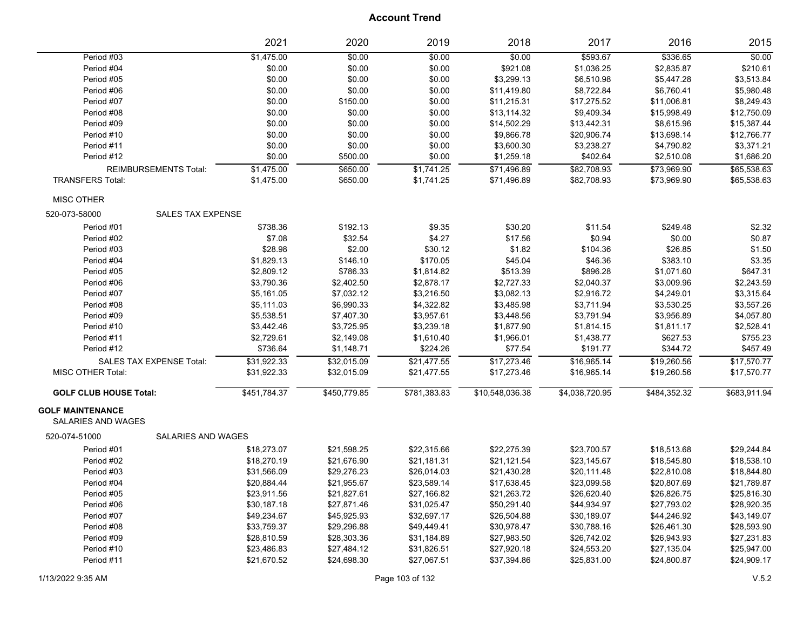|                                                      |                              | 2021         | 2020         | 2019         | 2018            | 2017           | 2016         | 2015         |
|------------------------------------------------------|------------------------------|--------------|--------------|--------------|-----------------|----------------|--------------|--------------|
| Period #03                                           |                              | \$1,475.00   | \$0.00       | \$0.00       | \$0.00          | \$593.67       | \$336.65     | \$0.00       |
| Period #04                                           |                              | \$0.00       | \$0.00       | \$0.00       | \$921.08        | \$1,036.25     | \$2,835.87   | \$210.61     |
| Period #05                                           |                              | \$0.00       | \$0.00       | \$0.00       | \$3,299.13      | \$6,510.98     | \$5,447.28   | \$3,513.84   |
| Period #06                                           |                              | \$0.00       | \$0.00       | \$0.00       | \$11,419.80     | \$8,722.84     | \$6,760.41   | \$5,980.48   |
| Period #07                                           |                              | \$0.00       | \$150.00     | \$0.00       | \$11,215.31     | \$17,275.52    | \$11,006.81  | \$8,249.43   |
| Period #08                                           |                              | \$0.00       | \$0.00       | \$0.00       | \$13,114.32     | \$9,409.34     | \$15,998.49  | \$12,750.09  |
| Period #09                                           |                              | \$0.00       | \$0.00       | \$0.00       | \$14,502.29     | \$13,442.31    | \$8,615.96   | \$15,387.44  |
| Period #10                                           |                              | \$0.00       | \$0.00       | \$0.00       | \$9,866.78      | \$20,906.74    | \$13,698.14  | \$12,766.77  |
| Period #11                                           |                              | \$0.00       | \$0.00       | \$0.00       | \$3,600.30      | \$3,238.27     | \$4,790.82   | \$3,371.21   |
| Period #12                                           |                              | \$0.00       | \$500.00     | \$0.00       | \$1,259.18      | \$402.64       | \$2,510.08   | \$1,686.20   |
|                                                      | <b>REIMBURSEMENTS Total:</b> | \$1,475.00   | \$650.00     | \$1,741.25   | \$71,496.89     | \$82,708.93    | \$73,969.90  | \$65,538.63  |
| <b>TRANSFERS Total:</b>                              |                              | \$1,475.00   | \$650.00     | \$1,741.25   | \$71,496.89     | \$82,708.93    | \$73,969.90  | \$65,538.63  |
| <b>MISC OTHER</b>                                    |                              |              |              |              |                 |                |              |              |
| 520-073-58000                                        | <b>SALES TAX EXPENSE</b>     |              |              |              |                 |                |              |              |
| Period #01                                           |                              | \$738.36     | \$192.13     | \$9.35       | \$30.20         | \$11.54        | \$249.48     | \$2.32       |
| Period #02                                           |                              | \$7.08       | \$32.54      | \$4.27       | \$17.56         | \$0.94         | \$0.00       | \$0.87       |
| Period #03                                           |                              | \$28.98      | \$2.00       | \$30.12      | \$1.82          | \$104.36       | \$26.85      | \$1.50       |
| Period #04                                           |                              | \$1,829.13   | \$146.10     | \$170.05     | \$45.04         | \$46.36        | \$383.10     | \$3.35       |
| Period #05                                           |                              | \$2,809.12   | \$786.33     | \$1,814.82   | \$513.39        | \$896.28       | \$1,071.60   | \$647.31     |
| Period #06                                           |                              | \$3,790.36   | \$2,402.50   | \$2,878.17   | \$2,727.33      | \$2,040.37     | \$3,009.96   | \$2,243.59   |
| Period #07                                           |                              | \$5,161.05   | \$7,032.12   | \$3,216.50   | \$3,082.13      | \$2,916.72     | \$4,249.01   | \$3,315.64   |
| Period #08                                           |                              | \$5,111.03   | \$6,990.33   | \$4,322.82   | \$3,485.98      | \$3,711.94     | \$3,530.25   | \$3,557.26   |
| Period #09                                           |                              | \$5,538.51   | \$7,407.30   | \$3,957.61   | \$3,448.56      | \$3,791.94     | \$3,956.89   | \$4,057.80   |
| Period #10                                           |                              | \$3,442.46   | \$3,725.95   | \$3,239.18   | \$1,877.90      | \$1,814.15     | \$1,811.17   | \$2,528.41   |
| Period #11                                           |                              | \$2,729.61   | \$2,149.08   | \$1,610.40   | \$1,966.01      | \$1,438.77     | \$627.53     | \$755.23     |
| Period #12                                           |                              | \$736.64     | \$1,148.71   | \$224.26     | \$77.54         | \$191.77       | \$344.72     | \$457.49     |
|                                                      | SALES TAX EXPENSE Total:     | \$31,922.33  | \$32,015.09  | \$21,477.55  | \$17,273.46     | \$16,965.14    | \$19,260.56  | \$17,570.77  |
| MISC OTHER Total:                                    |                              | \$31,922.33  | \$32,015.09  | \$21,477.55  | \$17,273.46     | \$16,965.14    | \$19,260.56  | \$17,570.77  |
| <b>GOLF CLUB HOUSE Total:</b>                        |                              | \$451,784.37 | \$450,779.85 | \$781,383.83 | \$10,548,036.38 | \$4,038,720.95 | \$484,352.32 | \$683,911.94 |
| <b>GOLF MAINTENANCE</b><br><b>SALARIES AND WAGES</b> |                              |              |              |              |                 |                |              |              |
| 520-074-51000                                        | SALARIES AND WAGES           |              |              |              |                 |                |              |              |
| Period #01                                           |                              | \$18,273.07  | \$21,598.25  | \$22,315.66  | \$22,275.39     | \$23,700.57    | \$18,513.68  | \$29,244.84  |
| Period #02                                           |                              | \$18,270.19  | \$21,676.90  | \$21,181.31  | \$21,121.54     | \$23,145.67    | \$18,545.80  | \$18,538.10  |
| Period #03                                           |                              | \$31,566.09  | \$29,276.23  | \$26,014.03  | \$21,430.28     | \$20,111.48    | \$22,810.08  | \$18,844.80  |
| Period #04                                           |                              | \$20,884.44  | \$21,955.67  | \$23,589.14  | \$17,638.45     | \$23,099.58    | \$20,807.69  | \$21,789.87  |
| Period #05                                           |                              | \$23,911.56  | \$21,827.61  | \$27,166.82  | \$21,263.72     | \$26,620.40    | \$26,826.75  | \$25,816.30  |
| Period #06                                           |                              | \$30,187.18  | \$27,871.46  | \$31,025.47  | \$50,291.40     | \$44,934.97    | \$27,793.02  | \$28,920.35  |
| Period #07                                           |                              | \$49,234.67  | \$45,925.93  | \$32,697.17  | \$26,504.88     | \$30,189.07    | \$44,246.92  | \$43,149.07  |
| Period #08                                           |                              | \$33,759.37  | \$29,296.88  | \$49,449.41  | \$30,978.47     | \$30,788.16    | \$26,461.30  | \$28,593.90  |
| Period #09                                           |                              | \$28,810.59  | \$28,303.36  | \$31,184.89  | \$27,983.50     | \$26,742.02    | \$26,943.93  | \$27,231.83  |
| Period #10                                           |                              | \$23,486.83  | \$27,484.12  | \$31,826.51  | \$27,920.18     | \$24,553.20    | \$27,135.04  | \$25,947.00  |
| Period #11                                           |                              | \$21,670.52  | \$24,698.30  | \$27,067.51  | \$37,394.86     | \$25,831.00    | \$24,800.87  | \$24,909.17  |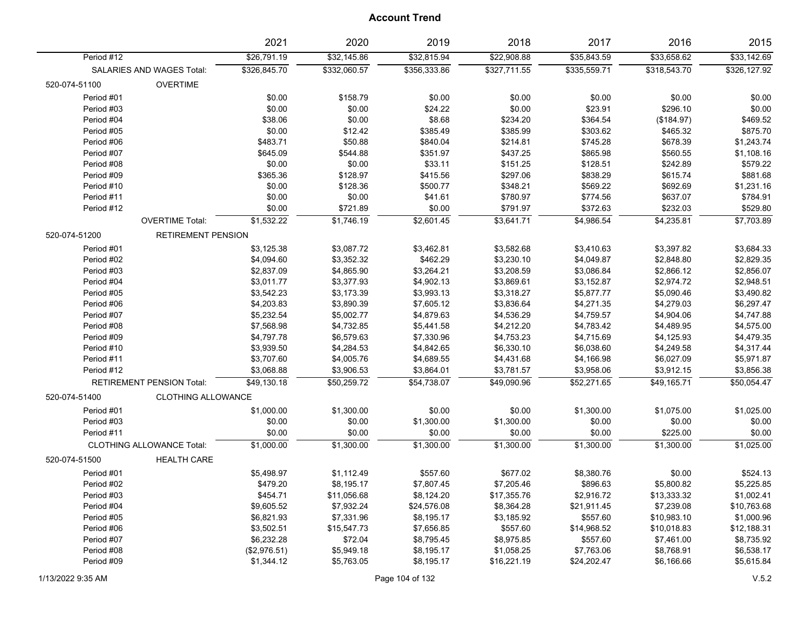| \$26,791.19<br>\$32,145.86<br>\$32,815.94<br>\$22,908.88<br>\$35,843.59<br>\$33,658.62<br>\$33,142.69<br>Period #12<br>\$326,845.70<br>\$332,060.57<br>\$327,711.55<br>\$318,543.70<br>\$326,127.92<br>\$356,333.86<br>\$335,559.71<br>SALARIES AND WAGES Total:<br>520-074-51100<br><b>OVERTIME</b><br>Period #01<br>\$0.00<br>\$158.79<br>\$0.00<br>\$0.00<br>\$0.00<br>\$0.00<br>\$0.00<br>Period #03<br>\$0.00<br>\$0.00<br>\$24.22<br>\$0.00<br>\$23.91<br>\$296.10<br>\$0.00<br>\$8.68<br>Period #04<br>\$38.06<br>\$0.00<br>\$234.20<br>\$364.54<br>(\$184.97)<br>\$469.52<br>\$385.99<br>\$303.62<br>\$875.70<br>Period #05<br>\$0.00<br>\$12.42<br>\$385.49<br>\$465.32<br>\$483.71<br>\$50.88<br>\$745.28<br>Period #06<br>\$840.04<br>\$214.81<br>\$678.39<br>\$1,243.74<br>\$645.09<br>\$1,108.16<br>Period #07<br>\$544.88<br>\$351.97<br>\$437.25<br>\$865.98<br>\$560.55<br>\$0.00<br>\$33.11<br>\$579.22<br>Period #08<br>\$0.00<br>\$151.25<br>\$128.51<br>\$242.89<br>\$365.36<br>\$297.06<br>\$615.74<br>\$881.68<br>Period #09<br>\$128.97<br>\$415.56<br>\$838.29<br>\$0.00<br>\$500.77<br>\$348.21<br>\$692.69<br>\$1,231.16<br>Period #10<br>\$128.36<br>\$569.22<br>\$784.91<br>\$0.00<br>\$0.00<br>\$41.61<br>\$780.97<br>\$774.56<br>\$637.07<br>Period #11<br>\$0.00<br>\$791.97<br>\$372.63<br>\$232.03<br>\$529.80<br>Period #12<br>\$0.00<br>\$721.89<br>\$1,532.22<br>\$1,746.19<br>\$2,601.45<br>\$3,641.71<br>\$4,986.54<br>\$4,235.81<br>\$7,703.89<br><b>OVERTIME Total:</b><br>520-074-51200<br><b>RETIREMENT PENSION</b><br>Period #01<br>\$3,125.38<br>\$3,087.72<br>\$3,462.81<br>\$3,582.68<br>\$3,410.63<br>\$3,397.82<br>\$3,684.33<br>Period #02<br>\$4,094.60<br>\$3,352.32<br>\$462.29<br>\$3,230.10<br>\$4,049.87<br>\$2,848.80<br>\$2,829.35<br>\$2,837.09<br>\$4,865.90<br>\$3,264.21<br>\$3,208.59<br>\$2,866.12<br>\$2,856.07<br>Period #03<br>\$3,086.84<br>\$3,011.77<br>\$3,377.93<br>\$4,902.13<br>\$3,869.61<br>\$3,152.87<br>\$2,974.72<br>\$2,948.51<br>Period #04<br>\$3,542.23<br>\$3,173.39<br>\$3,993.13<br>\$3,318.27<br>\$5,090.46<br>\$3,490.82<br>Period #05<br>\$5,877.77<br>\$4,203.83<br>\$3,890.39<br>\$7,605.12<br>\$3,836.64<br>\$4,271.35<br>\$4,279.03<br>\$6,297.47<br>Period #06<br>\$4,747.88<br>Period #07<br>\$5,232.54<br>\$5,002.77<br>\$4,879.63<br>\$4,536.29<br>\$4,759.57<br>\$4,904.06<br>\$7,568.98<br>\$4,732.85<br>\$5,441.58<br>Period #08<br>\$4,212.20<br>\$4,783.42<br>\$4,489.95<br>\$4,575.00<br>\$6,579.63<br>\$7,330.96<br>\$4,479.35<br>Period #09<br>\$4,797.78<br>\$4,753.23<br>\$4,715.69<br>\$4,125.93<br>\$3,939.50<br>\$4,284.53<br>\$4,842.65<br>\$6,330.10<br>\$6,038.60<br>\$4,317.44<br>Period #10<br>\$4,249.58<br>\$3,707.60<br>\$4,005.76<br>\$4,689.55<br>\$6,027.09<br>\$5,971.87<br>Period #11<br>\$4,431.68<br>\$4,166.98<br>\$3,068.88<br>\$3,906.53<br>\$3,856.38<br>Period #12<br>\$3,864.01<br>\$3,781.57<br>\$3,958.06<br>\$3,912.15<br><b>RETIREMENT PENSION Total:</b><br>\$50,259.72<br>\$54.738.07<br>\$49.090.96<br>\$52,271.65<br>\$49,165.71<br>\$50.054.47<br>\$49,130.18<br>520-074-51400<br><b>CLOTHING ALLOWANCE</b><br>\$1,025.00<br>Period #01<br>\$1,000.00<br>\$1,300.00<br>\$0.00<br>\$0.00<br>\$1,300.00<br>\$1,075.00<br>Period #03<br>\$0.00<br>\$0.00<br>\$0.00<br>\$1,300.00<br>\$1,300.00<br>\$0.00<br>\$0.00<br>Period #11<br>\$0.00<br>\$0.00<br>\$0.00<br>\$0.00<br>\$0.00<br>\$225.00<br>\$0.00<br>\$1,000.00<br>\$1,300.00<br>\$1,300.00<br>\$1,300.00<br>\$1,300.00<br>\$1,300.00<br>\$1,025.00<br><b>CLOTHING ALLOWANCE Total:</b><br>520-074-51500<br><b>HEALTH CARE</b><br>Period #01<br>\$557.60<br>\$677.02<br>\$8,380.76<br>\$0.00<br>\$524.13<br>\$5,498.97<br>\$1,112.49<br>\$7,807.45<br>Period #02<br>\$479.20<br>\$8,195.17<br>\$7,205.46<br>\$896.63<br>\$5,800.82<br>\$5,225.85<br>\$17,355.76<br>\$1,002.41<br>Period #03<br>\$454.71<br>\$11,056.68<br>\$8,124.20<br>\$2,916.72<br>\$13,333.32<br>\$9,605.52<br>\$7,932.24<br>\$24,576.08<br>\$8,364.28<br>\$21,911.45<br>\$7,239.08<br>\$10,763.68<br>Period #04<br>\$8,195.17<br>\$3,185.92<br>\$557.60<br>\$10,983.10<br>\$1,000.96<br>Period #05<br>\$6,821.93<br>\$7,331.96<br>Period #06<br>\$3,502.51<br>\$15,547.73<br>\$7,656.85<br>\$557.60<br>\$14,968.52<br>\$10,018.83<br>\$12,188.31<br>\$72.04<br>\$8,735.92<br>Period #07<br>\$6,232.28<br>\$8,795.45<br>\$8,975.85<br>\$557.60<br>\$7,461.00<br>\$6,538.17<br>Period #08<br>(\$2,976.51)<br>\$5,949.18<br>\$8,195.17<br>\$1,058.25<br>\$7,763.06<br>\$8,768.91 |  | 2021 | 2020       | 2019       | 2018        | 2017        | 2016 | 2015       |
|---------------------------------------------------------------------------------------------------------------------------------------------------------------------------------------------------------------------------------------------------------------------------------------------------------------------------------------------------------------------------------------------------------------------------------------------------------------------------------------------------------------------------------------------------------------------------------------------------------------------------------------------------------------------------------------------------------------------------------------------------------------------------------------------------------------------------------------------------------------------------------------------------------------------------------------------------------------------------------------------------------------------------------------------------------------------------------------------------------------------------------------------------------------------------------------------------------------------------------------------------------------------------------------------------------------------------------------------------------------------------------------------------------------------------------------------------------------------------------------------------------------------------------------------------------------------------------------------------------------------------------------------------------------------------------------------------------------------------------------------------------------------------------------------------------------------------------------------------------------------------------------------------------------------------------------------------------------------------------------------------------------------------------------------------------------------------------------------------------------------------------------------------------------------------------------------------------------------------------------------------------------------------------------------------------------------------------------------------------------------------------------------------------------------------------------------------------------------------------------------------------------------------------------------------------------------------------------------------------------------------------------------------------------------------------------------------------------------------------------------------------------------------------------------------------------------------------------------------------------------------------------------------------------------------------------------------------------------------------------------------------------------------------------------------------------------------------------------------------------------------------------------------------------------------------------------------------------------------------------------------------------------------------------------------------------------------------------------------------------------------------------------------------------------------------------------------------------------------------------------------------------------------------------------------------------------------------------------------------------------------------------------------------------------------------------------------------------------------------------------------------------------------------------------------------------------------------------------------------------------------------------------------------------------------------------------------------------------------------------------------------------------------------------------------------------------------------------------------------------------------------------------------------------------------------------------------------------------------------------------------------------------------------------------------------------------------------------------------------------------------------------------------------------------------------------------------------------------------------------------------------------------------------------------------|--|------|------------|------------|-------------|-------------|------|------------|
|                                                                                                                                                                                                                                                                                                                                                                                                                                                                                                                                                                                                                                                                                                                                                                                                                                                                                                                                                                                                                                                                                                                                                                                                                                                                                                                                                                                                                                                                                                                                                                                                                                                                                                                                                                                                                                                                                                                                                                                                                                                                                                                                                                                                                                                                                                                                                                                                                                                                                                                                                                                                                                                                                                                                                                                                                                                                                                                                                                                                                                                                                                                                                                                                                                                                                                                                                                                                                                                                                                                                                                                                                                                                                                                                                                                                                                                                                                                                                                                                                                                                                                                                                                                                                                                                                                                                                                                                                                                                                                                                                   |  |      |            |            |             |             |      |            |
|                                                                                                                                                                                                                                                                                                                                                                                                                                                                                                                                                                                                                                                                                                                                                                                                                                                                                                                                                                                                                                                                                                                                                                                                                                                                                                                                                                                                                                                                                                                                                                                                                                                                                                                                                                                                                                                                                                                                                                                                                                                                                                                                                                                                                                                                                                                                                                                                                                                                                                                                                                                                                                                                                                                                                                                                                                                                                                                                                                                                                                                                                                                                                                                                                                                                                                                                                                                                                                                                                                                                                                                                                                                                                                                                                                                                                                                                                                                                                                                                                                                                                                                                                                                                                                                                                                                                                                                                                                                                                                                                                   |  |      |            |            |             |             |      |            |
|                                                                                                                                                                                                                                                                                                                                                                                                                                                                                                                                                                                                                                                                                                                                                                                                                                                                                                                                                                                                                                                                                                                                                                                                                                                                                                                                                                                                                                                                                                                                                                                                                                                                                                                                                                                                                                                                                                                                                                                                                                                                                                                                                                                                                                                                                                                                                                                                                                                                                                                                                                                                                                                                                                                                                                                                                                                                                                                                                                                                                                                                                                                                                                                                                                                                                                                                                                                                                                                                                                                                                                                                                                                                                                                                                                                                                                                                                                                                                                                                                                                                                                                                                                                                                                                                                                                                                                                                                                                                                                                                                   |  |      |            |            |             |             |      |            |
|                                                                                                                                                                                                                                                                                                                                                                                                                                                                                                                                                                                                                                                                                                                                                                                                                                                                                                                                                                                                                                                                                                                                                                                                                                                                                                                                                                                                                                                                                                                                                                                                                                                                                                                                                                                                                                                                                                                                                                                                                                                                                                                                                                                                                                                                                                                                                                                                                                                                                                                                                                                                                                                                                                                                                                                                                                                                                                                                                                                                                                                                                                                                                                                                                                                                                                                                                                                                                                                                                                                                                                                                                                                                                                                                                                                                                                                                                                                                                                                                                                                                                                                                                                                                                                                                                                                                                                                                                                                                                                                                                   |  |      |            |            |             |             |      |            |
|                                                                                                                                                                                                                                                                                                                                                                                                                                                                                                                                                                                                                                                                                                                                                                                                                                                                                                                                                                                                                                                                                                                                                                                                                                                                                                                                                                                                                                                                                                                                                                                                                                                                                                                                                                                                                                                                                                                                                                                                                                                                                                                                                                                                                                                                                                                                                                                                                                                                                                                                                                                                                                                                                                                                                                                                                                                                                                                                                                                                                                                                                                                                                                                                                                                                                                                                                                                                                                                                                                                                                                                                                                                                                                                                                                                                                                                                                                                                                                                                                                                                                                                                                                                                                                                                                                                                                                                                                                                                                                                                                   |  |      |            |            |             |             |      |            |
|                                                                                                                                                                                                                                                                                                                                                                                                                                                                                                                                                                                                                                                                                                                                                                                                                                                                                                                                                                                                                                                                                                                                                                                                                                                                                                                                                                                                                                                                                                                                                                                                                                                                                                                                                                                                                                                                                                                                                                                                                                                                                                                                                                                                                                                                                                                                                                                                                                                                                                                                                                                                                                                                                                                                                                                                                                                                                                                                                                                                                                                                                                                                                                                                                                                                                                                                                                                                                                                                                                                                                                                                                                                                                                                                                                                                                                                                                                                                                                                                                                                                                                                                                                                                                                                                                                                                                                                                                                                                                                                                                   |  |      |            |            |             |             |      |            |
|                                                                                                                                                                                                                                                                                                                                                                                                                                                                                                                                                                                                                                                                                                                                                                                                                                                                                                                                                                                                                                                                                                                                                                                                                                                                                                                                                                                                                                                                                                                                                                                                                                                                                                                                                                                                                                                                                                                                                                                                                                                                                                                                                                                                                                                                                                                                                                                                                                                                                                                                                                                                                                                                                                                                                                                                                                                                                                                                                                                                                                                                                                                                                                                                                                                                                                                                                                                                                                                                                                                                                                                                                                                                                                                                                                                                                                                                                                                                                                                                                                                                                                                                                                                                                                                                                                                                                                                                                                                                                                                                                   |  |      |            |            |             |             |      |            |
|                                                                                                                                                                                                                                                                                                                                                                                                                                                                                                                                                                                                                                                                                                                                                                                                                                                                                                                                                                                                                                                                                                                                                                                                                                                                                                                                                                                                                                                                                                                                                                                                                                                                                                                                                                                                                                                                                                                                                                                                                                                                                                                                                                                                                                                                                                                                                                                                                                                                                                                                                                                                                                                                                                                                                                                                                                                                                                                                                                                                                                                                                                                                                                                                                                                                                                                                                                                                                                                                                                                                                                                                                                                                                                                                                                                                                                                                                                                                                                                                                                                                                                                                                                                                                                                                                                                                                                                                                                                                                                                                                   |  |      |            |            |             |             |      |            |
|                                                                                                                                                                                                                                                                                                                                                                                                                                                                                                                                                                                                                                                                                                                                                                                                                                                                                                                                                                                                                                                                                                                                                                                                                                                                                                                                                                                                                                                                                                                                                                                                                                                                                                                                                                                                                                                                                                                                                                                                                                                                                                                                                                                                                                                                                                                                                                                                                                                                                                                                                                                                                                                                                                                                                                                                                                                                                                                                                                                                                                                                                                                                                                                                                                                                                                                                                                                                                                                                                                                                                                                                                                                                                                                                                                                                                                                                                                                                                                                                                                                                                                                                                                                                                                                                                                                                                                                                                                                                                                                                                   |  |      |            |            |             |             |      |            |
|                                                                                                                                                                                                                                                                                                                                                                                                                                                                                                                                                                                                                                                                                                                                                                                                                                                                                                                                                                                                                                                                                                                                                                                                                                                                                                                                                                                                                                                                                                                                                                                                                                                                                                                                                                                                                                                                                                                                                                                                                                                                                                                                                                                                                                                                                                                                                                                                                                                                                                                                                                                                                                                                                                                                                                                                                                                                                                                                                                                                                                                                                                                                                                                                                                                                                                                                                                                                                                                                                                                                                                                                                                                                                                                                                                                                                                                                                                                                                                                                                                                                                                                                                                                                                                                                                                                                                                                                                                                                                                                                                   |  |      |            |            |             |             |      |            |
|                                                                                                                                                                                                                                                                                                                                                                                                                                                                                                                                                                                                                                                                                                                                                                                                                                                                                                                                                                                                                                                                                                                                                                                                                                                                                                                                                                                                                                                                                                                                                                                                                                                                                                                                                                                                                                                                                                                                                                                                                                                                                                                                                                                                                                                                                                                                                                                                                                                                                                                                                                                                                                                                                                                                                                                                                                                                                                                                                                                                                                                                                                                                                                                                                                                                                                                                                                                                                                                                                                                                                                                                                                                                                                                                                                                                                                                                                                                                                                                                                                                                                                                                                                                                                                                                                                                                                                                                                                                                                                                                                   |  |      |            |            |             |             |      |            |
|                                                                                                                                                                                                                                                                                                                                                                                                                                                                                                                                                                                                                                                                                                                                                                                                                                                                                                                                                                                                                                                                                                                                                                                                                                                                                                                                                                                                                                                                                                                                                                                                                                                                                                                                                                                                                                                                                                                                                                                                                                                                                                                                                                                                                                                                                                                                                                                                                                                                                                                                                                                                                                                                                                                                                                                                                                                                                                                                                                                                                                                                                                                                                                                                                                                                                                                                                                                                                                                                                                                                                                                                                                                                                                                                                                                                                                                                                                                                                                                                                                                                                                                                                                                                                                                                                                                                                                                                                                                                                                                                                   |  |      |            |            |             |             |      |            |
|                                                                                                                                                                                                                                                                                                                                                                                                                                                                                                                                                                                                                                                                                                                                                                                                                                                                                                                                                                                                                                                                                                                                                                                                                                                                                                                                                                                                                                                                                                                                                                                                                                                                                                                                                                                                                                                                                                                                                                                                                                                                                                                                                                                                                                                                                                                                                                                                                                                                                                                                                                                                                                                                                                                                                                                                                                                                                                                                                                                                                                                                                                                                                                                                                                                                                                                                                                                                                                                                                                                                                                                                                                                                                                                                                                                                                                                                                                                                                                                                                                                                                                                                                                                                                                                                                                                                                                                                                                                                                                                                                   |  |      |            |            |             |             |      |            |
|                                                                                                                                                                                                                                                                                                                                                                                                                                                                                                                                                                                                                                                                                                                                                                                                                                                                                                                                                                                                                                                                                                                                                                                                                                                                                                                                                                                                                                                                                                                                                                                                                                                                                                                                                                                                                                                                                                                                                                                                                                                                                                                                                                                                                                                                                                                                                                                                                                                                                                                                                                                                                                                                                                                                                                                                                                                                                                                                                                                                                                                                                                                                                                                                                                                                                                                                                                                                                                                                                                                                                                                                                                                                                                                                                                                                                                                                                                                                                                                                                                                                                                                                                                                                                                                                                                                                                                                                                                                                                                                                                   |  |      |            |            |             |             |      |            |
|                                                                                                                                                                                                                                                                                                                                                                                                                                                                                                                                                                                                                                                                                                                                                                                                                                                                                                                                                                                                                                                                                                                                                                                                                                                                                                                                                                                                                                                                                                                                                                                                                                                                                                                                                                                                                                                                                                                                                                                                                                                                                                                                                                                                                                                                                                                                                                                                                                                                                                                                                                                                                                                                                                                                                                                                                                                                                                                                                                                                                                                                                                                                                                                                                                                                                                                                                                                                                                                                                                                                                                                                                                                                                                                                                                                                                                                                                                                                                                                                                                                                                                                                                                                                                                                                                                                                                                                                                                                                                                                                                   |  |      |            |            |             |             |      |            |
|                                                                                                                                                                                                                                                                                                                                                                                                                                                                                                                                                                                                                                                                                                                                                                                                                                                                                                                                                                                                                                                                                                                                                                                                                                                                                                                                                                                                                                                                                                                                                                                                                                                                                                                                                                                                                                                                                                                                                                                                                                                                                                                                                                                                                                                                                                                                                                                                                                                                                                                                                                                                                                                                                                                                                                                                                                                                                                                                                                                                                                                                                                                                                                                                                                                                                                                                                                                                                                                                                                                                                                                                                                                                                                                                                                                                                                                                                                                                                                                                                                                                                                                                                                                                                                                                                                                                                                                                                                                                                                                                                   |  |      |            |            |             |             |      |            |
|                                                                                                                                                                                                                                                                                                                                                                                                                                                                                                                                                                                                                                                                                                                                                                                                                                                                                                                                                                                                                                                                                                                                                                                                                                                                                                                                                                                                                                                                                                                                                                                                                                                                                                                                                                                                                                                                                                                                                                                                                                                                                                                                                                                                                                                                                                                                                                                                                                                                                                                                                                                                                                                                                                                                                                                                                                                                                                                                                                                                                                                                                                                                                                                                                                                                                                                                                                                                                                                                                                                                                                                                                                                                                                                                                                                                                                                                                                                                                                                                                                                                                                                                                                                                                                                                                                                                                                                                                                                                                                                                                   |  |      |            |            |             |             |      |            |
|                                                                                                                                                                                                                                                                                                                                                                                                                                                                                                                                                                                                                                                                                                                                                                                                                                                                                                                                                                                                                                                                                                                                                                                                                                                                                                                                                                                                                                                                                                                                                                                                                                                                                                                                                                                                                                                                                                                                                                                                                                                                                                                                                                                                                                                                                                                                                                                                                                                                                                                                                                                                                                                                                                                                                                                                                                                                                                                                                                                                                                                                                                                                                                                                                                                                                                                                                                                                                                                                                                                                                                                                                                                                                                                                                                                                                                                                                                                                                                                                                                                                                                                                                                                                                                                                                                                                                                                                                                                                                                                                                   |  |      |            |            |             |             |      |            |
|                                                                                                                                                                                                                                                                                                                                                                                                                                                                                                                                                                                                                                                                                                                                                                                                                                                                                                                                                                                                                                                                                                                                                                                                                                                                                                                                                                                                                                                                                                                                                                                                                                                                                                                                                                                                                                                                                                                                                                                                                                                                                                                                                                                                                                                                                                                                                                                                                                                                                                                                                                                                                                                                                                                                                                                                                                                                                                                                                                                                                                                                                                                                                                                                                                                                                                                                                                                                                                                                                                                                                                                                                                                                                                                                                                                                                                                                                                                                                                                                                                                                                                                                                                                                                                                                                                                                                                                                                                                                                                                                                   |  |      |            |            |             |             |      |            |
|                                                                                                                                                                                                                                                                                                                                                                                                                                                                                                                                                                                                                                                                                                                                                                                                                                                                                                                                                                                                                                                                                                                                                                                                                                                                                                                                                                                                                                                                                                                                                                                                                                                                                                                                                                                                                                                                                                                                                                                                                                                                                                                                                                                                                                                                                                                                                                                                                                                                                                                                                                                                                                                                                                                                                                                                                                                                                                                                                                                                                                                                                                                                                                                                                                                                                                                                                                                                                                                                                                                                                                                                                                                                                                                                                                                                                                                                                                                                                                                                                                                                                                                                                                                                                                                                                                                                                                                                                                                                                                                                                   |  |      |            |            |             |             |      |            |
|                                                                                                                                                                                                                                                                                                                                                                                                                                                                                                                                                                                                                                                                                                                                                                                                                                                                                                                                                                                                                                                                                                                                                                                                                                                                                                                                                                                                                                                                                                                                                                                                                                                                                                                                                                                                                                                                                                                                                                                                                                                                                                                                                                                                                                                                                                                                                                                                                                                                                                                                                                                                                                                                                                                                                                                                                                                                                                                                                                                                                                                                                                                                                                                                                                                                                                                                                                                                                                                                                                                                                                                                                                                                                                                                                                                                                                                                                                                                                                                                                                                                                                                                                                                                                                                                                                                                                                                                                                                                                                                                                   |  |      |            |            |             |             |      |            |
|                                                                                                                                                                                                                                                                                                                                                                                                                                                                                                                                                                                                                                                                                                                                                                                                                                                                                                                                                                                                                                                                                                                                                                                                                                                                                                                                                                                                                                                                                                                                                                                                                                                                                                                                                                                                                                                                                                                                                                                                                                                                                                                                                                                                                                                                                                                                                                                                                                                                                                                                                                                                                                                                                                                                                                                                                                                                                                                                                                                                                                                                                                                                                                                                                                                                                                                                                                                                                                                                                                                                                                                                                                                                                                                                                                                                                                                                                                                                                                                                                                                                                                                                                                                                                                                                                                                                                                                                                                                                                                                                                   |  |      |            |            |             |             |      |            |
|                                                                                                                                                                                                                                                                                                                                                                                                                                                                                                                                                                                                                                                                                                                                                                                                                                                                                                                                                                                                                                                                                                                                                                                                                                                                                                                                                                                                                                                                                                                                                                                                                                                                                                                                                                                                                                                                                                                                                                                                                                                                                                                                                                                                                                                                                                                                                                                                                                                                                                                                                                                                                                                                                                                                                                                                                                                                                                                                                                                                                                                                                                                                                                                                                                                                                                                                                                                                                                                                                                                                                                                                                                                                                                                                                                                                                                                                                                                                                                                                                                                                                                                                                                                                                                                                                                                                                                                                                                                                                                                                                   |  |      |            |            |             |             |      |            |
|                                                                                                                                                                                                                                                                                                                                                                                                                                                                                                                                                                                                                                                                                                                                                                                                                                                                                                                                                                                                                                                                                                                                                                                                                                                                                                                                                                                                                                                                                                                                                                                                                                                                                                                                                                                                                                                                                                                                                                                                                                                                                                                                                                                                                                                                                                                                                                                                                                                                                                                                                                                                                                                                                                                                                                                                                                                                                                                                                                                                                                                                                                                                                                                                                                                                                                                                                                                                                                                                                                                                                                                                                                                                                                                                                                                                                                                                                                                                                                                                                                                                                                                                                                                                                                                                                                                                                                                                                                                                                                                                                   |  |      |            |            |             |             |      |            |
|                                                                                                                                                                                                                                                                                                                                                                                                                                                                                                                                                                                                                                                                                                                                                                                                                                                                                                                                                                                                                                                                                                                                                                                                                                                                                                                                                                                                                                                                                                                                                                                                                                                                                                                                                                                                                                                                                                                                                                                                                                                                                                                                                                                                                                                                                                                                                                                                                                                                                                                                                                                                                                                                                                                                                                                                                                                                                                                                                                                                                                                                                                                                                                                                                                                                                                                                                                                                                                                                                                                                                                                                                                                                                                                                                                                                                                                                                                                                                                                                                                                                                                                                                                                                                                                                                                                                                                                                                                                                                                                                                   |  |      |            |            |             |             |      |            |
|                                                                                                                                                                                                                                                                                                                                                                                                                                                                                                                                                                                                                                                                                                                                                                                                                                                                                                                                                                                                                                                                                                                                                                                                                                                                                                                                                                                                                                                                                                                                                                                                                                                                                                                                                                                                                                                                                                                                                                                                                                                                                                                                                                                                                                                                                                                                                                                                                                                                                                                                                                                                                                                                                                                                                                                                                                                                                                                                                                                                                                                                                                                                                                                                                                                                                                                                                                                                                                                                                                                                                                                                                                                                                                                                                                                                                                                                                                                                                                                                                                                                                                                                                                                                                                                                                                                                                                                                                                                                                                                                                   |  |      |            |            |             |             |      |            |
|                                                                                                                                                                                                                                                                                                                                                                                                                                                                                                                                                                                                                                                                                                                                                                                                                                                                                                                                                                                                                                                                                                                                                                                                                                                                                                                                                                                                                                                                                                                                                                                                                                                                                                                                                                                                                                                                                                                                                                                                                                                                                                                                                                                                                                                                                                                                                                                                                                                                                                                                                                                                                                                                                                                                                                                                                                                                                                                                                                                                                                                                                                                                                                                                                                                                                                                                                                                                                                                                                                                                                                                                                                                                                                                                                                                                                                                                                                                                                                                                                                                                                                                                                                                                                                                                                                                                                                                                                                                                                                                                                   |  |      |            |            |             |             |      |            |
|                                                                                                                                                                                                                                                                                                                                                                                                                                                                                                                                                                                                                                                                                                                                                                                                                                                                                                                                                                                                                                                                                                                                                                                                                                                                                                                                                                                                                                                                                                                                                                                                                                                                                                                                                                                                                                                                                                                                                                                                                                                                                                                                                                                                                                                                                                                                                                                                                                                                                                                                                                                                                                                                                                                                                                                                                                                                                                                                                                                                                                                                                                                                                                                                                                                                                                                                                                                                                                                                                                                                                                                                                                                                                                                                                                                                                                                                                                                                                                                                                                                                                                                                                                                                                                                                                                                                                                                                                                                                                                                                                   |  |      |            |            |             |             |      |            |
|                                                                                                                                                                                                                                                                                                                                                                                                                                                                                                                                                                                                                                                                                                                                                                                                                                                                                                                                                                                                                                                                                                                                                                                                                                                                                                                                                                                                                                                                                                                                                                                                                                                                                                                                                                                                                                                                                                                                                                                                                                                                                                                                                                                                                                                                                                                                                                                                                                                                                                                                                                                                                                                                                                                                                                                                                                                                                                                                                                                                                                                                                                                                                                                                                                                                                                                                                                                                                                                                                                                                                                                                                                                                                                                                                                                                                                                                                                                                                                                                                                                                                                                                                                                                                                                                                                                                                                                                                                                                                                                                                   |  |      |            |            |             |             |      |            |
|                                                                                                                                                                                                                                                                                                                                                                                                                                                                                                                                                                                                                                                                                                                                                                                                                                                                                                                                                                                                                                                                                                                                                                                                                                                                                                                                                                                                                                                                                                                                                                                                                                                                                                                                                                                                                                                                                                                                                                                                                                                                                                                                                                                                                                                                                                                                                                                                                                                                                                                                                                                                                                                                                                                                                                                                                                                                                                                                                                                                                                                                                                                                                                                                                                                                                                                                                                                                                                                                                                                                                                                                                                                                                                                                                                                                                                                                                                                                                                                                                                                                                                                                                                                                                                                                                                                                                                                                                                                                                                                                                   |  |      |            |            |             |             |      |            |
|                                                                                                                                                                                                                                                                                                                                                                                                                                                                                                                                                                                                                                                                                                                                                                                                                                                                                                                                                                                                                                                                                                                                                                                                                                                                                                                                                                                                                                                                                                                                                                                                                                                                                                                                                                                                                                                                                                                                                                                                                                                                                                                                                                                                                                                                                                                                                                                                                                                                                                                                                                                                                                                                                                                                                                                                                                                                                                                                                                                                                                                                                                                                                                                                                                                                                                                                                                                                                                                                                                                                                                                                                                                                                                                                                                                                                                                                                                                                                                                                                                                                                                                                                                                                                                                                                                                                                                                                                                                                                                                                                   |  |      |            |            |             |             |      |            |
|                                                                                                                                                                                                                                                                                                                                                                                                                                                                                                                                                                                                                                                                                                                                                                                                                                                                                                                                                                                                                                                                                                                                                                                                                                                                                                                                                                                                                                                                                                                                                                                                                                                                                                                                                                                                                                                                                                                                                                                                                                                                                                                                                                                                                                                                                                                                                                                                                                                                                                                                                                                                                                                                                                                                                                                                                                                                                                                                                                                                                                                                                                                                                                                                                                                                                                                                                                                                                                                                                                                                                                                                                                                                                                                                                                                                                                                                                                                                                                                                                                                                                                                                                                                                                                                                                                                                                                                                                                                                                                                                                   |  |      |            |            |             |             |      |            |
|                                                                                                                                                                                                                                                                                                                                                                                                                                                                                                                                                                                                                                                                                                                                                                                                                                                                                                                                                                                                                                                                                                                                                                                                                                                                                                                                                                                                                                                                                                                                                                                                                                                                                                                                                                                                                                                                                                                                                                                                                                                                                                                                                                                                                                                                                                                                                                                                                                                                                                                                                                                                                                                                                                                                                                                                                                                                                                                                                                                                                                                                                                                                                                                                                                                                                                                                                                                                                                                                                                                                                                                                                                                                                                                                                                                                                                                                                                                                                                                                                                                                                                                                                                                                                                                                                                                                                                                                                                                                                                                                                   |  |      |            |            |             |             |      |            |
|                                                                                                                                                                                                                                                                                                                                                                                                                                                                                                                                                                                                                                                                                                                                                                                                                                                                                                                                                                                                                                                                                                                                                                                                                                                                                                                                                                                                                                                                                                                                                                                                                                                                                                                                                                                                                                                                                                                                                                                                                                                                                                                                                                                                                                                                                                                                                                                                                                                                                                                                                                                                                                                                                                                                                                                                                                                                                                                                                                                                                                                                                                                                                                                                                                                                                                                                                                                                                                                                                                                                                                                                                                                                                                                                                                                                                                                                                                                                                                                                                                                                                                                                                                                                                                                                                                                                                                                                                                                                                                                                                   |  |      |            |            |             |             |      |            |
|                                                                                                                                                                                                                                                                                                                                                                                                                                                                                                                                                                                                                                                                                                                                                                                                                                                                                                                                                                                                                                                                                                                                                                                                                                                                                                                                                                                                                                                                                                                                                                                                                                                                                                                                                                                                                                                                                                                                                                                                                                                                                                                                                                                                                                                                                                                                                                                                                                                                                                                                                                                                                                                                                                                                                                                                                                                                                                                                                                                                                                                                                                                                                                                                                                                                                                                                                                                                                                                                                                                                                                                                                                                                                                                                                                                                                                                                                                                                                                                                                                                                                                                                                                                                                                                                                                                                                                                                                                                                                                                                                   |  |      |            |            |             |             |      |            |
|                                                                                                                                                                                                                                                                                                                                                                                                                                                                                                                                                                                                                                                                                                                                                                                                                                                                                                                                                                                                                                                                                                                                                                                                                                                                                                                                                                                                                                                                                                                                                                                                                                                                                                                                                                                                                                                                                                                                                                                                                                                                                                                                                                                                                                                                                                                                                                                                                                                                                                                                                                                                                                                                                                                                                                                                                                                                                                                                                                                                                                                                                                                                                                                                                                                                                                                                                                                                                                                                                                                                                                                                                                                                                                                                                                                                                                                                                                                                                                                                                                                                                                                                                                                                                                                                                                                                                                                                                                                                                                                                                   |  |      |            |            |             |             |      |            |
|                                                                                                                                                                                                                                                                                                                                                                                                                                                                                                                                                                                                                                                                                                                                                                                                                                                                                                                                                                                                                                                                                                                                                                                                                                                                                                                                                                                                                                                                                                                                                                                                                                                                                                                                                                                                                                                                                                                                                                                                                                                                                                                                                                                                                                                                                                                                                                                                                                                                                                                                                                                                                                                                                                                                                                                                                                                                                                                                                                                                                                                                                                                                                                                                                                                                                                                                                                                                                                                                                                                                                                                                                                                                                                                                                                                                                                                                                                                                                                                                                                                                                                                                                                                                                                                                                                                                                                                                                                                                                                                                                   |  |      |            |            |             |             |      |            |
|                                                                                                                                                                                                                                                                                                                                                                                                                                                                                                                                                                                                                                                                                                                                                                                                                                                                                                                                                                                                                                                                                                                                                                                                                                                                                                                                                                                                                                                                                                                                                                                                                                                                                                                                                                                                                                                                                                                                                                                                                                                                                                                                                                                                                                                                                                                                                                                                                                                                                                                                                                                                                                                                                                                                                                                                                                                                                                                                                                                                                                                                                                                                                                                                                                                                                                                                                                                                                                                                                                                                                                                                                                                                                                                                                                                                                                                                                                                                                                                                                                                                                                                                                                                                                                                                                                                                                                                                                                                                                                                                                   |  |      |            |            |             |             |      |            |
|                                                                                                                                                                                                                                                                                                                                                                                                                                                                                                                                                                                                                                                                                                                                                                                                                                                                                                                                                                                                                                                                                                                                                                                                                                                                                                                                                                                                                                                                                                                                                                                                                                                                                                                                                                                                                                                                                                                                                                                                                                                                                                                                                                                                                                                                                                                                                                                                                                                                                                                                                                                                                                                                                                                                                                                                                                                                                                                                                                                                                                                                                                                                                                                                                                                                                                                                                                                                                                                                                                                                                                                                                                                                                                                                                                                                                                                                                                                                                                                                                                                                                                                                                                                                                                                                                                                                                                                                                                                                                                                                                   |  |      |            |            |             |             |      |            |
|                                                                                                                                                                                                                                                                                                                                                                                                                                                                                                                                                                                                                                                                                                                                                                                                                                                                                                                                                                                                                                                                                                                                                                                                                                                                                                                                                                                                                                                                                                                                                                                                                                                                                                                                                                                                                                                                                                                                                                                                                                                                                                                                                                                                                                                                                                                                                                                                                                                                                                                                                                                                                                                                                                                                                                                                                                                                                                                                                                                                                                                                                                                                                                                                                                                                                                                                                                                                                                                                                                                                                                                                                                                                                                                                                                                                                                                                                                                                                                                                                                                                                                                                                                                                                                                                                                                                                                                                                                                                                                                                                   |  |      |            |            |             |             |      |            |
|                                                                                                                                                                                                                                                                                                                                                                                                                                                                                                                                                                                                                                                                                                                                                                                                                                                                                                                                                                                                                                                                                                                                                                                                                                                                                                                                                                                                                                                                                                                                                                                                                                                                                                                                                                                                                                                                                                                                                                                                                                                                                                                                                                                                                                                                                                                                                                                                                                                                                                                                                                                                                                                                                                                                                                                                                                                                                                                                                                                                                                                                                                                                                                                                                                                                                                                                                                                                                                                                                                                                                                                                                                                                                                                                                                                                                                                                                                                                                                                                                                                                                                                                                                                                                                                                                                                                                                                                                                                                                                                                                   |  |      |            |            |             |             |      |            |
|                                                                                                                                                                                                                                                                                                                                                                                                                                                                                                                                                                                                                                                                                                                                                                                                                                                                                                                                                                                                                                                                                                                                                                                                                                                                                                                                                                                                                                                                                                                                                                                                                                                                                                                                                                                                                                                                                                                                                                                                                                                                                                                                                                                                                                                                                                                                                                                                                                                                                                                                                                                                                                                                                                                                                                                                                                                                                                                                                                                                                                                                                                                                                                                                                                                                                                                                                                                                                                                                                                                                                                                                                                                                                                                                                                                                                                                                                                                                                                                                                                                                                                                                                                                                                                                                                                                                                                                                                                                                                                                                                   |  |      |            |            |             |             |      |            |
|                                                                                                                                                                                                                                                                                                                                                                                                                                                                                                                                                                                                                                                                                                                                                                                                                                                                                                                                                                                                                                                                                                                                                                                                                                                                                                                                                                                                                                                                                                                                                                                                                                                                                                                                                                                                                                                                                                                                                                                                                                                                                                                                                                                                                                                                                                                                                                                                                                                                                                                                                                                                                                                                                                                                                                                                                                                                                                                                                                                                                                                                                                                                                                                                                                                                                                                                                                                                                                                                                                                                                                                                                                                                                                                                                                                                                                                                                                                                                                                                                                                                                                                                                                                                                                                                                                                                                                                                                                                                                                                                                   |  |      |            |            |             |             |      |            |
| Period #09<br>\$1,344.12<br>\$6,166.66                                                                                                                                                                                                                                                                                                                                                                                                                                                                                                                                                                                                                                                                                                                                                                                                                                                                                                                                                                                                                                                                                                                                                                                                                                                                                                                                                                                                                                                                                                                                                                                                                                                                                                                                                                                                                                                                                                                                                                                                                                                                                                                                                                                                                                                                                                                                                                                                                                                                                                                                                                                                                                                                                                                                                                                                                                                                                                                                                                                                                                                                                                                                                                                                                                                                                                                                                                                                                                                                                                                                                                                                                                                                                                                                                                                                                                                                                                                                                                                                                                                                                                                                                                                                                                                                                                                                                                                                                                                                                                            |  |      | \$5,763.05 | \$8,195.17 | \$16,221.19 | \$24,202.47 |      | \$5,615.84 |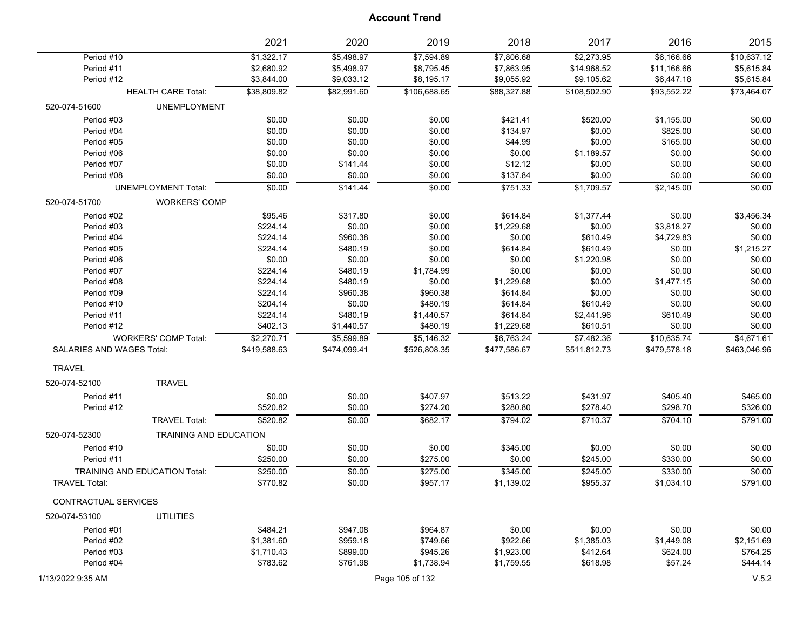|                                         | 2021         | 2020         | 2019            | 2018         | 2017         | 2016         | 2015         |
|-----------------------------------------|--------------|--------------|-----------------|--------------|--------------|--------------|--------------|
| Period #10                              | \$1,322.17   | \$5,498.97   | \$7,594.89      | \$7,806.68   | \$2,273.95   | \$6,166.66   | \$10,637.12  |
| Period #11                              | \$2,680.92   | \$5,498.97   | \$8,795.45      | \$7,863.95   | \$14,968.52  | \$11,166.66  | \$5,615.84   |
| Period #12                              | \$3,844.00   | \$9,033.12   | \$8,195.17      | \$9,055.92   | \$9,105.62   | \$6,447.18   | \$5,615.84   |
| <b>HEALTH CARE Total:</b>               | \$38,809.82  | \$82,991.60  | \$106,688.65    | \$88,327.88  | \$108,502.90 | \$93,552.22  | \$73,464.07  |
| <b>UNEMPLOYMENT</b><br>520-074-51600    |              |              |                 |              |              |              |              |
| Period #03                              | \$0.00       | \$0.00       | \$0.00          | \$421.41     | \$520.00     | \$1,155.00   | \$0.00       |
| Period #04                              | \$0.00       | \$0.00       | \$0.00          | \$134.97     | \$0.00       | \$825.00     | \$0.00       |
| Period #05                              | \$0.00       | \$0.00       | \$0.00          | \$44.99      | \$0.00       | \$165.00     | \$0.00       |
| Period #06                              | \$0.00       | \$0.00       | \$0.00          | \$0.00       | \$1,189.57   | \$0.00       | \$0.00       |
| Period #07                              | \$0.00       | \$141.44     | \$0.00          | \$12.12      | \$0.00       | \$0.00       | \$0.00       |
| Period #08                              | \$0.00       | \$0.00       | \$0.00          | \$137.84     | \$0.00       | \$0.00       | \$0.00       |
| <b>UNEMPLOYMENT Total:</b>              | \$0.00       | \$141.44     | \$0.00          | \$751.33     | \$1,709.57   | \$2,145.00   | \$0.00       |
| 520-074-51700<br><b>WORKERS' COMP</b>   |              |              |                 |              |              |              |              |
| Period #02                              | \$95.46      | \$317.80     | \$0.00          | \$614.84     | \$1,377.44   | \$0.00       | \$3,456.34   |
| Period #03                              | \$224.14     | \$0.00       | \$0.00          | \$1,229.68   | \$0.00       | \$3,818.27   | \$0.00       |
| Period #04                              | \$224.14     | \$960.38     | \$0.00          | \$0.00       | \$610.49     | \$4,729.83   | \$0.00       |
| Period #05                              | \$224.14     | \$480.19     | \$0.00          | \$614.84     | \$610.49     | \$0.00       | \$1,215.27   |
| Period #06                              | \$0.00       | \$0.00       | \$0.00          | \$0.00       | \$1,220.98   | \$0.00       | \$0.00       |
| Period #07                              | \$224.14     | \$480.19     | \$1,784.99      | \$0.00       | \$0.00       | \$0.00       | \$0.00       |
| Period #08                              | \$224.14     | \$480.19     | \$0.00          | \$1,229.68   | \$0.00       | \$1,477.15   | \$0.00       |
| Period #09                              | \$224.14     | \$960.38     | \$960.38        | \$614.84     | \$0.00       | \$0.00       | \$0.00       |
| Period #10                              | \$204.14     | \$0.00       | \$480.19        | \$614.84     | \$610.49     | \$0.00       | \$0.00       |
| Period #11                              | \$224.14     | \$480.19     | \$1,440.57      | \$614.84     | \$2,441.96   | \$610.49     | \$0.00       |
| Period #12                              | \$402.13     | \$1,440.57   | \$480.19        | \$1,229.68   | \$610.51     | \$0.00       | \$0.00       |
| <b>WORKERS' COMP Total:</b>             | \$2,270.71   | \$5,599.89   | \$5,146.32      | \$6,763.24   | \$7,482.36   | \$10,635.74  | \$4,671.61   |
| SALARIES AND WAGES Total:               | \$419,588.63 | \$474,099.41 | \$526,808.35    | \$477,586.67 | \$511,812.73 | \$479,578.18 | \$463,046.96 |
| <b>TRAVEL</b>                           |              |              |                 |              |              |              |              |
| <b>TRAVEL</b><br>520-074-52100          |              |              |                 |              |              |              |              |
| Period #11                              | \$0.00       | \$0.00       | \$407.97        | \$513.22     | \$431.97     | \$405.40     | \$465.00     |
| Period #12                              | \$520.82     | \$0.00       | \$274.20        | \$280.80     | \$278.40     | \$298.70     | \$326.00     |
| <b>TRAVEL Total:</b>                    | \$520.82     | \$0.00       | \$682.17        | \$794.02     | \$710.37     | \$704.10     | \$791.00     |
| 520-074-52300<br>TRAINING AND EDUCATION |              |              |                 |              |              |              |              |
| Period #10                              | \$0.00       | \$0.00       | \$0.00          | \$345.00     | \$0.00       | \$0.00       | \$0.00       |
| Period #11                              | \$250.00     | \$0.00       | \$275.00        | \$0.00       | \$245.00     | \$330.00     | \$0.00       |
| TRAINING AND EDUCATION Total:           | \$250.00     | \$0.00       | \$275.00        | \$345.00     | \$245.00     | \$330.00     | \$0.00       |
| <b>TRAVEL Total:</b>                    | \$770.82     | \$0.00       | \$957.17        | \$1,139.02   | \$955.37     | \$1,034.10   | \$791.00     |
| CONTRACTUAL SERVICES                    |              |              |                 |              |              |              |              |
| <b>UTILITIES</b><br>520-074-53100       |              |              |                 |              |              |              |              |
| Period #01                              | \$484.21     | \$947.08     | \$964.87        | \$0.00       | \$0.00       | \$0.00       | \$0.00       |
| Period #02                              | \$1,381.60   | \$959.18     | \$749.66        | \$922.66     | \$1,385.03   | \$1,449.08   | \$2,151.69   |
| Period #03                              | \$1,710.43   | \$899.00     | \$945.26        | \$1,923.00   | \$412.64     | \$624.00     | \$764.25     |
| Period #04                              | \$783.62     | \$761.98     | \$1,738.94      | \$1,759.55   | \$618.98     | \$57.24      | \$444.14     |
| 1/13/2022 9:35 AM                       |              |              | Page 105 of 132 |              |              |              | V.5.2        |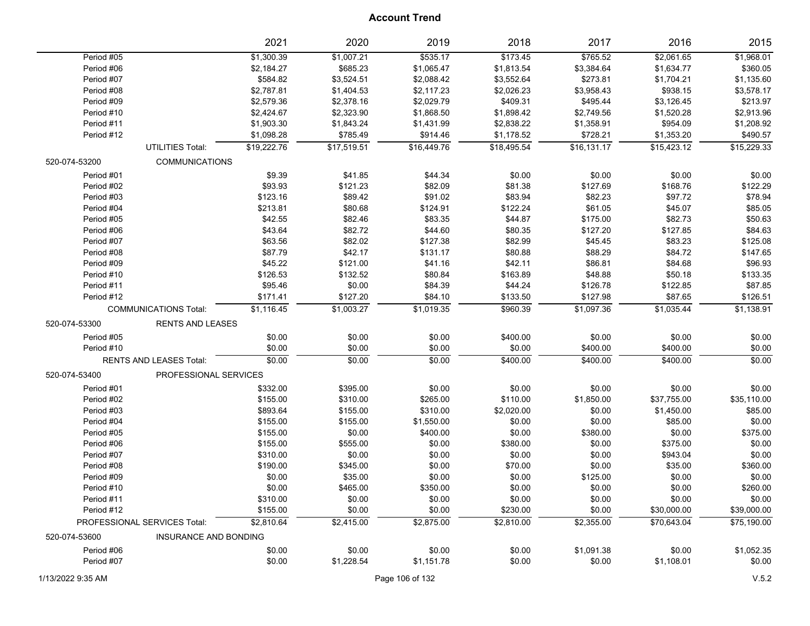|               |                                | 2021        | 2020        | 2019        | 2018        | 2017        | 2016        | 2015        |
|---------------|--------------------------------|-------------|-------------|-------------|-------------|-------------|-------------|-------------|
| Period #05    |                                | \$1,300.39  | \$1,007.21  | 5535.17     | \$173.45    | \$765.52    | \$2,061.65  | \$1,968.01  |
| Period #06    |                                | \$2,184.27  | \$685.23    | \$1,065.47  | \$1,813.54  | \$3,384.64  | \$1,634.77  | \$360.05    |
| Period #07    |                                | \$584.82    | \$3,524.51  | \$2,088.42  | \$3,552.64  | \$273.81    | \$1,704.21  | \$1,135.60  |
| Period #08    |                                | \$2,787.81  | \$1,404.53  | \$2,117.23  | \$2,026.23  | \$3,958.43  | \$938.15    | \$3,578.17  |
| Period #09    |                                | \$2,579.36  | \$2,378.16  | \$2,029.79  | \$409.31    | \$495.44    | \$3,126.45  | \$213.97    |
| Period #10    |                                | \$2,424.67  | \$2,323.90  | \$1,868.50  | \$1,898.42  | \$2,749.56  | \$1,520.28  | \$2,913.96  |
| Period #11    |                                | \$1,903.30  | \$1,843.24  | \$1,431.99  | \$2,838.22  | \$1,358.91  | \$954.09    | \$1,208.92  |
| Period #12    |                                | \$1,098.28  | \$785.49    | \$914.46    | \$1,178.52  | \$728.21    | \$1,353.20  | \$490.57    |
|               | <b>UTILITIES Total:</b>        | \$19,222.76 | \$17,519.51 | \$16,449.76 | \$18,495.54 | \$16,131.17 | \$15,423.12 | \$15,229.33 |
| 520-074-53200 | <b>COMMUNICATIONS</b>          |             |             |             |             |             |             |             |
| Period #01    |                                | \$9.39      | \$41.85     | \$44.34     | \$0.00      | \$0.00      | \$0.00      | \$0.00      |
| Period #02    |                                | \$93.93     | \$121.23    | \$82.09     | \$81.38     | \$127.69    | \$168.76    | \$122.29    |
| Period #03    |                                | \$123.16    | \$89.42     | \$91.02     | \$83.94     | \$82.23     | \$97.72     | \$78.94     |
| Period #04    |                                | \$213.81    | \$80.68     | \$124.91    | \$122.24    | \$61.05     | \$45.07     | \$85.05     |
| Period #05    |                                | \$42.55     | \$82.46     | \$83.35     | \$44.87     | \$175.00    | \$82.73     | \$50.63     |
| Period #06    |                                | \$43.64     | \$82.72     | \$44.60     | \$80.35     | \$127.20    | \$127.85    | \$84.63     |
| Period #07    |                                | \$63.56     | \$82.02     | \$127.38    | \$82.99     | \$45.45     | \$83.23     | \$125.08    |
| Period #08    |                                | \$87.79     | \$42.17     | \$131.17    | \$80.88     | \$88.29     | \$84.72     | \$147.65    |
| Period #09    |                                | \$45.22     | \$121.00    | \$41.16     | \$42.11     | \$86.81     | \$84.68     | \$96.93     |
| Period #10    |                                | \$126.53    | \$132.52    | \$80.84     | \$163.89    | \$48.88     | \$50.18     | \$133.35    |
| Period #11    |                                | \$95.46     | \$0.00      | \$84.39     | \$44.24     | \$126.78    | \$122.85    | \$87.85     |
| Period #12    |                                | \$171.41    | \$127.20    | \$84.10     | \$133.50    | \$127.98    | \$87.65     | \$126.51    |
|               | <b>COMMUNICATIONS Total:</b>   | \$1,116.45  | \$1,003.27  | \$1,019.35  | \$960.39    | \$1,097.36  | \$1,035.44  | \$1,138.91  |
| 520-074-53300 | <b>RENTS AND LEASES</b>        |             |             |             |             |             |             |             |
| Period #05    |                                | \$0.00      | \$0.00      | \$0.00      | \$400.00    | \$0.00      | \$0.00      | \$0.00      |
| Period #10    |                                | \$0.00      | \$0.00      | \$0.00      | \$0.00      | \$400.00    | \$400.00    | \$0.00      |
|               | <b>RENTS AND LEASES Total:</b> | \$0.00      | \$0.00      | \$0.00      | \$400.00    | \$400.00    | \$400.00    | \$0.00      |
| 520-074-53400 | PROFESSIONAL SERVICES          |             |             |             |             |             |             |             |
| Period #01    |                                | \$332.00    | \$395.00    | \$0.00      | \$0.00      | \$0.00      | \$0.00      | \$0.00      |
| Period #02    |                                | \$155.00    | \$310.00    | \$265.00    | \$110.00    | \$1,850.00  | \$37,755.00 | \$35,110.00 |
| Period #03    |                                | \$893.64    | \$155.00    | \$310.00    | \$2,020.00  | \$0.00      | \$1,450.00  | \$85.00     |
| Period #04    |                                | \$155.00    | \$155.00    | \$1,550.00  | \$0.00      | \$0.00      | \$85.00     | \$0.00      |
| Period #05    |                                | \$155.00    | \$0.00      | \$400.00    | \$0.00      | \$380.00    | \$0.00      | \$375.00    |
| Period #06    |                                | \$155.00    | \$555.00    | \$0.00      | \$380.00    | \$0.00      | \$375.00    | \$0.00      |
| Period #07    |                                | \$310.00    | \$0.00      | \$0.00      | \$0.00      | \$0.00      | \$943.04    | \$0.00      |
| Period #08    |                                | \$190.00    | \$345.00    | \$0.00      | \$70.00     | \$0.00      | \$35.00     | \$360.00    |
| Period #09    |                                | \$0.00      | \$35.00     | \$0.00      | \$0.00      | \$125.00    | \$0.00      | \$0.00      |
| Period #10    |                                | \$0.00      | \$465.00    | \$350.00    | \$0.00      | \$0.00      | \$0.00      | \$260.00    |
| Period #11    |                                | \$310.00    | \$0.00      | \$0.00      | \$0.00      | \$0.00      | \$0.00      | \$0.00      |
| Period #12    |                                | \$155.00    | \$0.00      | \$0.00      | \$230.00    | \$0.00      | \$30,000.00 | \$39,000.00 |
|               | PROFESSIONAL SERVICES Total:   | \$2,810.64  | \$2,415.00  | \$2,875.00  | \$2,810.00  | \$2,355.00  | \$70,643.04 | \$75,190.00 |
| 520-074-53600 | <b>INSURANCE AND BONDING</b>   |             |             |             |             |             |             |             |
| Period #06    |                                | \$0.00      | \$0.00      | \$0.00      | \$0.00      | \$1,091.38  | \$0.00      | \$1,052.35  |
| Period #07    |                                | \$0.00      | \$1,228.54  |             |             | \$0.00      | \$1,108.01  |             |
|               |                                |             |             | \$1,151.78  | \$0.00      |             |             | \$0.00      |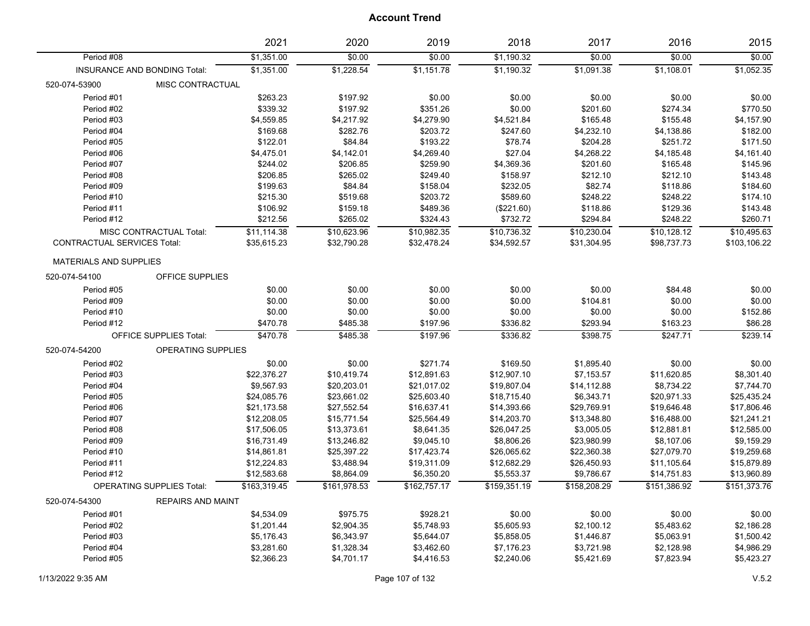|                                    |                                  | 2021         | 2020         | 2019         | 2018         | 2017         | 2016         | 2015         |
|------------------------------------|----------------------------------|--------------|--------------|--------------|--------------|--------------|--------------|--------------|
| Period #08                         |                                  | \$1,351.00   | \$0.00       | \$0.00       | \$1,190.32   | \$0.00       | \$0.00       | \$0.00       |
|                                    | INSURANCE AND BONDING Total:     | \$1,351.00   | \$1,228.54   | \$1,151.78   | \$1,190.32   | \$1,091.38   | \$1,108.01   | \$1,052.35   |
| 520-074-53900                      | MISC CONTRACTUAL                 |              |              |              |              |              |              |              |
| Period #01                         |                                  | \$263.23     | \$197.92     | \$0.00       | \$0.00       | \$0.00       | \$0.00       | \$0.00       |
| Period #02                         |                                  | \$339.32     | \$197.92     | \$351.26     | \$0.00       | \$201.60     | \$274.34     | \$770.50     |
| Period #03                         |                                  | \$4,559.85   | \$4,217.92   | \$4,279.90   | \$4,521.84   | \$165.48     | \$155.48     | \$4,157.90   |
| Period #04                         |                                  | \$169.68     | \$282.76     | \$203.72     | \$247.60     | \$4,232.10   | \$4,138.86   | \$182.00     |
| Period #05                         |                                  | \$122.01     | \$84.84      | \$193.22     | \$78.74      | \$204.28     | \$251.72     | \$171.50     |
| Period #06                         |                                  | \$4,475.01   | \$4,142.01   | \$4,269.40   | \$27.04      | \$4,268.22   | \$4,185.48   | \$4,161.40   |
| Period #07                         |                                  | \$244.02     | \$206.85     | \$259.90     | \$4,369.36   | \$201.60     | \$165.48     | \$145.96     |
| Period #08                         |                                  | \$206.85     | \$265.02     | \$249.40     | \$158.97     | \$212.10     | \$212.10     | \$143.48     |
| Period #09                         |                                  | \$199.63     | \$84.84      | \$158.04     | \$232.05     | \$82.74      | \$118.86     | \$184.60     |
| Period #10                         |                                  | \$215.30     | \$519.68     | \$203.72     | \$589.60     | \$248.22     | \$248.22     | \$174.10     |
| Period #11                         |                                  | \$106.92     | \$159.18     | \$489.36     | (\$221.60)   | \$118.86     | \$129.36     | \$143.48     |
| Period #12                         |                                  | \$212.56     | \$265.02     | \$324.43     | \$732.72     | \$294.84     | \$248.22     | \$260.71     |
|                                    | <b>MISC CONTRACTUAL Total:</b>   | \$11,114.38  | \$10,623.96  | \$10,982.35  | \$10,736.32  | \$10,230.04  | \$10,128.12  | \$10,495.63  |
| <b>CONTRACTUAL SERVICES Total:</b> |                                  | \$35,615.23  | \$32,790.28  | \$32,478.24  | \$34,592.57  | \$31,304.95  | \$98,737.73  | \$103,106.22 |
|                                    |                                  |              |              |              |              |              |              |              |
| <b>MATERIALS AND SUPPLIES</b>      |                                  |              |              |              |              |              |              |              |
| 520-074-54100                      | OFFICE SUPPLIES                  |              |              |              |              |              |              |              |
| Period #05                         |                                  | \$0.00       | \$0.00       | \$0.00       | \$0.00       | \$0.00       | \$84.48      | \$0.00       |
| Period #09                         |                                  | \$0.00       | \$0.00       | \$0.00       | \$0.00       | \$104.81     | \$0.00       | \$0.00       |
| Period #10                         |                                  | \$0.00       | \$0.00       | \$0.00       | \$0.00       | \$0.00       | \$0.00       | \$152.86     |
| Period #12                         |                                  | \$470.78     | \$485.38     | \$197.96     | \$336.82     | \$293.94     | \$163.23     | \$86.28      |
|                                    | <b>OFFICE SUPPLIES Total:</b>    | \$470.78     | \$485.38     | \$197.96     | \$336.82     | \$398.75     | \$247.71     | \$239.14     |
| 520-074-54200                      | OPERATING SUPPLIES               |              |              |              |              |              |              |              |
| Period #02                         |                                  | \$0.00       | \$0.00       | \$271.74     | \$169.50     | \$1,895.40   | \$0.00       | \$0.00       |
| Period #03                         |                                  | \$22,376.27  | \$10,419.74  | \$12,891.63  | \$12,907.10  | \$7,153.57   | \$11,620.85  | \$8,301.40   |
| Period #04                         |                                  | \$9,567.93   | \$20,203.01  | \$21,017.02  | \$19,807.04  | \$14,112.88  | \$8,734.22   | \$7,744.70   |
| Period #05                         |                                  | \$24,085.76  | \$23,661.02  | \$25,603.40  | \$18,715.40  | \$6,343.71   | \$20,971.33  | \$25,435.24  |
| Period #06                         |                                  | \$21,173.58  | \$27,552.54  | \$16,637.41  | \$14,393.66  | \$29,769.91  | \$19,646.48  | \$17,806.46  |
| Period #07                         |                                  | \$12,208.05  | \$15,771.54  | \$25,564.49  | \$14,203.70  | \$13,348.80  | \$16,488.00  | \$21,241.21  |
| Period #08                         |                                  | \$17,506.05  | \$13,373.61  | \$8,641.35   | \$26,047.25  | \$3,005.05   | \$12,881.81  | \$12,585.00  |
| Period #09                         |                                  | \$16,731.49  | \$13,246.82  | \$9,045.10   | \$8,806.26   | \$23,980.99  | \$8,107.06   | \$9,159.29   |
| Period #10                         |                                  | \$14,861.81  | \$25,397.22  | \$17,423.74  | \$26,065.62  | \$22,360.38  | \$27,079.70  | \$19,259.68  |
| Period #11                         |                                  | \$12,224.83  | \$3,488.94   | \$19,311.09  | \$12,682.29  | \$26,450.93  | \$11,105.64  | \$15,879.89  |
| Period #12                         |                                  | \$12,583.68  | \$8,864.09   | \$6,350.20   | \$5,553.37   | \$9,786.67   | \$14,751.83  | \$13,960.89  |
|                                    | <b>OPERATING SUPPLIES Total:</b> | \$163,319.45 | \$161,978.53 | \$162,757.17 | \$159,351.19 | \$158,208.29 | \$151,386.92 | \$151,373.76 |
| 520-074-54300                      | <b>REPAIRS AND MAINT</b>         |              |              |              |              |              |              |              |
| Period #01                         |                                  | \$4,534.09   | \$975.75     | \$928.21     | \$0.00       | \$0.00       | \$0.00       | \$0.00       |
| Period #02                         |                                  | \$1,201.44   | \$2,904.35   | \$5,748.93   | \$5,605.93   | \$2,100.12   | \$5,483.62   | \$2,186.28   |
| Period #03                         |                                  | \$5,176.43   | \$6,343.97   | \$5,644.07   | \$5,858.05   | \$1,446.87   | \$5,063.91   | \$1,500.42   |
| Period #04                         |                                  | \$3,281.60   | \$1,328.34   | \$3,462.60   | \$7,176.23   | \$3,721.98   | \$2,128.98   | \$4,986.29   |
| Period #05                         |                                  | \$2,366.23   | \$4,701.17   | \$4,416.53   | \$2,240.06   | \$5,421.69   | \$7,823.94   | \$5,423.27   |
|                                    |                                  |              |              |              |              |              |              |              |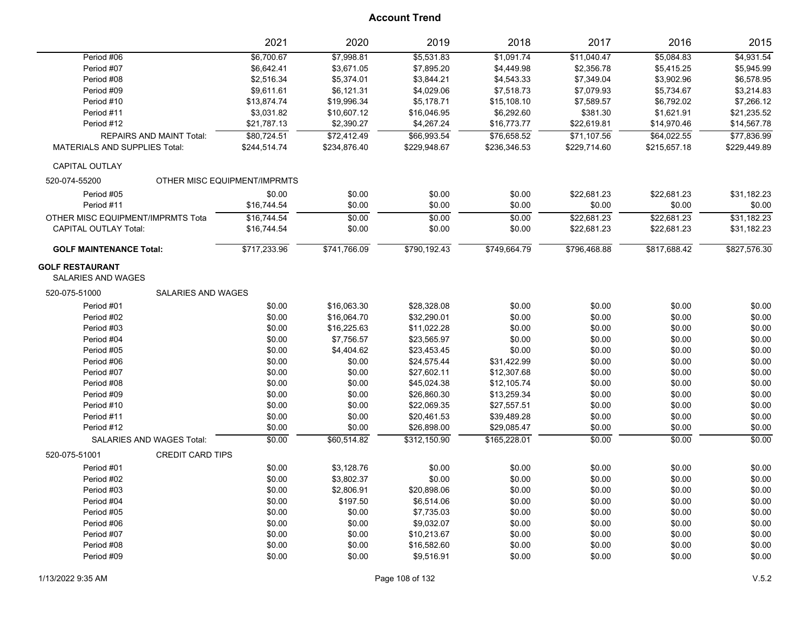|                                                     |                           | 2021                         | 2020         | 2019         | 2018         | 2017         | 2016         | 2015         |
|-----------------------------------------------------|---------------------------|------------------------------|--------------|--------------|--------------|--------------|--------------|--------------|
| Period #06                                          |                           | \$6,700.67                   | \$7,998.81   | \$5,531.83   | \$1,091.74   | \$11,040.47  | \$5,084.83   | \$4,931.54   |
| Period #07                                          |                           | \$6,642.41                   | \$3,671.05   | \$7,895.20   | \$4,449.98   | \$2,356.78   | \$5,415.25   | \$5,945.99   |
| Period #08                                          |                           | \$2,516.34                   | \$5,374.01   | \$3,844.21   | \$4,543.33   | \$7,349.04   | \$3,902.96   | \$6,578.95   |
| Period #09                                          |                           | \$9,611.61                   | \$6,121.31   | \$4,029.06   | \$7,518.73   | \$7,079.93   | \$5,734.67   | \$3,214.83   |
| Period #10                                          |                           | \$13,874.74                  | \$19,996.34  | \$5,178.71   | \$15,108.10  | \$7,589.57   | \$6,792.02   | \$7,266.12   |
| Period #11                                          |                           | \$3,031.82                   | \$10,607.12  | \$16,046.95  | \$6,292.60   | \$381.30     | \$1,621.91   | \$21,235.52  |
| Period #12                                          |                           | \$21,787.13                  | \$2,390.27   | \$4,267.24   | \$16,773.77  | \$22,619.81  | \$14,970.46  | \$14,567.78  |
|                                                     | REPAIRS AND MAINT Total:  | \$80,724.51                  | \$72,412.49  | \$66,993.54  | \$76,658.52  | \$71,107.56  | \$64,022.55  | \$77,836.99  |
| <b>MATERIALS AND SUPPLIES Total:</b>                |                           | \$244,514.74                 | \$234,876.40 | \$229,948.67 | \$236,346.53 | \$229,714.60 | \$215,657.18 | \$229,449.89 |
| <b>CAPITAL OUTLAY</b>                               |                           |                              |              |              |              |              |              |              |
| 520-074-55200                                       |                           | OTHER MISC EQUIPMENT/IMPRMTS |              |              |              |              |              |              |
| Period #05                                          |                           | \$0.00                       | \$0.00       | \$0.00       | \$0.00       | \$22,681.23  | \$22,681.23  | \$31,182.23  |
| Period #11                                          |                           | \$16,744.54                  | \$0.00       | \$0.00       | \$0.00       | \$0.00       | \$0.00       | \$0.00       |
| OTHER MISC EQUIPMENT/IMPRMTS Tota                   |                           | \$16,744.54                  | \$0.00       | \$0.00       | \$0.00       | \$22,681.23  | \$22,681.23  | \$31.182.23  |
| <b>CAPITAL OUTLAY Total:</b>                        |                           | \$16,744.54                  | \$0.00       | \$0.00       | \$0.00       | \$22,681.23  | \$22,681.23  | \$31,182.23  |
| <b>GOLF MAINTENANCE Total:</b>                      |                           | \$717,233.96                 | \$741,766.09 | \$790,192.43 | \$749,664.79 | \$796,468.88 | \$817,688.42 | \$827,576.30 |
| <b>GOLF RESTAURANT</b><br><b>SALARIES AND WAGES</b> |                           |                              |              |              |              |              |              |              |
| 520-075-51000                                       | <b>SALARIES AND WAGES</b> |                              |              |              |              |              |              |              |
| Period #01                                          |                           | \$0.00                       | \$16,063.30  | \$28,328.08  | \$0.00       | \$0.00       | \$0.00       | \$0.00       |
| Period #02                                          |                           | \$0.00                       | \$16,064.70  | \$32,290.01  | \$0.00       | \$0.00       | \$0.00       | \$0.00       |
| Period #03                                          |                           | \$0.00                       | \$16,225.63  | \$11,022.28  | \$0.00       | \$0.00       | \$0.00       | \$0.00       |
| Period #04                                          |                           | \$0.00                       | \$7,756.57   | \$23,565.97  | \$0.00       | \$0.00       | \$0.00       | \$0.00       |
| Period #05                                          |                           | \$0.00                       | \$4,404.62   | \$23,453.45  | \$0.00       | \$0.00       | \$0.00       | \$0.00       |
| Period #06                                          |                           | \$0.00                       | \$0.00       | \$24,575.44  | \$31,422.99  | \$0.00       | \$0.00       | \$0.00       |
| Period #07                                          |                           | \$0.00                       | \$0.00       | \$27,602.11  | \$12,307.68  | \$0.00       | \$0.00       | \$0.00       |
| Period #08                                          |                           | \$0.00                       | \$0.00       | \$45,024.38  | \$12,105.74  | \$0.00       | \$0.00       | \$0.00       |
| Period #09                                          |                           | \$0.00                       | \$0.00       | \$26,860.30  | \$13,259.34  | \$0.00       | \$0.00       | \$0.00       |
| Period #10                                          |                           | \$0.00                       | \$0.00       | \$22,069.35  | \$27,557.51  | \$0.00       | \$0.00       | \$0.00       |
| Period #11                                          |                           | \$0.00                       | \$0.00       | \$20,461.53  | \$39,489.28  | \$0.00       | \$0.00       | \$0.00       |
| Period #12                                          |                           | \$0.00                       | \$0.00       | \$26,898.00  | \$29,085.47  | \$0.00       | \$0.00       | \$0.00       |
|                                                     | SALARIES AND WAGES Total: | \$0.00                       | \$60,514.82  | \$312,150.90 | \$165,228.01 | \$0.00       | \$0.00       | \$0.00       |
| 520-075-51001                                       | <b>CREDIT CARD TIPS</b>   |                              |              |              |              |              |              |              |
| Period #01                                          |                           | \$0.00                       | \$3,128.76   | \$0.00       | \$0.00       | \$0.00       | \$0.00       | \$0.00       |
| Period #02                                          |                           | \$0.00                       | \$3,802.37   | \$0.00       | \$0.00       | \$0.00       | \$0.00       | \$0.00       |
| Period #03                                          |                           | \$0.00                       | \$2,806.91   | \$20,898.06  | \$0.00       | \$0.00       | \$0.00       | \$0.00       |
| Period #04                                          |                           | \$0.00                       | \$197.50     | \$6,514.06   | \$0.00       | \$0.00       | \$0.00       | \$0.00       |
| Period #05                                          |                           | \$0.00                       | \$0.00       | \$7,735.03   | \$0.00       | \$0.00       | \$0.00       | \$0.00       |
| Period #06                                          |                           | \$0.00                       | \$0.00       | \$9,032.07   | \$0.00       | \$0.00       | \$0.00       | \$0.00       |
| Period #07                                          |                           | \$0.00                       | \$0.00       | \$10,213.67  | \$0.00       | \$0.00       | \$0.00       | \$0.00       |
| Period #08                                          |                           | \$0.00                       | \$0.00       | \$16,582.60  | \$0.00       | \$0.00       | \$0.00       | \$0.00       |
| Period #09                                          |                           | \$0.00                       | \$0.00       | \$9,516.91   | \$0.00       | \$0.00       | \$0.00       | \$0.00       |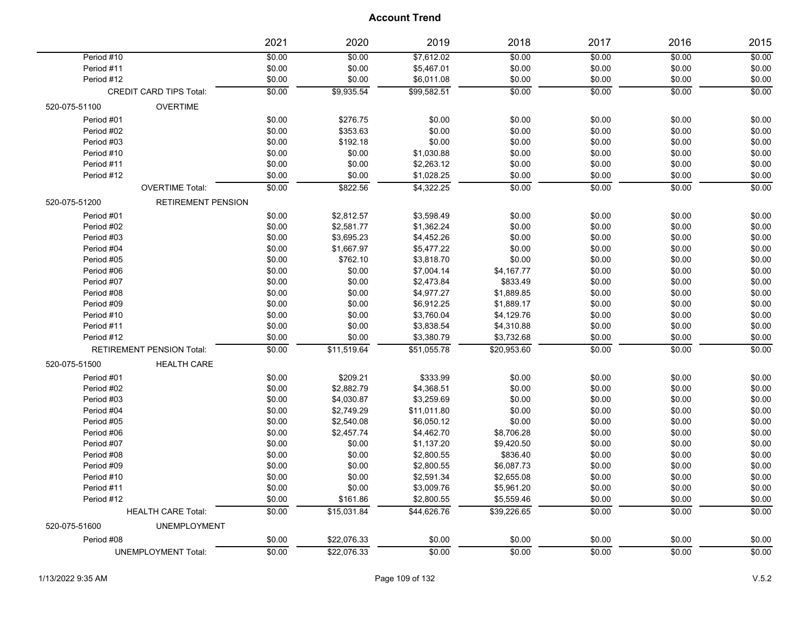|               |                                | 2021   | 2020              | 2019        | 2018             | 2017           | 2016             | 2015   |
|---------------|--------------------------------|--------|-------------------|-------------|------------------|----------------|------------------|--------|
| Period #10    |                                | \$0.00 | \$0.00            | \$7,612.02  | \$0.00           | \$0.00         | \$0.00           | \$0.00 |
| Period #11    |                                | \$0.00 | \$0.00            | \$5,467.01  | \$0.00           | \$0.00         | \$0.00           | \$0.00 |
| Period #12    |                                | \$0.00 | \$0.00            | \$6,011.08  | \$0.00           | \$0.00         | \$0.00           | \$0.00 |
|               | <b>CREDIT CARD TIPS Total:</b> | \$0.00 | \$9,935.54        | \$99,582.51 | $\frac{1}{0.00}$ | \$0.00         | $\frac{1}{0.00}$ | \$0.00 |
| 520-075-51100 | <b>OVERTIME</b>                |        |                   |             |                  |                |                  |        |
| Period #01    |                                | \$0.00 | \$276.75          | \$0.00      | \$0.00           | \$0.00         | \$0.00           | \$0.00 |
| Period #02    |                                | \$0.00 | \$353.63          | \$0.00      | \$0.00           | \$0.00         | \$0.00           | \$0.00 |
| Period #03    |                                | \$0.00 | \$192.18          | \$0.00      | \$0.00           | \$0.00         | \$0.00           | \$0.00 |
| Period #10    |                                | \$0.00 | \$0.00            | \$1,030.88  | \$0.00           | \$0.00         | \$0.00           | \$0.00 |
| Period #11    |                                | \$0.00 | \$0.00            | \$2,263.12  | \$0.00           | \$0.00         | \$0.00           | \$0.00 |
| Period #12    |                                | \$0.00 | \$0.00            | \$1,028.25  | \$0.00           | \$0.00         | \$0.00           | \$0.00 |
|               | <b>OVERTIME Total:</b>         | \$0.00 | \$822.56          | \$4,322.25  | \$0.00           | \$0.00         | \$0.00           | \$0.00 |
| 520-075-51200 | <b>RETIREMENT PENSION</b>      |        |                   |             |                  |                |                  |        |
| Period #01    |                                | \$0.00 | \$2,812.57        | \$3,598.49  | \$0.00           | \$0.00         | \$0.00           | \$0.00 |
| Period #02    |                                | \$0.00 | \$2,581.77        | \$1,362.24  | \$0.00           | \$0.00         | \$0.00           | \$0.00 |
| Period #03    |                                | \$0.00 | \$3,695.23        | \$4,452.26  | \$0.00           | \$0.00         | \$0.00           | \$0.00 |
| Period #04    |                                | \$0.00 | \$1,667.97        | \$5,477.22  | \$0.00           | \$0.00         | \$0.00           | \$0.00 |
| Period #05    |                                | \$0.00 | \$762.10          | \$3,818.70  | \$0.00           | \$0.00         | \$0.00           | \$0.00 |
| Period #06    |                                | \$0.00 | \$0.00            | \$7,004.14  | \$4,167.77       | \$0.00         | \$0.00           | \$0.00 |
| Period #07    |                                | \$0.00 | \$0.00            | \$2,473.84  | \$833.49         | \$0.00         | \$0.00           | \$0.00 |
| Period #08    |                                | \$0.00 | \$0.00            | \$4,977.27  | \$1,889.85       | \$0.00         | \$0.00           | \$0.00 |
| Period #09    |                                | \$0.00 | \$0.00            | \$6,912.25  | \$1,889.17       | \$0.00         | \$0.00           | \$0.00 |
| Period #10    |                                | \$0.00 | \$0.00            | \$3,760.04  | \$4,129.76       | \$0.00         | \$0.00           | \$0.00 |
| Period #11    |                                | \$0.00 | \$0.00            | \$3,838.54  | \$4,310.88       | \$0.00         | \$0.00           | \$0.00 |
| Period #12    |                                | \$0.00 | \$0.00            | \$3,380.79  | \$3,732.68       | \$0.00         | \$0.00           | \$0.00 |
|               | RETIREMENT PENSION Total:      | \$0.00 | \$11,519.64       | \$51,055.78 | \$20,953.60      | \$0.00         | \$0.00           | \$0.00 |
| 520-075-51500 | <b>HEALTH CARE</b>             |        |                   |             |                  |                |                  |        |
| Period #01    |                                | \$0.00 | \$209.21          | \$333.99    | \$0.00           | \$0.00         | \$0.00           | \$0.00 |
| Period #02    |                                | \$0.00 | \$2,882.79        | \$4,368.51  | \$0.00           | \$0.00         | \$0.00           | \$0.00 |
| Period #03    |                                | \$0.00 | \$4,030.87        | \$3,259.69  | \$0.00           | \$0.00         | \$0.00           | \$0.00 |
| Period #04    |                                | \$0.00 | \$2,749.29        | \$11,011.80 | \$0.00           | \$0.00         | \$0.00           | \$0.00 |
| Period #05    |                                | \$0.00 | \$2,540.08        | \$6,050.12  | \$0.00           | \$0.00         | \$0.00           | \$0.00 |
| Period #06    |                                | \$0.00 | \$2,457.74        | \$4,462.70  | \$8,706.28       | \$0.00         | \$0.00           | \$0.00 |
| Period #07    |                                | \$0.00 | \$0.00            | \$1,137.20  | \$9,420.50       | \$0.00         | \$0.00           | \$0.00 |
| Period #08    |                                | \$0.00 | \$0.00            | \$2,800.55  | \$836.40         | \$0.00         | \$0.00           | \$0.00 |
| Period #09    |                                | \$0.00 | \$0.00            | \$2,800.55  | \$6,087.73       | \$0.00         | \$0.00           | \$0.00 |
| Period #10    |                                | \$0.00 | \$0.00            | \$2,591.34  | \$2,655.08       | \$0.00         | \$0.00           | \$0.00 |
| Period #11    |                                | \$0.00 | \$0.00            | \$3,009.76  | \$5,961.20       | \$0.00         | \$0.00           | \$0.00 |
| Period #12    |                                | \$0.00 | \$161.86          | \$2,800.55  | \$5,559.46       | \$0.00         | \$0.00           | \$0.00 |
|               | <b>HEALTH CARE Total:</b>      | \$0.00 | $\sqrt{5,031.84}$ | \$44,626.76 | \$39,226.65      | \$0.00         | \$0.00           | \$0.00 |
| 520-075-51600 | <b>UNEMPLOYMENT</b>            |        |                   |             |                  |                |                  |        |
| Period #08    |                                | \$0.00 | \$22,076.33       | \$0.00      | \$0.00           | \$0.00         | \$0.00           | \$0.00 |
|               | <b>UNEMPLOYMENT Total:</b>     | \$0.00 | \$22,076.33       | 50.00       | $\frac{1}{0.00}$ | $\frac{1}{00}$ | $\frac{1}{0.00}$ | \$0.00 |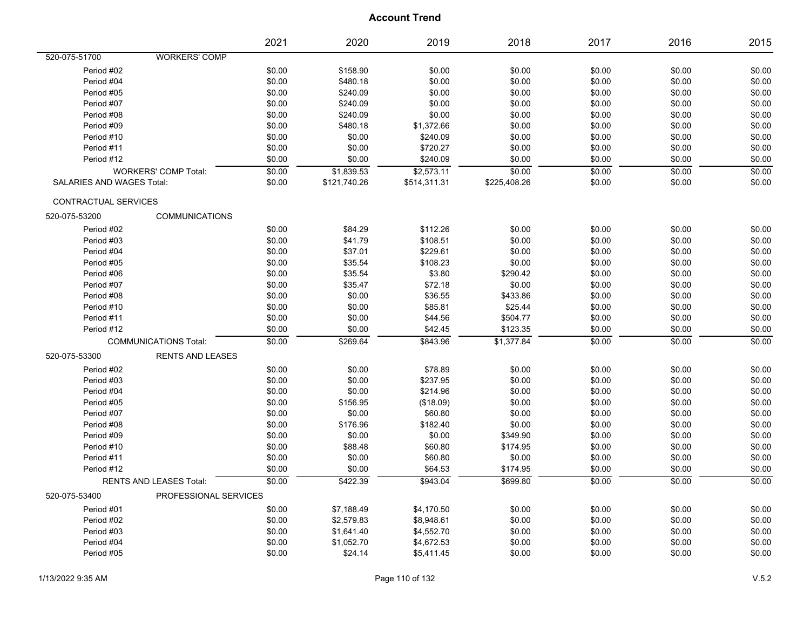|                           |                                | 2021   | 2020         | 2019         | 2018         | 2017   | 2016   | 2015   |
|---------------------------|--------------------------------|--------|--------------|--------------|--------------|--------|--------|--------|
| 520-075-51700             | <b>WORKERS' COMP</b>           |        |              |              |              |        |        |        |
| Period #02                |                                | \$0.00 | \$158.90     | \$0.00       | \$0.00       | \$0.00 | \$0.00 | \$0.00 |
| Period #04                |                                | \$0.00 | \$480.18     | \$0.00       | \$0.00       | \$0.00 | \$0.00 | \$0.00 |
| Period #05                |                                | \$0.00 | \$240.09     | \$0.00       | \$0.00       | \$0.00 | \$0.00 | \$0.00 |
| Period #07                |                                | \$0.00 | \$240.09     | \$0.00       | \$0.00       | \$0.00 | \$0.00 | \$0.00 |
| Period #08                |                                | \$0.00 | \$240.09     | \$0.00       | \$0.00       | \$0.00 | \$0.00 | \$0.00 |
| Period #09                |                                | \$0.00 | \$480.18     | \$1,372.66   | \$0.00       | \$0.00 | \$0.00 | \$0.00 |
| Period #10                |                                | \$0.00 | \$0.00       | \$240.09     | \$0.00       | \$0.00 | \$0.00 | \$0.00 |
| Period #11                |                                | \$0.00 | \$0.00       | \$720.27     | \$0.00       | \$0.00 | \$0.00 | \$0.00 |
| Period #12                |                                | \$0.00 | \$0.00       | \$240.09     | \$0.00       | \$0.00 | \$0.00 | \$0.00 |
|                           | <b>WORKERS' COMP Total:</b>    | \$0.00 | \$1,839.53   | \$2,573.11   | \$0.00       | \$0.00 | \$0.00 | \$0.00 |
| SALARIES AND WAGES Total: |                                | \$0.00 | \$121,740.26 | \$514,311.31 | \$225,408.26 | \$0.00 | \$0.00 | \$0.00 |
| CONTRACTUAL SERVICES      |                                |        |              |              |              |        |        |        |
| 520-075-53200             | <b>COMMUNICATIONS</b>          |        |              |              |              |        |        |        |
| Period #02                |                                | \$0.00 | \$84.29      | \$112.26     | \$0.00       | \$0.00 | \$0.00 | \$0.00 |
| Period #03                |                                | \$0.00 | \$41.79      | \$108.51     | \$0.00       | \$0.00 | \$0.00 | \$0.00 |
| Period #04                |                                | \$0.00 | \$37.01      | \$229.61     | \$0.00       | \$0.00 | \$0.00 | \$0.00 |
| Period #05                |                                | \$0.00 | \$35.54      | \$108.23     | \$0.00       | \$0.00 | \$0.00 | \$0.00 |
| Period #06                |                                | \$0.00 | \$35.54      | \$3.80       | \$290.42     | \$0.00 | \$0.00 | \$0.00 |
| Period #07                |                                | \$0.00 | \$35.47      | \$72.18      | \$0.00       | \$0.00 | \$0.00 | \$0.00 |
| Period #08                |                                | \$0.00 | \$0.00       | \$36.55      | \$433.86     | \$0.00 | \$0.00 | \$0.00 |
| Period #10                |                                | \$0.00 | \$0.00       | \$85.81      | \$25.44      | \$0.00 | \$0.00 | \$0.00 |
| Period #11                |                                | \$0.00 | \$0.00       | \$44.56      | \$504.77     | \$0.00 | \$0.00 | \$0.00 |
| Period #12                |                                | \$0.00 | \$0.00       | \$42.45      | \$123.35     | \$0.00 | \$0.00 | \$0.00 |
|                           | <b>COMMUNICATIONS Total:</b>   | \$0.00 | \$269.64     | \$843.96     | \$1,377.84   | \$0.00 | \$0.00 | \$0.00 |
| 520-075-53300             | <b>RENTS AND LEASES</b>        |        |              |              |              |        |        |        |
| Period #02                |                                | \$0.00 | \$0.00       | \$78.89      | \$0.00       | \$0.00 | \$0.00 | \$0.00 |
| Period #03                |                                | \$0.00 | \$0.00       | \$237.95     | \$0.00       | \$0.00 | \$0.00 | \$0.00 |
| Period #04                |                                | \$0.00 | \$0.00       | \$214.96     | \$0.00       | \$0.00 | \$0.00 | \$0.00 |
| Period #05                |                                | \$0.00 | \$156.95     | (\$18.09)    | \$0.00       | \$0.00 | \$0.00 | \$0.00 |
| Period #07                |                                | \$0.00 | \$0.00       | \$60.80      | \$0.00       | \$0.00 | \$0.00 | \$0.00 |
| Period #08                |                                | \$0.00 | \$176.96     | \$182.40     | \$0.00       | \$0.00 | \$0.00 | \$0.00 |
| Period #09                |                                | \$0.00 | \$0.00       | \$0.00       | \$349.90     | \$0.00 | \$0.00 | \$0.00 |
| Period #10                |                                | \$0.00 | \$88.48      | \$60.80      | \$174.95     | \$0.00 | \$0.00 | \$0.00 |
| Period #11                |                                | \$0.00 | \$0.00       | \$60.80      | \$0.00       | \$0.00 | \$0.00 | \$0.00 |
| Period #12                |                                | \$0.00 | \$0.00       | \$64.53      | \$174.95     | \$0.00 | \$0.00 | \$0.00 |
|                           | <b>RENTS AND LEASES Total:</b> | \$0.00 | \$422.39     | \$943.04     | \$699.80     | \$0.00 | \$0.00 | \$0.00 |
| 520-075-53400             | PROFESSIONAL SERVICES          |        |              |              |              |        |        |        |
| Period #01                |                                | \$0.00 | \$7,188.49   | \$4,170.50   | \$0.00       | \$0.00 | \$0.00 | \$0.00 |
| Period #02                |                                | \$0.00 | \$2,579.83   | \$8,948.61   | \$0.00       | \$0.00 | \$0.00 | \$0.00 |
| Period #03                |                                | \$0.00 | \$1,641.40   | \$4,552.70   | \$0.00       | \$0.00 | \$0.00 | \$0.00 |
| Period #04                |                                | \$0.00 | \$1,052.70   | \$4,672.53   | \$0.00       | \$0.00 | \$0.00 | \$0.00 |
| Period #05                |                                | \$0.00 | \$24.14      | \$5,411.45   | \$0.00       | \$0.00 | \$0.00 | \$0.00 |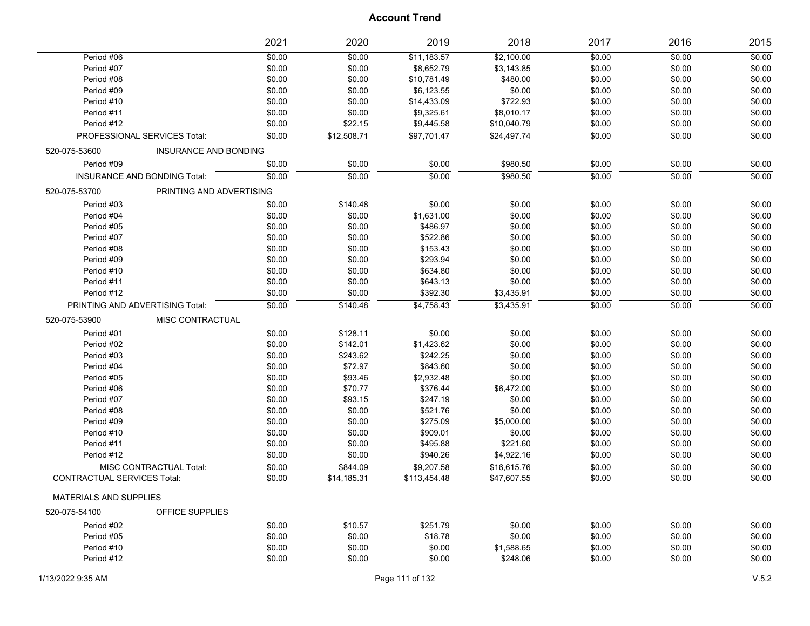|                                    |                              | 2021   | 2020        | 2019         | 2018        | 2017   | 2016   | 2015   |
|------------------------------------|------------------------------|--------|-------------|--------------|-------------|--------|--------|--------|
| Period #06                         |                              | \$0.00 | \$0.00      | \$11,183.57  | \$2,100.00  | \$0.00 | \$0.00 | \$0.00 |
| Period #07                         |                              | \$0.00 | \$0.00      | \$8,652.79   | \$3,143.85  | \$0.00 | \$0.00 | \$0.00 |
| Period #08                         |                              | \$0.00 | \$0.00      | \$10,781.49  | \$480.00    | \$0.00 | \$0.00 | \$0.00 |
| Period #09                         |                              | \$0.00 | \$0.00      | \$6,123.55   | \$0.00      | \$0.00 | \$0.00 | \$0.00 |
| Period #10                         |                              | \$0.00 | \$0.00      | \$14,433.09  | \$722.93    | \$0.00 | \$0.00 | \$0.00 |
| Period #11                         |                              | \$0.00 | \$0.00      | \$9,325.61   | \$8,010.17  | \$0.00 | \$0.00 | \$0.00 |
| Period #12                         |                              | \$0.00 | \$22.15     | \$9,445.58   | \$10,040.79 | \$0.00 | \$0.00 | \$0.00 |
|                                    | PROFESSIONAL SERVICES Total: | \$0.00 | \$12,508.71 | \$97,701.47  | \$24,497.74 | \$0.00 | \$0.00 | \$0.00 |
| 520-075-53600                      | INSURANCE AND BONDING        |        |             |              |             |        |        |        |
| Period #09                         |                              | \$0.00 | \$0.00      | \$0.00       | \$980.50    | \$0.00 | \$0.00 | \$0.00 |
|                                    | INSURANCE AND BONDING Total: | \$0.00 | \$0.00      | \$0.00       | \$980.50    | \$0.00 | \$0.00 | \$0.00 |
| 520-075-53700                      | PRINTING AND ADVERTISING     |        |             |              |             |        |        |        |
| Period #03                         |                              | \$0.00 | \$140.48    | \$0.00       | \$0.00      | \$0.00 | \$0.00 | \$0.00 |
| Period #04                         |                              | \$0.00 | \$0.00      | \$1,631.00   | \$0.00      | \$0.00 | \$0.00 | \$0.00 |
| Period #05                         |                              | \$0.00 | \$0.00      | \$486.97     | \$0.00      | \$0.00 | \$0.00 | \$0.00 |
| Period #07                         |                              | \$0.00 | \$0.00      | \$522.86     | \$0.00      | \$0.00 | \$0.00 | \$0.00 |
| Period #08                         |                              | \$0.00 | \$0.00      | \$153.43     | \$0.00      | \$0.00 | \$0.00 | \$0.00 |
| Period #09                         |                              | \$0.00 | \$0.00      | \$293.94     | \$0.00      | \$0.00 | \$0.00 | \$0.00 |
| Period #10                         |                              | \$0.00 | \$0.00      | \$634.80     | \$0.00      | \$0.00 | \$0.00 | \$0.00 |
| Period #11                         |                              | \$0.00 | \$0.00      | \$643.13     | \$0.00      | \$0.00 | \$0.00 | \$0.00 |
| Period #12                         |                              | \$0.00 | \$0.00      | \$392.30     | \$3,435.91  | \$0.00 | \$0.00 | \$0.00 |
| PRINTING AND ADVERTISING Total:    |                              | \$0.00 | \$140.48    | \$4,758.43   | \$3,435.91  | \$0.00 | \$0.00 | \$0.00 |
| 520-075-53900                      | MISC CONTRACTUAL             |        |             |              |             |        |        |        |
| Period #01                         |                              | \$0.00 | \$128.11    | \$0.00       | \$0.00      | \$0.00 | \$0.00 | \$0.00 |
| Period #02                         |                              | \$0.00 | \$142.01    | \$1,423.62   | \$0.00      | \$0.00 | \$0.00 | \$0.00 |
| Period #03                         |                              | \$0.00 | \$243.62    | \$242.25     | \$0.00      | \$0.00 | \$0.00 | \$0.00 |
| Period #04                         |                              | \$0.00 | \$72.97     | \$843.60     | \$0.00      | \$0.00 | \$0.00 | \$0.00 |
| Period #05                         |                              | \$0.00 | \$93.46     | \$2,932.48   | \$0.00      | \$0.00 | \$0.00 | \$0.00 |
| Period #06                         |                              | \$0.00 | \$70.77     | \$376.44     | \$6,472.00  | \$0.00 | \$0.00 | \$0.00 |
| Period #07                         |                              | \$0.00 | \$93.15     | \$247.19     | \$0.00      | \$0.00 | \$0.00 | \$0.00 |
| Period #08                         |                              | \$0.00 | \$0.00      | \$521.76     | \$0.00      | \$0.00 | \$0.00 | \$0.00 |
| Period #09                         |                              | \$0.00 | \$0.00      | \$275.09     | \$5,000.00  | \$0.00 | \$0.00 | \$0.00 |
| Period #10                         |                              | \$0.00 | \$0.00      | \$909.01     | \$0.00      | \$0.00 | \$0.00 | \$0.00 |
| Period #11                         |                              | \$0.00 | \$0.00      | \$495.88     | \$221.60    | \$0.00 | \$0.00 | \$0.00 |
| Period #12                         |                              | \$0.00 | \$0.00      | \$940.26     | \$4,922.16  | \$0.00 | \$0.00 | \$0.00 |
|                                    | MISC CONTRACTUAL Total:      | \$0.00 | \$844.09    | \$9,207.58   | \$16,615.76 | \$0.00 | \$0.00 | \$0.00 |
| <b>CONTRACTUAL SERVICES Total:</b> |                              | \$0.00 | \$14,185.31 | \$113,454.48 | \$47,607.55 | \$0.00 | \$0.00 | \$0.00 |
| <b>MATERIALS AND SUPPLIES</b>      |                              |        |             |              |             |        |        |        |
| 520-075-54100                      | OFFICE SUPPLIES              |        |             |              |             |        |        |        |
| Period #02                         |                              | \$0.00 | \$10.57     | \$251.79     | \$0.00      | \$0.00 | \$0.00 | \$0.00 |
| Period #05                         |                              | \$0.00 | \$0.00      | \$18.78      | \$0.00      | \$0.00 | \$0.00 | \$0.00 |
| Period #10                         |                              | \$0.00 | \$0.00      | \$0.00       | \$1,588.65  | \$0.00 | \$0.00 | \$0.00 |
| Period #12                         |                              | \$0.00 | \$0.00      | \$0.00       | \$248.06    | \$0.00 | \$0.00 | \$0.00 |
|                                    |                              |        |             |              |             |        |        |        |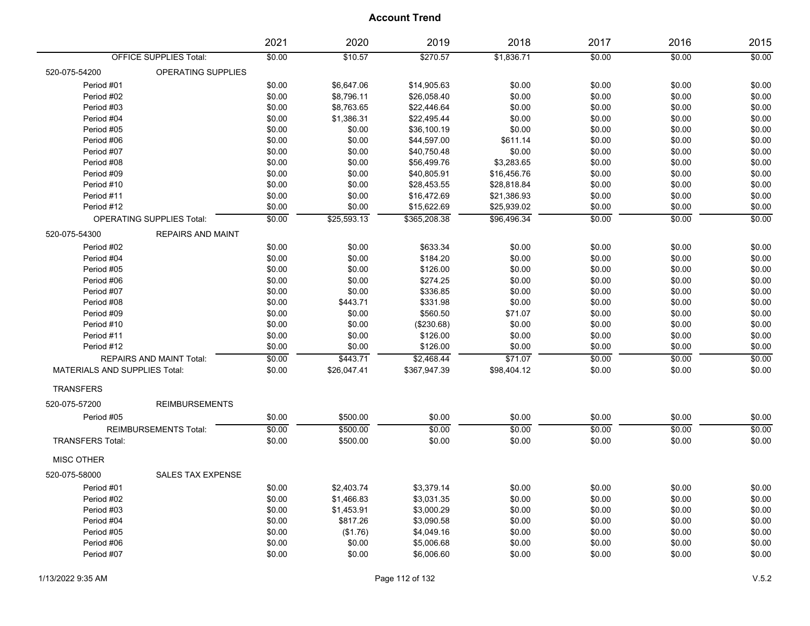|                                           | 2021   | 2020        | 2019         | 2018        | 2017   | 2016   | 2015   |
|-------------------------------------------|--------|-------------|--------------|-------------|--------|--------|--------|
| <b>OFFICE SUPPLIES Total:</b>             | \$0.00 | \$10.57     | \$270.57     | \$1,836.71  | \$0.00 | \$0.00 | \$0.00 |
| 520-075-54200<br>OPERATING SUPPLIES       |        |             |              |             |        |        |        |
| Period #01                                | \$0.00 | \$6,647.06  | \$14,905.63  | \$0.00      | \$0.00 | \$0.00 | \$0.00 |
| Period #02                                | \$0.00 | \$8,796.11  | \$26,058.40  | \$0.00      | \$0.00 | \$0.00 | \$0.00 |
| Period #03                                | \$0.00 | \$8,763.65  | \$22,446.64  | \$0.00      | \$0.00 | \$0.00 | \$0.00 |
| Period #04                                | \$0.00 | \$1,386.31  | \$22,495.44  | \$0.00      | \$0.00 | \$0.00 | \$0.00 |
| Period #05                                | \$0.00 | \$0.00      | \$36,100.19  | \$0.00      | \$0.00 | \$0.00 | \$0.00 |
| Period #06                                | \$0.00 | \$0.00      | \$44,597.00  | \$611.14    | \$0.00 | \$0.00 | \$0.00 |
| Period #07                                | \$0.00 | \$0.00      | \$40,750.48  | \$0.00      | \$0.00 | \$0.00 | \$0.00 |
| Period #08                                | \$0.00 | \$0.00      | \$56,499.76  | \$3,283.65  | \$0.00 | \$0.00 | \$0.00 |
| Period #09                                | \$0.00 | \$0.00      | \$40,805.91  | \$16,456.76 | \$0.00 | \$0.00 | \$0.00 |
| Period #10                                | \$0.00 | \$0.00      | \$28,453.55  | \$28,818.84 | \$0.00 | \$0.00 | \$0.00 |
| Period #11                                | \$0.00 | \$0.00      | \$16,472.69  | \$21,386.93 | \$0.00 | \$0.00 | \$0.00 |
| Period #12                                | \$0.00 | \$0.00      | \$15,622.69  | \$25,939.02 | \$0.00 | \$0.00 | \$0.00 |
| <b>OPERATING SUPPLIES Total:</b>          | \$0.00 | \$25,593.13 | \$365,208.38 | \$96,496.34 | \$0.00 | \$0.00 | \$0.00 |
| 520-075-54300<br><b>REPAIRS AND MAINT</b> |        |             |              |             |        |        |        |
| Period #02                                | \$0.00 | \$0.00      | \$633.34     | \$0.00      | \$0.00 | \$0.00 | \$0.00 |
| Period #04                                | \$0.00 | \$0.00      | \$184.20     | \$0.00      | \$0.00 | \$0.00 | \$0.00 |
| Period #05                                | \$0.00 | \$0.00      | \$126.00     | \$0.00      | \$0.00 | \$0.00 | \$0.00 |
| Period #06                                | \$0.00 | \$0.00      | \$274.25     | \$0.00      | \$0.00 | \$0.00 | \$0.00 |
| Period #07                                | \$0.00 | \$0.00      | \$336.85     | \$0.00      | \$0.00 | \$0.00 | \$0.00 |
| Period #08                                | \$0.00 | \$443.71    | \$331.98     | \$0.00      | \$0.00 | \$0.00 | \$0.00 |
| Period #09                                | \$0.00 | \$0.00      | \$560.50     | \$71.07     | \$0.00 | \$0.00 | \$0.00 |
| Period #10                                | \$0.00 | \$0.00      | (\$230.68)   | \$0.00      | \$0.00 | \$0.00 | \$0.00 |
| Period #11                                | \$0.00 | \$0.00      | \$126.00     | \$0.00      | \$0.00 | \$0.00 | \$0.00 |
| Period #12                                | \$0.00 | \$0.00      | \$126.00     | \$0.00      | \$0.00 | \$0.00 | \$0.00 |
| REPAIRS AND MAINT Total:                  | \$0.00 | \$443.71    | \$2.468.44   | \$71.07     | \$0.00 | \$0.00 | \$0.00 |
| <b>MATERIALS AND SUPPLIES Total:</b>      | \$0.00 | \$26,047.41 | \$367,947.39 | \$98,404.12 | \$0.00 | \$0.00 | \$0.00 |
| <b>TRANSFERS</b>                          |        |             |              |             |        |        |        |
| 520-075-57200<br><b>REIMBURSEMENTS</b>    |        |             |              |             |        |        |        |
| Period #05                                |        | \$500.00    | \$0.00       |             |        |        |        |
|                                           | \$0.00 |             |              | \$0.00      | \$0.00 | \$0.00 | \$0.00 |
| <b>REIMBURSEMENTS Total:</b>              | \$0.00 | \$500.00    | \$0.00       | \$0.00      | \$0.00 | \$0.00 | \$0.00 |
| <b>TRANSFERS Total:</b>                   | \$0.00 | \$500.00    | \$0.00       | \$0.00      | \$0.00 | \$0.00 | \$0.00 |
| <b>MISC OTHER</b>                         |        |             |              |             |        |        |        |
| <b>SALES TAX EXPENSE</b><br>520-075-58000 |        |             |              |             |        |        |        |
| Period #01                                | \$0.00 | \$2,403.74  | \$3,379.14   | \$0.00      | \$0.00 | \$0.00 | \$0.00 |
| Period #02                                | \$0.00 | \$1,466.83  | \$3,031.35   | \$0.00      | \$0.00 | \$0.00 | \$0.00 |
| Period #03                                | \$0.00 | \$1,453.91  | \$3,000.29   | \$0.00      | \$0.00 | \$0.00 | \$0.00 |
| Period #04                                | \$0.00 | \$817.26    | \$3,090.58   | \$0.00      | \$0.00 | \$0.00 | \$0.00 |
| Period #05                                | \$0.00 | (\$1.76)    | \$4,049.16   | \$0.00      | \$0.00 | \$0.00 | \$0.00 |
| Period #06                                | \$0.00 | \$0.00      | \$5,006.68   | \$0.00      | \$0.00 | \$0.00 | \$0.00 |
| Period #07                                | \$0.00 | \$0.00      | \$6,006.60   | \$0.00      | \$0.00 | \$0.00 | \$0.00 |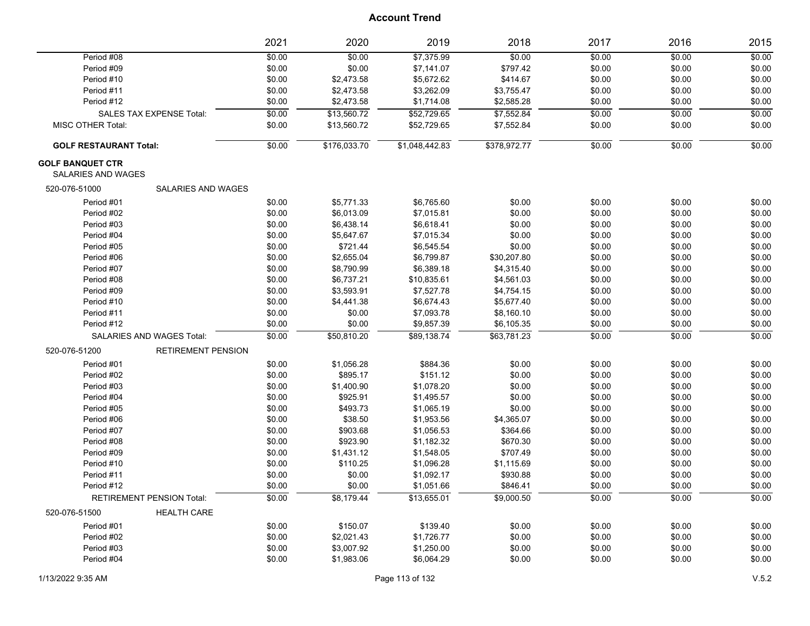|                                                      | 2021   | 2020         | 2019           | 2018         | 2017   | 2016   | 2015   |
|------------------------------------------------------|--------|--------------|----------------|--------------|--------|--------|--------|
| Period #08                                           | \$0.00 | \$0.00       | \$7,375.99     | \$0.00       | \$0.00 | \$0.00 | \$0.00 |
| Period #09                                           | \$0.00 | \$0.00       | \$7,141.07     | \$797.42     | \$0.00 | \$0.00 | \$0.00 |
| Period #10                                           | \$0.00 | \$2,473.58   | \$5,672.62     | \$414.67     | \$0.00 | \$0.00 | \$0.00 |
| Period #11                                           | \$0.00 | \$2,473.58   | \$3,262.09     | \$3,755.47   | \$0.00 | \$0.00 | \$0.00 |
| Period #12                                           | \$0.00 | \$2,473.58   | \$1,714.08     | \$2,585.28   | \$0.00 | \$0.00 | \$0.00 |
| <b>SALES TAX EXPENSE Total:</b>                      | \$0.00 | \$13,560.72  | \$52,729.65    | \$7,552.84   | \$0.00 | \$0.00 | \$0.00 |
| <b>MISC OTHER Total:</b>                             | \$0.00 | \$13,560.72  | \$52,729.65    | \$7,552.84   | \$0.00 | \$0.00 | \$0.00 |
| <b>GOLF RESTAURANT Total:</b>                        | \$0.00 | \$176,033.70 | \$1,048,442.83 | \$378,972.77 | \$0.00 | \$0.00 | \$0.00 |
| <b>GOLF BANQUET CTR</b><br><b>SALARIES AND WAGES</b> |        |              |                |              |        |        |        |
| 520-076-51000<br><b>SALARIES AND WAGES</b>           |        |              |                |              |        |        |        |
| Period #01                                           | \$0.00 | \$5,771.33   | \$6,765.60     | \$0.00       | \$0.00 | \$0.00 | \$0.00 |
| Period #02                                           | \$0.00 | \$6,013.09   | \$7,015.81     | \$0.00       | \$0.00 | \$0.00 | \$0.00 |
| Period #03                                           | \$0.00 | \$6,438.14   | \$6,618.41     | \$0.00       | \$0.00 | \$0.00 | \$0.00 |
| Period #04                                           | \$0.00 | \$5,647.67   | \$7,015.34     | \$0.00       | \$0.00 | \$0.00 | \$0.00 |
| Period #05                                           | \$0.00 | \$721.44     | \$6,545.54     | \$0.00       | \$0.00 | \$0.00 | \$0.00 |
| Period #06                                           | \$0.00 | \$2,655.04   | \$6,799.87     | \$30,207.80  | \$0.00 | \$0.00 | \$0.00 |
| Period #07                                           | \$0.00 | \$8,790.99   | \$6,389.18     | \$4,315.40   | \$0.00 | \$0.00 | \$0.00 |
| Period #08                                           | \$0.00 | \$6,737.21   | \$10,835.61    | \$4,561.03   | \$0.00 | \$0.00 | \$0.00 |
| Period #09                                           | \$0.00 | \$3,593.91   | \$7,527.78     | \$4,754.15   | \$0.00 | \$0.00 | \$0.00 |
| Period #10                                           | \$0.00 | \$4,441.38   | \$6,674.43     | \$5,677.40   | \$0.00 | \$0.00 | \$0.00 |
| Period #11                                           | \$0.00 | \$0.00       | \$7,093.78     | \$8,160.10   | \$0.00 | \$0.00 | \$0.00 |
| Period #12                                           | \$0.00 | \$0.00       | \$9,857.39     | \$6,105.35   | \$0.00 | \$0.00 | \$0.00 |
| SALARIES AND WAGES Total:                            | \$0.00 | \$50,810.20  | \$89,138.74    | \$63,781.23  | \$0.00 | \$0.00 | \$0.00 |
| 520-076-51200<br><b>RETIREMENT PENSION</b>           |        |              |                |              |        |        |        |
| Period #01                                           | \$0.00 | \$1,056.28   | \$884.36       | \$0.00       | \$0.00 | \$0.00 | \$0.00 |
| Period #02                                           | \$0.00 | \$895.17     | \$151.12       | \$0.00       | \$0.00 | \$0.00 | \$0.00 |
| Period #03                                           | \$0.00 | \$1,400.90   | \$1,078.20     | \$0.00       | \$0.00 | \$0.00 | \$0.00 |
| Period #04                                           | \$0.00 | \$925.91     | \$1,495.57     | \$0.00       | \$0.00 | \$0.00 | \$0.00 |
| Period #05                                           | \$0.00 | \$493.73     | \$1,065.19     | \$0.00       | \$0.00 | \$0.00 | \$0.00 |
| Period #06                                           | \$0.00 | \$38.50      | \$1,953.56     | \$4,365.07   | \$0.00 | \$0.00 | \$0.00 |
| Period #07                                           | \$0.00 | \$903.68     | \$1,056.53     | \$364.66     | \$0.00 | \$0.00 | \$0.00 |
| Period #08                                           | \$0.00 | \$923.90     | \$1,182.32     | \$670.30     | \$0.00 | \$0.00 | \$0.00 |
| Period #09                                           | \$0.00 | \$1,431.12   | \$1,548.05     | \$707.49     | \$0.00 | \$0.00 | \$0.00 |
| Period #10                                           | \$0.00 | \$110.25     | \$1,096.28     | \$1,115.69   | \$0.00 | \$0.00 | \$0.00 |
| Period #11                                           | \$0.00 | \$0.00       | \$1,092.17     | \$930.88     | \$0.00 | \$0.00 | \$0.00 |
| Period #12                                           | \$0.00 | \$0.00       | \$1,051.66     | \$846.41     | \$0.00 | \$0.00 | \$0.00 |
| <b>RETIREMENT PENSION Total:</b>                     | \$0.00 | \$8,179.44   | \$13,655.01    | \$9,000.50   | \$0.00 | \$0.00 | \$0.00 |
| 520-076-51500<br><b>HEALTH CARE</b>                  |        |              |                |              |        |        |        |
| Period #01                                           | \$0.00 | \$150.07     | \$139.40       | \$0.00       | \$0.00 | \$0.00 | \$0.00 |
| Period #02                                           | \$0.00 | \$2,021.43   | \$1,726.77     | \$0.00       | \$0.00 | \$0.00 | \$0.00 |
| Period #03                                           | \$0.00 | \$3,007.92   | \$1,250.00     | \$0.00       | \$0.00 | \$0.00 | \$0.00 |
| Period #04                                           | \$0.00 | \$1,983.06   | \$6,064.29     | \$0.00       | \$0.00 | \$0.00 | \$0.00 |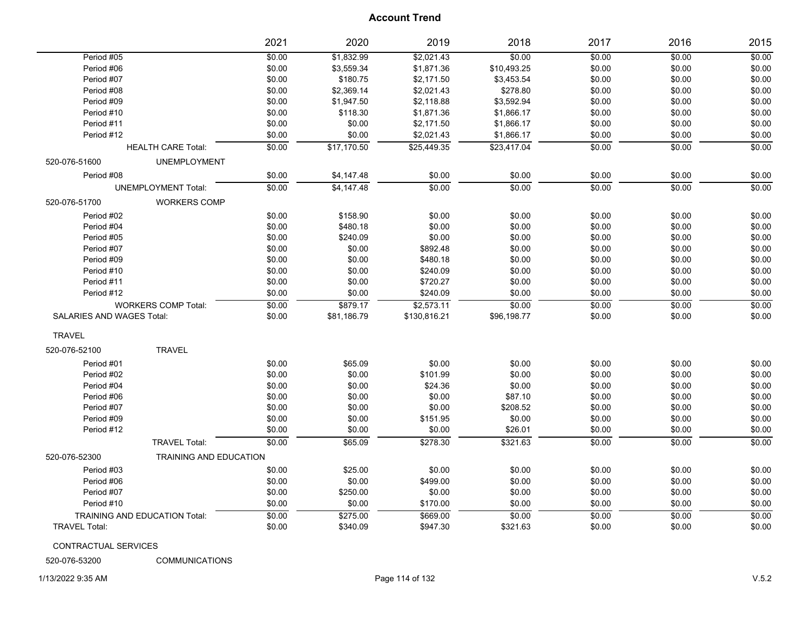| Period #05<br>\$0.00<br>\$1,832.99<br>\$2,021.43<br>\$0.00<br>\$0.00<br>\$0.00<br>\$0.00<br>\$0.00<br>\$0.00<br>Period #06<br>\$3,559.34<br>\$1,871.36<br>\$10,493.25<br>\$0.00<br>\$180.75<br>\$0.00<br>\$0.00<br>Period #07<br>\$2,171.50<br>\$3,453.54<br>\$0.00<br>\$2,369.14<br>\$2,021.43<br>\$0.00<br>\$0.00<br>Period #08<br>\$278.80<br>\$0.00<br>\$0.00<br>\$1,947.50<br>\$2,118.88<br>\$3,592.94<br>\$0.00<br>Period #09<br>\$0.00<br>\$118.30<br>\$1,871.36<br>\$0.00<br>\$0.00<br>Period #10<br>\$1,866.17<br>\$0.00<br>\$0.00<br>\$2,171.50<br>\$1,866.17<br>\$0.00<br>\$0.00<br>Period #11<br>Period #12<br>\$0.00<br>\$0.00<br>\$2,021.43<br>\$1,866.17<br>\$0.00<br>\$0.00<br>\$0.00<br>\$0.00<br>\$0.00<br>\$17,170.50<br>\$25,449.35<br>\$23,417.04<br><b>HEALTH CARE Total:</b><br>520-076-51600<br><b>UNEMPLOYMENT</b><br>Period #08<br>\$0.00<br>\$4,147.48<br>\$0.00<br>\$0.00<br>\$0.00<br>\$0.00<br>\$0.00<br>\$0.00<br>\$0.00<br><b>UNEMPLOYMENT Total:</b><br>\$0.00<br>\$4,147.48<br>\$0.00<br>\$0.00<br>520-076-51700<br><b>WORKERS COMP</b><br>\$158.90<br>\$0.00<br>\$0.00<br>\$0.00<br>Period #02<br>\$0.00<br>\$0.00<br>\$480.18<br>Period #04<br>\$0.00<br>\$0.00<br>\$0.00<br>\$0.00<br>\$0.00<br>\$0.00<br>\$240.09<br>\$0.00<br>\$0.00<br>\$0.00<br>\$0.00<br>Period #05<br>\$0.00<br>\$0.00<br>\$892.48<br>\$0.00<br>\$0.00<br>\$0.00<br>Period #07<br>Period #09<br>\$0.00<br>\$0.00<br>\$480.18<br>\$0.00<br>\$0.00<br>\$0.00<br>\$0.00<br>\$0.00<br>\$0.00<br>\$0.00<br>\$240.09<br>\$0.00<br>Period #10<br>\$720.27<br>\$0.00<br>\$0.00<br>\$0.00<br>Period #11<br>\$0.00<br>\$0.00<br>\$0.00<br>\$0.00<br>\$240.09<br>\$0.00<br>\$0.00<br>\$0.00<br>Period #12<br>\$0.00<br>\$879.17<br>\$2,573.11<br>\$0.00<br>\$0.00<br>\$0.00<br><b>WORKERS COMP Total:</b><br><b>SALARIES AND WAGES Total:</b><br>\$0.00<br>\$81,186.79<br>\$130,816.21<br>\$96,198.77<br>\$0.00<br>\$0.00<br><b>TRAVEL</b><br><b>TRAVEL</b><br>520-076-52100<br>Period #01<br>\$0.00<br>\$65.09<br>\$0.00<br>\$0.00<br>\$0.00<br>\$0.00<br>\$0.00<br>\$0.00<br>\$0.00<br>\$0.00<br>\$0.00<br>Period #02<br>\$0.00<br>\$101.99<br>\$0.00<br>\$0.00<br>\$0.00<br>\$0.00<br>\$0.00<br>Period #04<br>\$24.36<br>\$0.00<br>\$0.00<br>Period #06<br>\$0.00<br>\$0.00<br>\$0.00<br>\$87.10<br>\$0.00<br>\$0.00<br>\$0.00<br>\$0.00<br>\$0.00<br>\$0.00<br>\$208.52<br>Period #07<br>\$0.00<br>\$0.00<br>\$0.00<br>\$0.00<br>Period #09<br>\$0.00<br>\$151.95<br>\$0.00<br>\$0.00<br>\$0.00<br>\$0.00<br>\$0.00<br>\$26.01<br>Period #12<br>\$65.09<br>\$321.63<br>\$0.00<br>\$0.00<br><b>TRAVEL Total:</b><br>\$0.00<br>\$278.30<br><b>TRAINING AND EDUCATION</b><br>520-076-52300<br>\$25.00<br>\$0.00<br>\$0.00<br>\$0.00<br>\$0.00<br>Period #03<br>\$0.00<br>\$0.00<br>\$0.00<br>\$0.00<br>\$0.00<br>\$499.00<br>\$0.00<br>\$0.00<br>Period #06<br>\$0.00<br>\$0.00<br>Period #07<br>\$0.00<br>\$250.00<br>\$0.00<br>\$0.00<br>\$0.00<br>\$0.00<br>\$0.00<br>\$0.00<br>\$0.00<br>Period #10<br>\$170.00<br>\$0.00<br>\$0.00<br>\$0.00<br><b>TRAINING AND EDUCATION Total:</b><br>\$0.00<br>\$275.00<br>\$669.00<br><b>TRAVEL Total:</b><br>\$0.00<br>\$340.09<br>\$947.30<br>\$321.63<br>\$0.00<br>\$0.00 |  | 2021 | 2020 | 2019 | 2018 | 2017 | 2016 | 2015   |
|------------------------------------------------------------------------------------------------------------------------------------------------------------------------------------------------------------------------------------------------------------------------------------------------------------------------------------------------------------------------------------------------------------------------------------------------------------------------------------------------------------------------------------------------------------------------------------------------------------------------------------------------------------------------------------------------------------------------------------------------------------------------------------------------------------------------------------------------------------------------------------------------------------------------------------------------------------------------------------------------------------------------------------------------------------------------------------------------------------------------------------------------------------------------------------------------------------------------------------------------------------------------------------------------------------------------------------------------------------------------------------------------------------------------------------------------------------------------------------------------------------------------------------------------------------------------------------------------------------------------------------------------------------------------------------------------------------------------------------------------------------------------------------------------------------------------------------------------------------------------------------------------------------------------------------------------------------------------------------------------------------------------------------------------------------------------------------------------------------------------------------------------------------------------------------------------------------------------------------------------------------------------------------------------------------------------------------------------------------------------------------------------------------------------------------------------------------------------------------------------------------------------------------------------------------------------------------------------------------------------------------------------------------------------------------------------------------------------------------------------------------------------------------------------------------------------------------------------------------------------------------------------------------------------------------------------------------------------------------------------------------------------------------------------------------------------------------------------------------------------------------------------------------------------------------------------------------------------|--|------|------|------|------|------|------|--------|
|                                                                                                                                                                                                                                                                                                                                                                                                                                                                                                                                                                                                                                                                                                                                                                                                                                                                                                                                                                                                                                                                                                                                                                                                                                                                                                                                                                                                                                                                                                                                                                                                                                                                                                                                                                                                                                                                                                                                                                                                                                                                                                                                                                                                                                                                                                                                                                                                                                                                                                                                                                                                                                                                                                                                                                                                                                                                                                                                                                                                                                                                                                                                                                                                                        |  |      |      |      |      |      |      | \$0.00 |
|                                                                                                                                                                                                                                                                                                                                                                                                                                                                                                                                                                                                                                                                                                                                                                                                                                                                                                                                                                                                                                                                                                                                                                                                                                                                                                                                                                                                                                                                                                                                                                                                                                                                                                                                                                                                                                                                                                                                                                                                                                                                                                                                                                                                                                                                                                                                                                                                                                                                                                                                                                                                                                                                                                                                                                                                                                                                                                                                                                                                                                                                                                                                                                                                                        |  |      |      |      |      |      |      | \$0.00 |
|                                                                                                                                                                                                                                                                                                                                                                                                                                                                                                                                                                                                                                                                                                                                                                                                                                                                                                                                                                                                                                                                                                                                                                                                                                                                                                                                                                                                                                                                                                                                                                                                                                                                                                                                                                                                                                                                                                                                                                                                                                                                                                                                                                                                                                                                                                                                                                                                                                                                                                                                                                                                                                                                                                                                                                                                                                                                                                                                                                                                                                                                                                                                                                                                                        |  |      |      |      |      |      |      | \$0.00 |
|                                                                                                                                                                                                                                                                                                                                                                                                                                                                                                                                                                                                                                                                                                                                                                                                                                                                                                                                                                                                                                                                                                                                                                                                                                                                                                                                                                                                                                                                                                                                                                                                                                                                                                                                                                                                                                                                                                                                                                                                                                                                                                                                                                                                                                                                                                                                                                                                                                                                                                                                                                                                                                                                                                                                                                                                                                                                                                                                                                                                                                                                                                                                                                                                                        |  |      |      |      |      |      |      | \$0.00 |
|                                                                                                                                                                                                                                                                                                                                                                                                                                                                                                                                                                                                                                                                                                                                                                                                                                                                                                                                                                                                                                                                                                                                                                                                                                                                                                                                                                                                                                                                                                                                                                                                                                                                                                                                                                                                                                                                                                                                                                                                                                                                                                                                                                                                                                                                                                                                                                                                                                                                                                                                                                                                                                                                                                                                                                                                                                                                                                                                                                                                                                                                                                                                                                                                                        |  |      |      |      |      |      |      | \$0.00 |
|                                                                                                                                                                                                                                                                                                                                                                                                                                                                                                                                                                                                                                                                                                                                                                                                                                                                                                                                                                                                                                                                                                                                                                                                                                                                                                                                                                                                                                                                                                                                                                                                                                                                                                                                                                                                                                                                                                                                                                                                                                                                                                                                                                                                                                                                                                                                                                                                                                                                                                                                                                                                                                                                                                                                                                                                                                                                                                                                                                                                                                                                                                                                                                                                                        |  |      |      |      |      |      |      | \$0.00 |
|                                                                                                                                                                                                                                                                                                                                                                                                                                                                                                                                                                                                                                                                                                                                                                                                                                                                                                                                                                                                                                                                                                                                                                                                                                                                                                                                                                                                                                                                                                                                                                                                                                                                                                                                                                                                                                                                                                                                                                                                                                                                                                                                                                                                                                                                                                                                                                                                                                                                                                                                                                                                                                                                                                                                                                                                                                                                                                                                                                                                                                                                                                                                                                                                                        |  |      |      |      |      |      |      | \$0.00 |
|                                                                                                                                                                                                                                                                                                                                                                                                                                                                                                                                                                                                                                                                                                                                                                                                                                                                                                                                                                                                                                                                                                                                                                                                                                                                                                                                                                                                                                                                                                                                                                                                                                                                                                                                                                                                                                                                                                                                                                                                                                                                                                                                                                                                                                                                                                                                                                                                                                                                                                                                                                                                                                                                                                                                                                                                                                                                                                                                                                                                                                                                                                                                                                                                                        |  |      |      |      |      |      |      | \$0.00 |
|                                                                                                                                                                                                                                                                                                                                                                                                                                                                                                                                                                                                                                                                                                                                                                                                                                                                                                                                                                                                                                                                                                                                                                                                                                                                                                                                                                                                                                                                                                                                                                                                                                                                                                                                                                                                                                                                                                                                                                                                                                                                                                                                                                                                                                                                                                                                                                                                                                                                                                                                                                                                                                                                                                                                                                                                                                                                                                                                                                                                                                                                                                                                                                                                                        |  |      |      |      |      |      |      | \$0.00 |
|                                                                                                                                                                                                                                                                                                                                                                                                                                                                                                                                                                                                                                                                                                                                                                                                                                                                                                                                                                                                                                                                                                                                                                                                                                                                                                                                                                                                                                                                                                                                                                                                                                                                                                                                                                                                                                                                                                                                                                                                                                                                                                                                                                                                                                                                                                                                                                                                                                                                                                                                                                                                                                                                                                                                                                                                                                                                                                                                                                                                                                                                                                                                                                                                                        |  |      |      |      |      |      |      |        |
|                                                                                                                                                                                                                                                                                                                                                                                                                                                                                                                                                                                                                                                                                                                                                                                                                                                                                                                                                                                                                                                                                                                                                                                                                                                                                                                                                                                                                                                                                                                                                                                                                                                                                                                                                                                                                                                                                                                                                                                                                                                                                                                                                                                                                                                                                                                                                                                                                                                                                                                                                                                                                                                                                                                                                                                                                                                                                                                                                                                                                                                                                                                                                                                                                        |  |      |      |      |      |      |      |        |
|                                                                                                                                                                                                                                                                                                                                                                                                                                                                                                                                                                                                                                                                                                                                                                                                                                                                                                                                                                                                                                                                                                                                                                                                                                                                                                                                                                                                                                                                                                                                                                                                                                                                                                                                                                                                                                                                                                                                                                                                                                                                                                                                                                                                                                                                                                                                                                                                                                                                                                                                                                                                                                                                                                                                                                                                                                                                                                                                                                                                                                                                                                                                                                                                                        |  |      |      |      |      |      |      | \$0.00 |
|                                                                                                                                                                                                                                                                                                                                                                                                                                                                                                                                                                                                                                                                                                                                                                                                                                                                                                                                                                                                                                                                                                                                                                                                                                                                                                                                                                                                                                                                                                                                                                                                                                                                                                                                                                                                                                                                                                                                                                                                                                                                                                                                                                                                                                                                                                                                                                                                                                                                                                                                                                                                                                                                                                                                                                                                                                                                                                                                                                                                                                                                                                                                                                                                                        |  |      |      |      |      |      |      |        |
|                                                                                                                                                                                                                                                                                                                                                                                                                                                                                                                                                                                                                                                                                                                                                                                                                                                                                                                                                                                                                                                                                                                                                                                                                                                                                                                                                                                                                                                                                                                                                                                                                                                                                                                                                                                                                                                                                                                                                                                                                                                                                                                                                                                                                                                                                                                                                                                                                                                                                                                                                                                                                                                                                                                                                                                                                                                                                                                                                                                                                                                                                                                                                                                                                        |  |      |      |      |      |      |      | \$0.00 |
|                                                                                                                                                                                                                                                                                                                                                                                                                                                                                                                                                                                                                                                                                                                                                                                                                                                                                                                                                                                                                                                                                                                                                                                                                                                                                                                                                                                                                                                                                                                                                                                                                                                                                                                                                                                                                                                                                                                                                                                                                                                                                                                                                                                                                                                                                                                                                                                                                                                                                                                                                                                                                                                                                                                                                                                                                                                                                                                                                                                                                                                                                                                                                                                                                        |  |      |      |      |      |      |      | \$0.00 |
|                                                                                                                                                                                                                                                                                                                                                                                                                                                                                                                                                                                                                                                                                                                                                                                                                                                                                                                                                                                                                                                                                                                                                                                                                                                                                                                                                                                                                                                                                                                                                                                                                                                                                                                                                                                                                                                                                                                                                                                                                                                                                                                                                                                                                                                                                                                                                                                                                                                                                                                                                                                                                                                                                                                                                                                                                                                                                                                                                                                                                                                                                                                                                                                                                        |  |      |      |      |      |      |      | \$0.00 |
|                                                                                                                                                                                                                                                                                                                                                                                                                                                                                                                                                                                                                                                                                                                                                                                                                                                                                                                                                                                                                                                                                                                                                                                                                                                                                                                                                                                                                                                                                                                                                                                                                                                                                                                                                                                                                                                                                                                                                                                                                                                                                                                                                                                                                                                                                                                                                                                                                                                                                                                                                                                                                                                                                                                                                                                                                                                                                                                                                                                                                                                                                                                                                                                                                        |  |      |      |      |      |      |      | \$0.00 |
|                                                                                                                                                                                                                                                                                                                                                                                                                                                                                                                                                                                                                                                                                                                                                                                                                                                                                                                                                                                                                                                                                                                                                                                                                                                                                                                                                                                                                                                                                                                                                                                                                                                                                                                                                                                                                                                                                                                                                                                                                                                                                                                                                                                                                                                                                                                                                                                                                                                                                                                                                                                                                                                                                                                                                                                                                                                                                                                                                                                                                                                                                                                                                                                                                        |  |      |      |      |      |      |      | \$0.00 |
|                                                                                                                                                                                                                                                                                                                                                                                                                                                                                                                                                                                                                                                                                                                                                                                                                                                                                                                                                                                                                                                                                                                                                                                                                                                                                                                                                                                                                                                                                                                                                                                                                                                                                                                                                                                                                                                                                                                                                                                                                                                                                                                                                                                                                                                                                                                                                                                                                                                                                                                                                                                                                                                                                                                                                                                                                                                                                                                                                                                                                                                                                                                                                                                                                        |  |      |      |      |      |      |      | \$0.00 |
|                                                                                                                                                                                                                                                                                                                                                                                                                                                                                                                                                                                                                                                                                                                                                                                                                                                                                                                                                                                                                                                                                                                                                                                                                                                                                                                                                                                                                                                                                                                                                                                                                                                                                                                                                                                                                                                                                                                                                                                                                                                                                                                                                                                                                                                                                                                                                                                                                                                                                                                                                                                                                                                                                                                                                                                                                                                                                                                                                                                                                                                                                                                                                                                                                        |  |      |      |      |      |      |      | \$0.00 |
|                                                                                                                                                                                                                                                                                                                                                                                                                                                                                                                                                                                                                                                                                                                                                                                                                                                                                                                                                                                                                                                                                                                                                                                                                                                                                                                                                                                                                                                                                                                                                                                                                                                                                                                                                                                                                                                                                                                                                                                                                                                                                                                                                                                                                                                                                                                                                                                                                                                                                                                                                                                                                                                                                                                                                                                                                                                                                                                                                                                                                                                                                                                                                                                                                        |  |      |      |      |      |      |      | \$0.00 |
|                                                                                                                                                                                                                                                                                                                                                                                                                                                                                                                                                                                                                                                                                                                                                                                                                                                                                                                                                                                                                                                                                                                                                                                                                                                                                                                                                                                                                                                                                                                                                                                                                                                                                                                                                                                                                                                                                                                                                                                                                                                                                                                                                                                                                                                                                                                                                                                                                                                                                                                                                                                                                                                                                                                                                                                                                                                                                                                                                                                                                                                                                                                                                                                                                        |  |      |      |      |      |      |      | \$0.00 |
|                                                                                                                                                                                                                                                                                                                                                                                                                                                                                                                                                                                                                                                                                                                                                                                                                                                                                                                                                                                                                                                                                                                                                                                                                                                                                                                                                                                                                                                                                                                                                                                                                                                                                                                                                                                                                                                                                                                                                                                                                                                                                                                                                                                                                                                                                                                                                                                                                                                                                                                                                                                                                                                                                                                                                                                                                                                                                                                                                                                                                                                                                                                                                                                                                        |  |      |      |      |      |      |      | \$0.00 |
|                                                                                                                                                                                                                                                                                                                                                                                                                                                                                                                                                                                                                                                                                                                                                                                                                                                                                                                                                                                                                                                                                                                                                                                                                                                                                                                                                                                                                                                                                                                                                                                                                                                                                                                                                                                                                                                                                                                                                                                                                                                                                                                                                                                                                                                                                                                                                                                                                                                                                                                                                                                                                                                                                                                                                                                                                                                                                                                                                                                                                                                                                                                                                                                                                        |  |      |      |      |      |      |      |        |
|                                                                                                                                                                                                                                                                                                                                                                                                                                                                                                                                                                                                                                                                                                                                                                                                                                                                                                                                                                                                                                                                                                                                                                                                                                                                                                                                                                                                                                                                                                                                                                                                                                                                                                                                                                                                                                                                                                                                                                                                                                                                                                                                                                                                                                                                                                                                                                                                                                                                                                                                                                                                                                                                                                                                                                                                                                                                                                                                                                                                                                                                                                                                                                                                                        |  |      |      |      |      |      |      |        |
|                                                                                                                                                                                                                                                                                                                                                                                                                                                                                                                                                                                                                                                                                                                                                                                                                                                                                                                                                                                                                                                                                                                                                                                                                                                                                                                                                                                                                                                                                                                                                                                                                                                                                                                                                                                                                                                                                                                                                                                                                                                                                                                                                                                                                                                                                                                                                                                                                                                                                                                                                                                                                                                                                                                                                                                                                                                                                                                                                                                                                                                                                                                                                                                                                        |  |      |      |      |      |      |      | \$0.00 |
|                                                                                                                                                                                                                                                                                                                                                                                                                                                                                                                                                                                                                                                                                                                                                                                                                                                                                                                                                                                                                                                                                                                                                                                                                                                                                                                                                                                                                                                                                                                                                                                                                                                                                                                                                                                                                                                                                                                                                                                                                                                                                                                                                                                                                                                                                                                                                                                                                                                                                                                                                                                                                                                                                                                                                                                                                                                                                                                                                                                                                                                                                                                                                                                                                        |  |      |      |      |      |      |      |        |
|                                                                                                                                                                                                                                                                                                                                                                                                                                                                                                                                                                                                                                                                                                                                                                                                                                                                                                                                                                                                                                                                                                                                                                                                                                                                                                                                                                                                                                                                                                                                                                                                                                                                                                                                                                                                                                                                                                                                                                                                                                                                                                                                                                                                                                                                                                                                                                                                                                                                                                                                                                                                                                                                                                                                                                                                                                                                                                                                                                                                                                                                                                                                                                                                                        |  |      |      |      |      |      |      | \$0.00 |
|                                                                                                                                                                                                                                                                                                                                                                                                                                                                                                                                                                                                                                                                                                                                                                                                                                                                                                                                                                                                                                                                                                                                                                                                                                                                                                                                                                                                                                                                                                                                                                                                                                                                                                                                                                                                                                                                                                                                                                                                                                                                                                                                                                                                                                                                                                                                                                                                                                                                                                                                                                                                                                                                                                                                                                                                                                                                                                                                                                                                                                                                                                                                                                                                                        |  |      |      |      |      |      |      |        |
|                                                                                                                                                                                                                                                                                                                                                                                                                                                                                                                                                                                                                                                                                                                                                                                                                                                                                                                                                                                                                                                                                                                                                                                                                                                                                                                                                                                                                                                                                                                                                                                                                                                                                                                                                                                                                                                                                                                                                                                                                                                                                                                                                                                                                                                                                                                                                                                                                                                                                                                                                                                                                                                                                                                                                                                                                                                                                                                                                                                                                                                                                                                                                                                                                        |  |      |      |      |      |      |      | \$0.00 |
|                                                                                                                                                                                                                                                                                                                                                                                                                                                                                                                                                                                                                                                                                                                                                                                                                                                                                                                                                                                                                                                                                                                                                                                                                                                                                                                                                                                                                                                                                                                                                                                                                                                                                                                                                                                                                                                                                                                                                                                                                                                                                                                                                                                                                                                                                                                                                                                                                                                                                                                                                                                                                                                                                                                                                                                                                                                                                                                                                                                                                                                                                                                                                                                                                        |  |      |      |      |      |      |      | \$0.00 |
|                                                                                                                                                                                                                                                                                                                                                                                                                                                                                                                                                                                                                                                                                                                                                                                                                                                                                                                                                                                                                                                                                                                                                                                                                                                                                                                                                                                                                                                                                                                                                                                                                                                                                                                                                                                                                                                                                                                                                                                                                                                                                                                                                                                                                                                                                                                                                                                                                                                                                                                                                                                                                                                                                                                                                                                                                                                                                                                                                                                                                                                                                                                                                                                                                        |  |      |      |      |      |      |      | \$0.00 |
|                                                                                                                                                                                                                                                                                                                                                                                                                                                                                                                                                                                                                                                                                                                                                                                                                                                                                                                                                                                                                                                                                                                                                                                                                                                                                                                                                                                                                                                                                                                                                                                                                                                                                                                                                                                                                                                                                                                                                                                                                                                                                                                                                                                                                                                                                                                                                                                                                                                                                                                                                                                                                                                                                                                                                                                                                                                                                                                                                                                                                                                                                                                                                                                                                        |  |      |      |      |      |      |      | \$0.00 |
|                                                                                                                                                                                                                                                                                                                                                                                                                                                                                                                                                                                                                                                                                                                                                                                                                                                                                                                                                                                                                                                                                                                                                                                                                                                                                                                                                                                                                                                                                                                                                                                                                                                                                                                                                                                                                                                                                                                                                                                                                                                                                                                                                                                                                                                                                                                                                                                                                                                                                                                                                                                                                                                                                                                                                                                                                                                                                                                                                                                                                                                                                                                                                                                                                        |  |      |      |      |      |      |      |        |
|                                                                                                                                                                                                                                                                                                                                                                                                                                                                                                                                                                                                                                                                                                                                                                                                                                                                                                                                                                                                                                                                                                                                                                                                                                                                                                                                                                                                                                                                                                                                                                                                                                                                                                                                                                                                                                                                                                                                                                                                                                                                                                                                                                                                                                                                                                                                                                                                                                                                                                                                                                                                                                                                                                                                                                                                                                                                                                                                                                                                                                                                                                                                                                                                                        |  |      |      |      |      |      |      |        |
|                                                                                                                                                                                                                                                                                                                                                                                                                                                                                                                                                                                                                                                                                                                                                                                                                                                                                                                                                                                                                                                                                                                                                                                                                                                                                                                                                                                                                                                                                                                                                                                                                                                                                                                                                                                                                                                                                                                                                                                                                                                                                                                                                                                                                                                                                                                                                                                                                                                                                                                                                                                                                                                                                                                                                                                                                                                                                                                                                                                                                                                                                                                                                                                                                        |  |      |      |      |      |      |      | \$0.00 |
|                                                                                                                                                                                                                                                                                                                                                                                                                                                                                                                                                                                                                                                                                                                                                                                                                                                                                                                                                                                                                                                                                                                                                                                                                                                                                                                                                                                                                                                                                                                                                                                                                                                                                                                                                                                                                                                                                                                                                                                                                                                                                                                                                                                                                                                                                                                                                                                                                                                                                                                                                                                                                                                                                                                                                                                                                                                                                                                                                                                                                                                                                                                                                                                                                        |  |      |      |      |      |      |      | \$0.00 |
|                                                                                                                                                                                                                                                                                                                                                                                                                                                                                                                                                                                                                                                                                                                                                                                                                                                                                                                                                                                                                                                                                                                                                                                                                                                                                                                                                                                                                                                                                                                                                                                                                                                                                                                                                                                                                                                                                                                                                                                                                                                                                                                                                                                                                                                                                                                                                                                                                                                                                                                                                                                                                                                                                                                                                                                                                                                                                                                                                                                                                                                                                                                                                                                                                        |  |      |      |      |      |      |      | \$0.00 |
|                                                                                                                                                                                                                                                                                                                                                                                                                                                                                                                                                                                                                                                                                                                                                                                                                                                                                                                                                                                                                                                                                                                                                                                                                                                                                                                                                                                                                                                                                                                                                                                                                                                                                                                                                                                                                                                                                                                                                                                                                                                                                                                                                                                                                                                                                                                                                                                                                                                                                                                                                                                                                                                                                                                                                                                                                                                                                                                                                                                                                                                                                                                                                                                                                        |  |      |      |      |      |      |      | \$0.00 |
|                                                                                                                                                                                                                                                                                                                                                                                                                                                                                                                                                                                                                                                                                                                                                                                                                                                                                                                                                                                                                                                                                                                                                                                                                                                                                                                                                                                                                                                                                                                                                                                                                                                                                                                                                                                                                                                                                                                                                                                                                                                                                                                                                                                                                                                                                                                                                                                                                                                                                                                                                                                                                                                                                                                                                                                                                                                                                                                                                                                                                                                                                                                                                                                                                        |  |      |      |      |      |      |      | \$0.00 |

CONTRACTUAL SERVICES

520-076-53200 COMMUNICATIONS

1/13/2022 9:35 AM Page 114 of 132 V.5.2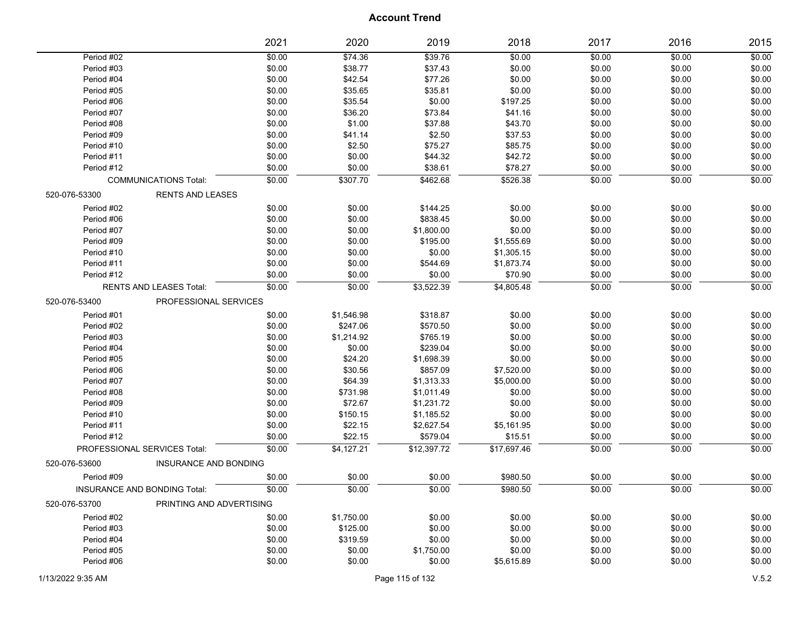|               |                                | 2021   | 2020       | 2019        | 2018        | 2017   | 2016   | 2015   |
|---------------|--------------------------------|--------|------------|-------------|-------------|--------|--------|--------|
| Period #02    |                                | \$0.00 | \$74.36    | \$39.76     | \$0.00      | \$0.00 | \$0.00 | \$0.00 |
| Period #03    |                                | \$0.00 | \$38.77    | \$37.43     | \$0.00      | \$0.00 | \$0.00 | \$0.00 |
| Period #04    |                                | \$0.00 | \$42.54    | \$77.26     | \$0.00      | \$0.00 | \$0.00 | \$0.00 |
| Period #05    |                                | \$0.00 | \$35.65    | \$35.81     | \$0.00      | \$0.00 | \$0.00 | \$0.00 |
| Period #06    |                                | \$0.00 | \$35.54    | \$0.00      | \$197.25    | \$0.00 | \$0.00 | \$0.00 |
| Period #07    |                                | \$0.00 | \$36.20    | \$73.84     | \$41.16     | \$0.00 | \$0.00 | \$0.00 |
| Period #08    |                                | \$0.00 | \$1.00     | \$37.88     | \$43.70     | \$0.00 | \$0.00 | \$0.00 |
| Period #09    |                                | \$0.00 | \$41.14    | \$2.50      | \$37.53     | \$0.00 | \$0.00 | \$0.00 |
| Period #10    |                                | \$0.00 | \$2.50     | \$75.27     | \$85.75     | \$0.00 | \$0.00 | \$0.00 |
| Period #11    |                                | \$0.00 | \$0.00     | \$44.32     | \$42.72     | \$0.00 | \$0.00 | \$0.00 |
| Period #12    |                                | \$0.00 | \$0.00     | \$38.61     | \$78.27     | \$0.00 | \$0.00 | \$0.00 |
|               | <b>COMMUNICATIONS Total:</b>   | \$0.00 | \$307.70   | \$462.68    | \$526.38    | \$0.00 | \$0.00 | \$0.00 |
| 520-076-53300 | <b>RENTS AND LEASES</b>        |        |            |             |             |        |        |        |
| Period #02    |                                | \$0.00 | \$0.00     | \$144.25    | \$0.00      | \$0.00 | \$0.00 | \$0.00 |
| Period #06    |                                | \$0.00 | \$0.00     | \$838.45    | \$0.00      | \$0.00 | \$0.00 | \$0.00 |
| Period #07    |                                | \$0.00 | \$0.00     | \$1,800.00  | \$0.00      | \$0.00 | \$0.00 | \$0.00 |
| Period #09    |                                | \$0.00 | \$0.00     | \$195.00    | \$1,555.69  | \$0.00 | \$0.00 | \$0.00 |
| Period #10    |                                | \$0.00 | \$0.00     | \$0.00      | \$1,305.15  | \$0.00 | \$0.00 | \$0.00 |
| Period #11    |                                | \$0.00 | \$0.00     | \$544.69    | \$1,873.74  | \$0.00 | \$0.00 | \$0.00 |
| Period #12    |                                | \$0.00 | \$0.00     | \$0.00      | \$70.90     | \$0.00 | \$0.00 | \$0.00 |
|               | <b>RENTS AND LEASES Total:</b> | \$0.00 | \$0.00     | \$3,522.39  | \$4,805.48  | \$0.00 | \$0.00 | \$0.00 |
| 520-076-53400 | PROFESSIONAL SERVICES          |        |            |             |             |        |        |        |
| Period #01    |                                | \$0.00 | \$1,546.98 | \$318.87    | \$0.00      | \$0.00 | \$0.00 | \$0.00 |
| Period #02    |                                | \$0.00 | \$247.06   | \$570.50    | \$0.00      | \$0.00 | \$0.00 | \$0.00 |
| Period #03    |                                | \$0.00 | \$1,214.92 | \$765.19    | \$0.00      | \$0.00 | \$0.00 | \$0.00 |
| Period #04    |                                | \$0.00 | \$0.00     | \$239.04    | \$0.00      | \$0.00 | \$0.00 | \$0.00 |
| Period #05    |                                | \$0.00 | \$24.20    | \$1,698.39  | \$0.00      | \$0.00 | \$0.00 | \$0.00 |
| Period #06    |                                | \$0.00 | \$30.56    | \$857.09    | \$7,520.00  | \$0.00 | \$0.00 | \$0.00 |
| Period #07    |                                | \$0.00 | \$64.39    | \$1,313.33  | \$5,000.00  | \$0.00 | \$0.00 | \$0.00 |
| Period #08    |                                | \$0.00 | \$731.98   | \$1,011.49  | \$0.00      | \$0.00 | \$0.00 | \$0.00 |
| Period #09    |                                | \$0.00 | \$72.67    | \$1,231.72  | \$0.00      | \$0.00 | \$0.00 | \$0.00 |
| Period #10    |                                | \$0.00 | \$150.15   | \$1,185.52  | \$0.00      | \$0.00 | \$0.00 | \$0.00 |
| Period #11    |                                | \$0.00 | \$22.15    | \$2,627.54  | \$5,161.95  | \$0.00 | \$0.00 | \$0.00 |
| Period #12    |                                | \$0.00 | \$22.15    | \$579.04    | \$15.51     | \$0.00 | \$0.00 | \$0.00 |
|               | PROFESSIONAL SERVICES Total:   | \$0.00 | \$4,127.21 | \$12,397.72 | \$17,697.46 | \$0.00 | \$0.00 | \$0.00 |
| 520-076-53600 | <b>INSURANCE AND BONDING</b>   |        |            |             |             |        |        |        |
| Period #09    |                                | \$0.00 | \$0.00     | \$0.00      | \$980.50    | \$0.00 | \$0.00 | \$0.00 |
|               | INSURANCE AND BONDING Total:   | \$0.00 | \$0.00     | \$0.00      | \$980.50    | \$0.00 | \$0.00 | \$0.00 |
| 520-076-53700 | PRINTING AND ADVERTISING       |        |            |             |             |        |        |        |
| Period #02    |                                | \$0.00 | \$1,750.00 | \$0.00      | \$0.00      | \$0.00 | \$0.00 | \$0.00 |
| Period #03    |                                | \$0.00 | \$125.00   | \$0.00      | \$0.00      | \$0.00 | \$0.00 | \$0.00 |
| Period #04    |                                | \$0.00 | \$319.59   | \$0.00      | \$0.00      | \$0.00 | \$0.00 | \$0.00 |
| Period #05    |                                | \$0.00 | \$0.00     | \$1,750.00  | \$0.00      | \$0.00 | \$0.00 | \$0.00 |
| Period #06    |                                | \$0.00 | \$0.00     | \$0.00      | \$5,615.89  | \$0.00 | \$0.00 | \$0.00 |
|               |                                |        |            |             |             |        |        |        |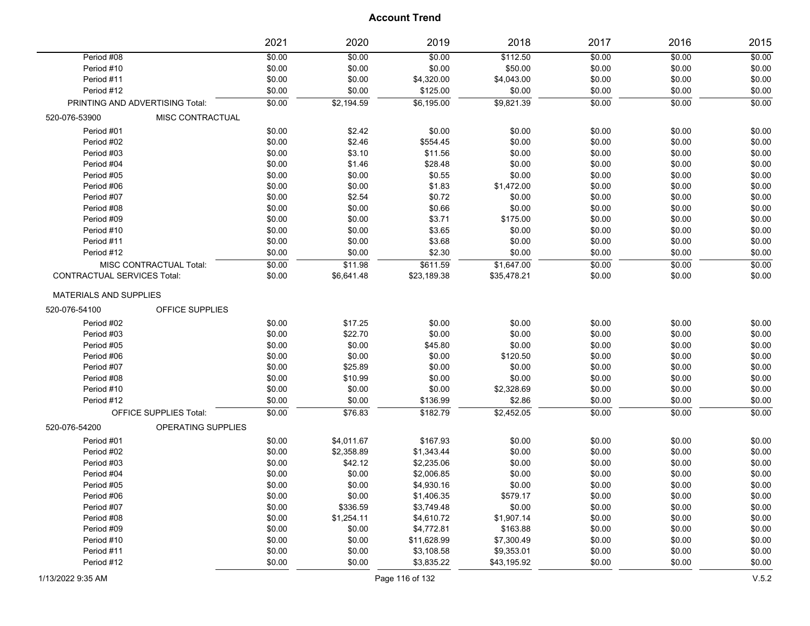|                                    |                                 | 2021   | 2020       | 2019        | 2018        | 2017   | 2016   | 2015   |
|------------------------------------|---------------------------------|--------|------------|-------------|-------------|--------|--------|--------|
| Period #08                         |                                 | \$0.00 | \$0.00     | \$0.00      | \$112.50    | \$0.00 | \$0.00 | \$0.00 |
| Period #10                         |                                 | \$0.00 | \$0.00     | \$0.00      | \$50.00     | \$0.00 | \$0.00 | \$0.00 |
| Period #11                         |                                 | \$0.00 | \$0.00     | \$4,320.00  | \$4,043.00  | \$0.00 | \$0.00 | \$0.00 |
| Period #12                         |                                 | \$0.00 | \$0.00     | \$125.00    | \$0.00      | \$0.00 | \$0.00 | \$0.00 |
|                                    | PRINTING AND ADVERTISING Total: | \$0.00 | \$2,194.59 | \$6,195.00  | \$9,821.39  | \$0.00 | \$0.00 | \$0.00 |
| 520-076-53900                      | MISC CONTRACTUAL                |        |            |             |             |        |        |        |
| Period #01                         |                                 | \$0.00 | \$2.42     | \$0.00      | \$0.00      | \$0.00 | \$0.00 | \$0.00 |
| Period #02                         |                                 | \$0.00 | \$2.46     | \$554.45    | \$0.00      | \$0.00 | \$0.00 | \$0.00 |
| Period #03                         |                                 | \$0.00 | \$3.10     | \$11.56     | \$0.00      | \$0.00 | \$0.00 | \$0.00 |
| Period #04                         |                                 | \$0.00 | \$1.46     | \$28.48     | \$0.00      | \$0.00 | \$0.00 | \$0.00 |
| Period #05                         |                                 | \$0.00 | \$0.00     | \$0.55      | \$0.00      | \$0.00 | \$0.00 | \$0.00 |
| Period #06                         |                                 | \$0.00 | \$0.00     | \$1.83      | \$1,472.00  | \$0.00 | \$0.00 | \$0.00 |
| Period #07                         |                                 | \$0.00 | \$2.54     | \$0.72      | \$0.00      | \$0.00 | \$0.00 | \$0.00 |
| Period #08                         |                                 | \$0.00 | \$0.00     | \$0.66      | \$0.00      | \$0.00 | \$0.00 | \$0.00 |
| Period #09                         |                                 | \$0.00 | \$0.00     | \$3.71      | \$175.00    | \$0.00 | \$0.00 | \$0.00 |
| Period #10                         |                                 | \$0.00 | \$0.00     | \$3.65      | \$0.00      | \$0.00 | \$0.00 | \$0.00 |
| Period #11                         |                                 | \$0.00 | \$0.00     | \$3.68      | \$0.00      | \$0.00 | \$0.00 | \$0.00 |
| Period #12                         |                                 | \$0.00 | \$0.00     | \$2.30      | \$0.00      | \$0.00 | \$0.00 | \$0.00 |
|                                    | MISC CONTRACTUAL Total:         | \$0.00 | \$11.98    | \$611.59    | \$1,647.00  | \$0.00 | \$0.00 | \$0.00 |
| <b>CONTRACTUAL SERVICES Total:</b> |                                 | \$0.00 | \$6,641.48 | \$23,189.38 | \$35,478.21 | \$0.00 | \$0.00 | \$0.00 |
| <b>MATERIALS AND SUPPLIES</b>      |                                 |        |            |             |             |        |        |        |
| 520-076-54100                      | OFFICE SUPPLIES                 |        |            |             |             |        |        |        |
| Period #02                         |                                 | \$0.00 | \$17.25    | \$0.00      | \$0.00      | \$0.00 | \$0.00 | \$0.00 |
| Period #03                         |                                 | \$0.00 | \$22.70    | \$0.00      | \$0.00      | \$0.00 | \$0.00 | \$0.00 |
| Period #05                         |                                 | \$0.00 | \$0.00     | \$45.80     | \$0.00      | \$0.00 | \$0.00 | \$0.00 |
| Period #06                         |                                 | \$0.00 | \$0.00     | \$0.00      | \$120.50    | \$0.00 | \$0.00 | \$0.00 |
| Period #07                         |                                 | \$0.00 | \$25.89    | \$0.00      | \$0.00      | \$0.00 | \$0.00 | \$0.00 |
| Period #08                         |                                 | \$0.00 | \$10.99    | \$0.00      | \$0.00      | \$0.00 | \$0.00 | \$0.00 |
| Period #10                         |                                 | \$0.00 | \$0.00     | \$0.00      | \$2,328.69  | \$0.00 | \$0.00 | \$0.00 |
| Period #12                         |                                 | \$0.00 | \$0.00     | \$136.99    | \$2.86      | \$0.00 | \$0.00 | \$0.00 |
|                                    | <b>OFFICE SUPPLIES Total:</b>   | \$0.00 | \$76.83    | \$182.79    | \$2,452.05  | \$0.00 | \$0.00 | \$0.00 |
| 520-076-54200                      | OPERATING SUPPLIES              |        |            |             |             |        |        |        |
| Period #01                         |                                 | \$0.00 | \$4,011.67 | \$167.93    | \$0.00      | \$0.00 | \$0.00 | \$0.00 |
| Period #02                         |                                 | \$0.00 | \$2,358.89 | \$1,343.44  | \$0.00      | \$0.00 | \$0.00 | \$0.00 |
| Period #03                         |                                 | \$0.00 | \$42.12    | \$2,235.06  | \$0.00      | \$0.00 | \$0.00 | \$0.00 |
| Period #04                         |                                 | \$0.00 | \$0.00     | \$2,006.85  | \$0.00      | \$0.00 | \$0.00 | \$0.00 |
| Period #05                         |                                 | \$0.00 | \$0.00     | \$4,930.16  | \$0.00      | \$0.00 | \$0.00 | \$0.00 |
| Period #06                         |                                 | \$0.00 | \$0.00     | \$1,406.35  | \$579.17    | \$0.00 | \$0.00 | \$0.00 |
| Period #07                         |                                 | \$0.00 | \$336.59   | \$3,749.48  | \$0.00      | \$0.00 | \$0.00 | \$0.00 |
| Period #08                         |                                 | \$0.00 | \$1,254.11 | \$4,610.72  | \$1,907.14  | \$0.00 | \$0.00 | \$0.00 |
| Period #09                         |                                 | \$0.00 | \$0.00     | \$4,772.81  | \$163.88    | \$0.00 | \$0.00 | \$0.00 |
| Period #10                         |                                 | \$0.00 | \$0.00     | \$11,628.99 | \$7,300.49  | \$0.00 | \$0.00 | \$0.00 |
| Period #11                         |                                 | \$0.00 | \$0.00     | \$3,108.58  | \$9,353.01  | \$0.00 | \$0.00 | \$0.00 |
| Period #12                         |                                 | \$0.00 | \$0.00     | \$3,835.22  | \$43,195.92 | \$0.00 | \$0.00 | \$0.00 |
|                                    |                                 |        |            |             |             |        |        |        |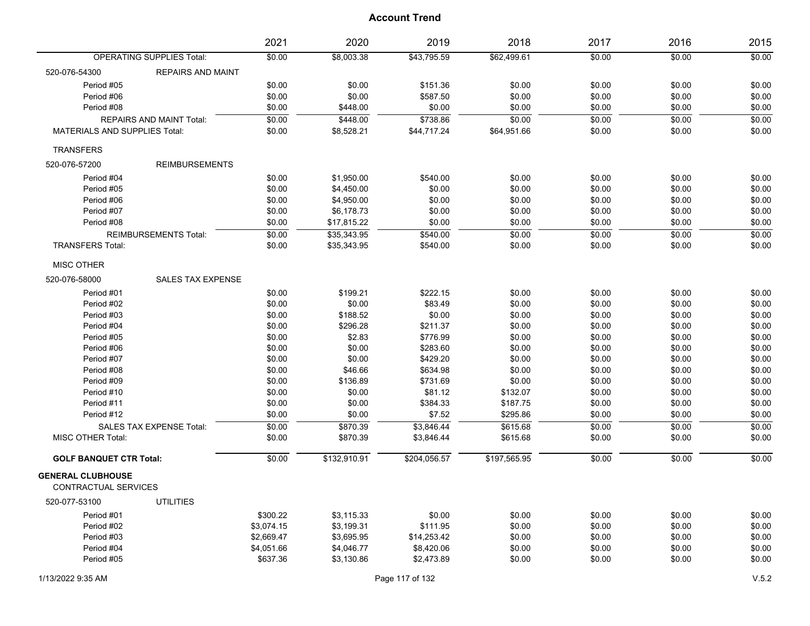| \$8,003.38<br>\$62,499.61<br>\$0.00<br>\$0.00<br><b>OPERATING SUPPLIES Total:</b><br>\$0.00<br>\$43,795.59<br>\$0.00<br>520-076-54300<br><b>REPAIRS AND MAINT</b><br>Period #05<br>\$0.00<br>\$0.00<br>\$151.36<br>\$0.00<br>\$0.00<br>\$0.00<br>\$0.00<br>\$0.00<br>\$0.00<br>\$0.00<br>\$0.00<br>Period #06<br>\$587.50<br>\$0.00<br>\$0.00<br>Period #08<br>\$0.00<br>\$448.00<br>\$0.00<br>\$0.00<br>\$0.00<br>\$0.00<br>\$0.00<br>\$0.00<br>\$448.00<br>\$738.86<br>\$0.00<br>\$0.00<br>\$0.00<br>REPAIRS AND MAINT Total:<br>\$0.00<br><b>MATERIALS AND SUPPLIES Total:</b><br>\$0.00<br>\$0.00<br>\$0.00<br>\$8,528.21<br>\$44,717.24<br>\$64,951.66<br>\$0.00<br><b>TRANSFERS</b><br><b>REIMBURSEMENTS</b><br>520-076-57200<br>Period #04<br>\$0.00<br>\$1,950.00<br>\$540.00<br>\$0.00<br>\$0.00<br>\$0.00<br>\$0.00<br>\$0.00<br>\$0.00<br>\$0.00<br>\$0.00<br>Period #05<br>\$4,450.00<br>\$0.00<br>\$0.00<br>\$0.00<br>\$0.00<br>\$0.00<br>\$0.00<br>\$0.00<br>\$0.00<br>Period #06<br>\$4,950.00<br>\$0.00<br>Period #07<br>\$0.00<br>\$0.00<br>\$0.00<br>\$0.00<br>\$0.00<br>\$6,178.73<br>\$0.00<br>\$0.00<br>Period #08<br>\$0.00<br>\$17,815.22<br>\$0.00<br>\$0.00<br>\$0.00<br>\$0.00<br>\$540.00<br>\$0.00<br>\$0.00<br>\$0.00<br><b>REIMBURSEMENTS Total:</b><br>\$35,343.95<br>\$0.00<br><b>TRANSFERS Total:</b><br>\$0.00<br>\$0.00<br>\$0.00<br>\$0.00<br>\$0.00<br>\$35,343.95<br>\$540.00<br><b>MISC OTHER</b><br><b>SALES TAX EXPENSE</b><br>520-076-58000<br>Period #01<br>\$0.00<br>\$199.21<br>\$222.15<br>\$0.00<br>\$0.00<br>\$0.00<br>\$0.00<br>\$0.00<br>\$0.00<br>\$83.49<br>\$0.00<br>\$0.00<br>\$0.00<br>Period #02<br>\$0.00<br>\$0.00<br>\$188.52<br>\$0.00<br>\$0.00<br>\$0.00<br>\$0.00<br>\$0.00<br>Period #03<br>\$0.00<br>\$296.28<br>\$0.00<br>\$0.00<br>\$0.00<br>\$0.00<br>Period #04<br>\$211.37<br>\$0.00<br>\$0.00<br>\$0.00<br>Period #05<br>\$2.83<br>\$776.99<br>\$0.00<br>\$0.00<br>\$0.00<br>\$0.00<br>\$283.60<br>\$0.00<br>\$0.00<br>\$0.00<br>\$0.00<br>Period #06<br>\$0.00<br>\$0.00<br>\$429.20<br>\$0.00<br>\$0.00<br>\$0.00<br>\$0.00<br>Period #07<br>\$0.00<br>\$46.66<br>\$634.98<br>\$0.00<br>\$0.00<br>\$0.00<br>\$0.00<br>Period #08<br>\$0.00<br>\$136.89<br>\$0.00<br>\$0.00<br>\$0.00<br>Period #09<br>\$731.69<br>\$0.00<br>\$0.00<br>\$0.00<br>Period #10<br>\$0.00<br>\$81.12<br>\$0.00<br>\$0.00<br>\$132.07<br>\$0.00<br>\$0.00<br>\$0.00<br>\$0.00<br>Period #11<br>\$0.00<br>\$384.33<br>\$187.75<br>\$0.00<br>Period #12<br>\$0.00<br>\$0.00<br>\$7.52<br>\$295.86<br>\$0.00<br>\$0.00<br>SALES TAX EXPENSE Total:<br>\$0.00<br>\$870.39<br>\$3,846.44<br>\$615.68<br>\$0.00<br>\$0.00<br>\$0.00<br>MISC OTHER Total:<br>\$0.00<br>\$0.00<br>\$870.39<br>\$3,846.44<br>\$615.68<br>\$0.00<br>\$0.00<br><b>GOLF BANQUET CTR Total:</b><br>\$0.00<br>\$132,910.91<br>\$204,056.57<br>\$197,565.95<br>\$0.00<br>\$0.00<br>\$0.00<br><b>GENERAL CLUBHOUSE</b><br>CONTRACTUAL SERVICES<br><b>UTILITIES</b><br>520-077-53100<br>\$300.22<br>\$0.00<br>Period #01<br>\$3,115.33<br>\$0.00<br>\$0.00<br>\$0.00<br>\$0.00<br>Period #02<br>\$3,074.15<br>\$111.95<br>\$0.00<br>\$0.00<br>\$0.00<br>\$3,199.31<br>\$0.00<br>\$2,669.47<br>\$0.00<br>Period #03<br>\$3,695.95<br>\$14,253.42<br>\$0.00<br>\$0.00<br>\$0.00<br>Period #04<br>\$0.00<br>\$0.00<br>\$0.00<br>\$4,051.66<br>\$4,046.77<br>\$8,420.06<br>\$0.00<br>\$0.00<br>Period #05<br>\$637.36<br>\$3,130.86<br>\$2,473.89<br>\$0.00<br>\$0.00<br>\$0.00<br>Page 117 of 132 |                   | 2021 | 2020 | 2019 | 2018 | 2017 | 2016 | 2015  |
|------------------------------------------------------------------------------------------------------------------------------------------------------------------------------------------------------------------------------------------------------------------------------------------------------------------------------------------------------------------------------------------------------------------------------------------------------------------------------------------------------------------------------------------------------------------------------------------------------------------------------------------------------------------------------------------------------------------------------------------------------------------------------------------------------------------------------------------------------------------------------------------------------------------------------------------------------------------------------------------------------------------------------------------------------------------------------------------------------------------------------------------------------------------------------------------------------------------------------------------------------------------------------------------------------------------------------------------------------------------------------------------------------------------------------------------------------------------------------------------------------------------------------------------------------------------------------------------------------------------------------------------------------------------------------------------------------------------------------------------------------------------------------------------------------------------------------------------------------------------------------------------------------------------------------------------------------------------------------------------------------------------------------------------------------------------------------------------------------------------------------------------------------------------------------------------------------------------------------------------------------------------------------------------------------------------------------------------------------------------------------------------------------------------------------------------------------------------------------------------------------------------------------------------------------------------------------------------------------------------------------------------------------------------------------------------------------------------------------------------------------------------------------------------------------------------------------------------------------------------------------------------------------------------------------------------------------------------------------------------------------------------------------------------------------------------------------------------------------------------------------------------------------------------------------------------------------------------------------------------------------------------------------------------------------------------------------------------------------------------------------------------------------------------------------------------------------------------------------------------------------------------|-------------------|------|------|------|------|------|------|-------|
|                                                                                                                                                                                                                                                                                                                                                                                                                                                                                                                                                                                                                                                                                                                                                                                                                                                                                                                                                                                                                                                                                                                                                                                                                                                                                                                                                                                                                                                                                                                                                                                                                                                                                                                                                                                                                                                                                                                                                                                                                                                                                                                                                                                                                                                                                                                                                                                                                                                                                                                                                                                                                                                                                                                                                                                                                                                                                                                                                                                                                                                                                                                                                                                                                                                                                                                                                                                                                                                                                                                  |                   |      |      |      |      |      |      |       |
|                                                                                                                                                                                                                                                                                                                                                                                                                                                                                                                                                                                                                                                                                                                                                                                                                                                                                                                                                                                                                                                                                                                                                                                                                                                                                                                                                                                                                                                                                                                                                                                                                                                                                                                                                                                                                                                                                                                                                                                                                                                                                                                                                                                                                                                                                                                                                                                                                                                                                                                                                                                                                                                                                                                                                                                                                                                                                                                                                                                                                                                                                                                                                                                                                                                                                                                                                                                                                                                                                                                  |                   |      |      |      |      |      |      |       |
|                                                                                                                                                                                                                                                                                                                                                                                                                                                                                                                                                                                                                                                                                                                                                                                                                                                                                                                                                                                                                                                                                                                                                                                                                                                                                                                                                                                                                                                                                                                                                                                                                                                                                                                                                                                                                                                                                                                                                                                                                                                                                                                                                                                                                                                                                                                                                                                                                                                                                                                                                                                                                                                                                                                                                                                                                                                                                                                                                                                                                                                                                                                                                                                                                                                                                                                                                                                                                                                                                                                  |                   |      |      |      |      |      |      |       |
|                                                                                                                                                                                                                                                                                                                                                                                                                                                                                                                                                                                                                                                                                                                                                                                                                                                                                                                                                                                                                                                                                                                                                                                                                                                                                                                                                                                                                                                                                                                                                                                                                                                                                                                                                                                                                                                                                                                                                                                                                                                                                                                                                                                                                                                                                                                                                                                                                                                                                                                                                                                                                                                                                                                                                                                                                                                                                                                                                                                                                                                                                                                                                                                                                                                                                                                                                                                                                                                                                                                  |                   |      |      |      |      |      |      |       |
|                                                                                                                                                                                                                                                                                                                                                                                                                                                                                                                                                                                                                                                                                                                                                                                                                                                                                                                                                                                                                                                                                                                                                                                                                                                                                                                                                                                                                                                                                                                                                                                                                                                                                                                                                                                                                                                                                                                                                                                                                                                                                                                                                                                                                                                                                                                                                                                                                                                                                                                                                                                                                                                                                                                                                                                                                                                                                                                                                                                                                                                                                                                                                                                                                                                                                                                                                                                                                                                                                                                  |                   |      |      |      |      |      |      |       |
|                                                                                                                                                                                                                                                                                                                                                                                                                                                                                                                                                                                                                                                                                                                                                                                                                                                                                                                                                                                                                                                                                                                                                                                                                                                                                                                                                                                                                                                                                                                                                                                                                                                                                                                                                                                                                                                                                                                                                                                                                                                                                                                                                                                                                                                                                                                                                                                                                                                                                                                                                                                                                                                                                                                                                                                                                                                                                                                                                                                                                                                                                                                                                                                                                                                                                                                                                                                                                                                                                                                  |                   |      |      |      |      |      |      |       |
|                                                                                                                                                                                                                                                                                                                                                                                                                                                                                                                                                                                                                                                                                                                                                                                                                                                                                                                                                                                                                                                                                                                                                                                                                                                                                                                                                                                                                                                                                                                                                                                                                                                                                                                                                                                                                                                                                                                                                                                                                                                                                                                                                                                                                                                                                                                                                                                                                                                                                                                                                                                                                                                                                                                                                                                                                                                                                                                                                                                                                                                                                                                                                                                                                                                                                                                                                                                                                                                                                                                  |                   |      |      |      |      |      |      |       |
|                                                                                                                                                                                                                                                                                                                                                                                                                                                                                                                                                                                                                                                                                                                                                                                                                                                                                                                                                                                                                                                                                                                                                                                                                                                                                                                                                                                                                                                                                                                                                                                                                                                                                                                                                                                                                                                                                                                                                                                                                                                                                                                                                                                                                                                                                                                                                                                                                                                                                                                                                                                                                                                                                                                                                                                                                                                                                                                                                                                                                                                                                                                                                                                                                                                                                                                                                                                                                                                                                                                  |                   |      |      |      |      |      |      |       |
|                                                                                                                                                                                                                                                                                                                                                                                                                                                                                                                                                                                                                                                                                                                                                                                                                                                                                                                                                                                                                                                                                                                                                                                                                                                                                                                                                                                                                                                                                                                                                                                                                                                                                                                                                                                                                                                                                                                                                                                                                                                                                                                                                                                                                                                                                                                                                                                                                                                                                                                                                                                                                                                                                                                                                                                                                                                                                                                                                                                                                                                                                                                                                                                                                                                                                                                                                                                                                                                                                                                  |                   |      |      |      |      |      |      |       |
|                                                                                                                                                                                                                                                                                                                                                                                                                                                                                                                                                                                                                                                                                                                                                                                                                                                                                                                                                                                                                                                                                                                                                                                                                                                                                                                                                                                                                                                                                                                                                                                                                                                                                                                                                                                                                                                                                                                                                                                                                                                                                                                                                                                                                                                                                                                                                                                                                                                                                                                                                                                                                                                                                                                                                                                                                                                                                                                                                                                                                                                                                                                                                                                                                                                                                                                                                                                                                                                                                                                  |                   |      |      |      |      |      |      |       |
|                                                                                                                                                                                                                                                                                                                                                                                                                                                                                                                                                                                                                                                                                                                                                                                                                                                                                                                                                                                                                                                                                                                                                                                                                                                                                                                                                                                                                                                                                                                                                                                                                                                                                                                                                                                                                                                                                                                                                                                                                                                                                                                                                                                                                                                                                                                                                                                                                                                                                                                                                                                                                                                                                                                                                                                                                                                                                                                                                                                                                                                                                                                                                                                                                                                                                                                                                                                                                                                                                                                  |                   |      |      |      |      |      |      |       |
|                                                                                                                                                                                                                                                                                                                                                                                                                                                                                                                                                                                                                                                                                                                                                                                                                                                                                                                                                                                                                                                                                                                                                                                                                                                                                                                                                                                                                                                                                                                                                                                                                                                                                                                                                                                                                                                                                                                                                                                                                                                                                                                                                                                                                                                                                                                                                                                                                                                                                                                                                                                                                                                                                                                                                                                                                                                                                                                                                                                                                                                                                                                                                                                                                                                                                                                                                                                                                                                                                                                  |                   |      |      |      |      |      |      |       |
|                                                                                                                                                                                                                                                                                                                                                                                                                                                                                                                                                                                                                                                                                                                                                                                                                                                                                                                                                                                                                                                                                                                                                                                                                                                                                                                                                                                                                                                                                                                                                                                                                                                                                                                                                                                                                                                                                                                                                                                                                                                                                                                                                                                                                                                                                                                                                                                                                                                                                                                                                                                                                                                                                                                                                                                                                                                                                                                                                                                                                                                                                                                                                                                                                                                                                                                                                                                                                                                                                                                  |                   |      |      |      |      |      |      |       |
|                                                                                                                                                                                                                                                                                                                                                                                                                                                                                                                                                                                                                                                                                                                                                                                                                                                                                                                                                                                                                                                                                                                                                                                                                                                                                                                                                                                                                                                                                                                                                                                                                                                                                                                                                                                                                                                                                                                                                                                                                                                                                                                                                                                                                                                                                                                                                                                                                                                                                                                                                                                                                                                                                                                                                                                                                                                                                                                                                                                                                                                                                                                                                                                                                                                                                                                                                                                                                                                                                                                  |                   |      |      |      |      |      |      |       |
|                                                                                                                                                                                                                                                                                                                                                                                                                                                                                                                                                                                                                                                                                                                                                                                                                                                                                                                                                                                                                                                                                                                                                                                                                                                                                                                                                                                                                                                                                                                                                                                                                                                                                                                                                                                                                                                                                                                                                                                                                                                                                                                                                                                                                                                                                                                                                                                                                                                                                                                                                                                                                                                                                                                                                                                                                                                                                                                                                                                                                                                                                                                                                                                                                                                                                                                                                                                                                                                                                                                  |                   |      |      |      |      |      |      |       |
|                                                                                                                                                                                                                                                                                                                                                                                                                                                                                                                                                                                                                                                                                                                                                                                                                                                                                                                                                                                                                                                                                                                                                                                                                                                                                                                                                                                                                                                                                                                                                                                                                                                                                                                                                                                                                                                                                                                                                                                                                                                                                                                                                                                                                                                                                                                                                                                                                                                                                                                                                                                                                                                                                                                                                                                                                                                                                                                                                                                                                                                                                                                                                                                                                                                                                                                                                                                                                                                                                                                  |                   |      |      |      |      |      |      |       |
|                                                                                                                                                                                                                                                                                                                                                                                                                                                                                                                                                                                                                                                                                                                                                                                                                                                                                                                                                                                                                                                                                                                                                                                                                                                                                                                                                                                                                                                                                                                                                                                                                                                                                                                                                                                                                                                                                                                                                                                                                                                                                                                                                                                                                                                                                                                                                                                                                                                                                                                                                                                                                                                                                                                                                                                                                                                                                                                                                                                                                                                                                                                                                                                                                                                                                                                                                                                                                                                                                                                  |                   |      |      |      |      |      |      |       |
|                                                                                                                                                                                                                                                                                                                                                                                                                                                                                                                                                                                                                                                                                                                                                                                                                                                                                                                                                                                                                                                                                                                                                                                                                                                                                                                                                                                                                                                                                                                                                                                                                                                                                                                                                                                                                                                                                                                                                                                                                                                                                                                                                                                                                                                                                                                                                                                                                                                                                                                                                                                                                                                                                                                                                                                                                                                                                                                                                                                                                                                                                                                                                                                                                                                                                                                                                                                                                                                                                                                  |                   |      |      |      |      |      |      |       |
|                                                                                                                                                                                                                                                                                                                                                                                                                                                                                                                                                                                                                                                                                                                                                                                                                                                                                                                                                                                                                                                                                                                                                                                                                                                                                                                                                                                                                                                                                                                                                                                                                                                                                                                                                                                                                                                                                                                                                                                                                                                                                                                                                                                                                                                                                                                                                                                                                                                                                                                                                                                                                                                                                                                                                                                                                                                                                                                                                                                                                                                                                                                                                                                                                                                                                                                                                                                                                                                                                                                  |                   |      |      |      |      |      |      |       |
|                                                                                                                                                                                                                                                                                                                                                                                                                                                                                                                                                                                                                                                                                                                                                                                                                                                                                                                                                                                                                                                                                                                                                                                                                                                                                                                                                                                                                                                                                                                                                                                                                                                                                                                                                                                                                                                                                                                                                                                                                                                                                                                                                                                                                                                                                                                                                                                                                                                                                                                                                                                                                                                                                                                                                                                                                                                                                                                                                                                                                                                                                                                                                                                                                                                                                                                                                                                                                                                                                                                  |                   |      |      |      |      |      |      |       |
|                                                                                                                                                                                                                                                                                                                                                                                                                                                                                                                                                                                                                                                                                                                                                                                                                                                                                                                                                                                                                                                                                                                                                                                                                                                                                                                                                                                                                                                                                                                                                                                                                                                                                                                                                                                                                                                                                                                                                                                                                                                                                                                                                                                                                                                                                                                                                                                                                                                                                                                                                                                                                                                                                                                                                                                                                                                                                                                                                                                                                                                                                                                                                                                                                                                                                                                                                                                                                                                                                                                  |                   |      |      |      |      |      |      |       |
|                                                                                                                                                                                                                                                                                                                                                                                                                                                                                                                                                                                                                                                                                                                                                                                                                                                                                                                                                                                                                                                                                                                                                                                                                                                                                                                                                                                                                                                                                                                                                                                                                                                                                                                                                                                                                                                                                                                                                                                                                                                                                                                                                                                                                                                                                                                                                                                                                                                                                                                                                                                                                                                                                                                                                                                                                                                                                                                                                                                                                                                                                                                                                                                                                                                                                                                                                                                                                                                                                                                  |                   |      |      |      |      |      |      |       |
|                                                                                                                                                                                                                                                                                                                                                                                                                                                                                                                                                                                                                                                                                                                                                                                                                                                                                                                                                                                                                                                                                                                                                                                                                                                                                                                                                                                                                                                                                                                                                                                                                                                                                                                                                                                                                                                                                                                                                                                                                                                                                                                                                                                                                                                                                                                                                                                                                                                                                                                                                                                                                                                                                                                                                                                                                                                                                                                                                                                                                                                                                                                                                                                                                                                                                                                                                                                                                                                                                                                  |                   |      |      |      |      |      |      |       |
|                                                                                                                                                                                                                                                                                                                                                                                                                                                                                                                                                                                                                                                                                                                                                                                                                                                                                                                                                                                                                                                                                                                                                                                                                                                                                                                                                                                                                                                                                                                                                                                                                                                                                                                                                                                                                                                                                                                                                                                                                                                                                                                                                                                                                                                                                                                                                                                                                                                                                                                                                                                                                                                                                                                                                                                                                                                                                                                                                                                                                                                                                                                                                                                                                                                                                                                                                                                                                                                                                                                  |                   |      |      |      |      |      |      |       |
|                                                                                                                                                                                                                                                                                                                                                                                                                                                                                                                                                                                                                                                                                                                                                                                                                                                                                                                                                                                                                                                                                                                                                                                                                                                                                                                                                                                                                                                                                                                                                                                                                                                                                                                                                                                                                                                                                                                                                                                                                                                                                                                                                                                                                                                                                                                                                                                                                                                                                                                                                                                                                                                                                                                                                                                                                                                                                                                                                                                                                                                                                                                                                                                                                                                                                                                                                                                                                                                                                                                  |                   |      |      |      |      |      |      |       |
|                                                                                                                                                                                                                                                                                                                                                                                                                                                                                                                                                                                                                                                                                                                                                                                                                                                                                                                                                                                                                                                                                                                                                                                                                                                                                                                                                                                                                                                                                                                                                                                                                                                                                                                                                                                                                                                                                                                                                                                                                                                                                                                                                                                                                                                                                                                                                                                                                                                                                                                                                                                                                                                                                                                                                                                                                                                                                                                                                                                                                                                                                                                                                                                                                                                                                                                                                                                                                                                                                                                  |                   |      |      |      |      |      |      |       |
|                                                                                                                                                                                                                                                                                                                                                                                                                                                                                                                                                                                                                                                                                                                                                                                                                                                                                                                                                                                                                                                                                                                                                                                                                                                                                                                                                                                                                                                                                                                                                                                                                                                                                                                                                                                                                                                                                                                                                                                                                                                                                                                                                                                                                                                                                                                                                                                                                                                                                                                                                                                                                                                                                                                                                                                                                                                                                                                                                                                                                                                                                                                                                                                                                                                                                                                                                                                                                                                                                                                  |                   |      |      |      |      |      |      |       |
|                                                                                                                                                                                                                                                                                                                                                                                                                                                                                                                                                                                                                                                                                                                                                                                                                                                                                                                                                                                                                                                                                                                                                                                                                                                                                                                                                                                                                                                                                                                                                                                                                                                                                                                                                                                                                                                                                                                                                                                                                                                                                                                                                                                                                                                                                                                                                                                                                                                                                                                                                                                                                                                                                                                                                                                                                                                                                                                                                                                                                                                                                                                                                                                                                                                                                                                                                                                                                                                                                                                  |                   |      |      |      |      |      |      |       |
|                                                                                                                                                                                                                                                                                                                                                                                                                                                                                                                                                                                                                                                                                                                                                                                                                                                                                                                                                                                                                                                                                                                                                                                                                                                                                                                                                                                                                                                                                                                                                                                                                                                                                                                                                                                                                                                                                                                                                                                                                                                                                                                                                                                                                                                                                                                                                                                                                                                                                                                                                                                                                                                                                                                                                                                                                                                                                                                                                                                                                                                                                                                                                                                                                                                                                                                                                                                                                                                                                                                  |                   |      |      |      |      |      |      |       |
|                                                                                                                                                                                                                                                                                                                                                                                                                                                                                                                                                                                                                                                                                                                                                                                                                                                                                                                                                                                                                                                                                                                                                                                                                                                                                                                                                                                                                                                                                                                                                                                                                                                                                                                                                                                                                                                                                                                                                                                                                                                                                                                                                                                                                                                                                                                                                                                                                                                                                                                                                                                                                                                                                                                                                                                                                                                                                                                                                                                                                                                                                                                                                                                                                                                                                                                                                                                                                                                                                                                  |                   |      |      |      |      |      |      |       |
|                                                                                                                                                                                                                                                                                                                                                                                                                                                                                                                                                                                                                                                                                                                                                                                                                                                                                                                                                                                                                                                                                                                                                                                                                                                                                                                                                                                                                                                                                                                                                                                                                                                                                                                                                                                                                                                                                                                                                                                                                                                                                                                                                                                                                                                                                                                                                                                                                                                                                                                                                                                                                                                                                                                                                                                                                                                                                                                                                                                                                                                                                                                                                                                                                                                                                                                                                                                                                                                                                                                  |                   |      |      |      |      |      |      |       |
|                                                                                                                                                                                                                                                                                                                                                                                                                                                                                                                                                                                                                                                                                                                                                                                                                                                                                                                                                                                                                                                                                                                                                                                                                                                                                                                                                                                                                                                                                                                                                                                                                                                                                                                                                                                                                                                                                                                                                                                                                                                                                                                                                                                                                                                                                                                                                                                                                                                                                                                                                                                                                                                                                                                                                                                                                                                                                                                                                                                                                                                                                                                                                                                                                                                                                                                                                                                                                                                                                                                  |                   |      |      |      |      |      |      |       |
|                                                                                                                                                                                                                                                                                                                                                                                                                                                                                                                                                                                                                                                                                                                                                                                                                                                                                                                                                                                                                                                                                                                                                                                                                                                                                                                                                                                                                                                                                                                                                                                                                                                                                                                                                                                                                                                                                                                                                                                                                                                                                                                                                                                                                                                                                                                                                                                                                                                                                                                                                                                                                                                                                                                                                                                                                                                                                                                                                                                                                                                                                                                                                                                                                                                                                                                                                                                                                                                                                                                  |                   |      |      |      |      |      |      |       |
|                                                                                                                                                                                                                                                                                                                                                                                                                                                                                                                                                                                                                                                                                                                                                                                                                                                                                                                                                                                                                                                                                                                                                                                                                                                                                                                                                                                                                                                                                                                                                                                                                                                                                                                                                                                                                                                                                                                                                                                                                                                                                                                                                                                                                                                                                                                                                                                                                                                                                                                                                                                                                                                                                                                                                                                                                                                                                                                                                                                                                                                                                                                                                                                                                                                                                                                                                                                                                                                                                                                  |                   |      |      |      |      |      |      |       |
|                                                                                                                                                                                                                                                                                                                                                                                                                                                                                                                                                                                                                                                                                                                                                                                                                                                                                                                                                                                                                                                                                                                                                                                                                                                                                                                                                                                                                                                                                                                                                                                                                                                                                                                                                                                                                                                                                                                                                                                                                                                                                                                                                                                                                                                                                                                                                                                                                                                                                                                                                                                                                                                                                                                                                                                                                                                                                                                                                                                                                                                                                                                                                                                                                                                                                                                                                                                                                                                                                                                  |                   |      |      |      |      |      |      |       |
|                                                                                                                                                                                                                                                                                                                                                                                                                                                                                                                                                                                                                                                                                                                                                                                                                                                                                                                                                                                                                                                                                                                                                                                                                                                                                                                                                                                                                                                                                                                                                                                                                                                                                                                                                                                                                                                                                                                                                                                                                                                                                                                                                                                                                                                                                                                                                                                                                                                                                                                                                                                                                                                                                                                                                                                                                                                                                                                                                                                                                                                                                                                                                                                                                                                                                                                                                                                                                                                                                                                  |                   |      |      |      |      |      |      |       |
|                                                                                                                                                                                                                                                                                                                                                                                                                                                                                                                                                                                                                                                                                                                                                                                                                                                                                                                                                                                                                                                                                                                                                                                                                                                                                                                                                                                                                                                                                                                                                                                                                                                                                                                                                                                                                                                                                                                                                                                                                                                                                                                                                                                                                                                                                                                                                                                                                                                                                                                                                                                                                                                                                                                                                                                                                                                                                                                                                                                                                                                                                                                                                                                                                                                                                                                                                                                                                                                                                                                  |                   |      |      |      |      |      |      |       |
|                                                                                                                                                                                                                                                                                                                                                                                                                                                                                                                                                                                                                                                                                                                                                                                                                                                                                                                                                                                                                                                                                                                                                                                                                                                                                                                                                                                                                                                                                                                                                                                                                                                                                                                                                                                                                                                                                                                                                                                                                                                                                                                                                                                                                                                                                                                                                                                                                                                                                                                                                                                                                                                                                                                                                                                                                                                                                                                                                                                                                                                                                                                                                                                                                                                                                                                                                                                                                                                                                                                  |                   |      |      |      |      |      |      |       |
|                                                                                                                                                                                                                                                                                                                                                                                                                                                                                                                                                                                                                                                                                                                                                                                                                                                                                                                                                                                                                                                                                                                                                                                                                                                                                                                                                                                                                                                                                                                                                                                                                                                                                                                                                                                                                                                                                                                                                                                                                                                                                                                                                                                                                                                                                                                                                                                                                                                                                                                                                                                                                                                                                                                                                                                                                                                                                                                                                                                                                                                                                                                                                                                                                                                                                                                                                                                                                                                                                                                  |                   |      |      |      |      |      |      |       |
|                                                                                                                                                                                                                                                                                                                                                                                                                                                                                                                                                                                                                                                                                                                                                                                                                                                                                                                                                                                                                                                                                                                                                                                                                                                                                                                                                                                                                                                                                                                                                                                                                                                                                                                                                                                                                                                                                                                                                                                                                                                                                                                                                                                                                                                                                                                                                                                                                                                                                                                                                                                                                                                                                                                                                                                                                                                                                                                                                                                                                                                                                                                                                                                                                                                                                                                                                                                                                                                                                                                  |                   |      |      |      |      |      |      |       |
|                                                                                                                                                                                                                                                                                                                                                                                                                                                                                                                                                                                                                                                                                                                                                                                                                                                                                                                                                                                                                                                                                                                                                                                                                                                                                                                                                                                                                                                                                                                                                                                                                                                                                                                                                                                                                                                                                                                                                                                                                                                                                                                                                                                                                                                                                                                                                                                                                                                                                                                                                                                                                                                                                                                                                                                                                                                                                                                                                                                                                                                                                                                                                                                                                                                                                                                                                                                                                                                                                                                  |                   |      |      |      |      |      |      |       |
|                                                                                                                                                                                                                                                                                                                                                                                                                                                                                                                                                                                                                                                                                                                                                                                                                                                                                                                                                                                                                                                                                                                                                                                                                                                                                                                                                                                                                                                                                                                                                                                                                                                                                                                                                                                                                                                                                                                                                                                                                                                                                                                                                                                                                                                                                                                                                                                                                                                                                                                                                                                                                                                                                                                                                                                                                                                                                                                                                                                                                                                                                                                                                                                                                                                                                                                                                                                                                                                                                                                  |                   |      |      |      |      |      |      |       |
|                                                                                                                                                                                                                                                                                                                                                                                                                                                                                                                                                                                                                                                                                                                                                                                                                                                                                                                                                                                                                                                                                                                                                                                                                                                                                                                                                                                                                                                                                                                                                                                                                                                                                                                                                                                                                                                                                                                                                                                                                                                                                                                                                                                                                                                                                                                                                                                                                                                                                                                                                                                                                                                                                                                                                                                                                                                                                                                                                                                                                                                                                                                                                                                                                                                                                                                                                                                                                                                                                                                  | 1/13/2022 9:35 AM |      |      |      |      |      |      | V.5.2 |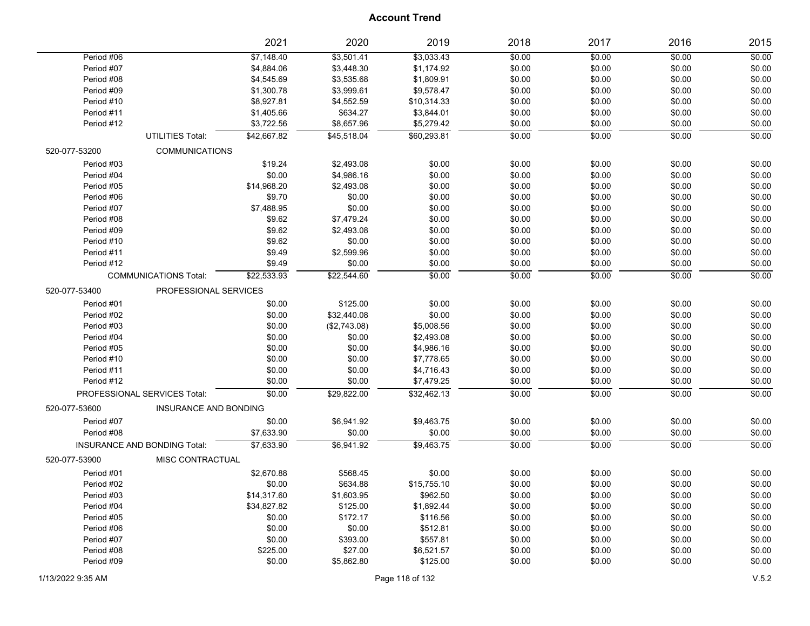|               |                                     | 2021        | 2020         | 2019        | 2018   | 2017   | 2016   | 2015   |
|---------------|-------------------------------------|-------------|--------------|-------------|--------|--------|--------|--------|
| Period #06    |                                     | \$7,148.40  | \$3,501.41   | \$3,033.43  | \$0.00 | \$0.00 | \$0.00 | \$0.00 |
| Period #07    |                                     | \$4,884.06  | \$3,448.30   | \$1,174.92  | \$0.00 | \$0.00 | \$0.00 | \$0.00 |
| Period #08    |                                     | \$4,545.69  | \$3,535.68   | \$1,809.91  | \$0.00 | \$0.00 | \$0.00 | \$0.00 |
| Period #09    |                                     | \$1,300.78  | \$3,999.61   | \$9,578.47  | \$0.00 | \$0.00 | \$0.00 | \$0.00 |
| Period #10    |                                     | \$8,927.81  | \$4,552.59   | \$10,314.33 | \$0.00 | \$0.00 | \$0.00 | \$0.00 |
| Period #11    |                                     | \$1,405.66  | \$634.27     | \$3,844.01  | \$0.00 | \$0.00 | \$0.00 | \$0.00 |
| Period #12    |                                     | \$3,722.56  | \$8,657.96   | \$5,279.42  | \$0.00 | \$0.00 | \$0.00 | \$0.00 |
|               | <b>UTILITIES Total:</b>             | \$42,667.82 | \$45,518.04  | \$60,293.81 | \$0.00 | \$0.00 | \$0.00 | \$0.00 |
| 520-077-53200 | <b>COMMUNICATIONS</b>               |             |              |             |        |        |        |        |
| Period #03    |                                     | \$19.24     | \$2,493.08   | \$0.00      | \$0.00 | \$0.00 | \$0.00 | \$0.00 |
| Period #04    |                                     | \$0.00      | \$4,986.16   | \$0.00      | \$0.00 | \$0.00 | \$0.00 | \$0.00 |
| Period #05    |                                     | \$14,968.20 | \$2,493.08   | \$0.00      | \$0.00 | \$0.00 | \$0.00 | \$0.00 |
| Period #06    |                                     | \$9.70      | \$0.00       | \$0.00      | \$0.00 | \$0.00 | \$0.00 | \$0.00 |
| Period #07    |                                     | \$7,488.95  | \$0.00       | \$0.00      | \$0.00 | \$0.00 | \$0.00 | \$0.00 |
| Period #08    |                                     | \$9.62      | \$7,479.24   | \$0.00      | \$0.00 | \$0.00 | \$0.00 | \$0.00 |
| Period #09    |                                     | \$9.62      | \$2,493.08   | \$0.00      | \$0.00 | \$0.00 | \$0.00 | \$0.00 |
| Period #10    |                                     | \$9.62      | \$0.00       | \$0.00      | \$0.00 | \$0.00 | \$0.00 | \$0.00 |
| Period #11    |                                     | \$9.49      | \$2,599.96   | \$0.00      | \$0.00 | \$0.00 | \$0.00 | \$0.00 |
| Period #12    |                                     | \$9.49      | \$0.00       | \$0.00      | \$0.00 | \$0.00 | \$0.00 | \$0.00 |
|               | <b>COMMUNICATIONS Total:</b>        | \$22,533.93 | \$22,544.60  | \$0.00      | \$0.00 | \$0.00 | \$0.00 | \$0.00 |
| 520-077-53400 | PROFESSIONAL SERVICES               |             |              |             |        |        |        |        |
| Period #01    |                                     | \$0.00      | \$125.00     | \$0.00      | \$0.00 | \$0.00 | \$0.00 | \$0.00 |
| Period #02    |                                     | \$0.00      | \$32,440.08  | \$0.00      | \$0.00 | \$0.00 | \$0.00 | \$0.00 |
| Period #03    |                                     | \$0.00      | (\$2,743.08) | \$5,008.56  | \$0.00 | \$0.00 | \$0.00 | \$0.00 |
| Period #04    |                                     | \$0.00      | \$0.00       | \$2,493.08  | \$0.00 | \$0.00 | \$0.00 | \$0.00 |
| Period #05    |                                     | \$0.00      | \$0.00       | \$4,986.16  | \$0.00 | \$0.00 | \$0.00 | \$0.00 |
| Period #10    |                                     | \$0.00      | \$0.00       | \$7,778.65  | \$0.00 | \$0.00 | \$0.00 | \$0.00 |
| Period #11    |                                     | \$0.00      | \$0.00       | \$4,716.43  | \$0.00 | \$0.00 | \$0.00 | \$0.00 |
| Period #12    |                                     | \$0.00      | \$0.00       | \$7,479.25  | \$0.00 | \$0.00 | \$0.00 | \$0.00 |
|               | PROFESSIONAL SERVICES Total:        | \$0.00      | \$29,822.00  | \$32,462.13 | \$0.00 | \$0.00 | \$0.00 | \$0.00 |
| 520-077-53600 | INSURANCE AND BONDING               |             |              |             |        |        |        |        |
| Period #07    |                                     | \$0.00      | \$6,941.92   | \$9,463.75  | \$0.00 | \$0.00 | \$0.00 | \$0.00 |
| Period #08    |                                     | \$7,633.90  | \$0.00       | \$0.00      | \$0.00 | \$0.00 | \$0.00 | \$0.00 |
|               | <b>INSURANCE AND BONDING Total:</b> | \$7,633.90  | \$6.941.92   | \$9,463.75  | \$0.00 | \$0.00 | \$0.00 | \$0.00 |
| 520-077-53900 | MISC CONTRACTUAL                    |             |              |             |        |        |        |        |
| Period #01    |                                     | \$2,670.88  | \$568.45     | \$0.00      | \$0.00 | \$0.00 | \$0.00 | \$0.00 |
| Period #02    |                                     | \$0.00      | \$634.88     | \$15,755.10 | \$0.00 | \$0.00 | \$0.00 | \$0.00 |
| Period #03    |                                     | \$14,317.60 | \$1,603.95   | \$962.50    | \$0.00 | \$0.00 | \$0.00 | \$0.00 |
| Period #04    |                                     | \$34,827.82 | \$125.00     | \$1,892.44  | \$0.00 | \$0.00 | \$0.00 | \$0.00 |
| Period #05    |                                     | \$0.00      | \$172.17     | \$116.56    | \$0.00 | \$0.00 | \$0.00 | \$0.00 |
| Period #06    |                                     | \$0.00      | \$0.00       | \$512.81    | \$0.00 | \$0.00 | \$0.00 | \$0.00 |
| Period #07    |                                     | \$0.00      | \$393.00     | \$557.81    | \$0.00 | \$0.00 | \$0.00 | \$0.00 |
| Period #08    |                                     | \$225.00    | \$27.00      | \$6,521.57  | \$0.00 | \$0.00 | \$0.00 | \$0.00 |
| Period #09    |                                     | \$0.00      | \$5,862.80   | \$125.00    | \$0.00 | \$0.00 | \$0.00 | \$0.00 |
|               |                                     |             |              |             |        |        |        |        |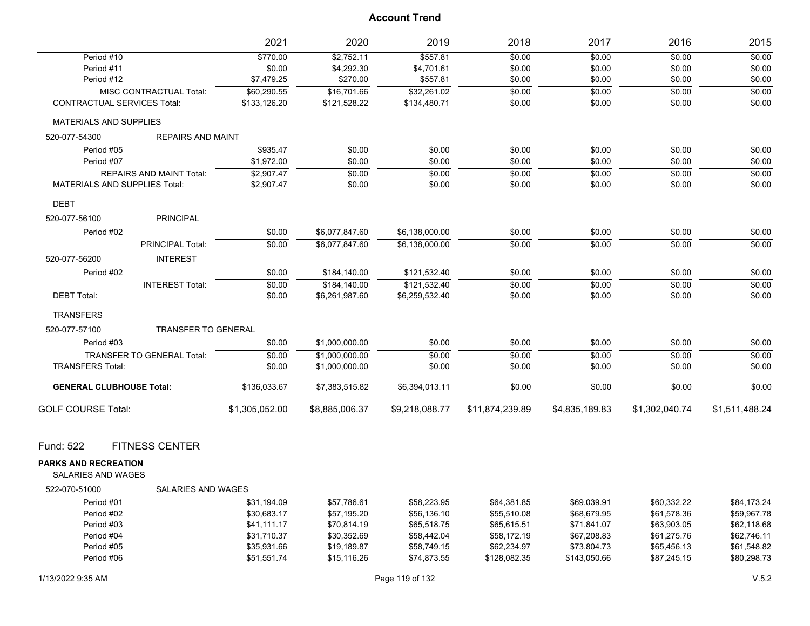|                                      |                                   | 2021           | 2020           | 2019           | 2018            | 2017           | 2016           | 2015           |
|--------------------------------------|-----------------------------------|----------------|----------------|----------------|-----------------|----------------|----------------|----------------|
| Period #10                           |                                   | \$770.00       | \$2,752.11     | \$557.81       | \$0.00          | \$0.00         | \$0.00         | \$0.00         |
| Period #11                           |                                   | \$0.00         | \$4,292.30     | \$4,701.61     | \$0.00          | \$0.00         | \$0.00         | \$0.00         |
| Period #12                           |                                   | \$7,479.25     | \$270.00       | \$557.81       | \$0.00          | \$0.00         | \$0.00         | \$0.00         |
|                                      | <b>MISC CONTRACTUAL Total:</b>    | \$60,290.55    | \$16,701.66    | \$32,261.02    | \$0.00          | \$0.00         | \$0.00         | \$0.00         |
| <b>CONTRACTUAL SERVICES Total:</b>   |                                   | \$133,126.20   | \$121,528.22   | \$134,480.71   | \$0.00          | \$0.00         | \$0.00         | \$0.00         |
| <b>MATERIALS AND SUPPLIES</b>        |                                   |                |                |                |                 |                |                |                |
| 520-077-54300                        | <b>REPAIRS AND MAINT</b>          |                |                |                |                 |                |                |                |
| Period #05                           |                                   | \$935.47       | \$0.00         | \$0.00         | \$0.00          | \$0.00         | \$0.00         | \$0.00         |
| Period #07                           |                                   | \$1,972.00     | \$0.00         | \$0.00         | \$0.00          | \$0.00         | \$0.00         | \$0.00         |
|                                      | <b>REPAIRS AND MAINT Total:</b>   | \$2,907.47     | \$0.00         | \$0.00         | \$0.00          | \$0.00         | \$0.00         | \$0.00         |
| <b>MATERIALS AND SUPPLIES Total:</b> |                                   | \$2,907.47     | \$0.00         | \$0.00         | \$0.00          | \$0.00         | \$0.00         | \$0.00         |
| <b>DEBT</b>                          |                                   |                |                |                |                 |                |                |                |
| 520-077-56100                        | <b>PRINCIPAL</b>                  |                |                |                |                 |                |                |                |
| Period #02                           |                                   | \$0.00         | \$6,077,847.60 | \$6,138,000.00 | \$0.00          | \$0.00         | \$0.00         | \$0.00         |
|                                      | <b>PRINCIPAL Total:</b>           | \$0.00         | \$6.077.847.60 | \$6.138.000.00 | \$0.00          | \$0.00         | \$0.00         | \$0.00         |
| 520-077-56200                        | <b>INTEREST</b>                   |                |                |                |                 |                |                |                |
| Period #02                           |                                   | \$0.00         | \$184,140.00   | \$121,532.40   | \$0.00          | \$0.00         | \$0.00         | \$0.00         |
|                                      | <b>INTEREST Total:</b>            | \$0.00         | \$184,140.00   | \$121,532.40   | \$0.00          | \$0.00         | \$0.00         | \$0.00         |
| <b>DEBT Total:</b>                   |                                   | \$0.00         | \$6,261,987.60 | \$6,259,532.40 | \$0.00          | \$0.00         | \$0.00         | \$0.00         |
| <b>TRANSFERS</b>                     |                                   |                |                |                |                 |                |                |                |
| 520-077-57100                        | <b>TRANSFER TO GENERAL</b>        |                |                |                |                 |                |                |                |
| Period #03                           |                                   | \$0.00         | \$1,000,000.00 | \$0.00         | \$0.00          | \$0.00         | \$0.00         | \$0.00         |
|                                      | <b>TRANSFER TO GENERAL Total:</b> | \$0.00         | \$1.000.000.00 | \$0.00         | \$0.00          | \$0.00         | \$0.00         | \$0.00         |
| <b>TRANSFERS Total:</b>              |                                   | \$0.00         | \$1,000,000.00 | \$0.00         | \$0.00          | \$0.00         | \$0.00         | \$0.00         |
| <b>GENERAL CLUBHOUSE Total:</b>      |                                   | \$136,033.67   | \$7,383,515.82 | \$6,394,013.11 | \$0.00          | \$0.00         | \$0.00         | \$0.00         |
| <b>GOLF COURSE Total:</b>            |                                   | \$1,305,052.00 | \$8,885,006.37 | \$9,218,088.77 | \$11,874,239.89 | \$4,835,189.83 | \$1,302,040.74 | \$1,511,488.24 |
| Fund: 522                            | <b>FITNESS CENTER</b>             |                |                |                |                 |                |                |                |
| <b>PARKS AND RECREATION</b>          |                                   |                |                |                |                 |                |                |                |
| <b>SALARIES AND WAGES</b>            |                                   |                |                |                |                 |                |                |                |
| 522-070-51000                        | <b>SALARIES AND WAGES</b>         |                |                |                |                 |                |                |                |
| Period #01                           |                                   | \$31,194.09    | \$57,786.61    | \$58,223.95    | \$64,381.85     | \$69,039.91    | \$60,332.22    | \$84,173.24    |
| Period #02                           |                                   | \$30.683.17    | \$57.195.20    | \$56,136.10    | \$55.510.08     | \$68.679.95    | \$61.578.36    | \$59.967.78    |
| Period #03                           |                                   | \$41,111.17    | \$70,814.19    | \$65,518.75    | \$65,615.51     | \$71,841.07    | \$63,903.05    | \$62,118.68    |

Period #04 \$31,710.37 \$30,352.69 \$58,442.04 \$58,172.19 \$67,208.83 \$61,275.76 \$62,746.11 Period #05 \$35,931.66 \$19,189.87 \$58,749.15 \$62,234.97 \$73,804.73 \$65,456.13 \$61,548.82 Period #06 \$51,551.74 \$15,116.26 \$74,873.55 \$128,082.35 \$143,050.66 \$87,245.15 \$80,298.73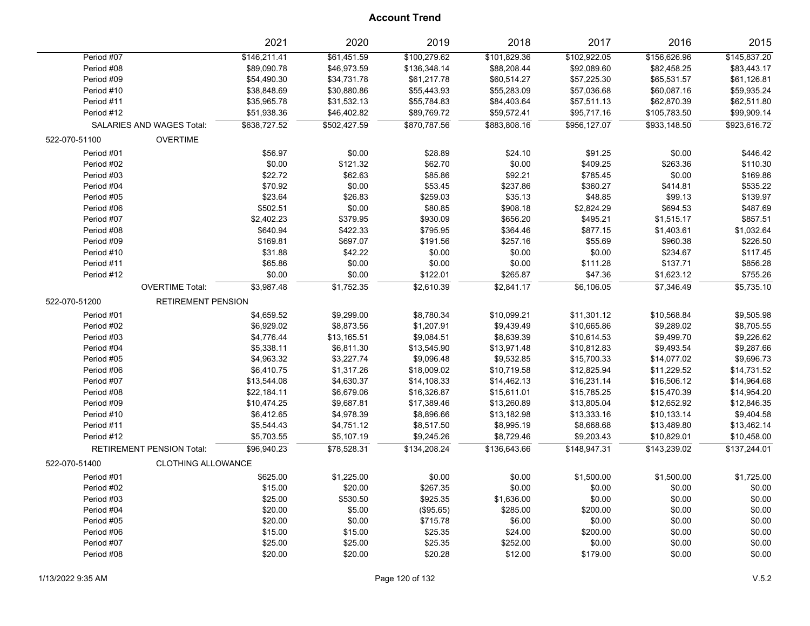|                                            | 2021         | 2020         | 2019         | 2018         | 2017         | 2016         | 2015         |
|--------------------------------------------|--------------|--------------|--------------|--------------|--------------|--------------|--------------|
| Period #07                                 | \$146,211.41 | \$61,451.59  | \$100,279.62 | \$101,829.36 | \$102,922.05 | \$156,626.96 | \$145,837.20 |
| Period #08                                 | \$89,090.78  | \$46,973.59  | \$136,348.14 | \$88,208.44  | \$92,089.60  | \$82,458.25  | \$83,443.17  |
| Period #09                                 | \$54,490.30  | \$34,731.78  | \$61,217.78  | \$60,514.27  | \$57,225.30  | \$65,531.57  | \$61,126.81  |
| Period #10                                 | \$38,848.69  | \$30,880.86  | \$55,443.93  | \$55,283.09  | \$57,036.68  | \$60,087.16  | \$59,935.24  |
| Period #11                                 | \$35,965.78  | \$31,532.13  | \$55,784.83  | \$84,403.64  | \$57,511.13  | \$62,870.39  | \$62,511.80  |
| Period #12                                 | \$51,938.36  | \$46,402.82  | \$89,769.72  | \$59,572.41  | \$95,717.16  | \$105,783.50 | \$99,909.14  |
| SALARIES AND WAGES Total:                  | \$638.727.52 | \$502.427.59 | \$870.787.56 | \$883.808.16 | \$956.127.07 | \$933.148.50 | \$923,616.72 |
| <b>OVERTIME</b><br>522-070-51100           |              |              |              |              |              |              |              |
| Period #01                                 | \$56.97      | \$0.00       | \$28.89      | \$24.10      | \$91.25      | \$0.00       | \$446.42     |
| Period #02                                 | \$0.00       | \$121.32     | \$62.70      | \$0.00       | \$409.25     | \$263.36     | \$110.30     |
| Period #03                                 | \$22.72      | \$62.63      | \$85.86      | \$92.21      | \$785.45     | \$0.00       | \$169.86     |
| Period #04                                 | \$70.92      | \$0.00       | \$53.45      | \$237.86     | \$360.27     | \$414.81     | \$535.22     |
| Period #05                                 | \$23.64      | \$26.83      | \$259.03     | \$35.13      | \$48.85      | \$99.13      | \$139.97     |
| Period #06                                 | \$502.51     | \$0.00       | \$80.85      | \$908.18     | \$2,824.29   | \$694.53     | \$487.69     |
| Period #07                                 | \$2,402.23   | \$379.95     | \$930.09     | \$656.20     | \$495.21     | \$1,515.17   | \$857.51     |
| Period #08                                 | \$640.94     | \$422.33     | \$795.95     | \$364.46     | \$877.15     | \$1,403.61   | \$1,032.64   |
| Period #09                                 | \$169.81     | \$697.07     | \$191.56     | \$257.16     | \$55.69      | \$960.38     | \$226.50     |
| Period #10                                 | \$31.88      | \$42.22      | \$0.00       | \$0.00       | \$0.00       | \$234.67     | \$117.45     |
| Period #11                                 | \$65.86      | \$0.00       | \$0.00       | \$0.00       | \$111.28     | \$137.71     | \$856.28     |
| Period #12                                 | \$0.00       | \$0.00       | \$122.01     | \$265.87     | \$47.36      | \$1,623.12   | \$755.26     |
| <b>OVERTIME Total:</b>                     | \$3,987.48   | \$1,752.35   | \$2,610.39   | \$2,841.17   | \$6,106.05   | \$7,346.49   | \$5,735.10   |
| 522-070-51200<br><b>RETIREMENT PENSION</b> |              |              |              |              |              |              |              |
| Period #01                                 | \$4,659.52   | \$9,299.00   | \$8,780.34   | \$10,099.21  | \$11,301.12  | \$10,568.84  | \$9,505.98   |
| Period #02                                 | \$6,929.02   | \$8,873.56   | \$1,207.91   | \$9,439.49   | \$10,665.86  | \$9,289.02   | \$8,705.55   |
| Period #03                                 | \$4,776.44   | \$13,165.51  | \$9,084.51   | \$8,639.39   | \$10,614.53  | \$9,499.70   | \$9,226.62   |
| Period #04                                 | \$5,338.11   | \$6,811.30   | \$13,545.90  | \$13,971.48  | \$10,812.83  | \$9,493.54   | \$9,287.66   |
| Period #05                                 | \$4,963.32   | \$3,227.74   | \$9,096.48   | \$9,532.85   | \$15,700.33  | \$14,077.02  | \$9,696.73   |
| Period #06                                 | \$6,410.75   | \$1,317.26   | \$18,009.02  | \$10,719.58  | \$12,825.94  | \$11,229.52  | \$14,731.52  |
| Period #07                                 | \$13,544.08  | \$4,630.37   | \$14,108.33  | \$14,462.13  | \$16,231.14  | \$16,506.12  | \$14,964.68  |
| Period #08                                 | \$22,184.11  | \$6,679.06   | \$16,326.87  | \$15,611.01  | \$15,785.25  | \$15,470.39  | \$14,954.20  |
| Period #09                                 | \$10,474.25  | \$9,687.81   | \$17,389.46  | \$13,260.89  | \$13,805.04  | \$12,652.92  | \$12,846.35  |
| Period #10                                 | \$6,412.65   | \$4,978.39   | \$8,896.66   | \$13,182.98  | \$13,333.16  | \$10,133.14  | \$9,404.58   |
| Period #11                                 | \$5,544.43   | \$4,751.12   | \$8,517.50   | \$8,995.19   | \$8,668.68   | \$13,489.80  | \$13,462.14  |
| Period #12                                 | \$5,703.55   | \$5,107.19   | \$9,245.26   | \$8,729.46   | \$9,203.43   | \$10,829.01  | \$10,458.00  |
| <b>RETIREMENT PENSION Total:</b>           | \$96,940.23  | \$78,528.31  | \$134,208.24 | \$136,643.66 | \$148,947.31 | \$143,239.02 | \$137,244.01 |
| 522-070-51400<br><b>CLOTHING ALLOWANCE</b> |              |              |              |              |              |              |              |
| Period #01                                 | \$625.00     | \$1,225.00   | \$0.00       | \$0.00       | \$1,500.00   | \$1,500.00   | \$1,725.00   |
| Period #02                                 | \$15.00      | \$20.00      | \$267.35     | \$0.00       | \$0.00       | \$0.00       | \$0.00       |
| Period #03                                 | \$25.00      | \$530.50     | \$925.35     | \$1,636.00   | \$0.00       | \$0.00       | \$0.00       |
| Period #04                                 | \$20.00      | \$5.00       | (\$95.65)    | \$285.00     | \$200.00     | \$0.00       | \$0.00       |
| Period #05                                 | \$20.00      | \$0.00       | \$715.78     | \$6.00       | \$0.00       | \$0.00       | \$0.00       |
| Period #06                                 | \$15.00      | \$15.00      | \$25.35      | \$24.00      | \$200.00     | \$0.00       | \$0.00       |
| Period #07                                 | \$25.00      | \$25.00      | \$25.35      | \$252.00     | \$0.00       | \$0.00       | \$0.00       |
| Period #08                                 | \$20.00      | \$20.00      | \$20.28      | \$12.00      | \$179.00     | \$0.00       | \$0.00       |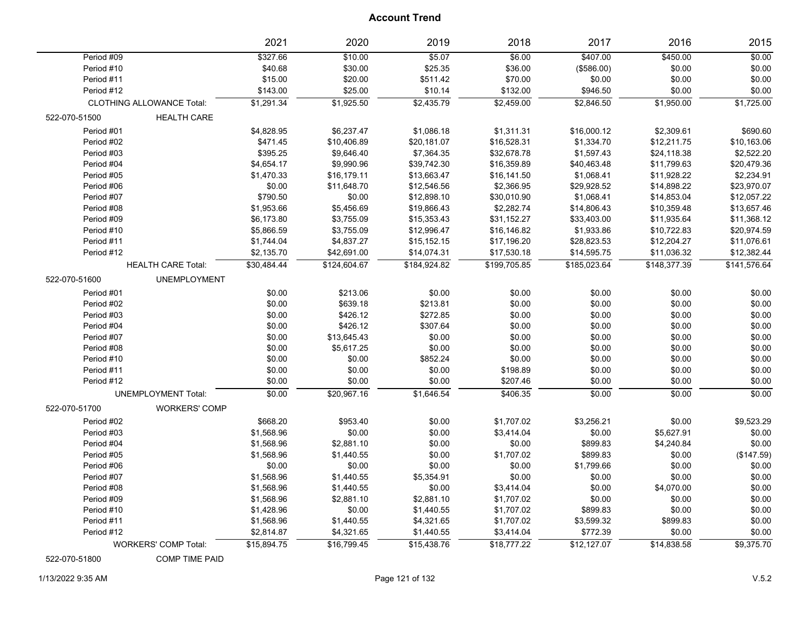|               |                                  | 2021        | 2020         | 2019         | 2018         | 2017         | 2016         | 2015         |
|---------------|----------------------------------|-------------|--------------|--------------|--------------|--------------|--------------|--------------|
| Period #09    |                                  | \$327.66    | \$10.00      | \$5.07       | \$6.00       | \$407.00     | \$450.00     | \$0.00       |
| Period #10    |                                  | \$40.68     | \$30.00      | \$25.35      | \$36.00      | (\$586.00)   | \$0.00       | \$0.00       |
| Period #11    |                                  | \$15.00     | \$20.00      | \$511.42     | \$70.00      | \$0.00       | \$0.00       | \$0.00       |
| Period #12    |                                  | \$143.00    | \$25.00      | \$10.14      | \$132.00     | \$946.50     | \$0.00       | \$0.00       |
|               | <b>CLOTHING ALLOWANCE Total:</b> | \$1,291.34  | \$1,925.50   | \$2,435.79   | \$2,459.00   | \$2,846.50   | \$1,950.00   | \$1,725.00   |
| 522-070-51500 | <b>HEALTH CARE</b>               |             |              |              |              |              |              |              |
| Period #01    |                                  | \$4,828.95  | \$6,237.47   | \$1,086.18   | \$1,311.31   | \$16,000.12  | \$2,309.61   | \$690.60     |
| Period #02    |                                  | \$471.45    | \$10,406.89  | \$20,181.07  | \$16,528.31  | \$1,334.70   | \$12,211.75  | \$10,163.06  |
| Period #03    |                                  | \$395.25    | \$9,646.40   | \$7,364.35   | \$32,678.78  | \$1,597.43   | \$24,118.38  | \$2,522.20   |
| Period #04    |                                  | \$4,654.17  | \$9,990.96   | \$39,742.30  | \$16,359.89  | \$40,463.48  | \$11,799.63  | \$20,479.36  |
| Period #05    |                                  | \$1,470.33  | \$16,179.11  | \$13,663.47  | \$16,141.50  | \$1,068.41   | \$11,928.22  | \$2,234.91   |
| Period #06    |                                  | \$0.00      | \$11,648.70  | \$12,546.56  | \$2,366.95   | \$29,928.52  | \$14,898.22  | \$23,970.07  |
| Period #07    |                                  | \$790.50    | \$0.00       | \$12,898.10  | \$30,010.90  | \$1,068.41   | \$14,853.04  | \$12,057.22  |
| Period #08    |                                  | \$1,953.66  | \$5,456.69   | \$19,866.43  | \$2,282.74   | \$14,806.43  | \$10,359.48  | \$13,657.46  |
| Period #09    |                                  | \$6,173.80  | \$3,755.09   | \$15,353.43  | \$31,152.27  | \$33,403.00  | \$11,935.64  | \$11,368.12  |
| Period #10    |                                  | \$5,866.59  | \$3,755.09   | \$12,996.47  | \$16,146.82  | \$1,933.86   | \$10,722.83  | \$20,974.59  |
| Period #11    |                                  | \$1,744.04  | \$4,837.27   | \$15,152.15  | \$17,196.20  | \$28,823.53  | \$12,204.27  | \$11,076.61  |
| Period #12    |                                  | \$2,135.70  | \$42,691.00  | \$14,074.31  | \$17,530.18  | \$14,595.75  | \$11,036.32  | \$12,382.44  |
|               | <b>HEALTH CARE Total:</b>        | \$30,484.44 | \$124,604.67 | \$184,924.82 | \$199,705.85 | \$185,023.64 | \$148,377.39 | \$141,576.64 |
| 522-070-51600 | <b>UNEMPLOYMENT</b>              |             |              |              |              |              |              |              |
| Period #01    |                                  | \$0.00      | \$213.06     | \$0.00       | \$0.00       | \$0.00       | \$0.00       | \$0.00       |
| Period #02    |                                  | \$0.00      | \$639.18     | \$213.81     | \$0.00       | \$0.00       | \$0.00       | \$0.00       |
| Period #03    |                                  | \$0.00      | \$426.12     | \$272.85     | \$0.00       | \$0.00       | \$0.00       | \$0.00       |
| Period #04    |                                  | \$0.00      | \$426.12     | \$307.64     | \$0.00       | \$0.00       | \$0.00       | \$0.00       |
| Period #07    |                                  | \$0.00      | \$13,645.43  | \$0.00       | \$0.00       | \$0.00       | \$0.00       | \$0.00       |
| Period #08    |                                  | \$0.00      | \$5,617.25   | \$0.00       | \$0.00       | \$0.00       | \$0.00       | \$0.00       |
| Period #10    |                                  | \$0.00      | \$0.00       | \$852.24     | \$0.00       | \$0.00       | \$0.00       | \$0.00       |
| Period #11    |                                  | \$0.00      | \$0.00       | \$0.00       | \$198.89     | \$0.00       | \$0.00       | \$0.00       |
| Period #12    |                                  | \$0.00      | \$0.00       | \$0.00       | \$207.46     | \$0.00       | \$0.00       | \$0.00       |
|               | <b>UNEMPLOYMENT Total:</b>       | \$0.00      | \$20,967.16  | \$1,646.54   | \$406.35     | \$0.00       | \$0.00       | \$0.00       |
| 522-070-51700 | <b>WORKERS' COMP</b>             |             |              |              |              |              |              |              |
| Period #02    |                                  | \$668.20    | \$953.40     | \$0.00       | \$1,707.02   | \$3,256.21   | \$0.00       | \$9,523.29   |
| Period #03    |                                  | \$1,568.96  | \$0.00       | \$0.00       | \$3,414.04   | \$0.00       | \$5,627.91   | \$0.00       |
| Period #04    |                                  | \$1,568.96  | \$2,881.10   | \$0.00       | \$0.00       | \$899.83     | \$4,240.84   | \$0.00       |
| Period #05    |                                  | \$1,568.96  | \$1,440.55   | \$0.00       | \$1,707.02   | \$899.83     | \$0.00       | (\$147.59)   |
| Period #06    |                                  | \$0.00      | \$0.00       | \$0.00       | \$0.00       | \$1,799.66   | \$0.00       | \$0.00       |
| Period #07    |                                  | \$1,568.96  | \$1,440.55   | \$5,354.91   | \$0.00       | \$0.00       | \$0.00       | \$0.00       |
| Period #08    |                                  | \$1,568.96  | \$1,440.55   | \$0.00       | \$3,414.04   | \$0.00       | \$4,070.00   | \$0.00       |
| Period #09    |                                  | \$1,568.96  | \$2,881.10   | \$2,881.10   | \$1,707.02   | \$0.00       | \$0.00       | \$0.00       |
| Period #10    |                                  | \$1,428.96  | \$0.00       | \$1,440.55   | \$1,707.02   | \$899.83     | \$0.00       | \$0.00       |
| Period #11    |                                  | \$1,568.96  | \$1,440.55   | \$4,321.65   | \$1,707.02   | \$3,599.32   | \$899.83     | \$0.00       |
| Period #12    |                                  | \$2,814.87  | \$4,321.65   | \$1,440.55   | \$3,414.04   | \$772.39     | \$0.00       | \$0.00       |
|               | <b>WORKERS' COMP Total:</b>      | \$15,894.75 | \$16,799.45  | \$15,438.76  | \$18,777.22  | \$12,127.07  | \$14,838.58  | \$9,375.70   |

522-070-51800 COMP TIME PAID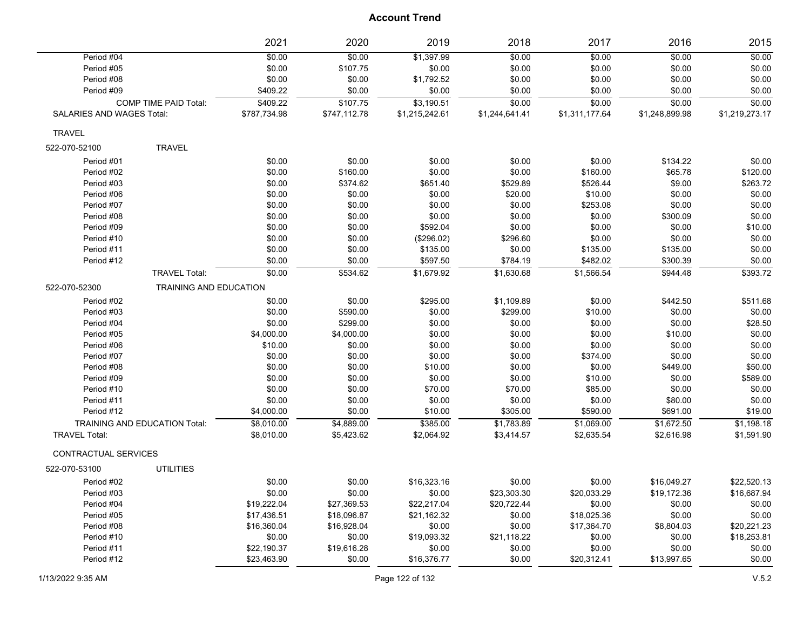|                             |                                      | 2021         | 2020         | 2019           | 2018           | 2017           | 2016           | 2015           |
|-----------------------------|--------------------------------------|--------------|--------------|----------------|----------------|----------------|----------------|----------------|
| Period #04                  |                                      | \$0.00       | \$0.00       | \$1,397.99     | \$0.00         | \$0.00         | \$0.00         | \$0.00         |
| Period #05                  |                                      | \$0.00       | \$107.75     | \$0.00         | \$0.00         | \$0.00         | \$0.00         | \$0.00         |
| Period #08                  |                                      | \$0.00       | \$0.00       | \$1,792.52     | \$0.00         | \$0.00         | \$0.00         | \$0.00         |
| Period #09                  |                                      | \$409.22     | \$0.00       | \$0.00         | \$0.00         | \$0.00         | \$0.00         | \$0.00         |
|                             | <b>COMP TIME PAID Total:</b>         | \$409.22     | \$107.75     | \$3,190.51     | \$0.00         | \$0.00         | \$0.00         | \$0.00         |
| SALARIES AND WAGES Total:   |                                      | \$787,734.98 | \$747,112.78 | \$1,215,242.61 | \$1,244,641.41 | \$1,311,177.64 | \$1,248,899.98 | \$1,219,273.17 |
| <b>TRAVEL</b>               |                                      |              |              |                |                |                |                |                |
| 522-070-52100               | <b>TRAVEL</b>                        |              |              |                |                |                |                |                |
| Period #01                  |                                      | \$0.00       | \$0.00       | \$0.00         | \$0.00         | \$0.00         | \$134.22       | \$0.00         |
| Period #02                  |                                      | \$0.00       | \$160.00     | \$0.00         | \$0.00         | \$160.00       | \$65.78        | \$120.00       |
| Period #03                  |                                      | \$0.00       | \$374.62     | \$651.40       | \$529.89       | \$526.44       | \$9.00         | \$263.72       |
| Period #06                  |                                      | \$0.00       | \$0.00       | \$0.00         | \$20.00        | \$10.00        | \$0.00         | \$0.00         |
| Period #07                  |                                      | \$0.00       | \$0.00       | \$0.00         | \$0.00         | \$253.08       | \$0.00         | \$0.00         |
| Period #08                  |                                      | \$0.00       | \$0.00       | \$0.00         | \$0.00         | \$0.00         | \$300.09       | \$0.00         |
| Period #09                  |                                      | \$0.00       | \$0.00       | \$592.04       | \$0.00         | \$0.00         | \$0.00         | \$10.00        |
| Period #10                  |                                      | \$0.00       | \$0.00       | (\$296.02)     | \$296.60       | \$0.00         | \$0.00         | \$0.00         |
| Period #11                  |                                      | \$0.00       | \$0.00       | \$135.00       | \$0.00         | \$135.00       | \$135.00       | \$0.00         |
| Period #12                  |                                      | \$0.00       | \$0.00       | \$597.50       | \$784.19       | \$482.02       | \$300.39       | \$0.00         |
|                             | <b>TRAVEL Total:</b>                 | \$0.00       | \$534.62     | \$1,679.92     | \$1,630.68     | \$1,566.54     | \$944.48       | \$393.72       |
| 522-070-52300               | TRAINING AND EDUCATION               |              |              |                |                |                |                |                |
| Period #02                  |                                      | \$0.00       | \$0.00       | \$295.00       | \$1,109.89     | \$0.00         | \$442.50       | \$511.68       |
| Period #03                  |                                      | \$0.00       | \$590.00     | \$0.00         | \$299.00       | \$10.00        | \$0.00         | \$0.00         |
| Period #04                  |                                      | \$0.00       | \$299.00     | \$0.00         | \$0.00         | \$0.00         | \$0.00         | \$28.50        |
| Period #05                  |                                      | \$4,000.00   | \$4,000.00   | \$0.00         | \$0.00         | \$0.00         | \$10.00        | \$0.00         |
| Period #06                  |                                      | \$10.00      | \$0.00       | \$0.00         | \$0.00         | \$0.00         | \$0.00         | \$0.00         |
| Period #07                  |                                      | \$0.00       | \$0.00       | \$0.00         | \$0.00         | \$374.00       | \$0.00         | \$0.00         |
| Period #08                  |                                      | \$0.00       | \$0.00       | \$10.00        | \$0.00         | \$0.00         | \$449.00       | \$50.00        |
| Period #09                  |                                      | \$0.00       | \$0.00       | \$0.00         | \$0.00         | \$10.00        | \$0.00         | \$589.00       |
| Period #10                  |                                      | \$0.00       | \$0.00       | \$70.00        | \$70.00        | \$85.00        | \$0.00         | \$0.00         |
| Period #11                  |                                      | \$0.00       | \$0.00       | \$0.00         | \$0.00         | \$0.00         | \$80.00        | \$0.00         |
| Period #12                  |                                      | \$4,000.00   | \$0.00       | \$10.00        | \$305.00       | \$590.00       | \$691.00       | \$19.00        |
|                             | <b>TRAINING AND EDUCATION Total:</b> | \$8,010.00   | \$4,889.00   | \$385.00       | \$1,783.89     | \$1,069.00     | \$1,672.50     | \$1,198.18     |
| <b>TRAVEL Total:</b>        |                                      | \$8,010.00   | \$5,423.62   | \$2,064.92     | \$3,414.57     | \$2,635.54     | \$2,616.98     | \$1,591.90     |
| <b>CONTRACTUAL SERVICES</b> |                                      |              |              |                |                |                |                |                |
| 522-070-53100               | <b>UTILITIES</b>                     |              |              |                |                |                |                |                |
| Period #02                  |                                      | \$0.00       | \$0.00       | \$16,323.16    | \$0.00         | \$0.00         | \$16,049.27    | \$22,520.13    |
| Period #03                  |                                      | \$0.00       | \$0.00       | \$0.00         | \$23,303.30    | \$20,033.29    | \$19,172.36    | \$16,687.94    |
| Period #04                  |                                      | \$19,222.04  | \$27,369.53  | \$22,217.04    | \$20,722.44    | \$0.00         | \$0.00         | \$0.00         |
| Period #05                  |                                      | \$17,436.51  | \$18,096.87  | \$21,162.32    | \$0.00         | \$18,025.36    | \$0.00         | \$0.00         |
| Period #08                  |                                      | \$16,360.04  | \$16,928.04  | \$0.00         | \$0.00         | \$17,364.70    | \$8,804.03     | \$20,221.23    |
| Period #10                  |                                      | \$0.00       | \$0.00       | \$19,093.32    | \$21,118.22    | \$0.00         | \$0.00         | \$18,253.81    |
| Period #11                  |                                      | \$22,190.37  | \$19,616.28  | \$0.00         | \$0.00         | \$0.00         | \$0.00         | \$0.00         |
| Period #12                  |                                      | \$23,463.90  | \$0.00       | \$16,376.77    | \$0.00         | \$20,312.41    | \$13,997.65    | \$0.00         |
|                             |                                      |              |              |                |                |                |                |                |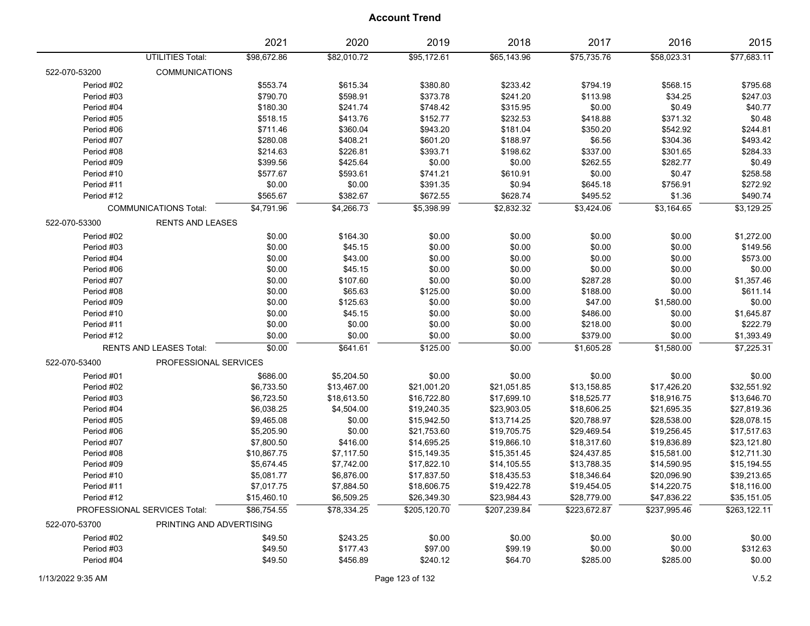|               |                                | 2021        | 2020        | 2019         | 2018         | 2017         | 2016         | 2015         |
|---------------|--------------------------------|-------------|-------------|--------------|--------------|--------------|--------------|--------------|
|               | <b>UTILITIES Total:</b>        | \$98,672.86 | \$82,010.72 | \$95,172.61  | \$65,143.96  | \$75,735.76  | \$58,023.31  | \$77,683.11  |
| 522-070-53200 | <b>COMMUNICATIONS</b>          |             |             |              |              |              |              |              |
| Period #02    |                                | \$553.74    | \$615.34    | \$380.80     | \$233.42     | \$794.19     | \$568.15     | \$795.68     |
| Period #03    |                                | \$790.70    | \$598.91    | \$373.78     | \$241.20     | \$113.98     | \$34.25      | \$247.03     |
| Period #04    |                                | \$180.30    | \$241.74    | \$748.42     | \$315.95     | \$0.00       | \$0.49       | \$40.77      |
| Period #05    |                                | \$518.15    | \$413.76    | \$152.77     | \$232.53     | \$418.88     | \$371.32     | \$0.48       |
| Period #06    |                                | \$711.46    | \$360.04    | \$943.20     | \$181.04     | \$350.20     | \$542.92     | \$244.81     |
| Period #07    |                                | \$280.08    | \$408.21    | \$601.20     | \$188.97     | \$6.56       | \$304.36     | \$493.42     |
| Period #08    |                                | \$214.63    | \$226.81    | \$393.71     | \$198.62     | \$337.00     | \$301.65     | \$284.33     |
| Period #09    |                                | \$399.56    | \$425.64    | \$0.00       | \$0.00       | \$262.55     | \$282.77     | \$0.49       |
| Period #10    |                                | \$577.67    | \$593.61    | \$741.21     | \$610.91     | \$0.00       | \$0.47       | \$258.58     |
| Period #11    |                                | \$0.00      | \$0.00      | \$391.35     | \$0.94       | \$645.18     | \$756.91     | \$272.92     |
| Period #12    |                                | \$565.67    | \$382.67    | \$672.55     | \$628.74     | \$495.52     | \$1.36       | \$490.74     |
|               | <b>COMMUNICATIONS Total:</b>   | \$4,791.96  | \$4,266.73  | \$5,398.99   | \$2,832.32   | \$3,424.06   | \$3,164.65   | \$3,129.25   |
| 522-070-53300 | <b>RENTS AND LEASES</b>        |             |             |              |              |              |              |              |
| Period #02    |                                | \$0.00      | \$164.30    | \$0.00       | \$0.00       | \$0.00       | \$0.00       | \$1,272.00   |
| Period #03    |                                | \$0.00      | \$45.15     | \$0.00       | \$0.00       | \$0.00       | \$0.00       | \$149.56     |
| Period #04    |                                | \$0.00      | \$43.00     | \$0.00       | \$0.00       | \$0.00       | \$0.00       | \$573.00     |
| Period #06    |                                | \$0.00      | \$45.15     | \$0.00       | \$0.00       | \$0.00       | \$0.00       | \$0.00       |
| Period #07    |                                | \$0.00      | \$107.60    | \$0.00       | \$0.00       | \$287.28     | \$0.00       | \$1,357.46   |
| Period #08    |                                | \$0.00      | \$65.63     | \$125.00     | \$0.00       | \$188.00     | \$0.00       | \$611.14     |
| Period #09    |                                | \$0.00      | \$125.63    | \$0.00       | \$0.00       | \$47.00      | \$1,580.00   | \$0.00       |
| Period #10    |                                | \$0.00      | \$45.15     | \$0.00       | \$0.00       | \$486.00     | \$0.00       | \$1,645.87   |
| Period #11    |                                | \$0.00      | \$0.00      | \$0.00       | \$0.00       | \$218.00     | \$0.00       | \$222.79     |
| Period #12    |                                | \$0.00      | \$0.00      | \$0.00       | \$0.00       | \$379.00     | \$0.00       | \$1,393.49   |
|               | <b>RENTS AND LEASES Total:</b> | \$0.00      | \$641.61    | \$125.00     | \$0.00       | \$1,605.28   | \$1,580.00   | \$7,225.31   |
| 522-070-53400 | PROFESSIONAL SERVICES          |             |             |              |              |              |              |              |
| Period #01    |                                | \$686.00    | \$5,204.50  | \$0.00       | \$0.00       | \$0.00       | \$0.00       | \$0.00       |
| Period #02    |                                | \$6,733.50  | \$13,467.00 | \$21,001.20  | \$21,051.85  | \$13,158.85  | \$17,426.20  | \$32,551.92  |
| Period #03    |                                | \$6,723.50  | \$18,613.50 | \$16,722.80  | \$17,699.10  | \$18,525.77  | \$18,916.75  | \$13,646.70  |
| Period #04    |                                | \$6,038.25  | \$4,504.00  | \$19,240.35  | \$23,903.05  | \$18,606.25  | \$21,695.35  | \$27,819.36  |
| Period #05    |                                | \$9,465.08  | \$0.00      | \$15,942.50  | \$13,714.25  | \$20,788.97  | \$28,538.00  | \$28,078.15  |
| Period #06    |                                | \$5,205.90  | \$0.00      | \$21,753.60  | \$19,705.75  | \$29,469.54  | \$19,256.45  | \$17,517.63  |
| Period #07    |                                | \$7,800.50  | \$416.00    | \$14,695.25  | \$19,866.10  | \$18,317.60  | \$19,836.89  | \$23,121.80  |
| Period #08    |                                | \$10,867.75 | \$7,117.50  | \$15,149.35  | \$15,351.45  | \$24,437.85  | \$15,581.00  | \$12,711.30  |
| Period #09    |                                | \$5,674.45  | \$7,742.00  | \$17,822.10  | \$14,105.55  | \$13,788.35  | \$14,590.95  | \$15,194.55  |
| Period #10    |                                | \$5,081.77  | \$6,876.00  | \$17,837.50  | \$18,435.53  | \$18,346.64  | \$20,096.90  | \$39,213.65  |
| Period #11    |                                | \$7,017.75  | \$7,884.50  | \$18,606.75  | \$19,422.78  | \$19,454.05  | \$14,220.75  | \$18,116.00  |
| Period #12    |                                | \$15,460.10 | \$6,509.25  | \$26,349.30  | \$23,984.43  | \$28,779.00  | \$47,836.22  | \$35,151.05  |
|               | PROFESSIONAL SERVICES Total:   | \$86,754.55 | \$78,334.25 | \$205,120.70 | \$207,239.84 | \$223,672.87 | \$237,995.46 | \$263,122.11 |
| 522-070-53700 | PRINTING AND ADVERTISING       |             |             |              |              |              |              |              |
| Period #02    |                                | \$49.50     | \$243.25    | \$0.00       | \$0.00       | \$0.00       | \$0.00       | \$0.00       |
| Period #03    |                                | \$49.50     | \$177.43    | \$97.00      | \$99.19      | \$0.00       | \$0.00       | \$312.63     |
| Period #04    |                                | \$49.50     | \$456.89    | \$240.12     | \$64.70      | \$285.00     | \$285.00     | \$0.00       |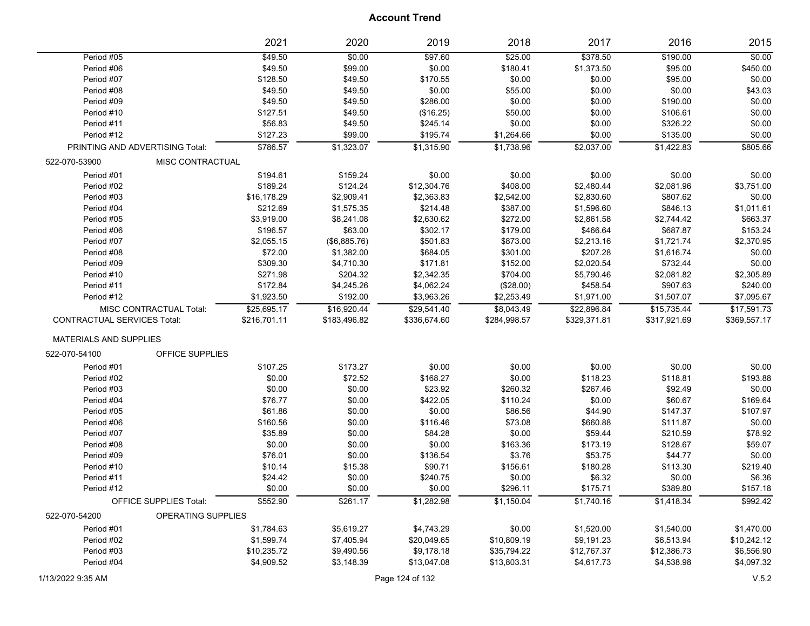|                                    |                                 | 2021         | 2020         | 2019         | 2018         | 2017         | 2016         | 2015         |
|------------------------------------|---------------------------------|--------------|--------------|--------------|--------------|--------------|--------------|--------------|
| Period #05                         |                                 | \$49.50      | \$0.00       | \$97.60      | \$25.00      | \$378.50     | \$190.00     | \$0.00       |
| Period #06                         |                                 | \$49.50      | \$99.00      | \$0.00       | \$180.41     | \$1,373.50   | \$95.00      | \$450.00     |
| Period #07                         |                                 | \$128.50     | \$49.50      | \$170.55     | \$0.00       | \$0.00       | \$95.00      | \$0.00       |
| Period #08                         |                                 | \$49.50      | \$49.50      | \$0.00       | \$55.00      | \$0.00       | \$0.00       | \$43.03      |
| Period #09                         |                                 | \$49.50      | \$49.50      | \$286.00     | \$0.00       | \$0.00       | \$190.00     | \$0.00       |
| Period #10                         |                                 | \$127.51     | \$49.50      | (\$16.25)    | \$50.00      | \$0.00       | \$106.61     | \$0.00       |
| Period #11                         |                                 | \$56.83      | \$49.50      | \$245.14     | \$0.00       | \$0.00       | \$326.22     | \$0.00       |
| Period #12                         |                                 | \$127.23     | \$99.00      | \$195.74     | \$1,264.66   | \$0.00       | \$135.00     | \$0.00       |
|                                    | PRINTING AND ADVERTISING Total: | \$786.57     | \$1,323.07   | \$1,315.90   | \$1,738.96   | \$2,037.00   | \$1,422.83   | \$805.66     |
| 522-070-53900                      | MISC CONTRACTUAL                |              |              |              |              |              |              |              |
| Period #01                         |                                 | \$194.61     | \$159.24     | \$0.00       | \$0.00       | \$0.00       | \$0.00       | \$0.00       |
| Period #02                         |                                 | \$189.24     | \$124.24     | \$12,304.76  | \$408.00     | \$2,480.44   | \$2,081.96   | \$3,751.00   |
| Period #03                         |                                 | \$16,178.29  | \$2,909.41   | \$2,363.83   | \$2,542.00   | \$2,830.60   | \$807.62     | \$0.00       |
| Period #04                         |                                 | \$212.69     | \$1,575.35   | \$214.48     | \$387.00     | \$1,596.60   | \$846.13     | \$1,011.61   |
| Period #05                         |                                 | \$3,919.00   | \$8,241.08   | \$2,630.62   | \$272.00     | \$2,861.58   | \$2,744.42   | \$663.37     |
| Period #06                         |                                 | \$196.57     | \$63.00      | \$302.17     | \$179.00     | \$466.64     | \$687.87     | \$153.24     |
| Period #07                         |                                 | \$2,055.15   | (\$6,885.76) | \$501.83     | \$873.00     | \$2,213.16   | \$1,721.74   | \$2,370.95   |
| Period #08                         |                                 | \$72.00      | \$1,382.00   | \$684.05     | \$301.00     | \$207.28     | \$1,616.74   | \$0.00       |
| Period #09                         |                                 | \$309.30     | \$4,710.30   | \$171.81     | \$152.00     | \$2,020.54   | \$732.44     | \$0.00       |
| Period #10                         |                                 | \$271.98     | \$204.32     | \$2,342.35   | \$704.00     | \$5,790.46   | \$2,081.82   | \$2,305.89   |
| Period #11                         |                                 | \$172.84     | \$4,245.26   | \$4,062.24   | (\$28.00)    | \$458.54     | \$907.63     | \$240.00     |
| Period #12                         |                                 | \$1,923.50   | \$192.00     | \$3,963.26   | \$2,253.49   | \$1,971.00   | \$1,507.07   | \$7,095.67   |
|                                    | MISC CONTRACTUAL Total:         | \$25,695.17  | \$16,920.44  | \$29,541.40  | \$8,043.49   | \$22,896.84  | \$15,735.44  | \$17,591.73  |
| <b>CONTRACTUAL SERVICES Total:</b> |                                 | \$216,701.11 | \$183,496.82 | \$336,674.60 | \$284,998.57 | \$329,371.81 | \$317,921.69 | \$369,557.17 |
| <b>MATERIALS AND SUPPLIES</b>      |                                 |              |              |              |              |              |              |              |
| 522-070-54100                      | OFFICE SUPPLIES                 |              |              |              |              |              |              |              |
| Period #01                         |                                 | \$107.25     | \$173.27     | \$0.00       | \$0.00       | \$0.00       | \$0.00       | \$0.00       |
| Period #02                         |                                 | \$0.00       | \$72.52      | \$168.27     | \$0.00       | \$118.23     | \$118.81     | \$193.88     |
| Period #03                         |                                 | \$0.00       | \$0.00       | \$23.92      | \$260.32     | \$267.46     | \$92.49      | \$0.00       |
| Period #04                         |                                 | \$76.77      | \$0.00       | \$422.05     | \$110.24     | \$0.00       | \$60.67      | \$169.64     |
| Period #05                         |                                 | \$61.86      | \$0.00       | \$0.00       | \$86.56      | \$44.90      | \$147.37     | \$107.97     |
| Period #06                         |                                 | \$160.56     | \$0.00       | \$116.46     | \$73.08      | \$660.88     | \$111.87     | \$0.00       |
| Period #07                         |                                 | \$35.89      | \$0.00       | \$84.28      | \$0.00       | \$59.44      | \$210.59     | \$78.92      |
| Period #08                         |                                 | \$0.00       | \$0.00       | \$0.00       | \$163.36     | \$173.19     | \$128.67     | \$59.07      |
| Period #09                         |                                 | \$76.01      | \$0.00       | \$136.54     | \$3.76       | \$53.75      | \$44.77      | \$0.00       |
| Period #10                         |                                 | \$10.14      | \$15.38      | \$90.71      | \$156.61     | \$180.28     | \$113.30     | \$219.40     |
| Period #11                         |                                 | \$24.42      | \$0.00       | \$240.75     | \$0.00       | \$6.32       | \$0.00       | \$6.36       |
| Period #12                         |                                 | \$0.00       | \$0.00       | \$0.00       | \$296.11     | \$175.71     | \$389.80     | \$157.18     |
|                                    | OFFICE SUPPLIES Total:          | \$552.90     | \$261.17     | \$1,282.98   | \$1,150.04   | \$1,740.16   | \$1,418.34   | \$992.42     |
| 522-070-54200                      | <b>OPERATING SUPPLIES</b>       |              |              |              |              |              |              |              |
| Period #01                         |                                 | \$1,784.63   | \$5,619.27   | \$4,743.29   | \$0.00       | \$1,520.00   | \$1,540.00   | \$1,470.00   |
| Period #02                         |                                 | \$1,599.74   | \$7,405.94   | \$20,049.65  | \$10,809.19  | \$9,191.23   | \$6,513.94   | \$10,242.12  |
| Period #03                         |                                 | \$10,235.72  | \$9,490.56   | \$9,178.18   | \$35,794.22  | \$12,767.37  | \$12,386.73  | \$6,556.90   |
| Period #04                         |                                 | \$4,909.52   | \$3,148.39   | \$13,047.08  | \$13,803.31  | \$4,617.73   | \$4,538.98   | \$4,097.32   |
|                                    |                                 |              |              |              |              |              |              |              |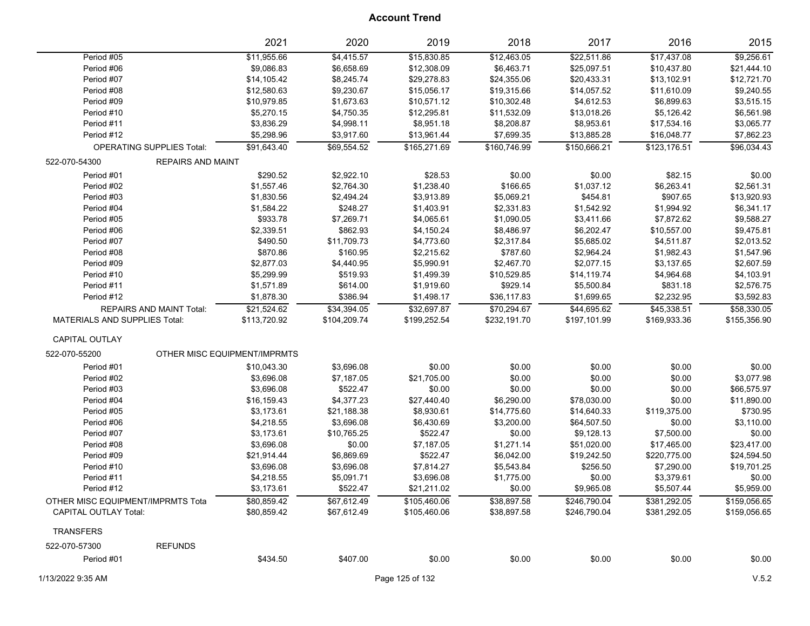|                                      |                                  | 2021                         | 2020         | 2019            | 2018         | 2017         | 2016         | 2015         |
|--------------------------------------|----------------------------------|------------------------------|--------------|-----------------|--------------|--------------|--------------|--------------|
| Period #05                           |                                  | \$11,955.66                  | \$4,415.57   | \$15,830.85     | \$12,463.05  | \$22,511.86  | \$17,437.08  | \$9,256.61   |
| Period #06                           |                                  | \$9,086.83                   | \$6,658.69   | \$12,308.09     | \$6,463.71   | \$25,097.51  | \$10,437.80  | \$21,444.10  |
| Period #07                           |                                  | \$14,105.42                  | \$8,245.74   | \$29,278.83     | \$24,355.06  | \$20,433.31  | \$13,102.91  | \$12,721.70  |
| Period #08                           |                                  | \$12,580.63                  | \$9,230.67   | \$15,056.17     | \$19,315.66  | \$14,057.52  | \$11,610.09  | \$9,240.55   |
| Period #09                           |                                  | \$10,979.85                  | \$1,673.63   | \$10,571.12     | \$10,302.48  | \$4,612.53   | \$6,899.63   | \$3,515.15   |
| Period #10                           |                                  | \$5,270.15                   | \$4,750.35   | \$12,295.81     | \$11,532.09  | \$13,018.26  | \$5,126.42   | \$6,561.98   |
| Period #11                           |                                  | \$3,836.29                   | \$4,998.11   | \$8,951.18      | \$8,208.87   | \$8,953.61   | \$17,534.16  | \$3,065.77   |
| Period #12                           |                                  | \$5,298.96                   | \$3,917.60   | \$13,961.44     | \$7,699.35   | \$13,885.28  | \$16,048.77  | \$7,862.23   |
|                                      | <b>OPERATING SUPPLIES Total:</b> | \$91,643.40                  | \$69,554.52  | \$165,271.69    | \$160,746.99 | \$150,666.21 | \$123,176.51 | \$96,034.43  |
| 522-070-54300                        | <b>REPAIRS AND MAINT</b>         |                              |              |                 |              |              |              |              |
| Period #01                           |                                  | \$290.52                     | \$2,922.10   | \$28.53         | \$0.00       | \$0.00       | \$82.15      | \$0.00       |
| Period #02                           |                                  | \$1,557.46                   | \$2,764.30   | \$1,238.40      | \$166.65     | \$1,037.12   | \$6,263.41   | \$2,561.31   |
| Period #03                           |                                  | \$1,830.56                   | \$2,494.24   | \$3,913.89      | \$5,069.21   | \$454.81     | \$907.65     | \$13,920.93  |
| Period #04                           |                                  | \$1,584.22                   | \$248.27     | \$1,403.91      | \$2,331.83   | \$1,542.92   | \$1,994.92   | \$6,341.17   |
| Period #05                           |                                  | \$933.78                     | \$7,269.71   | \$4,065.61      | \$1,090.05   | \$3,411.66   | \$7,872.62   | \$9,588.27   |
| Period #06                           |                                  | \$2,339.51                   | \$862.93     | \$4,150.24      | \$8,486.97   | \$6,202.47   | \$10,557.00  | \$9,475.81   |
| Period #07                           |                                  | \$490.50                     | \$11,709.73  | \$4,773.60      | \$2,317.84   | \$5,685.02   | \$4,511.87   | \$2,013.52   |
| Period #08                           |                                  | \$870.86                     | \$160.95     | \$2,215.62      | \$787.60     | \$2,964.24   | \$1,982.43   | \$1,547.96   |
| Period #09                           |                                  | \$2,877.03                   | \$4,440.95   | \$5,990.91      | \$2,467.70   | \$2,077.15   | \$3,137.65   | \$2,607.59   |
| Period #10                           |                                  | \$5,299.99                   | \$519.93     | \$1,499.39      | \$10,529.85  | \$14,119.74  | \$4,964.68   | \$4,103.91   |
| Period #11                           |                                  | \$1,571.89                   | \$614.00     | \$1,919.60      | \$929.14     | \$5,500.84   | \$831.18     | \$2,576.75   |
| Period #12                           |                                  | \$1,878.30                   | \$386.94     | \$1,498.17      | \$36,117.83  | \$1,699.65   | \$2,232.95   | \$3,592.83   |
|                                      | <b>REPAIRS AND MAINT Total:</b>  | \$21,524.62                  | \$34,394.05  | \$32,697.87     | \$70,294.67  | \$44,695.62  | \$45,338.51  | \$58,330.05  |
| <b>MATERIALS AND SUPPLIES Total:</b> |                                  | \$113,720.92                 | \$104,209.74 | \$199,252.54    | \$232,191.70 | \$197,101.99 | \$169,933.36 | \$155,356.90 |
| CAPITAL OUTLAY                       |                                  |                              |              |                 |              |              |              |              |
| 522-070-55200                        |                                  | OTHER MISC EQUIPMENT/IMPRMTS |              |                 |              |              |              |              |
| Period #01                           |                                  | \$10,043.30                  | \$3,696.08   | \$0.00          | \$0.00       | \$0.00       | \$0.00       | \$0.00       |
| Period #02                           |                                  | \$3,696.08                   | \$7,187.05   | \$21,705.00     | \$0.00       | \$0.00       | \$0.00       | \$3,077.98   |
| Period #03                           |                                  | \$3,696.08                   | \$522.47     | \$0.00          | \$0.00       | \$0.00       | \$0.00       | \$66,575.97  |
| Period #04                           |                                  | \$16,159.43                  | \$4,377.23   | \$27,440.40     | \$6,290.00   | \$78,030.00  | \$0.00       | \$11,890.00  |
| Period #05                           |                                  | \$3,173.61                   | \$21,188.38  | \$8,930.61      | \$14,775.60  | \$14,640.33  | \$119,375.00 | \$730.95     |
| Period #06                           |                                  | \$4,218.55                   | \$3,696.08   | \$6,430.69      | \$3,200.00   | \$64,507.50  | \$0.00       | \$3,110.00   |
| Period #07                           |                                  | \$3,173.61                   | \$10,765.25  | \$522.47        | \$0.00       | \$9,128.13   | \$7,500.00   | \$0.00       |
| Period #08                           |                                  | \$3,696.08                   | \$0.00       | \$7,187.05      | \$1,271.14   | \$51,020.00  | \$17,465.00  | \$23,417.00  |
| Period #09                           |                                  | \$21,914.44                  | \$6,869.69   | \$522.47        | \$6,042.00   | \$19,242.50  | \$220,775.00 | \$24,594.50  |
| Period #10                           |                                  | \$3,696.08                   | \$3,696.08   | \$7,814.27      | \$5,543.84   | \$256.50     | \$7,290.00   | \$19,701.25  |
| Period #11                           |                                  | \$4,218.55                   | \$5,091.71   | \$3,696.08      | \$1,775.00   | \$0.00       | \$3,379.61   | \$0.00       |
| Period #12                           |                                  | \$3,173.61                   | \$522.47     | \$21,211.02     | \$0.00       | \$9,965.08   | \$5,507.44   | \$5,959.00   |
| OTHER MISC EQUIPMENT/IMPRMTS Tota    |                                  | \$80,859.42                  | \$67,612.49  | \$105,460.06    | \$38,897.58  | \$246,790.04 | \$381,292.05 | \$159,056.65 |
| CAPITAL OUTLAY Total:                |                                  | \$80,859.42                  | \$67,612.49  | \$105,460.06    | \$38,897.58  | \$246,790.04 | \$381,292.05 | \$159,056.65 |
| <b>TRANSFERS</b>                     |                                  |                              |              |                 |              |              |              |              |
| 522-070-57300                        | <b>REFUNDS</b>                   |                              |              |                 |              |              |              |              |
| Period #01                           |                                  | \$434.50                     | \$407.00     | \$0.00          | \$0.00       | \$0.00       | \$0.00       | \$0.00       |
| 1/13/2022 9:35 AM                    |                                  |                              |              | Page 125 of 132 |              |              |              | V.5.2        |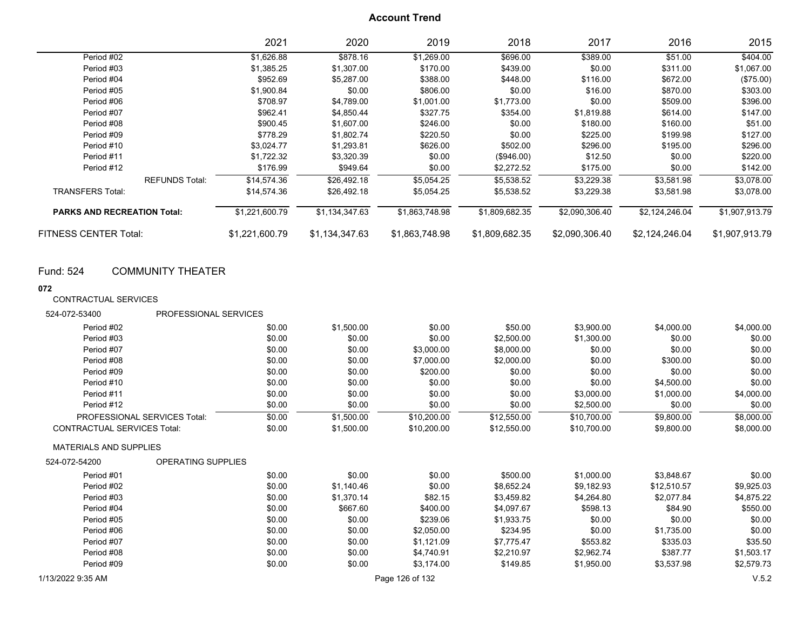|                                    | 2021           | 2020           | 2019           | 2018           | 2017           | 2016           | 2015           |
|------------------------------------|----------------|----------------|----------------|----------------|----------------|----------------|----------------|
| Period #02                         | \$1,626.88     | \$878.16       | \$1,269.00     | \$696.00       | \$389.00       | \$51.00        | \$404.00       |
| Period #03                         | \$1,385.25     | \$1,307.00     | \$170.00       | \$439.00       | \$0.00         | \$311.00       | \$1,067.00     |
| Period #04                         | \$952.69       | \$5,287.00     | \$388.00       | \$448.00       | \$116.00       | \$672.00       | (\$75.00)      |
| Period #05                         | \$1,900.84     | \$0.00         | \$806.00       | \$0.00         | \$16.00        | \$870.00       | \$303.00       |
| Period #06                         | \$708.97       | \$4,789.00     | \$1,001.00     | \$1,773.00     | \$0.00         | \$509.00       | \$396.00       |
| Period #07                         | \$962.41       | \$4,850.44     | \$327.75       | \$354.00       | \$1,819.88     | \$614.00       | \$147.00       |
| Period #08                         | \$900.45       | \$1,607.00     | \$246.00       | \$0.00         | \$180.00       | \$160.00       | \$51.00        |
| Period #09                         | \$778.29       | \$1,802.74     | \$220.50       | \$0.00         | \$225.00       | \$199.98       | \$127.00       |
| Period #10                         | \$3,024.77     | \$1,293.81     | \$626.00       | \$502.00       | \$296.00       | \$195.00       | \$296.00       |
| Period #11                         | \$1,722.32     | \$3,320.39     | \$0.00         | $(\$946.00)$   | \$12.50        | \$0.00         | \$220.00       |
| Period #12                         | \$176.99       | \$949.64       | \$0.00         | \$2,272.52     | \$175.00       | \$0.00         | \$142.00       |
| <b>REFUNDS Total:</b>              | \$14,574.36    | \$26,492.18    | \$5,054.25     | \$5,538.52     | \$3,229.38     | \$3,581.98     | \$3,078.00     |
| <b>TRANSFERS Total:</b>            | \$14,574.36    | \$26,492.18    | \$5,054.25     | \$5,538.52     | \$3,229.38     | \$3,581.98     | \$3,078.00     |
| <b>PARKS AND RECREATION Total:</b> | \$1,221,600.79 | \$1,134,347.63 | \$1,863,748.98 | \$1,809,682.35 | \$2,090,306.40 | \$2,124,246.04 | \$1,907,913.79 |
| <b>FITNESS CENTER Total:</b>       | \$1,221,600.79 | \$1,134,347.63 | \$1,863,748.98 | \$1,809,682.35 | \$2,090,306.40 | \$2,124,246.04 | \$1,907,913.79 |

Fund: 524 COMMUNITY THEATER

#### **072**

CONTRACTUAL SERVICES

| 524-072-53400                      | PROFESSIONAL SERVICES |        |            |                 |             |             |             |            |
|------------------------------------|-----------------------|--------|------------|-----------------|-------------|-------------|-------------|------------|
| Period #02                         |                       | \$0.00 | \$1,500.00 | \$0.00          | \$50.00     | \$3,900.00  | \$4,000.00  | \$4,000.00 |
| Period #03                         |                       | \$0.00 | \$0.00     | \$0.00          | \$2,500.00  | \$1,300.00  | \$0.00      | \$0.00     |
| Period #07                         |                       | \$0.00 | \$0.00     | \$3,000.00      | \$8,000.00  | \$0.00      | \$0.00      | \$0.00     |
| Period #08                         |                       | \$0.00 | \$0.00     | \$7,000.00      | \$2,000.00  | \$0.00      | \$300.00    | \$0.00     |
| Period #09                         |                       | \$0.00 | \$0.00     | \$200.00        | \$0.00      | \$0.00      | \$0.00      | \$0.00     |
| Period #10                         |                       | \$0.00 | \$0.00     | \$0.00          | \$0.00      | \$0.00      | \$4,500.00  | \$0.00     |
| Period #11                         |                       | \$0.00 | \$0.00     | \$0.00          | \$0.00      | \$3,000.00  | \$1,000.00  | \$4,000.00 |
| Period #12                         |                       | \$0.00 | \$0.00     | \$0.00          | \$0.00      | \$2,500.00  | \$0.00      | \$0.00     |
| PROFESSIONAL SERVICES Total:       |                       | \$0.00 | \$1,500.00 | \$10,200.00     | \$12,550.00 | \$10,700.00 | \$9,800.00  | \$8,000.00 |
| <b>CONTRACTUAL SERVICES Total:</b> |                       | \$0.00 | \$1,500.00 | \$10,200.00     | \$12,550.00 | \$10,700.00 | \$9,800.00  | \$8,000.00 |
| <b>MATERIALS AND SUPPLIES</b>      |                       |        |            |                 |             |             |             |            |
| 524-072-54200                      | OPERATING SUPPLIES    |        |            |                 |             |             |             |            |
| Period #01                         |                       | \$0.00 | \$0.00     | \$0.00          | \$500.00    | \$1,000.00  | \$3,848.67  | \$0.00     |
| Period #02                         |                       | \$0.00 | \$1,140.46 | \$0.00          | \$8,652.24  | \$9,182.93  | \$12,510.57 | \$9,925.03 |
| Period #03                         |                       | \$0.00 | \$1.370.14 | \$82.15         | \$3,459.82  | \$4,264.80  | \$2,077.84  | \$4,875.22 |
| Period #04                         |                       | \$0.00 | \$667.60   | \$400.00        | \$4,097.67  | \$598.13    | \$84.90     | \$550.00   |
| Period #05                         |                       | \$0.00 | \$0.00     | \$239.06        | \$1,933.75  | \$0.00      | \$0.00      | \$0.00     |
| Period #06                         |                       | \$0.00 | \$0.00     | \$2,050.00      | \$234.95    | \$0.00      | \$1,735.00  | \$0.00     |
| Period #07                         |                       | \$0.00 | \$0.00     | \$1,121.09      | \$7,775.47  | \$553.82    | \$335.03    | \$35.50    |
| Period #08                         |                       | \$0.00 | \$0.00     | \$4,740.91      | \$2.210.97  | \$2,962.74  | \$387.77    | \$1,503.17 |
| Period #09                         |                       | \$0.00 | \$0.00     | \$3,174.00      | \$149.85    | \$1,950.00  | \$3,537.98  | \$2,579.73 |
| 1/13/2022 9:35 AM                  |                       |        |            | Page 126 of 132 |             |             |             | V.5.2      |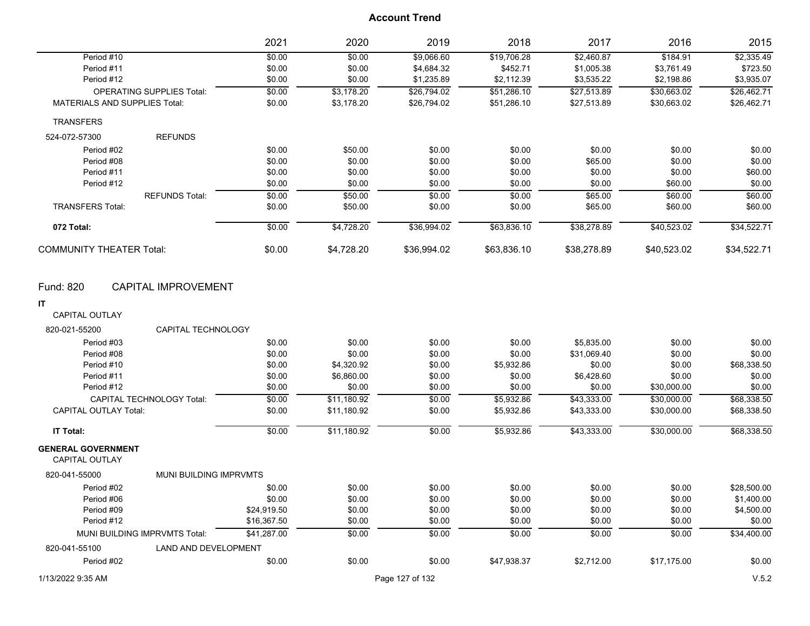|                                                                                      | 2021                          | 2020        | 2019        | 2018              | 2017        | 2016        | 2015        |
|--------------------------------------------------------------------------------------|-------------------------------|-------------|-------------|-------------------|-------------|-------------|-------------|
| Period #10                                                                           | \$0.00                        | \$0.00      | \$9,066.60  | \$19,706.28       | \$2,460.87  | \$184.91    | \$2,335.49  |
| Period #11                                                                           | \$0.00                        | \$0.00      | \$4,684.32  | \$452.71          | \$1,005.38  | \$3,761.49  | \$723.50    |
| Period #12                                                                           | \$0.00                        | \$0.00      | \$1,235.89  | \$2,112.39        | \$3,535.22  | \$2,198.86  | \$3,935.07  |
| <b>OPERATING SUPPLIES Total:</b>                                                     | \$0.00                        | \$3,178.20  | \$26.794.02 | \$51.286.10       | \$27,513.89 | \$30.663.02 | \$26.462.71 |
| <b>MATERIALS AND SUPPLIES Total:</b>                                                 | \$0.00                        | \$3,178.20  | \$26,794.02 | \$51,286.10       | \$27,513.89 | \$30,663.02 | \$26,462.71 |
| <b>TRANSFERS</b>                                                                     |                               |             |             |                   |             |             |             |
| <b>REFUNDS</b><br>524-072-57300                                                      |                               |             |             |                   |             |             |             |
| Period #02                                                                           | \$0.00                        | \$50.00     | \$0.00      | \$0.00            | \$0.00      | \$0.00      | \$0.00      |
| Period #08                                                                           | \$0.00                        | \$0.00      | \$0.00      | \$0.00            | \$65.00     | \$0.00      | \$0.00      |
| Period #11                                                                           | \$0.00                        | \$0.00      | \$0.00      | \$0.00            | \$0.00      | \$0.00      | \$60.00     |
| Period #12                                                                           | \$0.00                        | \$0.00      | \$0.00      | \$0.00            | \$0.00      | \$60.00     | \$0.00      |
| <b>REFUNDS Total:</b>                                                                | \$0.00                        | \$50.00     | \$0.00      | \$0.00            | \$65.00     | \$60.00     | \$60.00     |
| <b>TRANSFERS Total:</b>                                                              | \$0.00                        | \$50.00     | \$0.00      | \$0.00            | \$65.00     | \$60.00     | \$60.00     |
| 072 Total:                                                                           | \$0.00                        | \$4,728.20  | \$36,994.02 | \$63,836.10       | \$38,278.89 | \$40,523.02 | \$34,522.71 |
| <b>COMMUNITY THEATER Total:</b>                                                      | \$0.00                        | \$4,728.20  | \$36,994.02 | \$63,836.10       | \$38,278.89 | \$40,523.02 | \$34,522.71 |
| <b>CAPITAL IMPROVEMENT</b><br><b>Fund: 820</b><br><b>IT</b><br><b>CAPITAL OUTLAY</b> |                               |             |             |                   |             |             |             |
| 820-021-55200                                                                        | CAPITAL TECHNOLOGY            |             |             |                   |             |             |             |
| Period #03                                                                           | \$0.00                        | \$0.00      | \$0.00      | \$0.00            | \$5,835.00  | \$0.00      | \$0.00      |
| Period #08                                                                           | \$0.00                        | \$0.00      | \$0.00      | \$0.00            | \$31,069.40 | \$0.00      | \$0.00      |
| Period #10                                                                           | \$0.00                        | \$4,320.92  | \$0.00      | \$5,932.86        | \$0.00      | \$0.00      | \$68,338.50 |
| Period #11                                                                           | \$0.00                        | \$6,860.00  | \$0.00      | \$0.00            | \$6,428.60  | \$0.00      | \$0.00      |
| Period #12                                                                           | \$0.00                        | \$0.00      | \$0.00      | \$0.00            | \$0.00      | \$30,000.00 | \$0.00      |
| CAPITAL TECHNOLOGY Total:                                                            | \$0.00                        | \$11,180.92 | \$0.00      | \$5,932.86        | \$43,333.00 | \$30,000.00 | \$68,338.50 |
| <b>CAPITAL OUTLAY Total:</b>                                                         | \$0.00                        | \$11,180.92 | \$0.00      | \$5,932.86        | \$43,333.00 | \$30,000.00 | \$68,338.50 |
| <b>IT Total:</b>                                                                     | \$0.00                        | \$11.180.92 | \$0.00      | \$5.932.86        | \$43.333.00 | \$30,000.00 | \$68.338.50 |
| <b>GENERAL GOVERNMENT</b><br><b>CAPITAL OUTLAY</b>                                   |                               |             |             |                   |             |             |             |
| 820-041-55000                                                                        | <b>MUNI BUILDING IMPRVMTS</b> |             |             |                   |             |             |             |
| Period #02                                                                           | \$0.00                        | \$0.00      | \$0.00      | \$0.00            | \$0.00      | \$0.00      | \$28,500.00 |
| Period #06                                                                           | \$0.00                        | \$0.00      | \$0.00      | \$0.00            | \$0.00      | \$0.00      | \$1,400.00  |
| Period #09                                                                           | \$24,919.50                   | \$0.00      | \$0.00      | \$0.00            | \$0.00      | \$0.00      | \$4,500.00  |
| Period #12                                                                           | \$16,367.50                   | \$0.00      | \$0.00      | \$0.00            | \$0.00      | \$0.00      | \$0.00      |
| <b>MUNI BUILDING IMPRVMTS Total:</b>                                                 | \$41,287.00                   | \$0.00      | \$0.00      | $\frac{1}{60.00}$ | \$0.00      | \$0.00      | \$34,400.00 |
| 820-041-55100                                                                        | LAND AND DEVELOPMENT          |             |             |                   |             |             |             |
| Period #02                                                                           | \$0.00                        | \$0.00      | \$0.00      | \$47,938.37       | \$2,712.00  | \$17,175.00 | \$0.00      |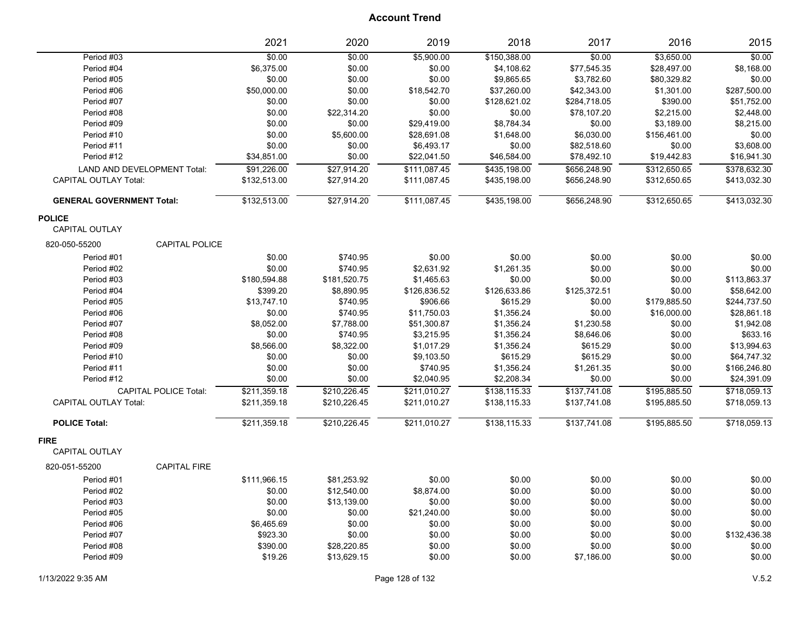|                                  | 2021                  | 2020         | 2019         | 2018         | 2017         | 2016         | 2015         |
|----------------------------------|-----------------------|--------------|--------------|--------------|--------------|--------------|--------------|
| Period #03                       | \$0.00                | \$0.00       | \$5,900.00   | \$150,388.00 | \$0.00       | \$3,650.00   | \$0.00       |
| Period #04                       | \$6,375.00            | \$0.00       | \$0.00       | \$4,108.62   | \$77,545.35  | \$28,497.00  | \$8,168.00   |
| Period #05                       | \$0.00                | \$0.00       | \$0.00       | \$9,865.65   | \$3,782.60   | \$80,329.82  | \$0.00       |
| Period #06                       | \$50,000.00           | \$0.00       | \$18,542.70  | \$37,260.00  | \$42,343.00  | \$1,301.00   | \$287,500.00 |
| Period #07                       | \$0.00                | \$0.00       | \$0.00       | \$128,621.02 | \$284,718.05 | \$390.00     | \$51,752.00  |
| Period #08                       | \$0.00                | \$22,314.20  | \$0.00       | \$0.00       | \$78,107.20  | \$2,215.00   | \$2,448.00   |
| Period #09                       | \$0.00                | \$0.00       | \$29,419.00  | \$8,784.34   | \$0.00       | \$3,189.00   | \$8,215.00   |
| Period #10                       | \$0.00                | \$5,600.00   | \$28,691.08  | \$1,648.00   | \$6,030.00   | \$156,461.00 | \$0.00       |
| Period #11                       | \$0.00                | \$0.00       | \$6,493.17   | \$0.00       | \$82,518.60  | \$0.00       | \$3,608.00   |
| Period #12                       | \$34,851.00           | \$0.00       | \$22,041.50  | \$46,584.00  | \$78,492.10  | \$19,442.83  | \$16,941.30  |
| LAND AND DEVELOPMENT Total:      | \$91,226.00           | \$27,914.20  | \$111,087.45 | \$435,198.00 | \$656,248.90 | \$312,650.65 | \$378,632.30 |
| <b>CAPITAL OUTLAY Total:</b>     | \$132,513.00          | \$27,914.20  | \$111,087.45 | \$435,198.00 | \$656,248.90 | \$312,650.65 | \$413,032.30 |
| <b>GENERAL GOVERNMENT Total:</b> | \$132,513.00          | \$27,914.20  | \$111,087.45 | \$435,198.00 | \$656,248.90 | \$312,650.65 | \$413,032.30 |
| <b>POLICE</b>                    |                       |              |              |              |              |              |              |
| <b>CAPITAL OUTLAY</b>            |                       |              |              |              |              |              |              |
| 820-050-55200                    | <b>CAPITAL POLICE</b> |              |              |              |              |              |              |
| Period #01                       | \$0.00                | \$740.95     | \$0.00       | \$0.00       | \$0.00       | \$0.00       | \$0.00       |
| Period #02                       | \$0.00                | \$740.95     | \$2,631.92   | \$1,261.35   | \$0.00       | \$0.00       | \$0.00       |
| Period #03                       | \$180,594.88          | \$181,520.75 | \$1,465.63   | \$0.00       | \$0.00       | \$0.00       | \$113,863.37 |
| Period #04                       | \$399.20              | \$8,890.95   | \$126,836.52 | \$126,633.86 | \$125,372.51 | \$0.00       | \$58,642.00  |
| Period #05                       | \$13,747.10           | \$740.95     | \$906.66     | \$615.29     | \$0.00       | \$179,885.50 | \$244,737.50 |
| Period #06                       | \$0.00                | \$740.95     | \$11,750.03  | \$1,356.24   | \$0.00       | \$16,000.00  | \$28,861.18  |
| Period #07                       | \$8,052.00            | \$7,788.00   | \$51,300.87  | \$1,356.24   | \$1,230.58   | \$0.00       | \$1,942.08   |
| Period #08                       | \$0.00                | \$740.95     | \$3,215.95   | \$1,356.24   | \$8,646.06   | \$0.00       | \$633.16     |
| Period #09                       | \$8,566.00            | \$8,322.00   | \$1,017.29   | \$1,356.24   | \$615.29     | \$0.00       | \$13,994.63  |
| Period #10                       | \$0.00                | \$0.00       | \$9,103.50   | \$615.29     | \$615.29     | \$0.00       | \$64,747.32  |
| Period #11                       | \$0.00                | \$0.00       | \$740.95     | \$1,356.24   | \$1,261.35   | \$0.00       | \$166,246.80 |
| Period #12                       | \$0.00                | \$0.00       | \$2,040.95   | \$2,208.34   | \$0.00       | \$0.00       | \$24,391.09  |
| <b>CAPITAL POLICE Total:</b>     | \$211,359.18          | \$210,226.45 | \$211,010.27 | \$138,115.33 | \$137,741.08 | \$195,885.50 | \$718,059.13 |
| <b>CAPITAL OUTLAY Total:</b>     | \$211,359.18          | \$210,226.45 | \$211,010.27 | \$138,115.33 | \$137,741.08 | \$195,885.50 | \$718,059.13 |
| <b>POLICE Total:</b>             | \$211,359.18          | \$210,226.45 | \$211,010.27 | \$138,115.33 | \$137,741.08 | \$195,885.50 | \$718,059.13 |
| <b>FIRE</b>                      |                       |              |              |              |              |              |              |
| <b>CAPITAL OUTLAY</b>            |                       |              |              |              |              |              |              |
| 820-051-55200                    | <b>CAPITAL FIRE</b>   |              |              |              |              |              |              |
| Period #01                       | \$111,966.15          | \$81,253.92  | \$0.00       | \$0.00       | \$0.00       | \$0.00       | \$0.00       |
| Period #02                       | \$0.00                | \$12,540.00  | \$8,874.00   | \$0.00       | \$0.00       | \$0.00       | \$0.00       |
| Period #03                       | \$0.00                | \$13,139.00  | \$0.00       | \$0.00       | \$0.00       | \$0.00       | \$0.00       |
| Period #05                       | \$0.00                | \$0.00       | \$21,240.00  | \$0.00       | \$0.00       | \$0.00       | \$0.00       |
| Period #06                       | \$6,465.69            | \$0.00       | \$0.00       | \$0.00       | \$0.00       | \$0.00       | \$0.00       |
| Period #07                       | \$923.30              | \$0.00       | \$0.00       | \$0.00       | \$0.00       | \$0.00       | \$132,436.38 |
| Period #08                       | \$390.00              | \$28,220.85  | \$0.00       | \$0.00       | \$0.00       | \$0.00       | \$0.00       |
| Period #09                       | \$19.26               | \$13,629.15  | \$0.00       | \$0.00       | \$7,186.00   | \$0.00       | \$0.00       |
|                                  |                       |              |              |              |              |              |              |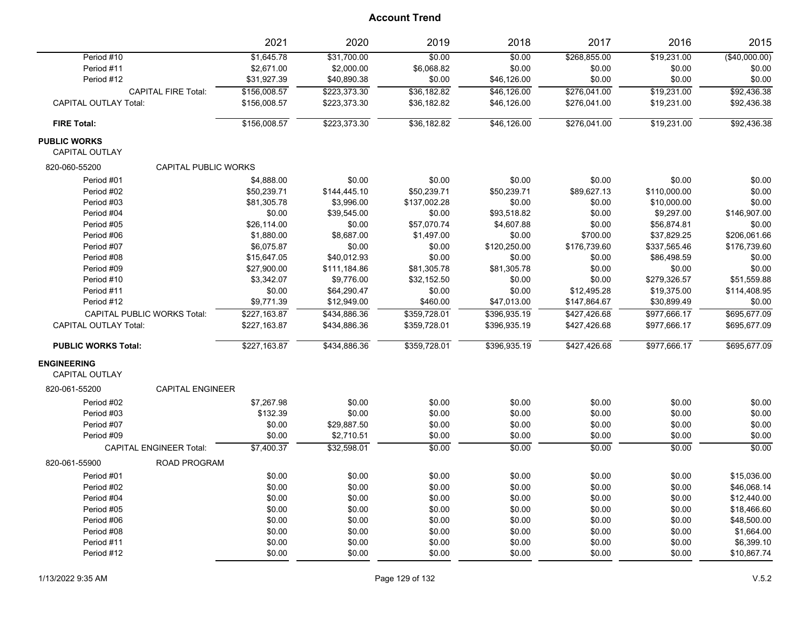|                                              | 2021                        | 2020         | 2019         | 2018         | 2017         | 2016         | 2015           |
|----------------------------------------------|-----------------------------|--------------|--------------|--------------|--------------|--------------|----------------|
| Period #10                                   | \$1,645.78                  | \$31,700.00  | \$0.00       | \$0.00       | \$268,855.00 | \$19,231.00  | $(*40,000.00)$ |
| Period #11                                   | \$2,671.00                  | \$2,000.00   | \$6,068.82   | \$0.00       | \$0.00       | \$0.00       | \$0.00         |
| Period #12                                   | \$31,927.39                 | \$40,890.38  | \$0.00       | \$46,126.00  | \$0.00       | \$0.00       | \$0.00         |
| <b>CAPITAL FIRE Total:</b>                   | \$156,008.57                | \$223,373.30 | \$36,182.82  | \$46,126.00  | \$276,041.00 | \$19,231.00  | \$92,436.38    |
| <b>CAPITAL OUTLAY Total:</b>                 | \$156,008.57                | \$223,373.30 | \$36,182.82  | \$46,126.00  | \$276,041.00 | \$19,231.00  | \$92,436.38    |
| <b>FIRE Total:</b>                           | \$156,008.57                | \$223,373.30 | \$36,182.82  | \$46,126.00  | \$276,041.00 | \$19,231.00  | \$92,436.38    |
| <b>PUBLIC WORKS</b><br><b>CAPITAL OUTLAY</b> |                             |              |              |              |              |              |                |
| 820-060-55200                                | <b>CAPITAL PUBLIC WORKS</b> |              |              |              |              |              |                |
| Period #01                                   | \$4,888.00                  | \$0.00       | \$0.00       | \$0.00       | \$0.00       | \$0.00       | \$0.00         |
| Period #02                                   | \$50,239.71                 | \$144,445.10 | \$50,239.71  | \$50,239.71  | \$89,627.13  | \$110,000.00 | \$0.00         |
| Period #03                                   | \$81,305.78                 | \$3,996.00   | \$137,002.28 | \$0.00       | \$0.00       | \$10,000.00  | \$0.00         |
| Period #04                                   | \$0.00                      | \$39,545.00  | \$0.00       | \$93,518.82  | \$0.00       | \$9,297.00   | \$146,907.00   |
| Period #05                                   | \$26,114.00                 | \$0.00       | \$57,070.74  | \$4,607.88   | \$0.00       | \$56,874.81  | \$0.00         |
| Period #06                                   | \$1,880.00                  | \$8,687.00   | \$1,497.00   | \$0.00       | \$700.00     | \$37,829.25  | \$206,061.66   |
| Period #07                                   | \$6,075.87                  | \$0.00       | \$0.00       | \$120,250.00 | \$176,739.60 | \$337,565.46 | \$176,739.60   |
| Period #08                                   | \$15,647.05                 | \$40,012.93  | \$0.00       | \$0.00       | \$0.00       | \$86,498.59  | \$0.00         |
| Period #09                                   | \$27,900.00                 | \$111,184.86 | \$81,305.78  | \$81,305.78  | \$0.00       | \$0.00       | \$0.00         |
| Period #10                                   | \$3,342.07                  | \$9,776.00   | \$32,152.50  | \$0.00       | \$0.00       | \$279,326.57 | \$51,559.88    |
| Period #11                                   | \$0.00                      | \$64,290.47  | \$0.00       | \$0.00       | \$12,495.28  | \$19,375.00  | \$114,408.95   |
| Period #12                                   | \$9,771.39                  | \$12,949.00  | \$460.00     | \$47,013.00  | \$147,864.67 | \$30,899.49  | \$0.00         |
| <b>CAPITAL PUBLIC WORKS Total:</b>           | \$227,163.87                | \$434,886.36 | \$359,728.01 | \$396,935.19 | \$427,426.68 | \$977,666.17 | \$695,677.09   |
| <b>CAPITAL OUTLAY Total:</b>                 | \$227,163.87                | \$434,886.36 | \$359,728.01 | \$396,935.19 | \$427,426.68 | \$977,666.17 | \$695,677.09   |
| <b>PUBLIC WORKS Total:</b>                   | \$227,163.87                | \$434,886.36 | \$359,728.01 | \$396,935.19 | \$427,426.68 | \$977,666.17 | \$695,677.09   |
| <b>ENGINEERING</b><br>CAPITAL OUTLAY         |                             |              |              |              |              |              |                |
| 820-061-55200                                | <b>CAPITAL ENGINEER</b>     |              |              |              |              |              |                |
| Period #02                                   | \$7,267.98                  | \$0.00       | \$0.00       | \$0.00       | \$0.00       | \$0.00       | \$0.00         |
| Period #03                                   | \$132.39                    | \$0.00       | \$0.00       | \$0.00       | \$0.00       | \$0.00       | \$0.00         |
| Period #07                                   | \$0.00                      | \$29,887.50  | \$0.00       | \$0.00       | \$0.00       | \$0.00       | \$0.00         |
| Period #09                                   | \$0.00                      | \$2,710.51   | \$0.00       | \$0.00       | \$0.00       | \$0.00       | \$0.00         |
| <b>CAPITAL ENGINEER Total:</b>               | \$7,400.37                  | \$32,598.01  | \$0.00       | \$0.00       | \$0.00       | \$0.00       | \$0.00         |
| 820-061-55900                                | <b>ROAD PROGRAM</b>         |              |              |              |              |              |                |
| Period #01                                   | \$0.00                      | \$0.00       | \$0.00       | \$0.00       | \$0.00       | \$0.00       | \$15,036.00    |
| Period #02                                   | \$0.00                      | \$0.00       | \$0.00       | \$0.00       | \$0.00       | \$0.00       | \$46,068.14    |
| Period #04                                   | \$0.00                      | \$0.00       | \$0.00       | \$0.00       | \$0.00       | \$0.00       | \$12,440.00    |
| Period #05                                   | \$0.00                      | \$0.00       | \$0.00       | \$0.00       | \$0.00       | \$0.00       | \$18,466.60    |
| Period #06                                   | \$0.00                      | \$0.00       | \$0.00       | \$0.00       | \$0.00       | \$0.00       | \$48,500.00    |
| Period #08                                   | \$0.00                      | \$0.00       | \$0.00       | \$0.00       | \$0.00       | \$0.00       | \$1,664.00     |
| Period #11                                   | \$0.00                      | \$0.00       | \$0.00       | \$0.00       | \$0.00       | \$0.00       | \$6,399.10     |
| Period #12                                   | \$0.00                      | \$0.00       | \$0.00       | \$0.00       | \$0.00       | \$0.00       | \$10,867.74    |
|                                              |                             |              |              |              |              |              |                |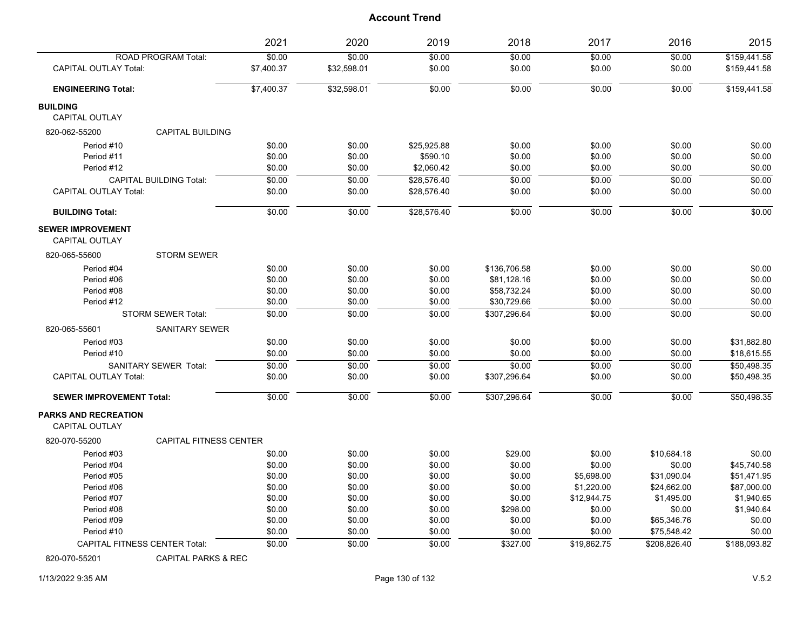|                                                      |                                      | 2021       | 2020        | 2019        | 2018         | 2017        | 2016           | 2015           |
|------------------------------------------------------|--------------------------------------|------------|-------------|-------------|--------------|-------------|----------------|----------------|
|                                                      | <b>ROAD PROGRAM Total:</b>           | \$0.00     | \$0.00      | \$0.00      | \$0.00       | \$0.00      | \$0.00         | \$159,441.58   |
| <b>CAPITAL OUTLAY Total:</b>                         |                                      | \$7,400.37 | \$32,598.01 | \$0.00      | \$0.00       | \$0.00      | \$0.00         | \$159,441.58   |
| <b>ENGINEERING Total:</b>                            |                                      | \$7,400.37 | \$32,598.01 | \$0.00      | \$0.00       | \$0.00      | \$0.00         | \$159,441.58   |
| <b>BUILDING</b>                                      |                                      |            |             |             |              |             |                |                |
| <b>CAPITAL OUTLAY</b>                                |                                      |            |             |             |              |             |                |                |
| 820-062-55200                                        | <b>CAPITAL BUILDING</b>              |            |             |             |              |             |                |                |
| Period #10                                           |                                      | \$0.00     | \$0.00      | \$25,925.88 | \$0.00       | \$0.00      | \$0.00         | \$0.00         |
| Period #11                                           |                                      | \$0.00     | \$0.00      | \$590.10    | \$0.00       | \$0.00      | \$0.00         | \$0.00         |
| Period #12                                           |                                      | \$0.00     | \$0.00      | \$2,060.42  | \$0.00       | \$0.00      | \$0.00         | \$0.00         |
|                                                      | <b>CAPITAL BUILDING Total:</b>       | \$0.00     | \$0.00      | \$28.576.40 | \$0.00       | \$0.00      | \$0.00         | \$0.00         |
| <b>CAPITAL OUTLAY Total:</b>                         |                                      | \$0.00     | \$0.00      | \$28,576.40 | \$0.00       | \$0.00      | \$0.00         | \$0.00         |
| <b>BUILDING Total:</b>                               |                                      | \$0.00     | \$0.00      | \$28,576.40 | 50.00        | \$0.00      | $\frac{1}{00}$ | $\frac{1}{00}$ |
| <b>SEWER IMPROVEMENT</b><br><b>CAPITAL OUTLAY</b>    |                                      |            |             |             |              |             |                |                |
| 820-065-55600                                        | STORM SEWER                          |            |             |             |              |             |                |                |
| Period #04                                           |                                      | \$0.00     | \$0.00      | \$0.00      | \$136,706.58 | \$0.00      | \$0.00         | \$0.00         |
| Period #06                                           |                                      | \$0.00     | \$0.00      | \$0.00      | \$81,128.16  | \$0.00      | \$0.00         | \$0.00         |
| Period #08                                           |                                      | \$0.00     | \$0.00      | \$0.00      | \$58,732.24  | \$0.00      | \$0.00         | \$0.00         |
| Period #12                                           |                                      | \$0.00     | \$0.00      | \$0.00      | \$30,729.66  | \$0.00      | \$0.00         | \$0.00         |
|                                                      | <b>STORM SEWER Total:</b>            | \$0.00     | \$0.00      | \$0.00      | \$307,296.64 | \$0.00      | \$0.00         | \$0.00         |
| 820-065-55601                                        | <b>SANITARY SEWER</b>                |            |             |             |              |             |                |                |
| Period #03                                           |                                      | \$0.00     | \$0.00      | \$0.00      | \$0.00       | \$0.00      | \$0.00         | \$31.882.80    |
| Period #10                                           |                                      | \$0.00     | \$0.00      | \$0.00      | \$0.00       | \$0.00      | \$0.00         | \$18,615.55    |
|                                                      | SANITARY SEWER Total:                | \$0.00     | \$0.00      | \$0.00      | \$0.00       | \$0.00      | \$0.00         | \$50,498.35    |
| <b>CAPITAL OUTLAY Total:</b>                         |                                      | \$0.00     | \$0.00      | \$0.00      | \$307,296.64 | \$0.00      | \$0.00         | \$50,498.35    |
| <b>SEWER IMPROVEMENT Total:</b>                      |                                      | \$0.00     | \$0.00      | \$0.00      | \$307,296.64 | \$0.00      | \$0.00         | \$50,498.35    |
| <b>PARKS AND RECREATION</b><br><b>CAPITAL OUTLAY</b> |                                      |            |             |             |              |             |                |                |
| 820-070-55200                                        | <b>CAPITAL FITNESS CENTER</b>        |            |             |             |              |             |                |                |
| Period #03                                           |                                      | \$0.00     | \$0.00      | \$0.00      | \$29.00      | \$0.00      | \$10,684.18    | \$0.00         |
| Period #04                                           |                                      | \$0.00     | \$0.00      | \$0.00      | \$0.00       | \$0.00      | \$0.00         | \$45,740.58    |
| Period #05                                           |                                      | \$0.00     | \$0.00      | \$0.00      | \$0.00       | \$5,698.00  | \$31,090.04    | \$51,471.95    |
| Period #06                                           |                                      | \$0.00     | \$0.00      | \$0.00      | \$0.00       | \$1,220.00  | \$24,662.00    | \$87,000.00    |
| Period #07                                           |                                      | \$0.00     | \$0.00      | \$0.00      | \$0.00       | \$12,944.75 | \$1,495.00     | \$1,940.65     |
| Period #08                                           |                                      | \$0.00     | \$0.00      | \$0.00      | \$298.00     | \$0.00      | \$0.00         | \$1,940.64     |
| Period #09                                           |                                      | \$0.00     | \$0.00      | \$0.00      | \$0.00       | \$0.00      | \$65,346.76    | \$0.00         |
| Period #10                                           |                                      | \$0.00     | \$0.00      | \$0.00      | \$0.00       | \$0.00      | \$75,548.42    | \$0.00         |
|                                                      | <b>CAPITAL FITNESS CENTER Total:</b> | \$0.00     | \$0.00      | \$0.00      | \$327.00     | \$19,862.75 | \$208,826.40   | \$188,093.82   |

820-070-55201 CAPITAL PARKS & REC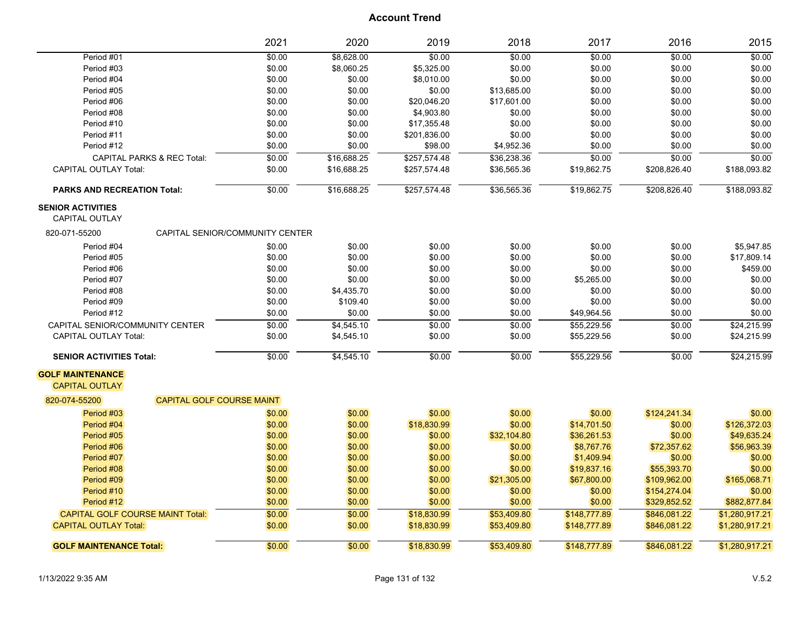|                                                   |                                       | 2021   | 2020        | 2019         | 2018        | 2017         | 2016         | 2015           |
|---------------------------------------------------|---------------------------------------|--------|-------------|--------------|-------------|--------------|--------------|----------------|
| Period #01                                        |                                       | \$0.00 | \$8,628.00  | \$0.00       | \$0.00      | \$0.00       | \$0.00       | \$0.00         |
| Period #03                                        |                                       | \$0.00 | \$8,060.25  | \$5,325.00   | \$0.00      | \$0.00       | \$0.00       | \$0.00         |
| Period #04                                        |                                       | \$0.00 | \$0.00      | \$8,010.00   | \$0.00      | \$0.00       | \$0.00       | \$0.00         |
| Period #05                                        |                                       | \$0.00 | \$0.00      | \$0.00       | \$13,685.00 | \$0.00       | \$0.00       | \$0.00         |
| Period #06                                        |                                       | \$0.00 | \$0.00      | \$20,046.20  | \$17,601.00 | \$0.00       | \$0.00       | \$0.00         |
| Period #08                                        |                                       | \$0.00 | \$0.00      | \$4,903.80   | \$0.00      | \$0.00       | \$0.00       | \$0.00         |
| Period #10                                        |                                       | \$0.00 | \$0.00      | \$17,355.48  | \$0.00      | \$0.00       | \$0.00       | \$0.00         |
| Period #11                                        |                                       | \$0.00 | \$0.00      | \$201,836.00 | \$0.00      | \$0.00       | \$0.00       | \$0.00         |
| Period #12                                        |                                       | \$0.00 | \$0.00      | \$98.00      | \$4,952.36  | \$0.00       | \$0.00       | \$0.00         |
|                                                   | <b>CAPITAL PARKS &amp; REC Total:</b> | \$0.00 | \$16,688.25 | \$257,574.48 | \$36,238.36 | \$0.00       | \$0.00       | \$0.00         |
| <b>CAPITAL OUTLAY Total:</b>                      |                                       | \$0.00 | \$16,688.25 | \$257,574.48 | \$36,565.36 | \$19,862.75  | \$208,826.40 | \$188,093.82   |
| <b>PARKS AND RECREATION Total:</b>                |                                       | \$0.00 | \$16,688.25 | \$257,574.48 | \$36,565.36 | \$19,862.75  | \$208,826.40 | \$188,093.82   |
| <b>SENIOR ACTIVITIES</b><br><b>CAPITAL OUTLAY</b> |                                       |        |             |              |             |              |              |                |
| 820-071-55200                                     | CAPITAL SENIOR/COMMUNITY CENTER       |        |             |              |             |              |              |                |
| Period #04                                        |                                       | \$0.00 | \$0.00      | \$0.00       | \$0.00      | \$0.00       | \$0.00       | \$5,947.85     |
| Period #05                                        |                                       | \$0.00 | \$0.00      | \$0.00       | \$0.00      | \$0.00       | \$0.00       | \$17,809.14    |
| Period #06                                        |                                       | \$0.00 | \$0.00      | \$0.00       | \$0.00      | \$0.00       | \$0.00       | \$459.00       |
| Period #07                                        |                                       | \$0.00 | \$0.00      | \$0.00       | \$0.00      | \$5,265.00   | \$0.00       | \$0.00         |
| Period #08                                        |                                       | \$0.00 | \$4,435.70  | \$0.00       | \$0.00      | \$0.00       | \$0.00       | \$0.00         |
| Period #09                                        |                                       | \$0.00 | \$109.40    | \$0.00       | \$0.00      | \$0.00       | \$0.00       | \$0.00         |
| Period #12                                        |                                       | \$0.00 | \$0.00      | \$0.00       | \$0.00      | \$49,964.56  | \$0.00       | \$0.00         |
| CAPITAL SENIOR/COMMUNITY CENTER                   |                                       | \$0.00 | \$4,545.10  | \$0.00       | \$0.00      | \$55,229.56  | \$0.00       | \$24,215.99    |
| <b>CAPITAL OUTLAY Total:</b>                      |                                       | \$0.00 | \$4,545.10  | \$0.00       | \$0.00      | \$55,229.56  | \$0.00       | \$24,215.99    |
| <b>SENIOR ACTIVITIES Total:</b>                   |                                       | \$0.00 | \$4,545.10  | \$0.00       | \$0.00      | \$55,229.56  | \$0.00       | \$24,215.99    |
| <b>GOLF MAINTENANCE</b><br><b>CAPITAL OUTLAY</b>  |                                       |        |             |              |             |              |              |                |
| 820-074-55200                                     | CAPITAL GOLF COURSE MAINT             |        |             |              |             |              |              |                |
| Period #03                                        |                                       | \$0.00 | \$0.00      | \$0.00       | \$0.00      | \$0.00       | \$124,241.34 | \$0.00         |
| Period #04                                        |                                       | \$0.00 | \$0.00      | \$18,830.99  | \$0.00      | \$14,701.50  | \$0.00       | \$126,372.03   |
| Period #05                                        |                                       | \$0.00 | \$0.00      | \$0.00       | \$32,104.80 | \$36,261.53  | \$0.00       | \$49,635.24    |
| Period #06                                        |                                       | \$0.00 | \$0.00      | \$0.00       | \$0.00      | \$8,767.76   | \$72,357.62  | \$56,963.39    |
| Period #07                                        |                                       | \$0.00 | \$0.00      | \$0.00       | \$0.00      | \$1,409.94   | \$0.00       | \$0.00         |
| Period #08                                        |                                       | \$0.00 | \$0.00      | \$0.00       | \$0.00      | \$19,837.16  | \$55,393.70  | \$0.00         |
| Period #09                                        |                                       | \$0.00 | \$0.00      | \$0.00       | \$21,305.00 | \$67,800.00  | \$109,962.00 | \$165,068.71   |
| Period #10                                        |                                       | \$0.00 | \$0.00      | \$0.00       | \$0.00      | \$0.00       | \$154,274.04 | \$0.00         |
| Period #12                                        |                                       | \$0.00 | \$0.00      | \$0.00       | \$0.00      | \$0.00       | \$329,852.52 | \$882,877.84   |
| CAPITAL GOLF COURSE MAINT Total:                  |                                       | \$0.00 | \$0.00      | \$18,830.99  | \$53,409.80 | \$148,777.89 | \$846,081.22 | \$1,280,917.21 |
| <b>CAPITAL OUTLAY Total:</b>                      |                                       | \$0.00 | \$0.00      | \$18,830.99  | \$53,409.80 | \$148,777.89 | \$846,081.22 | \$1,280,917.21 |
| <b>GOLF MAINTENANCE Total:</b>                    |                                       | \$0.00 | \$0.00      | \$18,830.99  | \$53,409.80 | \$148,777.89 | \$846,081.22 | \$1,280,917.21 |